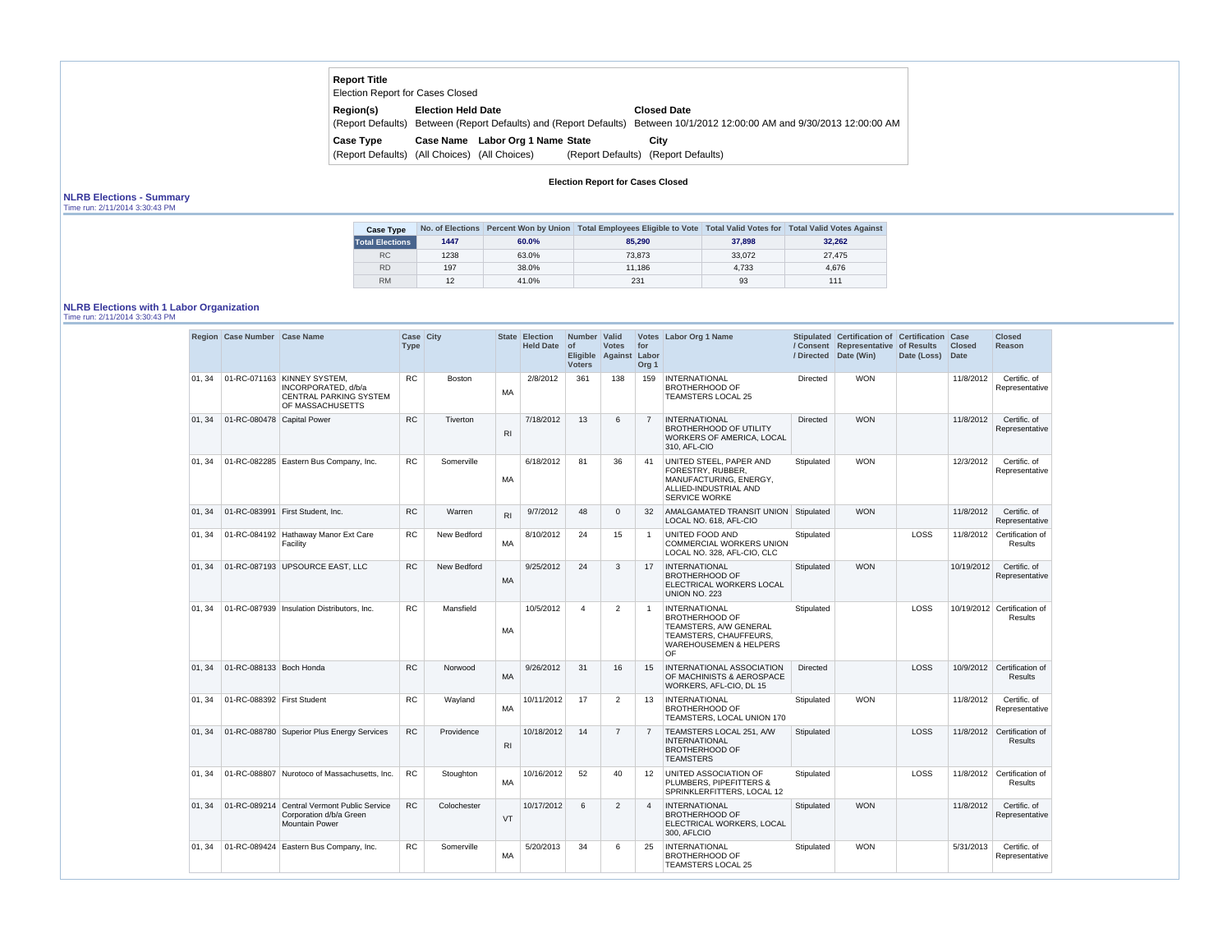| <b>Report Title</b><br><b>Election Report for Cases Closed</b> |                                                 |                                                 |                   |                                                                               |
|----------------------------------------------------------------|-------------------------------------------------|-------------------------------------------------|-------------------|-------------------------------------------------------------------------------|
| <b>Region(s)</b><br>(Report Defaults)                          | <b>Election Held Date</b>                       | Between (Report Defaults) and (Report Defaults) |                   | <b>Closed Date</b><br>Between 10/1/2012 12:00:00 AM and 9/30/2013 12:00:00 AM |
| Case Type<br>(Report Defaults)                                 | <b>Case Name</b><br>(All Choices) (All Choices) | Labor Org 1 Name State                          | (Report Defaults) | City<br>(Report Defaults)                                                     |

**Election Report for Cases Closed**

# **NLRB Elections - Summary**

Time run: 2/11/2014 3:30:43 PM

| <b>Case Type</b>       |      |       | No. of Elections Percent Won by Union Total Employees Eligible to Vote Total Valid Votes for Total Valid Votes Against |        |        |
|------------------------|------|-------|------------------------------------------------------------------------------------------------------------------------|--------|--------|
| <b>Total Elections</b> | 1447 | 60.0% | 85,290                                                                                                                 | 37,898 | 32,262 |
| RC                     | 1238 | 63.0% | 73.873                                                                                                                 | 33,072 | 27,475 |
| <b>RD</b>              | 197  | 38.0% | 11.186                                                                                                                 | 4,733  | 4,676  |
| <b>RM</b>              | 12   | 41.0% | 231                                                                                                                    | 93     | 111    |

### **NLRB Elections with 1 Labor Organization**

Time run: 2/11/2014 3:30:43 PM

|        | Region Case Number Case Name |                                                                                                         | Case City<br><b>Type</b> |               |                | State Election<br><b>Held Date</b> | Number Valid<br>$ $ of<br><b>Voters</b> | <b>Votes</b><br>Eligible Against Labor | for<br>Org <sub>1</sub> | Votes Labor Org 1 Name                                                                                                                        |                 | Stipulated Certification of Certification<br>/ Consent Representative of Results<br>/ Directed Date (Win) | Date (Loss) | Case<br><b>Closed</b><br><b>Date</b> | <b>Closed</b><br>Reason                       |
|--------|------------------------------|---------------------------------------------------------------------------------------------------------|--------------------------|---------------|----------------|------------------------------------|-----------------------------------------|----------------------------------------|-------------------------|-----------------------------------------------------------------------------------------------------------------------------------------------|-----------------|-----------------------------------------------------------------------------------------------------------|-------------|--------------------------------------|-----------------------------------------------|
| 01, 34 |                              | 01-RC-071163 KINNEY SYSTEM,<br>INCORPORATED, d/b/a<br><b>CENTRAL PARKING SYSTEM</b><br>OF MASSACHUSETTS | <b>RC</b>                | <b>Boston</b> | МA             | 2/8/2012                           | 361                                     | 138                                    | 159                     | <b>INTERNATIONAL</b><br><b>BROTHERHOOD OF</b><br>TEAMSTERS LOCAL 25                                                                           | Directed        | <b>WON</b>                                                                                                |             | 11/8/2012                            | Certific. of<br>Representative                |
| 01, 34 | 01-RC-080478 Capital Power   |                                                                                                         | <b>RC</b>                | Tiverton      | R <sub>l</sub> | 7/18/2012                          | 13                                      | 6                                      |                         | <b>INTERNATIONAL</b><br><b>BROTHERHOOD OF UTILITY</b><br><b>WORKERS OF AMERICA, LOCAL</b><br>310, AFL-CIO                                     | Directed        | <b>WON</b>                                                                                                |             | 11/8/2012                            | Certific. of<br>Representative                |
| 01, 34 |                              | 01-RC-082285 Eastern Bus Company, Inc.                                                                  | <b>RC</b>                | Somerville    | MA             | 6/18/2012                          | 81                                      | 36                                     | -41                     | UNITED STEEL, PAPER AND<br>FORESTRY, RUBBER,<br>MANUFACTURING, ENERGY,<br>ALLIED-INDUSTRIAL AND<br><b>SERVICE WORKE</b>                       | Stipulated      | <b>WON</b>                                                                                                |             | 12/3/2012                            | Certific. of<br>Representative                |
| 01, 34 |                              | 01-RC-083991 First Student, Inc.                                                                        | <b>RC</b>                | Warren        | R <sub>l</sub> | 9/7/2012                           | 48                                      | $\mathbf 0$                            | 32                      | AMALGAMATED TRANSIT UNION Stipulated<br>LOCAL NO. 618, AFL-CIO                                                                                |                 | <b>WON</b>                                                                                                |             | 11/8/2012                            | Certific. of<br>Representative                |
| 01, 34 |                              | 01-RC-084192 Hathaway Manor Ext Care<br>Facility                                                        | <b>RC</b>                | New Bedford   | MA             | 8/10/2012                          | 24                                      | 15                                     |                         | UNITED FOOD AND<br><b>COMMERCIAL WORKERS UNION</b><br>LOCAL NO. 328, AFL-CIO, CLC                                                             | Stipulated      |                                                                                                           | LOSS        | 11/8/2012                            | Certification of<br><b>Results</b>            |
| 01, 34 |                              | 01-RC-087193 UPSOURCE EAST, LLC                                                                         | <b>RC</b>                | New Bedford   | <b>MA</b>      | 9/25/2012                          | 24                                      | 3                                      | 17                      | <b>INTERNATIONAL</b><br><b>BROTHERHOOD OF</b><br>ELECTRICAL WORKERS LOCAL<br>UNION NO. 223                                                    | Stipulated      | <b>WON</b>                                                                                                |             | 10/19/2012                           | Certific. of<br>Representative                |
| 01, 34 |                              | 01-RC-087939   Insulation Distributors, Inc.                                                            | <b>RC</b>                | Mansfield     | MA             | 10/5/2012                          | 4                                       | $\overline{2}$                         |                         | <b>INTERNATIONAL</b><br><b>BROTHERHOOD OF</b><br>TEAMSTERS, A/W GENERAL<br>TEAMSTERS, CHAUFFEURS,<br><b>WAREHOUSEMEN &amp; HELPERS</b><br>OF. | Stipulated      |                                                                                                           | LOSS        |                                      | 10/19/2012 Certification of<br><b>Results</b> |
| 01, 34 | 01-RC-088133 Boch Honda      |                                                                                                         | <b>RC</b>                | Norwood       | <b>MA</b>      | 9/26/2012                          | 31                                      | 16                                     | 15                      | <b>INTERNATIONAL ASSOCIATION</b><br>OF MACHINISTS & AEROSPACE<br>WORKERS, AFL-CIO, DL 15                                                      | <b>Directed</b> |                                                                                                           | LOSS        | 10/9/2012                            | Certification of<br><b>Results</b>            |
| 01, 34 | 01-RC-088392 First Student   |                                                                                                         | <b>RC</b>                | Wayland       | MA             | 10/11/2012                         | 17                                      | $\overline{2}$                         | 13                      | <b>INTERNATIONAL</b><br><b>BROTHERHOOD OF</b><br>TEAMSTERS, LOCAL UNION 170                                                                   | Stipulated      | <b>WON</b>                                                                                                |             | 11/8/2012                            | Certific. of<br>Representative                |
| 01, 34 |                              | 01-RC-088780 Superior Plus Energy Services                                                              | RC                       | Providence    | <b>RI</b>      | 10/18/2012                         | 14                                      | $\overline{7}$                         |                         | TEAMSTERS LOCAL 251, A/W<br>INTERNATIONAL<br><b>BROTHERHOOD OF</b><br><b>TEAMSTERS</b>                                                        | Stipulated      |                                                                                                           | LOSS        | 11/8/2012                            | Certification of<br><b>Results</b>            |
| 01, 34 |                              | 01-RC-088807 Nurotoco of Massachusetts. Inc.                                                            | <b>RC</b>                | Stoughton     | MA             | 10/16/2012                         | 52                                      | 40                                     | 12 <sup>°</sup>         | UNITED ASSOCIATION OF<br>PLUMBERS, PIPEFITTERS &<br>SPRINKLERFITTERS, LOCAL 12                                                                | Stipulated      |                                                                                                           | LOSS        |                                      | 11/8/2012 Certification of<br><b>Results</b>  |
| 01, 34 |                              | 01-RC-089214 Central Vermont Public Service<br>Corporation d/b/a Green<br><b>Mountain Power</b>         | <b>RC</b>                | Colochester   | VT             | 10/17/2012                         | 6                                       | $\overline{2}$                         |                         | <b>INTERNATIONAL</b><br><b>BROTHERHOOD OF</b><br>ELECTRICAL WORKERS, LOCAL<br>300, AFLCIO                                                     | Stipulated      | <b>WON</b>                                                                                                |             | 11/8/2012                            | Certific. of<br>Representative                |
| 01, 34 |                              | 01-RC-089424 Eastern Bus Company, Inc.                                                                  | <b>RC</b>                | Somerville    | МA             | 5/20/2013                          | 34                                      | 6                                      | 25                      | <b>INTERNATIONAL</b><br><b>BROTHERHOOD OF</b><br>TEAMSTERS LOCAL 25                                                                           | Stipulated      | <b>WON</b>                                                                                                |             | 5/31/2013                            | Certific. of<br>Representative                |

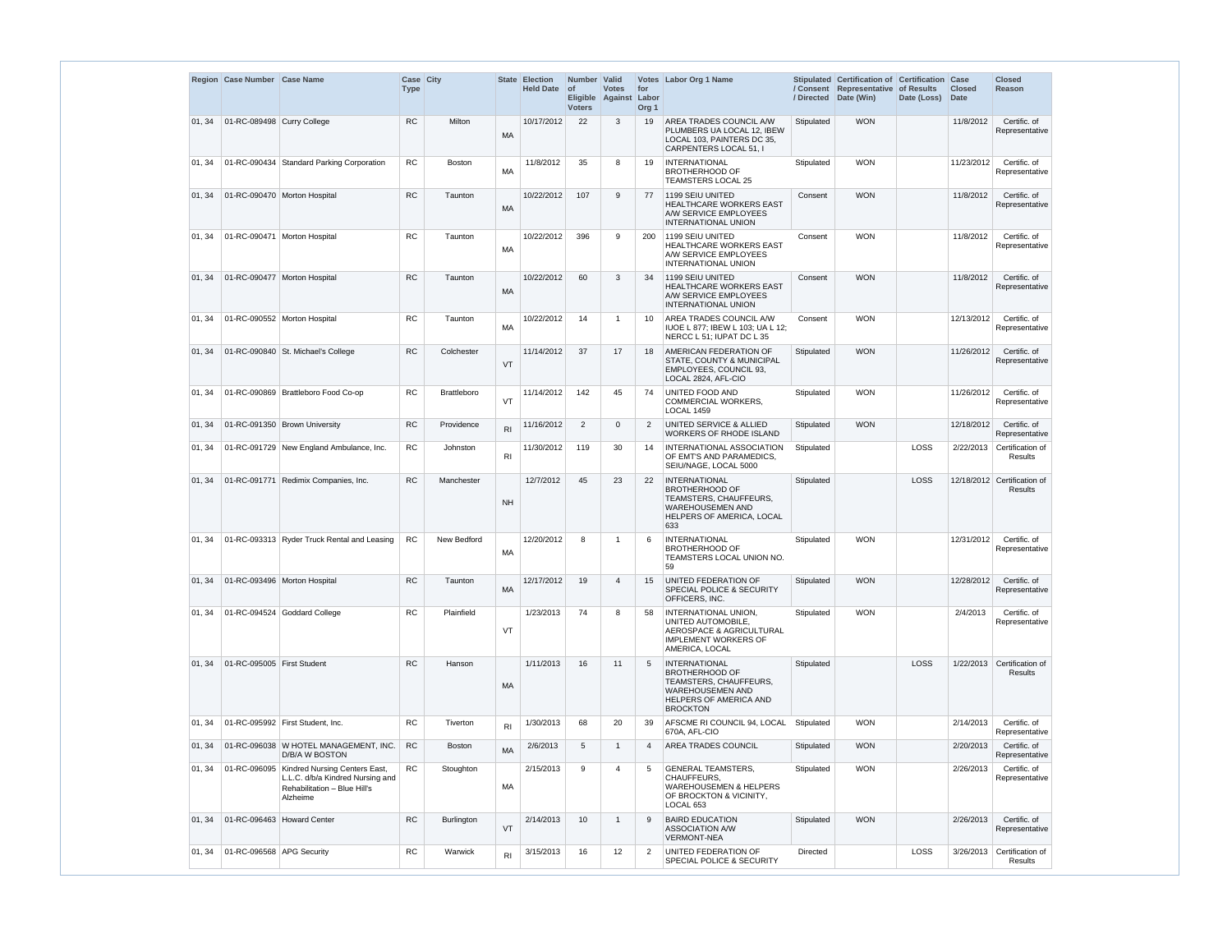|        | Region   Case Number   Case Name |                                                                                                                              | Case City<br><b>Type</b> |                    |                | State Election<br><b>Held Date</b> | Number Valid<br><b>of</b><br><b>Voters</b> | <b>Votes</b><br>Eligible Against Labor | for<br>Org <sub>1</sub> | Votes Labor Org 1 Name                                                                                                                          |            | Stipulated Certification of Certification Case<br>/ Consent Representative of Results<br>/ Directed Date (Win) | Date (Loss) | <b>Closed</b><br><b>Date</b> | <b>Closed</b><br><b>Reason</b>         |
|--------|----------------------------------|------------------------------------------------------------------------------------------------------------------------------|--------------------------|--------------------|----------------|------------------------------------|--------------------------------------------|----------------------------------------|-------------------------|-------------------------------------------------------------------------------------------------------------------------------------------------|------------|----------------------------------------------------------------------------------------------------------------|-------------|------------------------------|----------------------------------------|
| 01, 34 | 01-RC-089498 Curry College       |                                                                                                                              | <b>RC</b>                | Milton             | <b>MA</b>      | 10/17/2012                         | 22                                         | 3                                      | 19                      | AREA TRADES COUNCIL A/W<br>PLUMBERS UA LOCAL 12, IBEW<br>LOCAL 103, PAINTERS DC 35,<br>CARPENTERS LOCAL 51, I                                   | Stipulated | <b>WON</b>                                                                                                     |             | 11/8/2012                    | Certific. of<br>Representative         |
| 01, 34 |                                  | 01-RC-090434 Standard Parking Corporation                                                                                    | <b>RC</b>                | <b>Boston</b>      | <b>MA</b>      | 11/8/2012                          | 35                                         | 8                                      | 19                      | <b>INTERNATIONAL</b><br><b>BROTHERHOOD OF</b><br><b>TEAMSTERS LOCAL 25</b>                                                                      | Stipulated | <b>WON</b>                                                                                                     |             | 11/23/2012                   | Certific. of<br>Representative         |
| 01, 34 |                                  | 01-RC-090470 Morton Hospital                                                                                                 | <b>RC</b>                | Taunton            | <b>MA</b>      | 10/22/2012                         | 107                                        | 9                                      | 77                      | 1199 SEIU UNITED<br><b>HEALTHCARE WORKERS EAST</b><br>A/W SERVICE EMPLOYEES<br><b>INTERNATIONAL UNION</b>                                       | Consent    | <b>WON</b>                                                                                                     |             | 11/8/2012                    | Certific. of<br>Representative         |
| 01, 34 |                                  | 01-RC-090471 Morton Hospital                                                                                                 | <b>RC</b>                | Taunton            | MA             | 10/22/2012                         | 396                                        | 9                                      | 200                     | 1199 SEIU UNITED<br><b>HEALTHCARE WORKERS EAST</b><br>A/W SERVICE EMPLOYEES<br>INTERNATIONAL UNION                                              | Consent    | <b>WON</b>                                                                                                     |             | 11/8/2012                    | Certific. of<br>Representative         |
| 01, 34 |                                  | 01-RC-090477 Morton Hospital                                                                                                 | <b>RC</b>                | Taunton            | MA             | 10/22/2012                         | 60                                         | 3                                      | 34                      | 1199 SEIU UNITED<br><b>HEALTHCARE WORKERS EAST</b><br>A/W SERVICE EMPLOYEES<br><b>INTERNATIONAL UNION</b>                                       | Consent    | <b>WON</b>                                                                                                     |             | 11/8/2012                    | Certific. of<br>Representative         |
| 01, 34 |                                  | 01-RC-090552 Morton Hospital                                                                                                 | <b>RC</b>                | Taunton            | МA             | 10/22/2012                         | 14                                         |                                        | 10                      | AREA TRADES COUNCIL A/W<br>IUOE L 877; IBEW L 103; UA L 12;<br>NERCC L 51; IUPAT DC L 35                                                        | Consent    | <b>WON</b>                                                                                                     |             | 12/13/2012                   | Certific. of<br>Representative         |
| 01, 34 |                                  | 01-RC-090840 St. Michael's College                                                                                           | <b>RC</b>                | Colchester         | <b>VT</b>      | 11/14/2012                         | 37                                         | 17                                     | 18                      | AMERICAN FEDERATION OF<br><b>STATE, COUNTY &amp; MUNICIPAL</b><br><b>EMPLOYEES, COUNCIL 93,</b><br>LOCAL 2824, AFL-CIO                          | Stipulated | <b>WON</b>                                                                                                     |             | 11/26/2012                   | Certific. of<br>Representative         |
| 01, 34 |                                  | 01-RC-090869 Brattleboro Food Co-op                                                                                          | <b>RC</b>                | <b>Brattleboro</b> | VT             | 11/14/2012                         | 142                                        | 45                                     | 74                      | UNITED FOOD AND<br><b>COMMERCIAL WORKERS,</b><br><b>LOCAL 1459</b>                                                                              | Stipulated | <b>WON</b>                                                                                                     |             | 11/26/2012                   | Certific. of<br>Representative         |
| 01, 34 |                                  | 01-RC-091350 Brown University                                                                                                | <b>RC</b>                | Providence         | R <sub>l</sub> | 11/16/2012                         | 2                                          | $\mathbf 0$                            | 2                       | UNITED SERVICE & ALLIED<br><b>WORKERS OF RHODE ISLAND</b>                                                                                       | Stipulated | <b>WON</b>                                                                                                     |             | 12/18/2012                   | Certific. of<br>Representative         |
| 01, 34 |                                  | 01-RC-091729 New England Ambulance, Inc.                                                                                     | <b>RC</b>                | Johnston           | R <sub>1</sub> | 11/30/2012                         | 119                                        | 30                                     | 14                      | INTERNATIONAL ASSOCIATION<br>OF EMT'S AND PARAMEDICS,<br>SEIU/NAGE, LOCAL 5000                                                                  | Stipulated |                                                                                                                | LOSS        |                              | 2/22/2013 Certification of<br>Results  |
| 01, 34 |                                  | 01-RC-091771 Redimix Companies, Inc.                                                                                         | <b>RC</b>                | Manchester         | <b>NH</b>      | 12/7/2012                          | 45                                         | 23                                     | 22                      | <b>INTERNATIONAL</b><br><b>BROTHERHOOD OF</b><br>TEAMSTERS, CHAUFFEURS,<br><b>WAREHOUSEMEN AND</b><br><b>HELPERS OF AMERICA, LOCAL</b><br>633   | Stipulated |                                                                                                                | LOSS        |                              | 12/18/2012 Certification of<br>Results |
| 01, 34 |                                  | 01-RC-093313 Ryder Truck Rental and Leasing                                                                                  | <b>RC</b>                | New Bedford        | <b>MA</b>      | 12/20/2012                         | 8                                          | -1                                     | 6                       | <b>INTERNATIONAL</b><br><b>BROTHERHOOD OF</b><br>TEAMSTERS LOCAL UNION NO.<br>59                                                                | Stipulated | <b>WON</b>                                                                                                     |             | 12/31/2012                   | Certific. of<br>Representative         |
| 01, 34 |                                  | 01-RC-093496 Morton Hospital                                                                                                 | <b>RC</b>                | Taunton            | <b>MA</b>      | 12/17/2012                         | 19                                         | 4                                      | 15                      | UNITED FEDERATION OF<br>SPECIAL POLICE & SECURITY<br>OFFICERS, INC.                                                                             | Stipulated | <b>WON</b>                                                                                                     |             | 12/28/2012                   | Certific. of<br>Representative         |
| 01, 34 |                                  | 01-RC-094524 Goddard College                                                                                                 | <b>RC</b>                | Plainfield         | VT             | 1/23/2013                          | 74                                         | 8                                      | 58                      | INTERNATIONAL UNION,<br>UNITED AUTOMOBILE,<br>AEROSPACE & AGRICULTURAL<br><b>IMPLEMENT WORKERS OF</b><br>AMERICA, LOCAL                         | Stipulated | <b>WON</b>                                                                                                     |             | 2/4/2013                     | Certific. of<br>Representative         |
| 01, 34 | 01-RC-095005 First Student       |                                                                                                                              | RC                       | Hanson             | MA             | 1/11/2013                          | 16                                         | 11                                     | 5                       | INTERNATIONAL<br><b>BROTHERHOOD OF</b><br>TEAMSTERS, CHAUFFEURS,<br><b>WAREHOUSEMEN AND</b><br><b>HELPERS OF AMERICA AND</b><br><b>BROCKTON</b> | Stipulated |                                                                                                                | LOSS        | 1/22/2013                    | Certification of<br>Results            |
| 01, 34 |                                  | 01-RC-095992 First Student, Inc.                                                                                             | <b>RC</b>                | Tiverton           | R <sub>l</sub> | 1/30/2013                          | 68                                         | 20                                     | 39                      | AFSCME RI COUNCIL 94, LOCAL<br>670A, AFL-CIO                                                                                                    | Stipulated | <b>WON</b>                                                                                                     |             | 2/14/2013                    | Certific. of<br>Representative         |
| 01, 34 |                                  | 01-RC-096038 W HOTEL MANAGEMENT, INC.<br>D/B/A W BOSTON                                                                      | RC                       | <b>Boston</b>      | <b>MA</b>      | 2/6/2013                           | 5                                          |                                        | 4                       | <b>AREA TRADES COUNCIL</b>                                                                                                                      | Stipulated | <b>WON</b>                                                                                                     |             | 2/20/2013                    | Certific. of<br>Representative         |
| 01, 34 |                                  | 01-RC-096095   Kindred Nursing Centers East,<br>L.L.C. d/b/a Kindred Nursing and<br>Rehabilitation - Blue Hill's<br>Alzheime | RC                       | Stoughton          | MA             | 2/15/2013                          | 9                                          | 4                                      | 5                       | <b>GENERAL TEAMSTERS,</b><br>CHAUFFEURS.<br><b>WAREHOUSEMEN &amp; HELPERS</b><br>OF BROCKTON & VICINITY,<br>LOCAL 653                           | Stipulated | <b>WON</b>                                                                                                     |             | 2/26/2013                    | Certific. of<br>Representative         |
| 01, 34 |                                  | 01-RC-096463 Howard Center                                                                                                   | <b>RC</b>                | Burlington         | <b>VT</b>      | 2/14/2013                          | 10                                         |                                        | 9                       | <b>BAIRD EDUCATION</b><br>ASSOCIATION A/W<br><b>VERMONT-NEA</b>                                                                                 | Stipulated | <b>WON</b>                                                                                                     |             | 2/26/2013                    | Certific. of<br>Representative         |
| 01, 34 | 01-RC-096568 APG Security        |                                                                                                                              | RC                       | Warwick            | R <sub>l</sub> | 3/15/2013                          | 16                                         | 12 <sub>2</sub>                        | $\overline{2}$          | UNITED FEDERATION OF<br>SPECIAL POLICE & SECURITY                                                                                               | Directed   |                                                                                                                | LOSS        | 3/26/2013                    | Certification of<br>Results            |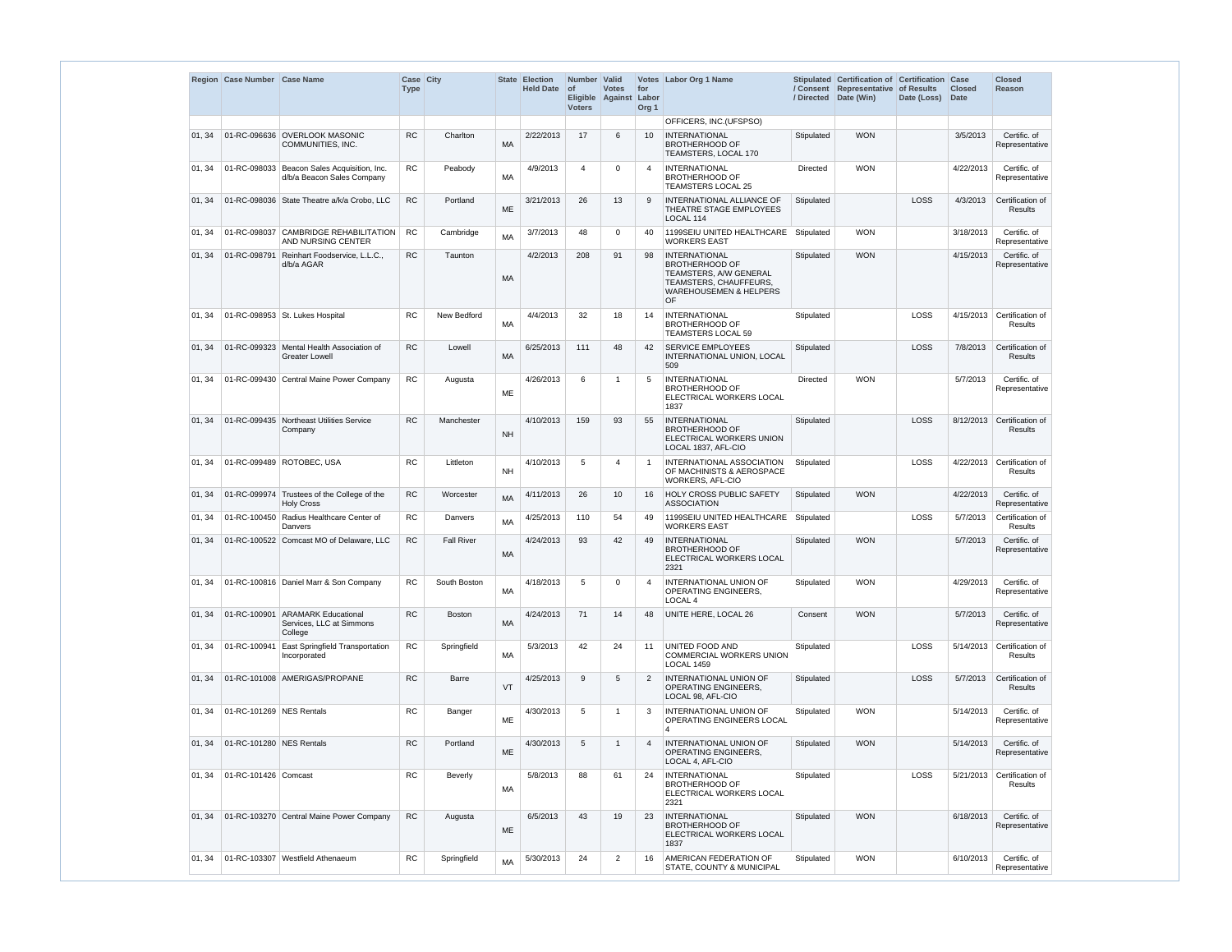|        | Region Case Number Case Name |                                                                           | Case City<br><b>Type</b> |                   |           | <b>State Election</b><br><b>Held Date</b> | Number Valid<br><b>of</b><br>Eligible Against<br><b>Voters</b> | <b>Votes</b>   | for<br>Labor<br>Org <sub>1</sub> | Votes Labor Org 1 Name                                                                                                                       | / Directed      | Stipulated Certification of Certification Case<br>/ Consent Representative of Results<br>Date (Win) | Date (Loss) | <b>Closed</b><br><b>Date</b> | <b>Closed</b><br><b>Reason</b>     |
|--------|------------------------------|---------------------------------------------------------------------------|--------------------------|-------------------|-----------|-------------------------------------------|----------------------------------------------------------------|----------------|----------------------------------|----------------------------------------------------------------------------------------------------------------------------------------------|-----------------|-----------------------------------------------------------------------------------------------------|-------------|------------------------------|------------------------------------|
|        |                              |                                                                           |                          |                   |           |                                           |                                                                |                |                                  | OFFICERS, INC.(UFSPSO)                                                                                                                       |                 |                                                                                                     |             |                              |                                    |
| 01, 34 |                              | 01-RC-096636 OVERLOOK MASONIC<br>COMMUNITIES, INC.                        | <b>RC</b>                | Charlton          | MA        | 2/22/2013                                 | 17                                                             | 6              | 10 <sup>°</sup>                  | <b>INTERNATIONAL</b><br><b>BROTHERHOOD OF</b><br>TEAMSTERS, LOCAL 170                                                                        | Stipulated      | <b>WON</b>                                                                                          |             | 3/5/2013                     | Certific. of<br>Representative     |
| 01, 34 |                              | 01-RC-098033 Beacon Sales Acquisition, Inc.<br>d/b/a Beacon Sales Company | <b>RC</b>                | Peabody           | MA        | 4/9/2013                                  | $\boldsymbol{\varDelta}$                                       | $\Omega$       | -4                               | <b>INTERNATIONAL</b><br><b>BROTHERHOOD OF</b><br><b>TEAMSTERS LOCAL 25</b>                                                                   | <b>Directed</b> | <b>WON</b>                                                                                          |             | 4/22/2013                    | Certific. of<br>Representative     |
| 01, 34 |                              | 01-RC-098036 State Theatre a/k/a Crobo, LLC                               | RC                       | Portland          | $ME$      | 3/21/2013                                 | 26                                                             | 13             | 9                                | INTERNATIONAL ALLIANCE OF<br>THEATRE STAGE EMPLOYEES<br>LOCAL 114                                                                            | Stipulated      |                                                                                                     | LOSS        | 4/3/2013                     | Certification of<br>Results        |
| 01, 34 |                              | 01-RC-098037 CAMBRIDGE REHABILITATION<br>AND NURSING CENTER               | <b>RC</b>                | Cambridge         | <b>MA</b> | 3/7/2013                                  | 48                                                             | $\Omega$       | 40                               | 1199SEIU UNITED HEALTHCARE<br><b>WORKERS EAST</b>                                                                                            | Stipulated      | <b>WON</b>                                                                                          |             | 3/18/2013                    | Certific. of<br>Representative     |
| 01, 34 |                              | 01-RC-098791 Reinhart Foodservice, L.L.C.,<br>d/b/a AGAR                  | <b>RC</b>                | Taunton           | <b>MA</b> | 4/2/2013                                  | 208                                                            | 91             | 98                               | <b>INTERNATIONAL</b><br><b>BROTHERHOOD OF</b><br>TEAMSTERS, A/W GENERAL<br>TEAMSTERS, CHAUFFEURS,<br><b>WAREHOUSEMEN &amp; HELPERS</b><br>OF | Stipulated      | <b>WON</b>                                                                                          |             | 4/15/2013                    | Certific. of<br>Representative     |
| 01, 34 |                              | 01-RC-098953 St. Lukes Hospital                                           | <b>RC</b>                | New Bedford       | МA        | 4/4/2013                                  | 32                                                             | 18             | 14                               | <b>INTERNATIONAL</b><br><b>BROTHERHOOD OF</b><br>TEAMSTERS LOCAL 59                                                                          | Stipulated      |                                                                                                     | LOSS        | 4/15/2013                    | Certification of<br>Results        |
| 01, 34 |                              | 01-RC-099323 Mental Health Association of<br><b>Greater Lowell</b>        | <b>RC</b>                | Lowell            | MA        | 6/25/2013                                 | 111                                                            | 48             | 42                               | <b>SERVICE EMPLOYEES</b><br>INTERNATIONAL UNION, LOCAL<br>509                                                                                | Stipulated      |                                                                                                     | LOSS        | 7/8/2013                     | Certification of<br><b>Results</b> |
| 01, 34 |                              | 01-RC-099430 Central Maine Power Company                                  | <b>RC</b>                | Augusta           | ME        | 4/26/2013                                 | 6                                                              | -1             | 5                                | <b>INTERNATIONAL</b><br><b>BROTHERHOOD OF</b><br>ELECTRICAL WORKERS LOCAL<br>1837                                                            | Directed        | <b>WON</b>                                                                                          |             | 5/7/2013                     | Certific. of<br>Representative     |
| 01, 34 |                              | 01-RC-099435 Northeast Utilities Service<br>Company                       | <b>RC</b>                | Manchester        | <b>NH</b> | 4/10/2013                                 | 159                                                            | 93             | 55                               | <b>INTERNATIONAL</b><br><b>BROTHERHOOD OF</b><br>ELECTRICAL WORKERS UNION<br>LOCAL 1837, AFL-CIO                                             | Stipulated      |                                                                                                     | LOSS        | 8/12/2013                    | Certification of<br><b>Results</b> |
| 01, 34 |                              | 01-RC-099489 ROTOBEC, USA                                                 | <b>RC</b>                | Littleton         | <b>NH</b> | 4/10/2013                                 | 5                                                              | 4              |                                  | INTERNATIONAL ASSOCIATION<br>OF MACHINISTS & AEROSPACE<br>WORKERS, AFL-CIO                                                                   | Stipulated      |                                                                                                     | LOSS        | 4/22/2013                    | Certification of<br>Results        |
| 01, 34 |                              | 01-RC-099974 Trustees of the College of the<br><b>Holy Cross</b>          | <b>RC</b>                | Worcester         | <b>MA</b> | 4/11/2013                                 | 26                                                             | 10             | 16                               | HOLY CROSS PUBLIC SAFETY<br><b>ASSOCIATION</b>                                                                                               | Stipulated      | <b>WON</b>                                                                                          |             | 4/22/2013                    | Certific. of<br>Representative     |
| 01, 34 |                              | 01-RC-100450 Radius Healthcare Center of<br>Danvers                       | RC                       | Danvers           | MA        | 4/25/2013                                 | 110                                                            | 54             | 49                               | 1199SEIU UNITED HEALTHCARE<br><b>WORKERS EAST</b>                                                                                            | Stipulated      |                                                                                                     | LOSS        | 5/7/2013                     | Certification of<br>Results        |
| 01, 34 |                              | 01-RC-100522 Comcast MO of Delaware, LLC                                  | RC                       | <b>Fall River</b> | MA        | 4/24/2013                                 | 93                                                             | 42             | 49                               | INTERNATIONAL<br><b>BROTHERHOOD OF</b><br>ELECTRICAL WORKERS LOCAL<br>2321                                                                   | Stipulated      | <b>WON</b>                                                                                          |             | 5/7/2013                     | Certific. of<br>Representative     |
| 01, 34 |                              | 01-RC-100816 Daniel Marr & Son Company                                    | <b>RC</b>                | South Boston      | МA        | 4/18/2013                                 | 5                                                              | 0              | $\overline{4}$                   | <b>INTERNATIONAL UNION OF</b><br>OPERATING ENGINEERS,<br>LOCAL 4                                                                             | Stipulated      | <b>WON</b>                                                                                          |             | 4/29/2013                    | Certific. of<br>Representative     |
| 01, 34 |                              | 01-RC-100901 ARAMARK Educational<br>Services, LLC at Simmons<br>College   | ${\sf RC}$               | Boston            | MA        | 4/24/2013                                 | 71                                                             | 14             | 48                               | UNITE HERE, LOCAL 26                                                                                                                         | Consent         | <b>WON</b>                                                                                          |             | 5/7/2013                     | Certific. of<br>Representative     |
| 01, 34 | 01-RC-100941                 | <b>East Springfield Transportation</b><br>Incorporated                    | <b>RC</b>                | Springfield       | МA        | 5/3/2013                                  | 42                                                             | 24             | 11                               | UNITED FOOD AND<br><b>COMMERCIAL WORKERS UNION</b><br><b>LOCAL 1459</b>                                                                      | Stipulated      |                                                                                                     | LOSS        | 5/14/2013                    | Certification of<br>Results        |
| 01, 34 |                              | 01-RC-101008 AMERIGAS/PROPANE                                             | ${\sf RC}$               | Barre             | VT        | 4/25/2013                                 | 9                                                              | 5              | 2                                | <b>INTERNATIONAL UNION OF</b><br><b>OPERATING ENGINEERS.</b><br>LOCAL 98, AFL-CIO                                                            | Stipulated      |                                                                                                     | LOSS        | 5/7/2013                     | Certification of<br>Results        |
| 01, 34 | 01-RC-101269 NES Rentals     |                                                                           | RC                       | Banger            | ME        | 4/30/2013                                 | 5                                                              | -1             | 3                                | <b>INTERNATIONAL UNION OF</b><br>OPERATING ENGINEERS LOCAL<br>4                                                                              | Stipulated      | <b>WON</b>                                                                                          |             | 5/14/2013                    | Certific. of<br>Representative     |
| 01, 34 | 01-RC-101280 NES Rentals     |                                                                           | <b>RC</b>                | Portland          | ME        | 4/30/2013                                 | 5                                                              |                | $\overline{4}$                   | INTERNATIONAL UNION OF<br><b>OPERATING ENGINEERS,</b><br>LOCAL 4, AFL-CIO                                                                    | Stipulated      | <b>WON</b>                                                                                          |             | 5/14/2013                    | Certific. of<br>Representative     |
| 01, 34 | 01-RC-101426 Comcast         |                                                                           | <b>RC</b>                | <b>Beverly</b>    | МA        | 5/8/2013                                  | 88                                                             | 61             | 24                               | <b>INTERNATIONAL</b><br><b>BROTHERHOOD OF</b><br>ELECTRICAL WORKERS LOCAL<br>2321                                                            | Stipulated      |                                                                                                     | LOSS        | 5/21/2013                    | Certification of<br>Results        |
| 01, 34 |                              | 01-RC-103270 Central Maine Power Company                                  | <b>RC</b>                | Augusta           | ME        | 6/5/2013                                  | 43                                                             | 19             | 23                               | <b>INTERNATIONAL</b><br><b>BROTHERHOOD OF</b><br>ELECTRICAL WORKERS LOCAL<br>1837                                                            | Stipulated      | <b>WON</b>                                                                                          |             | 6/18/2013                    | Certific. of<br>Representative     |
| 01, 34 |                              | 01-RC-103307 Westfield Athenaeum                                          | RC.                      | Springfield       | <b>MA</b> | 5/30/2013                                 | 24                                                             | $\overline{2}$ | 16                               | AMERICAN FEDERATION OF                                                                                                                       | Stipulated      | <b>WON</b>                                                                                          |             | 6/10/2013                    | Certific. of                       |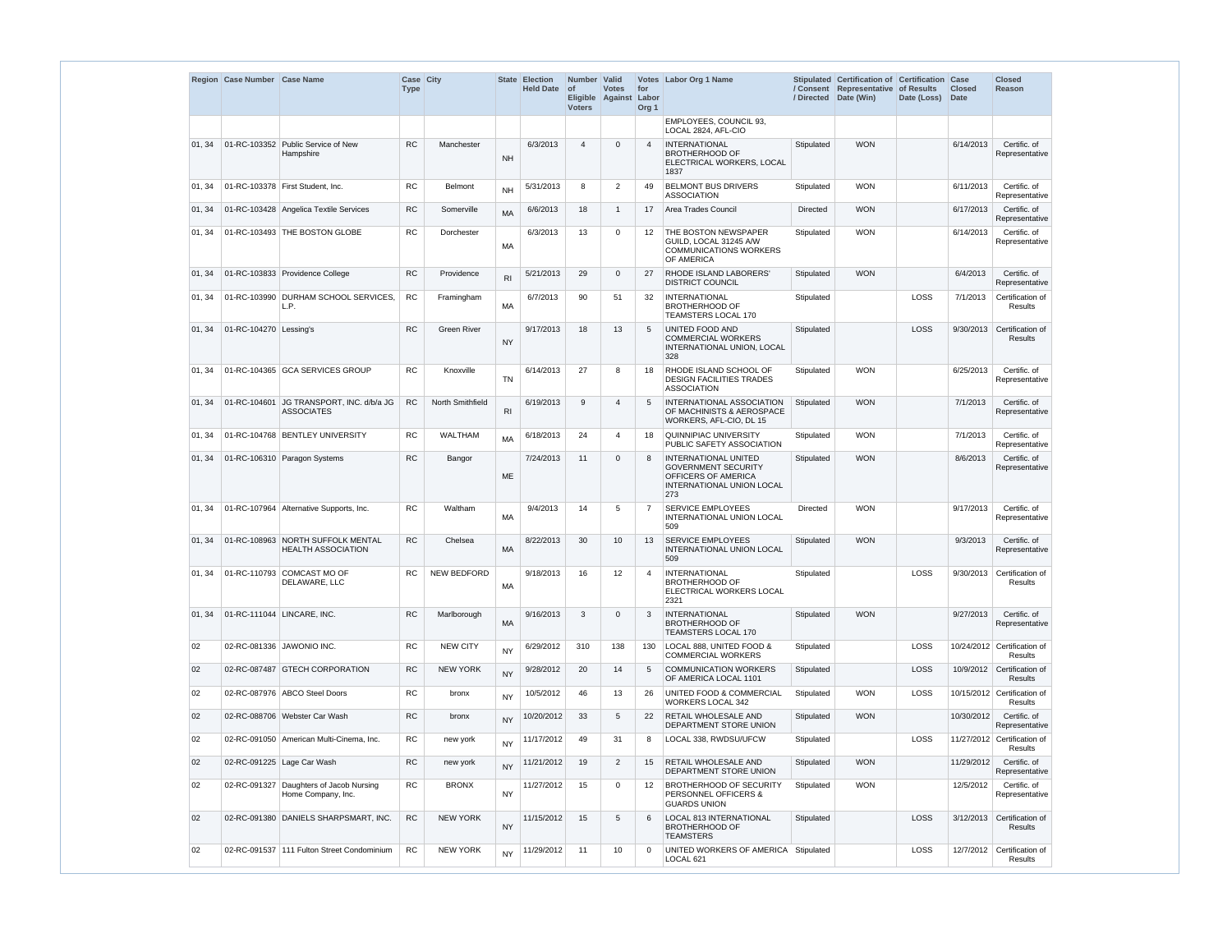|        | Region Case Number Case Name |                                                                | Case City<br><b>Type</b> |                    |                | State Election<br><b>Held Date</b> | Number   Valid<br>$ $ of<br>Eligible Against<br><b>Voters</b> | <b>Votes</b>   | for<br>Labor<br>Org <sub>1</sub> | Votes Labor Org 1 Name                                                                                                      |                 | Stipulated Certification of Certification Case<br>/ Consent Representative of Results<br>/ Directed Date (Win) | Date (Loss) Date | <b>Closed</b> | <b>Closed</b><br>Reason                  |
|--------|------------------------------|----------------------------------------------------------------|--------------------------|--------------------|----------------|------------------------------------|---------------------------------------------------------------|----------------|----------------------------------|-----------------------------------------------------------------------------------------------------------------------------|-----------------|----------------------------------------------------------------------------------------------------------------|------------------|---------------|------------------------------------------|
|        |                              |                                                                |                          |                    |                |                                    |                                                               |                |                                  | EMPLOYEES, COUNCIL 93,<br>LOCAL 2824, AFL-CIO                                                                               |                 |                                                                                                                |                  |               |                                          |
| 01, 34 |                              | 01-RC-103352 Public Service of New<br>Hampshire                | <b>RC</b>                | Manchester         | <b>NH</b>      | 6/3/2013                           | $\overline{4}$                                                | $\Omega$       |                                  | <b>INTERNATIONAL</b><br><b>BROTHERHOOD OF</b><br>ELECTRICAL WORKERS, LOCAL<br>1837                                          | Stipulated      | <b>WON</b>                                                                                                     |                  | 6/14/2013     | Certific. of<br>Representative           |
| 01, 34 |                              | 01-RC-103378   First Student, Inc.                             | <b>RC</b>                | Belmont            | <b>NH</b>      | 5/31/2013                          | 8                                                             | $\overline{2}$ | 49                               | <b>BELMONT BUS DRIVERS</b><br><b>ASSOCIATION</b>                                                                            | Stipulated      | <b>WON</b>                                                                                                     |                  | 6/11/2013     | Certific. of<br>Representative           |
| 01, 34 |                              | 01-RC-103428 Angelica Textile Services                         | <b>RC</b>                | Somerville         | MA             | 6/6/2013                           | 18                                                            | $\mathbf{1}$   | 17                               | Area Trades Council                                                                                                         | <b>Directed</b> | <b>WON</b>                                                                                                     |                  | 6/17/2013     | Certific. of<br>Representative           |
| 01, 34 |                              | 01-RC-103493 THE BOSTON GLOBE                                  | <b>RC</b>                | Dorchester         | <b>MA</b>      | 6/3/2013                           | 13                                                            | 0              | 12                               | THE BOSTON NEWSPAPER<br>GUILD, LOCAL 31245 A/W<br><b>COMMUNICATIONS WORKERS</b><br>OF AMERICA                               | Stipulated      | <b>WON</b>                                                                                                     |                  | 6/14/2013     | Certific, of<br>Representative           |
| 01, 34 |                              | 01-RC-103833 Providence College                                | <b>RC</b>                | Providence         | R <sub>l</sub> | 5/21/2013                          | 29                                                            | $\mathbf 0$    | 27                               | RHODE ISLAND LABORERS'<br><b>DISTRICT COUNCIL</b>                                                                           | Stipulated      | <b>WON</b>                                                                                                     |                  | 6/4/2013      | Certific. of<br>Representative           |
| 01, 34 |                              | 01-RC-103990 DURHAM SCHOOL SERVICES,<br>L.P.                   | <b>RC</b>                | Framingham         | <b>MA</b>      | 6/7/2013                           | 90                                                            | 51             | 32                               | <b>INTERNATIONAL</b><br><b>BROTHERHOOD OF</b><br><b>TEAMSTERS LOCAL 170</b>                                                 | Stipulated      |                                                                                                                | LOSS             | 7/1/2013      | Certification of<br>Results              |
| 01, 34 | 01-RC-104270 Lessing's       |                                                                | RC                       | <b>Green River</b> | <b>NY</b>      | 9/17/2013                          | 18                                                            | 13             | -5                               | UNITED FOOD AND<br><b>COMMERCIAL WORKERS</b><br>INTERNATIONAL UNION, LOCAL<br>328                                           | Stipulated      |                                                                                                                | LOSS             | 9/30/2013     | Certification of<br>Results              |
| 01, 34 |                              | 01-RC-104365 GCA SERVICES GROUP                                | <b>RC</b>                | Knoxville          | <b>TN</b>      | 6/14/2013                          | 27                                                            | 8              | 18                               | RHODE ISLAND SCHOOL OF<br><b>DESIGN FACILITIES TRADES</b><br><b>ASSOCIATION</b>                                             | Stipulated      | <b>WON</b>                                                                                                     |                  | 6/25/2013     | Certific. of<br>Representative           |
| 01, 34 |                              | 01-RC-104601 JG TRANSPORT, INC. d/b/a JG<br><b>ASSOCIATES</b>  | <b>RC</b>                | North Smithfield   | R <sub>l</sub> | 6/19/2013                          | 9                                                             | $\overline{4}$ | -5                               | <b>INTERNATIONAL ASSOCIATION</b><br>OF MACHINISTS & AEROSPACE<br>WORKERS, AFL-CIO, DL 15                                    | Stipulated      | <b>WON</b>                                                                                                     |                  | 7/1/2013      | Certific. of<br>Representative           |
| 01, 34 |                              | 01-RC-104768 BENTLEY UNIVERSITY                                | <b>RC</b>                | <b>WALTHAM</b>     | <b>MA</b>      | 6/18/2013                          | 24                                                            | 4              | 18                               | <b>QUINNIPIAC UNIVERSITY</b><br>PUBLIC SAFETY ASSOCIATION                                                                   | Stipulated      | <b>WON</b>                                                                                                     |                  | 7/1/2013      | Certific. of<br>Representative           |
| 01, 34 |                              | 01-RC-106310 Paragon Systems                                   | RC                       | Bangor             | <b>ME</b>      | 7/24/2013                          | 11                                                            | $\mathbf 0$    |                                  | <b>INTERNATIONAL UNITED</b><br><b>GOVERNMENT SECURITY</b><br>OFFICERS OF AMERICA<br><b>INTERNATIONAL UNION LOCAL</b><br>273 | Stipulated      | <b>WON</b>                                                                                                     |                  | 8/6/2013      | Certific. of<br>Representative           |
|        |                              | 01, 34   01-RC-107964   Alternative Supports, Inc.             | ${\sf RC}$               | Waltham            | <b>MA</b>      | 9/4/2013                           | 14                                                            | 5 <sub>5</sub> | $\rightarrow$                    | SERVICE EMPLOYEES<br>INTERNATIONAL UNION LOCAL<br>509                                                                       | <b>Directed</b> | <b>WON</b>                                                                                                     |                  |               | 9/17/2013 Certific. of<br>Representative |
| 01, 34 |                              | 01-RC-108963 NORTH SUFFOLK MENTAL<br><b>HEALTH ASSOCIATION</b> | <b>RC</b>                | Chelsea            | <b>MA</b>      | 8/22/2013                          | 30                                                            | 10             | 13                               | <b>SERVICE EMPLOYEES</b><br>INTERNATIONAL UNION LOCAL<br>509                                                                | Stipulated      | <b>WON</b>                                                                                                     |                  | 9/3/2013      | Certific. of<br>Representative           |
| 01, 34 |                              | 01-RC-110793 COMCAST MO OF<br>DELAWARE, LLC                    | <b>RC</b>                | <b>NEW BEDFORD</b> | <b>MA</b>      | 9/18/2013                          | 16                                                            | 12             |                                  | <b>INTERNATIONAL</b><br><b>BROTHERHOOD OF</b><br>ELECTRICAL WORKERS LOCAL<br>2321                                           | Stipulated      |                                                                                                                | LOSS             | 9/30/2013     | Certification of<br>Results              |
| 01.34  |                              | 01-RC-111044 LINCARE, INC.                                     | <b>RC</b>                | Marlborough        | <b>MA</b>      | 9/16/2013                          | 3                                                             | $\mathbf 0$    | -3                               | <b>INTERNATIONAL</b><br><b>BROTHERHOOD OF</b><br>TEAMSTERS LOCAL 170                                                        | Stipulated      | <b>WON</b>                                                                                                     |                  | 9/27/2013     | Certific. of<br>Representative           |
| 02     |                              | 02-RC-081336 JAWONIO INC.                                      | RC                       | <b>NEW CITY</b>    | <b>NY</b>      | 6/29/2012                          | 310                                                           | 138            | 130                              | LOCAL 888, UNITED FOOD &<br><b>COMMERCIAL WORKERS</b>                                                                       | Stipulated      |                                                                                                                | <b>LOSS</b>      |               | 10/24/2012 Certification of<br>Results   |
| 02     |                              | 02-RC-087487 GTECH CORPORATION                                 | <b>RC</b>                | <b>NEW YORK</b>    | <b>NY</b>      | 9/28/2012                          | 20                                                            | 14             | -5                               | <b>COMMUNICATION WORKERS</b><br>OF AMERICA LOCAL 1101                                                                       | Stipulated      |                                                                                                                | <b>LOSS</b>      |               | 10/9/2012 Certification of<br>Results    |
| 02     |                              | 02-RC-087976 ABCO Steel Doors                                  | <b>RC</b>                | bronx              | <b>NY</b>      | 10/5/2012                          | 46                                                            | 13             | 26                               | UNITED FOOD & COMMERCIAL<br><b>WORKERS LOCAL 342</b>                                                                        | Stipulated      | <b>WON</b>                                                                                                     | LOSS             |               | 10/15/2012 Certification of<br>Results   |
| 02     |                              | 02-RC-088706 Webster Car Wash                                  | RC                       | bronx              | <b>NY</b>      | 10/20/2012                         | 33                                                            | 5              | 22                               | <b>RETAIL WHOLESALE AND</b><br>DEPARTMENT STORE UNION                                                                       | Stipulated      | <b>WON</b>                                                                                                     |                  | 10/30/2012    | Certific. of<br>Representative           |
| 02     |                              | 02-RC-091050 American Multi-Cinema, Inc.                       | ${\sf RC}$               | new york           | <b>NY</b>      | 11/17/2012                         | 49                                                            | 31             | 8                                | LOCAL 338, RWDSU/UFCW                                                                                                       | Stipulated      |                                                                                                                | LOSS             |               | 11/27/2012 Certification of<br>Results   |
| 02     |                              | 02-RC-091225 Lage Car Wash                                     | ${\sf RC}$               | new york           | <b>NY</b>      | 11/21/2012                         | 19                                                            | $\overline{2}$ | 15                               | <b>RETAIL WHOLESALE AND</b><br>DEPARTMENT STORE UNION                                                                       | Stipulated      | <b>WON</b>                                                                                                     |                  | 11/29/2012    | Certific. of<br>Representative           |
| 02     |                              | 02-RC-091327 Daughters of Jacob Nursing<br>Home Company, Inc.  | RC                       | <b>BRONX</b>       | <b>NY</b>      | 11/27/2012                         | 15                                                            | 0              | 12                               | <b>BROTHERHOOD OF SECURITY</b><br>PERSONNEL OFFICERS &<br><b>GUARDS UNION</b>                                               | Stipulated      | <b>WON</b>                                                                                                     |                  | 12/5/2012     | Certific. of<br>Representative           |
| 02     |                              | 02-RC-091380 DANIELS SHARPSMART, INC.                          | RC                       | <b>NEW YORK</b>    | <b>NY</b>      | 11/15/2012                         | 15                                                            | 5              | -6                               | LOCAL 813 INTERNATIONAL<br><b>BROTHERHOOD OF</b><br><b>TEAMSTERS</b>                                                        | Stipulated      |                                                                                                                | <b>LOSS</b>      | 3/12/2013     | Certification of<br><b>Results</b>       |
| 02     |                              | 02-RC-091537   111 Fulton Street Condominium                   | <b>RC</b>                | <b>NEW YORK</b>    | <b>NY</b>      | 11/29/2012                         | 11                                                            | 10             | $\Omega$                         | UNITED WORKERS OF AMERICA<br>LOCAL 621                                                                                      | Stipulated      |                                                                                                                | LOSS             | 12/7/2012     | Certification of<br>Results              |
|        |                              |                                                                |                          |                    |                |                                    |                                                               |                |                                  |                                                                                                                             |                 |                                                                                                                |                  |               |                                          |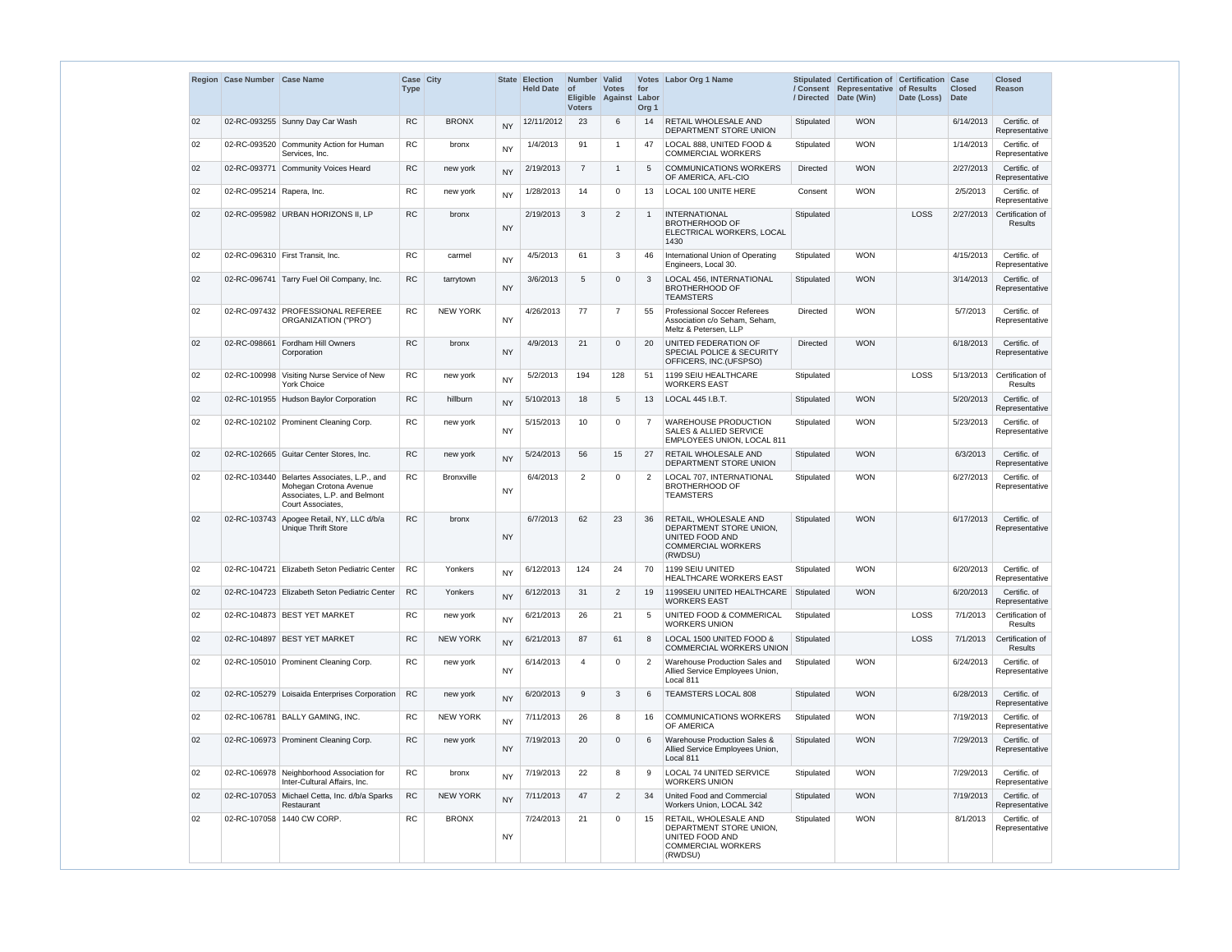|    | Region Case Number Case Name |                                                                                                               | <b>Case City</b><br><b>Type</b> |                   |           | <b>State Election</b><br><b>Held Date</b> | Number Valid<br>$ $ of<br><b>Voters</b> | <b>Votes</b><br>Eligible Against | for<br>Labor<br>Org <sub>1</sub> | Votes Labor Org 1 Name                                                                                      |                 | Stipulated Certification of Certification Case<br>/ Consent Representative of Results<br>/ Directed Date (Win) | Date (Loss) | <b>Closed</b><br><b>Date</b> | <b>Closed</b><br><b>Reason</b>               |
|----|------------------------------|---------------------------------------------------------------------------------------------------------------|---------------------------------|-------------------|-----------|-------------------------------------------|-----------------------------------------|----------------------------------|----------------------------------|-------------------------------------------------------------------------------------------------------------|-----------------|----------------------------------------------------------------------------------------------------------------|-------------|------------------------------|----------------------------------------------|
| 02 |                              | 02-RC-093255 Sunny Day Car Wash                                                                               | <b>RC</b>                       | <b>BRONX</b>      | <b>NY</b> | 12/11/2012                                | 23                                      | 6                                | 14                               | <b>RETAIL WHOLESALE AND</b><br>DEPARTMENT STORE UNION                                                       | Stipulated      | <b>WON</b>                                                                                                     |             | 6/14/2013                    | Certific. of<br>Representative               |
| 02 |                              | 02-RC-093520 Community Action for Human<br>Services, Inc.                                                     | <b>RC</b>                       | bronx             | <b>NY</b> | 1/4/2013                                  | 91                                      | $\mathbf{1}$                     | 47                               | LOCAL 888, UNITED FOOD &<br><b>COMMERCIAL WORKERS</b>                                                       | Stipulated      | <b>WON</b>                                                                                                     |             | 1/14/2013                    | Certific. of<br>Representative               |
| 02 | 02-RC-093771                 | Community Voices Heard                                                                                        | RC                              | new york          | <b>NY</b> | 2/19/2013                                 | $\overline{7}$                          | $\mathbf{1}$                     | 5                                | <b>COMMUNICATIONS WORKERS</b><br>OF AMERICA, AFL-CIO                                                        | Directed        | <b>WON</b>                                                                                                     |             | 2/27/2013                    | Certific. of<br>Representative               |
| 02 | 02-RC-095214 Rapera, Inc.    |                                                                                                               | RC                              | new york          | <b>NY</b> | 1/28/2013                                 | 14                                      | 0                                | 13                               | LOCAL 100 UNITE HERE                                                                                        | Consent         | <b>WON</b>                                                                                                     |             | 2/5/2013                     | Certific. of<br>Representative               |
| 02 |                              | 02-RC-095982 URBAN HORIZONS II, LP                                                                            | <b>RC</b>                       | bronx             | <b>NY</b> | 2/19/2013                                 | 3                                       | $\overline{2}$                   | $\overline{\mathbf{1}}$          | <b>INTERNATIONAL</b><br><b>BROTHERHOOD OF</b><br>ELECTRICAL WORKERS, LOCAL<br>1430                          | Stipulated      |                                                                                                                | LOSS        |                              | 2/27/2013 Certification of<br><b>Results</b> |
| 02 |                              | 02-RC-096310 First Transit, Inc.                                                                              | <b>RC</b>                       | carmel            | <b>NY</b> | 4/5/2013                                  | 61                                      | 3                                | 46                               | International Union of Operating<br>Engineers, Local 30.                                                    | Stipulated      | <b>WON</b>                                                                                                     |             | 4/15/2013                    | Certific. of<br>Representative               |
| 02 |                              | 02-RC-096741 Tarry Fuel Oil Company, Inc.                                                                     | <b>RC</b>                       | tarrytown         | <b>NY</b> | 3/6/2013                                  | 5                                       | $\Omega$                         | -3                               | <b>LOCAL 456. INTERNATIONAL</b><br><b>BROTHERHOOD OF</b><br><b>TEAMSTERS</b>                                | Stipulated      | <b>WON</b>                                                                                                     |             | 3/14/2013                    | Certific. of<br>Representative               |
| 02 |                              | 02-RC-097432 PROFESSIONAL REFEREE<br>ORGANIZATION ("PRO")                                                     | <b>RC</b>                       | <b>NEW YORK</b>   | <b>NY</b> | 4/26/2013                                 | 77                                      | $\overline{7}$                   | 55                               | <b>Professional Soccer Referees</b><br>Association c/o Seham, Seham,<br>Meltz & Petersen, LLP               | <b>Directed</b> | <b>WON</b>                                                                                                     |             | 5/7/2013                     | Certific. of<br>Representative               |
| 02 |                              | 02-RC-098661 Fordham Hill Owners<br>Corporation                                                               | <b>RC</b>                       | bronx             | <b>NY</b> | 4/9/2013                                  | 21                                      | $\mathbf 0$                      | 20                               | UNITED FEDERATION OF<br>SPECIAL POLICE & SECURITY<br>OFFICERS, INC.(UFSPSO)                                 | Directed        | <b>WON</b>                                                                                                     |             | 6/18/2013                    | Certific. of<br>Representative               |
| 02 |                              | 02-RC-100998 Visiting Nurse Service of New<br><b>York Choice</b>                                              | <b>RC</b>                       | new york          | <b>NY</b> | 5/2/2013                                  | 194                                     | 128                              | 51                               | 1199 SEIU HEALTHCARE<br><b>WORKERS EAST</b>                                                                 | Stipulated      |                                                                                                                | LOSS        | 5/13/2013                    | Certification of<br><b>Results</b>           |
| 02 |                              | 02-RC-101955 Hudson Baylor Corporation                                                                        | <b>RC</b>                       | hillburn          | <b>NY</b> | 5/10/2013                                 | 18                                      | 5                                | 13                               | LOCAL 445 I.B.T.                                                                                            | Stipulated      | <b>WON</b>                                                                                                     |             | 5/20/2013                    | Certific. of<br>Representative               |
| 02 |                              | 02-RC-102102 Prominent Cleaning Corp.                                                                         | <b>RC</b>                       | new york          | <b>NY</b> | 5/15/2013                                 | 10                                      | $\Omega$                         | -7                               | <b>WAREHOUSE PRODUCTION</b><br><b>SALES &amp; ALLIED SERVICE</b><br>EMPLOYEES UNION, LOCAL 811              | Stipulated      | <b>WON</b>                                                                                                     |             | 5/23/2013                    | Certific. of<br>Representative               |
| 02 |                              | 02-RC-102665 Guitar Center Stores, Inc.                                                                       | <b>RC</b>                       | new york          | <b>NY</b> | 5/24/2013                                 | 56                                      | 15                               | 27                               | RETAIL WHOLESALE AND<br>DEPARTMENT STORE UNION                                                              | Stipulated      | <b>WON</b>                                                                                                     |             | 6/3/2013                     | Certific. of<br>Representative               |
| 02 | 02-RC-103440                 | Belartes Associates, L.P., and<br>Mohegan Crotona Avenue<br>Associates, L.P. and Belmont<br>Court Associates. | ${\sf RC}$                      | <b>Bronxville</b> | <b>NY</b> | 6/4/2013                                  | 2                                       | $\Omega$                         | $\overline{2}$                   | LOCAL 707, INTERNATIONAL<br><b>BROTHERHOOD OF</b><br><b>TEAMSTERS</b>                                       | Stipulated      | <b>WON</b>                                                                                                     |             | 6/27/2013                    | Certific. of<br>Representative               |
| 02 |                              | 02-RC-103743 Apogee Retail, NY, LLC d/b/a<br><b>Unique Thrift Store</b>                                       | <b>RC</b>                       | bronx             | <b>NY</b> | 6/7/2013                                  | 62                                      | 23                               | 36                               | RETAIL, WHOLESALE AND<br>DEPARTMENT STORE UNION,<br>UNITED FOOD AND<br><b>COMMERCIAL WORKERS</b><br>(RWDSU) | Stipulated      | <b>WON</b>                                                                                                     |             | 6/17/2013                    | Certific. of<br>Representative               |
| 02 |                              | 02-RC-104721   Elizabeth Seton Pediatric Center                                                               | <b>RC</b>                       | Yonkers           | <b>NY</b> | 6/12/2013                                 | 124                                     | 24                               | 70                               | 1199 SEIU UNITED<br>HEALTHCARE WORKERS EAST                                                                 | Stipulated      | <b>WON</b>                                                                                                     |             | 6/20/2013                    | Certific. of<br>Representative               |
| 02 |                              | 02-RC-104723 Elizabeth Seton Pediatric Center                                                                 | <b>RC</b>                       | Yonkers           | <b>NY</b> | 6/12/2013                                 | 31                                      | $\overline{2}$                   | 19                               | 1199SEIU UNITED HEALTHCARE<br>WORKERS EAST                                                                  | Stipulated      | <b>WON</b>                                                                                                     |             | 6/20/2013                    | Certific. of<br>Representative               |
| 02 |                              | 02-RC-104873 BEST YET MARKET                                                                                  | ${\sf RC}$                      | new york          | <b>NY</b> | 6/21/2013                                 | 26                                      | 21                               | .5                               | UNITED FOOD & COMMERICAL<br><b>WORKERS UNION</b>                                                            | Stipulated      |                                                                                                                | LOSS        | 7/1/2013                     | Certification of<br>Results                  |
| 02 |                              | 02-RC-104897 BEST YET MARKET                                                                                  | RC                              | <b>NEW YORK</b>   | <b>NY</b> | 6/21/2013                                 | 87                                      | 61                               | -8                               | LOCAL 1500 UNITED FOOD &<br><b>COMMERCIAL WORKERS UNION</b>                                                 | Stipulated      |                                                                                                                | LOSS        | 7/1/2013                     | Certification of<br>Results                  |
| 02 |                              | 02-RC-105010 Prominent Cleaning Corp.                                                                         | <b>RC</b>                       | new york          | <b>NY</b> | 6/14/2013                                 | $\overline{4}$                          | $\Omega$                         | $\overline{2}$                   | Warehouse Production Sales and<br>Allied Service Employees Union,<br>Local 811                              | Stipulated      | <b>WON</b>                                                                                                     |             | 6/24/2013                    | Certific. of<br>Representative               |
| 02 |                              | 02-RC-105279 Loisaida Enterprises Corporation                                                                 | ${\sf RC}$                      | new york          | <b>NY</b> | 6/20/2013                                 | 9                                       | 3                                | -6                               | <b>TEAMSTERS LOCAL 808</b>                                                                                  | Stipulated      | <b>WON</b>                                                                                                     |             | 6/28/2013                    | Certific. of<br>Representative               |
| 02 |                              | 02-RC-106781 BALLY GAMING, INC.                                                                               | <b>RC</b>                       | <b>NEW YORK</b>   | <b>NY</b> | 7/11/2013                                 | 26                                      | 8                                | 16                               | <b>COMMUNICATIONS WORKERS</b><br>OF AMERICA                                                                 | Stipulated      | <b>WON</b>                                                                                                     |             | 7/19/2013                    | Certific. of<br>Representative               |
| 02 |                              | 02-RC-106973 Prominent Cleaning Corp.                                                                         | <b>RC</b>                       | new york          | <b>NY</b> | 7/19/2013                                 | 20                                      | $\Omega$                         | 6                                | Warehouse Production Sales &<br>Allied Service Employees Union,<br>Local 811                                | Stipulated      | <b>WON</b>                                                                                                     |             | 7/29/2013                    | Certific. of<br>Representative               |
| 02 |                              | 02-RC-106978 Neighborhood Association for<br>Inter-Cultural Affairs, Inc.                                     | ${\sf RC}$                      | bronx             | <b>NY</b> | 7/19/2013                                 | 22                                      | 8                                | -9                               | LOCAL 74 UNITED SERVICE<br><b>WORKERS UNION</b>                                                             | Stipulated      | <b>WON</b>                                                                                                     |             | 7/29/2013                    | Certific. of<br>Representative               |
| 02 |                              | 02-RC-107053 Michael Cetta, Inc. d/b/a Sparks<br>Restaurant                                                   | RC                              | <b>NEW YORK</b>   | <b>NY</b> | 7/11/2013                                 | 47                                      | $\overline{2}$                   | 34                               | United Food and Commercial<br>Workers Union, LOCAL 342                                                      | Stipulated      | <b>WON</b>                                                                                                     |             | 7/19/2013                    | Certific. of<br>Representative               |
| 02 |                              | 02-RC-107058 1440 CW CORP.                                                                                    | <b>RC</b>                       | <b>BRONX</b>      | NY        | 7/24/2013                                 | 21                                      | 0                                | 15                               | RETAIL, WHOLESALE AND<br>DEPARTMENT STORE UNION,<br>UNITED FOOD AND<br><b>COMMERCIAL WORKERS</b><br>(RWDSU) | Stipulated      | <b>WON</b>                                                                                                     |             | 8/1/2013                     | Certific. of<br>Representative               |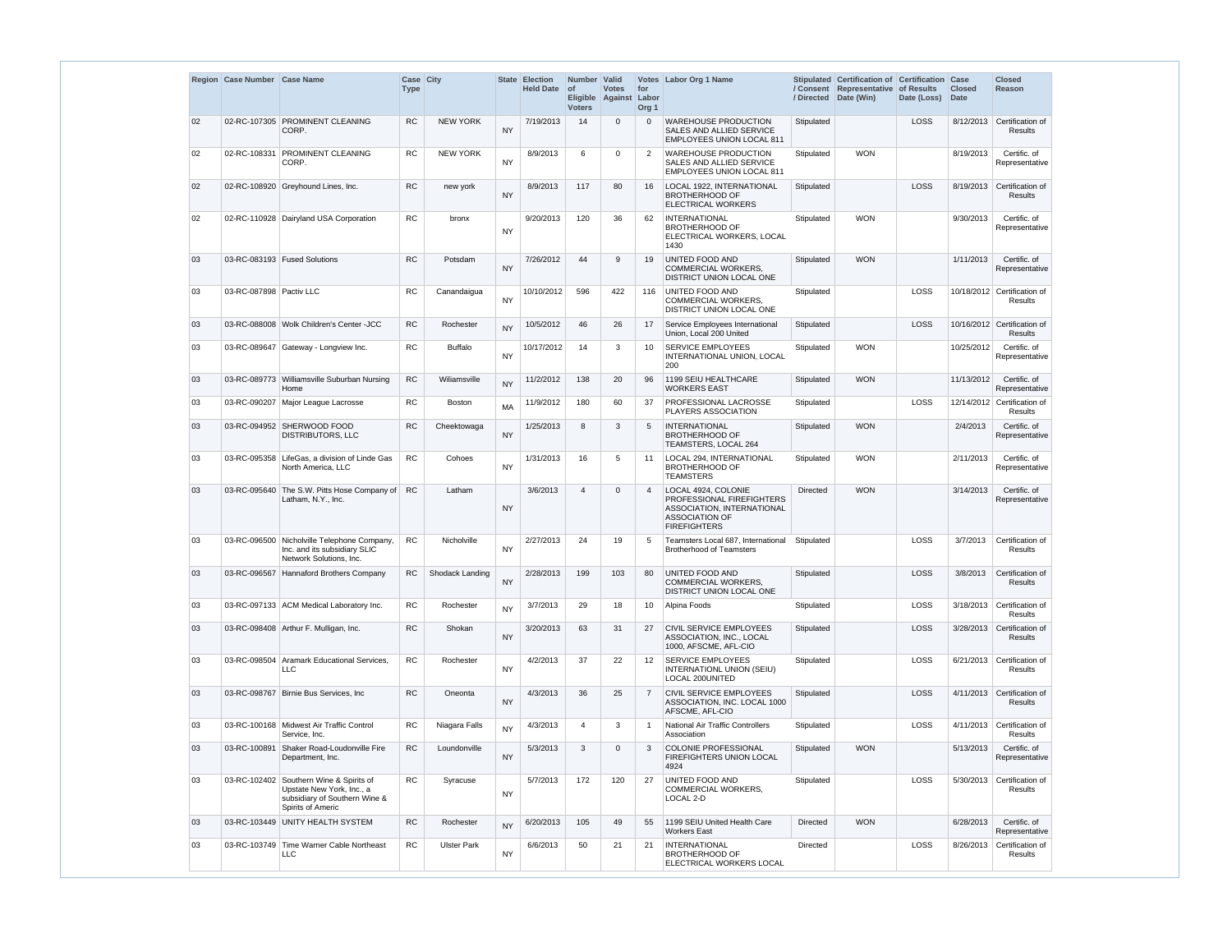|    | Region Case Number Case Name |                                                                                                                            | Case City<br><b>Type</b> |                    |           | State Election<br>Held Date of | Number Valid<br><b>Voters</b> | <b>Votes</b><br>Eligible Against Labor | for<br>Org <sub>1</sub> | Votes Labor Org 1 Name                                                                                                         |                 | Stipulated Certification of Certification Case<br>/ Consent Representative of Results<br>/ Directed Date (Win) | Date (Loss) | <b>Closed</b><br>Date | <b>Closed</b><br>Reason                       |
|----|------------------------------|----------------------------------------------------------------------------------------------------------------------------|--------------------------|--------------------|-----------|--------------------------------|-------------------------------|----------------------------------------|-------------------------|--------------------------------------------------------------------------------------------------------------------------------|-----------------|----------------------------------------------------------------------------------------------------------------|-------------|-----------------------|-----------------------------------------------|
| 02 |                              | 02-RC-107305 PROMINENT CLEANING<br>CORP.                                                                                   | <b>RC</b>                | <b>NEW YORK</b>    | <b>NY</b> | 7/19/2013                      | 14                            | $\mathbf{0}$                           |                         | <b>WAREHOUSE PRODUCTION</b><br>SALES AND ALLIED SERVICE<br><b>EMPLOYEES UNION LOCAL 811</b>                                    | Stipulated      |                                                                                                                | LOSS        | 8/12/2013             | Certification of<br><b>Results</b>            |
| 02 | 02-RC-108331                 | <b>PROMINENT CLEANING</b><br>CORP.                                                                                         | <b>RC</b>                | <b>NEW YORK</b>    | <b>NY</b> | 8/9/2013                       | 6                             | 0                                      |                         | <b>WAREHOUSE PRODUCTION</b><br>SALES AND ALLIED SERVICE<br><b>EMPLOYEES UNION LOCAL 811</b>                                    | Stipulated      | <b>WON</b>                                                                                                     |             | 8/19/2013             | Certific. of<br>Representative                |
| 02 |                              | 02-RC-108920 Greyhound Lines, Inc.                                                                                         | <b>RC</b>                | new york           | <b>NY</b> | 8/9/2013                       | 117                           | 80                                     | 16                      | LOCAL 1922, INTERNATIONAL<br><b>BROTHERHOOD OF</b><br><b>ELECTRICAL WORKERS</b>                                                | Stipulated      |                                                                                                                | LOSS        | 8/19/2013             | Certification of<br><b>Results</b>            |
| 02 |                              | 02-RC-110928 Dairyland USA Corporation                                                                                     | <b>RC</b>                | bronx              | <b>NY</b> | 9/20/2013                      | 120                           | 36                                     | 62                      | <b>INTERNATIONAL</b><br><b>BROTHERHOOD OF</b><br>ELECTRICAL WORKERS, LOCAL<br>1430                                             | Stipulated      | <b>WON</b>                                                                                                     |             | 9/30/2013             | Certific. of<br>Representative                |
| 03 |                              | 03-RC-083193 Fused Solutions                                                                                               | <b>RC</b>                | Potsdam            | <b>NY</b> | 7/26/2012                      | 44                            | 9                                      | 19                      | UNITED FOOD AND<br><b>COMMERCIAL WORKERS.</b><br>DISTRICT UNION LOCAL ONE                                                      | Stipulated      | <b>WON</b>                                                                                                     |             | 1/11/2013             | Certific. of<br>Representative                |
| 03 | 03-RC-087898 Pactiv LLC      |                                                                                                                            | <b>RC</b>                | Canandaigua        | <b>NY</b> | 10/10/2012                     | 596                           | 422                                    | 116                     | UNITED FOOD AND<br><b>COMMERCIAL WORKERS,</b><br>DISTRICT UNION LOCAL ONE                                                      | Stipulated      |                                                                                                                | LOSS        |                       | 10/18/2012 Certification of<br>Results        |
| 03 |                              | 03-RC-088008 Wolk Children's Center -JCC                                                                                   | <b>RC</b>                | Rochester          | <b>NY</b> | 10/5/2012                      | 46                            | 26                                     | 17                      | Service Employees International<br>Union, Local 200 United                                                                     | Stipulated      |                                                                                                                | LOSS        |                       | 10/16/2012 Certification of<br>Results        |
| 03 |                              | 03-RC-089647 Gateway - Longview Inc.                                                                                       | <b>RC</b>                | <b>Buffalo</b>     | <b>NY</b> | 10/17/2012                     | 14                            | 3                                      | 10                      | <b>SERVICE EMPLOYEES</b><br>INTERNATIONAL UNION, LOCAL<br>200                                                                  | Stipulated      | <b>WON</b>                                                                                                     |             | 10/25/2012            | Certific. of<br>Representative                |
| 03 |                              | 03-RC-089773 Williamsville Suburban Nursing<br>Home                                                                        | RC                       | Wiliamsville       | <b>NY</b> | 11/2/2012                      | 138                           | 20                                     | 96                      | 1199 SEIU HEALTHCARE<br>WORKERS EAST                                                                                           | Stipulated      | <b>WON</b>                                                                                                     |             | 11/13/2012            | Certific. of<br>Representative                |
| 03 |                              | 03-RC-090207   Major League Lacrosse                                                                                       | <b>RC</b>                | <b>Boston</b>      | <b>MA</b> | 11/9/2012                      | 180                           | 60                                     | 37                      | PROFESSIONAL LACROSSE<br>PLAYERS ASSOCIATION                                                                                   | Stipulated      |                                                                                                                | <b>LOSS</b> |                       | 12/14/2012 Certification of<br><b>Results</b> |
| 03 |                              | 03-RC-094952 SHERWOOD FOOD<br>DISTRIBUTORS, LLC                                                                            | <b>RC</b>                | Cheektowaga        | <b>NY</b> | 1/25/2013                      | 8                             | 3                                      |                         | <b>INTERNATIONAL</b><br><b>BROTHERHOOD OF</b><br>TEAMSTERS, LOCAL 264                                                          | Stipulated      | <b>WON</b>                                                                                                     |             | 2/4/2013              | Certific. of<br>Representative                |
| 03 |                              | 03-RC-095358 LifeGas, a division of Linde Gas<br>North America, LLC                                                        | <b>RC</b>                | Cohoes             | <b>NY</b> | 1/31/2013                      | 16                            | 5                                      | 11                      | LOCAL 294, INTERNATIONAL<br><b>BROTHERHOOD OF</b><br><b>TEAMSTERS</b>                                                          | Stipulated      | <b>WON</b>                                                                                                     |             | 2/11/2013             | Certific. of<br>Representative                |
| 03 |                              | 03-RC-095640 The S.W. Pitts Hose Company of RC<br>Latham, N.Y., Inc.                                                       |                          | Latham             | <b>NY</b> | 3/6/2013                       | 4                             | $\mathbf{0}$                           |                         | LOCAL 4924, COLONIE<br>PROFESSIONAL FIREFIGHTERS<br>ASSOCIATION, INTERNATIONAL<br><b>ASSOCIATION OF</b><br><b>FIREFIGHTERS</b> | Directed        | <b>WON</b>                                                                                                     |             | 3/14/2013             | Certific. of<br>Representative                |
| 03 |                              | 03-RC-096500 Nicholville Telephone Company,<br>Inc. and its subsidiary SLIC<br>Network Solutions, Inc.                     | <b>RC</b>                | Nicholville        | <b>NY</b> | 2/27/2013                      | 24                            | 19                                     | 5                       | Teamsters Local 687, International<br><b>Brotherhood of Teamsters</b>                                                          | Stipulated      |                                                                                                                | <b>LOSS</b> | 3/7/2013              | Certification of<br>Results                   |
| 03 |                              | 03-RC-096567 Hannaford Brothers Company                                                                                    | <b>RC</b>                | Shodack Landing    | <b>NY</b> | 2/28/2013                      | 199                           | 103                                    | 80                      | <b>UNITED FOOD AND</b><br><b>COMMERCIAL WORKERS,</b><br>DISTRICT UNION LOCAL ONE                                               | Stipulated      |                                                                                                                | <b>LOSS</b> | 3/8/2013              | Certification of<br>Results                   |
| 03 |                              | 03-RC-097133 ACM Medical Laboratory Inc.                                                                                   | RC                       | Rochester          | <b>NY</b> | 3/7/2013                       | 29                            | 18                                     | 10                      | Alpina Foods                                                                                                                   | Stipulated      |                                                                                                                | LOSS        | 3/18/2013             | Certification of<br>Results                   |
| 03 |                              | 03-RC-098408 Arthur F. Mulligan, Inc.                                                                                      | <b>RC</b>                | Shokan             | <b>NY</b> | 3/20/2013                      | 63                            | 31                                     | 27                      | CIVIL SERVICE EMPLOYEES<br>ASSOCIATION, INC., LOCAL<br>1000, AFSCME, AFL-CIO                                                   | Stipulated      |                                                                                                                | <b>LOSS</b> | 3/28/2013             | Certification of<br>Results                   |
| 03 |                              | 03-RC-098504 Aramark Educational Services,<br><b>LLC</b>                                                                   | <b>RC</b>                | Rochester          | <b>NY</b> | 4/2/2013                       | 37                            | 22                                     | $12 \overline{ }$       | <b>SERVICE EMPLOYEES</b><br>INTERNATIONL UNION (SEIU)<br>LOCAL 200UNITED                                                       | Stipulated      |                                                                                                                | <b>LOSS</b> |                       | 6/21/2013 Certification of<br>Results         |
| 03 |                              | 03-RC-098767   Birnie Bus Services, Inc.                                                                                   | <b>RC</b>                | Oneonta            | <b>NY</b> | 4/3/2013                       | 36                            | 25                                     |                         | CIVIL SERVICE EMPLOYEES<br>ASSOCIATION, INC. LOCAL 1000<br>AFSCME, AFL-CIO                                                     | Stipulated      |                                                                                                                | <b>LOSS</b> |                       | 4/11/2013 Certification of<br>Results         |
| 03 |                              | 03-RC-100168 Midwest Air Traffic Control<br>Service, Inc.                                                                  | <b>RC</b>                | Niagara Falls      | <b>NY</b> | 4/3/2013                       | 4                             | 3                                      |                         | National Air Traffic Controllers<br>Association                                                                                | Stipulated      |                                                                                                                | <b>LOSS</b> | 4/11/2013             | Certification of<br>Results                   |
| 03 |                              | 03-RC-100891 Shaker Road-Loudonville Fire<br>Department, Inc.                                                              | RC                       | Loundonville       | <b>NY</b> | 5/3/2013                       | 3                             | $\mathbf 0$                            |                         | <b>COLONIE PROFESSIONAL</b><br><b>FIREFIGHTERS UNION LOCAL</b><br>4924                                                         | Stipulated      | <b>WON</b>                                                                                                     |             | 5/13/2013             | Certific. of<br>Representative                |
| 03 |                              | 03-RC-102402 Southern Wine & Spirits of<br>Upstate New York, Inc., a<br>subsidiary of Southern Wine &<br>Spirits of Americ | <b>RC</b>                | Syracuse           | <b>NY</b> | 5/7/2013                       | 172                           | 120                                    | 27                      | UNITED FOOD AND<br>COMMERCIAL WORKERS,<br>LOCAL 2-D                                                                            | Stipulated      |                                                                                                                | LOSS        | 5/30/2013             | Certification of<br>Results                   |
| 03 |                              | 03-RC-103449 UNITY HEALTH SYSTEM                                                                                           | <b>RC</b>                | Rochester          | <b>NY</b> | 6/20/2013                      | 105                           | 49                                     | 55                      | 1199 SEIU United Health Care<br>Workers East                                                                                   | <b>Directed</b> | <b>WON</b>                                                                                                     |             | 6/28/2013             | Certific, of<br>Representative                |
| 03 |                              | 03-RC-103749 Time Warner Cable Northeast<br><b>LLC</b>                                                                     | <b>RC</b>                | <b>Ulster Park</b> | <b>NY</b> | 6/6/2013                       | 50                            | 21                                     | 21                      | <b>INTERNATIONAL</b><br><b>BROTHERHOOD OF</b><br>ELECTRICAL WORKERS LOCAL                                                      | <b>Directed</b> |                                                                                                                | LOSS        | 8/26/2013             | Certification of<br>Results                   |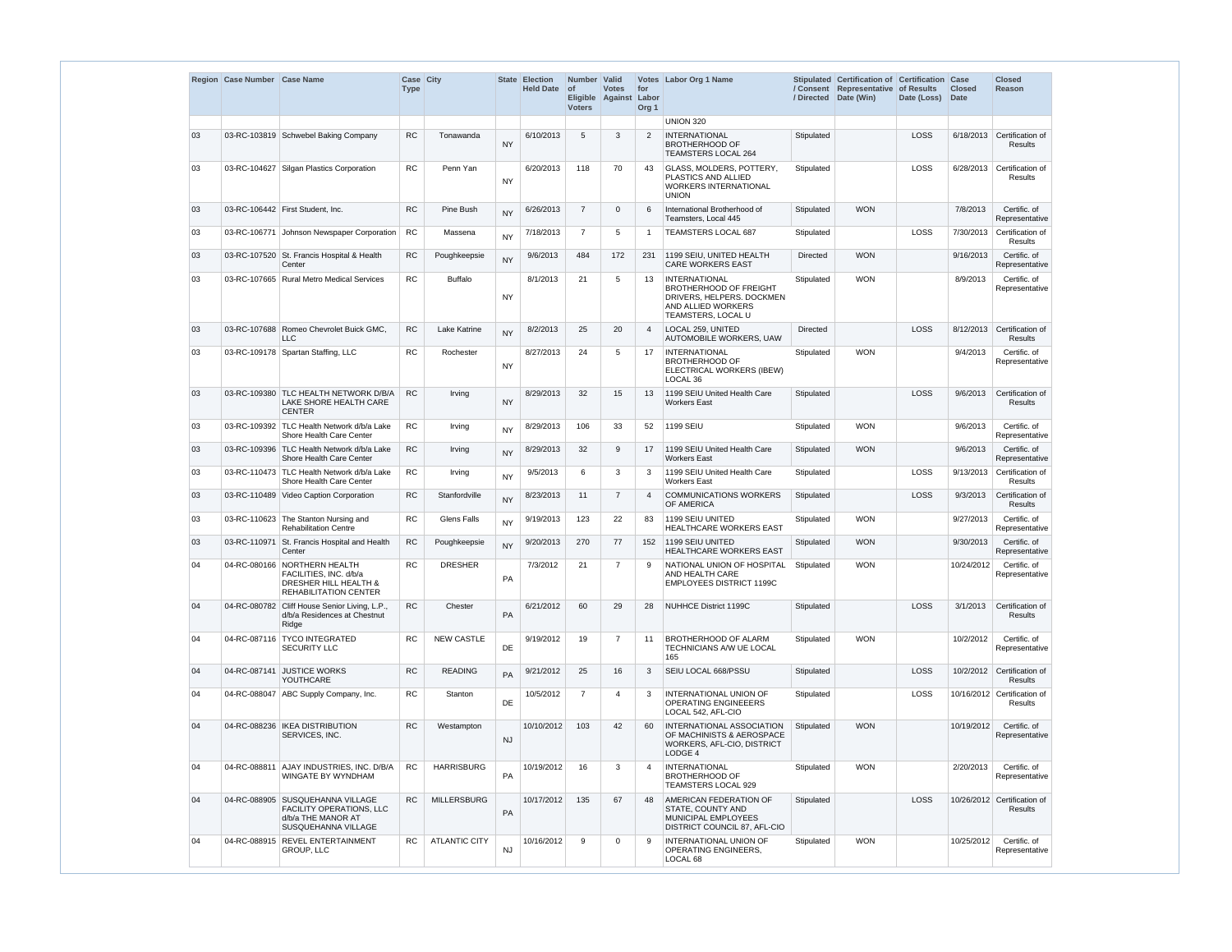|    | Region Case Number Case Name |                                                                                                                  | Case City<br><b>Type</b> |                      | <b>State</b> | <b>Election</b><br><b>Held Date</b> | Number   Valid<br>$\circ$ f<br><b>Voters</b> | <b>Votes</b><br>Eligible Against | for<br>Labor<br>Org <sub>1</sub> | Votes Labor Org 1 Name                                                                                                         | / Directed      | Stipulated Certification of Certification Case<br>/ Consent Representative of Results<br>Date (Win) | Date (Loss) | <b>Closed</b><br><b>Date</b> | <b>Closed</b><br>Reason                |
|----|------------------------------|------------------------------------------------------------------------------------------------------------------|--------------------------|----------------------|--------------|-------------------------------------|----------------------------------------------|----------------------------------|----------------------------------|--------------------------------------------------------------------------------------------------------------------------------|-----------------|-----------------------------------------------------------------------------------------------------|-------------|------------------------------|----------------------------------------|
|    |                              |                                                                                                                  |                          |                      |              |                                     |                                              |                                  |                                  | <b>UNION 320</b>                                                                                                               |                 |                                                                                                     |             |                              |                                        |
| 03 |                              | 03-RC-103819 Schwebel Baking Company                                                                             | <b>RC</b>                | Tonawanda            | <b>NY</b>    | 6/10/2013                           | 5                                            | 3                                | 2                                | <b>INTERNATIONAL</b><br><b>BROTHERHOOD OF</b><br><b>TEAMSTERS LOCAL 264</b>                                                    | Stipulated      |                                                                                                     | LOSS        | 6/18/2013                    | Certification of<br><b>Results</b>     |
| 03 |                              | 03-RC-104627 Silgan Plastics Corporation                                                                         | <b>RC</b>                | Penn Yan             | <b>NY</b>    | 6/20/2013                           | 118                                          | 70                               | 43                               | <b>GLASS, MOLDERS, POTTERY.</b><br>PLASTICS AND ALLIED<br><b>WORKERS INTERNATIONAL</b><br><b>UNION</b>                         | Stipulated      |                                                                                                     | LOSS        | 6/28/2013                    | Certification of<br><b>Results</b>     |
| 03 |                              | 03-RC-106442 First Student. Inc.                                                                                 | <b>RC</b>                | Pine Bush            | <b>NY</b>    | 6/26/2013                           | $\overline{7}$                               | $\Omega$                         | 6                                | International Brotherhood of<br>Teamsters, Local 445                                                                           | Stipulated      | <b>WON</b>                                                                                          |             | 7/8/2013                     | Certific. of<br>Representative         |
| 03 |                              | 03-RC-106771 Johnson Newspaper Corporation                                                                       | RC                       | Massena              | <b>NY</b>    | 7/18/2013                           | $\overline{7}$                               | 5                                | $\overline{\mathbf{1}}$          | TEAMSTERS LOCAL 687                                                                                                            | Stipulated      |                                                                                                     | LOSS        | 7/30/2013                    | Certification of<br><b>Results</b>     |
| 03 |                              | 03-RC-107520 St. Francis Hospital & Health<br>Center                                                             | <b>RC</b>                | Poughkeepsie         | <b>NY</b>    | 9/6/2013                            | 484                                          | 172                              | 231                              | 1199 SEIU, UNITED HEALTH<br><b>CARE WORKERS EAST</b>                                                                           | <b>Directed</b> | <b>WON</b>                                                                                          |             | 9/16/2013                    | Certific. of<br>Representative         |
| 03 |                              | 03-RC-107665 Rural Metro Medical Services                                                                        | <b>RC</b>                | <b>Buffalo</b>       | <b>NY</b>    | 8/1/2013                            | 21                                           | 5                                | 13                               | <b>INTERNATIONAL</b><br><b>BROTHERHOOD OF FREIGHT</b><br>DRIVERS, HELPERS. DOCKMEN<br>AND ALLIED WORKERS<br>TEAMSTERS, LOCAL U | Stipulated      | <b>WON</b>                                                                                          |             | 8/9/2013                     | Certific. of<br>Representative         |
| 03 | 03-RC-107688                 | Romeo Chevrolet Buick GMC.<br><b>LLC</b>                                                                         | <b>RC</b>                | Lake Katrine         | <b>NY</b>    | 8/2/2013                            | 25                                           | 20                               | $\overline{4}$                   | LOCAL 259, UNITED<br>AUTOMOBILE WORKERS, UAW                                                                                   | <b>Directed</b> |                                                                                                     | LOSS        | 8/12/2013                    | Certification of<br>Results            |
| 03 |                              | 03-RC-109178 Spartan Staffing, LLC                                                                               | <b>RC</b>                | Rochester            | <b>NY</b>    | 8/27/2013                           | 24                                           | 5                                | 17                               | <b>INTERNATIONAL</b><br><b>BROTHERHOOD OF</b><br>ELECTRICAL WORKERS (IBEW)<br>LOCAL 36                                         | Stipulated      | <b>WON</b>                                                                                          |             | 9/4/2013                     | Certific. of<br>Representative         |
| 03 |                              | 03-RC-109380 TLC HEALTH NETWORK D/B/A<br>LAKE SHORE HEALTH CARE<br><b>CENTER</b>                                 | <b>RC</b>                | Irving               | <b>NY</b>    | 8/29/2013                           | 32                                           | 15                               | 13                               | 1199 SEIU United Health Care<br><b>Workers East</b>                                                                            | Stipulated      |                                                                                                     | LOSS        | 9/6/2013                     | Certification of<br><b>Results</b>     |
| 03 |                              | 03-RC-109392 TLC Health Network d/b/a Lake<br>Shore Health Care Center                                           | RC                       | Irving               | <b>NY</b>    | 8/29/2013                           | 106                                          | 33                               | 52                               | 1199 SEIU                                                                                                                      | Stipulated      | <b>WON</b>                                                                                          |             | 9/6/2013                     | Certific. of<br>Representative         |
| 03 |                              | 03-RC-109396   TLC Health Network d/b/a Lake<br>Shore Health Care Center                                         | ${\sf RC}$               | Irving               | <b>NY</b>    | 8/29/2013                           | 32                                           | 9                                | 17                               | 1199 SEIU United Health Care<br><b>Workers East</b>                                                                            | Stipulated      | <b>WON</b>                                                                                          |             | 9/6/2013                     | Certific. of<br>Representative         |
| 03 |                              | 03-RC-110473 TLC Health Network d/b/a Lake<br>Shore Health Care Center                                           | RC                       | Irving               | <b>NY</b>    | 9/5/2013                            | 6                                            | 3                                | 3                                | 1199 SEIU United Health Care<br><b>Workers East</b>                                                                            | Stipulated      |                                                                                                     | LOSS        |                              | 9/13/2013 Certification of<br>Results  |
| 03 |                              | 03-RC-110489 Video Caption Corporation                                                                           | <b>RC</b>                | Stanfordville        | <b>NY</b>    | 8/23/2013                           | 11                                           | $\overline{7}$                   | $\boldsymbol{\Delta}$            | <b>COMMUNICATIONS WORKERS</b><br>OF AMERICA                                                                                    | Stipulated      |                                                                                                     | LOSS        | 9/3/2013                     | Certification of<br>Results            |
| 03 |                              | 03-RC-110623 The Stanton Nursing and<br><b>Rehabilitation Centre</b>                                             | <b>RC</b>                | <b>Glens Falls</b>   | <b>NY</b>    | 9/19/2013                           | 123                                          | 22                               | 83                               | 1199 SEIU UNITED<br>HEALTHCARE WORKERS EAST                                                                                    | Stipulated      | <b>WON</b>                                                                                          |             | 9/27/2013                    | Certific. of<br>Representative         |
| 03 |                              | 03-RC-110971 St. Francis Hospital and Health<br>Center                                                           | RC                       | Poughkeepsie         | <b>NY</b>    | 9/20/2013                           | 270                                          | 77                               | 152                              | 1199 SEIU UNITED<br>HEALTHCARE WORKERS EAST                                                                                    | Stipulated      | <b>WON</b>                                                                                          |             | 9/30/2013                    | Certific. of<br>Representative         |
| 04 |                              | 04-RC-080166 NORTHERN HEALTH<br>FACILITIES, INC. d/b/a<br>DRESHER HILL HEALTH &<br><b>REHABILITATION CENTER</b>  | <b>RC</b>                | <b>DRESHER</b>       | PA           | 7/3/2012                            | 21                                           | $\overline{7}$                   | 9                                | NATIONAL UNION OF HOSPITAL<br>AND HEALTH CARE<br><b>EMPLOYEES DISTRICT 1199C</b>                                               | Stipulated      | <b>WON</b>                                                                                          |             | 10/24/2012                   | Certific. of<br>Representative         |
| 04 |                              | 04-RC-080782 Cliff House Senior Living, L.P.<br>d/b/a Residences at Chestnut<br>Ridge                            | <b>RC</b>                | Chester              | PA           | 6/21/2012                           | 60                                           | 29                               | 28                               | NUHHCE District 1199C                                                                                                          | Stipulated      |                                                                                                     | LOSS        | 3/1/2013                     | Certification of<br>Results            |
| 04 |                              | 04-RC-087116 TYCO INTEGRATED<br><b>SECURITY LLC</b>                                                              | <b>RC</b>                | <b>NEW CASTLE</b>    | DE           | 9/19/2012                           | 19                                           | 7                                | 11                               | <b>BROTHERHOOD OF ALARM</b><br>TECHNICIANS A/W UE LOCAL<br>165                                                                 | Stipulated      | <b>WON</b>                                                                                          |             | 10/2/2012                    | Certific. of<br>Representative         |
| 04 |                              | 04-RC-087141 JUSTICE WORKS<br>YOUTHCARE                                                                          | <b>RC</b>                | <b>READING</b>       | PA           | 9/21/2012                           | 25                                           | 16                               | 3                                | SEIU LOCAL 668/PSSU                                                                                                            | Stipulated      |                                                                                                     | LOSS        |                              | 10/2/2012 Certification of<br>Results  |
| 04 |                              | 04-RC-088047 ABC Supply Company, Inc.                                                                            | <b>RC</b>                | Stanton              | DE           | 10/5/2012                           | $\overline{7}$                               | $\overline{4}$                   | 3                                | INTERNATIONAL UNION OF<br>OPERATING ENGINEEERS<br>LOCAL 542, AFL-CIO                                                           | Stipulated      |                                                                                                     | LOSS        |                              | 10/16/2012 Certification of<br>Results |
| 04 |                              | 04-RC-088236   IKEA DISTRIBUTION<br>SERVICES, INC.                                                               | RC                       | Westampton           | NJ           | 10/10/2012                          | 103                                          | 42                               | 60                               | <b>INTERNATIONAL ASSOCIATION</b><br>OF MACHINISTS & AEROSPACE<br>WORKERS, AFL-CIO, DISTRICT<br>LODGE 4                         | Stipulated      | <b>WON</b>                                                                                          |             | 10/19/2012                   | Certific. of<br>Representative         |
| 04 |                              | 04-RC-088811 AJAY INDUSTRIES, INC. D/B/A<br>WINGATE BY WYNDHAM                                                   | RC                       | <b>HARRISBURG</b>    | PA           | 10/19/2012                          | 16                                           | 3                                | $\overline{4}$                   | <b>INTERNATIONAL</b><br><b>BROTHERHOOD OF</b><br>TEAMSTERS LOCAL 929                                                           | Stipulated      | <b>WON</b>                                                                                          |             | 2/20/2013                    | Certific. of<br>Representative         |
| 04 |                              | 04-RC-088905 SUSQUEHANNA VILLAGE<br>FACILITY OPERATIONS, LLC<br>d/b/a THE MANOR AT<br><b>SUSQUEHANNA VILLAGE</b> | RC                       | <b>MILLERSBURG</b>   | PA           | 10/17/2012                          | 135                                          | 67                               | 48                               | AMERICAN FEDERATION OF<br>STATE, COUNTY AND<br>MUNICIPAL EMPLOYEES<br>DISTRICT COUNCIL 87, AFL-CIO                             | Stipulated      |                                                                                                     | LOSS        |                              | 10/26/2012 Certification of<br>Results |
| 04 |                              | 04-RC-088915 REVEL ENTERTAINMENT<br>GROUP, LLC                                                                   | <b>RC</b>                | <b>ATLANTIC CITY</b> | <b>NJ</b>    | 10/16/2012                          | 9                                            | $\Omega$                         | 9                                | <b>INTERNATIONAL UNION OF</b><br>OPERATING ENGINEERS,<br>LOCAL 68                                                              | Stipulated      | <b>WON</b>                                                                                          |             | 10/25/2012                   | Certific. of<br>Representative         |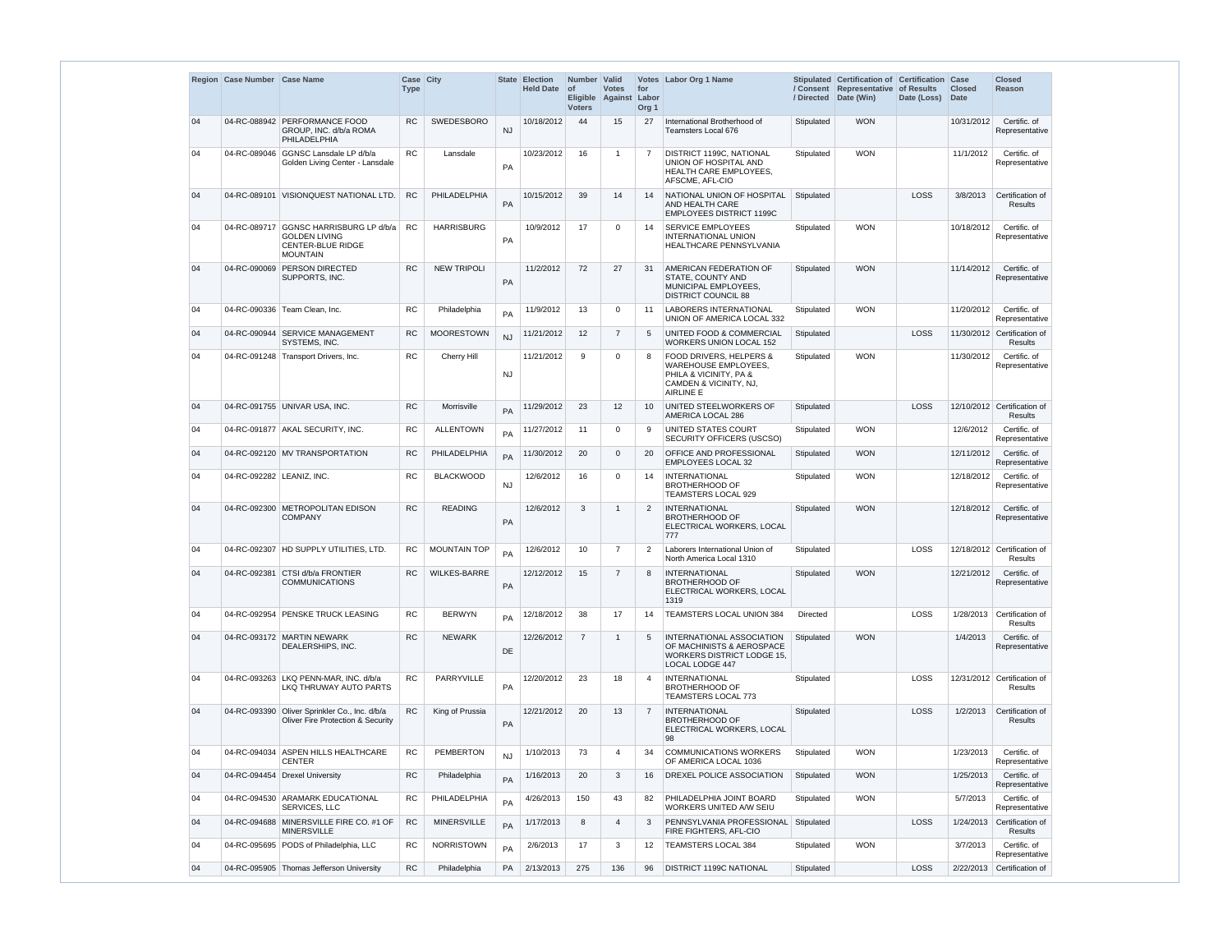|    | Region Case Number Case Name |                                                                                                               | <b>Case City</b><br><b>Type</b> |                     | <b>State</b> | <b>Election</b><br><b>Held Date</b> | Number Valid<br><b>of</b><br><b>Voters</b> | <b>Votes</b><br>Eligible Against | for<br>Labor<br>Org <sub>1</sub> | Votes Labor Org 1 Name                                                                                                  | / Directed      | Stipulated Certification of Certification Case<br>/ Consent Representative of Results<br>Date (Win) | Date (Loss) Date | <b>Closed</b> | <b>Closed</b><br>Reason                       |
|----|------------------------------|---------------------------------------------------------------------------------------------------------------|---------------------------------|---------------------|--------------|-------------------------------------|--------------------------------------------|----------------------------------|----------------------------------|-------------------------------------------------------------------------------------------------------------------------|-----------------|-----------------------------------------------------------------------------------------------------|------------------|---------------|-----------------------------------------------|
| 04 |                              | 04-RC-088942 PERFORMANCE FOOD<br>GROUP, INC. d/b/a ROMA<br>PHILADELPHIA                                       | <b>RC</b>                       | <b>SWEDESBORO</b>   | <b>NJ</b>    | 10/18/2012                          | 44                                         | 15                               | 27                               | International Brotherhood of<br>Teamsters Local 676                                                                     | Stipulated      | <b>WON</b>                                                                                          |                  | 10/31/2012    | Certific. of<br>Representative                |
| 04 | 04-RC-089046                 | GGNSC Lansdale LP d/b/a<br>Golden Living Center - Lansdale                                                    | <b>RC</b>                       | Lansdale            | PA           | 10/23/2012                          | 16                                         | -1                               | $\overline{7}$                   | DISTRICT 1199C, NATIONAL<br>UNION OF HOSPITAL AND<br>HEALTH CARE EMPLOYEES,<br>AFSCME, AFL-CIO                          | Stipulated      | <b>WON</b>                                                                                          |                  | 11/1/2012     | Certific. of<br>Representative                |
| 04 |                              | 04-RC-089101   VISIONQUEST NATIONAL LTD.                                                                      | <b>RC</b>                       | PHILADELPHIA        | PA           | 10/15/2012                          | 39                                         | 14                               | 14                               | NATIONAL UNION OF HOSPITAL<br>AND HEALTH CARE<br><b>EMPLOYEES DISTRICT 1199C</b>                                        | Stipulated      |                                                                                                     | LOSS             | 3/8/2013      | Certification of<br><b>Results</b>            |
| 04 |                              | 04-RC-089717 GGNSC HARRISBURG LP d/b/a<br><b>GOLDEN LIVING</b><br><b>CENTER-BLUE RIDGE</b><br><b>MOUNTAIN</b> | <b>RC</b>                       | <b>HARRISBURG</b>   | PA           | 10/9/2012                           | 17                                         | $\Omega$                         | 14                               | <b>SERVICE EMPLOYEES</b><br><b>INTERNATIONAL UNION</b><br>HEALTHCARE PENNSYLVANIA                                       | Stipulated      | <b>WON</b>                                                                                          |                  | 10/18/2012    | Certific. of<br>Representative                |
| 04 |                              | 04-RC-090069 PERSON DIRECTED<br>SUPPORTS, INC.                                                                | <b>RC</b>                       | <b>NEW TRIPOLI</b>  | PA           | 11/2/2012                           | 72                                         | 27                               | 31                               | AMERICAN FEDERATION OF<br>STATE, COUNTY AND<br>MUNICIPAL EMPLOYEES,<br><b>DISTRICT COUNCIL 88</b>                       | Stipulated      | <b>WON</b>                                                                                          |                  | 11/14/2012    | Certific. of<br>Representative                |
| 04 |                              | 04-RC-090336 Team Clean, Inc.                                                                                 | <b>RC</b>                       | Philadelphia        | PA           | 11/9/2012                           | 13                                         | $\Omega$                         | 11                               | <b>LABORERS INTERNATIONAL</b><br>UNION OF AMERICA LOCAL 332                                                             | Stipulated      | <b>WON</b>                                                                                          |                  | 11/20/2012    | Certific. of<br>Representative                |
| 04 |                              | 04-RC-090944 SERVICE MANAGEMENT<br>SYSTEMS, INC.                                                              | <b>RC</b>                       | <b>MOORESTOWN</b>   | NJ           | 11/21/2012                          | 12                                         | $\overline{7}$                   | 5                                | UNITED FOOD & COMMERCIAL<br><b>WORKERS UNION LOCAL 152</b>                                                              | Stipulated      |                                                                                                     | LOSS             |               | 11/30/2012 Certification of<br>Results        |
| 04 |                              | 04-RC-091248 Transport Drivers, Inc.                                                                          | <b>RC</b>                       | Cherry Hill         | <b>NJ</b>    | 11/21/2012                          | 9                                          | $\Omega$                         | 8                                | FOOD DRIVERS, HELPERS &<br><b>WAREHOUSE EMPLOYEES,</b><br>PHILA & VICINITY, PA &<br>CAMDEN & VICINITY, NJ,<br>AIRLINE E | Stipulated      | <b>WON</b>                                                                                          |                  | 11/30/2012    | Certific. of<br>Representative                |
| 04 |                              | 04-RC-091755 UNIVAR USA, INC.                                                                                 | <b>RC</b>                       | Morrisville         | PA           | 11/29/2012                          | 23                                         | 12                               | 10                               | UNITED STEELWORKERS OF<br>AMERICA LOCAL 286                                                                             | Stipulated      |                                                                                                     | LOSS             |               | 12/10/2012 Certification of<br>Results        |
| 04 |                              | 04-RC-091877 AKAL SECURITY, INC.                                                                              | <b>RC</b>                       | <b>ALLENTOWN</b>    | PA           | 11/27/2012                          | 11                                         | $\Omega$                         | 9                                | UNITED STATES COURT<br>SECURITY OFFICERS (USCSO)                                                                        | Stipulated      | <b>WON</b>                                                                                          |                  | 12/6/2012     | Certific. of<br>Representative                |
| 04 |                              | 04-RC-092120 MV TRANSPORTATION                                                                                | <b>RC</b>                       | PHILADELPHIA        | PA           | 11/30/2012                          | 20                                         | $\Omega$                         | 20                               | <b>OFFICE AND PROFESSIONAL</b><br>EMPLOYEES LOCAL 32                                                                    | Stipulated      | <b>WON</b>                                                                                          |                  | 12/11/2012    | Certific. of<br>Representative                |
| 04 | 04-RC-092282 LEANIZ, INC.    |                                                                                                               | <b>RC</b>                       | <b>BLACKWOOD</b>    | NJ           | 12/6/2012                           | 16                                         | $\Omega$                         | 14                               | <b>INTERNATIONAL</b><br><b>BROTHERHOOD OF</b><br><b>TEAMSTERS LOCAL 929</b>                                             | Stipulated      | <b>WON</b>                                                                                          |                  | 12/18/2012    | Certific. of<br>Representative                |
| 04 |                              | $\vert$ 04-RC-092300 METROPOLITAN EDISON<br><b>COMPANY</b>                                                    | ${\sf RC}$                      | <b>READING</b>      | PA           | $12/6/2012$ 3                       |                                            | $\overline{1}$                   |                                  | 2 INTERNATIONAL<br><b>BROTHERHOOD OF</b><br>ELECTRICAL WORKERS, LOCAL<br>777                                            |                 | Stipulated WON                                                                                      |                  |               | 12/18/2012 Certific. of<br>Representative     |
| 04 |                              | 04-RC-092307   HD SUPPLY UTILITIES, LTD.                                                                      | <b>RC</b>                       | <b>MOUNTAIN TOP</b> | PA           | 12/6/2012                           | 10                                         | -7                               | $\overline{2}$                   | Laborers International Union of<br>North America Local 1310                                                             | Stipulated      |                                                                                                     | LOSS             |               | 12/18/2012 Certification of<br><b>Results</b> |
| 04 |                              | 04-RC-092381 CTSI d/b/a FRONTIER<br><b>COMMUNICATIONS</b>                                                     | <b>RC</b>                       | <b>WILKES-BARRE</b> | PA           | 12/12/2012                          | 15                                         | $\overline{7}$                   | 8                                | <b>INTERNATIONAL</b><br><b>BROTHERHOOD OF</b><br>ELECTRICAL WORKERS, LOCAL<br>1319                                      | Stipulated      | <b>WON</b>                                                                                          |                  | 12/21/2012    | Certific. of<br>Representative                |
| 04 | 04-RC-092954                 | <b>PENSKE TRUCK LEASING</b>                                                                                   | <b>RC</b>                       | <b>BERWYN</b>       | PA           | 12/18/2012                          | 38                                         | 17                               | 14                               | TEAMSTERS LOCAL UNION 384                                                                                               | <b>Directed</b> |                                                                                                     | LOSS             | 1/28/2013     | Certification of<br><b>Results</b>            |
| 04 |                              | 04-RC-093172 MARTIN NEWARK<br>DEALERSHIPS, INC.                                                               | <b>RC</b>                       | <b>NEWARK</b>       | DE           | 12/26/2012                          | $\overline{7}$                             | -1                               | 5                                | INTERNATIONAL ASSOCIATION<br>OF MACHINISTS & AEROSPACE<br><b>WORKERS DISTRICT LODGE 15,</b><br>LOCAL LODGE 447          | Stipulated      | <b>WON</b>                                                                                          |                  | 1/4/2013      | Certific. of<br>Representative                |
| 04 |                              | 04-RC-093263 LKQ PENN-MAR, INC. d/b/a<br>LKQ THRUWAY AUTO PARTS                                               | RC                              | <b>PARRYVILLE</b>   | PA           | 12/20/2012                          | 23                                         | 18                               | $\overline{4}$                   | <b>INTERNATIONAL</b><br><b>BROTHERHOOD OF</b><br><b>TEAMSTERS LOCAL 773</b>                                             | Stipulated      |                                                                                                     | LOSS             |               | 12/31/2012 Certification of<br><b>Results</b> |
| 04 | 04-RC-093390                 | Oliver Sprinkler Co., Inc. d/b/a<br><b>Oliver Fire Protection &amp; Security</b>                              | <b>RC</b>                       | King of Prussia     | PA           | 12/21/2012                          | 20                                         | 13                               | $\overline{7}$                   | <b>INTERNATIONAL</b><br><b>BROTHERHOOD OF</b><br>ELECTRICAL WORKERS, LOCAL<br>98                                        | Stipulated      |                                                                                                     | LOSS             | 1/2/2013      | Certification of<br>Results                   |
| 04 |                              | 04-RC-094034 ASPEN HILLS HEALTHCARE<br><b>CENTER</b>                                                          | RC                              | <b>PEMBERTON</b>    | <b>NJ</b>    | 1/10/2013                           | 73                                         | $\overline{4}$                   | 34                               | <b>COMMUNICATIONS WORKERS</b><br>OF AMERICA LOCAL 1036                                                                  | Stipulated      | <b>WON</b>                                                                                          |                  | 1/23/2013     | Certific. of<br>Representative                |
| 04 |                              | 04-RC-094454 Drexel University                                                                                | <b>RC</b>                       | Philadelphia        | PA           | 1/16/2013                           | 20                                         | 3                                | 16                               | DREXEL POLICE ASSOCIATION                                                                                               | Stipulated      | <b>WON</b>                                                                                          |                  | 1/25/2013     | Certific. of<br>Representative                |
| 04 |                              | 04-RC-094530 ARAMARK EDUCATIONAL<br>SERVICES, LLC                                                             | RC                              | PHILADELPHIA        | PA           | 4/26/2013                           | 150                                        | 43                               | 82                               | PHILADELPHIA JOINT BOARD<br>WORKERS UNITED A/W SEIU                                                                     | Stipulated      | <b>WON</b>                                                                                          |                  | 5/7/2013      | Certific. of<br>Representative                |
| 04 |                              | 04-RC-094688 MINERSVILLE FIRE CO. #1 OF<br><b>MINERSVILLE</b>                                                 | <b>RC</b>                       | <b>MINERSVILLE</b>  | PA           | 1/17/2013                           | 8                                          | $\overline{4}$                   | 3                                | PENNSYLVANIA PROFESSIONAL<br>FIRE FIGHTERS, AFL-CIO                                                                     | Stipulated      |                                                                                                     | LOSS             | 1/24/2013     | Certification of<br>Results                   |
| 04 |                              | 04-RC-095695 PODS of Philadelphia, LLC                                                                        | <b>RC</b>                       | <b>NORRISTOWN</b>   | PA           | 2/6/2013                            | 17                                         | 3                                | 12                               | <b>TEAMSTERS LOCAL 384</b>                                                                                              | Stipulated      | <b>WON</b>                                                                                          |                  | 3/7/2013      | Certific. of<br>Representative                |
| 04 |                              | 04-RC-095905 Thomas Jefferson University                                                                      | <b>RC</b>                       | Philadelphia        | PA           | 2/13/2013                           | 275                                        | 136                              | 96                               | <b>DISTRICT 1199C NATIONAL</b>                                                                                          | Stipulated      |                                                                                                     | LOSS             |               | 2/22/2013 Certification of                    |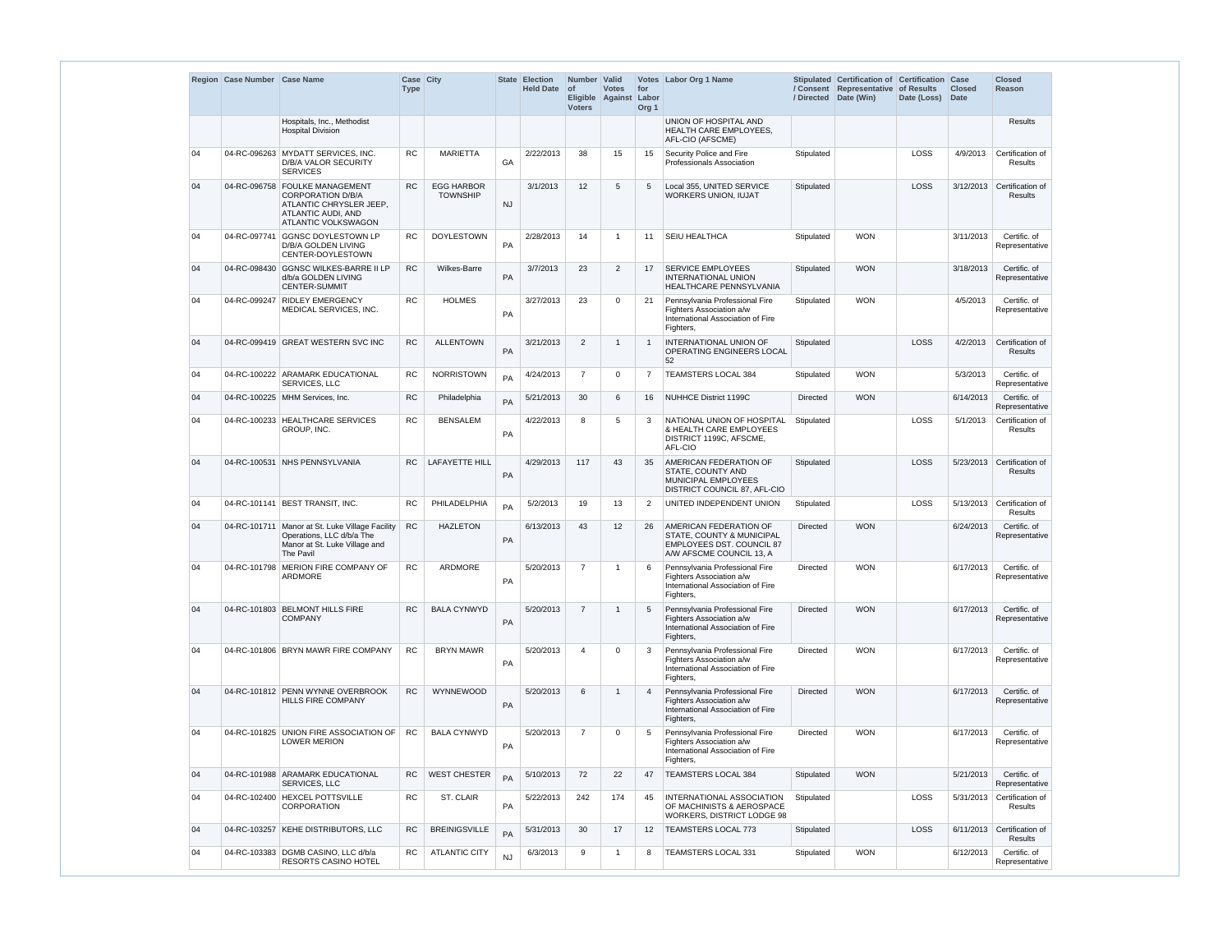|    | Region Case Number Case Name |                                                                                                                                           | Case City<br><b>Type</b> |                                      |           | <b>State Election</b><br><b>Held Date</b> | Number   Valid<br>$\circ$ f<br><b>Voters</b> | <b>Votes</b><br>Eligible Against Labor | for<br>Org <sub>1</sub> | Votes Labor Org 1 Name                                                                                                                |                 | Stipulated Certification of Certification Case<br>/ Consent Representative<br>/ Directed Date (Win) | of Results<br>Date (Loss) | <b>Closed</b><br><b>Date</b> | <b>Closed</b><br><b>Reason</b>               |
|----|------------------------------|-------------------------------------------------------------------------------------------------------------------------------------------|--------------------------|--------------------------------------|-----------|-------------------------------------------|----------------------------------------------|----------------------------------------|-------------------------|---------------------------------------------------------------------------------------------------------------------------------------|-----------------|-----------------------------------------------------------------------------------------------------|---------------------------|------------------------------|----------------------------------------------|
|    |                              | Hospitals, Inc., Methodist<br><b>Hospital Division</b>                                                                                    |                          |                                      |           |                                           |                                              |                                        |                         | UNION OF HOSPITAL AND<br>HEALTH CARE EMPLOYEES,<br>AFL-CIO (AFSCME)                                                                   |                 |                                                                                                     |                           |                              | <b>Results</b>                               |
| 04 |                              | 04-RC-096263 MYDATT SERVICES, INC.<br>D/B/A VALOR SECURITY<br><b>SERVICES</b>                                                             | <b>RC</b>                | <b>MARIETTA</b>                      | GA        | 2/22/2013                                 | 38                                           | 15                                     | 15                      | Security Police and Fire<br>Professionals Association                                                                                 | Stipulated      |                                                                                                     | LOSS                      | 4/9/2013                     | Certification of<br>Results                  |
| 04 |                              | 04-RC-096758 FOULKE MANAGEMENT<br><b>CORPORATION D/B/A</b><br>ATLANTIC CHRYSLER JEEP,<br>ATLANTIC AUDI, AND<br><b>ATLANTIC VOLKSWAGON</b> | <b>RC</b>                | <b>EGG HARBOR</b><br><b>TOWNSHIP</b> | <b>NJ</b> | 3/1/2013                                  | 12                                           | 5                                      | 5                       | Local 355, UNITED SERVICE<br>WORKERS UNION, IUJAT                                                                                     | Stipulated      |                                                                                                     | LOSS                      | 3/12/2013                    | Certification of<br><b>Results</b>           |
| 04 | 04-RC-097741                 | <b>GGNSC DOYLESTOWN LP</b><br>D/B/A GOLDEN LIVING<br>CENTER-DOYLESTOWN                                                                    | RC                       | <b>DOYLESTOWN</b>                    | <b>PA</b> | 2/28/2013                                 | 14                                           | -1                                     | 11                      | <b>SEIU HEALTHCA</b>                                                                                                                  | Stipulated      | <b>WON</b>                                                                                          |                           | 3/11/2013                    | Certific. of<br>Representative               |
| 04 | 04-RC-098430                 | <b>GGNSC WILKES-BARRE II LP</b><br>d/b/a GOLDEN LIVING<br><b>CENTER-SUMMIT</b>                                                            | <b>RC</b>                | Wilkes-Barre                         | PA        | 3/7/2013                                  | 23                                           | $\overline{2}$                         | 17                      | <b>SERVICE EMPLOYEES</b><br><b>INTERNATIONAL UNION</b><br>HEALTHCARE PENNSYLVANIA                                                     | Stipulated      | <b>WON</b>                                                                                          |                           | 3/18/2013                    | Certific. of<br>Representative               |
| 04 |                              | 04-RC-099247 RIDLEY EMERGENCY<br>MEDICAL SERVICES, INC.                                                                                   | RC                       | <b>HOLMES</b>                        | PA        | 3/27/2013                                 | 23                                           | $\Omega$                               | 21                      | Pennsylvania Professional Fire<br>Fighters Association a/w<br>International Association of Fire<br>Fighters,                          | Stipulated      | <b>WON</b>                                                                                          |                           | 4/5/2013                     | Certific. of<br>Representative               |
| 04 |                              | 04-RC-099419 GREAT WESTERN SVC INC                                                                                                        | <b>RC</b>                | <b>ALLENTOWN</b>                     | PA        | 3/21/2013                                 | 2                                            | -1                                     |                         | <b>INTERNATIONAL UNION OF</b><br>OPERATING ENGINEERS LOCAL<br>52                                                                      | Stipulated      |                                                                                                     | LOSS                      | 4/2/2013                     | Certification of<br><b>Results</b>           |
| 04 |                              | 04-RC-100222 ARAMARK EDUCATIONAL<br>SERVICES, LLC                                                                                         | <b>RC</b>                | <b>NORRISTOWN</b>                    | PA        | 4/24/2013                                 | $\overline{7}$                               | $\Omega$                               | 7                       | TEAMSTERS LOCAL 384                                                                                                                   | Stipulated      | <b>WON</b>                                                                                          |                           | 5/3/2013                     | Certific. of<br>Representative               |
| 04 |                              | 04-RC-100225   MHM Services, Inc.                                                                                                         | RC                       | Philadelphia                         | PA        | 5/21/2013                                 | 30                                           | 6                                      | 16                      | NUHHCE District 1199C                                                                                                                 | <b>Directed</b> | <b>WON</b>                                                                                          |                           | 6/14/2013                    | Certific. of<br>Representative               |
| 04 |                              | 04-RC-100233 HEALTHCARE SERVICES<br>GROUP, INC.                                                                                           | <b>RC</b>                | <b>BENSALEM</b>                      | PA        | 4/22/2013                                 | 8                                            | 5                                      | 3                       | NATIONAL UNION OF HOSPITAL<br>& HEALTH CARE EMPLOYEES<br>DISTRICT 1199C, AFSCME,<br>AFL-CIO                                           | Stipulated      |                                                                                                     | LOSS                      | 5/1/2013                     | Certification of<br>Results                  |
| 04 |                              | 04-RC-100531 NHS PENNSYLVANIA                                                                                                             | RC.                      | <b>LAFAYETTE HILL</b>                | PA        | 4/29/2013                                 | 117                                          | 43                                     | 35                      | <b>AMERICAN FEDERATION OF</b><br>STATE, COUNTY AND<br>MUNICIPAL EMPLOYEES<br>DISTRICT COUNCIL 87, AFL-CIO                             | Stipulated      |                                                                                                     | LOSS                      |                              | 5/23/2013 Certification of<br>Results        |
| 04 |                              | 04-RC-101141 BEST TRANSIT, INC.                                                                                                           | <b>RC</b>                | PHILADELPHIA                         | PA        | 5/2/2013                                  | 19                                           | 13                                     | 2                       | UNITED INDEPENDENT UNION                                                                                                              | Stipulated      |                                                                                                     | LOSS                      |                              | 5/13/2013 Certification of<br>Results        |
| 04 |                              | 04-RC-101711 Manor at St. Luke Village Facility<br>Operations, LLC d/b/a The<br>Manor at St. Luke Village and<br>The Pavil                | RC                       | <b>HAZLETON</b>                      | PA        | 6/13/2013                                 | 43                                           | 12                                     | 26                      | <b>AMERICAN FEDERATION OF</b><br><b>STATE, COUNTY &amp; MUNICIPAL</b><br><b>EMPLOYEES DST. COUNCIL 87</b><br>A/W AFSCME COUNCIL 13, A | <b>Directed</b> | <b>WON</b>                                                                                          |                           | 6/24/2013                    | Certific. of<br>Representative               |
| 04 |                              | 04-RC-101798 MERION FIRE COMPANY OF<br>ARDMORE                                                                                            | RC                       | ARDMORE                              | PA        | 5/20/2013                                 | $\overline{7}$                               | $\overline{1}$                         | 6                       | Pennsylvania Professional Fire<br>Fighters Association a/w<br>International Association of Fire<br>Fighters,                          | <b>Directed</b> | <b>WON</b>                                                                                          |                           | 6/17/2013                    | Certific. of<br>Representative               |
| 04 |                              | 04-RC-101803 BELMONT HILLS FIRE<br><b>COMPANY</b>                                                                                         | <b>RC</b>                | <b>BALA CYNWYD</b>                   | PA        | 5/20/2013                                 | $\overline{7}$                               | $\overline{1}$                         | 5                       | Pennsylvania Professional Fire<br>Fighters Association a/w<br>International Association of Fire<br>Fighters,                          | <b>Directed</b> | <b>WON</b>                                                                                          |                           | 6/17/2013                    | Certific. of<br>Representative               |
| 04 |                              | 04-RC-101806 BRYN MAWR FIRE COMPANY                                                                                                       | ${\sf RC}$               | <b>BRYN MAWR</b>                     | PA        | 5/20/2013                                 | $\overline{4}$                               | $\Omega$                               | 3                       | Pennsylvania Professional Fire<br>Fighters Association a/w<br>International Association of Fire<br>Fighters,                          | <b>Directed</b> | <b>WON</b>                                                                                          |                           | 6/17/2013                    | Certific. of<br>Representative               |
| 04 |                              | 04-RC-101812 PENN WYNNE OVERBROOK<br><b>HILLS FIRE COMPANY</b>                                                                            | <b>RC</b>                | WYNNEWOOD                            | PA        | 5/20/2013                                 | 6                                            | -1                                     | $\overline{4}$          | Pennsylvania Professional Fire<br>Fighters Association a/w<br>International Association of Fire<br>Fighters,                          | <b>Directed</b> | <b>WON</b>                                                                                          |                           | 6/17/2013                    | Certific. of<br>Representative               |
| 04 |                              | 04-RC-101825 UNION FIRE ASSOCIATION OF<br><b>LOWER MERION</b>                                                                             | <b>RC</b>                | <b>BALA CYNWYD</b>                   | PA        | 5/20/2013                                 | $\overline{7}$                               | $\Omega$                               | 5                       | Pennsylvania Professional Fire<br>Fighters Association a/w<br>International Association of Fire<br>Fighters,                          | <b>Directed</b> | <b>WON</b>                                                                                          |                           | 6/17/2013                    | Certific. of<br>Representative               |
| 04 |                              | 04-RC-101988 ARAMARK EDUCATIONAL<br>SERVICES, LLC                                                                                         | <b>RC</b>                | <b>WEST CHESTER</b>                  | PA        | 5/10/2013                                 | 72                                           | 22                                     | 47                      | TEAMSTERS LOCAL 384                                                                                                                   | Stipulated      | <b>WON</b>                                                                                          |                           | 5/21/2013                    | Certific. of<br>Representative               |
| 04 |                              | 04-RC-102400 HEXCEL POTTSVILLE<br>CORPORATION                                                                                             | <b>RC</b>                | ST. CLAIR                            | PA        | 5/22/2013                                 | 242                                          | 174                                    | 45                      | INTERNATIONAL ASSOCIATION<br>OF MACHINISTS & AEROSPACE<br>WORKERS, DISTRICT LODGE 98                                                  | Stipulated      |                                                                                                     | LOSS                      | 5/31/2013                    | Certification of<br>Results                  |
| 04 |                              | 04-RC-103257 KEHE DISTRIBUTORS, LLC                                                                                                       | RC                       | <b>BREINIGSVILLE</b>                 | PA        | 5/31/2013                                 | 30                                           | 17                                     | 12                      | <b>TEAMSTERS LOCAL 773</b>                                                                                                            | Stipulated      |                                                                                                     | LOSS                      |                              | 6/11/2013 Certification of<br><b>Results</b> |
| 04 |                              | 04-RC-103383 DGMB CASINO, LLC d/b/a<br><b>RESORTS CASINO HOTEL</b>                                                                        | <b>RC</b>                | <b>ATLANTIC CITY</b>                 | <b>NJ</b> | 6/3/2013                                  | 9                                            | $\overline{1}$                         | 8                       | TEAMSTERS LOCAL 331                                                                                                                   | Stipulated      | <b>WON</b>                                                                                          |                           | 6/12/2013                    | Certific. of<br>Representative               |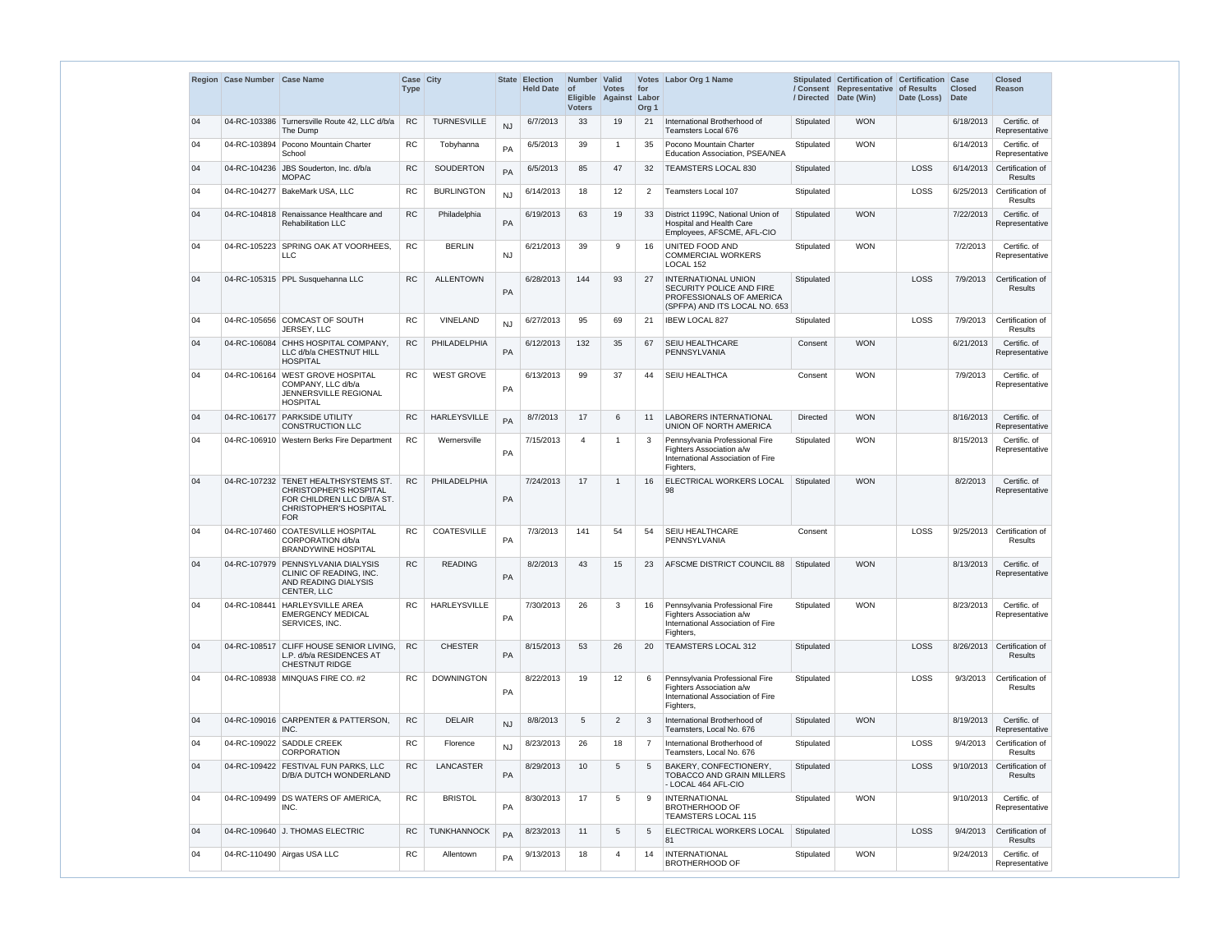|    | Region Case Number Case Name |                                                                                                                                       | Case City<br><b>Type</b> |                     |           | <b>State Election</b><br><b>Held Date</b> | Number Valid<br>of<br><b>Voters</b> | <b>Votes</b><br>Eligible Against | for<br>Labor<br>Org <sub>1</sub> | Votes Labor Org 1 Name                                                                                              | /Directed       | Stipulated Certification of Certification Case<br>/ Consent Representative of Results<br>Date (Win) | Date (Loss) | <b>Closed</b><br><b>Date</b> | <b>Closed</b><br><b>Reason</b>               |
|----|------------------------------|---------------------------------------------------------------------------------------------------------------------------------------|--------------------------|---------------------|-----------|-------------------------------------------|-------------------------------------|----------------------------------|----------------------------------|---------------------------------------------------------------------------------------------------------------------|-----------------|-----------------------------------------------------------------------------------------------------|-------------|------------------------------|----------------------------------------------|
| 04 | 04-RC-103386                 | Turnersville Route 42, LLC d/b/a<br>The Dump                                                                                          | <b>RC</b>                | TURNESVILLE         | <b>NJ</b> | 6/7/2013                                  | 33                                  | 19                               | 21                               | International Brotherhood of<br><b>Teamsters Local 676</b>                                                          | Stipulated      | <b>WON</b>                                                                                          |             | 6/18/2013                    | Certific. of<br>Representative               |
| 04 |                              | 04-RC-103894 Pocono Mountain Charter<br>School                                                                                        | RC                       | Tobyhanna           | PA        | 6/5/2013                                  | 39                                  | -1                               | 35                               | Pocono Mountain Charter<br>Education Association, PSEA/NEA                                                          | Stipulated      | <b>WON</b>                                                                                          |             | 6/14/2013                    | Certific. of<br>Representative               |
| 04 |                              | 04-RC-104236 JBS Souderton, Inc. d/b/a<br><b>MOPAC</b>                                                                                | <b>RC</b>                | SOUDERTON           | PA        | 6/5/2013                                  | 85                                  | 47                               | 32                               | <b>TEAMSTERS LOCAL 830</b>                                                                                          | Stipulated      |                                                                                                     | LOSS        |                              | 6/14/2013 Certification of<br><b>Results</b> |
| 04 |                              | 04-RC-104277 BakeMark USA, LLC                                                                                                        | RC                       | <b>BURLINGTON</b>   | <b>NJ</b> | 6/14/2013                                 | 18                                  | 12                               | $\overline{2}$                   | <b>Teamsters Local 107</b>                                                                                          | Stipulated      |                                                                                                     | LOSS        |                              | 6/25/2013 Certification of<br>Results        |
| 04 |                              | 04-RC-104818 Renaissance Healthcare and<br><b>Rehabilitation LLC</b>                                                                  | <b>RC</b>                | Philadelphia        | PA        | 6/19/2013                                 | 63                                  | 19                               | 33                               | District 1199C, National Union of<br>Hospital and Health Care<br>Employees, AFSCME, AFL-CIO                         | Stipulated      | <b>WON</b>                                                                                          |             | 7/22/2013                    | Certific. of<br>Representative               |
| 04 | 04-RC-105223                 | SPRING OAK AT VOORHEES.<br><b>LLC</b>                                                                                                 | <b>RC</b>                | <b>BERLIN</b>       | <b>NJ</b> | 6/21/2013                                 | 39                                  | 9                                | 16                               | UNITED FOOD AND<br><b>COMMERCIAL WORKERS</b><br>LOCAL 152                                                           | Stipulated      | <b>WON</b>                                                                                          |             | 7/2/2013                     | Certific. of<br>Representative               |
| 04 |                              | 04-RC-105315 PPL Susquehanna LLC                                                                                                      | <b>RC</b>                | <b>ALLENTOWN</b>    | PA        | 6/28/2013                                 | 144                                 | 93                               | 27                               | <b>INTERNATIONAL UNION</b><br>SECURITY POLICE AND FIRE<br>PROFESSIONALS OF AMERICA<br>(SPFPA) AND ITS LOCAL NO. 653 | Stipulated      |                                                                                                     | LOSS        | 7/9/2013                     | Certification of<br><b>Results</b>           |
| 04 |                              | 04-RC-105656 COMCAST OF SOUTH<br>JERSEY, LLC                                                                                          | <b>RC</b>                | <b>VINELAND</b>     | <b>NJ</b> | 6/27/2013                                 | 95                                  | 69                               | 21                               | <b>IBEW LOCAL 827</b>                                                                                               | Stipulated      |                                                                                                     | LOSS        | 7/9/2013                     | Certification of<br>Results                  |
| 04 |                              | 04-RC-106084 CHHS HOSPITAL COMPANY,<br>LLC d/b/a CHESTNUT HILL<br><b>HOSPITAL</b>                                                     | RC                       | PHILADELPHIA        | PA        | 6/12/2013                                 | 132                                 | 35                               | 67                               | <b>SEIU HEALTHCARE</b><br>PENNSYLVANIA                                                                              | Consent         | <b>WON</b>                                                                                          |             | 6/21/2013                    | Certific. of<br>Representative               |
| 04 |                              | 04-RC-106164 WEST GROVE HOSPITAL<br>COMPANY, LLC d/b/a<br>JENNERSVILLE REGIONAL<br><b>HOSPITAL</b>                                    | <b>RC</b>                | <b>WEST GROVE</b>   | PA        | 6/13/2013                                 | 99                                  | 37                               | 44                               | <b>SEIU HEALTHCA</b>                                                                                                | Consent         | <b>WON</b>                                                                                          |             | 7/9/2013                     | Certific. of<br>Representative               |
| 04 |                              | 04-RC-106177 PARKSIDE UTILITY<br><b>CONSTRUCTION LLC</b>                                                                              | <b>RC</b>                | <b>HARLEYSVILLE</b> | PA        | 8/7/2013                                  | 17                                  | 6                                | 11                               | <b>LABORERS INTERNATIONAL</b><br>UNION OF NORTH AMERICA                                                             | <b>Directed</b> | <b>WON</b>                                                                                          |             | 8/16/2013                    | Certific. of<br>Representative               |
| 04 |                              | 04-RC-106910 Western Berks Fire Department                                                                                            | <b>RC</b>                | Wernersville        | PA        | 7/15/2013                                 | 4                                   | -1                               | 3                                | Pennsylvania Professional Fire<br>Fighters Association a/w<br>International Association of Fire<br>Fighters,        | Stipulated      | <b>WON</b>                                                                                          |             | 8/15/2013                    | Certific. of<br>Representative               |
| 04 | 04-RC-107232                 | <b>TENET HEALTHSYSTEMS ST.</b><br><b>CHRISTOPHER'S HOSPITAL</b><br>FOR CHILDREN LLC D/B/A ST.<br>CHRISTOPHER'S HOSPITAL<br><b>FOR</b> | <b>RC</b>                | PHILADELPHIA        | PA        | 7/24/2013                                 | 17                                  | $\overline{\mathbf{1}}$          | 16                               | ELECTRICAL WORKERS LOCAL<br>98                                                                                      | Stipulated      | <b>WON</b>                                                                                          |             | 8/2/2013                     | Certific. of<br>Representative               |
| 04 |                              | 04-RC-107460 COATESVILLE HOSPITAL<br>CORPORATION d/b/a<br><b>BRANDYWINE HOSPITAL</b>                                                  | <b>RC</b>                | COATESVILLE         | PA        | 7/3/2013                                  | 141                                 | 54                               | 54                               | <b>SEIU HEALTHCARE</b><br>PENNSYLVANIA                                                                              | Consent         |                                                                                                     | LOSS        |                              | 9/25/2013 Certification of<br>Results        |
| 04 |                              | 04-RC-107979 PENNSYLVANIA DIALYSIS<br>CLINIC OF READING. INC.<br>AND READING DIALYSIS<br>CENTER, LLC                                  | <b>RC</b>                | <b>READING</b>      | PA        | 8/2/2013                                  | 43                                  | 15                               | 23                               | AFSCME DISTRICT COUNCIL 88                                                                                          | Stipulated      | <b>WON</b>                                                                                          |             | 8/13/2013                    | Certific. of<br>Representative               |
| 04 |                              | 04-RC-108441 HARLEYSVILLE AREA<br><b>EMERGENCY MEDICAL</b><br>SERVICES, INC.                                                          | <b>RC</b>                | <b>HARLEYSVILLE</b> | PA        | 7/30/2013                                 | 26                                  | 3                                | 16                               | Pennsylvania Professional Fire<br>Fighters Association a/w<br>International Association of Fire<br>Fighters,        | Stipulated      | <b>WON</b>                                                                                          |             | 8/23/2013                    | Certific. of<br>Representative               |
| 04 |                              | 04-RC-108517 CLIFF HOUSE SENIOR LIVING,<br>L.P. d/b/a RESIDENCES AT<br><b>CHESTNUT RIDGE</b>                                          | <b>RC</b>                | <b>CHESTER</b>      | PA        | 8/15/2013                                 | 53                                  | 26                               | 20                               | TEAMSTERS LOCAL 312                                                                                                 | Stipulated      |                                                                                                     | <b>LOSS</b> |                              | 8/26/2013 Certification of<br><b>Results</b> |
| 04 |                              | 04-RC-108938   MINQUAS FIRE CO. #2                                                                                                    | <b>RC</b>                | <b>DOWNINGTON</b>   | PA        | 8/22/2013                                 | 19                                  | 12                               | 6                                | Pennsylvania Professional Fire<br>Fighters Association a/w<br>International Association of Fire<br>Fighters,        | Stipulated      |                                                                                                     | LOSS        | 9/3/2013                     | Certification of<br>Results                  |
| 04 |                              | 04-RC-109016 CARPENTER & PATTERSON,<br>INC.                                                                                           | ${\sf RC}$               | <b>DELAIR</b>       | NJ        | 8/8/2013                                  | 5                                   | 2                                | 3                                | International Brotherhood of<br>Teamsters, Local No. 676                                                            | Stipulated      | <b>WON</b>                                                                                          |             | 8/19/2013                    | Certific. of<br>Representative               |
| 04 | 04-RC-109022                 | <b>SADDLE CREEK</b><br><b>CORPORATION</b>                                                                                             | RC                       | Florence            | <b>NJ</b> | 8/23/2013                                 | 26                                  | 18                               | 7                                | International Brotherhood of<br>Teamsters, Local No. 676                                                            | Stipulated      |                                                                                                     | LOSS        | 9/4/2013                     | Certification of<br>Results                  |
| 04 |                              | 04-RC-109422 FESTIVAL FUN PARKS, LLC<br>D/B/A DUTCH WONDERLAND                                                                        | <b>RC</b>                | <b>LANCASTER</b>    | PA        | 8/29/2013                                 | 10                                  | 5                                | 5                                | BAKERY, CONFECTIONERY,<br><b>TOBACCO AND GRAIN MILLERS</b><br>- LOCAL 464 AFL-CIO                                   | Stipulated      |                                                                                                     | LOSS        | 9/10/2013                    | Certification of<br><b>Results</b>           |
| 04 |                              | 04-RC-109499 DS WATERS OF AMERICA,<br>INC.                                                                                            | <b>RC</b>                | <b>BRISTOL</b>      | PA        | 8/30/2013                                 | 17                                  | 5                                | 9                                | <b>INTERNATIONAL</b><br><b>BROTHERHOOD OF</b><br><b>TEAMSTERS LOCAL 115</b>                                         | Stipulated      | <b>WON</b>                                                                                          |             | 9/10/2013                    | Certific. of<br>Representative               |
| 04 |                              | 04-RC-109640 J. THOMAS ELECTRIC                                                                                                       | <b>RC</b>                | TUNKHANNOCK         | PA        | 8/23/2013                                 | 11                                  | 5                                | 5                                | ELECTRICAL WORKERS LOCAL<br>81                                                                                      | Stipulated      |                                                                                                     | LOSS        | 9/4/2013                     | Certification of<br><b>Results</b>           |
| 04 |                              | 04-RC-110490 Airgas USA LLC                                                                                                           | <b>RC</b>                | Allentown           | PA        | 9/13/2013                                 | 18                                  | 4                                | 14                               | <b>INTERNATIONAL</b><br><b>BROTHERHOOD OF</b>                                                                       | Stipulated      | <b>WON</b>                                                                                          |             | 9/24/2013                    | Certific. of<br>Representative               |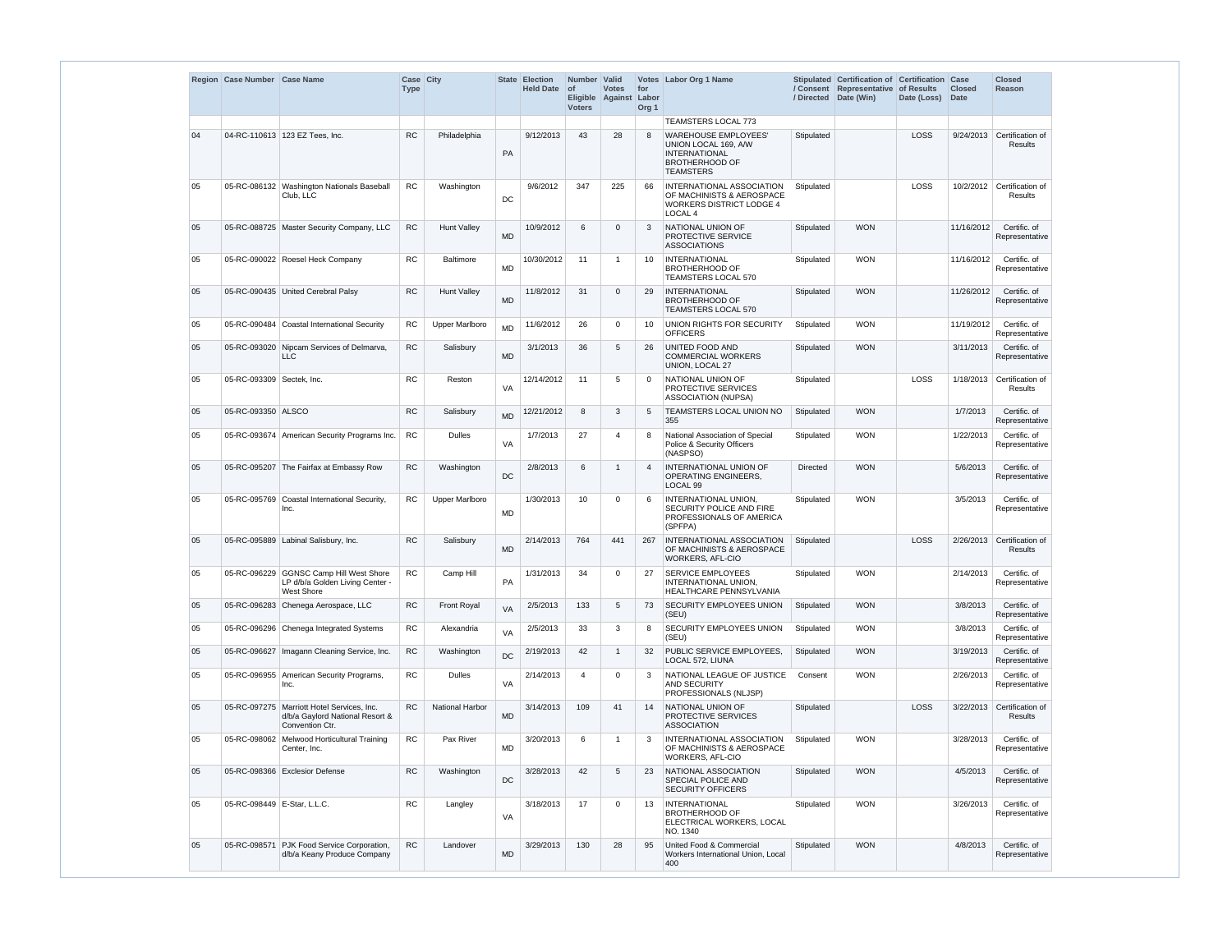|    | Region   Case Number   Case Name |                                                                                                    | Case City<br><b>Type</b> |                        |           | State Election<br><b>Held Date</b> | Number Valid<br><b>of</b><br><b>Voters</b> | <b>Votes</b><br>Eligible Against | for<br>Labor<br>Org <sub>1</sub> | Votes Labor Org 1 Name                                                                                                   |                 | Stipulated Certification of Certification Case<br>/ Consent Representative of Results<br>/ Directed Date (Win) | Date (Loss) | <b>Closed</b><br>Date | <b>Closed</b><br><b>Reason</b>               |
|----|----------------------------------|----------------------------------------------------------------------------------------------------|--------------------------|------------------------|-----------|------------------------------------|--------------------------------------------|----------------------------------|----------------------------------|--------------------------------------------------------------------------------------------------------------------------|-----------------|----------------------------------------------------------------------------------------------------------------|-------------|-----------------------|----------------------------------------------|
|    |                                  |                                                                                                    |                          |                        |           |                                    |                                            |                                  |                                  | <b>TEAMSTERS LOCAL 773</b>                                                                                               |                 |                                                                                                                |             |                       |                                              |
| 04 |                                  | 04-RC-110613 123 EZ Tees, Inc.                                                                     | <b>RC</b>                | Philadelphia           | PA        | 9/12/2013                          | 43                                         | 28                               | 8                                | <b>WAREHOUSE EMPLOYEES'</b><br>UNION LOCAL 169, A/W<br><b>INTERNATIONAL</b><br><b>BROTHERHOOD OF</b><br><b>TEAMSTERS</b> | Stipulated      |                                                                                                                | LOSS        |                       | 9/24/2013 Certification of<br><b>Results</b> |
| 05 |                                  | 05-RC-086132 Washington Nationals Baseball<br>Club, LLC                                            | <b>RC</b>                | Washington             | DC        | 9/6/2012                           | 347                                        | 225                              | 66                               | INTERNATIONAL ASSOCIATION<br>OF MACHINISTS & AEROSPACE<br><b>WORKERS DISTRICT LODGE 4</b><br>LOCAL <sub>4</sub>          | Stipulated      |                                                                                                                | LOSS        | 10/2/2012             | Certification of<br><b>Results</b>           |
| 05 |                                  | 05-RC-088725 Master Security Company, LLC                                                          | <b>RC</b>                | <b>Hunt Valley</b>     | <b>MD</b> | 10/9/2012                          | 6                                          | $\mathbf{0}$                     | 3                                | NATIONAL UNION OF<br>PROTECTIVE SERVICE<br><b>ASSOCIATIONS</b>                                                           | Stipulated      | <b>WON</b>                                                                                                     |             | 11/16/2012            | Certific. of<br>Representative               |
| 05 |                                  | 05-RC-090022 Roesel Heck Company                                                                   | <b>RC</b>                | <b>Baltimore</b>       | <b>MD</b> | 10/30/2012                         | 11                                         |                                  | 10                               | <b>INTERNATIONAL</b><br><b>BROTHERHOOD OF</b><br>TEAMSTERS LOCAL 570                                                     | Stipulated      | <b>WON</b>                                                                                                     |             | 11/16/2012            | Certific. of<br>Representative               |
| 05 |                                  | 05-RC-090435 United Cerebral Palsy                                                                 | <b>RC</b>                | <b>Hunt Vallev</b>     | <b>MD</b> | 11/8/2012                          | 31                                         | $\Omega$                         | 29                               | <b>INTERNATIONAL</b><br><b>BROTHERHOOD OF</b><br><b>TEAMSTERS LOCAL 570</b>                                              | Stipulated      | <b>WON</b>                                                                                                     |             | 11/26/2012            | Certific. of<br>Representative               |
| 05 |                                  | 05-RC-090484 Coastal International Security                                                        | RC                       | <b>Upper Marlboro</b>  | <b>MD</b> | 11/6/2012                          | 26                                         | 0                                | 10                               | <b>UNION RIGHTS FOR SECURITY</b><br><b>OFFICERS</b>                                                                      | Stipulated      | <b>WON</b>                                                                                                     |             | 11/19/2012            | Certific. of<br>Representative               |
| 05 |                                  | 05-RC-093020 Nipcam Services of Delmarva.<br><b>LLC</b>                                            | RC                       | Salisbury              | <b>MD</b> | 3/1/2013                           | 36                                         | 5                                | 26                               | UNITED FOOD AND<br><b>COMMERCIAL WORKERS</b><br>UNION, LOCAL 27                                                          | Stipulated      | <b>WON</b>                                                                                                     |             | 3/11/2013             | Certific. of<br>Representative               |
| 05 | 05-RC-093309 Sectek, Inc.        |                                                                                                    | <b>RC</b>                | Reston                 | <b>VA</b> | 12/14/2012                         | 11                                         | 5                                | $\Omega$                         | NATIONAL UNION OF<br>PROTECTIVE SERVICES<br>ASSOCIATION (NUPSA)                                                          | Stipulated      |                                                                                                                | LOSS        | 1/18/2013             | Certification of<br>Results                  |
| 05 | 05-RC-093350 ALSCO               |                                                                                                    | <b>RC</b>                | Salisbury              | <b>MD</b> | 12/21/2012                         | 8                                          | 3                                | 5                                | TEAMSTERS LOCAL UNION NO<br>355                                                                                          | Stipulated      | <b>WON</b>                                                                                                     |             | 1/7/2013              | Certific. of<br>Representative               |
| 05 |                                  | 05-RC-093674 American Security Programs Inc.                                                       | RC                       | <b>Dulles</b>          | VA        | 1/7/2013                           | 27                                         | 4                                | 8                                | National Association of Special<br>Police & Security Officers<br>(NASPSO)                                                | Stipulated      | <b>WON</b>                                                                                                     |             | 1/22/2013             | Certific. of<br>Representative               |
| 05 |                                  | 05-RC-095207 The Fairfax at Embassy Row                                                            | <b>RC</b>                | Washington             | $DC$      | 2/8/2013                           | 6                                          |                                  | $\boldsymbol{\varDelta}$         | INTERNATIONAL UNION OF<br>OPERATING ENGINEERS,<br>LOCAL <sub>99</sub>                                                    | <b>Directed</b> | <b>WON</b>                                                                                                     |             | 5/6/2013              | Certific. of<br>Representative               |
| 05 |                                  | 05-RC-095769 Coastal International Security,<br>Inc.                                               | RC                       | <b>Upper Marlboro</b>  | <b>MD</b> | 1/30/2013                          | 10                                         | 0                                | 6                                | INTERNATIONAL UNION.<br>SECURITY POLICE AND FIRE<br>PROFESSIONALS OF AMERICA<br>(SPFPA)                                  | Stipulated      | <b>WON</b>                                                                                                     |             | 3/5/2013              | Certific. of<br>Representative               |
| 05 |                                  | 05-RC-095889 Labinal Salisbury, Inc.                                                               | RC                       | Salisbury              | <b>MD</b> | 2/14/2013                          | 764                                        | 441                              | 267                              | INTERNATIONAL ASSOCIATION<br>OF MACHINISTS & AEROSPACE<br><b>WORKERS, AFL-CIO</b>                                        | Stipulated      |                                                                                                                | LOSS        | 2/26/2013             | Certification of<br><b>Results</b>           |
| 05 |                                  | 05-RC-096229 GGNSC Camp Hill West Shore<br>LP d/b/a Golden Living Center -<br>West Shore           | <b>RC</b>                | Camp Hill              | PA        | 1/31/2013                          | 34                                         | 0                                | 27                               | <b>SERVICE EMPLOYEES</b><br>INTERNATIONAL UNION,<br>HEALTHCARE PENNSYLVANIA                                              | Stipulated      | <b>WON</b>                                                                                                     |             | 2/14/2013             | Certific. of<br>Representative               |
| 05 |                                  | 05-RC-096283 Chenega Aerospace, LLC                                                                | <b>RC</b>                | <b>Front Royal</b>     | <b>VA</b> | 2/5/2013                           | 133                                        | 5                                | 73                               | <b>SECURITY EMPLOYEES UNION</b><br>(SEU)                                                                                 | Stipulated      | <b>WON</b>                                                                                                     |             | 3/8/2013              | Certific. of<br>Representative               |
| 05 |                                  | 05-RC-096296 Chenega Integrated Systems                                                            | <b>RC</b>                | Alexandria             | VA        | 2/5/2013                           | 33                                         | 3                                | 8                                | SECURITY EMPLOYEES UNION<br>(SEU)                                                                                        | Stipulated      | <b>WON</b>                                                                                                     |             | 3/8/2013              | Certific. of<br>Representative               |
| 05 |                                  | 05-RC-096627   Imagann Cleaning Service, Inc.                                                      | RC                       | Washington             | DC        | 2/19/2013                          | 42                                         |                                  | 32                               | PUBLIC SERVICE EMPLOYEES,<br>LOCAL 572, LIUNA                                                                            | Stipulated      | <b>WON</b>                                                                                                     |             | 3/19/2013             | Certific. of<br>Representative               |
| 05 |                                  | 05-RC-096955 American Security Programs,<br>Inc.                                                   | RC                       | <b>Dulles</b>          | VA        | 2/14/2013                          | 4                                          | $\Omega$                         | 3                                | NATIONAL LEAGUE OF JUSTICE<br>AND SECURITY<br>PROFESSIONALS (NLJSP)                                                      | Consent         | <b>WON</b>                                                                                                     |             | 2/26/2013             | Certific. of<br>Representative               |
| 05 |                                  | 05-RC-097275   Marriott Hotel Services, Inc.<br>d/b/a Gaylord National Resort &<br>Convention Ctr. | <b>RC</b>                | <b>National Harbor</b> | <b>MD</b> | 3/14/2013                          | 109                                        | 41                               | 14                               | NATIONAL UNION OF<br><b>PROTECTIVE SERVICES</b><br><b>ASSOCIATION</b>                                                    | Stipulated      |                                                                                                                | LOSS        | 3/22/2013             | Certification of<br><b>Results</b>           |
| 05 |                                  | 05-RC-098062   Melwood Horticultural Training<br>Center, Inc.                                      | RC                       | Pax River              | <b>MD</b> | 3/20/2013                          | 6                                          |                                  | 3                                | INTERNATIONAL ASSOCIATION<br>OF MACHINISTS & AEROSPACE<br><b>WORKERS, AFL-CIO</b>                                        | Stipulated      | <b>WON</b>                                                                                                     |             | 3/28/2013             | Certific. of<br>Representative               |
| 05 |                                  | 05-RC-098366 Exclesior Defense                                                                     | <b>RC</b>                | Washington             | DC        | 3/28/2013                          | 42                                         | 5                                | 23                               | NATIONAL ASSOCIATION<br><b>SPECIAL POLICE AND</b><br><b>SECURITY OFFICERS</b>                                            | Stipulated      | <b>WON</b>                                                                                                     |             | 4/5/2013              | Certific. of<br>Representative               |
| 05 | 05-RC-098449   E-Star, L.L.C.    |                                                                                                    | RC                       | Langley                | VA        | 3/18/2013                          | 17                                         | $\Omega$                         | 13                               | <b>INTERNATIONAL</b><br><b>BROTHERHOOD OF</b><br>ELECTRICAL WORKERS, LOCAL<br>NO. 1340                                   | Stipulated      | <b>WON</b>                                                                                                     |             | 3/26/2013             | Certific. of<br>Representative               |
| 05 |                                  | 05-RC-098571 PJK Food Service Corporation,<br>d/b/a Keany Produce Company                          | RC                       | Landover               | <b>MD</b> | 3/29/2013                          | 130                                        | 28                               | 95                               | United Food & Commercial<br>Workers International Union, Local<br>400                                                    | Stipulated      | <b>WON</b>                                                                                                     |             | 4/8/2013              | Certific. of<br>Representative               |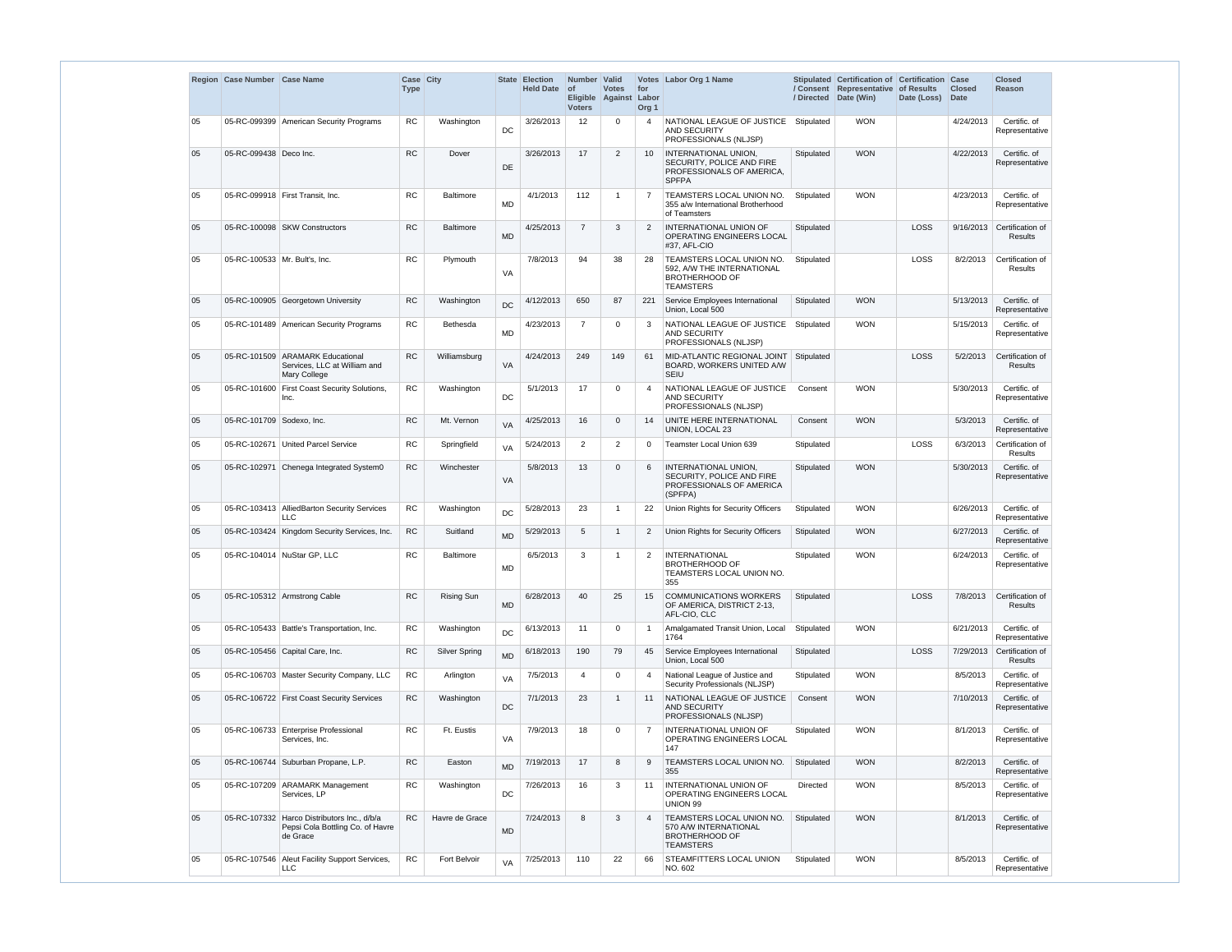|    | Region Case Number Case Name  |                                                                                         | Case City<br><b>Type</b> |                  |           | State Election<br><b>Held Date</b> | Number Valid<br><b>of</b><br><b>Voters</b> | <b>Votes</b><br>Eligible Against | for<br>Labor<br>Org <sub>1</sub> | Votes Labor Org 1 Name                                                                                | / Directed | Stipulated Certification of Certification<br>/ Consent Representative of Results<br>Date (Win) | Date (Loss) | Case<br><b>Closed</b><br><b>Date</b> | Closed<br>Reason                   |
|----|-------------------------------|-----------------------------------------------------------------------------------------|--------------------------|------------------|-----------|------------------------------------|--------------------------------------------|----------------------------------|----------------------------------|-------------------------------------------------------------------------------------------------------|------------|------------------------------------------------------------------------------------------------|-------------|--------------------------------------|------------------------------------|
| 05 |                               | 05-RC-099399 American Security Programs                                                 | <b>RC</b>                | Washington       | DC        | 3/26/2013                          | 12 <sup>°</sup>                            | 0                                | $\overline{4}$                   | NATIONAL LEAGUE OF JUSTICE<br>AND SECURITY<br>PROFESSIONALS (NLJSP)                                   | Stipulated | <b>WON</b>                                                                                     |             | 4/24/2013                            | Certific. of<br>Representative     |
| 05 | 05-RC-099438 Deco Inc.        |                                                                                         | <b>RC</b>                | Dover            | DE        | 3/26/2013                          | 17                                         | $\overline{2}$                   | 10                               | <b>INTERNATIONAL UNION,</b><br>SECURITY, POLICE AND FIRE<br>PROFESSIONALS OF AMERICA,<br><b>SPFPA</b> | Stipulated | <b>WON</b>                                                                                     |             | 4/22/2013                            | Certific. of<br>Representative     |
| 05 |                               | 05-RC-099918 First Transit, Inc.                                                        | <b>RC</b>                | <b>Baltimore</b> | <b>MD</b> | 4/1/2013                           | 112                                        | -1                               | $\overline{7}$                   | TEAMSTERS LOCAL UNION NO.<br>355 a/w International Brotherhood<br>of Teamsters                        | Stipulated | <b>WON</b>                                                                                     |             | 4/23/2013                            | Certific. of<br>Representative     |
| 05 |                               | 05-RC-100098 SKW Constructors                                                           | <b>RC</b>                | Baltimore        | <b>MD</b> | 4/25/2013                          | $\overline{7}$                             | 3                                | 2                                | INTERNATIONAL UNION OF<br>OPERATING ENGINEERS LOCAL<br>#37, AFL-CIO                                   | Stipulated |                                                                                                | LOSS        | 9/16/2013                            | Certification of<br><b>Results</b> |
| 05 | 05-RC-100533 Mr. Bult's, Inc. |                                                                                         | ${\sf RC}$               | Plymouth         | VA        | 7/8/2013                           | 94                                         | 38                               | 28                               | TEAMSTERS LOCAL UNION NO.<br>592, A/W THE INTERNATIONAL<br><b>BROTHERHOOD OF</b><br><b>TEAMSTERS</b>  | Stipulated |                                                                                                | LOSS        | 8/2/2013                             | Certification of<br>Results        |
| 05 |                               | 05-RC-100905 Georgetown University                                                      | <b>RC</b>                | Washington       | <b>DC</b> | 4/12/2013                          | 650                                        | 87                               | 221                              | Service Employees International<br>Union, Local 500                                                   | Stipulated | <b>WON</b>                                                                                     |             | 5/13/2013                            | Certific. of<br>Representative     |
| 05 |                               | 05-RC-101489 American Security Programs                                                 | RC                       | <b>Bethesda</b>  | <b>MD</b> | 4/23/2013                          | $\overline{7}$                             | 0                                | 3                                | NATIONAL LEAGUE OF JUSTICE<br><b>AND SECURITY</b><br>PROFESSIONALS (NLJSP)                            | Stipulated | <b>WON</b>                                                                                     |             | 5/15/2013                            | Certific. of<br>Representative     |
| 05 |                               | 05-RC-101509 ARAMARK Educational<br>Services, LLC at William and<br><b>Mary College</b> | <b>RC</b>                | Williamsburg     | VA        | 4/24/2013                          | 249                                        | 149                              | 61                               | MID-ATLANTIC REGIONAL JOINT<br>BOARD, WORKERS UNITED A/W<br>SEIU                                      | Stipulated |                                                                                                | LOSS        | 5/2/2013                             | Certification of<br><b>Results</b> |
| 05 | 05-RC-101600                  | <b>First Coast Security Solutions,</b><br>Inc.                                          | RC                       | Washington       | DC        | 5/1/2013                           | 17                                         | 0                                | $\overline{4}$                   | NATIONAL LEAGUE OF JUSTICE<br><b>AND SECURITY</b><br>PROFESSIONALS (NLJSP)                            | Consent    | <b>WON</b>                                                                                     |             | 5/30/2013                            | Certific. of<br>Representative     |
| 05 | 05-RC-101709 Sodexo, Inc.     |                                                                                         | <b>RC</b>                | Mt. Vernon       | <b>VA</b> | 4/25/2013                          | 16                                         | 0                                | 14                               | UNITE HERE INTERNATIONAL<br>UNION, LOCAL 23                                                           | Consent    | <b>WON</b>                                                                                     |             | 5/3/2013                             | Certific. of<br>Representative     |
| 05 |                               | 05-RC-102671 United Parcel Service                                                      | <b>RC</b>                | Springfield      | VA        | 5/24/2013                          | $\overline{2}$                             | $\overline{2}$                   | $\Omega$                         | Teamster Local Union 639                                                                              | Stipulated |                                                                                                | LOSS        | 6/3/2013                             | Certification of<br>Results        |
| 05 | 05-RC-102971                  | Chenega Integrated System0                                                              | <b>RC</b>                | Winchester       | VA        | 5/8/2013                           | 13                                         | 0                                | 6                                | <b>INTERNATIONAL UNION,</b><br>SECURITY, POLICE AND FIRE<br>PROFESSIONALS OF AMERICA<br>(SPFPA)       | Stipulated | <b>WON</b>                                                                                     |             | 5/30/2013                            | Certific. of<br>Representative     |
| 05 |                               | 05-RC-103413 AlliedBarton Security Services<br><b>LLC</b>                               | RC                       | Washington       | DC        | 5/28/2013                          | 23                                         |                                  | 22                               | Union Rights for Security Officers                                                                    | Stipulated | <b>WON</b>                                                                                     |             | 6/26/2013                            | Certific. of<br>Representative     |
| 05 |                               | 05-RC-103424 Kingdom Security Services, Inc.                                            | ${\sf RC}$               | Suitland         | <b>MD</b> | 5/29/2013                          | 5                                          | $\mathbf{1}$                     | 2                                | Union Rights for Security Officers                                                                    | Stipulated | <b>WON</b>                                                                                     |             | 6/27/2013                            | Certific. of<br>Representative     |
| 05 |                               | 05-RC-104014 NuStar GP, LLC                                                             | <b>RC</b>                | Baltimore        | <b>MD</b> | 6/5/2013                           | 3                                          | $\mathbf 1$                      | $\overline{2}$                   | <b>INTERNATIONAL</b><br><b>BROTHERHOOD OF</b><br>TEAMSTERS LOCAL UNION NO.<br>355                     | Stipulated | <b>WON</b>                                                                                     |             | 6/24/2013                            | Certific. of<br>Representative     |
| 05 |                               | 05-RC-105312 Armstrong Cable                                                            | RC                       | Rising Sun       | <b>MD</b> | 6/28/2013                          | 40                                         | 25                               | 15                               | <b>COMMUNICATIONS WORKERS</b><br>OF AMERICA, DISTRICT 2-13,<br>AFL-CIO, CLC                           | Stipulated |                                                                                                | LOSS        | 7/8/2013                             | Certification of<br><b>Results</b> |
| 05 |                               | 05-RC-105433   Battle's Transportation, Inc.                                            | <b>RC</b>                | Washington       | DC        | 6/13/2013                          | 11                                         | 0                                | $\mathbf 1$                      | Amalgamated Transit Union, Local<br>1764                                                              | Stipulated | <b>WON</b>                                                                                     |             | 6/21/2013                            | Certific. of<br>Representative     |
| 05 |                               | 05-RC-105456 Capital Care, Inc.                                                         | <b>RC</b>                | Silver Spring    | <b>MD</b> | 6/18/2013                          | 190                                        | 79                               | 45                               | Service Employees International<br>Union, Local 500                                                   | Stipulated |                                                                                                | LOSS        | 7/29/2013                            | Certification of<br>Results        |
| 05 |                               | 05-RC-106703 Master Security Company, LLC                                               | ${\sf RC}$               | Arlington        | VA        | 7/5/2013                           | 4                                          | 0                                | $\overline{4}$                   | National League of Justice and<br>Security Professionals (NLJSP)                                      | Stipulated | <b>WON</b>                                                                                     |             | 8/5/2013                             | Certific. of<br>Representative     |
| 05 |                               | 05-RC-106722 First Coast Security Services                                              | RC                       | Washington       | DC        | 7/1/2013                           | 23                                         | 1                                | 11                               | NATIONAL LEAGUE OF JUSTICE<br><b>AND SECURITY</b><br>PROFESSIONALS (NLJSP)                            | Consent    | <b>WON</b>                                                                                     |             | 7/10/2013                            | Certific. of<br>Representative     |
| 05 |                               | 05-RC-106733 Enterprise Professional<br>Services, Inc.                                  | ${\sf RC}$               | Ft. Eustis       | VA        | 7/9/2013                           | 18                                         | 0                                | 7                                | INTERNATIONAL UNION OF<br>OPERATING ENGINEERS LOCAL<br>147                                            | Stipulated | <b>WON</b>                                                                                     |             | 8/1/2013                             | Certific. of<br>Representative     |
| 05 |                               | 05-RC-106744 Suburban Propane, L.P.                                                     | ${\sf RC}$               | Easton           | <b>MD</b> | 7/19/2013                          | 17                                         | 8                                | 9                                | TEAMSTERS LOCAL UNION NO.<br>355                                                                      | Stipulated | <b>WON</b>                                                                                     |             | 8/2/2013                             | Certific. of<br>Representative     |
| 05 |                               | 05-RC-107209 ARAMARK Management<br>Services, LP                                         | RC                       | Washington       | DC        | 7/26/2013                          | 16                                         | 3                                | 11                               | <b>INTERNATIONAL UNION OF</b><br>OPERATING ENGINEERS LOCAL<br>UNION 99                                | Directed   | <b>WON</b>                                                                                     |             | 8/5/2013                             | Certific. of<br>Representative     |
| 05 | 05-RC-107332                  | Harco Distributors Inc., d/b/a<br>Pepsi Cola Bottling Co. of Havre<br>de Grace          | RC                       | Havre de Grace   | <b>MD</b> | 7/24/2013                          | 8                                          | 3                                | $\overline{4}$                   | TEAMSTERS LOCAL UNION NO.<br>570 A/W INTERNATIONAL<br><b>BROTHERHOOD OF</b><br><b>TEAMSTERS</b>       | Stipulated | <b>WON</b>                                                                                     |             | 8/1/2013                             | Certific. of<br>Representative     |
| 05 |                               | 05-RC-107546 Aleut Facility Support Services,<br><b>LLC</b>                             | <b>RC</b>                | Fort Belvoir     | VA        | 7/25/2013                          | 110                                        | 22                               | 66                               | STEAMFITTERS LOCAL UNION<br>NO. 602                                                                   | Stipulated | <b>WON</b>                                                                                     |             | 8/5/2013                             | Certific. of<br>Representative     |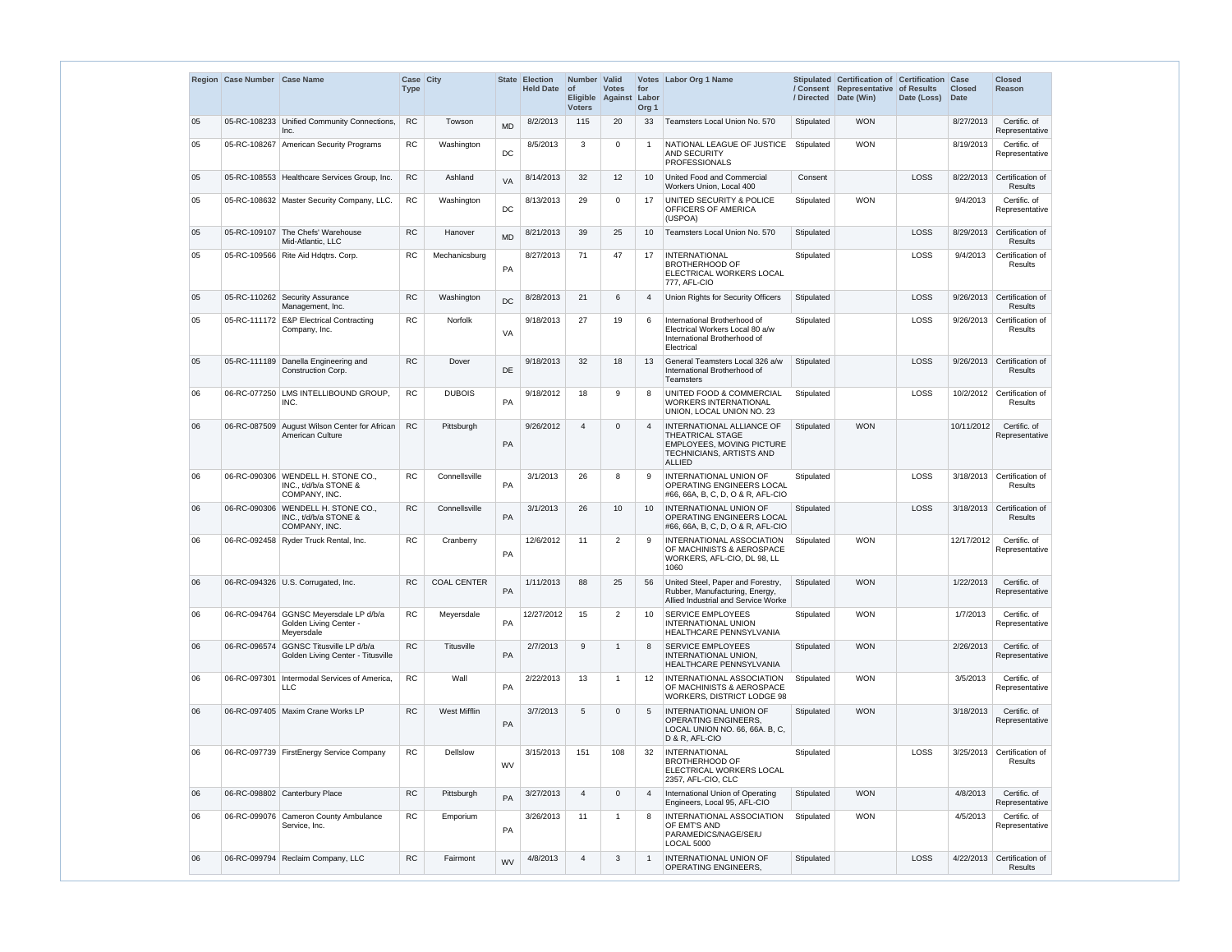|    | Region Case Number Case Name |                                                                                | Case City<br><b>Type</b> |                    |           | State Election<br><b>Held Date</b> | Number   Valid<br>$ $ of<br>Eligible Against<br><b>Voters</b> | <b>Votes</b>   | for<br>Labor<br>Org <sub>1</sub> | Votes Labor Org 1 Name                                                                                                                       |            | Stipulated Certification of Certification Case<br>/ Consent Representative of Results<br>/ Directed Date (Win) | Date (Loss) | <b>Closed</b><br><b>Date</b> | <b>Closed</b><br><b>Reason</b>               |
|----|------------------------------|--------------------------------------------------------------------------------|--------------------------|--------------------|-----------|------------------------------------|---------------------------------------------------------------|----------------|----------------------------------|----------------------------------------------------------------------------------------------------------------------------------------------|------------|----------------------------------------------------------------------------------------------------------------|-------------|------------------------------|----------------------------------------------|
| 05 |                              | 05-RC-108233 Unified Community Connections,<br>Inc.                            | <b>RC</b>                | Towson             | <b>MD</b> | 8/2/2013                           | 115                                                           | 20             | 33                               | Teamsters Local Union No. 570                                                                                                                | Stipulated | <b>WON</b>                                                                                                     |             | 8/27/2013                    | Certific. of<br>Representative               |
| 05 |                              | 05-RC-108267 American Security Programs                                        | <b>RC</b>                | Washington         | DC        | 8/5/2013                           | 3                                                             | 0              | $\overline{1}$                   | NATIONAL LEAGUE OF JUSTICE<br>AND SECURITY<br><b>PROFESSIONALS</b>                                                                           | Stipulated | <b>WON</b>                                                                                                     |             | 8/19/2013                    | Certific. of<br>Representative               |
| 05 |                              | 05-RC-108553 Healthcare Services Group, Inc.                                   | RC                       | Ashland            | <b>VA</b> | 8/14/2013                          | 32                                                            | 12             | 10                               | United Food and Commercial<br>Workers Union, Local 400                                                                                       | Consent    |                                                                                                                | LOSS        | 8/22/2013                    | Certification of<br>Results                  |
| 05 |                              | 05-RC-108632 Master Security Company, LLC.                                     | RC                       | Washington         | DC        | 8/13/2013                          | 29                                                            | 0              | 17                               | UNITED SECURITY & POLICE<br>OFFICERS OF AMERICA<br>(USPOA)                                                                                   | Stipulated | <b>WON</b>                                                                                                     |             | 9/4/2013                     | Certific. of<br>Representative               |
| 05 |                              | 05-RC-109107 The Chefs' Warehouse<br>Mid-Atlantic, LLC                         | ${\sf RC}$               | Hanover            | <b>MD</b> | 8/21/2013                          | 39                                                            | 25             | 10                               | Teamsters Local Union No. 570                                                                                                                | Stipulated |                                                                                                                | LOSS        | 8/29/2013                    | Certification of<br><b>Results</b>           |
| 05 |                              | 05-RC-109566 Rite Aid Hdgtrs. Corp.                                            | <b>RC</b>                | Mechanicsburg      | PA        | 8/27/2013                          | 71                                                            | 47             | 17                               | <b>INTERNATIONAL</b><br><b>BROTHERHOOD OF</b><br>ELECTRICAL WORKERS LOCAL<br>777, AFL-CIO                                                    | Stipulated |                                                                                                                | LOSS        | 9/4/2013                     | Certification of<br>Results                  |
| 05 |                              | 05-RC-110262 Security Assurance<br>Management, Inc.                            | <b>RC</b>                | Washington         | <b>DC</b> | 8/28/2013                          | 21                                                            | 6              | $\overline{4}$                   | Union Rights for Security Officers                                                                                                           | Stipulated |                                                                                                                | LOSS        |                              | 9/26/2013 Certification of<br><b>Results</b> |
| 05 |                              | 05-RC-111172 E&P Electrical Contracting<br>Company, Inc.                       | <b>RC</b>                | <b>Norfolk</b>     | VA        | 9/18/2013                          | 27                                                            | 19             | 6                                | International Brotherhood of<br>Electrical Workers Local 80 a/w<br>International Brotherhood of<br>Electrical                                | Stipulated |                                                                                                                | LOSS        |                              | 9/26/2013 Certification of<br>Results        |
| 05 |                              | 05-RC-111189 Danella Engineering and<br>Construction Corp.                     | <b>RC</b>                | Dover              | DE        | 9/18/2013                          | 32                                                            | 18             | 13                               | General Teamsters Local 326 a/w<br>International Brotherhood of<br>Teamsters                                                                 | Stipulated |                                                                                                                | LOSS        | 9/26/2013                    | Certification of<br><b>Results</b>           |
| 06 |                              | 06-RC-077250 LMS INTELLIBOUND GROUP,<br>INC.                                   | <b>RC</b>                | <b>DUBOIS</b>      | PA        | 9/18/2012                          | 18                                                            | 9              | 8                                | UNITED FOOD & COMMERCIAL<br><b>WORKERS INTERNATIONAL</b><br>UNION, LOCAL UNION NO. 23                                                        | Stipulated |                                                                                                                | LOSS        | 10/2/2012                    | Certification of<br>Results                  |
| 06 |                              | 06-RC-087509 August Wilson Center for African<br>American Culture              | <b>RC</b>                | Pittsburgh         | PA        | 9/26/2012                          | $\overline{4}$                                                | $\mathbf 0$    | $\overline{4}$                   | <b>INTERNATIONAL ALLIANCE OF</b><br><b>THEATRICAL STAGE</b><br>EMPLOYEES, MOVING PICTURE<br><b>TECHNICIANS, ARTISTS AND</b><br><b>ALLIED</b> | Stipulated | <b>WON</b>                                                                                                     |             | 10/11/2012                   | Certific. of<br>Representative               |
| 06 |                              | 06-RC-090306 WENDELL H. STONE CO<br>INC., t/d/b/a STONE &<br>COMPANY, INC.     | <b>RC</b>                | Connellsville      | PA        | 3/1/2013                           | 26                                                            | 8              | 9                                | INTERNATIONAL UNION OF<br>OPERATING ENGINEERS LOCAL<br>#66, 66A, B, C, D, O & R, AFL-CIO                                                     | Stipulated |                                                                                                                | LOSS        |                              | 3/18/2013 Certification of<br>Results        |
| 06 |                              | 06-RC-090306 WENDELL H. STONE CO.,<br>INC., t/d/b/a STONE &<br>COMPANY, INC.   | <b>RC</b>                | Connellsville      | PA        | 3/1/2013                           | 26                                                            | 10             |                                  | <b>INTERNATIONAL UNION OF</b><br><b>OPERATING ENGINEERS LOCAL</b><br>#66, 66A, B, C, D, O & R, AFL-CIO                                       | Stipulated |                                                                                                                | LOSS        |                              | 3/18/2013 Certification of<br><b>Results</b> |
| 06 |                              | 06-RC-092458 Ryder Truck Rental, Inc.                                          | <b>RC</b>                | Cranberry          | PA        | 12/6/2012                          | 11                                                            | $\overline{2}$ | 9                                | INTERNATIONAL ASSOCIATION<br>OF MACHINISTS & AEROSPACE<br>WORKERS, AFL-CIO, DL 98, LL<br>1060                                                | Stipulated | <b>WON</b>                                                                                                     |             | 12/17/2012                   | Certific. of<br>Representative               |
| 06 |                              | 06-RC-094326 U.S. Corrugated, Inc.                                             | RC                       | <b>COAL CENTER</b> | PA        | 1/11/2013                          | 88                                                            | 25             | 56                               | United Steel, Paper and Forestry,<br>Rubber, Manufacturing, Energy,<br>Allied Industrial and Service Worke                                   | Stipulated | <b>WON</b>                                                                                                     |             | 1/22/2013                    | Certific. of<br>Representative               |
| 06 |                              | 06-RC-094764 GGNSC Meyersdale LP d/b/a<br>Golden Living Center -<br>Meyersdale | <b>RC</b>                | Meyersdale         | PA        | 12/27/2012                         | 15                                                            | $\overline{2}$ | 10                               | SERVICE EMPLOYEES<br><b>INTERNATIONAL UNION</b><br>HEALTHCARE PENNSYLVANIA                                                                   | Stipulated | <b>WON</b>                                                                                                     |             | 1/7/2013                     | Certific. of<br>Representative               |
| 06 |                              | 06-RC-096574 GGNSC Titusville LP d/b/a<br>Golden Living Center - Titusville    | <b>RC</b>                | Titusville         | PA        | 2/7/2013                           | 9                                                             | $\mathbf 1$    | 8                                | SERVICE EMPLOYEES<br>INTERNATIONAL UNION,<br>HEALTHCARE PENNSYLVANIA                                                                         | Stipulated | <b>WON</b>                                                                                                     |             | 2/26/2013                    | Certific. of<br>Representative               |
| 06 | 06-RC-097301                 | Intermodal Services of America,<br>LLC.                                        | <b>RC</b>                | Wall               | PA        | 2/22/2013                          | 13                                                            | 1              | 12                               | <b>INTERNATIONAL ASSOCIATION</b><br>OF MACHINISTS & AEROSPACE<br><b>WORKERS, DISTRICT LODGE 98</b>                                           | Stipulated | <b>WON</b>                                                                                                     |             | 3/5/2013                     | Certific. of<br>Representative               |
| 06 |                              | 06-RC-097405 Maxim Crane Works LP                                              | RC                       | West Mifflin       | PA        | 3/7/2013                           | 5                                                             | $\Omega$       | $\overline{5}$                   | INTERNATIONAL UNION OF<br>OPERATING ENGINEERS.<br>LOCAL UNION NO. 66, 66A. B, C,<br>D & R, AFL-CIO                                           | Stipulated | <b>WON</b>                                                                                                     |             | 3/18/2013                    | Certific. of<br>Representative               |
| 06 |                              | 06-RC-097739   FirstEnergy Service Company                                     | <b>RC</b>                | <b>Dellslow</b>    | <b>WV</b> | 3/15/2013                          | 151                                                           | 108            | 32                               | <b>INTERNATIONAL</b><br><b>BROTHERHOOD OF</b><br>ELECTRICAL WORKERS LOCAL<br>2357, AFL-CIO, CLC                                              | Stipulated |                                                                                                                | LOSS        | 3/25/2013                    | Certification of<br>Results                  |
| 06 |                              | 06-RC-098802 Canterbury Place                                                  | RC                       | Pittsburgh         | PA        | 3/27/2013                          | $\overline{4}$                                                | $\mathbf 0$    | -4                               | International Union of Operating<br>Engineers, Local 95, AFL-CIO                                                                             | Stipulated | <b>WON</b>                                                                                                     |             | 4/8/2013                     | Certific. of<br>Representative               |
| 06 |                              | 06-RC-099076 Cameron County Ambulance<br>Service, Inc.                         | <b>RC</b>                | Emporium           | PA        | 3/26/2013                          | 11                                                            | 1              | 8                                | INTERNATIONAL ASSOCIATION<br>OF EMT'S AND<br>PARAMEDICS/NAGE/SEIU<br>LOCAL 5000                                                              | Stipulated | <b>WON</b>                                                                                                     |             | 4/5/2013                     | Certific. of<br>Representative               |
| 06 |                              | 06-RC-099794 Reclaim Company, LLC                                              | ${\sf RC}$               | Fairmont           | <b>WV</b> | 4/8/2013                           | $\overline{4}$                                                | 3              | -1                               | <b>INTERNATIONAL UNION OF</b><br>OPERATING ENGINEERS,                                                                                        | Stipulated |                                                                                                                | LOSS        | 4/22/2013                    | Certification of<br>Results                  |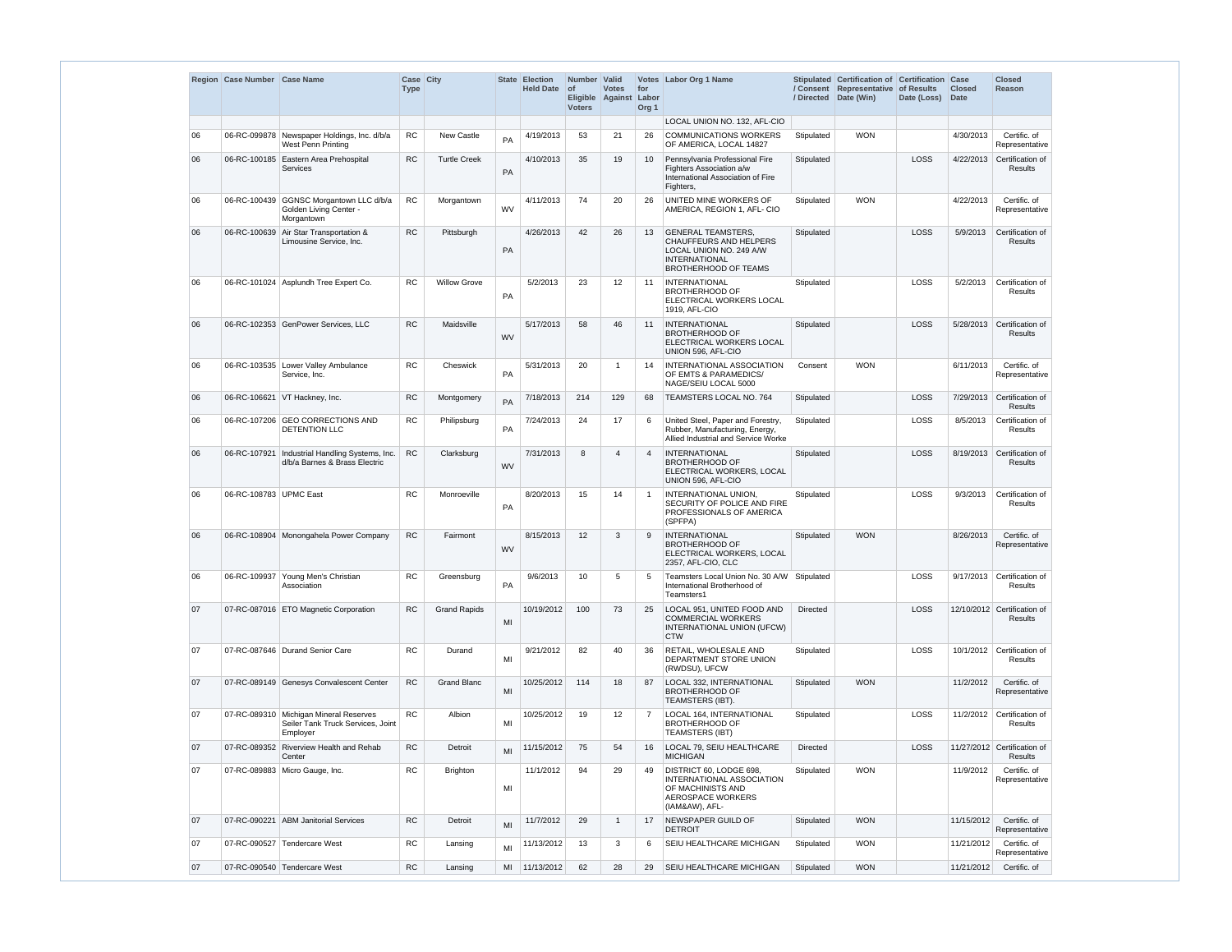|    | Region Case Number Case Name |                                                                                           | Case City   |                     |           | State Election   | Number Valid               |                                        |                         | Votes Labor Org 1 Name                                                                                                                |                 | Stipulated Certification of Certification Case               |                  |               | <b>Closed</b>                                 |
|----|------------------------------|-------------------------------------------------------------------------------------------|-------------|---------------------|-----------|------------------|----------------------------|----------------------------------------|-------------------------|---------------------------------------------------------------------------------------------------------------------------------------|-----------------|--------------------------------------------------------------|------------------|---------------|-----------------------------------------------|
|    |                              |                                                                                           | <b>Type</b> |                     |           | <b>Held Date</b> | <b>of</b><br><b>Voters</b> | <b>Votes</b><br>Eligible Against Labor | for<br>Org <sub>1</sub> |                                                                                                                                       |                 | / Consent Representative of Results<br>/ Directed Date (Win) | Date (Loss) Date | <b>Closed</b> | Reason                                        |
|    |                              |                                                                                           |             |                     |           |                  |                            |                                        |                         | LOCAL UNION NO. 132, AFL-CIO                                                                                                          |                 |                                                              |                  |               |                                               |
| 06 |                              | 06-RC-099878 Newspaper Holdings, Inc. d/b/a<br>West Penn Printing                         | RC          | New Castle          | PA        | 4/19/2013        | 53                         | 21                                     | 26                      | <b>COMMUNICATIONS WORKERS</b><br>OF AMERICA, LOCAL 14827                                                                              | Stipulated      | <b>WON</b>                                                   |                  | 4/30/2013     | Certific. of<br>Representative                |
| 06 |                              | 06-RC-100185 Eastern Area Prehospital<br>Services                                         | <b>RC</b>   | <b>Turtle Creek</b> | PA        | 4/10/2013        | 35                         | 19                                     | 10                      | Pennsylvania Professional Fire<br>Fighters Association a/w<br>International Association of Fire<br>Fighters,                          | Stipulated      |                                                              | LOSS             | 4/22/2013     | Certification of<br><b>Results</b>            |
| 06 |                              | 06-RC-100439 GGNSC Morgantown LLC d/b/a<br>Golden Living Center -<br>Morgantown           | RC          | Morgantown          | <b>WV</b> | 4/11/2013        | 74                         | 20                                     | 26                      | UNITED MINE WORKERS OF<br>AMERICA, REGION 1, AFL- CIO                                                                                 | Stipulated      | <b>WON</b>                                                   |                  | 4/22/2013     | Certific. of<br>Representative                |
| 06 |                              | 06-RC-100639 Air Star Transportation &<br>Limousine Service, Inc.                         | <b>RC</b>   | Pittsburgh          | PA        | 4/26/2013        | 42                         | 26                                     | 13                      | <b>GENERAL TEAMSTERS,</b><br>CHAUFFEURS AND HELPERS<br>LOCAL UNION NO. 249 A/W<br><b>INTERNATIONAL</b><br><b>BROTHERHOOD OF TEAMS</b> | Stipulated      |                                                              | LOSS             | 5/9/2013      | Certification of<br><b>Results</b>            |
| 06 |                              | 06-RC-101024 Asplundh Tree Expert Co.                                                     | <b>RC</b>   | <b>Willow Grove</b> | <b>PA</b> | 5/2/2013         | 23                         | 12                                     | 11                      | <b>INTERNATIONAL</b><br><b>BROTHERHOOD OF</b><br>ELECTRICAL WORKERS LOCAL<br>1919, AFL-CIO                                            | Stipulated      |                                                              | LOSS             | 5/2/2013      | Certification of<br>Results                   |
| 06 |                              | 06-RC-102353 GenPower Services, LLC                                                       | <b>RC</b>   | Maidsville          | <b>WV</b> | 5/17/2013        | 58                         | 46                                     | 11                      | <b>INTERNATIONAL</b><br><b>BROTHERHOOD OF</b><br>ELECTRICAL WORKERS LOCAL<br>UNION 596, AFL-CIO                                       | Stipulated      |                                                              | LOSS             |               | 5/28/2013 Certification of<br><b>Results</b>  |
| 06 |                              | 06-RC-103535 Lower Valley Ambulance<br>Service, Inc.                                      | RC          | Cheswick            | PA        | 5/31/2013        | 20                         | -1                                     | 14                      | INTERNATIONAL ASSOCIATION<br>OF EMTS & PARAMEDICS/<br>NAGE/SEIU LOCAL 5000                                                            | Consent         | <b>WON</b>                                                   |                  | 6/11/2013     | Certific. of<br>Representative                |
| 06 |                              | 06-RC-106621   VT Hackney, Inc.                                                           | <b>RC</b>   | Montgomery          | PA        | 7/18/2013        | 214                        | 129                                    | 68                      | TEAMSTERS LOCAL NO. 764                                                                                                               | Stipulated      |                                                              | LOSS             | 7/29/2013     | Certification of<br><b>Results</b>            |
| 06 |                              | 06-RC-107206 GEO CORRECTIONS AND<br>DETENTION LLC                                         | <b>RC</b>   | Philipsburg         | PA        | 7/24/2013        | 24                         | 17                                     | 6                       | United Steel, Paper and Forestry,<br>Rubber, Manufacturing, Energy,<br>Allied Industrial and Service Worke                            | Stipulated      |                                                              | LOSS             | 8/5/2013      | Certification of<br>Results                   |
| 06 |                              | 06-RC-107921   Industrial Handling Systems, Inc.<br>d/b/a Barnes & Brass Electric         | <b>RC</b>   | Clarksburg          | <b>WV</b> | 7/31/2013        | 8                          | 4                                      | $\overline{4}$          | <b>INTERNATIONAL</b><br><b>BROTHERHOOD OF</b><br>ELECTRICAL WORKERS, LOCAL<br>UNION 596, AFL-CIO                                      | Stipulated      |                                                              | LOSS             |               | 8/19/2013 Certification of<br>Results         |
| 06 | 06-RC-108783 UPMC East       |                                                                                           | <b>RC</b>   | Monroeville         | PA        | 8/20/2013        | 15                         | 14                                     | $\overline{1}$          | INTERNATIONAL UNION,<br>SECURITY OF POLICE AND FIRE<br>PROFESSIONALS OF AMERICA<br>(SPFPA)                                            | Stipulated      |                                                              | LOSS             | 9/3/2013      | Certification of<br>Results                   |
| 06 |                              | 06-RC-108904 Monongahela Power Company                                                    | ${\sf RC}$  | Fairmont            | <b>WV</b> | 8/15/2013        | 12                         | 3                                      | 9                       | INTERNATIONAL<br><b>BROTHERHOOD OF</b><br>ELECTRICAL WORKERS, LOCAL<br>2357, AFL-CIO, CLC                                             | Stipulated      | <b>WON</b>                                                   |                  | 8/26/2013     | Certific. of<br>Representative                |
| 06 |                              | 06-RC-109937 Young Men's Christian<br>Association                                         | <b>RC</b>   | Greensburg          | PA        | 9/6/2013         | 10                         | 5                                      | -5                      | Teamsters Local Union No. 30 A/W Stipulated<br>International Brotherhood of<br>Teamsters1                                             |                 |                                                              | LOSS             | 9/17/2013     | Certification of<br>Results                   |
| 07 |                              | 07-RC-087016 ETO Magnetic Corporation                                                     | RC          | <b>Grand Rapids</b> | MI        | 10/19/2012       | 100                        | 73                                     | 25                      | LOCAL 951, UNITED FOOD AND<br><b>COMMERCIAL WORKERS</b><br>INTERNATIONAL UNION (UFCW)<br><b>CTW</b>                                   | <b>Directed</b> |                                                              | LOSS             |               | 12/10/2012 Certification of<br><b>Results</b> |
| 07 |                              | 07-RC-087646   Durand Senior Care                                                         | RC          | Durand              | MI        | 9/21/2012        | 82                         | 40                                     | 36                      | RETAIL, WHOLESALE AND<br>DEPARTMENT STORE UNION<br>(RWDSU), UFCW                                                                      | Stipulated      |                                                              | LOSS             | 10/1/2012     | Certification of<br>Results                   |
| 07 |                              | 07-RC-089149 Genesys Convalescent Center                                                  | <b>RC</b>   | <b>Grand Blanc</b>  | MI        | 10/25/2012       | 114                        | 18                                     | 87                      | <b>LOCAL 332, INTERNATIONAL</b><br><b>BROTHERHOOD OF</b><br>TEAMSTERS (IBT).                                                          | Stipulated      | <b>WON</b>                                                   |                  | 11/2/2012     | Certific. of<br>Representative                |
| 07 |                              | 07-RC-089310   Michigan Mineral Reserves<br>Seiler Tank Truck Services, Joint<br>Employer | <b>RC</b>   | Albion              | MI        | 10/25/2012       | 19                         | 12                                     | $\overline{7}$          | LOCAL 164, INTERNATIONAL<br><b>BROTHERHOOD OF</b><br><b>TEAMSTERS (IBT)</b>                                                           | Stipulated      |                                                              | LOSS             | 11/2/2012     | Certification of<br>Results                   |
| 07 |                              | 07-RC-089352 Riverview Health and Rehab<br>Center                                         | ${\sf RC}$  | Detroit             | MI        | 11/15/2012       | 75                         | 54                                     | 16                      | LOCAL 79, SEIU HEALTHCARE<br><b>MICHIGAN</b>                                                                                          | Directed        |                                                              | LOSS             |               | 11/27/2012 Certification of<br>Results        |
| 07 |                              | 07-RC-089883 Micro Gauge, Inc.                                                            | ${\sf RC}$  | Brighton            | MI        | 11/1/2012        | 94                         | 29                                     | 49                      | DISTRICT 60, LODGE 698,<br>INTERNATIONAL ASSOCIATION<br>OF MACHINISTS AND<br><b>AEROSPACE WORKERS</b><br>(IAM&AW), AFL-               | Stipulated      | <b>WON</b>                                                   |                  | 11/9/2012     | Certific. of<br>Representative                |
| 07 |                              | 07-RC-090221 ABM Janitorial Services                                                      | ${\sf RC}$  | Detroit             | MI        | 11/7/2012        | 29                         |                                        | 17                      | NEWSPAPER GUILD OF<br><b>DETROIT</b>                                                                                                  | Stipulated      | <b>WON</b>                                                   |                  | 11/15/2012    | Certific. of<br>Representative                |
| 07 |                              | 07-RC-090527 Tendercare West                                                              | <b>RC</b>   | Lansing             | MI        | 11/13/2012       | 13                         | 3                                      | 6                       | SEIU HEALTHCARE MICHIGAN                                                                                                              | Stipulated      | <b>WON</b>                                                   |                  | 11/21/2012    | Certific. of<br>Representative                |
| 07 |                              | 07-RC-090540 Tendercare West                                                              | ${\sf RC}$  | Lansing             | MI        | 11/13/2012       | 62                         | 28                                     | 29                      | SEIU HEALTHCARE MICHIGAN                                                                                                              | Stipulated      | <b>WON</b>                                                   |                  | 11/21/2012    | Certific. of                                  |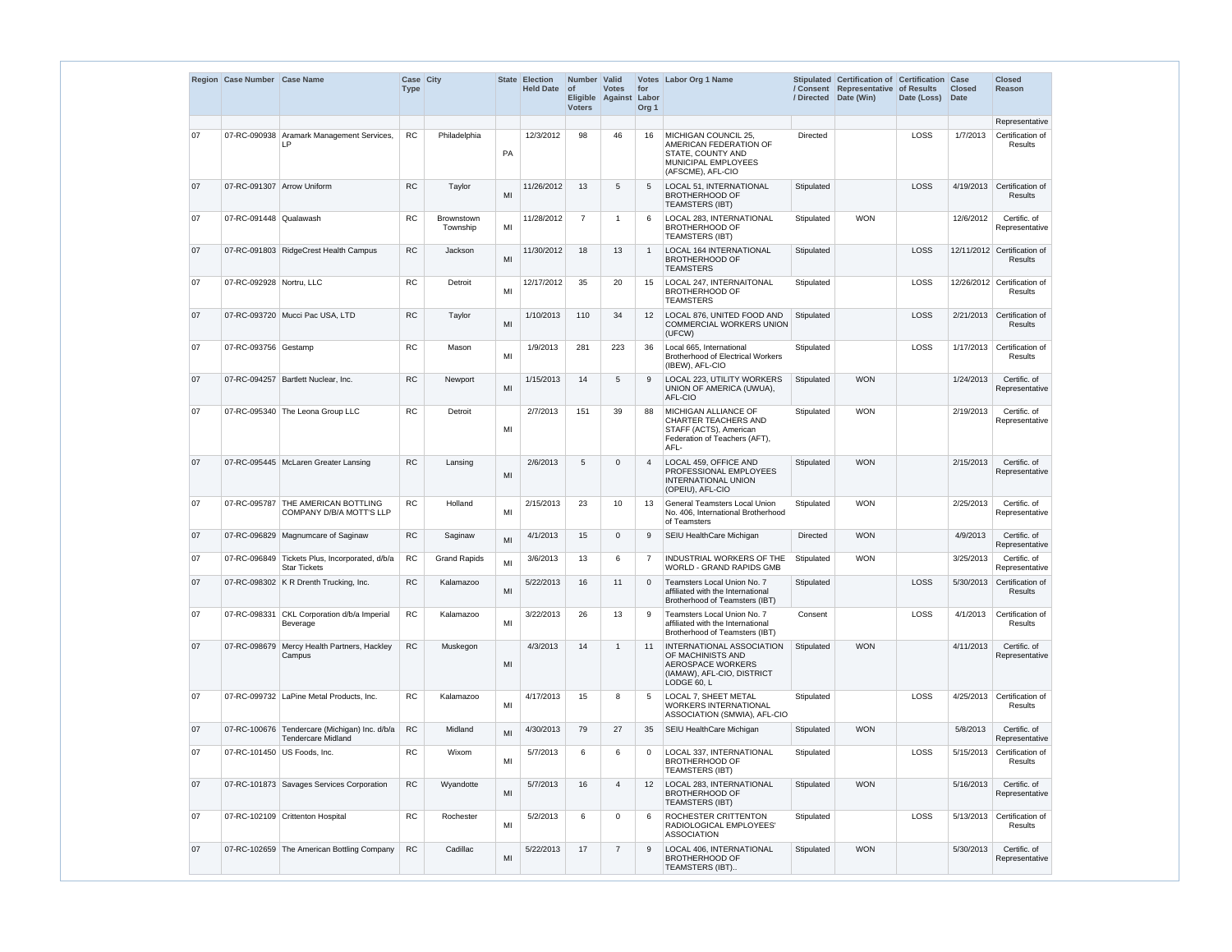|    | Region Case Number Case Name |                                                                            | Case City<br><b>Type</b> |                               |    | State Election<br><b>Held Date</b> | Number Valid<br>$ $ of<br><b>Voters</b> | <b>Votes</b><br>Eligible Against Labor | for<br>Org <sub>1</sub> | Votes Labor Org 1 Name                                                                                                  |                 | Stipulated Certification of Certification<br>/ Consent Representative of Results<br>/ Directed   Date (Win) | Date (Loss) | Case<br><b>Closed</b><br>Date | <b>Closed</b><br><b>Reason</b>                |
|----|------------------------------|----------------------------------------------------------------------------|--------------------------|-------------------------------|----|------------------------------------|-----------------------------------------|----------------------------------------|-------------------------|-------------------------------------------------------------------------------------------------------------------------|-----------------|-------------------------------------------------------------------------------------------------------------|-------------|-------------------------------|-----------------------------------------------|
|    |                              |                                                                            |                          |                               |    |                                    |                                         |                                        |                         |                                                                                                                         |                 |                                                                                                             |             |                               | Representative                                |
| 07 |                              | 07-RC-090938 Aramark Management Services,<br>LP                            | RC                       | Philadelphia                  | PA | 12/3/2012                          | 98                                      | 46                                     | 16                      | MICHIGAN COUNCIL 25,<br>AMERICAN FEDERATION OF<br>STATE, COUNTY AND<br>MUNICIPAL EMPLOYEES<br>(AFSCME), AFL-CIO         | <b>Directed</b> |                                                                                                             | LOSS        | 1/7/2013                      | Certification of<br>Results                   |
| 07 | 07-RC-091307 Arrow Uniform   |                                                                            | <b>RC</b>                | Taylor                        | MI | 11/26/2012                         | 13                                      | 5                                      | 5                       | LOCAL 51, INTERNATIONAL<br><b>BROTHERHOOD OF</b><br><b>TEAMSTERS (IBT)</b>                                              | Stipulated      |                                                                                                             | LOSS        |                               | 4/19/2013 Certification of<br><b>Results</b>  |
| 07 | 07-RC-091448 Qualawash       |                                                                            | <b>RC</b>                | <b>Brownstown</b><br>Township | MI | 11/28/2012                         | $\overline{7}$                          | -1                                     | 6                       | LOCAL 283, INTERNATIONAL<br><b>BROTHERHOOD OF</b><br><b>TEAMSTERS (IBT)</b>                                             | Stipulated      | <b>WON</b>                                                                                                  |             | 12/6/2012                     | Certific. of<br>Representative                |
| 07 |                              | 07-RC-091803 RidgeCrest Health Campus                                      | RC                       | Jackson                       | MI | 11/30/2012                         | 18                                      | 13                                     | $\overline{1}$          | <b>LOCAL 164 INTERNATIONAL</b><br><b>BROTHERHOOD OF</b><br><b>TEAMSTERS</b>                                             | Stipulated      |                                                                                                             | LOSS        |                               | 12/11/2012 Certification of<br><b>Results</b> |
| 07 | 07-RC-092928 Nortru, LLC     |                                                                            | <b>RC</b>                | Detroit                       | MI | 12/17/2012                         | 35                                      | 20                                     | 15                      | LOCAL 247, INTERNAITONAL<br><b>BROTHERHOOD OF</b><br><b>TEAMSTERS</b>                                                   | Stipulated      |                                                                                                             | LOSS        |                               | 12/26/2012 Certification of<br>Results        |
| 07 |                              | 07-RC-093720 Mucci Pac USA, LTD                                            | <b>RC</b>                | Taylor                        | MI | 1/10/2013                          | 110                                     | 34                                     | $12 \overline{ }$       | LOCAL 876, UNITED FOOD AND<br><b>COMMERCIAL WORKERS UNION</b><br>(UFCW)                                                 | Stipulated      |                                                                                                             | LOSS        |                               | 2/21/2013 Certification of<br><b>Results</b>  |
| 07 | 07-RC-093756 Gestamp         |                                                                            | <b>RC</b>                | Mason                         | MI | 1/9/2013                           | 281                                     | 223                                    | 36                      | Local 665. International<br><b>Brotherhood of Electrical Workers</b><br>(IBEW), AFL-CIO                                 | Stipulated      |                                                                                                             | LOSS        | 1/17/2013                     | Certification of<br>Results                   |
| 07 |                              | 07-RC-094257 Bartlett Nuclear, Inc.                                        | <b>RC</b>                | Newport                       | MI | 1/15/2013                          | 14                                      | 5                                      | 9                       | LOCAL 223, UTILITY WORKERS<br>UNION OF AMERICA (UWUA),<br>AFL-CIO                                                       | Stipulated      | <b>WON</b>                                                                                                  |             | 1/24/2013                     | Certific. of<br>Representative                |
| 07 |                              | 07-RC-095340 The Leona Group LLC                                           | RC.                      | Detroit                       | MI | 2/7/2013                           | 151                                     | 39                                     | 88                      | MICHIGAN ALLIANCE OF<br><b>CHARTER TEACHERS AND</b><br>STAFF (ACTS), American<br>Federation of Teachers (AFT),<br>AFL-  | Stipulated      | <b>WON</b>                                                                                                  |             | 2/19/2013                     | Certific. of<br>Representative                |
| 07 |                              | 07-RC-095445   McLaren Greater Lansing                                     | RC                       | Lansing                       | MI | 2/6/2013                           | 5                                       | $\Omega$                               | 4                       | LOCAL 459, OFFICE AND<br>PROFESSIONAL EMPLOYEES<br><b>INTERNATIONAL UNION</b><br>(OPEIU), AFL-CIO                       | Stipulated      | <b>WON</b>                                                                                                  |             | 2/15/2013                     | Certific. of<br>Representative                |
| 07 |                              | 07-RC-095787 THE AMERICAN BOTTLING<br>COMPANY D/B/A MOTT'S LLP             | <b>RC</b>                | Holland                       | MI | 2/15/2013                          | 23                                      | 10                                     | 13                      | <b>General Teamsters Local Union</b><br>No. 406, International Brotherhood<br>of Teamsters                              | Stipulated      | <b>WON</b>                                                                                                  |             | 2/25/2013                     | Certific. of<br>Representative                |
| 07 |                              | 07-RC-096829 Magnumcare of Saginaw                                         | ${\sf RC}$               | Saginaw                       | MI | 4/1/2013                           | 15                                      | $\mathbf 0$                            | 9                       | SEIU HealthCare Michigan                                                                                                | <b>Directed</b> | <b>WON</b>                                                                                                  |             | 4/9/2013                      | Certific. of<br>Representative                |
| 07 |                              | 07-RC-096849 Tickets Plus, Incorporated, d/b/a<br><b>Star Tickets</b>      | <b>RC</b>                | <b>Grand Rapids</b>           | MI | 3/6/2013                           | 13                                      | 6                                      | 7                       | <b>INDUSTRIAL WORKERS OF THE</b><br><b>WORLD - GRAND RAPIDS GMB</b>                                                     | Stipulated      | <b>WON</b>                                                                                                  |             | 3/25/2013                     | Certific. of<br>Representative                |
| 07 |                              | 07-RC-098302 K R Drenth Trucking, Inc.                                     | RC                       | Kalamazoo                     | MI | 5/22/2013                          | 16                                      | 11                                     | $\overline{0}$          | Teamsters Local Union No. 7<br>affiliated with the International<br>Brotherhood of Teamsters (IBT)                      | Stipulated      |                                                                                                             | LOSS        | 5/30/2013                     | Certification of<br>Results                   |
| 07 |                              | 07-RC-098331 CKL Corporation d/b/a Imperial<br>Beverage                    | RC                       | Kalamazoo                     | MI | 3/22/2013                          | 26                                      | 13                                     | 9                       | Teamsters Local Union No. 7<br>affiliated with the International<br>Brotherhood of Teamsters (IBT)                      | Consent         |                                                                                                             | LOSS        | 4/1/2013                      | Certification of<br>Results                   |
| 07 |                              | 07-RC-098679 Mercy Health Partners, Hackley<br>Campus                      | RC                       | Muskegon                      | MI | 4/3/2013                           | 14                                      | -1                                     | 11                      | INTERNATIONAL ASSOCIATION<br>OF MACHINISTS AND<br><b>AEROSPACE WORKERS</b><br>(IAMAW), AFL-CIO, DISTRICT<br>LODGE 60, L | Stipulated      | <b>WON</b>                                                                                                  |             | 4/11/2013                     | Certific. of<br>Representative                |
| 07 |                              | 07-RC-099732   LaPine Metal Products, Inc.                                 | RC                       | Kalamazoo                     | MI | 4/17/2013                          | 15                                      | 8                                      | 5                       | LOCAL 7, SHEET METAL<br><b>WORKERS INTERNATIONAL</b><br>ASSOCIATION (SMWIA), AFL-CIO                                    | Stipulated      |                                                                                                             | LOSS        | 4/25/2013                     | Certification of<br>Results                   |
| 07 |                              | 07-RC-100676 Tendercare (Michigan) Inc. d/b/a<br><b>Tendercare Midland</b> | ${\sf RC}$               | Midland                       | MI | 4/30/2013                          | 79                                      | 27                                     | 35                      | SEIU HealthCare Michigan                                                                                                | Stipulated      | <b>WON</b>                                                                                                  |             | 5/8/2013                      | Certific. of<br>Representative                |
| 07 |                              | 07-RC-101450 US Foods, Inc.                                                | RC                       | Wixom                         | MI | 5/7/2013                           | 6                                       | 6                                      | $\mathbf 0$             | LOCAL 337, INTERNATIONAL<br><b>BROTHERHOOD OF</b><br><b>TEAMSTERS (IBT)</b>                                             | Stipulated      |                                                                                                             | LOSS        | 5/15/2013                     | Certification of<br>Results                   |
| 07 |                              | 07-RC-101873 Savages Services Corporation                                  | RC                       | Wyandotte                     | MI | 5/7/2013                           | 16                                      | $\boldsymbol{\Delta}$                  | $12 \overline{ }$       | LOCAL 283, INTERNATIONAL<br><b>BROTHERHOOD OF</b><br><b>TEAMSTERS (IBT)</b>                                             | Stipulated      | <b>WON</b>                                                                                                  |             | 5/16/2013                     | Certific. of<br>Representative                |
| 07 |                              | 07-RC-102109 Crittenton Hospital                                           | RC                       | Rochester                     | MI | 5/2/2013                           | 6                                       | $\Omega$                               | 6                       | ROCHESTER CRITTENTON<br>RADIOLOGICAL EMPLOYEES'<br><b>ASSOCIATION</b>                                                   | Stipulated      |                                                                                                             | LOSS        | 5/13/2013                     | Certification of<br>Results                   |
| 07 |                              | 07-RC-102659 The American Bottling Company                                 | <b>RC</b>                | Cadillac                      | MI | 5/22/2013                          | 17                                      | $\overline{7}$                         | 9                       | LOCAL 406, INTERNATIONAL<br><b>BROTHERHOOD OF</b><br>TEAMSTERS (IBT)                                                    | Stipulated      | <b>WON</b>                                                                                                  |             | 5/30/2013                     | Certific. of<br>Representative                |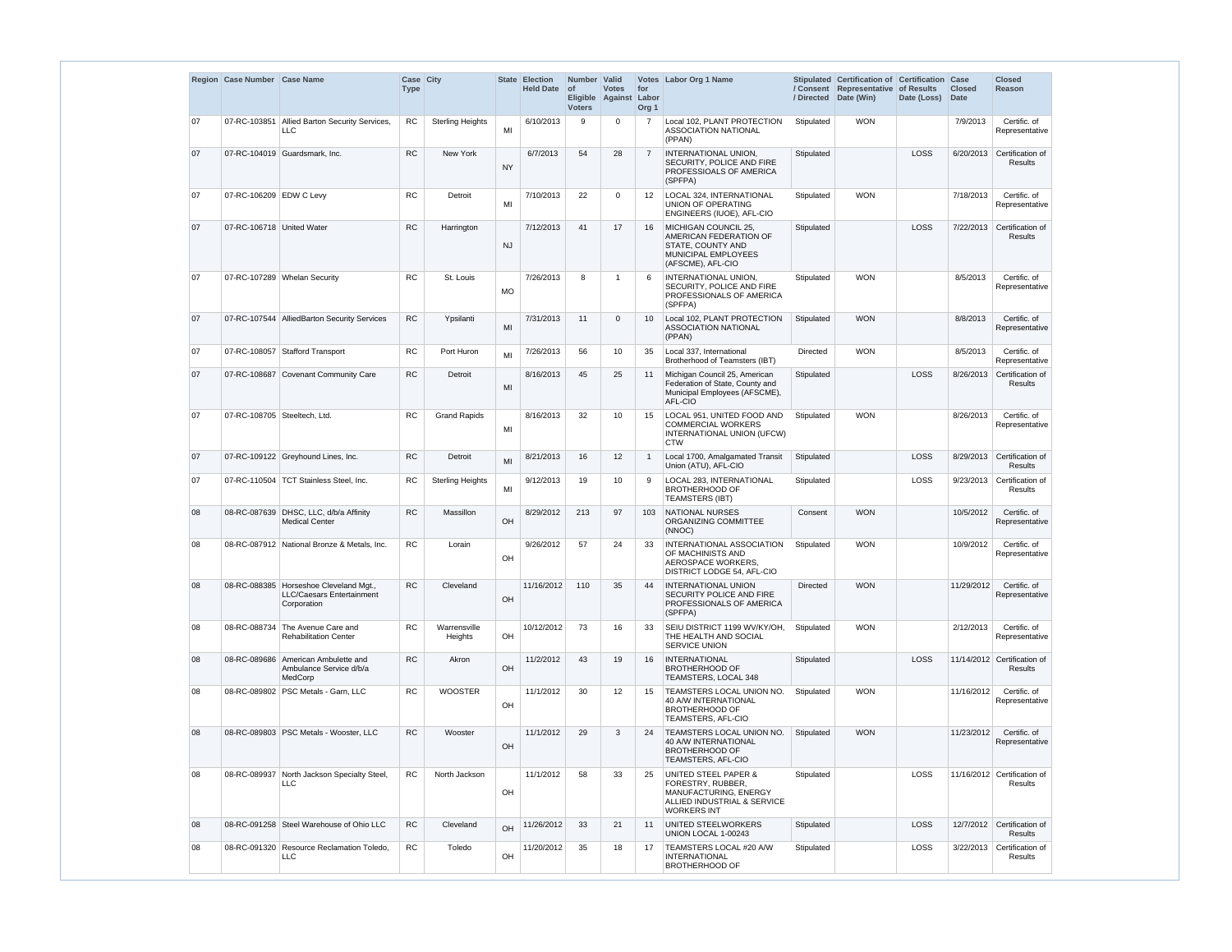|    | Region Case Number Case Name |                                                                                    | <b>Case City</b><br><b>Type</b> |                         |           | State Election<br><b>Held Date</b> | Number Valid<br>$ $ of<br>Eligible Against Labor<br><b>Voters</b> | <b>Votes</b>    | for<br>Org <sub>1</sub> | Votes Labor Org 1 Name                                                                                                  |                 | Stipulated Certification of Certification Case<br>/ Consent Representative of Results<br>/ Directed Date (Win) | Date (Loss) | <b>Closed</b><br>Date | <b>Closed</b><br><b>Reason</b>                |
|----|------------------------------|------------------------------------------------------------------------------------|---------------------------------|-------------------------|-----------|------------------------------------|-------------------------------------------------------------------|-----------------|-------------------------|-------------------------------------------------------------------------------------------------------------------------|-----------------|----------------------------------------------------------------------------------------------------------------|-------------|-----------------------|-----------------------------------------------|
| 07 |                              | 07-RC-103851 Allied Barton Security Services,<br><b>LLC</b>                        | <b>RC</b>                       | <b>Sterling Heights</b> | MI        | 6/10/2013                          | 9                                                                 | $\Omega$        |                         | Local 102. PLANT PROTECTION<br><b>ASSOCIATION NATIONAL</b><br>(PPAN)                                                    | Stipulated      | <b>WON</b>                                                                                                     |             | 7/9/2013              | Certific. of<br>Representative                |
| 07 |                              | 07-RC-104019 Guardsmark, Inc.                                                      | <b>RC</b>                       | <b>New York</b>         | <b>NY</b> | 6/7/2013                           | 54                                                                | 28              | $\overline{7}$          | <b>INTERNATIONAL UNION,</b><br>SECURITY, POLICE AND FIRE<br>PROFESSIOALS OF AMERICA<br>(SPFPA)                          | Stipulated      |                                                                                                                | LOSS        | 6/20/2013             | Certification of<br><b>Results</b>            |
| 07 | 07-RC-106209 EDW C Levy      |                                                                                    | <b>RC</b>                       | Detroit                 | MI        | 7/10/2013                          | 22                                                                | $\Omega$        | 12                      | LOCAL 324. INTERNATIONAL<br>UNION OF OPERATING<br>ENGINEERS (IUOE), AFL-CIO                                             | Stipulated      | <b>WON</b>                                                                                                     |             | 7/18/2013             | Certific. of<br>Representative                |
| 07 | 07-RC-106718 United Water    |                                                                                    | <b>RC</b>                       | Harrington              | <b>NJ</b> | 7/12/2013                          | 41                                                                | 17              | 16                      | MICHIGAN COUNCIL 25.<br>AMERICAN FEDERATION OF<br>STATE, COUNTY AND<br>MUNICIPAL EMPLOYEES<br>(AFSCME), AFL-CIO         | Stipulated      |                                                                                                                | LOSS        | 7/22/2013             | Certification of<br><b>Results</b>            |
| 07 |                              | 07-RC-107289 Whelan Security                                                       | <b>RC</b>                       | St. Louis               | <b>MO</b> | 7/26/2013                          | 8                                                                 |                 | 6                       | <b>INTERNATIONAL UNION.</b><br>SECURITY, POLICE AND FIRE<br>PROFESSIONALS OF AMERICA<br>(SPFPA)                         | Stipulated      | <b>WON</b>                                                                                                     |             | 8/5/2013              | Certific. of<br>Representative                |
| 07 |                              | 07-RC-107544 AlliedBarton Security Services                                        | <b>RC</b>                       | Ypsilanti               | MI        | 7/31/2013                          | 11                                                                | $\mathbf{0}$    | 10                      | Local 102. PLANT PROTECTION<br><b>ASSOCIATION NATIONAL</b><br>(PPAN)                                                    | Stipulated      | <b>WON</b>                                                                                                     |             | 8/8/2013              | Certific. of<br>Representative                |
| 07 |                              | 07-RC-108057 Stafford Transport                                                    | RC                              | Port Huron              | MI        | 7/26/2013                          | 56                                                                | 10              | 35                      | Local 337, International<br>Brotherhood of Teamsters (IBT)                                                              | <b>Directed</b> | <b>WON</b>                                                                                                     |             | 8/5/2013              | Certific. of<br>Representative                |
| 07 |                              | 07-RC-108687 Covenant Community Care                                               | <b>RC</b>                       | Detroit                 | MI        | 8/16/2013                          | 45                                                                | 25              | 11                      | Michigan Council 25, American<br>Federation of State, County and<br>Municipal Employees (AFSCME),<br>AFL-CIO            | Stipulated      |                                                                                                                | LOSS        | 8/26/2013             | Certification of<br>Results                   |
| 07 |                              | 07-RC-108705   Steeltech, Ltd.                                                     | <b>RC</b>                       | <b>Grand Rapids</b>     | MI        | 8/16/2013                          | 32                                                                | 10              | 15                      | LOCAL 951, UNITED FOOD AND<br><b>COMMERCIAL WORKERS</b><br>INTERNATIONAL UNION (UFCW)<br><b>CTW</b>                     | Stipulated      | <b>WON</b>                                                                                                     |             | 8/26/2013             | Certific. of<br>Representative                |
| 07 |                              | 07-RC-109122 Greyhound Lines, Inc.                                                 | RC                              | Detroit                 | MI        | 8/21/2013                          | 16                                                                | 12 <sub>2</sub> |                         | Local 1700, Amalgamated Transit<br>Union (ATU), AFL-CIO                                                                 | Stipulated      |                                                                                                                | LOSS        | 8/29/2013             | Certification of<br><b>Results</b>            |
| 07 |                              | 07-RC-110504   TCT Stainless Steel, Inc.                                           | <b>RC</b>                       | <b>Sterling Heights</b> | MI        | 9/12/2013                          | 19                                                                | 10              |                         | LOCAL 283, INTERNATIONAL<br><b>BROTHERHOOD OF</b><br><b>TEAMSTERS (IBT)</b>                                             | Stipulated      |                                                                                                                | LOSS        | 9/23/2013             | Certification of<br>Results                   |
| 08 |                              | 08-RC-087639 DHSC, LLC, d/b/a Affinity<br><b>Medical Center</b>                    | <b>RC</b>                       | Massillon               | OH        | 8/29/2012                          | 213                                                               | 97              | 103                     | NATIONAL NURSES<br>ORGANIZING COMMITTEE<br>(NNOC)                                                                       | Consent         | <b>WON</b>                                                                                                     |             | 10/5/2012             | Certific. of<br>Representative                |
| 08 |                              | 08-RC-087912   National Bronze & Metals, Inc.                                      | <b>RC</b>                       | Lorain                  | OH        | 9/26/2012                          | 57                                                                | 24              | 33                      | <b>INTERNATIONAL ASSOCIATION</b><br>OF MACHINISTS AND<br>AEROSPACE WORKERS,<br>DISTRICT LODGE 54, AFL-CIO               | Stipulated      | <b>WON</b>                                                                                                     |             | 10/9/2012             | Certific. of<br>Representative                |
| 08 |                              | 08-RC-088385 Horseshoe Cleveland Mgt.,<br>LLC/Caesars Entertainment<br>Corporation | ${\sf RC}$                      | Cleveland               | OH        | 11/16/2012                         | 110                                                               | 35              | 44                      | <b>INTERNATIONAL UNION</b><br>SECURITY POLICE AND FIRE<br>PROFESSIONALS OF AMERICA<br>(SPFPA)                           | Directed        | <b>WON</b>                                                                                                     |             | 11/29/2012            | Certific. of<br>Representative                |
| 08 | 08-RC-088734                 | The Avenue Care and<br><b>Rehabilitation Center</b>                                | <b>RC</b>                       | Warrensville<br>Heights | OH        | 10/12/2012                         | 73                                                                | 16              | 33                      | SEIU DISTRICT 1199 WV/KY/OH.<br>THE HEALTH AND SOCIAL<br>SERVICE UNION                                                  | Stipulated      | <b>WON</b>                                                                                                     |             | 2/12/2013             | Certific. of<br>Representative                |
| 08 |                              | 08-RC-089686 American Ambulette and<br>Ambulance Service d/b/a<br>MedCorp          | <b>RC</b>                       | Akron                   | OH        | 11/2/2012                          | 43                                                                | 19              | 16                      | INTERNATIONAL<br><b>BROTHERHOOD OF</b><br>TEAMSTERS, LOCAL 348                                                          | Stipulated      |                                                                                                                | LOSS        |                       | 11/14/2012 Certification of<br>Results        |
| 08 |                              | 08-RC-089802   PSC Metals - Garn, LLC                                              | <b>RC</b>                       | <b>WOOSTER</b>          | OH        | 11/1/2012                          | 30                                                                | 12              | 15                      | TEAMSTERS LOCAL UNION NO.<br><b>40 A/W INTERNATIONAL</b><br><b>BROTHERHOOD OF</b><br>TEAMSTERS, AFL-CIO                 | Stipulated      | <b>WON</b>                                                                                                     |             | 11/16/2012            | Certific. of<br>Representative                |
| 08 |                              | 08-RC-089803 PSC Metals - Wooster, LLC                                             | RC                              | Wooster                 | OH        | 11/1/2012                          | 29                                                                | 3               | 24                      | <b>TEAMSTERS LOCAL UNION NO.</b><br>40 A/W INTERNATIONAL<br><b>BROTHERHOOD OF</b><br>TEAMSTERS, AFL-CIO                 | Stipulated      | <b>WON</b>                                                                                                     |             | 11/23/2012            | Certific. of<br>Representative                |
| 08 |                              | 08-RC-089937 North Jackson Specialty Steel,<br><b>LLC</b>                          | <b>RC</b>                       | North Jackson           | OH        | 11/1/2012                          | 58                                                                | 33              | -25                     | UNITED STEEL PAPER &<br>FORESTRY, RUBBER,<br>MANUFACTURING, ENERGY<br>ALLIED INDUSTRIAL & SERVICE<br><b>WORKERS INT</b> | Stipulated      |                                                                                                                | <b>LOSS</b> |                       | 11/16/2012 Certification of<br><b>Results</b> |
| 08 |                              | 08-RC-091258 Steel Warehouse of Ohio LLC                                           | RC                              | Cleveland               | OH        | 11/26/2012                         | 33                                                                | 21              | 11                      | UNITED STEELWORKERS<br>UNION LOCAL 1-00243                                                                              | Stipulated      |                                                                                                                | LOSS        | 12/7/2012             | Certification of<br>Results                   |
| 08 | 08-RC-091320                 | Resource Reclamation Toledo,<br><b>LLC</b>                                         | <b>RC</b>                       | Toledo                  | OH        | 11/20/2012                         | 35                                                                | 18              | 17                      | TEAMSTERS LOCAL #20 A/W<br><b>INTERNATIONAL</b><br>BROTHERHOOD OF                                                       | Stipulated      |                                                                                                                | LOSS        | 3/22/2013             | Certification of<br>Results                   |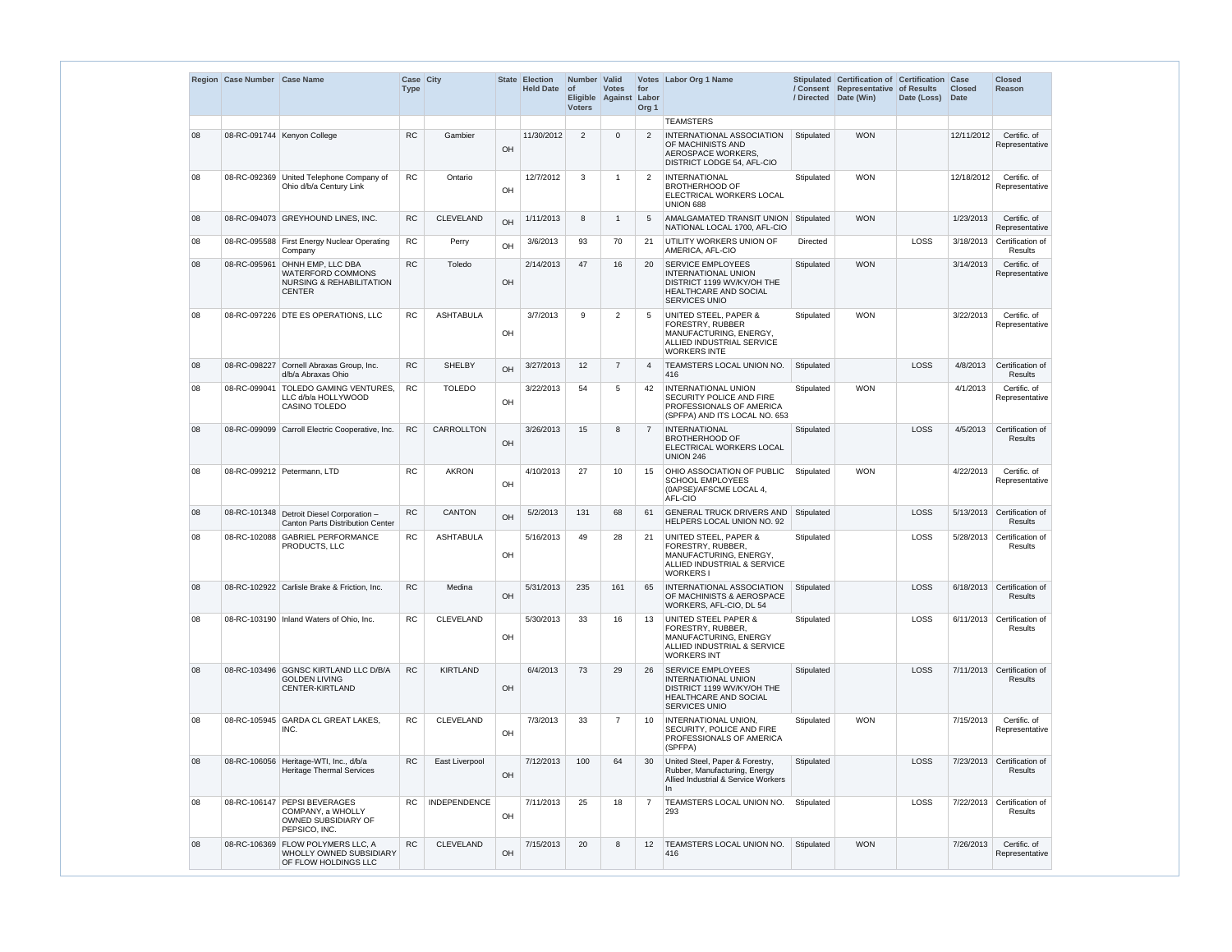|    | Region   Case Number   Case Name |                                                                                                              | Case City<br><b>Type</b> |                     | <b>State</b> | <b>Election</b><br><b>Held Date</b> | Number Valid<br>$\circ$ f<br><b>Voters</b> | <b>Votes</b><br>Eligible Against | for<br>Labor<br>Org <sub>1</sub> | Votes   Labor Org 1 Name                                                                                                           | / Directed | Stipulated Certification of Certification Case<br>/ Consent Representative of Results<br>Date (Win) | Date (Loss) | <b>Closed</b><br><b>Date</b> | <b>Closed</b><br><b>Reason</b>          |
|----|----------------------------------|--------------------------------------------------------------------------------------------------------------|--------------------------|---------------------|--------------|-------------------------------------|--------------------------------------------|----------------------------------|----------------------------------|------------------------------------------------------------------------------------------------------------------------------------|------------|-----------------------------------------------------------------------------------------------------|-------------|------------------------------|-----------------------------------------|
|    |                                  |                                                                                                              |                          |                     |              |                                     |                                            |                                  |                                  | <b>TEAMSTERS</b>                                                                                                                   |            |                                                                                                     |             |                              |                                         |
| 08 |                                  | 08-RC-091744 Kenyon College                                                                                  | <b>RC</b>                | Gambier             | OH           | 11/30/2012                          | 2                                          | $\Omega$                         | 2                                | INTERNATIONAL ASSOCIATION<br>OF MACHINISTS AND<br>AEROSPACE WORKERS.<br>DISTRICT LODGE 54, AFL-CIO                                 | Stipulated | <b>WON</b>                                                                                          |             | 12/11/2012                   | Certific. of<br>Representative          |
| 08 |                                  | 08-RC-092369 United Telephone Company of<br>Ohio d/b/a Century Link                                          | <b>RC</b>                | Ontario             | OH           | 12/7/2012                           | 3                                          | -1                               | 2                                | <b>INTERNATIONAL</b><br><b>BROTHERHOOD OF</b><br>ELECTRICAL WORKERS LOCAL<br>UNION 688                                             | Stipulated | <b>WON</b>                                                                                          |             | 12/18/2012                   | Certific. of<br>Representative          |
| 08 |                                  | 08-RC-094073 GREYHOUND LINES, INC.                                                                           | <b>RC</b>                | <b>CLEVELAND</b>    | OH           | 1/11/2013                           | 8                                          | -1                               | 5                                | AMALGAMATED TRANSIT UNION Stipulated<br>NATIONAL LOCAL 1700, AFL-CIO                                                               |            | <b>WON</b>                                                                                          |             | 1/23/2013                    | Certific. of<br>Representative          |
| 08 |                                  | 08-RC-095588 First Energy Nuclear Operating<br>Company                                                       | RC                       | Perry               | OH           | 3/6/2013                            | 93                                         | 70                               | 21                               | UTILITY WORKERS UNION OF<br>AMERICA, AFL-CIO                                                                                       | Directed   |                                                                                                     | LOSS        | 3/18/2013                    | Certification of<br>Results             |
| 08 | 08-RC-095961                     | <b>OHNH EMP, LLC DBA</b><br><b>WATERFORD COMMONS</b><br><b>NURSING &amp; REHABILITATION</b><br><b>CENTER</b> | <b>RC</b>                | Toledo              | OH           | 2/14/2013                           | 47                                         | 16                               | 20                               | SERVICE EMPLOYEES<br><b>INTERNATIONAL UNION</b><br>DISTRICT 1199 WV/KY/OH THE<br>HEALTHCARE AND SOCIAL<br>SERVICES UNIO            | Stipulated | <b>WON</b>                                                                                          |             | 3/14/2013                    | Certific. of<br>Representative          |
| 08 |                                  | 08-RC-097226 DTE ES OPERATIONS, LLC                                                                          | <b>RC</b>                | <b>ASHTABULA</b>    | OH           | 3/7/2013                            | 9                                          | $\overline{2}$                   | 5                                | <b>UNITED STEEL, PAPER &amp;</b><br>FORESTRY, RUBBER<br>MANUFACTURING, ENERGY,<br>ALLIED INDUSTRIAL SERVICE<br><b>WORKERS INTE</b> | Stipulated | <b>WON</b>                                                                                          |             | 3/22/2013                    | Certific. of<br>Representative          |
| 08 |                                  | 08-RC-098227 Cornell Abraxas Group, Inc.<br>d/b/a Abraxas Ohio                                               | RC                       | <b>SHELBY</b>       | OH           | 3/27/2013                           | 12                                         | $\overline{7}$                   | $\overline{4}$                   | <b>TEAMSTERS LOCAL UNION NO.</b><br>416                                                                                            | Stipulated |                                                                                                     | LOSS        | 4/8/2013                     | Certification of<br><b>Results</b>      |
| 08 | 08-RC-099041                     | <b>TOLEDO GAMING VENTURES,</b><br>LLC d/b/a HOLLYWOOD<br>CASINO TOLEDO                                       | <b>RC</b>                | <b>TOLEDO</b>       | OH           | 3/22/2013                           | 54                                         | 5                                | 42                               | INTERNATIONAL UNION<br>SECURITY POLICE AND FIRE<br>PROFESSIONALS OF AMERICA<br>(SPFPA) AND ITS LOCAL NO. 653                       | Stipulated | <b>WON</b>                                                                                          |             | 4/1/2013                     | Certific. of<br>Representative          |
| 08 |                                  | 08-RC-099099 Carroll Electric Cooperative, Inc.                                                              | RC                       | CARROLLTON          | OH           | 3/26/2013                           | 15                                         | 8                                | $\overline{7}$                   | <b>INTERNATIONAL</b><br><b>BROTHERHOOD OF</b><br>ELECTRICAL WORKERS LOCAL<br>UNION 246                                             | Stipulated |                                                                                                     | LOSS        | 4/5/2013                     | Certification of<br><b>Results</b>      |
| 08 |                                  | 08-RC-099212 Petermann, LTD                                                                                  | RC.                      | <b>AKRON</b>        | OH           | 4/10/2013                           | 27                                         | 10                               | 15                               | OHIO ASSOCIATION OF PUBLIC<br><b>SCHOOL EMPLOYEES</b><br>(0APSE)/AFSCME LOCAL 4,<br>AFL-CIO                                        | Stipulated | <b>WON</b>                                                                                          |             | 4/22/2013                    | Certific. of<br>Representative          |
| 08 |                                  | 08-RC-101348 Detroit Diesel Corporation -<br><b>Canton Parts Distribution Center</b>                         | RC                       | <b>CANTON</b>       | OH           | 5/2/2013                            | 131                                        | 68                               | 61                               | <b>GENERAL TRUCK DRIVERS AND Stipulated</b><br>HELPERS LOCAL UNION NO. 92                                                          |            |                                                                                                     | LOSS        |                              | 5/13/2013 Certification of<br>Results   |
| 08 |                                  | 08-RC-102088 GABRIEL PERFORMANCE<br>PRODUCTS, LLC                                                            | ${\sf RC}$               | <b>ASHTABULA</b>    | OH           | 5/16/2013                           | 49                                         | 28                               | 21                               | <b>UNITED STEEL, PAPER &amp;</b><br>FORESTRY, RUBBER,<br>MANUFACTURING, ENERGY,<br>ALLIED INDUSTRIAL & SERVICE<br><b>WORKERS I</b> | Stipulated |                                                                                                     | LOSS        |                              | 5/28/2013 Certification of<br>Results   |
| 08 |                                  | 08-RC-102922 Carlisle Brake & Friction, Inc.                                                                 | RC                       | Medina              | OH           | 5/31/2013                           | 235                                        | 161                              | 65                               | <b>INTERNATIONAL ASSOCIATION</b><br>OF MACHINISTS & AEROSPACE<br>WORKERS, AFL-CIO, DL 54                                           | Stipulated |                                                                                                     | LOSS        |                              | 6/18/2013 Certification of<br>Results   |
| 08 |                                  | 08-RC-103190   Inland Waters of Ohio, Inc.                                                                   | RC                       | <b>CLEVELAND</b>    | OH           | 5/30/2013                           | 33                                         | 16                               | 13                               | UNITED STEEL PAPER &<br>FORESTRY, RUBBER,<br>MANUFACTURING, ENERGY<br>ALLIED INDUSTRIAL & SERVICE<br><b>WORKERS INT</b>            | Stipulated |                                                                                                     | LOSS        |                              | $6/11/2013$ Certification of<br>Results |
| 08 |                                  | 08-RC-103496 GGNSC KIRTLAND LLC D/B/A<br><b>GOLDEN LIVING</b><br>CENTER-KIRTLAND                             | <b>RC</b>                | <b>KIRTLAND</b>     | OH           | 6/4/2013                            | 73                                         | 29                               | 26                               | <b>SERVICE EMPLOYEES</b><br>INTERNATIONAL UNION<br>DISTRICT 1199 WV/KY/OH THE<br>HEALTHCARE AND SOCIAL<br>SERVICES UNIO            | Stipulated |                                                                                                     | LOSS        |                              | 7/11/2013 Certification of<br>Results   |
| 08 | 08-RC-105945                     | GARDA CL GREAT LAKES.<br>INC.                                                                                | <b>RC</b>                | <b>CLEVELAND</b>    | OH           | 7/3/2013                            | 33                                         | 7                                | 10                               | INTERNATIONAL UNION,<br>SECURITY, POLICE AND FIRE<br>PROFESSIONALS OF AMERICA<br>(SPFPA)                                           | Stipulated | <b>WON</b>                                                                                          |             | 7/15/2013                    | Certific. of<br>Representative          |
| 08 |                                  | 08-RC-106056 Heritage-WTI, Inc., d/b/a<br><b>Heritage Thermal Services</b>                                   | RC                       | East Liverpool      | OH           | 7/12/2013                           | 100                                        | 64                               | 30                               | United Steel, Paper & Forestry,<br>Rubber, Manufacturing, Energy<br>Allied Industrial & Service Workers<br>In                      | Stipulated |                                                                                                     | LOSS        |                              | 7/23/2013 Certification of<br>Results   |
| 08 |                                  | 08-RC-106147 PEPSI BEVERAGES<br>COMPANY, a WHOLLY<br>OWNED SUBSIDIARY OF<br>PEPSICO, INC.                    | RC                       | <b>INDEPENDENCE</b> | OH           | 7/11/2013                           | 25                                         | 18                               | $\overline{7}$                   | TEAMSTERS LOCAL UNION NO.<br>293                                                                                                   | Stipulated |                                                                                                     | LOSS        | 7/22/2013                    | Certification of<br>Results             |
| 08 |                                  | 08-RC-106369 FLOW POLYMERS LLC, A<br>WHOLLY OWNED SUBSIDIARY<br>OF FLOW HOLDINGS LLC                         | <b>RC</b>                | CLEVELAND           | OH           | 7/15/2013                           | 20                                         | 8                                | $12 \overline{ }$                | TEAMSTERS LOCAL UNION NO.<br>416                                                                                                   | Stipulated | <b>WON</b>                                                                                          |             | 7/26/2013                    | Certific. of<br>Representative          |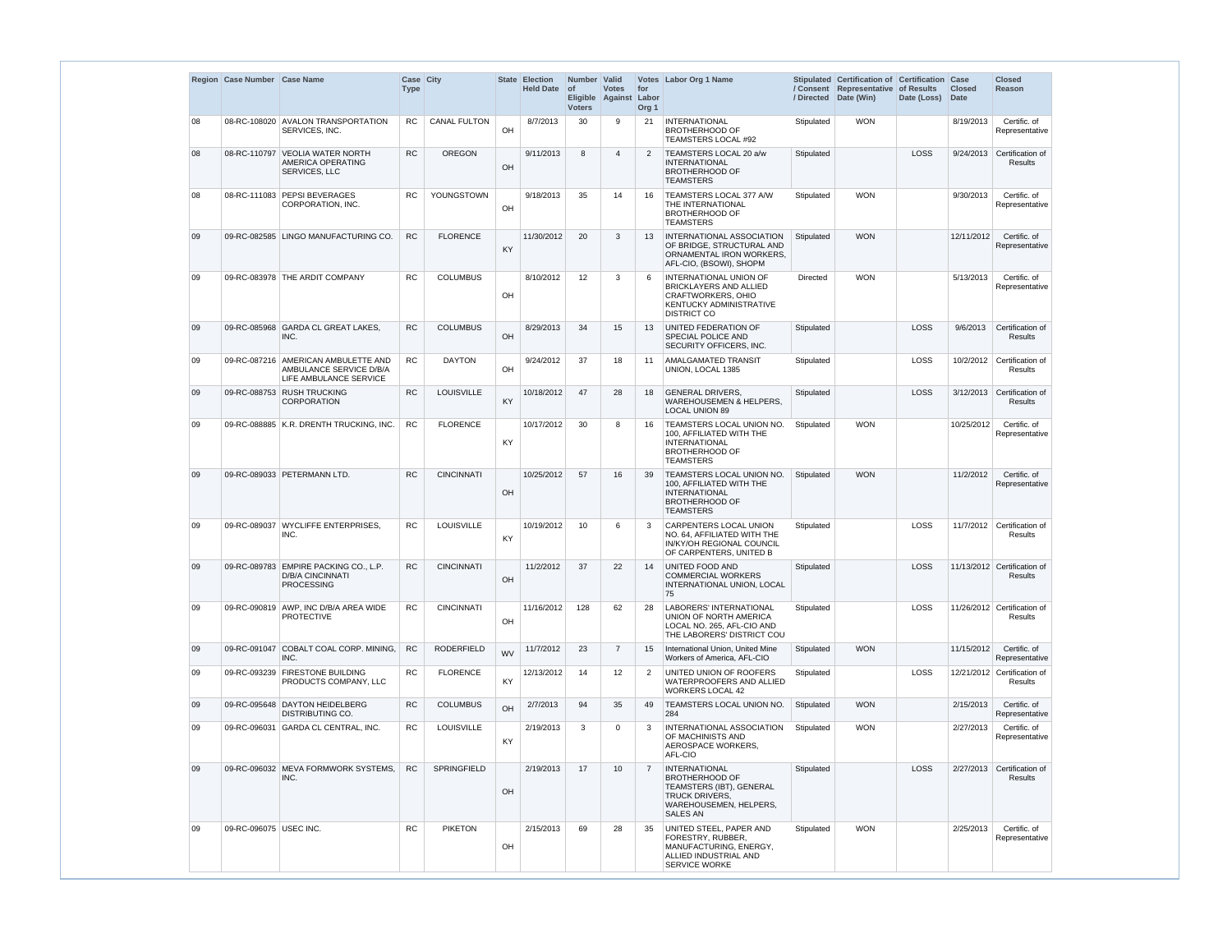|    | Region Case Number Case Name |                                                                                          | Case City<br><b>Type</b> |                     |           | State Election<br><b>Held Date</b> | Number Valid<br>$ $ of<br><b>Voters</b> | <b>Votes</b><br>Eligible Against | for<br>Labor<br>Org <sub>1</sub> | Votes Labor Org 1 Name                                                                                                                   |                 | Stipulated Certification of Certification Case<br>/ Consent Representative of Results<br>/ Directed Date (Win) | Date (Loss) | <b>Closed</b><br><b>Date</b> | <b>Closed</b><br>Reason                       |
|----|------------------------------|------------------------------------------------------------------------------------------|--------------------------|---------------------|-----------|------------------------------------|-----------------------------------------|----------------------------------|----------------------------------|------------------------------------------------------------------------------------------------------------------------------------------|-----------------|----------------------------------------------------------------------------------------------------------------|-------------|------------------------------|-----------------------------------------------|
| 08 |                              | 08-RC-108020 AVALON TRANSPORTATION<br>SERVICES, INC.                                     | <b>RC</b>                | <b>CANAL FULTON</b> | OH        | 8/7/2013                           | 30                                      | 9                                | 21                               | INTERNATIONAL<br><b>BROTHERHOOD OF</b><br>TEAMSTERS LOCAL #92                                                                            | Stipulated      | <b>WON</b>                                                                                                     |             | 8/19/2013                    | Certific. of<br>Representative                |
| 08 | 08-RC-110797                 | <b>VEOLIA WATER NORTH</b><br>AMERICA OPERATING<br>SERVICES, LLC                          | <b>RC</b>                | <b>OREGON</b>       | OH        | 9/11/2013                          | 8                                       | $\overline{\mathbf{4}}$          | $\overline{2}$                   | TEAMSTERS LOCAL 20 a/w<br><b>INTERNATIONAL</b><br><b>BROTHERHOOD OF</b><br><b>TEAMSTERS</b>                                              | Stipulated      |                                                                                                                | LOSS        | 9/24/2013                    | Certification of<br>Results                   |
| 08 |                              | 08-RC-111083 PEPSI BEVERAGES<br>CORPORATION, INC.                                        | <b>RC</b>                | YOUNGSTOWN          | OH        | 9/18/2013                          | 35                                      | 14                               | 16                               | TEAMSTERS LOCAL 377 A/W<br>THE INTERNATIONAL<br>BROTHERHOOD OF<br><b>TEAMSTERS</b>                                                       | Stipulated      | <b>WON</b>                                                                                                     |             | 9/30/2013                    | Certific. of<br>Representative                |
| 09 |                              | 09-RC-082585 LINGO MANUFACTURING CO.                                                     | <b>RC</b>                | <b>FLORENCE</b>     | KY        | 11/30/2012                         | 20                                      | 3                                | 13                               | <b>INTERNATIONAL ASSOCIATION</b><br>OF BRIDGE, STRUCTURAL AND<br>ORNAMENTAL IRON WORKERS.<br>AFL-CIO, (BSOWI), SHOPM                     | Stipulated      | <b>WON</b>                                                                                                     |             | 12/11/2012                   | Certific. of<br>Representative                |
| 09 |                              | 09-RC-083978 THE ARDIT COMPANY                                                           | <b>RC</b>                | <b>COLUMBUS</b>     | OH        | 8/10/2012                          | 12                                      | 3                                | -6                               | <b>INTERNATIONAL UNION OF</b><br><b>BRICKLAYERS AND ALLIED</b><br>CRAFTWORKERS, OHIO<br>KENTUCKY ADMINISTRATIVE<br><b>DISTRICT CO</b>    | <b>Directed</b> | <b>WON</b>                                                                                                     |             | 5/13/2013                    | Certific. of<br>Representative                |
| 09 | 09-RC-085968                 | <b>GARDA CL GREAT LAKES,</b><br>INC.                                                     | <b>RC</b>                | <b>COLUMBUS</b>     | OH        | 8/29/2013                          | 34                                      | 15                               | 13                               | UNITED FEDERATION OF<br>SPECIAL POLICE AND<br>SECURITY OFFICERS, INC.                                                                    | Stipulated      |                                                                                                                | LOSS        | 9/6/2013                     | Certification of<br>Results                   |
| 09 |                              | 09-RC-087216 AMERICAN AMBULETTE AND<br>AMBULANCE SERVICE D/B/A<br>LIFE AMBULANCE SERVICE | <b>RC</b>                | <b>DAYTON</b>       | OH        | 9/24/2012                          | 37                                      | 18                               | 11                               | AMALGAMATED TRANSIT<br>UNION, LOCAL 1385                                                                                                 | Stipulated      |                                                                                                                | <b>LOSS</b> | 10/2/2012                    | Certification of<br>Results                   |
| 09 | 09-RC-088753                 | <b>RUSH TRUCKING</b><br><b>CORPORATION</b>                                               | <b>RC</b>                | <b>LOUISVILLE</b>   | KY        | 10/18/2012                         | 47                                      | 28                               | 18                               | <b>GENERAL DRIVERS,</b><br>WAREHOUSEMEN & HELPERS,<br><b>LOCAL UNION 89</b>                                                              | Stipulated      |                                                                                                                | LOSS        | 3/12/2013                    | Certification of<br>Results                   |
| 09 |                              | 09-RC-088885 K.R. DRENTH TRUCKING, INC.                                                  | <b>RC</b>                | <b>FLORENCE</b>     | KY        | 10/17/2012                         | 30                                      | 8                                | 16                               | <b>TEAMSTERS LOCAL UNION NO.</b><br>100, AFFILIATED WITH THE<br><b>INTERNATIONAL</b><br><b>BROTHERHOOD OF</b><br><b>TEAMSTERS</b>        | Stipulated      | <b>WON</b>                                                                                                     |             | 10/25/2012                   | Certific. of<br>Representative                |
| 09 |                              | 09-RC-089033 PETERMANN LTD.                                                              | <b>RC</b>                | <b>CINCINNATI</b>   | OH        | 10/25/2012                         | 57                                      | 16                               | 39                               | TEAMSTERS LOCAL UNION NO.<br>100, AFFILIATED WITH THE<br><b>INTERNATIONAL</b><br><b>BROTHERHOOD OF</b><br><b>TEAMSTERS</b>               | Stipulated      | <b>WON</b>                                                                                                     |             | 11/2/2012                    | Certific. of<br>Representative                |
| 09 |                              | 09-RC-089037 WYCLIFFE ENTERPRISES,<br>INC.                                               | <b>RC</b>                | LOUISVILLE          | KY        | 10/19/2012                         | 10                                      | 6                                | 3                                | CARPENTERS LOCAL UNION<br>NO. 64. AFFILIATED WITH THE<br>IN/KY/OH REGIONAL COUNCIL<br>OF CARPENTERS, UNITED B                            | Stipulated      |                                                                                                                | LOSS        |                              | 11/7/2012 Certification of<br>Results         |
| 09 |                              | 09-RC-089783 EMPIRE PACKING CO., L.P.<br><b>D/B/A CINCINNATI</b><br><b>PROCESSING</b>    | <b>RC</b>                | <b>CINCINNATI</b>   | OH        | 11/2/2012                          | 37                                      | 22                               | 14                               | UNITED FOOD AND<br><b>COMMERCIAL WORKERS</b><br>INTERNATIONAL UNION, LOCAL<br>75                                                         | Stipulated      |                                                                                                                | LOSS        |                              | 11/13/2012 Certification of<br><b>Results</b> |
| 09 |                              | 09-RC-090819   AWP, INC D/B/A AREA WIDE<br><b>PROTECTIVE</b>                             | <b>RC</b>                | <b>CINCINNATI</b>   | OH        | 11/16/2012                         | 128                                     | 62                               | 28                               | <b>LABORERS' INTERNATIONAL</b><br>UNION OF NORTH AMERICA<br>LOCAL NO. 265, AFL-CIO AND<br>THE LABORERS' DISTRICT COU                     | Stipulated      |                                                                                                                | LOSS        |                              | 11/26/2012 Certification of<br>Results        |
| 09 |                              | 09-RC-091047 COBALT COAL CORP. MINING,<br>INC.                                           | <b>RC</b>                | <b>RODERFIELD</b>   | <b>WV</b> | 11/7/2012                          | 23                                      | $\overline{7}$                   | 15                               | International Union, United Mine<br>Workers of America, AFL-CIO                                                                          | Stipulated      | <b>WON</b>                                                                                                     |             | 11/15/2012                   | Certific. of<br>Representative                |
| 09 |                              | 09-RC-093239 FIRESTONE BUILDING<br>PRODUCTS COMPANY, LLC                                 | <b>RC</b>                | <b>FLORENCE</b>     | KY        | 12/13/2012                         | 14                                      | $12 \overline{ }$                | $\overline{2}$                   | UNITED UNION OF ROOFERS<br>WATERPROOFERS AND ALLIED<br><b>WORKERS LOCAL 42</b>                                                           | Stipulated      |                                                                                                                | LOSS        |                              | 12/21/2012 Certification of<br>Results        |
| 09 |                              | 09-RC-095648 DAYTON HEIDELBERG<br><b>DISTRIBUTING CO.</b>                                | <b>RC</b>                | <b>COLUMBUS</b>     | OH        | 2/7/2013                           | 94                                      | 35                               | 49                               | <b>TEAMSTERS LOCAL UNION NO.</b><br>284                                                                                                  | Stipulated      | <b>WON</b>                                                                                                     |             | 2/15/2013                    | Certific. of<br>Representative                |
| 09 |                              | 09-RC-096031 GARDA CL CENTRAL, INC.                                                      | <b>RC</b>                | <b>LOUISVILLE</b>   | KY        | 2/19/2013                          | 3                                       | $\Omega$                         | 3                                | INTERNATIONAL ASSOCIATION<br>OF MACHINISTS AND<br>AEROSPACE WORKERS,<br>AFL-CIO                                                          | Stipulated      | <b>WON</b>                                                                                                     |             | 2/27/2013                    | Certific. of<br>Representative                |
| 09 |                              | 09-RC-096032 MEVA FORMWORK SYSTEMS,<br>INC.                                              | <b>RC</b>                | <b>SPRINGFIELD</b>  | OH        | 2/19/2013                          | 17                                      | 10                               | $\overline{7}$                   | INTERNATIONAL<br><b>BROTHERHOOD OF</b><br>TEAMSTERS (IBT), GENERAL<br><b>TRUCK DRIVERS,</b><br>WAREHOUSEMEN, HELPERS,<br><b>SALES AN</b> | Stipulated      |                                                                                                                | LOSS        |                              | 2/27/2013 Certification of<br><b>Results</b>  |
| 09 | 09-RC-096075 USEC INC.       |                                                                                          | <b>RC</b>                | <b>PIKETON</b>      | OH        | 2/15/2013                          | 69                                      | 28                               | 35                               | UNITED STEEL, PAPER AND<br>FORESTRY, RUBBER,<br>MANUFACTURING, ENERGY,<br>ALLIED INDUSTRIAL AND<br>SERVICE WORKE                         | Stipulated      | <b>WON</b>                                                                                                     |             | 2/25/2013                    | Certific. of<br>Representative                |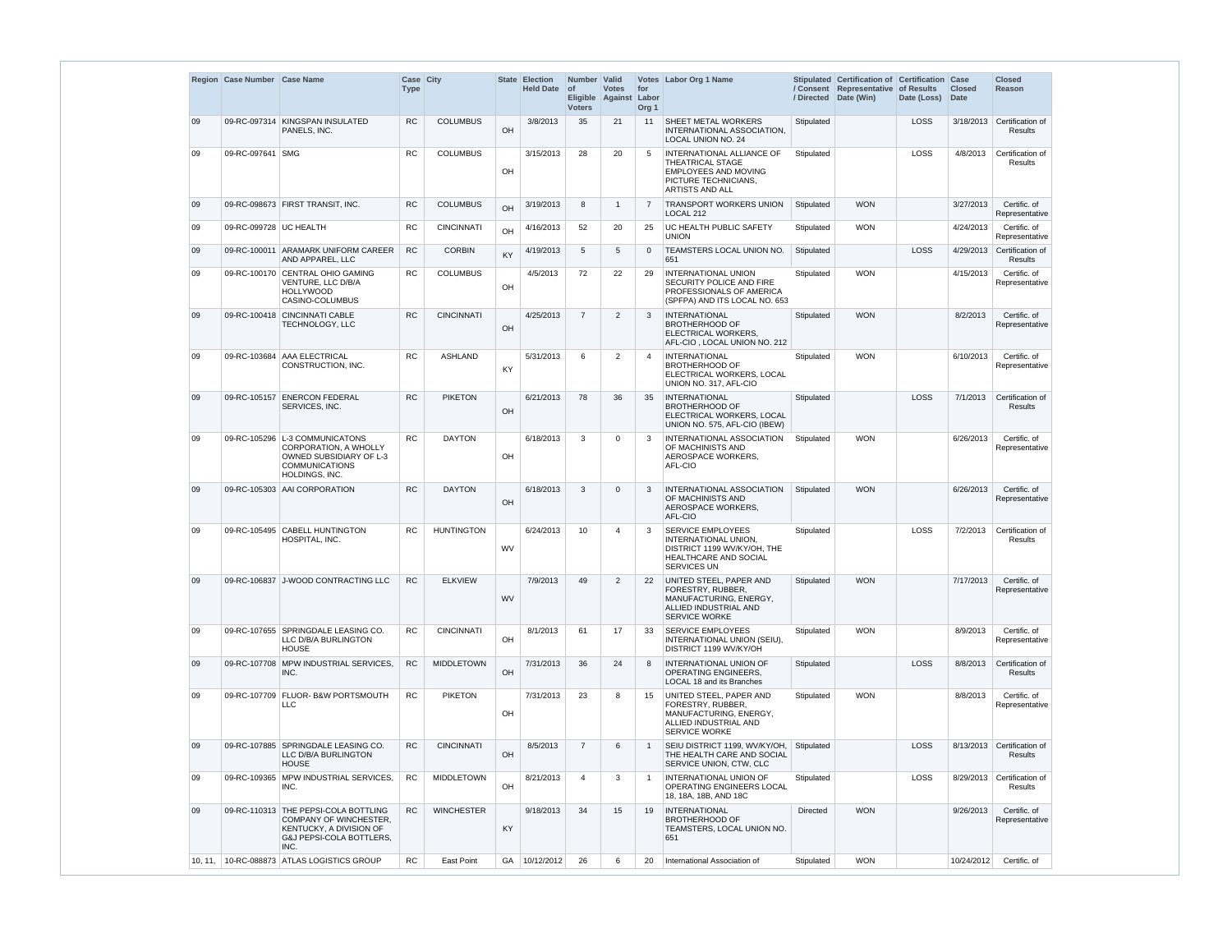|         | Region Case Number Case Name |                                                                                                                                                 | <b>Type</b> | Case City         |           | State Election<br>Held Date of | Number Valid<br><b>Voters</b> | <b>Votes</b><br>Eligible Against | for<br>Labor<br>Org <sub>1</sub> | Votes Labor Org 1 Name                                                                                                         |            | Stipulated Certification of Certification Case<br>/ Consent Representative of Results<br>/ Directed Date (Win) | Date (Loss) | <b>Closed</b><br>Date | <b>Closed</b><br>Reason            |
|---------|------------------------------|-------------------------------------------------------------------------------------------------------------------------------------------------|-------------|-------------------|-----------|--------------------------------|-------------------------------|----------------------------------|----------------------------------|--------------------------------------------------------------------------------------------------------------------------------|------------|----------------------------------------------------------------------------------------------------------------|-------------|-----------------------|------------------------------------|
| 09      | 09-RC-097314                 | KINGSPAN INSULATED<br>PANELS, INC.                                                                                                              | <b>RC</b>   | <b>COLUMBUS</b>   | OH        | 3/8/2013                       | 35                            | 21                               | 11                               | <b>SHEET METAL WORKERS</b><br>INTERNATIONAL ASSOCIATION,<br>LOCAL UNION NO. 24                                                 | Stipulated |                                                                                                                | LOSS        | 3/18/2013             | Certification of<br>Results        |
| 09      | 09-RC-097641 SMG             |                                                                                                                                                 | <b>RC</b>   | <b>COLUMBUS</b>   | OH        | 3/15/2013                      | 28                            | 20                               | 5                                | INTERNATIONAL ALLIANCE OF<br>THEATRICAL STAGE<br><b>EMPLOYEES AND MOVING</b><br>PICTURE TECHNICIANS,<br><b>ARTISTS AND ALL</b> | Stipulated |                                                                                                                | LOSS        | 4/8/2013              | Certification of<br>Results        |
| 09      |                              | 09-RC-098673 FIRST TRANSIT, INC.                                                                                                                | <b>RC</b>   | <b>COLUMBUS</b>   | OH        | 3/19/2013                      | 8                             | $\overline{1}$                   | 7                                | <b>TRANSPORT WORKERS UNION</b><br>LOCAL 212                                                                                    | Stipulated | <b>WON</b>                                                                                                     |             | 3/27/2013             | Certific. of<br>Representative     |
| 09      | 09-RC-099728 UC HEALTH       |                                                                                                                                                 | <b>RC</b>   | <b>CINCINNATI</b> | OH        | 4/16/2013                      | 52                            | 20                               | 25                               | UC HEALTH PUBLIC SAFETY<br><b>UNION</b>                                                                                        | Stipulated | <b>WON</b>                                                                                                     |             | 4/24/2013             | Certific. of<br>Representative     |
| 09      |                              | 09-RC-100011 ARAMARK UNIFORM CAREER<br>AND APPAREL, LLC                                                                                         | RC          | <b>CORBIN</b>     | KY        | 4/19/2013                      | 5                             | 5                                | $\Omega$                         | TEAMSTERS LOCAL UNION NO.<br>651                                                                                               | Stipulated |                                                                                                                | LOSS        | 4/29/2013             | Certification of<br><b>Results</b> |
| 09      |                              | 09-RC-100170 CENTRAL OHIO GAMING<br>VENTURE, LLC D/B/A<br><b>HOLLYWOOD</b><br>CASINO-COLUMBUS                                                   | <b>RC</b>   | <b>COLUMBUS</b>   | OH        | 4/5/2013                       | 72                            | 22                               | 29                               | <b>INTERNATIONAL UNION</b><br>SECURITY POLICE AND FIRE<br>PROFESSIONALS OF AMERICA<br>(SPFPA) AND ITS LOCAL NO. 653            | Stipulated | <b>WON</b>                                                                                                     |             | 4/15/2013             | Certific. of<br>Representative     |
| 09      |                              | 09-RC-100418 CINCINNATI CABLE<br>TECHNOLOGY, LLC                                                                                                | <b>RC</b>   | <b>CINCINNATI</b> | OH        | 4/25/2013                      | $\overline{7}$                | $\overline{2}$                   | 3                                | <b>INTERNATIONAL</b><br><b>BROTHERHOOD OF</b><br>ELECTRICAL WORKERS,<br>AFL-CIO, LOCAL UNION NO. 212                           | Stipulated | <b>WON</b>                                                                                                     |             | 8/2/2013              | Certific. of<br>Representative     |
| 09      |                              | 09-RC-103684 AAA ELECTRICAL<br>CONSTRUCTION, INC.                                                                                               | <b>RC</b>   | <b>ASHLAND</b>    | KY        | 5/31/2013                      | 6                             | $\overline{2}$                   | 4                                | <b>INTERNATIONAL</b><br><b>BROTHERHOOD OF</b><br>ELECTRICAL WORKERS, LOCAL<br>UNION NO. 317, AFL-CIO                           | Stipulated | <b>WON</b>                                                                                                     |             | 6/10/2013             | Certific. of<br>Representative     |
| 09      | 09-RC-105157                 | <b>ENERCON FEDERAL</b><br>SERVICES, INC.                                                                                                        | <b>RC</b>   | <b>PIKETON</b>    | OH        | 6/21/2013                      | 78                            | 36                               | 35                               | <b>INTERNATIONAL</b><br><b>BROTHERHOOD OF</b><br>ELECTRICAL WORKERS, LOCAL<br>UNION NO. 575, AFL-CIO (IBEW)                    | Stipulated |                                                                                                                | LOSS        | 7/1/2013              | Certification of<br><b>Results</b> |
| 09      |                              | 09-RC-105296 L-3 COMMUNICATONS<br><b>CORPORATION, A WHOLLY</b><br>OWNED SUBSIDIARY OF L-3<br><b>COMMUNICATIONS</b><br>HOLDINGS, INC.            | <b>RC</b>   | <b>DAYTON</b>     | OH        | 6/18/2013                      | 3                             | 0                                | -3                               | INTERNATIONAL ASSOCIATION<br>OF MACHINISTS AND<br>AEROSPACE WORKERS,<br>AFL-CIO                                                | Stipulated | <b>WON</b>                                                                                                     |             | 6/26/2013             | Certific. of<br>Representative     |
| 09      |                              | 09-RC-105303 AAI CORPORATION                                                                                                                    | <b>RC</b>   | <b>DAYTON</b>     | OH        | 6/18/2013                      | 3                             | $\Omega$                         | -3                               | INTERNATIONAL ASSOCIATION<br>OF MACHINISTS AND<br>AEROSPACE WORKERS,<br>AFL-CIO                                                | Stipulated | <b>WON</b>                                                                                                     |             | 6/26/2013             | Certific. of<br>Representative     |
| 09      |                              | 09-RC-105495 CABELL HUNTINGTON<br>HOSPITAL, INC.                                                                                                | <b>RC</b>   | <b>HUNTINGTON</b> | <b>WV</b> | 6/24/2013                      | 10                            | 4                                | 3                                | SERVICE EMPLOYEES<br>INTERNATIONAL UNION.<br>DISTRICT 1199 WV/KY/OH, THE<br><b>HEALTHCARE AND SOCIAL</b><br><b>SERVICES UN</b> | Stipulated |                                                                                                                | LOSS        | 7/2/2013              | Certification of<br><b>Results</b> |
| 09      | 09-RC-106837                 | <b>J-WOOD CONTRACTING LLC</b>                                                                                                                   | <b>RC</b>   | <b>ELKVIEW</b>    | <b>WV</b> | 7/9/2013                       | 49                            | 2                                | 22                               | UNITED STEEL, PAPER AND<br>FORESTRY, RUBBER,<br>MANUFACTURING, ENERGY,<br>ALLIED INDUSTRIAL AND<br><b>SERVICE WORKE</b>        | Stipulated | <b>WON</b>                                                                                                     |             | 7/17/2013             | Certific. of<br>Representative     |
| 09      |                              | 09-RC-107655 SPRINGDALE LEASING CO.<br>LLC D/B/A BURLINGTON<br><b>HOUSE</b>                                                                     | <b>RC</b>   | <b>CINCINNATI</b> | OH        | 8/1/2013                       | 61                            | 17                               | 33                               | SERVICE EMPLOYEES<br>INTERNATIONAL UNION (SEIU),<br>DISTRICT 1199 WV/KY/OH                                                     | Stipulated | <b>WON</b>                                                                                                     |             | 8/9/2013              | Certific. of<br>Representative     |
| 09      | 09-RC-107708                 | MPW INDUSTRIAL SERVICES,<br>INC.                                                                                                                | <b>RC</b>   | <b>MIDDLETOWN</b> | OH        | 7/31/2013                      | 36                            | 24                               | -8                               | INTERNATIONAL UNION OF<br>OPERATING ENGINEERS,<br>LOCAL 18 and its Branches                                                    | Stipulated |                                                                                                                | <b>LOSS</b> | 8/8/2013              | Certification of<br>Results        |
| 09      |                              | 09-RC-107709 FLUOR- B&W PORTSMOUTH<br>LLC.                                                                                                      | <b>RC</b>   | <b>PIKETON</b>    | OH        | 7/31/2013                      | 23                            | 8                                | 15                               | UNITED STEEL, PAPER AND<br>FORESTRY, RUBBER,<br>MANUFACTURING, ENERGY,<br>ALLIED INDUSTRIAL AND<br><b>SERVICE WORKE</b>        | Stipulated | <b>WON</b>                                                                                                     |             | 8/8/2013              | Certific. of<br>Representative     |
| 09      |                              | 09-RC-107885 SPRINGDALE LEASING CO.<br>LLC D/B/A BURLINGTON<br><b>HOUSE</b>                                                                     | <b>RC</b>   | <b>CINCINNATI</b> | OH        | 8/5/2013                       | $\overline{7}$                | 6                                | -1                               | SEIU DISTRICT 1199, WV/KY/OH,<br>THE HEALTH CARE AND SOCIAL<br>SERVICE UNION, CTW, CLC                                         | Stipulated |                                                                                                                | LOSS        | 8/13/2013             | Certification of<br>Results        |
| 09      |                              | 09-RC-109365 MPW INDUSTRIAL SERVICES,<br>INC.                                                                                                   | <b>RC</b>   | <b>MIDDLETOWN</b> | OH        | 8/21/2013                      | 4                             | 3                                | -1                               | INTERNATIONAL UNION OF<br>OPERATING ENGINEERS LOCAL<br>18, 18A, 18B, AND 18C                                                   | Stipulated |                                                                                                                | LOSS        | 8/29/2013             | Certification of<br>Results        |
| 09      |                              | 09-RC-110313 THE PEPSI-COLA BOTTLING<br><b>COMPANY OF WINCHESTER,</b><br>KENTUCKY, A DIVISION OF<br><b>G&amp;J PEPSI-COLA BOTTLERS.</b><br>INC. | <b>RC</b>   | <b>WINCHESTER</b> | KY        | 9/18/2013                      | 34                            | 15                               | 19                               | <b>INTERNATIONAL</b><br><b>BROTHERHOOD OF</b><br>TEAMSTERS, LOCAL UNION NO.<br>651                                             | Directed   | <b>WON</b>                                                                                                     |             | 9/26/2013             | Certific. of<br>Representative     |
| 10, 11, |                              | 10-RC-088873   ATLAS LOGISTICS GROUP                                                                                                            | <b>RC</b>   | <b>East Point</b> |           | GA   10/12/2012                | 26                            | 6                                | 20                               | International Association of                                                                                                   | Stipulated | <b>WON</b>                                                                                                     |             | 10/24/2012            | Certific. of                       |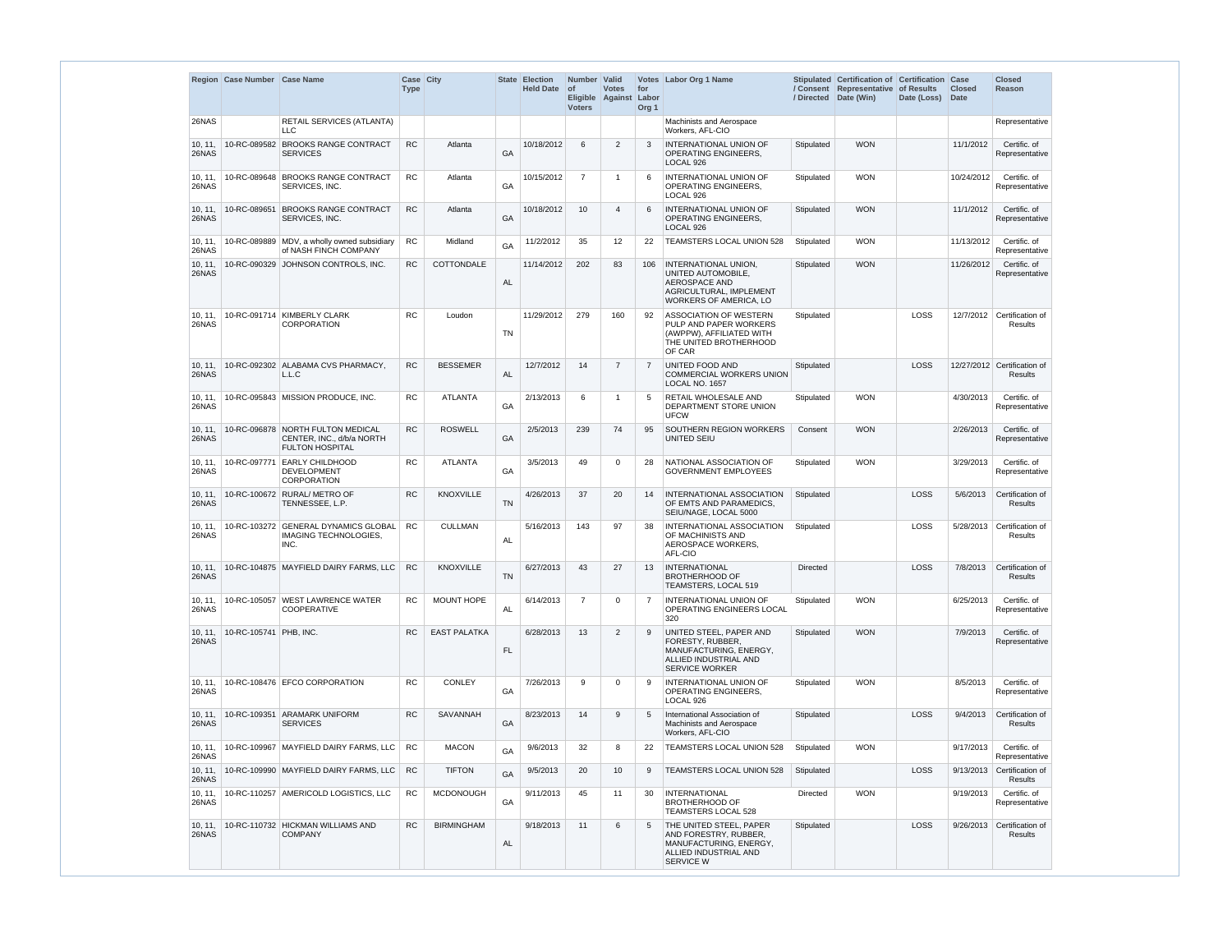|                  | Region Case Number Case Name |                                                                                          | Case City<br><b>Type</b> |                     |           | <b>State Election</b><br><b>Held Date</b> | Number Valid<br><b>of</b><br><b>Voters</b> | <b>Votes</b><br>Eligible Against Labor | for<br>Org <sub>1</sub> | Votes Labor Org 1 Name                                                                                                  |                 | Stipulated Certification of Certification Case<br>/ Consent Representative<br>/ Directed Date (Win) | of Results<br>Date (Loss) | <b>Closed</b><br><b>Date</b> | <b>Closed</b><br><b>Reason</b>         |
|------------------|------------------------------|------------------------------------------------------------------------------------------|--------------------------|---------------------|-----------|-------------------------------------------|--------------------------------------------|----------------------------------------|-------------------------|-------------------------------------------------------------------------------------------------------------------------|-----------------|-----------------------------------------------------------------------------------------------------|---------------------------|------------------------------|----------------------------------------|
| 26NAS            |                              | <b>RETAIL SERVICES (ATLANTA)</b><br>LLC.                                                 |                          |                     |           |                                           |                                            |                                        |                         | Machinists and Aerospace<br>Workers, AFL-CIO                                                                            |                 |                                                                                                     |                           |                              | Representative                         |
| 10, 11,<br>26NAS | 10-RC-089582                 | <b>BROOKS RANGE CONTRACT</b><br><b>SERVICES</b>                                          | <b>RC</b>                | Atlanta             | GA        | 10/18/2012                                | 6                                          | 2                                      | 3                       | INTERNATIONAL UNION OF<br>OPERATING ENGINEERS,<br>LOCAL 926                                                             | Stipulated      | <b>WON</b>                                                                                          |                           | 11/1/2012                    | Certific. of<br>Representative         |
| 10, 11,<br>26NAS | 10-RC-089648                 | <b>BROOKS RANGE CONTRACT</b><br>SERVICES, INC.                                           | <b>RC</b>                | Atlanta             | GA        | 10/15/2012                                | $\overline{7}$                             | -1                                     | 6                       | INTERNATIONAL UNION OF<br><b>OPERATING ENGINEERS,</b><br>LOCAL 926                                                      | Stipulated      | <b>WON</b>                                                                                          |                           | 10/24/2012                   | Certific. of<br>Representative         |
| 10, 11,<br>26NAS | 10-RC-089651                 | <b>BROOKS RANGE CONTRACT</b><br>SERVICES, INC.                                           | <b>RC</b>                | Atlanta             | GA        | 10/18/2012                                | 10                                         | $\overline{4}$                         | 6                       | INTERNATIONAL UNION OF<br>OPERATING ENGINEERS,<br>LOCAL 926                                                             | Stipulated      | <b>WON</b>                                                                                          |                           | 11/1/2012                    | Certific. of<br>Representative         |
| 10, 11,<br>26NAS |                              | 10-RC-089889 MDV, a wholly owned subsidiary<br>of NASH FINCH COMPANY                     | RC                       | Midland             | GA        | 11/2/2012                                 | 35                                         | 12                                     | 22                      | TEAMSTERS LOCAL UNION 528                                                                                               | Stipulated      | <b>WON</b>                                                                                          |                           | 11/13/2012                   | Certific. of<br>Representative         |
| 10, 11,<br>26NAS |                              | 10-RC-090329 JOHNSON CONTROLS, INC.                                                      | <b>RC</b>                | COTTONDALE          | AL        | 11/14/2012                                | 202                                        | 83                                     | 106                     | INTERNATIONAL UNION,<br>UNITED AUTOMOBILE,<br><b>AEROSPACE AND</b><br>AGRICULTURAL, IMPLEMENT<br>WORKERS OF AMERICA, LO | Stipulated      | <b>WON</b>                                                                                          |                           | 11/26/2012                   | Certific. of<br>Representative         |
| 10, 11,<br>26NAS |                              | 10-RC-091714 KIMBERLY CLARK<br><b>CORPORATION</b>                                        | <b>RC</b>                | Loudon              | <b>TN</b> | 11/29/2012                                | 279                                        | 160                                    | 92                      | <b>ASSOCIATION OF WESTERN</b><br>PULP AND PAPER WORKERS<br>(AWPPW), AFFILIATED WITH<br>THE UNITED BROTHERHOOD<br>OF CAR | Stipulated      |                                                                                                     | LOSS                      | 12/7/2012                    | Certification of<br>Results            |
| 10, 11,<br>26NAS |                              | 10-RC-092302 ALABAMA CVS PHARMACY,<br>L.L.C                                              | <b>RC</b>                | <b>BESSEMER</b>     | AL        | 12/7/2012                                 | 14                                         | $\overline{7}$                         | $\overline{7}$          | UNITED FOOD AND<br><b>COMMERCIAL WORKERS UNION</b><br>LOCAL NO. 1657                                                    | Stipulated      |                                                                                                     | LOSS                      |                              | 12/27/2012 Certification of<br>Results |
| 10, 11,<br>26NAS |                              | 10-RC-095843 MISSION PRODUCE, INC.                                                       | <b>RC</b>                | <b>ATLANTA</b>      | GA        | 2/13/2013                                 | 6                                          |                                        | 5                       | RETAIL WHOLESALE AND<br>DEPARTMENT STORE UNION<br><b>UFCW</b>                                                           | Stipulated      | <b>WON</b>                                                                                          |                           | 4/30/2013                    | Certific. of<br>Representative         |
| 10, 11,<br>26NAS |                              | 10-RC-096878 NORTH FULTON MEDICAL<br>CENTER, INC., d/b/a NORTH<br><b>FULTON HOSPITAL</b> | <b>RC</b>                | <b>ROSWELL</b>      | GA        | 2/5/2013                                  | 239                                        | 74                                     | 95                      | SOUTHERN REGION WORKERS<br>UNITED SEIU                                                                                  | Consent         | <b>WON</b>                                                                                          |                           | 2/26/2013                    | Certific. of<br>Representative         |
| 10, 11,<br>26NAS | 10-RC-097771                 | <b>EARLY CHILDHOOD</b><br><b>DEVELOPMENT</b><br>CORPORATION                              | <b>RC</b>                | <b>ATLANTA</b>      | GA        | 3/5/2013                                  | 49                                         | $\mathbf 0$                            | 28                      | NATIONAL ASSOCIATION OF<br><b>GOVERNMENT EMPLOYEES</b>                                                                  | Stipulated      | <b>WON</b>                                                                                          |                           | 3/29/2013                    | Certific. of<br>Representative         |
| 10, 11,<br>26NAS |                              | 10-RC-100672 RURAL/ METRO OF<br>TENNESSEE, L.P.                                          | <b>RC</b>                | <b>KNOXVILLE</b>    | <b>TN</b> | 4/26/2013                                 | 37                                         | 20                                     | 14                      | INTERNATIONAL ASSOCIATION<br>OF EMTS AND PARAMEDICS,<br>SEIU/NAGE, LOCAL 5000                                           | Stipulated      |                                                                                                     | <b>LOSS</b>               | 5/6/2013                     | Certification of<br>Results            |
| 10, 11,<br>26NAS |                              | 10-RC-103272 GENERAL DYNAMICS GLOBAL<br><b>IMAGING TECHNOLOGIES,</b><br>INC.             | <b>RC</b>                | <b>CULLMAN</b>      | AL        | 5/16/2013                                 | 143                                        | 97                                     | 38                      | INTERNATIONAL ASSOCIATION<br>OF MACHINISTS AND<br>AEROSPACE WORKERS,<br>AFL-CIO                                         | Stipulated      |                                                                                                     | LOSS                      | 5/28/2013                    | Certification of<br>Results            |
| 10, 11,<br>26NAS |                              | 10-RC-104875 MAYFIELD DAIRY FARMS, LLC                                                   | <b>RC</b>                | KNOXVILLE           | <b>TN</b> | 6/27/2013                                 | 43                                         | 27                                     | 13                      | <b>INTERNATIONAL</b><br><b>BROTHERHOOD OF</b><br>TEAMSTERS, LOCAL 519                                                   | <b>Directed</b> |                                                                                                     | LOSS                      | 7/8/2013                     | Certification of<br>Results            |
| 10, 11,<br>26NAS |                              | 10-RC-105057 WEST LAWRENCE WATER<br>COOPERATIVE                                          | RC                       | <b>MOUNT HOPE</b>   | AL        | 6/14/2013                                 | $\overline{7}$                             | $\mathbf 0$                            | $\overline{7}$          | INTERNATIONAL UNION OF<br>OPERATING ENGINEERS LOCAL<br>320                                                              | Stipulated      | <b>WON</b>                                                                                          |                           | 6/25/2013                    | Certific. of<br>Representative         |
| 10, 11,<br>26NAS | 10-RC-105741 PHB, INC.       |                                                                                          | <b>RC</b>                | <b>EAST PALATKA</b> | <b>FL</b> | 6/28/2013                                 | 13                                         | 2                                      | 9                       | UNITED STEEL, PAPER AND<br>FORESTY, RUBBER,<br>MANUFACTURING, ENERGY,<br>ALLIED INDUSTRIAL AND<br><b>SERVICE WORKER</b> | Stipulated      | <b>WON</b>                                                                                          |                           | 7/9/2013                     | Certific. of<br>Representative         |
| 10, 11,<br>26NAS |                              | 10-RC-108476 EFCO CORPORATION                                                            | <b>RC</b>                | <b>CONLEY</b>       | GA        | 7/26/2013                                 | 9                                          | $\mathbf 0$                            | 9                       | INTERNATIONAL UNION OF<br>OPERATING ENGINEERS,<br>LOCAL 926                                                             | Stipulated      | <b>WON</b>                                                                                          |                           | 8/5/2013                     | Certific. of<br>Representative         |
| 10, 11,<br>26NAS |                              | 10-RC-109351 ARAMARK UNIFORM<br><b>SERVICES</b>                                          | <b>RC</b>                | SAVANNAH            | GA        | 8/23/2013                                 | 14                                         | 9                                      | 5                       | International Association of<br>Machinists and Aerospace<br>Workers, AFL-CIO                                            | Stipulated      |                                                                                                     | LOSS                      | 9/4/2013                     | Certification of<br>Results            |
| 10, 11,<br>26NAS |                              | 10-RC-109967   MAYFIELD DAIRY FARMS, LLC                                                 | <b>RC</b>                | <b>MACON</b>        | GA        | 9/6/2013                                  | 32                                         | 8                                      | 22                      | TEAMSTERS LOCAL UNION 528                                                                                               | Stipulated      | <b>WON</b>                                                                                          |                           | 9/17/2013                    | Certific. of<br>Representative         |
| 10, 11,<br>26NAS |                              | 10-RC-109990 MAYFIELD DAIRY FARMS, LLC                                                   | ${\sf RC}$               | <b>TIFTON</b>       | GA        | 9/5/2013                                  | 20                                         | 10                                     | 9                       | TEAMSTERS LOCAL UNION 528                                                                                               | Stipulated      |                                                                                                     | LOSS                      | 9/13/2013                    | Certification of<br><b>Results</b>     |
| 10, 11,<br>26NAS |                              | 10-RC-110257 AMERICOLD LOGISTICS, LLC                                                    | <b>RC</b>                | <b>MCDONOUGH</b>    | GA        | 9/11/2013                                 | 45                                         | 11                                     | 30                      | <b>INTERNATIONAL</b><br><b>BROTHERHOOD OF</b><br><b>TEAMSTERS LOCAL 528</b>                                             | Directed        | <b>WON</b>                                                                                          |                           | 9/19/2013                    | Certific. of<br>Representative         |
| 10, 11,<br>26NAS |                              | 10-RC-110732 HICKMAN WILLIAMS AND<br><b>COMPANY</b>                                      | <b>RC</b>                | <b>BIRMINGHAM</b>   | AL        | 9/18/2013                                 | 11                                         | 6                                      | 5                       | THE UNITED STEEL, PAPER<br>AND FORESTRY, RUBBER,<br>MANUFACTURING, ENERGY,<br>ALLIED INDUSTRIAL AND<br><b>SERVICE W</b> | Stipulated      |                                                                                                     | LOSS                      | 9/26/2013                    | Certification of<br>Results            |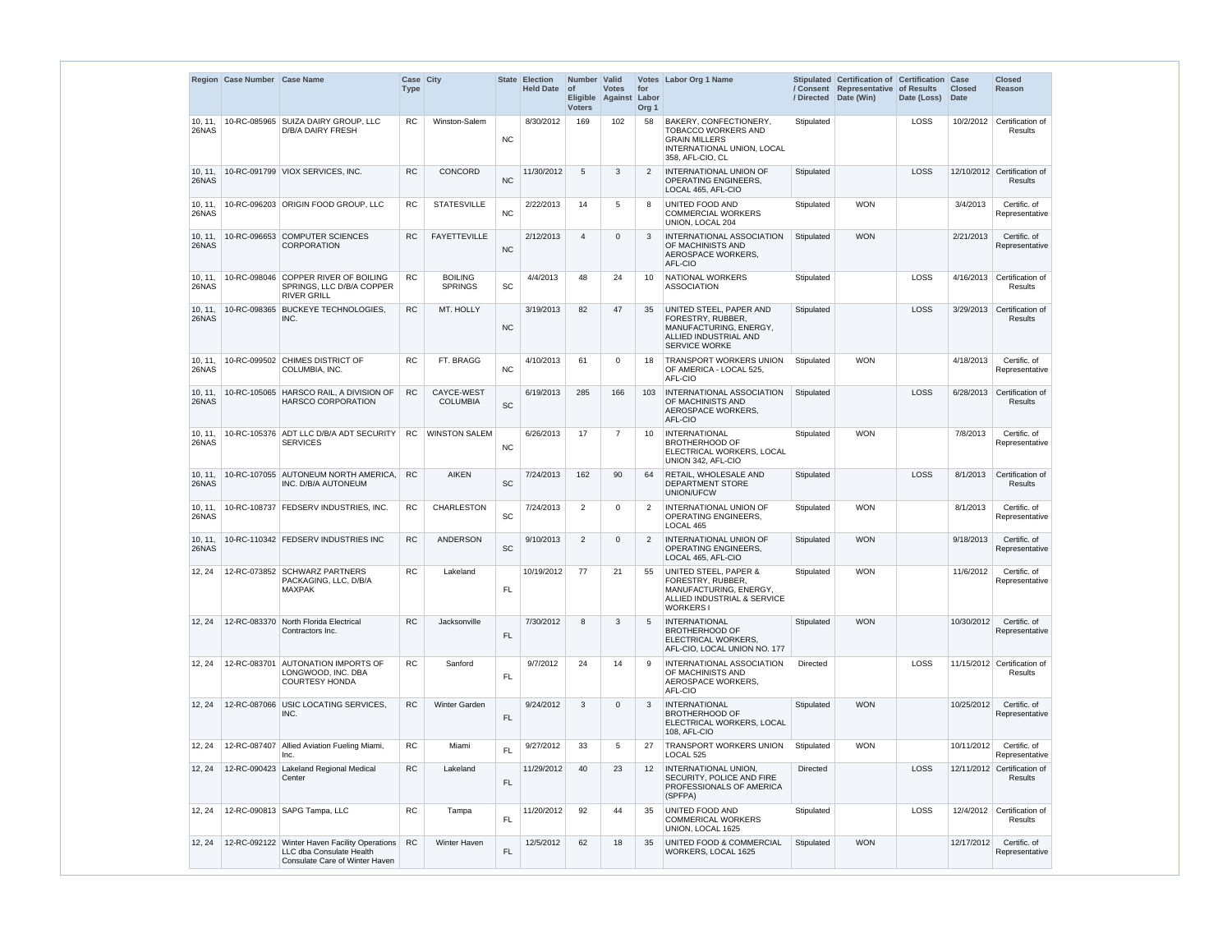|                  | Region Case Number Case Name |                                                                                                             | Case City<br><b>Type</b> |                                  | <b>State</b>                 | <b>Election</b><br>Held Date of | Number   Valid<br><b>Voters</b> | <b>Votes</b><br>Eligible Against | for<br>Labor<br>Org <sub>1</sub> | Votes Labor Org 1 Name                                                                                                            | / Directed      | Stipulated Certification of Certification Case<br>/ Consent Representative of Results<br>Date (Win) | Date (Loss) | <b>Closed</b><br><b>Date</b> | <b>Closed</b><br>Reason                       |
|------------------|------------------------------|-------------------------------------------------------------------------------------------------------------|--------------------------|----------------------------------|------------------------------|---------------------------------|---------------------------------|----------------------------------|----------------------------------|-----------------------------------------------------------------------------------------------------------------------------------|-----------------|-----------------------------------------------------------------------------------------------------|-------------|------------------------------|-----------------------------------------------|
| 10, 11,<br>26NAS |                              | 10-RC-085965 SUIZA DAIRY GROUP, LLC<br><b>D/B/A DAIRY FRESH</b>                                             | <b>RC</b>                | Winston-Salem                    | <b>NC</b>                    | 8/30/2012                       | 169                             | 102                              | 58                               | BAKERY, CONFECTIONERY,<br><b>TOBACCO WORKERS AND</b><br><b>GRAIN MILLERS</b><br>INTERNATIONAL UNION, LOCAL<br>358, AFL-CIO, CL    | Stipulated      |                                                                                                     | LOSS        | 10/2/2012                    | Certification of<br>Results                   |
| 10, 11,<br>26NAS |                              | 10-RC-091799 VIOX SERVICES, INC.                                                                            | <b>RC</b>                | CONCORD                          | <b>NC</b>                    | 11/30/2012                      | 5                               | 3                                | 2                                | INTERNATIONAL UNION OF<br>OPERATING ENGINEERS.<br>LOCAL 465, AFL-CIO                                                              | Stipulated      |                                                                                                     | LOSS        |                              | 12/10/2012 Certification of<br><b>Results</b> |
| 10, 11,<br>26NAS |                              | 10-RC-096203 ORIGIN FOOD GROUP, LLC                                                                         | <b>RC</b>                | <b>STATESVILLE</b>               | <b>NC</b>                    | 2/22/2013                       | 14                              | 5                                | 8                                | UNITED FOOD AND<br><b>COMMERCIAL WORKERS</b><br>UNION, LOCAL 204                                                                  | Stipulated      | <b>WON</b>                                                                                          |             | 3/4/2013                     | Certific. of<br>Representative                |
| 10, 11,<br>26NAS |                              | 10-RC-096653 COMPUTER SCIENCES<br><b>CORPORATION</b>                                                        | <b>RC</b>                | <b>FAYETTEVILLE</b>              | <b>NC</b>                    | 2/12/2013                       | $\overline{4}$                  | $\Omega$                         | 3                                | INTERNATIONAL ASSOCIATION<br>OF MACHINISTS AND<br>AEROSPACE WORKERS,<br>AFL-CIO                                                   | Stipulated      | <b>WON</b>                                                                                          |             | 2/21/2013                    | Certific. of<br>Representative                |
| 10, 11,<br>26NAS |                              | 10-RC-098046 COPPER RIVER OF BOILING<br>SPRINGS, LLC D/B/A COPPER<br><b>RIVER GRILL</b>                     | <b>RC</b>                | <b>BOILING</b><br><b>SPRINGS</b> | <b>SC</b>                    | 4/4/2013                        | 48                              | 24                               | 10                               | NATIONAL WORKERS<br>ASSOCIATION                                                                                                   | Stipulated      |                                                                                                     | <b>LOSS</b> | 4/16/2013                    | Certification of<br>Results                   |
| 10, 11,<br>26NAS |                              | 10-RC-098365 BUCKEYE TECHNOLOGIES,<br>INC.                                                                  | <b>RC</b>                | MT. HOLLY                        | <b>NC</b>                    | 3/19/2013                       | 82                              | 47                               | 35                               | UNITED STEEL, PAPER AND<br>FORESTRY, RUBBER.<br>MANUFACTURING, ENERGY,<br>ALLIED INDUSTRIAL AND<br><b>SERVICE WORKE</b>           | Stipulated      |                                                                                                     | <b>LOSS</b> | 3/29/2013                    | Certification of<br><b>Results</b>            |
| 10, 11,<br>26NAS |                              | 10-RC-099502 CHIMES DISTRICT OF<br>COLUMBIA, INC.                                                           | <b>RC</b>                | FT. BRAGG                        | <b>NC</b>                    | 4/10/2013                       | 61                              | $\Omega$                         | 18                               | <b>TRANSPORT WORKERS UNION</b><br>OF AMERICA - LOCAL 525,<br>AFL-CIO                                                              | Stipulated      | <b>WON</b>                                                                                          |             | 4/18/2013                    | Certific. of<br>Representative                |
| 10, 11,<br>26NAS |                              | 10-RC-105065 HARSCO RAIL, A DIVISION OF<br><b>HARSCO CORPORATION</b>                                        | <b>RC</b>                | CAYCE-WEST<br><b>COLUMBIA</b>    | SC                           | 6/19/2013                       | 285                             | 166                              | 103                              | <b>INTERNATIONAL ASSOCIATION</b><br>OF MACHINISTS AND<br>AEROSPACE WORKERS,<br>AFL-CIO                                            | Stipulated      |                                                                                                     | <b>LOSS</b> | 6/28/2013                    | Certification of<br>Results                   |
| 10, 11<br>26NAS  |                              | 10-RC-105376 ADT LLC D/B/A ADT SECURITY<br><b>SERVICES</b>                                                  | <b>RC</b>                | <b>WINSTON SALEM</b>             | <b>NC</b>                    | 6/26/2013                       | 17                              | 7                                | 10                               | <b>INTERNATIONAL</b><br><b>BROTHERHOOD OF</b><br>ELECTRICAL WORKERS, LOCAL<br>UNION 342, AFL-CIO                                  | Stipulated      | <b>WON</b>                                                                                          |             | 7/8/2013                     | Certific. of<br>Representative                |
| 10, 11,<br>26NAS |                              | 10-RC-107055 AUTONEUM NORTH AMERICA.<br>INC. D/B/A AUTONEUM                                                 | <b>RC</b>                | <b>AIKEN</b>                     | SC                           | 7/24/2013                       | 162                             | 90                               | 64                               | RETAIL, WHOLESALE AND<br>DEPARTMENT STORE<br>UNION/UFCW                                                                           | Stipulated      |                                                                                                     | LOSS        | 8/1/2013                     | Certification of<br>Results                   |
| 10, 11,<br>26NAS |                              | 10-RC-108737 FEDSERV INDUSTRIES, INC.                                                                       | <b>RC</b>                | CHARLESTON                       | SC                           | 7/24/2013                       | $\overline{2}$                  | 0                                | $\overline{2}$                   | INTERNATIONAL UNION OF<br><b>OPERATING ENGINEERS.</b><br>LOCAL 465                                                                | Stipulated      | <b>WON</b>                                                                                          |             | 8/1/2013                     | Certific. of<br>Representative                |
| 10, 11,<br>26NAS |                              | 10-RC-110342 FEDSERV INDUSTRIES INC                                                                         | RC                       | <b>ANDERSON</b>                  | $\operatorname{\textsf{SC}}$ | 9/10/2013                       | 2                               | $\overline{0}$                   | 2                                | INTERNATIONAL UNION OF<br><b>OPERATING ENGINEERS,</b><br>LOCAL 465. AFL-CIO                                                       | Stipulated      | <b>WON</b>                                                                                          |             | 9/18/2013                    | Certific, of<br>Representative                |
| 12, 24           |                              | 12-RC-073852 SCHWARZ PARTNERS<br>PACKAGING, LLC, D/B/A<br><b>MAXPAK</b>                                     | <b>RC</b>                | Lakeland                         | <b>FL</b>                    | 10/19/2012                      | 77                              | 21                               | 55                               | <b>UNITED STEEL, PAPER &amp;</b><br>FORESTRY, RUBBER,<br>MANUFACTURING, ENERGY.<br>ALLIED INDUSTRIAL & SERVICE<br><b>WORKERS1</b> | Stipulated      | <b>WON</b>                                                                                          |             | 11/6/2012                    | Certific. of<br>Representative                |
| 12, 24           |                              | 12-RC-083370 North Florida Electrical<br>Contractors Inc.                                                   | <b>RC</b>                | Jacksonville                     | FL.                          | 7/30/2012                       | 8                               | 3                                | 5                                | <b>INTERNATIONAL</b><br><b>BROTHERHOOD OF</b><br>ELECTRICAL WORKERS,<br>AFL-CIO, LOCAL UNION NO. 177                              | Stipulated      | <b>WON</b>                                                                                          |             | 10/30/2012                   | Certific. of<br>Representative                |
| 12, 24           |                              | 12-RC-083701 AUTONATION IMPORTS OF<br>LONGWOOD, INC. DBA<br><b>COURTESY HONDA</b>                           | <b>RC</b>                | Sanford                          | <b>FL</b>                    | 9/7/2012                        | 24                              | 14                               | 9                                | INTERNATIONAL ASSOCIATION<br>OF MACHINISTS AND<br>AEROSPACE WORKERS,<br>AFL-CIO                                                   | <b>Directed</b> |                                                                                                     | LOSS        |                              | 11/15/2012 Certification of<br>Results        |
| 12, 24           |                              | 12-RC-087066 USIC LOCATING SERVICES.<br>INC.                                                                | <b>RC</b>                | <b>Winter Garden</b>             | <b>FL</b>                    | 9/24/2012                       | 3                               | $\Omega$                         | 3                                | <b>INTERNATIONAL</b><br><b>BROTHERHOOD OF</b><br>ELECTRICAL WORKERS, LOCAL<br>108, AFL-CIO                                        | Stipulated      | <b>WON</b>                                                                                          |             | 10/25/2012                   | Certific, of<br>Representative                |
| 12, 24           |                              | 12-RC-087407   Allied Aviation Fueling Miami,<br>Inc.                                                       | RC                       | Miami                            | FL                           | 9/27/2012                       | 33                              | 5                                | 27                               | TRANSPORT WORKERS UNION<br>LOCAL 525                                                                                              | Stipulated      | <b>WON</b>                                                                                          |             | 10/11/2012                   | Certific. of<br>Representative                |
| 12, 24           |                              | 12-RC-090423 Lakeland Regional Medical<br>Center                                                            | <b>RC</b>                | Lakeland                         | FL.                          | 11/29/2012                      | 40                              | 23                               | $12 \overline{ }$                | INTERNATIONAL UNION,<br>SECURITY, POLICE AND FIRE<br>PROFESSIONALS OF AMERICA<br>(SPFPA)                                          | <b>Directed</b> |                                                                                                     | LOSS        |                              | 12/11/2012 Certification of<br>Results        |
| 12, 24           |                              | 12-RC-090813   SAPG Tampa, LLC                                                                              | <b>RC</b>                | Tampa                            | <b>FL</b>                    | 11/20/2012                      | 92                              | 44                               | 35                               | UNITED FOOD AND<br><b>COMMERICAL WORKERS</b><br>UNION, LOCAL 1625                                                                 | Stipulated      |                                                                                                     | LOSS        |                              | 12/4/2012 Certification of<br>Results         |
| 12, 24           |                              | 12-RC-092122 Winter Haven Facility Operations<br>LLC dba Consulate Health<br>Consulate Care of Winter Haven | <b>RC</b>                | Winter Haven                     | $\mathsf{FL}$                | 12/5/2012                       | 62                              | 18                               | 35                               | <b>UNITED FOOD &amp; COMMERCIAL</b><br>WORKERS, LOCAL 1625                                                                        | Stipulated      | <b>WON</b>                                                                                          |             | 12/17/2012                   | Certific. of<br>Representative                |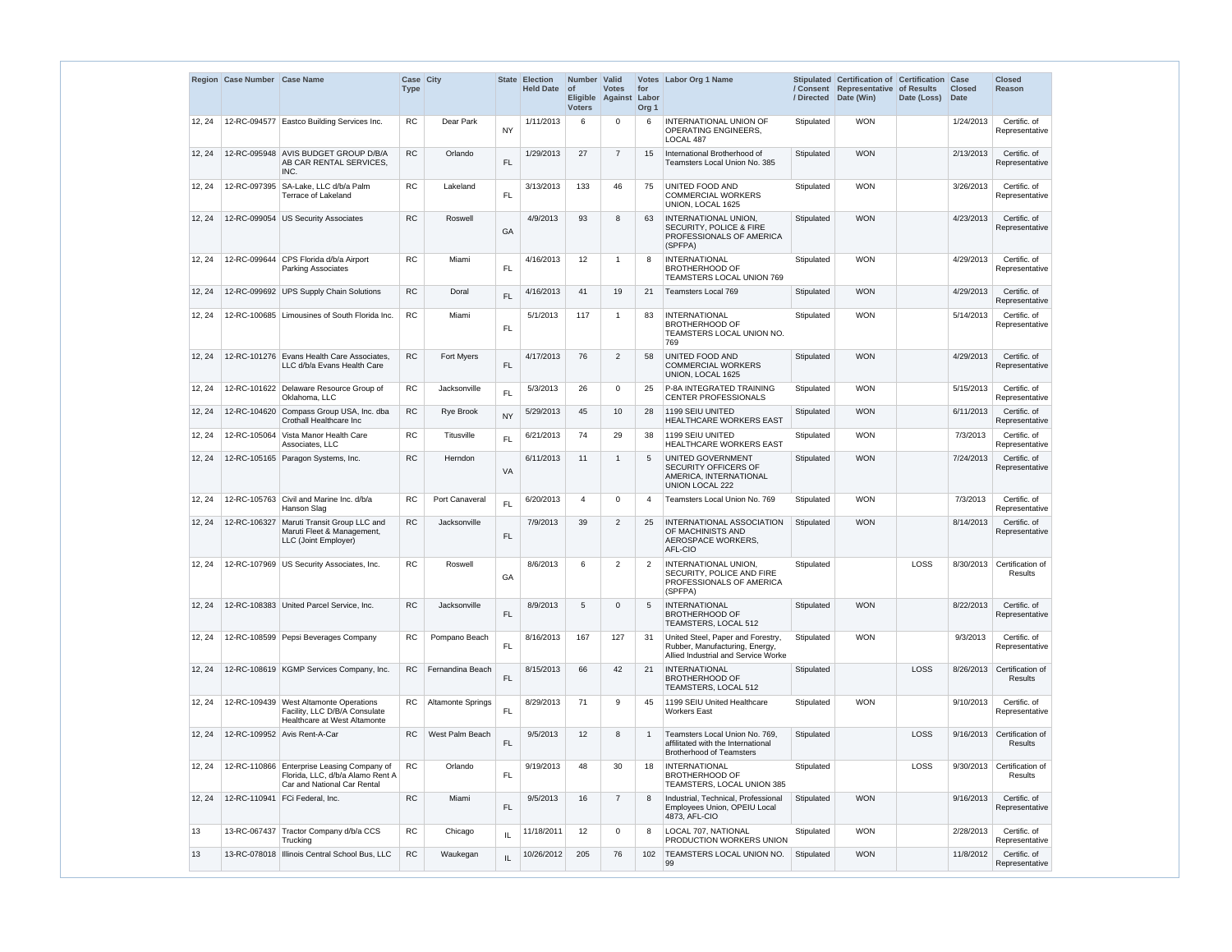|        | Region Case Number Case Name |                                                                                                               | Case City<br><b>Type</b> |                          |               | State Election<br><b>Held Date</b> | Number Valid<br><b>of</b><br><b>Voters</b> | <b>Votes</b><br>Eligible Against | for<br>Labor<br>Org <sub>1</sub> | Votes Labor Org 1 Name                                                                                     | / Directed | Stipulated Certification of Certification<br>/ Consent Representative of Results<br>Date (Win) | Date (Loss) | Case<br><b>Closed</b><br><b>Date</b> | <b>Closed</b><br><b>Reason</b>     |
|--------|------------------------------|---------------------------------------------------------------------------------------------------------------|--------------------------|--------------------------|---------------|------------------------------------|--------------------------------------------|----------------------------------|----------------------------------|------------------------------------------------------------------------------------------------------------|------------|------------------------------------------------------------------------------------------------|-------------|--------------------------------------|------------------------------------|
| 12, 24 |                              | 12-RC-094577 Eastco Building Services Inc.                                                                    | RC                       | Dear Park                | <b>NY</b>     | 1/11/2013                          | 6                                          | 0                                | 6                                | INTERNATIONAL UNION OF<br><b>OPERATING ENGINEERS.</b><br>LOCAL 487                                         | Stipulated | <b>WON</b>                                                                                     |             | 1/24/2013                            | Certific. of<br>Representative     |
| 12, 24 | 12-RC-095948                 | <b>AVIS BUDGET GROUP D/B/A</b><br>AB CAR RENTAL SERVICES,<br>INC.                                             | <b>RC</b>                | Orlando                  | $\mathsf{FL}$ | 1/29/2013                          | 27                                         | $\overline{7}$                   | 15                               | International Brotherhood of<br>Teamsters Local Union No. 385                                              | Stipulated | <b>WON</b>                                                                                     |             | 2/13/2013                            | Certific. of<br>Representative     |
| 12, 24 | 12-RC-097395                 | SA-Lake, LLC d/b/a Palm<br>Terrace of Lakeland                                                                | <b>RC</b>                | Lakeland                 | FL            | 3/13/2013                          | 133                                        | 46                               | 75                               | UNITED FOOD AND<br><b>COMMERCIAL WORKERS</b><br>UNION, LOCAL 1625                                          | Stipulated | <b>WON</b>                                                                                     |             | 3/26/2013                            | Certific. of<br>Representative     |
| 12, 24 |                              | 12-RC-099054 US Security Associates                                                                           | <b>RC</b>                | Roswell                  | GA            | 4/9/2013                           | 93                                         | 8                                | 63                               | <b>INTERNATIONAL UNION,</b><br><b>SECURITY, POLICE &amp; FIRE</b><br>PROFESSIONALS OF AMERICA<br>(SPFPA)   | Stipulated | <b>WON</b>                                                                                     |             | 4/23/2013                            | Certific. of<br>Representative     |
| 12, 24 |                              | 12-RC-099644 CPS Florida d/b/a Airport<br><b>Parking Associates</b>                                           | <b>RC</b>                | Miami                    | FL.           | 4/16/2013                          | 12                                         |                                  | 8                                | <b>INTERNATIONAL</b><br><b>BROTHERHOOD OF</b><br>TEAMSTERS LOCAL UNION 769                                 | Stipulated | <b>WON</b>                                                                                     |             | 4/29/2013                            | Certific. of<br>Representative     |
| 12, 24 |                              | 12-RC-099692 UPS Supply Chain Solutions                                                                       | <b>RC</b>                | Doral                    | <b>FL</b>     | 4/16/2013                          | 41                                         | 19                               | 21                               | <b>Teamsters Local 769</b>                                                                                 | Stipulated | <b>WON</b>                                                                                     |             | 4/29/2013                            | Certific. of<br>Representative     |
| 12, 24 |                              | 12-RC-100685 Limousines of South Florida Inc.                                                                 | <b>RC</b>                | Miami                    | <b>FL</b>     | 5/1/2013                           | 117                                        | -1                               | 83                               | <b>INTERNATIONAL</b><br><b>BROTHERHOOD OF</b><br>TEAMSTERS LOCAL UNION NO.<br>769                          | Stipulated | <b>WON</b>                                                                                     |             | 5/14/2013                            | Certific. of<br>Representative     |
| 12, 24 |                              | 12-RC-101276 Evans Health Care Associates,<br>LLC d/b/a Evans Health Care                                     | <b>RC</b>                | <b>Fort Myers</b>        | FL            | 4/17/2013                          | 76                                         | $\overline{2}$                   | 58                               | UNITED FOOD AND<br><b>COMMERCIAL WORKERS</b><br>UNION, LOCAL 1625                                          | Stipulated | <b>WON</b>                                                                                     |             | 4/29/2013                            | Certific. of<br>Representative     |
| 12, 24 |                              | 12-RC-101622 Delaware Resource Group of<br>Oklahoma, LLC                                                      | <b>RC</b>                | Jacksonville             | FL.           | 5/3/2013                           | 26                                         | 0                                | 25                               | P-8A INTEGRATED TRAINING<br><b>CENTER PROFESSIONALS</b>                                                    | Stipulated | <b>WON</b>                                                                                     |             | 5/15/2013                            | Certific. of<br>Representative     |
| 12, 24 | 12-RC-104620                 | Compass Group USA, Inc. dba<br>Crothall Healthcare Inc                                                        | RC                       | <b>Rye Brook</b>         | <b>NY</b>     | 5/29/2013                          | 45                                         | 10                               | 28                               | 1199 SEIU UNITED<br><b>HEALTHCARE WORKERS EAST</b>                                                         | Stipulated | <b>WON</b>                                                                                     |             | 6/11/2013                            | Certific. of<br>Representative     |
| 12, 24 | 12-RC-105064                 | Vista Manor Health Care<br>Associates, LLC                                                                    | RC                       | Titusville               | FL            | 6/21/2013                          | 74                                         | 29                               | 38                               | 1199 SEIU UNITED<br>HEALTHCARE WORKERS EAST                                                                | Stipulated | <b>WON</b>                                                                                     |             | 7/3/2013                             | Certific. of<br>Representative     |
| 12, 24 |                              | 12-RC-105165 Paragon Systems, Inc.                                                                            | RC                       | Herndon                  | VA            | 6/11/2013                          | 11                                         |                                  | 5                                | <b>UNITED GOVERNMENT</b><br>SECURITY OFFICERS OF<br>AMERICA, INTERNATIONAL<br>UNION LOCAL 222              | Stipulated | <b>WON</b>                                                                                     |             | 7/24/2013                            | Certific. of<br>Representative     |
| 12, 24 |                              | 12-RC-105763 Civil and Marine Inc. d/b/a<br>Hanson Slag                                                       | <b>RC</b>                | Port Canaveral           | <b>FL</b>     | 6/20/2013                          | 4                                          | $\mathbf{0}$                     | 4                                | Teamsters Local Union No. 769                                                                              | Stipulated | <b>WON</b>                                                                                     |             | 7/3/2013                             | Certific. of<br>Representative     |
| 12, 24 | 12-RC-106327                 | Maruti Transit Group LLC and<br>Maruti Fleet & Management,<br>LLC (Joint Employer)                            | <b>RC</b>                | Jacksonville             | $\mathsf{FL}$ | 7/9/2013                           | 39                                         | $\overline{2}$                   | 25                               | <b>INTERNATIONAL ASSOCIATION</b><br>OF MACHINISTS AND<br>AEROSPACE WORKERS,<br>AFL-CIO                     | Stipulated | <b>WON</b>                                                                                     |             | 8/14/2013                            | Certific. of<br>Representative     |
| 12, 24 |                              | 12-RC-107969 US Security Associates, Inc.                                                                     | <b>RC</b>                | Roswell                  | GA            | 8/6/2013                           | 6                                          | $\overline{2}$                   | $\overline{2}$                   | INTERNATIONAL UNION,<br>SECURITY, POLICE AND FIRE<br>PROFESSIONALS OF AMERICA<br>(SPFPA)                   | Stipulated |                                                                                                | LOSS        | 8/30/2013                            | Certification of<br>Results        |
| 12, 24 |                              | 12-RC-108383 United Parcel Service, Inc.                                                                      | <b>RC</b>                | Jacksonville             | FL            | 8/9/2013                           | 5                                          | 0                                | 5                                | <b>INTERNATIONAL</b><br><b>BROTHERHOOD OF</b><br>TEAMSTERS, LOCAL 512                                      | Stipulated | <b>WON</b>                                                                                     |             | 8/22/2013                            | Certific. of<br>Representative     |
| 12, 24 |                              | 12-RC-108599 Pepsi Beverages Company                                                                          | <b>RC</b>                | Pompano Beach            | FL            | 8/16/2013                          | 167                                        | 127                              | 31                               | United Steel, Paper and Forestry,<br>Rubber, Manufacturing, Energy,<br>Allied Industrial and Service Worke | Stipulated | <b>WON</b>                                                                                     |             | 9/3/2013                             | Certific. of<br>Representative     |
| 12, 24 |                              | 12-RC-108619 KGMP Services Company, Inc.                                                                      | <b>RC</b>                | Fernandina Beach         | FL.           | 8/15/2013                          | 66                                         | 42                               | 21                               | <b>INTERNATIONAL</b><br><b>BROTHERHOOD OF</b><br>TEAMSTERS, LOCAL 512                                      | Stipulated |                                                                                                | LOSS        | 8/26/2013                            | Certification of<br><b>Results</b> |
| 12, 24 |                              | 12-RC-109439 West Altamonte Operations<br>Facility, LLC D/B/A Consulate<br>Healthcare at West Altamonte       | <b>RC</b>                | <b>Altamonte Springs</b> | FL            | 8/29/2013                          | 71                                         | 9                                | 45                               | 1199 SEIU United Healthcare<br>Workers East                                                                | Stipulated | <b>WON</b>                                                                                     |             | 9/10/2013                            | Certific. of<br>Representative     |
| 12, 24 |                              | 12-RC-109952 Avis Rent-A-Car                                                                                  | <b>RC</b>                | West Palm Beach          | FL            | 9/5/2013                           | 12                                         | 8                                | -1                               | Teamsters Local Union No. 769,<br>affilitated with the International<br><b>Brotherhood of Teamsters</b>    | Stipulated |                                                                                                | LOSS        | 9/16/2013                            | Certification of<br><b>Results</b> |
| 12, 24 |                              | 12-RC-110866 Enterprise Leasing Company of<br>Florida, LLC, d/b/a Alamo Rent A<br>Car and National Car Rental | <b>RC</b>                | Orlando                  | FL            | 9/19/2013                          | 48                                         | 30                               | 18                               | <b>INTERNATIONAL</b><br><b>BROTHERHOOD OF</b><br>TEAMSTERS, LOCAL UNION 385                                | Stipulated |                                                                                                | LOSS        | 9/30/2013                            | Certification of<br>Results        |
| 12, 24 |                              | 12-RC-110941   FCi Federal, Inc.                                                                              | RC                       | Miami                    | FL.           | 9/5/2013                           | 16                                         | $\overline{7}$                   | 8                                | Industrial, Technical, Professional<br>Employees Union, OPEIU Local<br>4873, AFL-CIO                       | Stipulated | <b>WON</b>                                                                                     |             | 9/16/2013                            | Certific. of<br>Representative     |
| 13     |                              | 13-RC-067437 Tractor Company d/b/a CCS<br>Trucking                                                            | <b>RC</b>                | Chicago                  | IL            | 11/18/2011                         | 12 <sup>°</sup>                            | 0                                | 8                                | <b>LOCAL 707, NATIONAL</b><br>PRODUCTION WORKERS UNION                                                     | Stipulated | <b>WON</b>                                                                                     |             | 2/28/2013                            | Certific. of<br>Representative     |
| 13     |                              | 13-RC-078018   Illinois Central School Bus, LLC                                                               | RC                       | Waukegan                 | IL            | 10/26/2012                         | 205                                        | 76                               | 102                              | <b>TEAMSTERS LOCAL UNION NO.</b><br>99                                                                     | Stipulated | <b>WON</b>                                                                                     |             | 11/8/2012                            | Certific. of<br>Representative     |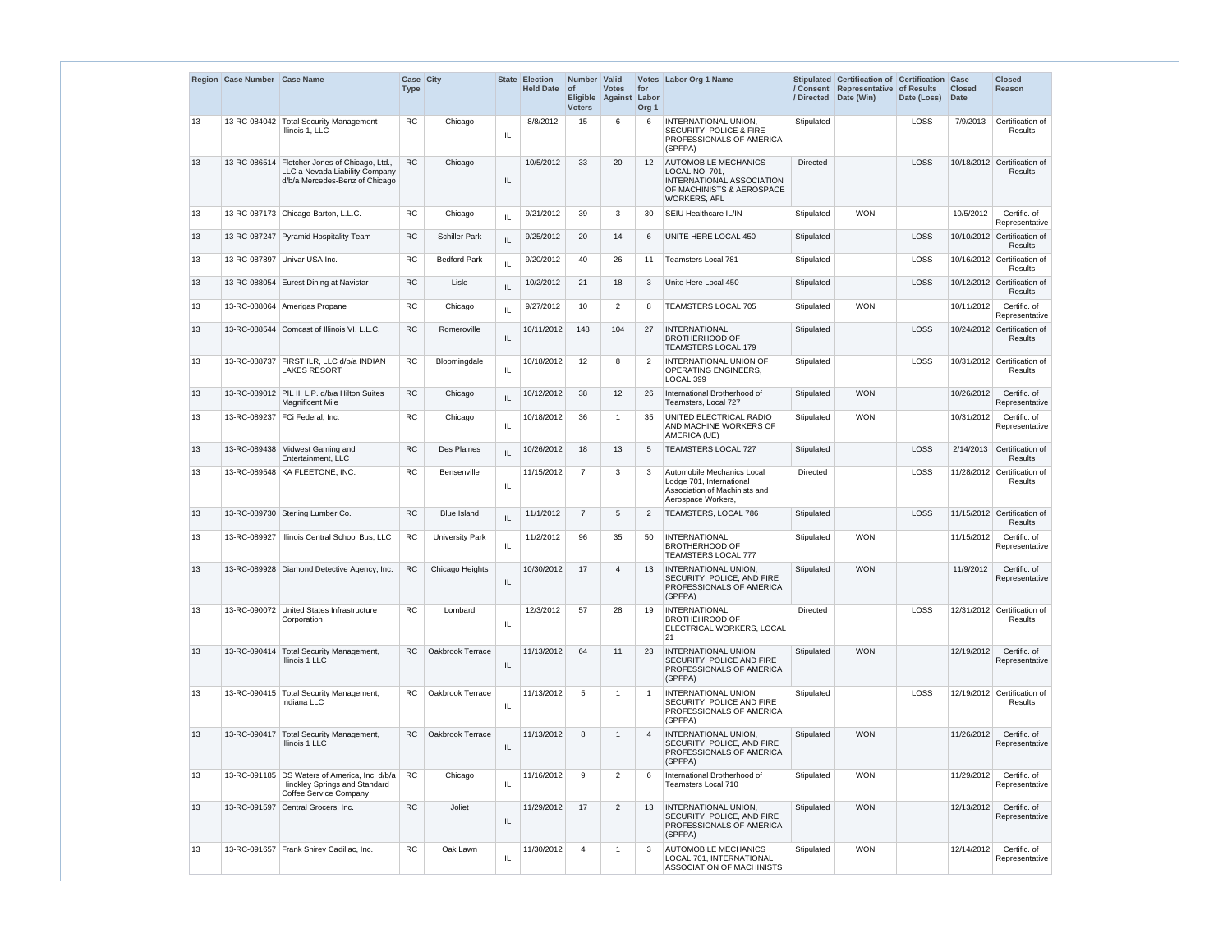|    | Region Case Number Case Name |                                                                                                                     | Case City<br><b>Type</b> |                        |                                   | State Election<br><b>Held Date</b> | Number Valid<br><b>of</b><br><b>Voters</b> | <b>Votes</b><br>Eligible Against | for<br>Labor<br>Org <sub>1</sub> | Votes Labor Org 1 Name                                                                                                         |            | Stipulated Certification of Certification Case<br>/ Consent Representative of Results<br>/ Directed Date (Win) | Date (Loss) | <b>Closed</b><br><b>Date</b> | <b>Closed</b><br>Reason                       |
|----|------------------------------|---------------------------------------------------------------------------------------------------------------------|--------------------------|------------------------|-----------------------------------|------------------------------------|--------------------------------------------|----------------------------------|----------------------------------|--------------------------------------------------------------------------------------------------------------------------------|------------|----------------------------------------------------------------------------------------------------------------|-------------|------------------------------|-----------------------------------------------|
| 13 |                              | 13-RC-084042 Total Security Management<br>Illinois 1. LLC                                                           | RC                       | Chicago                | IL                                | 8/8/2012                           | 15                                         | 6                                | 6                                | INTERNATIONAL UNION.<br><b>SECURITY, POLICE &amp; FIRE</b><br>PROFESSIONALS OF AMERICA<br>(SPFPA)                              | Stipulated |                                                                                                                | <b>LOSS</b> | 7/9/2013                     | Certification of<br>Results                   |
| 13 |                              | 13-RC-086514   Fletcher Jones of Chicago, Ltd.,<br>LLC a Nevada Liability Company<br>d/b/a Mercedes-Benz of Chicago | <b>RC</b>                | Chicago                | IL                                | 10/5/2012                          | 33                                         | 20                               | 12                               | <b>AUTOMOBILE MECHANICS</b><br>LOCAL NO. 701,<br>INTERNATIONAL ASSOCIATION<br>OF MACHINISTS & AEROSPACE<br><b>WORKERS, AFL</b> | Directed   |                                                                                                                | LOSS        |                              | 10/18/2012 Certification of<br><b>Results</b> |
| 13 |                              | 13-RC-087173 Chicago-Barton, L.L.C.                                                                                 | <b>RC</b>                | Chicago                | IL                                | 9/21/2012                          | 39                                         | 3                                | 30                               | SEIU Healthcare IL/IN                                                                                                          | Stipulated | <b>WON</b>                                                                                                     |             | 10/5/2012                    | Certific. of<br>Representative                |
| 13 |                              | 13-RC-087247 Pyramid Hospitality Team                                                                               | <b>RC</b>                | <b>Schiller Park</b>   | IL                                | 9/25/2012                          | 20                                         | 14                               | 6                                | UNITE HERE LOCAL 450                                                                                                           | Stipulated |                                                                                                                | LOSS        |                              | 10/10/2012 Certification of<br><b>Results</b> |
| 13 |                              | 13-RC-087897 Univar USA Inc.                                                                                        | <b>RC</b>                | <b>Bedford Park</b>    | IL                                | 9/20/2012                          | 40                                         | 26                               | 11                               | <b>Teamsters Local 781</b>                                                                                                     | Stipulated |                                                                                                                | LOSS        |                              | 10/16/2012 Certification of<br>Results        |
| 13 |                              | 13-RC-088054 Eurest Dining at Navistar                                                                              | <b>RC</b>                | Lisle                  | IL                                | 10/2/2012                          | 21                                         | 18                               | 3                                | Unite Here Local 450                                                                                                           | Stipulated |                                                                                                                | LOSS        |                              | 10/12/2012 Certification of<br>Results        |
| 13 |                              | 13-RC-088064 Amerigas Propane                                                                                       | <b>RC</b>                | Chicago                | IL                                | 9/27/2012                          | 10                                         | $\overline{2}$                   | 8                                | <b>TEAMSTERS LOCAL 705</b>                                                                                                     | Stipulated | <b>WON</b>                                                                                                     |             | 10/11/2012                   | Certific. of<br>Representative                |
| 13 |                              | 13-RC-088544 Comcast of Illinois VI. L.L.C.                                                                         | <b>RC</b>                | Romeroville            | IL                                | 10/11/2012                         | 148                                        | 104                              | 27                               | <b>INTERNATIONAL</b><br><b>BROTHERHOOD OF</b><br><b>TEAMSTERS LOCAL 179</b>                                                    | Stipulated |                                                                                                                | LOSS        |                              | 10/24/2012 Certification of<br><b>Results</b> |
| 13 |                              | 13-RC-088737 FIRST ILR, LLC d/b/a INDIAN<br><b>LAKES RESORT</b>                                                     | <b>RC</b>                | Bloomingdale           | IL                                | 10/18/2012                         | 12                                         | 8                                | $\overline{2}$                   | INTERNATIONAL UNION OF<br><b>OPERATING ENGINEERS,</b><br>LOCAL 399                                                             | Stipulated |                                                                                                                | LOSS        |                              | 10/31/2012 Certification of<br><b>Results</b> |
| 13 |                              | 13-RC-089012 PIL II, L.P. d/b/a Hilton Suites<br><b>Magnificent Mile</b>                                            | ${\sf RC}$               | Chicago                | IL                                | 10/12/2012                         | 38                                         | 12                               | 26                               | International Brotherhood of<br>Teamsters, Local 727                                                                           | Stipulated | <b>WON</b>                                                                                                     |             | 10/26/2012                   | Certific, of<br>Representative                |
| 13 |                              | 13-RC-089237 FCi Federal, Inc.                                                                                      | <b>RC</b>                | Chicago                | IL                                | 10/18/2012                         | 36                                         |                                  | 35                               | UNITED ELECTRICAL RADIO<br>AND MACHINE WORKERS OF<br>AMERICA (UE)                                                              | Stipulated | <b>WON</b>                                                                                                     |             | 10/31/2012                   | Certific, of<br>Representative                |
| 13 |                              | 13-RC-089438 Midwest Gaming and<br>Entertainment. LLC                                                               | <b>RC</b>                | Des Plaines            | IL                                | 10/26/2012                         | 18                                         | 13                               | 5                                | <b>TEAMSTERS LOCAL 727</b>                                                                                                     | Stipulated |                                                                                                                | LOSS        |                              | 2/14/2013 Certification of<br><b>Results</b>  |
| 13 |                              | 13-RC-089548   KA FLEETONE, INC.                                                                                    | <b>RC</b>                | Bensenville            | IL                                | 11/15/2012                         | $\overline{7}$                             | 3                                | 3                                | Automobile Mechanics Local<br>Lodge 701. International<br>Association of Machinists and<br>Aerospace Workers,                  | Directed   |                                                                                                                | LOSS        |                              | 11/28/2012 Certification of<br>Results        |
| 13 |                              | 13-RC-089730 Sterling Lumber Co.                                                                                    | <b>RC</b>                | <b>Blue Island</b>     | $\ensuremath{\mathsf{IL}}\xspace$ | 11/1/2012                          | $\overline{7}$                             | 5                                | 2                                | TEAMSTERS, LOCAL 786                                                                                                           | Stipulated |                                                                                                                | LOSS        |                              | 11/15/2012 Certification of<br><b>Results</b> |
| 13 |                              | 13-RC-089927   Illinois Central School Bus, LLC                                                                     | RC                       | <b>University Park</b> | IL                                | 11/2/2012                          | 96                                         | 35                               | 50                               | <b>INTERNATIONAL</b><br><b>BROTHERHOOD OF</b><br><b>TEAMSTERS LOCAL 777</b>                                                    | Stipulated | <b>WON</b>                                                                                                     |             | 11/15/2012                   | Certific. of<br>Representative                |
| 13 |                              | 13-RC-089928 Diamond Detective Agency, Inc.                                                                         | <b>RC</b>                | Chicago Heights        | IL                                | 10/30/2012                         | 17                                         | 4                                | 13                               | <b>INTERNATIONAL UNION,</b><br>SECURITY, POLICE, AND FIRE<br>PROFESSIONALS OF AMERICA<br>(SPFPA)                               | Stipulated | <b>WON</b>                                                                                                     |             | 11/9/2012                    | Certific. of<br>Representative                |
| 13 |                              | 13-RC-090072 United States Infrastructure<br>Corporation                                                            | <b>RC</b>                | Lombard                | IL                                | 12/3/2012                          | 57                                         | 28                               | 19                               | INTERNATIONAL<br><b>BROTHEHROOD OF</b><br>ELECTRICAL WORKERS, LOCAL<br>21                                                      | Directed   |                                                                                                                | LOSS        |                              | 12/31/2012 Certification of<br>Results        |
| 13 | 13-RC-090414                 | Total Security Management,<br>Illinois 1 LLC                                                                        | RC                       | Oakbrook Terrace       | IL                                | 11/13/2012                         | 64                                         | 11                               | 23                               | <b>INTERNATIONAL UNION</b><br>SECURITY, POLICE AND FIRE<br>PROFESSIONALS OF AMERICA<br>(SPFPA)                                 | Stipulated | <b>WON</b>                                                                                                     |             | 12/19/2012                   | Certific. of<br>Representative                |
| 13 |                              | 13-RC-090415   Total Security Management,<br>Indiana LLC                                                            | <b>RC</b>                | Oakbrook Terrace       | IL                                | 11/13/2012                         | 5                                          | $\overline{1}$                   | $\overline{1}$                   | <b>INTERNATIONAL UNION</b><br>SECURITY, POLICE AND FIRE<br>PROFESSIONALS OF AMERICA<br>(SPFPA)                                 | Stipulated |                                                                                                                | LOSS        |                              | 12/19/2012 Certification of<br>Results        |
| 13 |                              | 13-RC-090417 Total Security Management,<br>Illinois 1 LLC                                                           | <b>RC</b>                | Oakbrook Terrace       | IL                                | 11/13/2012                         | 8                                          | $\mathbf 1$                      | $\overline{4}$                   | INTERNATIONAL UNION,<br>SECURITY, POLICE, AND FIRE<br>PROFESSIONALS OF AMERICA<br>(SPFPA)                                      | Stipulated | <b>WON</b>                                                                                                     |             | 11/26/2012                   | Certific. of<br>Representative                |
| 13 |                              | 13-RC-091185   DS Waters of America, Inc. d/b/a<br>Hinckley Springs and Standard<br>Coffee Service Company          | <b>RC</b>                | Chicago                | IL                                | 11/16/2012                         | 9                                          | 2                                | 6                                | International Brotherhood of<br>Teamsters Local 710                                                                            | Stipulated | <b>WON</b>                                                                                                     |             | 11/29/2012                   | Certific. of<br>Representative                |
| 13 |                              | 13-RC-091597 Central Grocers, Inc.                                                                                  | <b>RC</b>                | Joliet                 | IL                                | 11/29/2012                         | 17                                         | 2                                | 13                               | <b>INTERNATIONAL UNION,</b><br>SECURITY, POLICE, AND FIRE<br>PROFESSIONALS OF AMERICA<br>(SPFPA)                               | Stipulated | <b>WON</b>                                                                                                     |             | 12/13/2012                   | Certific. of<br>Representative                |
| 13 |                              | 13-RC-091657 Frank Shirey Cadillac, Inc.                                                                            | <b>RC</b>                | Oak Lawn               | IL                                | 11/30/2012                         | $\overline{4}$                             | -1                               | 3                                | <b>AUTOMOBILE MECHANICS</b><br>LOCAL 701, INTERNATIONAL<br>ASSOCIATION OF MACHINISTS                                           | Stipulated | <b>WON</b>                                                                                                     |             | 12/14/2012                   | Certific. of<br>Representative                |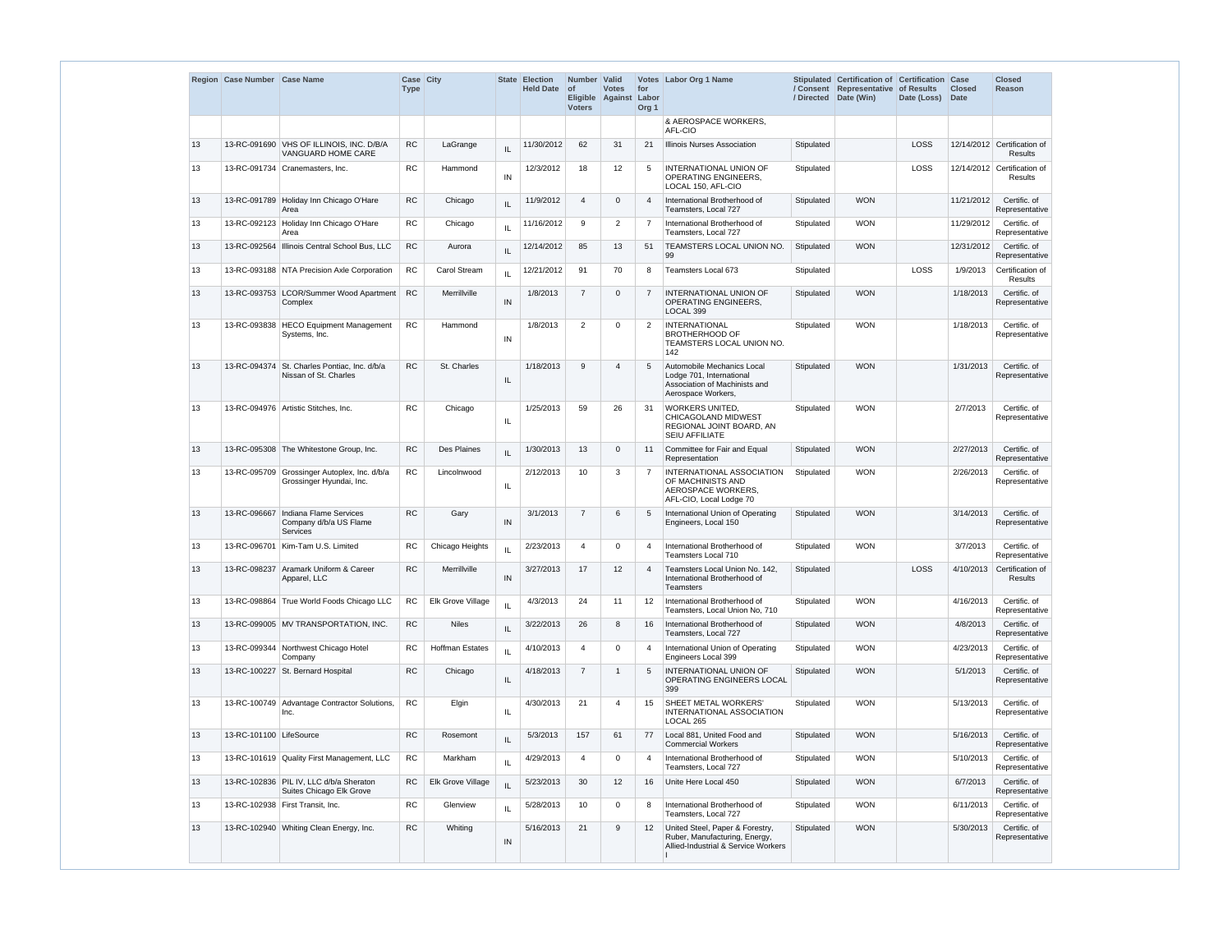|    | Region Case Number Case Name |                                                                                  | Case City<br><b>Type</b> |                        |     | <b>State Election</b><br><b>Held Date</b> | Number Valid<br><b>of</b><br><b>Voters</b> | <b>Votes</b><br>Eligible Against | for<br>Labor<br>Org <sub>1</sub> | Votes Labor Org 1 Name                                                                                        | /Directed  | Stipulated Certification of Certification Case<br>/ Consent Representative of Results<br>Date (Win) | Date (Loss) | <b>Closed</b><br><b>Date</b> | <b>Closed</b><br><b>Reason</b>                |
|----|------------------------------|----------------------------------------------------------------------------------|--------------------------|------------------------|-----|-------------------------------------------|--------------------------------------------|----------------------------------|----------------------------------|---------------------------------------------------------------------------------------------------------------|------------|-----------------------------------------------------------------------------------------------------|-------------|------------------------------|-----------------------------------------------|
|    |                              |                                                                                  |                          |                        |     |                                           |                                            |                                  |                                  | & AEROSPACE WORKERS,<br>AFL-CIO                                                                               |            |                                                                                                     |             |                              |                                               |
| 13 |                              | 13-RC-091690 VHS OF ILLINOIS, INC. D/B/A<br>VANGUARD HOME CARE                   | RC                       | LaGrange               | IL  | 11/30/2012                                | 62                                         | 31                               | 21                               | Illinois Nurses Association                                                                                   | Stipulated |                                                                                                     | LOSS        |                              | 12/14/2012 Certification of<br><b>Results</b> |
| 13 |                              | 13-RC-091734   Cranemasters, Inc.                                                | <b>RC</b>                | Hammond                | IN  | 12/3/2012                                 | 18                                         | 12                               | 5                                | <b>INTERNATIONAL UNION OF</b><br><b>OPERATING ENGINEERS.</b><br>LOCAL 150, AFL-CIO                            | Stipulated |                                                                                                     | LOSS        |                              | 12/14/2012 Certification of<br>Results        |
| 13 | 13-RC-091789                 | Holiday Inn Chicago O'Hare<br>Area                                               | RC                       | Chicago                | IL  | 11/9/2012                                 | $\boldsymbol{\Delta}$                      | $\Omega$                         | $\overline{4}$                   | International Brotherhood of<br>Teamsters, Local 727                                                          | Stipulated | <b>WON</b>                                                                                          |             | 11/21/2012                   | Certific. of<br>Representative                |
| 13 |                              | 13-RC-092123 Holiday Inn Chicago O'Hare<br>Area                                  | RC                       | Chicago                | IL  | 11/16/2012                                | 9                                          | 2                                | $\overline{7}$                   | International Brotherhood of<br>Teamsters, Local 727                                                          | Stipulated | <b>WON</b>                                                                                          |             | 11/29/2012                   | Certific. of<br>Representative                |
| 13 |                              | 13-RC-092564   Illinois Central School Bus, LLC                                  | <b>RC</b>                | Aurora                 | IL  | 12/14/2012                                | 85                                         | 13                               | 51                               | TEAMSTERS LOCAL UNION NO.<br>99                                                                               | Stipulated | <b>WON</b>                                                                                          |             | 12/31/2012                   | Certific. of<br>Representative                |
| 13 |                              | 13-RC-093188 NTA Precision Axle Corporation                                      | RC                       | Carol Stream           | IL  | 12/21/2012                                | 91                                         | 70                               | 8                                | Teamsters Local 673                                                                                           | Stipulated |                                                                                                     | LOSS        | 1/9/2013                     | Certification of<br>Results                   |
| 13 |                              | 13-RC-093753 LCOR/Summer Wood Apartment<br>Complex                               | <b>RC</b>                | Merrillville           | IN  | 1/8/2013                                  | $\overline{7}$                             | $\Omega$                         | $\overline{7}$                   | <b>INTERNATIONAL UNION OF</b><br><b>OPERATING ENGINEERS,</b><br>LOCAL 399                                     | Stipulated | <b>WON</b>                                                                                          |             | 1/18/2013                    | Certific. of<br>Representative                |
| 13 |                              | 13-RC-093838   HECO Equipment Management<br>Systems, Inc.                        | <b>RC</b>                | Hammond                | IN  | 1/8/2013                                  | 2                                          | $\Omega$                         | 2                                | <b>INTERNATIONAL</b><br><b>BROTHERHOOD OF</b><br>TEAMSTERS LOCAL UNION NO.<br>142                             | Stipulated | <b>WON</b>                                                                                          |             | 1/18/2013                    | Certific. of<br>Representative                |
| 13 | 13-RC-094374                 | St. Charles Pontiac, Inc. d/b/a<br>Nissan of St. Charles                         | <b>RC</b>                | St. Charles            | IL. | 1/18/2013                                 | 9                                          | 4                                | 5                                | Automobile Mechanics Local<br>Lodge 701, International<br>Association of Machinists and<br>Aerospace Workers, | Stipulated | <b>WON</b>                                                                                          |             | 1/31/2013                    | Certific. of<br>Representative                |
| 13 |                              | 13-RC-094976   Artistic Stitches, Inc.                                           | <b>RC</b>                | Chicago                | IL. | 1/25/2013                                 | 59                                         | 26                               | -31                              | <b>WORKERS UNITED,</b><br><b>CHICAGOLAND MIDWEST</b><br>REGIONAL JOINT BOARD, AN<br><b>SEIU AFFILIATE</b>     | Stipulated | <b>WON</b>                                                                                          |             | 2/7/2013                     | Certific. of<br>Representative                |
| 13 |                              | 13-RC-095308 The Whitestone Group, Inc.                                          | <b>RC</b>                | Des Plaines            | IL  | 1/30/2013                                 | 13                                         | $\Omega$                         | 11                               | Committee for Fair and Equal<br>Representation                                                                | Stipulated | <b>WON</b>                                                                                          |             | 2/27/2013                    | Certific. of<br>Representative                |
| 13 |                              | 13-RC-095709 Grossinger Autoplex, Inc. d/b/a<br>Grossinger Hyundai, Inc.         | <b>RC</b>                | Lincolnwood            | IL. | 2/12/2013                                 | 10                                         | 3                                | $\overline{7}$                   | INTERNATIONAL ASSOCIATION<br>OF MACHINISTS AND<br>AEROSPACE WORKERS.<br>AFL-CIO, Local Lodge 70               | Stipulated | <b>WON</b>                                                                                          |             | 2/26/2013                    | Certific. of<br>Representative                |
| 13 |                              | 13-RC-096667 Indiana Flame Services<br>Company d/b/a US Flame<br><b>Services</b> | <b>RC</b>                | Gary                   | IN  | 3/1/2013                                  | $\overline{7}$                             | 6                                | 5                                | International Union of Operating<br>Engineers, Local 150                                                      | Stipulated | <b>WON</b>                                                                                          |             | 3/14/2013                    | Certific. of<br>Representative                |
| 13 | 13-RC-096701                 | Kim-Tam U.S. Limited                                                             | RC                       | Chicago Heights        | IL  | 2/23/2013                                 | 4                                          | 0                                | $\overline{4}$                   | International Brotherhood of<br><b>Teamsters Local 710</b>                                                    | Stipulated | <b>WON</b>                                                                                          |             | 3/7/2013                     | Certific. of<br>Representative                |
| 13 | 13-RC-098237                 | Aramark Uniform & Career<br>Apparel, LLC                                         | <b>RC</b>                | Merrillville           | IN  | 3/27/2013                                 | 17                                         | 12                               | $\overline{4}$                   | Teamsters Local Union No. 142,<br>International Brotherhood of<br><b>Teamsters</b>                            | Stipulated |                                                                                                     | LOSS        | 4/10/2013                    | Certification of<br><b>Results</b>            |
| 13 |                              | 13-RC-098864 True World Foods Chicago LLC                                        | <b>RC</b>                | Elk Grove Village      | IL  | 4/3/2013                                  | 24                                         | 11                               | $12 \overline{ }$                | International Brotherhood of<br>Teamsters, Local Union No, 710                                                | Stipulated | <b>WON</b>                                                                                          |             | 4/16/2013                    | Certific. of<br>Representative                |
| 13 |                              | 13-RC-099005 MV TRANSPORTATION, INC.                                             | RC                       | <b>Niles</b>           | IL  | 3/22/2013                                 | 26                                         | 8                                | 16                               | International Brotherhood of<br>Teamsters, Local 727                                                          | Stipulated | <b>WON</b>                                                                                          |             | 4/8/2013                     | Certific. of<br>Representative                |
| 13 |                              | 13-RC-099344 Northwest Chicago Hotel<br>Company                                  | RC                       | <b>Hoffman Estates</b> | IL  | 4/10/2013                                 | 4                                          | $\Omega$                         | $\overline{4}$                   | International Union of Operating<br>Engineers Local 399                                                       | Stipulated | <b>WON</b>                                                                                          |             | 4/23/2013                    | Certific. of<br>Representative                |
| 13 |                              | 13-RC-100227 St. Bernard Hospital                                                | <b>RC</b>                | Chicago                | IL  | 4/18/2013                                 | $\overline{7}$                             | -1                               | 5                                | <b>INTERNATIONAL UNION OF</b><br>OPERATING ENGINEERS LOCAL<br>399                                             | Stipulated | <b>WON</b>                                                                                          |             | 5/1/2013                     | Certific. of<br>Representative                |
| 13 | 13-RC-100749                 | Advantage Contractor Solutions,<br>Inc.                                          | <b>RC</b>                | Elgin                  | IL. | 4/30/2013                                 | 21                                         | 4                                | 15                               | <b>SHEET METAL WORKERS'</b><br>INTERNATIONAL ASSOCIATION<br>LOCAL 265                                         | Stipulated | <b>WON</b>                                                                                          |             | 5/13/2013                    | Certific. of<br>Representative                |
| 13 | 13-RC-101100 LifeSource      |                                                                                  | ${\sf RC}$               | Rosemont               | IL. | 5/3/2013                                  | 157                                        | 61                               | 77                               | Local 881, United Food and<br><b>Commercial Workers</b>                                                       | Stipulated | <b>WON</b>                                                                                          |             | 5/16/2013                    | Certific. of<br>Representative                |
| 13 |                              | 13-RC-101619 Quality First Management, LLC                                       | <b>RC</b>                | Markham                | IL  | 4/29/2013                                 | 4                                          | $\Omega$                         | $\overline{4}$                   | International Brotherhood of<br>Teamsters, Local 727                                                          | Stipulated | <b>WON</b>                                                                                          |             | 5/10/2013                    | Certific. of<br>Representative                |
| 13 |                              | 13-RC-102836 PIL IV, LLC d/b/a Sheraton<br>Suites Chicago Elk Grove              | RC                       | Elk Grove Village      | IL  | 5/23/2013                                 | 30                                         | 12                               | 16                               | Unite Here Local 450                                                                                          | Stipulated | <b>WON</b>                                                                                          |             | 6/7/2013                     | Certific. of<br>Representative                |
| 13 |                              | 13-RC-102938   First Transit, Inc.                                               | RC                       | Glenview               | IL  | 5/28/2013                                 | 10                                         | $\Omega$                         | 8                                | International Brotherhood of<br>Teamsters, Local 727                                                          | Stipulated | <b>WON</b>                                                                                          |             | 6/11/2013                    | Certific. of<br>Representative                |
| 13 |                              | 13-RC-102940 Whiting Clean Energy, Inc.                                          | <b>RC</b>                | Whiting                | IN  | 5/16/2013                                 | 21                                         | 9                                | 12                               | United Steel, Paper & Forestry,<br>Ruber, Manufacturing, Energy,<br>Allied-Industrial & Service Workers       | Stipulated | <b>WON</b>                                                                                          |             | 5/30/2013                    | Certific. of<br>Representative                |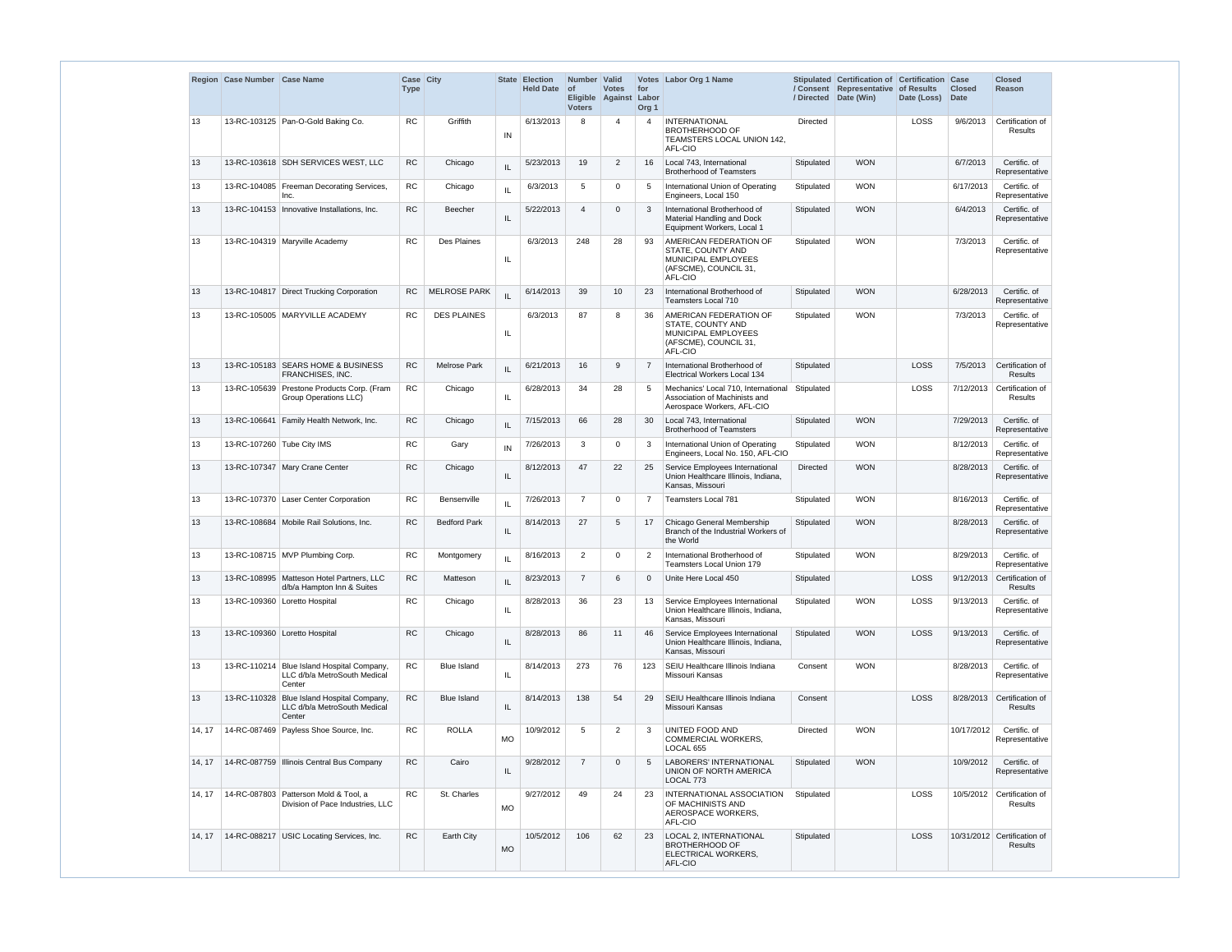|        | Region Case Number Case Name |                                                                                      | Case City<br><b>Type</b> |                     | <b>State</b> | <b>Election</b><br>Held Date of | Number Valid<br><b>Eligible</b><br><b>Voters</b> | <b>Votes</b><br>Against | for<br>Labor<br>Org <sub>1</sub> | Votes Labor Org 1 Name                                                                                 | / Directed      | Stipulated Certification of Certification<br>/ Consent Representative<br>Date (Win) | of Results<br>Date (Loss) | Case<br><b>Closed</b><br><b>Date</b> | <b>Closed</b><br><b>Reason</b>                |
|--------|------------------------------|--------------------------------------------------------------------------------------|--------------------------|---------------------|--------------|---------------------------------|--------------------------------------------------|-------------------------|----------------------------------|--------------------------------------------------------------------------------------------------------|-----------------|-------------------------------------------------------------------------------------|---------------------------|--------------------------------------|-----------------------------------------------|
| 13     |                              | 13-RC-103125 Pan-O-Gold Baking Co.                                                   | RC                       | Griffith            | IN           | 6/13/2013                       | 8                                                | 4                       | $\overline{4}$                   | <b>INTERNATIONAL</b><br><b>BROTHERHOOD OF</b><br>TEAMSTERS LOCAL UNION 142,<br>AFL-CIO                 | Directed        |                                                                                     | LOSS                      | 9/6/2013                             | Certification of<br><b>Results</b>            |
| 13     |                              | 13-RC-103618 SDH SERVICES WEST, LLC                                                  | <b>RC</b>                | Chicago             | IL           | 5/23/2013                       | 19                                               | 2                       | 16                               | Local 743, International<br><b>Brotherhood of Teamsters</b>                                            | Stipulated      | <b>WON</b>                                                                          |                           | 6/7/2013                             | Certific. of<br>Representative                |
| 13     |                              | 13-RC-104085   Freeman Decorating Services,<br>Inc.                                  | <b>RC</b>                | Chicago             | $\sf IL$     | 6/3/2013                        | 5                                                | $\Omega$                | 5                                | International Union of Operating<br>Engineers, Local 150                                               | Stipulated      | <b>WON</b>                                                                          |                           | 6/17/2013                            | Certific. of<br>Representative                |
| 13     |                              | 13-RC-104153   Innovative Installations, Inc.                                        | <b>RC</b>                | <b>Beecher</b>      | IL           | 5/22/2013                       | $\boldsymbol{\Delta}$                            | $\Omega$                | 3                                | International Brotherhood of<br>Material Handling and Dock<br>Equipment Workers, Local 1               | Stipulated      | <b>WON</b>                                                                          |                           | 6/4/2013                             | Certific. of<br>Representative                |
| 13     |                              | 13-RC-104319   Maryville Academy                                                     | RC.                      | <b>Des Plaines</b>  | IL           | 6/3/2013                        | 248                                              | 28                      | 93                               | AMERICAN FEDERATION OF<br>STATE, COUNTY AND<br>MUNICIPAL EMPLOYEES<br>(AFSCME), COUNCIL 31,<br>AFL-CIO | Stipulated      | <b>WON</b>                                                                          |                           | 7/3/2013                             | Certific. of<br>Representative                |
| 13     |                              | 13-RC-104817 Direct Trucking Corporation                                             | <b>RC</b>                | <b>MELROSE PARK</b> | IL           | 6/14/2013                       | 39                                               | 10                      | 23                               | International Brotherhood of<br>Teamsters Local 710                                                    | Stipulated      | <b>WON</b>                                                                          |                           | 6/28/2013                            | Certific. of<br>Representative                |
| 13     |                              | 13-RC-105005 MARYVILLE ACADEMY                                                       | RC                       | <b>DES PLAINES</b>  | IL           | 6/3/2013                        | 87                                               | 8                       | 36                               | AMERICAN FEDERATION OF<br>STATE. COUNTY AND<br>MUNICIPAL EMPLOYEES<br>(AFSCME), COUNCIL 31,<br>AFL-CIO | Stipulated      | <b>WON</b>                                                                          |                           | 7/3/2013                             | Certific. of<br>Representative                |
| 13     |                              | 13-RC-105183 SEARS HOME & BUSINESS<br>FRANCHISES, INC.                               | RC                       | <b>Melrose Park</b> | IL           | 6/21/2013                       | 16                                               | 9                       | $\overline{7}$                   | International Brotherhood of<br>Electrical Workers Local 134                                           | Stipulated      |                                                                                     | LOSS                      | 7/5/2013                             | Certification of<br><b>Results</b>            |
| 13     | 13-RC-105639                 | Prestone Products Corp. (Fram<br>Group Operations LLC)                               | RC                       | Chicago             | IL           | 6/28/2013                       | 34                                               | 28                      | 5                                | Mechanics' Local 710, International<br>Association of Machinists and<br>Aerospace Workers, AFL-CIO     | Stipulated      |                                                                                     | LOSS                      | 7/12/2013                            | Certification of<br>Results                   |
| 13     |                              | 13-RC-106641 Family Health Network, Inc.                                             | <b>RC</b>                | Chicago             | IL           | 7/15/2013                       | 66                                               | 28                      | 30                               | Local 743, International<br><b>Brotherhood of Teamsters</b>                                            | Stipulated      | <b>WON</b>                                                                          |                           | 7/29/2013                            | Certific. of<br>Representative                |
| 13     | 13-RC-107260 Tube City IMS   |                                                                                      | <b>RC</b>                | Gary                | IN           | 7/26/2013                       | 3                                                | $\Omega$                | 3                                | International Union of Operating<br>Engineers, Local No. 150, AFL-CIO                                  | Stipulated      | <b>WON</b>                                                                          |                           | 8/12/2013                            | Certific. of<br>Representative                |
| 13     |                              | 13-RC-107347 Mary Crane Center                                                       | <b>RC</b>                | Chicago             | IL           | 8/12/2013                       | 47                                               | 22                      | 25                               | Service Employees International<br>Union Healthcare Illinois, Indiana,<br>Kansas, Missouri             | <b>Directed</b> | <b>WON</b>                                                                          |                           | 8/28/2013                            | Certific. of<br>Representative                |
| 13     |                              | 13-RC-107370 Laser Center Corporation                                                | RC.                      | Bensenville         | $\mathbf{H}$ | 7/26/2013                       | $\overline{7}$                                   | $\Omega$                | 7                                | <b>Teamsters Local 781</b>                                                                             | Stipulated      | <b>WON</b>                                                                          |                           | 8/16/2013                            | Certific. of<br>Representative                |
| 13     |                              | 13-RC-108684   Mobile Rail Solutions, Inc.                                           | RC                       | <b>Bedford Park</b> | IL           | 8/14/2013                       | 27                                               | 5                       | 17                               | Chicago General Membership<br>Branch of the Industrial Workers of<br>the World                         | Stipulated      | <b>WON</b>                                                                          |                           | 8/28/2013                            | Certific. of<br>Representative                |
| 13     |                              | 13-RC-108715 MVP Plumbing Corp.                                                      | <b>RC</b>                | Montgomery          | IL           | 8/16/2013                       | 2                                                | $\mathbf 0$             | 2                                | International Brotherhood of<br>Teamsters Local Union 179                                              | Stipulated      | <b>WON</b>                                                                          |                           | 8/29/2013                            | Certific. of<br>Representative                |
| 13     |                              | 13-RC-108995 Matteson Hotel Partners, LLC<br>d/b/a Hampton Inn & Suites              | ${\sf RC}$               | Matteson            | IL           | 8/23/2013                       | $\overline{7}$                                   | 6                       | $\mathbf 0$                      | Unite Here Local 450                                                                                   | Stipulated      |                                                                                     | LOSS                      |                                      | 9/12/2013 Certification of<br><b>Results</b>  |
| 13     |                              | 13-RC-109360 Loretto Hospital                                                        | RC                       | Chicago             | IL           | 8/28/2013                       | 36                                               | 23                      | 13                               | Service Employees International<br>Union Healthcare Illinois, Indiana,<br>Kansas, Missouri             | Stipulated      | <b>WON</b>                                                                          | LOSS                      | 9/13/2013                            | Certific. of<br>Representative                |
| 13     |                              | 13-RC-109360 Loretto Hospital                                                        | ${\sf RC}$               | Chicago             | IL           | 8/28/2013                       | 86                                               | 11                      | 46                               | Service Employees International<br>Union Healthcare Illinois, Indiana,<br>Kansas, Missouri             | Stipulated      | <b>WON</b>                                                                          | LOSS                      | 9/13/2013                            | Certific. of<br>Representative                |
| 13     |                              | 13-RC-110214 Blue Island Hospital Company,<br>LLC d/b/a MetroSouth Medical<br>Center | ${\sf RC}$               | <b>Blue Island</b>  | IL           | 8/14/2013                       | 273                                              | 76                      | 123                              | SEIU Healthcare Illinois Indiana<br>Missouri Kansas                                                    | Consent         | <b>WON</b>                                                                          |                           | 8/28/2013                            | Certific. of<br>Representative                |
| 13     | 13-RC-110328                 | Blue Island Hospital Company,<br>LLC d/b/a MetroSouth Medical<br>Center              | ${\sf RC}$               | <b>Blue Island</b>  | IL           | 8/14/2013                       | 138                                              | 54                      | 29                               | SEIU Healthcare Illinois Indiana<br>Missouri Kansas                                                    | Consent         |                                                                                     | LOSS                      | 8/28/2013                            | Certification of<br><b>Results</b>            |
| 14, 17 |                              | 14-RC-087469 Payless Shoe Source, Inc.                                               | ${\sf RC}$               | <b>ROLLA</b>        | <b>MO</b>    | 10/9/2012                       | 5                                                | $\overline{2}$          | 3                                | UNITED FOOD AND<br>COMMERCIAL WORKERS,<br>LOCAL 655                                                    | <b>Directed</b> | <b>WON</b>                                                                          |                           | 10/17/2012                           | Certific. of<br>Representative                |
| 14, 17 |                              | 14-RC-087759 Illinois Central Bus Company                                            | ${\sf RC}$               | Cairo               | IL           | 9/28/2012                       | $\overline{7}$                                   | $\Omega$                | 5                                | <b>LABORERS' INTERNATIONAL</b><br>UNION OF NORTH AMERICA<br>LOCAL 773                                  | Stipulated      | <b>WON</b>                                                                          |                           | 10/9/2012                            | Certific. of<br>Representative                |
| 14, 17 |                              | 14-RC-087803 Patterson Mold & Tool, a<br>Division of Pace Industries, LLC            | ${\sf RC}$               | St. Charles         | <b>MO</b>    | 9/27/2012                       | 49                                               | 24                      | 23                               | INTERNATIONAL ASSOCIATION<br>OF MACHINISTS AND<br>AEROSPACE WORKERS,<br>AFL-CIO                        | Stipulated      |                                                                                     | LOSS                      |                                      | 10/5/2012 Certification of<br>Results         |
| 14, 17 |                              | 14-RC-088217 USIC Locating Services, Inc.                                            | RC                       | Earth City          | <b>MO</b>    | 10/5/2012                       | 106                                              | 62                      | 23                               | <b>LOCAL 2. INTERNATIONAL</b><br><b>BROTHERHOOD OF</b><br>ELECTRICAL WORKERS,<br>AFL-CIO               | Stipulated      |                                                                                     | LOSS                      |                                      | 10/31/2012 Certification of<br><b>Results</b> |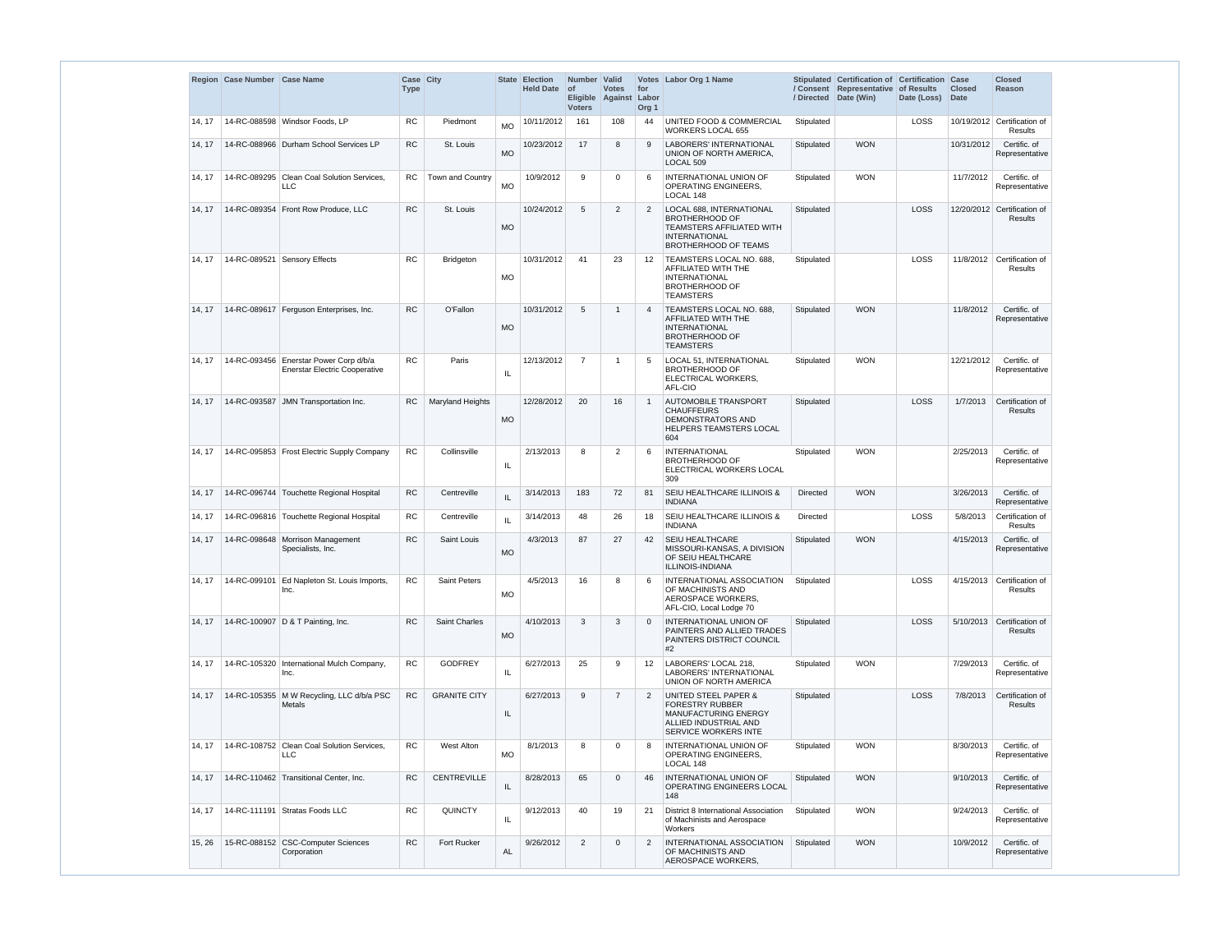|        | Region Case Number Case Name |                                                                                | Case City<br><b>Type</b> |                         |           | <b>State Election</b><br><b>Held Date</b> | Number Valid<br>∣ of<br><b>Voters</b> | <b>Votes</b><br>Eligible Against Labor | for<br>Org <sub>1</sub> | Votes Labor Org 1 Name                                                                                                                       |                 | Stipulated Certification of Certification Case<br>/ Consent Representative of Results<br>/ Directed Date (Win) | Date (Loss) | <b>Closed</b><br><b>Date</b> | <b>Closed</b><br><b>Reason</b>                |
|--------|------------------------------|--------------------------------------------------------------------------------|--------------------------|-------------------------|-----------|-------------------------------------------|---------------------------------------|----------------------------------------|-------------------------|----------------------------------------------------------------------------------------------------------------------------------------------|-----------------|----------------------------------------------------------------------------------------------------------------|-------------|------------------------------|-----------------------------------------------|
| 14, 17 |                              | 14-RC-088598 Windsor Foods, LP                                                 | <b>RC</b>                | Piedmont                | <b>MO</b> | 10/11/2012                                | 161                                   | 108                                    | 44                      | UNITED FOOD & COMMERCIAL<br><b>WORKERS LOCAL 655</b>                                                                                         | Stipulated      |                                                                                                                | LOSS        |                              | 10/19/2012 Certification of<br><b>Results</b> |
| 14.17  |                              | 14-RC-088966 Durham School Services LP                                         | <b>RC</b>                | St. Louis               | <b>MO</b> | 10/23/2012                                | 17                                    | 8                                      | 9                       | <b>LABORERS' INTERNATIONAL</b><br>UNION OF NORTH AMERICA,<br>LOCAL <sub>509</sub>                                                            | Stipulated      | <b>WON</b>                                                                                                     |             | 10/31/2012                   | Certific. of<br>Representative                |
| 14.17  |                              | 14-RC-089295 Clean Coal Solution Services,<br>LLC                              | <b>RC</b>                | Town and Country        | <b>MO</b> | 10/9/2012                                 | 9                                     | $\mathbf 0$                            |                         | INTERNATIONAL UNION OF<br>OPERATING ENGINEERS,<br>LOCAL 148                                                                                  | Stipulated      | <b>WON</b>                                                                                                     |             | 11/7/2012                    | Certific. of<br>Representative                |
| 14.17  |                              | 14-RC-089354 Front Row Produce, LLC                                            | <b>RC</b>                | St. Louis               | <b>MO</b> | 10/24/2012                                | $5\phantom{.0}$                       | 2                                      | $\overline{2}$          | LOCAL 688, INTERNATIONAL<br><b>BROTHERHOOD OF</b><br><b>TEAMSTERS AFFILIATED WITH</b><br><b>INTERNATIONAL</b><br><b>BROTHERHOOD OF TEAMS</b> | Stipulated      |                                                                                                                | <b>LOSS</b> |                              | 12/20/2012 Certification of<br><b>Results</b> |
| 14.17  |                              | 14-RC-089521 Sensory Effects                                                   | <b>RC</b>                | <b>Bridgeton</b>        | <b>MO</b> | 10/31/2012                                | 41                                    | 23                                     | 12                      | TEAMSTERS LOCAL NO. 688,<br>AFFILIATED WITH THE<br><b>INTERNATIONAL</b><br><b>BROTHERHOOD OF</b><br><b>TEAMSTERS</b>                         | Stipulated      |                                                                                                                | <b>LOSS</b> |                              | 11/8/2012 Certification of<br><b>Results</b>  |
| 14, 17 |                              | 14-RC-089617 Ferguson Enterprises, Inc.                                        | <b>RC</b>                | O'Fallon                | <b>MO</b> | 10/31/2012                                | 5                                     | $\overline{1}$                         |                         | TEAMSTERS LOCAL NO. 688,<br>AFFILIATED WITH THE<br><b>INTERNATIONAL</b><br><b>BROTHERHOOD OF</b><br><b>TEAMSTERS</b>                         | Stipulated      | <b>WON</b>                                                                                                     |             | 11/8/2012                    | Certific. of<br>Representative                |
| 14, 17 |                              | 14-RC-093456 Enerstar Power Corp d/b/a<br><b>Enerstar Electric Cooperative</b> | <b>RC</b>                | Paris                   | IL        | 12/13/2012                                | $\overline{7}$                        | $\overline{1}$                         |                         | <b>LOCAL 51, INTERNATIONAL</b><br><b>BROTHERHOOD OF</b><br>ELECTRICAL WORKERS,<br>AFL-CIO                                                    | Stipulated      | <b>WON</b>                                                                                                     |             | 12/21/2012                   | Certific. of<br>Representative                |
| 14, 17 |                              | 14-RC-093587 JMN Transportation Inc.                                           | <b>RC</b>                | <b>Maryland Heights</b> | <b>MO</b> | 12/28/2012                                | 20                                    | 16                                     |                         | <b>AUTOMOBILE TRANSPORT</b><br><b>CHAUFFEURS</b><br><b>DEMONSTRATORS AND</b><br>HELPERS TEAMSTERS LOCAL<br>604                               | Stipulated      |                                                                                                                | LOSS        | 1/7/2013                     | Certification of<br><b>Results</b>            |
| 14.17  |                              | 14-RC-095853 Frost Electric Supply Company                                     | <b>RC</b>                | Collinsville            | Ш         | 2/13/2013                                 | 8                                     | $\overline{2}$                         |                         | <b>INTERNATIONAL</b><br><b>BROTHERHOOD OF</b><br>ELECTRICAL WORKERS LOCAL<br>309                                                             | Stipulated      | <b>WON</b>                                                                                                     |             | 2/25/2013                    | Certific. of<br>Representative                |
| 14, 17 |                              | 14-RC-096744 Touchette Regional Hospital                                       | <b>RC</b>                | Centreville             |           | 3/14/2013                                 | 183                                   | 72                                     | 81                      | SEIU HEALTHCARE ILLINOIS &<br><b>INDIANA</b>                                                                                                 | <b>Directed</b> | <b>WON</b>                                                                                                     |             | 3/26/2013                    | Certific. of<br>Representative                |
| 14.17  |                              | 14-RC-096816   Touchette Regional Hospital                                     | <b>RC</b>                | Centreville             |           | 3/14/2013                                 | 48                                    | 26                                     | 18                      | SEIU HEALTHCARE ILLINOIS &<br><b>INDIANA</b>                                                                                                 | Directed        |                                                                                                                | LOSS        | 5/8/2013                     | Certification of<br><b>Results</b>            |
| 14, 17 |                              | 14-RC-098648 Morrison Management<br>Specialists, Inc.                          | RC                       | Saint Louis             | <b>MO</b> | 4/3/2013                                  | 87                                    | 27                                     | 42                      | <b>SEIU HEALTHCARE</b><br>MISSOURI-KANSAS, A DIVISION<br>OF SEIU HEALTHCARE<br>ILLINOIS-INDIANA                                              | Stipulated      | <b>WON</b>                                                                                                     |             | 4/15/2013                    | Certific. of<br>Representative                |
| 14.17  |                              | 14-RC-099101   Ed Napleton St. Louis Imports,<br>Inc.                          | <b>RC</b>                | <b>Saint Peters</b>     | <b>MO</b> | 4/5/2013                                  | 16                                    | 8                                      |                         | INTERNATIONAL ASSOCIATION<br>OF MACHINISTS AND<br>AEROSPACE WORKERS,<br>AFL-CIO, Local Lodge 70                                              | Stipulated      |                                                                                                                | LOSS        | 4/15/2013                    | Certification of<br>Results                   |
| 14.17  |                              | 14-RC-100907 D & T Painting, Inc.                                              | <b>RC</b>                | <b>Saint Charles</b>    | <b>MO</b> | 4/10/2013                                 | 3                                     | 3                                      |                         | INTERNATIONAL UNION OF<br>PAINTERS AND ALLIED TRADES<br>PAINTERS DISTRICT COUNCIL<br>#2                                                      | Stipulated      |                                                                                                                | <b>LOSS</b> | 5/10/2013                    | Certification of<br><b>Results</b>            |
| 14.17  |                              | 14-RC-105320   International Mulch Company,<br>Inc.                            | <b>RC</b>                | <b>GODFREY</b>          | IL        | 6/27/2013                                 | 25                                    | 9                                      | 12                      | LABORERS' LOCAL 218,<br>LABORERS' INTERNATIONAL<br>UNION OF NORTH AMERICA                                                                    | Stipulated      | <b>WON</b>                                                                                                     |             | 7/29/2013                    | Certific. of<br>Representative                |
| 14.17  |                              | 14-RC-105355 M W Recycling, LLC d/b/a PSC<br><b>Metals</b>                     | <b>RC</b>                | <b>GRANITE CITY</b>     | IL        | 6/27/2013                                 | 9                                     | $\overline{7}$                         | 2                       | <b>UNITED STEEL PAPER &amp;</b><br><b>FORESTRY RUBBER</b><br>MANUFACTURING ENERGY<br>ALLIED INDUSTRIAL AND<br><b>SERVICE WORKERS INTE</b>    | Stipulated      |                                                                                                                | LOSS        | 7/8/2013                     | Certification of<br>Results                   |
| 14, 17 |                              | 14-RC-108752 Clean Coal Solution Services,<br><b>LLC</b>                       | <b>RC</b>                | <b>West Alton</b>       | <b>MO</b> | 8/1/2013                                  | 8                                     | $\mathbf 0$                            | 8                       | <b>INTERNATIONAL UNION OF</b><br>OPERATING ENGINEERS.<br>LOCAL 148                                                                           | Stipulated      | <b>WON</b>                                                                                                     |             | 8/30/2013                    | Certific. of<br>Representative                |
| 14, 17 |                              | 14-RC-110462 Transitional Center, Inc.                                         | <b>RC</b>                | <b>CENTREVILLE</b>      | IL        | 8/28/2013                                 | 65                                    | $\mathbf 0$                            | 46                      | <b>INTERNATIONAL UNION OF</b><br>OPERATING ENGINEERS LOCAL<br>148                                                                            | Stipulated      | <b>WON</b>                                                                                                     |             | 9/10/2013                    | Certific. of<br>Representative                |
| 14.17  |                              | 14-RC-111191 Stratas Foods LLC                                                 | <b>RC</b>                | <b>QUINCTY</b>          | IL.       | 9/12/2013                                 | 40                                    | 19                                     | -21                     | District 8 International Association<br>of Machinists and Aerospace<br><b>Workers</b>                                                        | Stipulated      | <b>WON</b>                                                                                                     |             | 9/24/2013                    | Certific. of<br>Representative                |
| 15, 26 |                              | 15-RC-088152 CSC-Computer Sciences<br>Corporation                              | <b>RC</b>                | <b>Fort Rucker</b>      | AL        | 9/26/2012                                 | 2                                     | $\mathbf 0$                            | $\overline{2}$          | INTERNATIONAL ASSOCIATION<br>OF MACHINISTS AND<br>AEROSPACE WORKERS,                                                                         | Stipulated      | <b>WON</b>                                                                                                     |             | 10/9/2012                    | Certific. of<br>Representative                |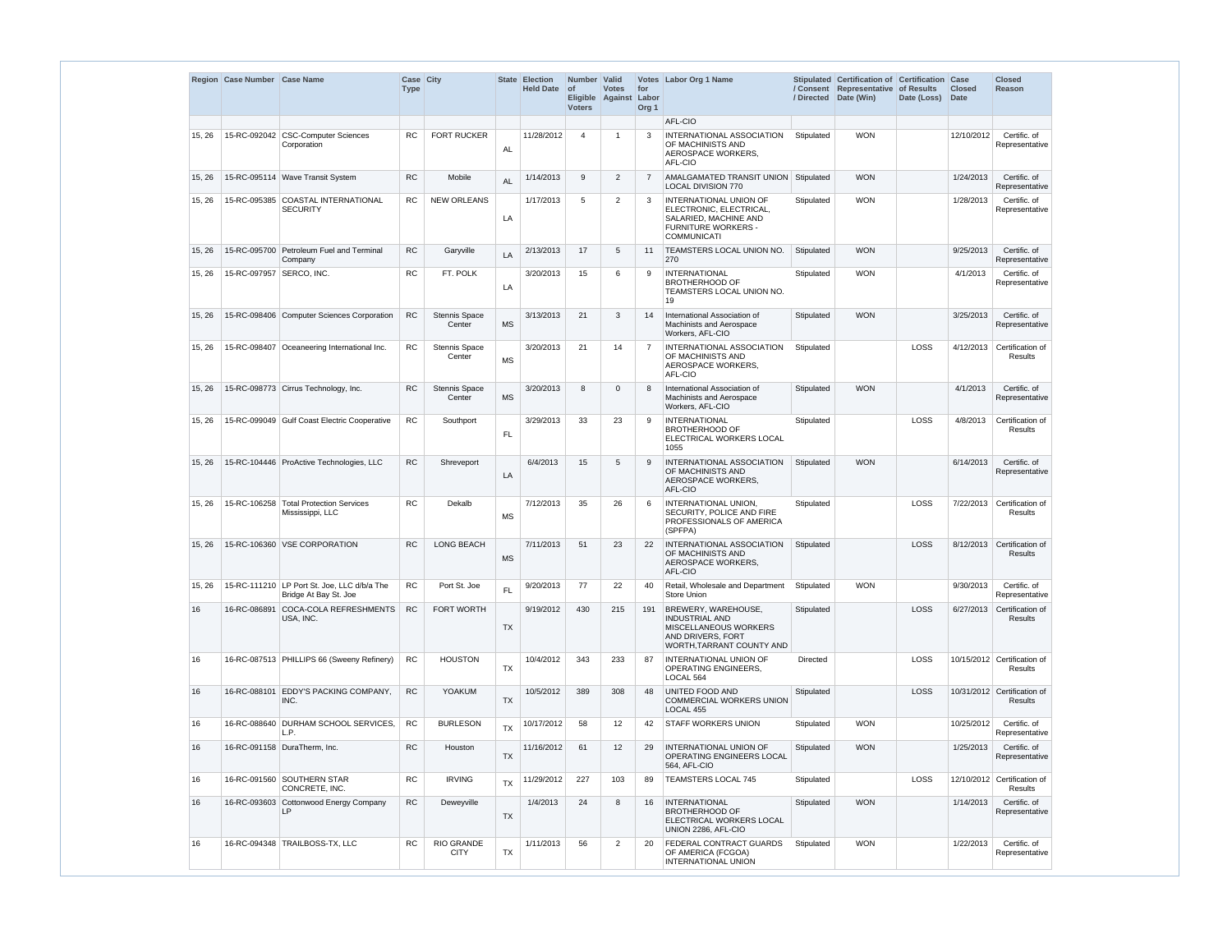|        | Region Case Number Case Name |                                                                      | Case City<br><b>Type</b> |                                |           | <b>State Election</b><br><b>Held Date</b> | Number Valid<br>∣ of<br><b>Voters</b> | <b>Votes</b><br>Eligible Against | for<br>Labor<br>Org <sub>1</sub> | Votes Labor Org 1 Name                                                                                                         | / Directed | Stipulated Certification of Certification Case<br>/ Consent Representative of Results<br>Date (Win) | Date (Loss) | <b>Closed</b><br><b>Date</b> | <b>Closed</b><br>Reason                |
|--------|------------------------------|----------------------------------------------------------------------|--------------------------|--------------------------------|-----------|-------------------------------------------|---------------------------------------|----------------------------------|----------------------------------|--------------------------------------------------------------------------------------------------------------------------------|------------|-----------------------------------------------------------------------------------------------------|-------------|------------------------------|----------------------------------------|
|        |                              |                                                                      |                          |                                |           |                                           |                                       |                                  |                                  | AFL-CIO                                                                                                                        |            |                                                                                                     |             |                              |                                        |
| 15, 26 |                              | 15-RC-092042 CSC-Computer Sciences<br>Corporation                    | <b>RC</b>                | <b>FORT RUCKER</b>             | <b>AL</b> | 11/28/2012                                | $\overline{4}$                        | -1                               | 3                                | INTERNATIONAL ASSOCIATION<br>OF MACHINISTS AND<br>AEROSPACE WORKERS.<br>AFL-CIO                                                | Stipulated | <b>WON</b>                                                                                          |             | 12/10/2012                   | Certific. of<br>Representative         |
| 15, 26 |                              | 15-RC-095114 Wave Transit System                                     | <b>RC</b>                | Mobile                         | <b>AL</b> | 1/14/2013                                 | 9                                     | $\overline{2}$                   | $\overline{7}$                   | AMALGAMATED TRANSIT UNION Stipulated<br><b>LOCAL DIVISION 770</b>                                                              |            | <b>WON</b>                                                                                          |             | 1/24/2013                    | Certific. of<br>Representative         |
| 15, 26 |                              | 15-RC-095385 COASTAL INTERNATIONAL<br><b>SECURITY</b>                | <b>RC</b>                | <b>NEW ORLEANS</b>             | LA        | 1/17/2013                                 | 5                                     | $\overline{2}$                   | 3                                | <b>INTERNATIONAL UNION OF</b><br>ELECTRONIC, ELECTRICAL,<br>SALARIED, MACHINE AND<br>FURNITURE WORKERS -<br><b>COMMUNICATI</b> | Stipulated | <b>WON</b>                                                                                          |             | 1/28/2013                    | Certific. of<br>Representative         |
| 15, 26 |                              | 15-RC-095700 Petroleum Fuel and Terminal<br>Company                  | RC                       | Garyville                      | LA        | 2/13/2013                                 | 17                                    | $\overline{5}$                   | 11                               | TEAMSTERS LOCAL UNION NO.<br>270                                                                                               | Stipulated | <b>WON</b>                                                                                          |             | 9/25/2013                    | Certific. of<br>Representative         |
| 15, 26 | 15-RC-097957 SERCO, INC.     |                                                                      | <b>RC</b>                | FT. POLK                       | LA        | 3/20/2013                                 | 15                                    | 6                                | 9                                | <b>INTERNATIONAL</b><br><b>BROTHERHOOD OF</b><br>TEAMSTERS LOCAL UNION NO.<br>19                                               | Stipulated | <b>WON</b>                                                                                          |             | 4/1/2013                     | Certific. of<br>Representative         |
| 15, 26 |                              | 15-RC-098406 Computer Sciences Corporation                           | RC                       | <b>Stennis Space</b><br>Center | <b>MS</b> | 3/13/2013                                 | 21                                    | 3                                | 14                               | International Association of<br>Machinists and Aerospace<br>Workers, AFL-CIO                                                   | Stipulated | <b>WON</b>                                                                                          |             | 3/25/2013                    | Certific. of<br>Representative         |
| 15, 26 |                              | 15-RC-098407 Oceaneering International Inc.                          | RC                       | <b>Stennis Space</b><br>Center | <b>MS</b> | 3/20/2013                                 | 21                                    | 14                               | $\overline{7}$                   | <b>INTERNATIONAL ASSOCIATION</b><br>OF MACHINISTS AND<br>AEROSPACE WORKERS,<br>AFL-CIO                                         | Stipulated |                                                                                                     | LOSS        | 4/12/2013                    | Certification of<br><b>Results</b>     |
| 15, 26 |                              | 15-RC-098773 Cirrus Technology, Inc.                                 | RC                       | Stennis Space<br>Center        | <b>MS</b> | 3/20/2013                                 | 8                                     | <sup>0</sup>                     | 8                                | International Association of<br>Machinists and Aerospace<br>Workers, AFL-CIO                                                   | Stipulated | <b>WON</b>                                                                                          |             | 4/1/2013                     | Certific. of<br>Representative         |
| 15, 26 |                              | 15-RC-099049 Gulf Coast Electric Cooperative                         | <b>RC</b>                | Southport                      | <b>FL</b> | 3/29/2013                                 | 33                                    | 23                               | 9                                | <b>INTERNATIONAL</b><br><b>BROTHERHOOD OF</b><br>ELECTRICAL WORKERS LOCAL<br>1055                                              | Stipulated |                                                                                                     | LOSS        | 4/8/2013                     | Certification of<br>Results            |
| 15, 26 |                              | 15-RC-104446 ProActive Technologies, LLC                             | <b>RC</b>                | Shreveport                     | LA        | 6/4/2013                                  | 15                                    | 5                                | 9                                | <b>INTERNATIONAL ASSOCIATION</b><br>OF MACHINISTS AND<br>AEROSPACE WORKERS,<br>AFL-CIO                                         | Stipulated | <b>WON</b>                                                                                          |             | 6/14/2013                    | Certific. of<br>Representative         |
| 15, 26 |                              | 15-RC-106258   Total Protection Services<br>Mississippi, LLC         | <b>RC</b>                | Dekalb                         | <b>MS</b> | 7/12/2013                                 | 35                                    | 26                               | 6                                | INTERNATIONAL UNION.<br>SECURITY, POLICE AND FIRE<br>PROFESSIONALS OF AMERICA<br>(SPFPA)                                       | Stipulated |                                                                                                     | LOSS        |                              | 7/22/2013 Certification of<br>Results  |
| 15, 26 |                              | 15-RC-106360 VSE CORPORATION                                         | <b>RC</b>                | <b>LONG BEACH</b>              | MS        | 7/11/2013                                 | 51                                    | 23                               | 22                               | <b>INTERNATIONAL ASSOCIATION</b><br>OF MACHINISTS AND<br>AEROSPACE WORKERS,<br>AFL-CIO                                         | Stipulated |                                                                                                     | LOSS        | 8/12/2013                    | Certification of<br>Results            |
| 15, 26 |                              | 15-RC-111210 LP Port St. Joe, LLC d/b/a The<br>Bridge At Bay St. Joe | <b>RC</b>                | Port St. Joe                   | FL.       | 9/20/2013                                 | 77                                    | 22                               | 40                               | Retail, Wholesale and Department<br><b>Store Union</b>                                                                         | Stipulated | <b>WON</b>                                                                                          |             | 9/30/2013                    | Certific. of<br>Representative         |
| 16     |                              | 16-RC-086891 COCA-COLA REFRESHMENTS<br>USA, INC.                     | <b>RC</b>                | FORT WORTH                     | <b>TX</b> | 9/19/2012                                 | 430                                   | 215                              | 191                              | BREWERY, WAREHOUSE,<br><b>INDUSTRIAL AND</b><br>MISCELLANEOUS WORKERS<br>AND DRIVERS, FORT<br>WORTH, TARRANT COUNTY AND        | Stipulated |                                                                                                     | LOSS        |                              | 6/27/2013 Certification of<br>Results  |
| 16     |                              | 16-RC-087513 PHILLIPS 66 (Sweeny Refinery)                           | <b>RC</b>                | <b>HOUSTON</b>                 | TX        | 10/4/2012                                 | 343                                   | 233                              | 87                               | <b>INTERNATIONAL UNION OF</b><br>OPERATING ENGINEERS,<br>LOCAL 564                                                             | Directed   |                                                                                                     | LOSS        |                              | 10/15/2012 Certification of<br>Results |
| 16     |                              | 16-RC-088101 EDDY'S PACKING COMPANY,<br>INC.                         | ${\sf RC}$               | <b>YOAKUM</b>                  | TX        | 10/5/2012                                 | 389                                   | 308                              | 48                               | UNITED FOOD AND<br>COMMERCIAL WORKERS UNION<br>LOCAL 455                                                                       | Stipulated |                                                                                                     | LOSS        |                              | 10/31/2012 Certification of<br>Results |
| 16     |                              | 16-RC-088640 DURHAM SCHOOL SERVICES,<br>L.P.                         | RC                       | <b>BURLESON</b>                | <b>TX</b> | 10/17/2012                                | 58                                    | 12                               | 42                               | <b>STAFF WORKERS UNION</b>                                                                                                     | Stipulated | <b>WON</b>                                                                                          |             | 10/25/2012                   | Certific. of<br>Representative         |
| 16     |                              | 16-RC-091158   DuraTherm, Inc.                                       | ${\sf RC}$               | Houston                        | TX        | 11/16/2012                                | 61                                    | 12 <sub>2</sub>                  | 29                               | INTERNATIONAL UNION OF<br>OPERATING ENGINEERS LOCAL<br>564, AFL-CIO                                                            | Stipulated | <b>WON</b>                                                                                          |             | 1/25/2013                    | Certific. of<br>Representative         |
| 16     |                              | 16-RC-091560 SOUTHERN STAR<br>CONCRETE, INC.                         | <b>RC</b>                | <b>IRVING</b>                  | <b>TX</b> | 11/29/2012                                | 227                                   | 103                              | 89                               | <b>TEAMSTERS LOCAL 745</b>                                                                                                     | Stipulated |                                                                                                     | LOSS        |                              | 12/10/2012 Certification of<br>Results |
| 16     |                              | 16-RC-093603 Cottonwood Energy Company<br>LP                         | RC                       | Deweyville                     | <b>TX</b> | 1/4/2013                                  | 24                                    | 8                                | 16                               | <b>INTERNATIONAL</b><br><b>BROTHERHOOD OF</b><br>ELECTRICAL WORKERS LOCAL<br>UNION 2286, AFL-CIO                               | Stipulated | <b>WON</b>                                                                                          |             | 1/14/2013                    | Certific. of<br>Representative         |
| 16     |                              | 16-RC-094348 TRAILBOSS-TX, LLC                                       | <b>RC</b>                | RIO GRANDE<br><b>CITY</b>      | <b>TX</b> | 1/11/2013                                 | 56                                    | 2                                | 20                               | FEDERAL CONTRACT GUARDS<br>OF AMERICA (FCGOA)<br><b>INTERNATIONAL UNION</b>                                                    | Stipulated | <b>WON</b>                                                                                          |             | 1/22/2013                    | Certific. of<br>Representative         |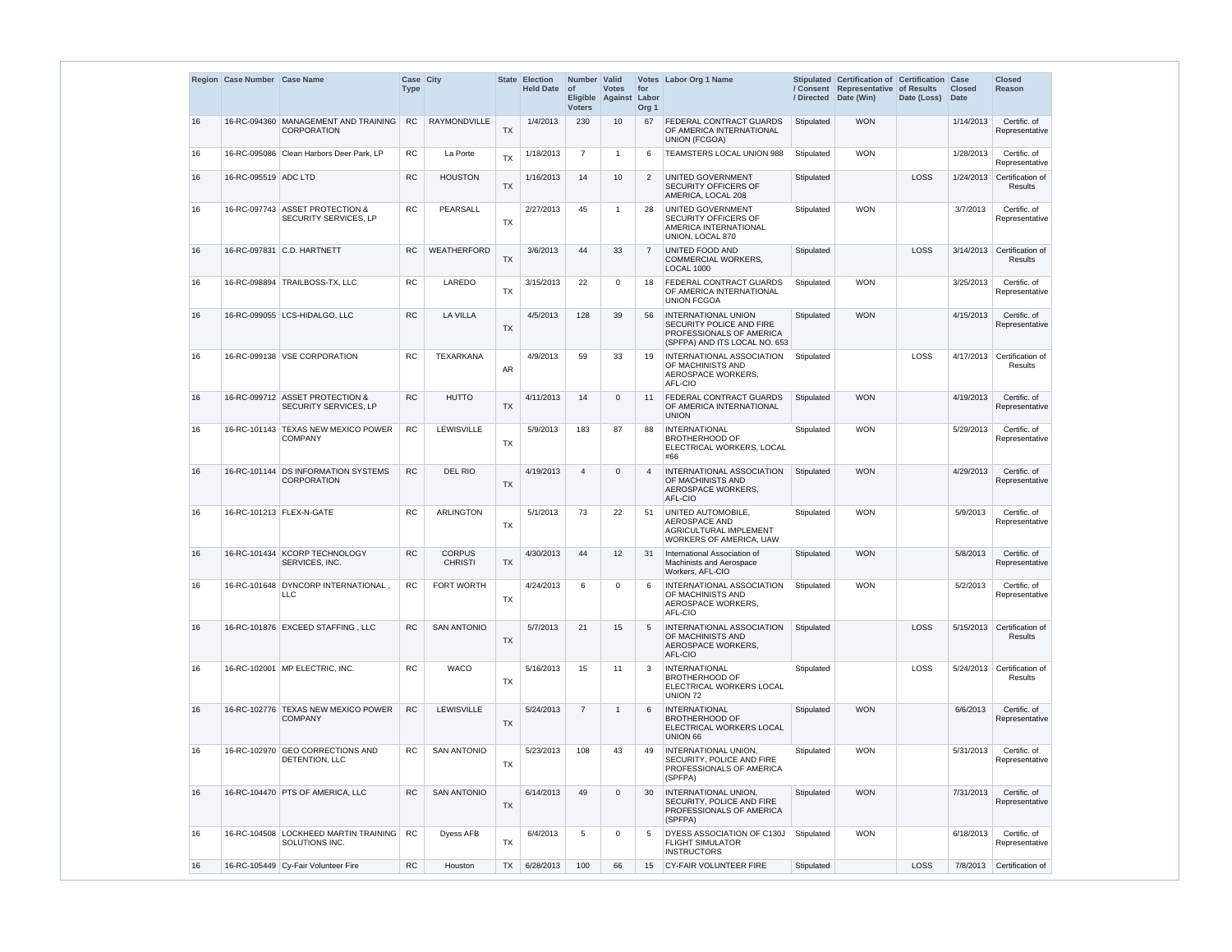|    | Region Case Number Case Name |                                                             | Case City<br><b>Type</b> |                                 |           | State Election<br><b>Held Date</b> | Number Valid<br>$ $ of<br><b>Voters</b> | <b>Votes</b><br>Eligible Against | for<br>Labor<br>Org <sub>1</sub> | Votes Labor Org 1 Name                                                                                              | / Directed | Stipulated Certification of Certification Case<br>/ Consent Representative of Results<br>Date (Win) | Date (Loss) | <b>Closed</b><br><b>Date</b> | <b>Closed</b><br><b>Reason</b>     |
|----|------------------------------|-------------------------------------------------------------|--------------------------|---------------------------------|-----------|------------------------------------|-----------------------------------------|----------------------------------|----------------------------------|---------------------------------------------------------------------------------------------------------------------|------------|-----------------------------------------------------------------------------------------------------|-------------|------------------------------|------------------------------------|
| 16 |                              | 16-RC-094360 MANAGEMENT AND TRAINING<br><b>CORPORATION</b>  | <b>RC</b>                | RAYMONDVILLE                    | <b>TX</b> | 1/4/2013                           | 230                                     | 10 <sup>°</sup>                  | 67                               | FEDERAL CONTRACT GUARDS<br>OF AMERICA INTERNATIONAL<br><b>UNION (FCGOA)</b>                                         | Stipulated | <b>WON</b>                                                                                          |             | 1/14/2013                    | Certific. of<br>Representative     |
| 16 |                              | 16-RC-095086 Clean Harbors Deer Park, LP                    | <b>RC</b>                | La Porte                        | <b>TX</b> | 1/18/2013                          | $\overline{7}$                          | -1                               | 6                                | TEAMSTERS LOCAL UNION 988                                                                                           | Stipulated | <b>WON</b>                                                                                          |             | 1/28/2013                    | Certific. of<br>Representative     |
| 16 | 16-RC-095519 ADC LTD         |                                                             | <b>RC</b>                | <b>HOUSTON</b>                  | <b>TX</b> | 1/16/2013                          | 14                                      | 10                               | 2                                | UNITED GOVERNMENT<br>SECURITY OFFICERS OF<br>AMERICA, LOCAL 208                                                     | Stipulated |                                                                                                     | LOSS        | 1/24/2013                    | Certification of<br><b>Results</b> |
| 16 |                              | 16-RC-097743 ASSET PROTECTION &<br>SECURITY SERVICES, LP    | <b>RC</b>                | PEARSALL                        | <b>TX</b> | 2/27/2013                          | 45                                      | -1                               | 28                               | UNITED GOVERNMENT<br>SECURITY OFFICERS OF<br>AMERICA INTERNATIONAL<br>UNION, LOCAL 870                              | Stipulated | <b>WON</b>                                                                                          |             | 3/7/2013                     | Certific. of<br>Representative     |
| 16 |                              | 16-RC-097831 C.D. HARTNETT                                  | <b>RC</b>                | WEATHERFORD                     | <b>TX</b> | 3/6/2013                           | 44                                      | 33                               | 7                                | UNITED FOOD AND<br><b>COMMERCIAL WORKERS,</b><br>LOCAL 1000                                                         | Stipulated |                                                                                                     | LOSS        | 3/14/2013                    | Certification of<br><b>Results</b> |
| 16 |                              | 16-RC-098894 TRAILBOSS-TX, LLC                              | <b>RC</b>                | LAREDO                          | <b>TX</b> | 3/15/2013                          | 22                                      | 0                                | 18                               | FEDERAL CONTRACT GUARDS<br>OF AMERICA INTERNATIONAL<br><b>UNION FCGOA</b>                                           | Stipulated | <b>WON</b>                                                                                          |             | 3/25/2013                    | Certific. of<br>Representative     |
| 16 |                              | 16-RC-099055 LCS-HIDALGO, LLC                               | <b>RC</b>                | <b>LA VILLA</b>                 | <b>TX</b> | 4/5/2013                           | 128                                     | 39                               | 56                               | <b>INTERNATIONAL UNION</b><br>SECURITY POLICE AND FIRE<br>PROFESSIONALS OF AMERICA<br>(SPFPA) AND ITS LOCAL NO. 653 | Stipulated | <b>WON</b>                                                                                          |             | 4/15/2013                    | Certific. of<br>Representative     |
| 16 |                              | 16-RC-099138 VSE CORPORATION                                | <b>RC</b>                | <b>TEXARKANA</b>                | <b>AR</b> | 4/9/2013                           | 59                                      | 33                               | 19                               | INTERNATIONAL ASSOCIATION<br>OF MACHINISTS AND<br>AEROSPACE WORKERS,<br>AFL-CIO                                     | Stipulated |                                                                                                     | LOSS        | 4/17/2013                    | Certification of<br>Results        |
| 16 |                              | 16-RC-099712 ASSET PROTECTION &<br>SECURITY SERVICES, LP    | RC                       | <b>HUTTO</b>                    | <b>TX</b> | 4/11/2013                          | 14                                      | $\mathbf 0$                      | 11                               | <b>FEDERAL CONTRACT GUARDS</b><br>OF AMERICA INTERNATIONAL<br><b>UNION</b>                                          | Stipulated | <b>WON</b>                                                                                          |             | 4/19/2013                    | Certific. of<br>Representative     |
| 16 |                              | 16-RC-101143 TEXAS NEW MEXICO POWER<br><b>COMPANY</b>       | <b>RC</b>                | LEWISVILLE                      | <b>TX</b> | 5/9/2013                           | 183                                     | 87                               | 88                               | INTERNATIONAL<br><b>BROTHERHOOD OF</b><br>ELECTRICAL WORKERS, LOCAL<br>#66                                          | Stipulated | <b>WON</b>                                                                                          |             | 5/29/2013                    | Certific. of<br>Representative     |
| 16 |                              | 16-RC-101144 DS INFORMATION SYSTEMS<br><b>CORPORATION</b>   | RC                       | <b>DEL RIO</b>                  | <b>TX</b> | 4/19/2013                          | $\overline{4}$                          | $\mathbf 0$                      |                                  | INTERNATIONAL ASSOCIATION<br>OF MACHINISTS AND<br>AEROSPACE WORKERS,<br>AFL-CIO                                     | Stipulated | <b>WON</b>                                                                                          |             | 4/29/2013                    | Certific. of<br>Representative     |
| 16 |                              | 16-RC-101213 FLEX-N-GATE                                    | <b>RC</b>                | <b>ARLINGTON</b>                | <b>TX</b> | 5/1/2013                           | 73                                      | 22                               | 51                               | UNITED AUTOMOBILE.<br><b>AEROSPACE AND</b><br>AGRICULTURAL IMPLEMENT<br><b>WORKERS OF AMERICA, UAW</b>              | Stipulated | <b>WON</b>                                                                                          |             | 5/9/2013                     | Certific. of<br>Representative     |
| 16 |                              | 16-RC-101434 KCORP TECHNOLOGY<br>SERVICES, INC.             | RC                       | <b>CORPUS</b><br><b>CHRISTI</b> | <b>TX</b> | 4/30/2013                          | 44                                      | 12                               | 31                               | International Association of<br>Machinists and Aerospace<br>Workers, AFL-CIO                                        | Stipulated | <b>WON</b>                                                                                          |             | 5/8/2013                     | Certific. of<br>Representative     |
| 16 |                              | 16-RC-101648 DYNCORP INTERNATIONAL,<br><b>LLC</b>           | <b>RC</b>                | <b>FORT WORTH</b>               | <b>TX</b> | 4/24/2013                          | 6                                       | $\mathbf 0$                      | 6                                | INTERNATIONAL ASSOCIATION<br>OF MACHINISTS AND<br>AEROSPACE WORKERS,<br>AFL-CIO                                     | Stipulated | <b>WON</b>                                                                                          |             | 5/2/2013                     | Certific. of<br>Representative     |
| 16 |                              | 16-RC-101876 EXCEED STAFFING, LLC                           | <b>RC</b>                | <b>SAN ANTONIO</b>              | <b>TX</b> | 5/7/2013                           | 21                                      | 15                               | -5                               | INTERNATIONAL ASSOCIATION<br>OF MACHINISTS AND<br>AEROSPACE WORKERS,<br>AFL-CIO                                     | Stipulated |                                                                                                     | LOSS        | 5/15/2013                    | Certification of<br>Results        |
| 16 |                              | 16-RC-102001 MP ELECTRIC, INC.                              | <b>RC</b>                | <b>WACO</b>                     | <b>TX</b> | 5/16/2013                          | 15                                      | 11                               | 3                                | <b>INTERNATIONAL</b><br><b>BROTHERHOOD OF</b><br>ELECTRICAL WORKERS LOCAL<br>UNION 72                               | Stipulated |                                                                                                     | LOSS        | 5/24/2013                    | Certification of<br>Results        |
| 16 |                              | 16-RC-102776 TEXAS NEW MEXICO POWER<br><b>COMPANY</b>       | <b>RC</b>                | LEWISVILLE                      | <b>TX</b> | 5/24/2013                          | $\overline{7}$                          | $\mathbf 1$                      | -6                               | <b>INTERNATIONAL</b><br><b>BROTHERHOOD OF</b><br>ELECTRICAL WORKERS LOCAL<br>UNION 66                               | Stipulated | <b>WON</b>                                                                                          |             | 6/6/2013                     | Certific. of<br>Representative     |
| 16 |                              | 16-RC-102970 GEO CORRECTIONS AND<br>DETENTION, LLC          | <b>RC</b>                | <b>SAN ANTONIO</b>              | <b>TX</b> | 5/23/2013                          | 108                                     | 43                               | 49                               | INTERNATIONAL UNION,<br>SECURITY, POLICE AND FIRE<br>PROFESSIONALS OF AMERICA<br>(SPFPA)                            | Stipulated | <b>WON</b>                                                                                          |             | 5/31/2013                    | Certific. of<br>Representative     |
| 16 |                              | 16-RC-104470 PTS OF AMERICA, LLC                            | <b>RC</b>                | <b>SAN ANTONIO</b>              | <b>TX</b> | 6/14/2013                          | 49                                      | $\mathbf 0$                      | 30                               | <b>INTERNATIONAL UNION,</b><br>SECURITY, POLICE AND FIRE<br>PROFESSIONALS OF AMERICA<br>(SPFPA)                     | Stipulated | <b>WON</b>                                                                                          |             | 7/31/2013                    | Certific. of<br>Representative     |
| 16 |                              | 16-RC-104508   LOCKHEED MARTIN TRAINING  <br>SOLUTIONS INC. | RC                       | Dyess AFB                       | <b>TX</b> | 6/4/2013                           | 5                                       | 0                                | -5                               | DYESS ASSOCIATION OF C130J<br><b>FLIGHT SIMULATOR</b><br><b>INSTRUCTORS</b>                                         | Stipulated | <b>WON</b>                                                                                          |             | 6/18/2013                    | Certific, of<br>Representative     |
| 16 |                              | 16-RC-105449 Cy-Fair Volunteer Fire                         | RC                       | Houston                         | <b>TX</b> | 6/28/2013                          | 100                                     | 66                               | 15                               | <b>CY-FAIR VOLUNTEER FIRE</b>                                                                                       | Stipulated |                                                                                                     | LOSS        | 7/8/2013                     | Certification of                   |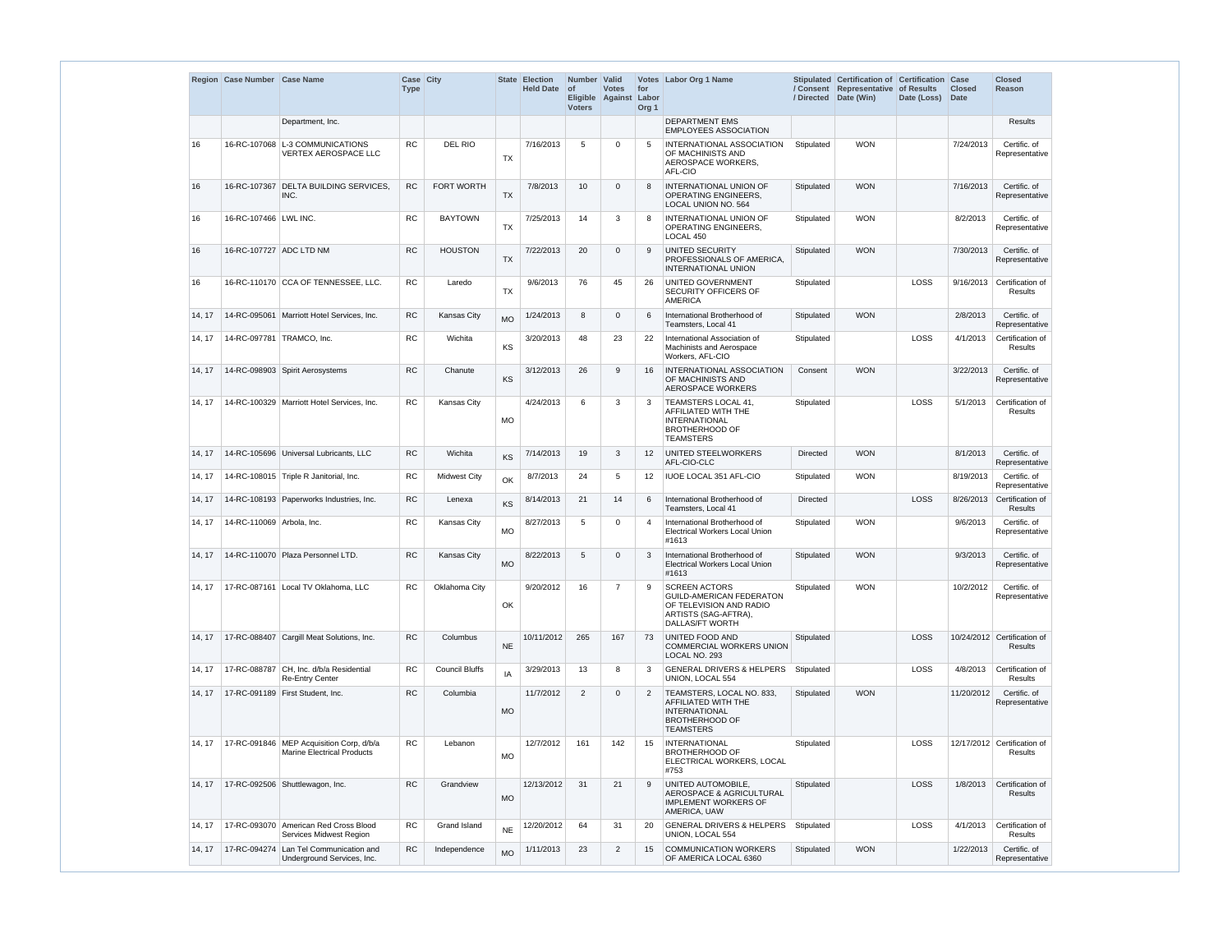|        | Region Case Number Case Name |                                                                                 | Case City<br><b>Type</b> |                       |           | State Election<br><b>Held Date</b> | Number   Valid<br><b>of</b><br><b>Voters</b> | <b>Votes</b><br>Eligible Against | for<br>Labor<br>Org <sub>1</sub> | Votes Labor Org 1 Name                                                                                                 | / Directed      | Stipulated Certification of Certification Case<br>/ Consent Representative<br>Date (Win) | of Results<br>Date (Loss) | <b>Closed</b><br><b>Date</b> | <b>Closed</b><br><b>Reason</b>                |
|--------|------------------------------|---------------------------------------------------------------------------------|--------------------------|-----------------------|-----------|------------------------------------|----------------------------------------------|----------------------------------|----------------------------------|------------------------------------------------------------------------------------------------------------------------|-----------------|------------------------------------------------------------------------------------------|---------------------------|------------------------------|-----------------------------------------------|
|        |                              | Department, Inc.                                                                |                          |                       |           |                                    |                                              |                                  |                                  | <b>DEPARTMENT EMS</b><br><b>EMPLOYEES ASSOCIATION</b>                                                                  |                 |                                                                                          |                           |                              | <b>Results</b>                                |
| 16     |                              | 16-RC-107068 L-3 COMMUNICATIONS<br><b>VERTEX AEROSPACE LLC</b>                  | <b>RC</b>                | DEL RIO               | <b>TX</b> | 7/16/2013                          | 5                                            | $\Omega$                         | 5                                | INTERNATIONAL ASSOCIATION<br>OF MACHINISTS AND<br>AEROSPACE WORKERS,<br>AFL-CIO                                        | Stipulated      | <b>WON</b>                                                                               |                           | 7/24/2013                    | Certific. of<br>Representative                |
| 16     |                              | 16-RC-107367 DELTA BUILDING SERVICES,<br>INC.                                   | <b>RC</b>                | FORT WORTH            | <b>TX</b> | 7/8/2013                           | 10 <sup>°</sup>                              | $\Omega$                         | 8                                | <b>INTERNATIONAL UNION OF</b><br><b>OPERATING ENGINEERS,</b><br>LOCAL UNION NO. 564                                    | Stipulated      | <b>WON</b>                                                                               |                           | 7/16/2013                    | Certific. of<br>Representative                |
| 16     | 16-RC-107466 LWL INC.        |                                                                                 | <b>RC</b>                | <b>BAYTOWN</b>        | <b>TX</b> | 7/25/2013                          | 14                                           | 3                                | 8                                | <b>INTERNATIONAL UNION OF</b><br><b>OPERATING ENGINEERS,</b><br>LOCAL 450                                              | Stipulated      | <b>WON</b>                                                                               |                           | 8/2/2013                     | Certific. of<br>Representative                |
| 16     | 16-RC-107727 ADC LTD NM      |                                                                                 | <b>RC</b>                | <b>HOUSTON</b>        | <b>TX</b> | 7/22/2013                          | 20                                           | $\Omega$                         | 9                                | UNITED SECURITY<br>PROFESSIONALS OF AMERICA.<br><b>INTERNATIONAL UNION</b>                                             | Stipulated      | <b>WON</b>                                                                               |                           | 7/30/2013                    | Certific. of<br>Representative                |
| 16     |                              | 16-RC-110170 CCA OF TENNESSEE, LLC.                                             | <b>RC</b>                | Laredo                | <b>TX</b> | 9/6/2013                           | 76                                           | 45                               | 26                               | UNITED GOVERNMENT<br><b>SECURITY OFFICERS OF</b><br>AMERICA                                                            | Stipulated      |                                                                                          | LOSS                      | 9/16/2013                    | Certification of<br><b>Results</b>            |
| 14, 17 |                              | 14-RC-095061   Marriott Hotel Services, Inc.                                    | <b>RC</b>                | <b>Kansas City</b>    | <b>MO</b> | 1/24/2013                          | 8                                            | 0                                | 6                                | International Brotherhood of<br>Teamsters, Local 41                                                                    | Stipulated      | <b>WON</b>                                                                               |                           | 2/8/2013                     | Certific. of<br>Representative                |
| 14, 17 |                              | 14-RC-097781   TRAMCO, Inc.                                                     | <b>RC</b>                | Wichita               | KS        | 3/20/2013                          | 48                                           | 23                               | 22                               | International Association of<br>Machinists and Aerospace<br>Workers, AFL-CIO                                           | Stipulated      |                                                                                          | LOSS                      | 4/1/2013                     | Certification of<br><b>Results</b>            |
| 14, 17 |                              | 14-RC-098903 Spirit Aerosystems                                                 | <b>RC</b>                | Chanute               | KS        | 3/12/2013                          | 26                                           | 9                                | 16                               | <b>INTERNATIONAL ASSOCIATION</b><br>OF MACHINISTS AND<br>AEROSPACE WORKERS                                             | Consent         | <b>WON</b>                                                                               |                           | 3/22/2013                    | Certific. of<br>Representative                |
| 14, 17 |                              | 14-RC-100329   Marriott Hotel Services, Inc.                                    | <b>RC</b>                | Kansas City           | MO        | 4/24/2013                          | 6                                            | 3                                | 3                                | <b>TEAMSTERS LOCAL 41.</b><br>AFFILIATED WITH THE<br><b>INTERNATIONAL</b><br><b>BROTHERHOOD OF</b><br><b>TEAMSTERS</b> | Stipulated      |                                                                                          | LOSS                      | 5/1/2013                     | Certification of<br><b>Results</b>            |
| 14, 17 |                              | 14-RC-105696 Universal Lubricants, LLC                                          | <b>RC</b>                | Wichita               | KS        | 7/14/2013                          | 19                                           | 3                                | 12                               | <b>UNITED STEELWORKERS</b><br>AFL-CIO-CLC                                                                              | <b>Directed</b> | <b>WON</b>                                                                               |                           | 8/1/2013                     | Certific. of<br>Representative                |
| 14, 17 |                              | 14-RC-108015 Triple R Janitorial, Inc.                                          | <b>RC</b>                | <b>Midwest City</b>   | OK        | 8/7/2013                           | 24                                           | 5                                | 12                               | <b>IUOE LOCAL 351 AFL-CIO</b>                                                                                          | Stipulated      | <b>WON</b>                                                                               |                           | 8/19/2013                    | Certific. of<br>Representative                |
| 14, 17 |                              | 14-RC-108193 Paperworks Industries, Inc.                                        | <b>RC</b>                | Lenexa                | <b>KS</b> | 8/14/2013                          | 21                                           | 14                               | 6                                | International Brotherhood of<br>Teamsters, Local 41                                                                    | <b>Directed</b> |                                                                                          | LOSS                      | 8/26/2013                    | Certification of<br>Results                   |
| 14, 17 | 14-RC-110069 Arbola, Inc.    |                                                                                 | <b>RC</b>                | Kansas City           | MO        | 8/27/2013                          | 5                                            | $\mathbf 0$                      | $\overline{4}$                   | International Brotherhood of<br><b>Electrical Workers Local Union</b><br>#1613                                         | Stipulated      | <b>WON</b>                                                                               |                           | 9/6/2013                     | Certific. of<br>Representative                |
| 14, 17 |                              | 14-RC-110070 Plaza Personnel LTD.                                               | <b>RC</b>                | Kansas City           | <b>MO</b> | 8/22/2013                          | 5                                            | $\Omega$                         | 3                                | International Brotherhood of<br><b>Electrical Workers Local Union</b><br>#1613                                         | Stipulated      | <b>WON</b>                                                                               |                           | 9/3/2013                     | Certific. of<br>Representative                |
| 14, 17 |                              | 17-RC-087161 Local TV Oklahoma, LLC                                             | <b>RC</b>                | Oklahoma City         | OK        | 9/20/2012                          | 16                                           | 7                                | 9                                | <b>SCREEN ACTORS</b><br>GUILD-AMERICAN FEDERATON<br>OF TELEVISION AND RADIO<br>ARTISTS (SAG-AFTRA),<br>DALLAS/FT WORTH | Stipulated      | <b>WON</b>                                                                               |                           | 10/2/2012                    | Certific. of<br>Representative                |
| 14, 17 |                              | 17-RC-088407 Cargill Meat Solutions, Inc.                                       | <b>RC</b>                | Columbus              | <b>NE</b> | 10/11/2012                         | 265                                          | 167                              | 73                               | <b>UNITED FOOD AND</b><br><b>COMMERCIAL WORKERS UNION</b><br>LOCAL NO. 293                                             | Stipulated      |                                                                                          | LOSS                      |                              | 10/24/2012 Certification of<br><b>Results</b> |
| 14, 17 |                              | 17-RC-088787 CH, Inc. d/b/a Residential<br><b>Re-Entry Center</b>               | <b>RC</b>                | <b>Council Bluffs</b> | IA        | 3/29/2013                          | 13                                           | 8                                | 3                                | <b>GENERAL DRIVERS &amp; HELPERS</b><br>UNION, LOCAL 554                                                               | Stipulated      |                                                                                          | LOSS                      | 4/8/2013                     | Certification of<br><b>Results</b>            |
| 14, 17 |                              | 17-RC-091189 First Student, Inc.                                                | <b>RC</b>                | Columbia              | <b>MO</b> | 11/7/2012                          | $\overline{2}$                               | $\Omega$                         | 2                                | TEAMSTERS, LOCAL NO. 833,<br>AFFILIATED WITH THE<br><b>INTERNATIONAL</b><br><b>BROTHERHOOD OF</b><br><b>TEAMSTERS</b>  | Stipulated      | <b>WON</b>                                                                               |                           | 11/20/2012                   | Certific. of<br>Representative                |
| 14, 17 |                              | 17-RC-091846   MEP Acquisition Corp, d/b/a<br><b>Marine Electrical Products</b> | <b>RC</b>                | Lebanon               | <b>MO</b> | 12/7/2012                          | 161                                          | 142                              | 15                               | <b>INTERNATIONAL</b><br><b>BROTHERHOOD OF</b><br>ELECTRICAL WORKERS, LOCAL<br>#753                                     | Stipulated      |                                                                                          | LOSS                      |                              | 12/17/2012 Certification of<br>Results        |
| 14, 17 |                              | 17-RC-092506 Shuttlewagon, Inc.                                                 | <b>RC</b>                | Grandview             | MO        | 12/13/2012                         | 31                                           | 21                               | 9                                | <b>UNITED AUTOMOBILE,</b><br>AEROSPACE & AGRICULTURAL<br><b>IMPLEMENT WORKERS OF</b><br>AMERICA, UAW                   | Stipulated      |                                                                                          | LOSS                      | 1/8/2013                     | Certification of<br><b>Results</b>            |
| 14, 17 |                              | 17-RC-093070 American Red Cross Blood<br><b>Services Midwest Region</b>         | <b>RC</b>                | Grand Island          | <b>NE</b> | 12/20/2012                         | 64                                           | 31                               | 20                               | <b>GENERAL DRIVERS &amp; HELPERS</b><br>UNION, LOCAL 554                                                               | Stipulated      |                                                                                          | LOSS                      | 4/1/2013                     | Certification of<br>Results                   |
| 14, 17 |                              | 17-RC-094274 Lan Tel Communication and<br>Underground Services, Inc.            | <b>RC</b>                | Independence          | <b>MO</b> | 1/11/2013                          | 23                                           | $\overline{2}$                   | 15                               | <b>COMMUNICATION WORKERS</b><br>OF AMERICA LOCAL 6360                                                                  | Stipulated      | <b>WON</b>                                                                               |                           | 1/22/2013                    | Certific. of<br>Representative                |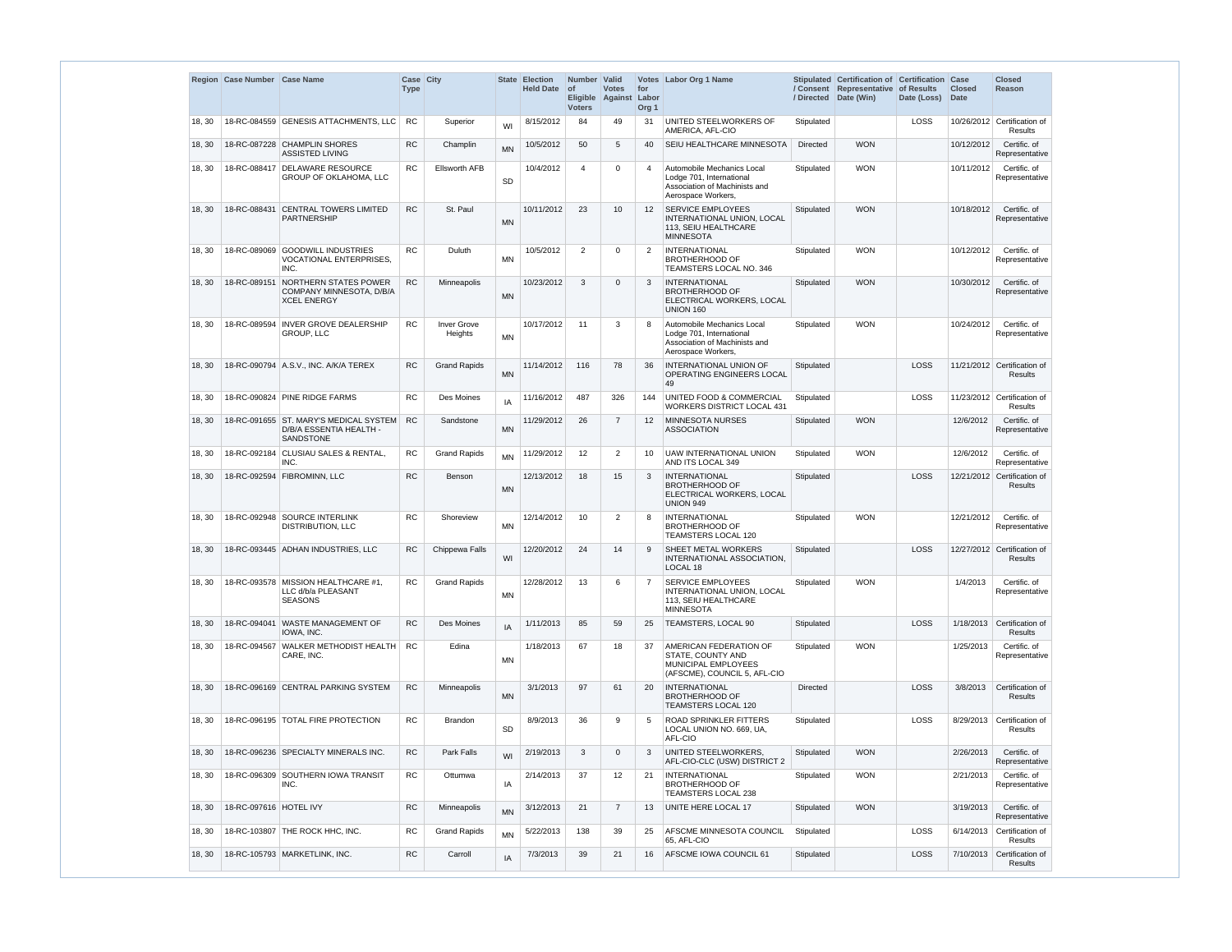| <b>RC</b><br>8/15/2012<br>84<br>LOSS<br>18-RC-084559 GENESIS ATTACHMENTS, LLC<br>Superior<br>49<br>UNITED STEELWORKERS OF<br>Stipulated<br>10/26/2012 Certification of<br>18, 30<br>31<br>WI<br>AMERICA, AFL-CIO<br><b>RC</b><br>18-RC-087228 CHAMPLIN SHORES<br>10/5/2012<br>50<br>$\overline{5}$<br>SEIU HEALTHCARE MINNESOTA<br><b>Directed</b><br><b>WON</b><br>10/12/2012<br>18, 30<br>Champlin<br>40<br><b>MN</b><br><b>ASSISTED LIVING</b><br>18-RC-088417 DELAWARE RESOURCE<br>RC<br><b>Ellsworth AFB</b><br>10/4/2012<br><b>WON</b><br>10/11/2012<br>18, 30<br>$\overline{4}$<br>$\Omega$<br>Automobile Mechanics Local<br>Stipulated<br>4<br><b>GROUP OF OKLAHOMA, LLC</b><br>Lodge 701, International<br><b>SD</b><br>Association of Machinists and<br>Aerospace Workers,<br><b>RC</b><br><b>WON</b><br>18-RC-088431 CENTRAL TOWERS LIMITED<br>St. Paul<br>10/11/2012<br>23<br>10<br><b>SERVICE EMPLOYEES</b><br>10/18/2012<br>18, 30<br>$12 \overline{ }$<br>Stipulated<br>PARTNERSHIP<br>INTERNATIONAL UNION, LOCAL<br><b>MN</b><br>113, SEIU HEALTHCARE<br><b>MINNESOTA</b><br><b>RC</b><br>18-RC-089069 GOODWILL INDUSTRIES<br>Duluth<br>10/5/2012<br>$\overline{2}$<br><b>INTERNATIONAL</b><br><b>WON</b><br>Stipulated<br>10/12/2012<br>18, 30<br>$\Omega$<br>2<br><b>MN</b><br><b>BROTHERHOOD OF</b><br><b>VOCATIONAL ENTERPRISES.</b><br>INC.<br><b>TEAMSTERS LOCAL NO. 346</b><br>NORTHERN STATES POWER<br><b>RC</b><br>3<br><b>INTERNATIONAL</b><br><b>WON</b><br>18-RC-089151<br>10/23/2012<br>Stipulated<br>10/30/2012<br>18, 30<br>Minneapolis<br>$\Omega$<br>3<br><b>BROTHERHOOD OF</b><br>COMPANY MINNESOTA, D/B/A<br><b>MN</b><br>ELECTRICAL WORKERS, LOCAL<br><b>XCEL ENERGY</b><br>UNION 160<br>18-RC-089594   INVER GROVE DEALERSHIP<br><b>RC</b><br><b>Inver Grove</b><br>10/17/2012<br>11<br>3<br>Automobile Mechanics Local<br><b>WON</b><br>10/24/2012<br>18, 30<br>8<br>Stipulated<br>Lodge 701, International<br>GROUP, LLC<br>Heights<br><b>MN</b><br>Association of Machinists and<br>Aerospace Workers,<br>11/21/2012 Certification of<br>18-RC-090794 A.S.V., INC. A/K/A TEREX<br><b>RC</b><br><b>Grand Rapids</b><br>11/14/2012<br>116<br>78<br><b>INTERNATIONAL UNION OF</b><br><b>LOSS</b><br>18, 30<br>36<br>Stipulated<br><b>MN</b><br><b>OPERATING ENGINEERS LOCAL</b><br>49<br>18-RC-090824 PINE RIDGE FARMS<br><b>RC</b><br><b>UNITED FOOD &amp; COMMERCIAL</b><br>LOSS<br>Des Moines<br>11/16/2012<br>487<br>326<br>144<br>Stipulated<br>11/23/2012<br>18, 30<br>IA<br><b>WORKERS DISTRICT LOCAL 431</b><br>18-RC-091655 ST. MARY'S MEDICAL SYSTEM<br><b>RC</b><br>11/29/2012<br>26<br><b>MINNESOTA NURSES</b><br><b>WON</b><br>12/6/2012<br>18, 30<br>Sandstone<br>$\overline{7}$<br>$12 \overline{ }$<br>Stipulated<br>D/B/A ESSENTIA HEALTH -<br><b>MN</b><br><b>ASSOCIATION</b><br>SANDSTONE<br><b>UAW INTERNATIONAL UNION</b><br><b>WON</b><br>12/6/2012<br>18, 30<br>18-RC-092184   CLUSIAU SALES & RENTAL,<br>RC<br><b>Grand Rapids</b><br>11/29/2012<br>$12 \overline{ }$<br>$\overline{2}$<br>Stipulated<br>10<br><b>MN</b><br>INC.<br>AND ITS LOCAL 349<br><b>RC</b><br>LOSS<br>18-RC-092594 FIBROMINN, LLC<br>18<br>15<br><b>INTERNATIONAL</b><br>12/21/2012 Certification of<br>12/13/2012<br>3<br>Stipulated<br>18, 30<br>Benson<br><b>BROTHERHOOD OF</b><br><b>MN</b><br>ELECTRICAL WORKERS, LOCAL<br>UNION 949<br>18-RC-092948 SOURCE INTERLINK<br><b>WON</b><br>RC<br>Shoreview<br>12/14/2012<br>10<br>2<br><b>INTERNATIONAL</b><br>Stipulated<br>12/21/2012<br>18, 30<br>8<br><b>MN</b><br><b>BROTHERHOOD OF</b><br>DISTRIBUTION, LLC<br>TEAMSTERS LOCAL 120<br><b>RC</b><br>LOSS<br>Chippewa Falls<br>12/20/2012<br>24<br>14<br>SHEET METAL WORKERS<br>12/27/2012 Certification of<br>18, 30<br>18-RC-093445 ADHAN INDUSTRIES, LLC<br>9<br>Stipulated<br>WI<br>INTERNATIONAL ASSOCIATION.<br>LOCAL 18<br><b>SERVICE EMPLOYEES</b><br><b>WON</b><br>18-RC-093578 MISSION HEALTHCARE #1,<br><b>RC</b><br><b>Grand Rapids</b><br>13<br>1/4/2013<br>18, 30<br>12/28/2012<br>6<br>$\overline{7}$<br>Stipulated<br>LLC d/b/a PLEASANT<br>INTERNATIONAL UNION, LOCAL<br>MN<br><b>SEASONS</b><br>113, SEIU HEALTHCARE<br><b>MINNESOTA</b><br>18-RC-094041 WASTE MANAGEMENT OF<br><b>RC</b><br>1/11/2013<br>85<br>TEAMSTERS, LOCAL 90<br><b>LOSS</b><br>18, 30<br>Des Moines<br>59<br>Stipulated<br>1/18/2013<br>25<br>IA<br>IOWA. INC.<br>18-RC-094567 WALKER METHODIST HEALTH<br>67<br><b>AMERICAN FEDERATION OF</b><br><b>WON</b><br>18, 30<br>RC.<br>Edina<br>1/18/2013<br>18<br>37<br>Stipulated<br>1/25/2013<br>CARE, INC.<br>STATE, COUNTY AND<br><b>MN</b><br>MUNICIPAL EMPLOYEES<br>(AFSCME), COUNCIL 5, AFL-CIO<br>97<br>18-RC-096169 CENTRAL PARKING SYSTEM<br>RC<br>3/1/2013<br><b>INTERNATIONAL</b><br><b>LOSS</b><br>3/8/2013<br>18, 30<br>Minneapolis<br>61<br>20<br><b>Directed</b><br><b>MN</b><br><b>BROTHERHOOD OF</b><br><b>TEAMSTERS LOCAL 120</b><br>18-RC-096195   TOTAL FIRE PROTECTION<br><b>RC</b><br>8/9/2013<br>36<br>9<br><b>ROAD SPRINKLER FITTERS</b><br>LOSS<br>18, 30<br><b>Brandon</b><br>5<br>Stipulated<br>8/29/2013<br>SD<br>LOCAL UNION NO. 669, UA,<br>AFL-CIO<br>UNITED STEELWORKERS,<br>18-RC-096236 SPECIALTY MINERALS INC.<br><b>RC</b><br>Park Falls<br>2/19/2013<br>3<br><b>WON</b><br>2/26/2013<br>18, 30<br>$\Omega$<br>3<br>Stipulated<br>WI<br>AFL-CIO-CLC (USW) DISTRICT 2<br>18-RC-096309 SOUTHERN IOWA TRANSIT<br><b>RC</b><br>37<br><b>INTERNATIONAL</b><br><b>WON</b><br>Ottumwa<br>2/14/2013<br>12<br>21<br>Stipulated<br>2/21/2013<br>18, 30<br>IA<br><b>BROTHERHOOD OF</b><br>INC.<br>TEAMSTERS LOCAL 238<br>RC<br>18-RC-097616 HOTEL IVY<br>3/12/2013<br>21<br>UNITE HERE LOCAL 17<br><b>WON</b><br>3/19/2013<br>Minneapolis<br>$\overline{7}$<br>Stipulated<br>18, 30<br>13<br><b>MN</b><br>18-RC-103807 THE ROCK HHC, INC.<br><b>RC</b><br><b>Grand Rapids</b><br>AFSCME MINNESOTA COUNCIL<br>LOSS<br>5/22/2013<br>138<br>39<br>Stipulated<br>6/14/2013<br>18, 30<br>25<br><b>MN</b><br>65, AFL-CIO<br>18-RC-105793 MARKETLINK, INC.<br><b>RC</b><br>Carroll<br>7/3/2013<br>39<br>21<br>AFSCME IOWA COUNCIL 61<br>LOSS<br>7/10/2013<br>18, 30<br>Stipulated<br>16<br>IA | Region Case Number Case Name | Case City<br><b>Type</b> |  | <b>State Election</b><br><b>Held Date</b> | Number   Valid<br>$ $ of<br><b>Voters</b> | <b>Votes</b><br>Eligible Against Labor | for<br>Org <sub>1</sub> | Votes Labor Org 1 Name | Stipulated Certification of Certification Case<br>/ Consent Representative<br>/ Directed Date (Win) | of Results<br>Date (Loss) | <b>Closed</b><br><b>Date</b> | <b>Closed</b><br>Reason        |
|-----------------------------------------------------------------------------------------------------------------------------------------------------------------------------------------------------------------------------------------------------------------------------------------------------------------------------------------------------------------------------------------------------------------------------------------------------------------------------------------------------------------------------------------------------------------------------------------------------------------------------------------------------------------------------------------------------------------------------------------------------------------------------------------------------------------------------------------------------------------------------------------------------------------------------------------------------------------------------------------------------------------------------------------------------------------------------------------------------------------------------------------------------------------------------------------------------------------------------------------------------------------------------------------------------------------------------------------------------------------------------------------------------------------------------------------------------------------------------------------------------------------------------------------------------------------------------------------------------------------------------------------------------------------------------------------------------------------------------------------------------------------------------------------------------------------------------------------------------------------------------------------------------------------------------------------------------------------------------------------------------------------------------------------------------------------------------------------------------------------------------------------------------------------------------------------------------------------------------------------------------------------------------------------------------------------------------------------------------------------------------------------------------------------------------------------------------------------------------------------------------------------------------------------------------------------------------------------------------------------------------------------------------------------------------------------------------------------------------------------------------------------------------------------------------------------------------------------------------------------------------------------------------------------------------------------------------------------------------------------------------------------------------------------------------------------------------------------------------------------------------------------------------------------------------------------------------------------------------------------------------------------------------------------------------------------------------------------------------------------------------------------------------------------------------------------------------------------------------------------------------------------------------------------------------------------------------------------------------------------------------------------------------------------------------------------------------------------------------------------------------------------------------------------------------------------------------------------------------------------------------------------------------------------------------------------------------------------------------------------------------------------------------------------------------------------------------------------------------------------------------------------------------------------------------------------------------------------------------------------------------------------------------------------------------------------------------------------------------------------------------------------------------------------------------------------------------------------------------------------------------------------------------------------------------------------------------------------------------------------------------------------------------------------------------------------------------------------------------------------------------------------------------------------------------------------------------------------------------------------------------------------------------------------------------------------------------------------------------------------------------------------------------------------------------------------------------------------------------------------------------------------------------------------------------------------------------------------------------------------------------------------------------------------------------------------------------------------------------------------------------------------------------------------------------------------------------------------------------------------------------------------------------------------------------------------------------------------------------------------------------------------------------------------------------------------------------------------------------------------------------------------------------------------------------------------------------------------------------------------------------------------------------------------------------------------------------------------------------------------------------------------------------------------------------------------------------------------------------------------------------------------------------------------------------------------------|------------------------------|--------------------------|--|-------------------------------------------|-------------------------------------------|----------------------------------------|-------------------------|------------------------|-----------------------------------------------------------------------------------------------------|---------------------------|------------------------------|--------------------------------|
|                                                                                                                                                                                                                                                                                                                                                                                                                                                                                                                                                                                                                                                                                                                                                                                                                                                                                                                                                                                                                                                                                                                                                                                                                                                                                                                                                                                                                                                                                                                                                                                                                                                                                                                                                                                                                                                                                                                                                                                                                                                                                                                                                                                                                                                                                                                                                                                                                                                                                                                                                                                                                                                                                                                                                                                                                                                                                                                                                                                                                                                                                                                                                                                                                                                                                                                                                                                                                                                                                                                                                                                                                                                                                                                                                                                                                                                                                                                                                                                                                                                                                                                                                                                                                                                                                                                                                                                                                                                                                                                                                                                                                                                                                                                                                                                                                                                                                                                                                                                                                                                                                                                                                                                                                                                                                                                                                                                                                                                                                                                                                                                                                                                                                                                                                                                                                                                                                                                                                                                                                                                                                                                                                                                               |                              |                          |  |                                           |                                           |                                        |                         |                        |                                                                                                     |                           |                              | <b>Results</b>                 |
|                                                                                                                                                                                                                                                                                                                                                                                                                                                                                                                                                                                                                                                                                                                                                                                                                                                                                                                                                                                                                                                                                                                                                                                                                                                                                                                                                                                                                                                                                                                                                                                                                                                                                                                                                                                                                                                                                                                                                                                                                                                                                                                                                                                                                                                                                                                                                                                                                                                                                                                                                                                                                                                                                                                                                                                                                                                                                                                                                                                                                                                                                                                                                                                                                                                                                                                                                                                                                                                                                                                                                                                                                                                                                                                                                                                                                                                                                                                                                                                                                                                                                                                                                                                                                                                                                                                                                                                                                                                                                                                                                                                                                                                                                                                                                                                                                                                                                                                                                                                                                                                                                                                                                                                                                                                                                                                                                                                                                                                                                                                                                                                                                                                                                                                                                                                                                                                                                                                                                                                                                                                                                                                                                                                               |                              |                          |  |                                           |                                           |                                        |                         |                        |                                                                                                     |                           |                              | Certific. of<br>Representative |
|                                                                                                                                                                                                                                                                                                                                                                                                                                                                                                                                                                                                                                                                                                                                                                                                                                                                                                                                                                                                                                                                                                                                                                                                                                                                                                                                                                                                                                                                                                                                                                                                                                                                                                                                                                                                                                                                                                                                                                                                                                                                                                                                                                                                                                                                                                                                                                                                                                                                                                                                                                                                                                                                                                                                                                                                                                                                                                                                                                                                                                                                                                                                                                                                                                                                                                                                                                                                                                                                                                                                                                                                                                                                                                                                                                                                                                                                                                                                                                                                                                                                                                                                                                                                                                                                                                                                                                                                                                                                                                                                                                                                                                                                                                                                                                                                                                                                                                                                                                                                                                                                                                                                                                                                                                                                                                                                                                                                                                                                                                                                                                                                                                                                                                                                                                                                                                                                                                                                                                                                                                                                                                                                                                                               |                              |                          |  |                                           |                                           |                                        |                         |                        |                                                                                                     |                           |                              | Certific. of<br>Representative |
|                                                                                                                                                                                                                                                                                                                                                                                                                                                                                                                                                                                                                                                                                                                                                                                                                                                                                                                                                                                                                                                                                                                                                                                                                                                                                                                                                                                                                                                                                                                                                                                                                                                                                                                                                                                                                                                                                                                                                                                                                                                                                                                                                                                                                                                                                                                                                                                                                                                                                                                                                                                                                                                                                                                                                                                                                                                                                                                                                                                                                                                                                                                                                                                                                                                                                                                                                                                                                                                                                                                                                                                                                                                                                                                                                                                                                                                                                                                                                                                                                                                                                                                                                                                                                                                                                                                                                                                                                                                                                                                                                                                                                                                                                                                                                                                                                                                                                                                                                                                                                                                                                                                                                                                                                                                                                                                                                                                                                                                                                                                                                                                                                                                                                                                                                                                                                                                                                                                                                                                                                                                                                                                                                                                               |                              |                          |  |                                           |                                           |                                        |                         |                        |                                                                                                     |                           |                              | Certific. of<br>Representative |
|                                                                                                                                                                                                                                                                                                                                                                                                                                                                                                                                                                                                                                                                                                                                                                                                                                                                                                                                                                                                                                                                                                                                                                                                                                                                                                                                                                                                                                                                                                                                                                                                                                                                                                                                                                                                                                                                                                                                                                                                                                                                                                                                                                                                                                                                                                                                                                                                                                                                                                                                                                                                                                                                                                                                                                                                                                                                                                                                                                                                                                                                                                                                                                                                                                                                                                                                                                                                                                                                                                                                                                                                                                                                                                                                                                                                                                                                                                                                                                                                                                                                                                                                                                                                                                                                                                                                                                                                                                                                                                                                                                                                                                                                                                                                                                                                                                                                                                                                                                                                                                                                                                                                                                                                                                                                                                                                                                                                                                                                                                                                                                                                                                                                                                                                                                                                                                                                                                                                                                                                                                                                                                                                                                                               |                              |                          |  |                                           |                                           |                                        |                         |                        |                                                                                                     |                           |                              | Certific. of<br>Representative |
|                                                                                                                                                                                                                                                                                                                                                                                                                                                                                                                                                                                                                                                                                                                                                                                                                                                                                                                                                                                                                                                                                                                                                                                                                                                                                                                                                                                                                                                                                                                                                                                                                                                                                                                                                                                                                                                                                                                                                                                                                                                                                                                                                                                                                                                                                                                                                                                                                                                                                                                                                                                                                                                                                                                                                                                                                                                                                                                                                                                                                                                                                                                                                                                                                                                                                                                                                                                                                                                                                                                                                                                                                                                                                                                                                                                                                                                                                                                                                                                                                                                                                                                                                                                                                                                                                                                                                                                                                                                                                                                                                                                                                                                                                                                                                                                                                                                                                                                                                                                                                                                                                                                                                                                                                                                                                                                                                                                                                                                                                                                                                                                                                                                                                                                                                                                                                                                                                                                                                                                                                                                                                                                                                                                               |                              |                          |  |                                           |                                           |                                        |                         |                        |                                                                                                     |                           |                              | Certific. of<br>Representative |
|                                                                                                                                                                                                                                                                                                                                                                                                                                                                                                                                                                                                                                                                                                                                                                                                                                                                                                                                                                                                                                                                                                                                                                                                                                                                                                                                                                                                                                                                                                                                                                                                                                                                                                                                                                                                                                                                                                                                                                                                                                                                                                                                                                                                                                                                                                                                                                                                                                                                                                                                                                                                                                                                                                                                                                                                                                                                                                                                                                                                                                                                                                                                                                                                                                                                                                                                                                                                                                                                                                                                                                                                                                                                                                                                                                                                                                                                                                                                                                                                                                                                                                                                                                                                                                                                                                                                                                                                                                                                                                                                                                                                                                                                                                                                                                                                                                                                                                                                                                                                                                                                                                                                                                                                                                                                                                                                                                                                                                                                                                                                                                                                                                                                                                                                                                                                                                                                                                                                                                                                                                                                                                                                                                                               |                              |                          |  |                                           |                                           |                                        |                         |                        |                                                                                                     |                           |                              | Certific. of<br>Representative |
|                                                                                                                                                                                                                                                                                                                                                                                                                                                                                                                                                                                                                                                                                                                                                                                                                                                                                                                                                                                                                                                                                                                                                                                                                                                                                                                                                                                                                                                                                                                                                                                                                                                                                                                                                                                                                                                                                                                                                                                                                                                                                                                                                                                                                                                                                                                                                                                                                                                                                                                                                                                                                                                                                                                                                                                                                                                                                                                                                                                                                                                                                                                                                                                                                                                                                                                                                                                                                                                                                                                                                                                                                                                                                                                                                                                                                                                                                                                                                                                                                                                                                                                                                                                                                                                                                                                                                                                                                                                                                                                                                                                                                                                                                                                                                                                                                                                                                                                                                                                                                                                                                                                                                                                                                                                                                                                                                                                                                                                                                                                                                                                                                                                                                                                                                                                                                                                                                                                                                                                                                                                                                                                                                                                               |                              |                          |  |                                           |                                           |                                        |                         |                        |                                                                                                     |                           |                              | Results                        |
|                                                                                                                                                                                                                                                                                                                                                                                                                                                                                                                                                                                                                                                                                                                                                                                                                                                                                                                                                                                                                                                                                                                                                                                                                                                                                                                                                                                                                                                                                                                                                                                                                                                                                                                                                                                                                                                                                                                                                                                                                                                                                                                                                                                                                                                                                                                                                                                                                                                                                                                                                                                                                                                                                                                                                                                                                                                                                                                                                                                                                                                                                                                                                                                                                                                                                                                                                                                                                                                                                                                                                                                                                                                                                                                                                                                                                                                                                                                                                                                                                                                                                                                                                                                                                                                                                                                                                                                                                                                                                                                                                                                                                                                                                                                                                                                                                                                                                                                                                                                                                                                                                                                                                                                                                                                                                                                                                                                                                                                                                                                                                                                                                                                                                                                                                                                                                                                                                                                                                                                                                                                                                                                                                                                               |                              |                          |  |                                           |                                           |                                        |                         |                        |                                                                                                     |                           |                              | Certification of<br>Results    |
|                                                                                                                                                                                                                                                                                                                                                                                                                                                                                                                                                                                                                                                                                                                                                                                                                                                                                                                                                                                                                                                                                                                                                                                                                                                                                                                                                                                                                                                                                                                                                                                                                                                                                                                                                                                                                                                                                                                                                                                                                                                                                                                                                                                                                                                                                                                                                                                                                                                                                                                                                                                                                                                                                                                                                                                                                                                                                                                                                                                                                                                                                                                                                                                                                                                                                                                                                                                                                                                                                                                                                                                                                                                                                                                                                                                                                                                                                                                                                                                                                                                                                                                                                                                                                                                                                                                                                                                                                                                                                                                                                                                                                                                                                                                                                                                                                                                                                                                                                                                                                                                                                                                                                                                                                                                                                                                                                                                                                                                                                                                                                                                                                                                                                                                                                                                                                                                                                                                                                                                                                                                                                                                                                                                               |                              |                          |  |                                           |                                           |                                        |                         |                        |                                                                                                     |                           |                              | Certific. of<br>Representative |
|                                                                                                                                                                                                                                                                                                                                                                                                                                                                                                                                                                                                                                                                                                                                                                                                                                                                                                                                                                                                                                                                                                                                                                                                                                                                                                                                                                                                                                                                                                                                                                                                                                                                                                                                                                                                                                                                                                                                                                                                                                                                                                                                                                                                                                                                                                                                                                                                                                                                                                                                                                                                                                                                                                                                                                                                                                                                                                                                                                                                                                                                                                                                                                                                                                                                                                                                                                                                                                                                                                                                                                                                                                                                                                                                                                                                                                                                                                                                                                                                                                                                                                                                                                                                                                                                                                                                                                                                                                                                                                                                                                                                                                                                                                                                                                                                                                                                                                                                                                                                                                                                                                                                                                                                                                                                                                                                                                                                                                                                                                                                                                                                                                                                                                                                                                                                                                                                                                                                                                                                                                                                                                                                                                                               |                              |                          |  |                                           |                                           |                                        |                         |                        |                                                                                                     |                           |                              | Certific. of<br>Representative |
|                                                                                                                                                                                                                                                                                                                                                                                                                                                                                                                                                                                                                                                                                                                                                                                                                                                                                                                                                                                                                                                                                                                                                                                                                                                                                                                                                                                                                                                                                                                                                                                                                                                                                                                                                                                                                                                                                                                                                                                                                                                                                                                                                                                                                                                                                                                                                                                                                                                                                                                                                                                                                                                                                                                                                                                                                                                                                                                                                                                                                                                                                                                                                                                                                                                                                                                                                                                                                                                                                                                                                                                                                                                                                                                                                                                                                                                                                                                                                                                                                                                                                                                                                                                                                                                                                                                                                                                                                                                                                                                                                                                                                                                                                                                                                                                                                                                                                                                                                                                                                                                                                                                                                                                                                                                                                                                                                                                                                                                                                                                                                                                                                                                                                                                                                                                                                                                                                                                                                                                                                                                                                                                                                                                               |                              |                          |  |                                           |                                           |                                        |                         |                        |                                                                                                     |                           |                              | Results                        |
|                                                                                                                                                                                                                                                                                                                                                                                                                                                                                                                                                                                                                                                                                                                                                                                                                                                                                                                                                                                                                                                                                                                                                                                                                                                                                                                                                                                                                                                                                                                                                                                                                                                                                                                                                                                                                                                                                                                                                                                                                                                                                                                                                                                                                                                                                                                                                                                                                                                                                                                                                                                                                                                                                                                                                                                                                                                                                                                                                                                                                                                                                                                                                                                                                                                                                                                                                                                                                                                                                                                                                                                                                                                                                                                                                                                                                                                                                                                                                                                                                                                                                                                                                                                                                                                                                                                                                                                                                                                                                                                                                                                                                                                                                                                                                                                                                                                                                                                                                                                                                                                                                                                                                                                                                                                                                                                                                                                                                                                                                                                                                                                                                                                                                                                                                                                                                                                                                                                                                                                                                                                                                                                                                                                               |                              |                          |  |                                           |                                           |                                        |                         |                        |                                                                                                     |                           |                              | Certific, of<br>Representative |
|                                                                                                                                                                                                                                                                                                                                                                                                                                                                                                                                                                                                                                                                                                                                                                                                                                                                                                                                                                                                                                                                                                                                                                                                                                                                                                                                                                                                                                                                                                                                                                                                                                                                                                                                                                                                                                                                                                                                                                                                                                                                                                                                                                                                                                                                                                                                                                                                                                                                                                                                                                                                                                                                                                                                                                                                                                                                                                                                                                                                                                                                                                                                                                                                                                                                                                                                                                                                                                                                                                                                                                                                                                                                                                                                                                                                                                                                                                                                                                                                                                                                                                                                                                                                                                                                                                                                                                                                                                                                                                                                                                                                                                                                                                                                                                                                                                                                                                                                                                                                                                                                                                                                                                                                                                                                                                                                                                                                                                                                                                                                                                                                                                                                                                                                                                                                                                                                                                                                                                                                                                                                                                                                                                                               |                              |                          |  |                                           |                                           |                                        |                         |                        |                                                                                                     |                           |                              | <b>Results</b>                 |
|                                                                                                                                                                                                                                                                                                                                                                                                                                                                                                                                                                                                                                                                                                                                                                                                                                                                                                                                                                                                                                                                                                                                                                                                                                                                                                                                                                                                                                                                                                                                                                                                                                                                                                                                                                                                                                                                                                                                                                                                                                                                                                                                                                                                                                                                                                                                                                                                                                                                                                                                                                                                                                                                                                                                                                                                                                                                                                                                                                                                                                                                                                                                                                                                                                                                                                                                                                                                                                                                                                                                                                                                                                                                                                                                                                                                                                                                                                                                                                                                                                                                                                                                                                                                                                                                                                                                                                                                                                                                                                                                                                                                                                                                                                                                                                                                                                                                                                                                                                                                                                                                                                                                                                                                                                                                                                                                                                                                                                                                                                                                                                                                                                                                                                                                                                                                                                                                                                                                                                                                                                                                                                                                                                                               |                              |                          |  |                                           |                                           |                                        |                         |                        |                                                                                                     |                           |                              | Certific. of<br>Representative |
|                                                                                                                                                                                                                                                                                                                                                                                                                                                                                                                                                                                                                                                                                                                                                                                                                                                                                                                                                                                                                                                                                                                                                                                                                                                                                                                                                                                                                                                                                                                                                                                                                                                                                                                                                                                                                                                                                                                                                                                                                                                                                                                                                                                                                                                                                                                                                                                                                                                                                                                                                                                                                                                                                                                                                                                                                                                                                                                                                                                                                                                                                                                                                                                                                                                                                                                                                                                                                                                                                                                                                                                                                                                                                                                                                                                                                                                                                                                                                                                                                                                                                                                                                                                                                                                                                                                                                                                                                                                                                                                                                                                                                                                                                                                                                                                                                                                                                                                                                                                                                                                                                                                                                                                                                                                                                                                                                                                                                                                                                                                                                                                                                                                                                                                                                                                                                                                                                                                                                                                                                                                                                                                                                                                               |                              |                          |  |                                           |                                           |                                        |                         |                        |                                                                                                     |                           |                              | Certification of<br>Results    |
|                                                                                                                                                                                                                                                                                                                                                                                                                                                                                                                                                                                                                                                                                                                                                                                                                                                                                                                                                                                                                                                                                                                                                                                                                                                                                                                                                                                                                                                                                                                                                                                                                                                                                                                                                                                                                                                                                                                                                                                                                                                                                                                                                                                                                                                                                                                                                                                                                                                                                                                                                                                                                                                                                                                                                                                                                                                                                                                                                                                                                                                                                                                                                                                                                                                                                                                                                                                                                                                                                                                                                                                                                                                                                                                                                                                                                                                                                                                                                                                                                                                                                                                                                                                                                                                                                                                                                                                                                                                                                                                                                                                                                                                                                                                                                                                                                                                                                                                                                                                                                                                                                                                                                                                                                                                                                                                                                                                                                                                                                                                                                                                                                                                                                                                                                                                                                                                                                                                                                                                                                                                                                                                                                                                               |                              |                          |  |                                           |                                           |                                        |                         |                        |                                                                                                     |                           |                              | Certific, of<br>Representative |
|                                                                                                                                                                                                                                                                                                                                                                                                                                                                                                                                                                                                                                                                                                                                                                                                                                                                                                                                                                                                                                                                                                                                                                                                                                                                                                                                                                                                                                                                                                                                                                                                                                                                                                                                                                                                                                                                                                                                                                                                                                                                                                                                                                                                                                                                                                                                                                                                                                                                                                                                                                                                                                                                                                                                                                                                                                                                                                                                                                                                                                                                                                                                                                                                                                                                                                                                                                                                                                                                                                                                                                                                                                                                                                                                                                                                                                                                                                                                                                                                                                                                                                                                                                                                                                                                                                                                                                                                                                                                                                                                                                                                                                                                                                                                                                                                                                                                                                                                                                                                                                                                                                                                                                                                                                                                                                                                                                                                                                                                                                                                                                                                                                                                                                                                                                                                                                                                                                                                                                                                                                                                                                                                                                                               |                              |                          |  |                                           |                                           |                                        |                         |                        |                                                                                                     |                           |                              | Certification of<br>Results    |
|                                                                                                                                                                                                                                                                                                                                                                                                                                                                                                                                                                                                                                                                                                                                                                                                                                                                                                                                                                                                                                                                                                                                                                                                                                                                                                                                                                                                                                                                                                                                                                                                                                                                                                                                                                                                                                                                                                                                                                                                                                                                                                                                                                                                                                                                                                                                                                                                                                                                                                                                                                                                                                                                                                                                                                                                                                                                                                                                                                                                                                                                                                                                                                                                                                                                                                                                                                                                                                                                                                                                                                                                                                                                                                                                                                                                                                                                                                                                                                                                                                                                                                                                                                                                                                                                                                                                                                                                                                                                                                                                                                                                                                                                                                                                                                                                                                                                                                                                                                                                                                                                                                                                                                                                                                                                                                                                                                                                                                                                                                                                                                                                                                                                                                                                                                                                                                                                                                                                                                                                                                                                                                                                                                                               |                              |                          |  |                                           |                                           |                                        |                         |                        |                                                                                                     |                           |                              | Certification of<br>Results    |
|                                                                                                                                                                                                                                                                                                                                                                                                                                                                                                                                                                                                                                                                                                                                                                                                                                                                                                                                                                                                                                                                                                                                                                                                                                                                                                                                                                                                                                                                                                                                                                                                                                                                                                                                                                                                                                                                                                                                                                                                                                                                                                                                                                                                                                                                                                                                                                                                                                                                                                                                                                                                                                                                                                                                                                                                                                                                                                                                                                                                                                                                                                                                                                                                                                                                                                                                                                                                                                                                                                                                                                                                                                                                                                                                                                                                                                                                                                                                                                                                                                                                                                                                                                                                                                                                                                                                                                                                                                                                                                                                                                                                                                                                                                                                                                                                                                                                                                                                                                                                                                                                                                                                                                                                                                                                                                                                                                                                                                                                                                                                                                                                                                                                                                                                                                                                                                                                                                                                                                                                                                                                                                                                                                                               |                              |                          |  |                                           |                                           |                                        |                         |                        |                                                                                                     |                           |                              | Certific. of<br>Representative |
|                                                                                                                                                                                                                                                                                                                                                                                                                                                                                                                                                                                                                                                                                                                                                                                                                                                                                                                                                                                                                                                                                                                                                                                                                                                                                                                                                                                                                                                                                                                                                                                                                                                                                                                                                                                                                                                                                                                                                                                                                                                                                                                                                                                                                                                                                                                                                                                                                                                                                                                                                                                                                                                                                                                                                                                                                                                                                                                                                                                                                                                                                                                                                                                                                                                                                                                                                                                                                                                                                                                                                                                                                                                                                                                                                                                                                                                                                                                                                                                                                                                                                                                                                                                                                                                                                                                                                                                                                                                                                                                                                                                                                                                                                                                                                                                                                                                                                                                                                                                                                                                                                                                                                                                                                                                                                                                                                                                                                                                                                                                                                                                                                                                                                                                                                                                                                                                                                                                                                                                                                                                                                                                                                                                               |                              |                          |  |                                           |                                           |                                        |                         |                        |                                                                                                     |                           |                              | Certific, of<br>Representative |
|                                                                                                                                                                                                                                                                                                                                                                                                                                                                                                                                                                                                                                                                                                                                                                                                                                                                                                                                                                                                                                                                                                                                                                                                                                                                                                                                                                                                                                                                                                                                                                                                                                                                                                                                                                                                                                                                                                                                                                                                                                                                                                                                                                                                                                                                                                                                                                                                                                                                                                                                                                                                                                                                                                                                                                                                                                                                                                                                                                                                                                                                                                                                                                                                                                                                                                                                                                                                                                                                                                                                                                                                                                                                                                                                                                                                                                                                                                                                                                                                                                                                                                                                                                                                                                                                                                                                                                                                                                                                                                                                                                                                                                                                                                                                                                                                                                                                                                                                                                                                                                                                                                                                                                                                                                                                                                                                                                                                                                                                                                                                                                                                                                                                                                                                                                                                                                                                                                                                                                                                                                                                                                                                                                                               |                              |                          |  |                                           |                                           |                                        |                         |                        |                                                                                                     |                           |                              | Certific. of<br>Representative |
|                                                                                                                                                                                                                                                                                                                                                                                                                                                                                                                                                                                                                                                                                                                                                                                                                                                                                                                                                                                                                                                                                                                                                                                                                                                                                                                                                                                                                                                                                                                                                                                                                                                                                                                                                                                                                                                                                                                                                                                                                                                                                                                                                                                                                                                                                                                                                                                                                                                                                                                                                                                                                                                                                                                                                                                                                                                                                                                                                                                                                                                                                                                                                                                                                                                                                                                                                                                                                                                                                                                                                                                                                                                                                                                                                                                                                                                                                                                                                                                                                                                                                                                                                                                                                                                                                                                                                                                                                                                                                                                                                                                                                                                                                                                                                                                                                                                                                                                                                                                                                                                                                                                                                                                                                                                                                                                                                                                                                                                                                                                                                                                                                                                                                                                                                                                                                                                                                                                                                                                                                                                                                                                                                                                               |                              |                          |  |                                           |                                           |                                        |                         |                        |                                                                                                     |                           |                              | Certification of<br>Results    |
|                                                                                                                                                                                                                                                                                                                                                                                                                                                                                                                                                                                                                                                                                                                                                                                                                                                                                                                                                                                                                                                                                                                                                                                                                                                                                                                                                                                                                                                                                                                                                                                                                                                                                                                                                                                                                                                                                                                                                                                                                                                                                                                                                                                                                                                                                                                                                                                                                                                                                                                                                                                                                                                                                                                                                                                                                                                                                                                                                                                                                                                                                                                                                                                                                                                                                                                                                                                                                                                                                                                                                                                                                                                                                                                                                                                                                                                                                                                                                                                                                                                                                                                                                                                                                                                                                                                                                                                                                                                                                                                                                                                                                                                                                                                                                                                                                                                                                                                                                                                                                                                                                                                                                                                                                                                                                                                                                                                                                                                                                                                                                                                                                                                                                                                                                                                                                                                                                                                                                                                                                                                                                                                                                                                               |                              |                          |  |                                           |                                           |                                        |                         |                        |                                                                                                     |                           |                              | Certification of<br>Results    |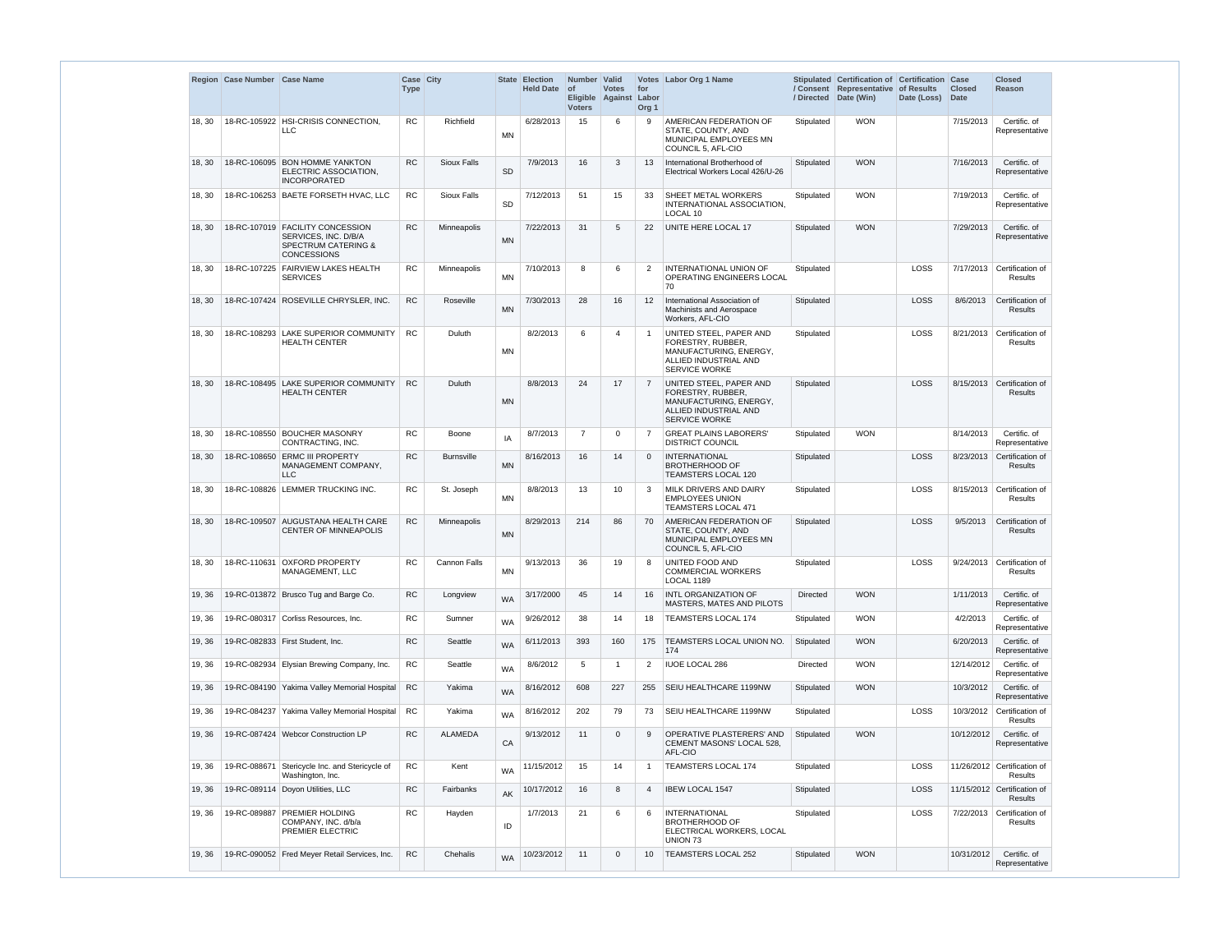|        | Region Case Number Case Name |                                                                                                                  | Case City<br><b>Type</b> |                    | <b>State</b> | <b>Election</b><br>Held Date of | Number Valid<br><b>Voters</b> | <b>Votes</b><br>Eligible Against | for<br>Labor<br>Org <sub>1</sub> | Votes Labor Org 1 Name                                                                                                  | / Directed      | Stipulated Certification of Certification Case<br>/ Consent Representative of Results<br>Date (Win) | Date (Loss) | <b>Closed</b><br><b>Date</b> | <b>Closed</b><br>Reason                |
|--------|------------------------------|------------------------------------------------------------------------------------------------------------------|--------------------------|--------------------|--------------|---------------------------------|-------------------------------|----------------------------------|----------------------------------|-------------------------------------------------------------------------------------------------------------------------|-----------------|-----------------------------------------------------------------------------------------------------|-------------|------------------------------|----------------------------------------|
| 18, 30 |                              | 18-RC-105922 HSI-CRISIS CONNECTION,<br><b>LLC</b>                                                                | <b>RC</b>                | Richfield          | MN           | 6/28/2013                       | 15                            | 6                                | 9                                | AMERICAN FEDERATION OF<br>STATE, COUNTY, AND<br>MUNICIPAL EMPLOYEES MN<br>COUNCIL 5, AFL-CIO                            | Stipulated      | <b>WON</b>                                                                                          |             | 7/15/2013                    | Certific. of<br>Representative         |
| 18, 30 |                              | 18-RC-106095 BON HOMME YANKTON<br>ELECTRIC ASSOCIATION,<br><b>INCORPORATED</b>                                   | <b>RC</b>                | Sioux Falls        | <b>SD</b>    | 7/9/2013                        | 16                            | 3                                | 13                               | International Brotherhood of<br>Electrical Workers Local 426/U-26                                                       | Stipulated      | <b>WON</b>                                                                                          |             | 7/16/2013                    | Certific. of<br>Representative         |
| 18, 30 |                              | 18-RC-106253 BAETE FORSETH HVAC, LLC                                                                             | <b>RC</b>                | <b>Sioux Falls</b> | <b>SD</b>    | 7/12/2013                       | 51                            | 15                               | 33                               | SHEET METAL WORKERS<br>INTERNATIONAL ASSOCIATION,<br>LOCAL 10                                                           | Stipulated      | <b>WON</b>                                                                                          |             | 7/19/2013                    | Certific. of<br>Representative         |
| 18, 30 |                              | 18-RC-107019 FACILITY CONCESSION<br>SERVICES, INC. D/B/A<br><b>SPECTRUM CATERING &amp;</b><br><b>CONCESSIONS</b> | <b>RC</b>                | Minneapolis        | <b>MN</b>    | 7/22/2013                       | 31                            | 5                                | 22                               | UNITE HERE LOCAL 17                                                                                                     | Stipulated      | <b>WON</b>                                                                                          |             | 7/29/2013                    | Certific. of<br>Representative         |
| 18, 30 |                              | 18-RC-107225 FAIRVIEW LAKES HEALTH<br><b>SERVICES</b>                                                            | <b>RC</b>                | Minneapolis        | <b>MN</b>    | 7/10/2013                       | 8                             | 6                                | 2                                | <b>INTERNATIONAL UNION OF</b><br>OPERATING ENGINEERS LOCAL<br>70                                                        | Stipulated      |                                                                                                     | LOSS        | 7/17/2013                    | Certification of<br>Results            |
| 18, 30 |                              | 18-RC-107424 ROSEVILLE CHRYSLER, INC.                                                                            | <b>RC</b>                | Roseville          | <b>MN</b>    | 7/30/2013                       | 28                            | 16                               | 12                               | International Association of<br><b>Machinists and Aerospace</b><br>Workers, AFL-CIO                                     | Stipulated      |                                                                                                     | LOSS        | 8/6/2013                     | Certification of<br>Results            |
| 18, 30 |                              | 18-RC-108293 LAKE SUPERIOR COMMUNITY<br><b>HEALTH CENTER</b>                                                     | <b>RC</b>                | Duluth             | <b>MN</b>    | 8/2/2013                        | 6                             | 4                                | -1                               | UNITED STEEL, PAPER AND<br>FORESTRY, RUBBER,<br>MANUFACTURING, ENERGY,<br>ALLIED INDUSTRIAL AND<br><b>SERVICE WORKE</b> | Stipulated      |                                                                                                     | LOSS        | 8/21/2013                    | Certification of<br>Results            |
| 18, 30 |                              | 18-RC-108495 LAKE SUPERIOR COMMUNITY<br><b>HEALTH CENTER</b>                                                     | <b>RC</b>                | Duluth             | <b>MN</b>    | 8/8/2013                        | 24                            | 17                               | $\overline{7}$                   | UNITED STEEL, PAPER AND<br>FORESTRY, RUBBER,<br>MANUFACTURING, ENERGY,<br>ALLIED INDUSTRIAL AND<br><b>SERVICE WORKE</b> | Stipulated      |                                                                                                     | LOSS        |                              | 8/15/2013 Certification of<br>Results  |
| 18, 30 |                              | 18-RC-108550 BOUCHER MASONRY<br>CONTRACTING, INC.                                                                | RC                       | Boone              | IA           | 8/7/2013                        | $\overline{7}$                | $\Omega$                         | $\overline{7}$                   | <b>GREAT PLAINS LABORERS'</b><br><b>DISTRICT COUNCIL</b>                                                                | Stipulated      | <b>WON</b>                                                                                          |             | 8/14/2013                    | Certific. of<br>Representative         |
| 18, 30 | 18-RC-108650                 | <b>ERMC III PROPERTY</b><br>MANAGEMENT COMPANY,<br><b>LLC</b>                                                    | <b>RC</b>                | <b>Burnsville</b>  | <b>MN</b>    | 8/16/2013                       | 16                            | 14                               | $\Omega$                         | <b>INTERNATIONAL</b><br><b>BROTHERHOOD OF</b><br><b>TEAMSTERS LOCAL 120</b>                                             | Stipulated      |                                                                                                     | LOSS        | 8/23/2013                    | Certification of<br>Results            |
| 18, 30 |                              | 18-RC-108826 LEMMER TRUCKING INC.                                                                                | <b>RC</b>                | St. Joseph         | <b>MN</b>    | 8/8/2013                        | 13                            | 10                               | 3                                | MILK DRIVERS AND DAIRY<br><b>EMPLOYEES UNION</b><br>TEAMSTERS LOCAL 471                                                 | Stipulated      |                                                                                                     | LOSS        | 8/15/2013                    | Certification of<br>Results            |
| 18, 30 |                              | 18-RC-109507 AUGUSTANA HEALTH CARE<br><b>CENTER OF MINNEAPOLIS</b>                                               | <b>RC</b>                | Minneapolis        | <b>MN</b>    | 8/29/2013                       | 214                           | 86                               | 70                               | AMERICAN FEDERATION OF<br>STATE, COUNTY, AND<br>MUNICIPAL EMPLOYEES MN<br>COUNCIL 5, AFL-CIO                            | Stipulated      |                                                                                                     | LOSS        | 9/5/2013                     | Certification of<br>Results            |
| 18, 30 |                              | 18-RC-110631 OXFORD PROPERTY<br>MANAGEMENT, LLC                                                                  | RC                       | Cannon Falls       | <b>MN</b>    | 9/13/2013                       | 36                            | 19                               | 8                                | UNITED FOOD AND<br><b>COMMERCIAL WORKERS</b><br><b>LOCAL 1189</b>                                                       | Stipulated      |                                                                                                     | LOSS        | 9/24/2013                    | Certification of<br>Results            |
| 19, 36 |                              | 19-RC-013872 Brusco Tug and Barge Co.                                                                            | <b>RC</b>                | Longview           | <b>WA</b>    | 3/17/2000                       | 45                            | 14                               | 16                               | INTL ORGANIZATION OF<br>MASTERS, MATES AND PILOTS                                                                       | <b>Directed</b> | <b>WON</b>                                                                                          |             | 1/11/2013                    | Certific. of<br>Representative         |
| 19, 36 |                              | 19-RC-080317   Corliss Resources, Inc.                                                                           | <b>RC</b>                | Sumner             | <b>WA</b>    | 9/26/2012                       | 38                            | 14                               | 18                               | <b>TEAMSTERS LOCAL 174</b>                                                                                              | Stipulated      | <b>WON</b>                                                                                          |             | 4/2/2013                     | Certific. of<br>Representative         |
| 19, 36 |                              | 19-RC-082833   First Student, Inc.                                                                               | <b>RC</b>                | Seattle            | <b>WA</b>    | 6/11/2013                       | 393                           | 160                              | 175                              | <b>TEAMSTERS LOCAL UNION NO.</b><br>174                                                                                 | Stipulated      | <b>WON</b>                                                                                          |             | 6/20/2013                    | Certific. of<br>Representative         |
| 19, 36 |                              | 19-RC-082934 Elysian Brewing Company, Inc.                                                                       | <b>RC</b>                | Seattle            | <b>WA</b>    | 8/6/2012                        | 5                             | $\mathbf 1$                      | $\overline{2}$                   | <b>IUOE LOCAL 286</b>                                                                                                   | Directed        | <b>WON</b>                                                                                          |             | 12/14/2012                   | Certific. of<br>Representative         |
| 19, 36 |                              | 19-RC-084190 Yakima Valley Memorial Hospital                                                                     | <b>RC</b>                | Yakima             | <b>WA</b>    | 8/16/2012                       | 608                           | 227                              | 255                              | SEIU HEALTHCARE 1199NW                                                                                                  | Stipulated      | <b>WON</b>                                                                                          |             | 10/3/2012                    | Certific. of<br>Representative         |
| 19, 36 |                              | 19-RC-084237 Yakima Valley Memorial Hospital                                                                     | RC                       | Yakima             | <b>WA</b>    | 8/16/2012                       | 202                           | 79                               | 73                               | SEIU HEALTHCARE 1199NW                                                                                                  | Stipulated      |                                                                                                     | LOSS        | 10/3/2012                    | Certification of<br>Results            |
| 19, 36 |                              | 19-RC-087424 Webcor Construction LP                                                                              | RC                       | <b>ALAMEDA</b>     | CA           | 9/13/2012                       | 11                            | $\mathbf 0$                      | 9                                | OPERATIVE PLASTERERS' AND<br>CEMENT MASONS' LOCAL 528,<br>AFL-CIO                                                       | Stipulated      | <b>WON</b>                                                                                          |             | 10/12/2012                   | Certific. of<br>Representative         |
| 19, 36 |                              | 19-RC-088671 Stericycle Inc. and Stericycle of<br>Washington, Inc.                                               | RC                       | Kent               | <b>WA</b>    | 11/15/2012                      | 15                            | 14                               | -1                               | <b>TEAMSTERS LOCAL 174</b>                                                                                              | Stipulated      |                                                                                                     | LOSS        |                              | 11/26/2012 Certification of<br>Results |
| 19, 36 |                              | 19-RC-089114 Doyon Utilities, LLC                                                                                | <b>RC</b>                | Fairbanks          | AK           | 10/17/2012                      | 16                            | 8                                | $\overline{4}$                   | <b>IBEW LOCAL 1547</b>                                                                                                  | Stipulated      |                                                                                                     | LOSS        |                              | 11/15/2012 Certification of<br>Results |
| 19, 36 | 19-RC-089887                 | <b>PREMIER HOLDING</b><br>COMPANY, INC. d/b/a<br>PREMIER ELECTRIC                                                | <b>RC</b>                | Hayden             | ID           | 1/7/2013                        | 21                            | 6                                | 6                                | <b>INTERNATIONAL</b><br><b>BROTHERHOOD OF</b><br>ELECTRICAL WORKERS, LOCAL<br>UNION 73                                  | Stipulated      |                                                                                                     | LOSS        | 7/22/2013                    | Certification of<br>Results            |
| 19, 36 |                              | 19-RC-090052 Fred Meyer Retail Services, Inc.                                                                    | RC                       | Chehalis           | <b>WA</b>    | 10/23/2012                      | 11                            | $\mathbf 0$                      | 10                               | TEAMSTERS LOCAL 252                                                                                                     | Stipulated      | <b>WON</b>                                                                                          |             | 10/31/2012                   | Certific. of<br>Representative         |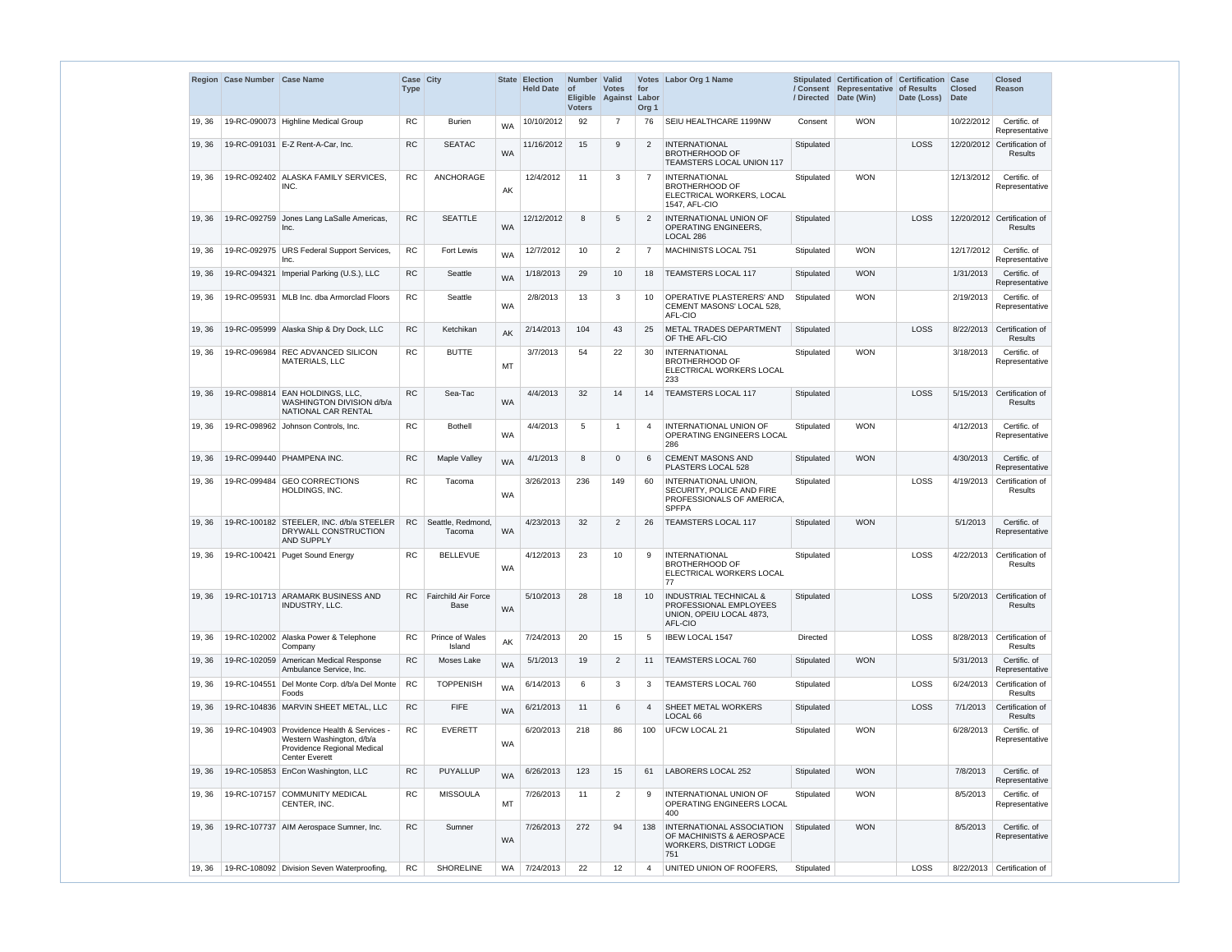|        | Region Case Number Case Name |                                                                                                                                  | <b>Case City</b><br><b>Type</b> |                             | <b>State</b> | <b>Election</b><br><b>Held Date</b> | Number Valid<br>$\circ$ f<br><b>Eligible</b><br><b>Voters</b> | <b>Votes</b><br>Against | for<br>Labor<br>Org <sub>1</sub> | Votes Labor Org 1 Name                                                                             | / Directed      | Stipulated Certification of Certification Case<br>/ Consent Representative<br>Date (Win) | of Results<br>Date (Loss) | <b>Closed</b><br><b>Date</b> | <b>Closed</b><br><b>Reason</b>                |
|--------|------------------------------|----------------------------------------------------------------------------------------------------------------------------------|---------------------------------|-----------------------------|--------------|-------------------------------------|---------------------------------------------------------------|-------------------------|----------------------------------|----------------------------------------------------------------------------------------------------|-----------------|------------------------------------------------------------------------------------------|---------------------------|------------------------------|-----------------------------------------------|
| 19, 36 |                              | 19-RC-090073 Highline Medical Group                                                                                              | <b>RC</b>                       | <b>Burien</b>               | <b>WA</b>    | 10/10/2012                          | 92                                                            | 7                       | 76                               | SEIU HEALTHCARE 1199NW                                                                             | Consent         | <b>WON</b>                                                                               |                           | 10/22/2012                   | Certific. of<br>Representative                |
| 19, 36 |                              | 19-RC-091031 E-Z Rent-A-Car, Inc.                                                                                                | <b>RC</b>                       | <b>SEATAC</b>               | <b>WA</b>    | 11/16/2012                          | 15                                                            | 9                       | $\overline{2}$                   | <b>INTERNATIONAL</b><br><b>BROTHERHOOD OF</b><br>TEAMSTERS LOCAL UNION 117                         | Stipulated      |                                                                                          | LOSS                      |                              | 12/20/2012 Certification of<br><b>Results</b> |
| 19, 36 |                              | 19-RC-092402 ALASKA FAMILY SERVICES<br>INC.                                                                                      | <b>RC</b>                       | <b>ANCHORAGE</b>            | AK           | 12/4/2012                           | 11                                                            | 3                       | 7                                | <b>INTERNATIONAL</b><br><b>BROTHERHOOD OF</b><br>ELECTRICAL WORKERS, LOCAL<br>1547, AFL-CIO        | Stipulated      | <b>WON</b>                                                                               |                           | 12/13/2012                   | Certific. of<br>Representative                |
| 19, 36 | 19-RC-092759                 | Jones Lang LaSalle Americas,<br>Inc.                                                                                             | <b>RC</b>                       | <b>SEATTLE</b>              | <b>WA</b>    | 12/12/2012                          | 8                                                             | 5                       | 2                                | INTERNATIONAL UNION OF<br>OPERATING ENGINEERS.<br>LOCAL 286                                        | Stipulated      |                                                                                          | LOSS                      |                              | 12/20/2012 Certification of<br><b>Results</b> |
| 19, 36 |                              | 19-RC-092975   URS Federal Support Services,<br>Inc.                                                                             | <b>RC</b>                       | Fort Lewis                  | <b>WA</b>    | 12/7/2012                           | 10                                                            | $\overline{2}$          | $\overline{7}$                   | MACHINISTS LOCAL 751                                                                               | Stipulated      | <b>WON</b>                                                                               |                           | 12/17/2012                   | Certific. of<br>Representative                |
| 19, 36 |                              | 19-RC-094321   Imperial Parking (U.S.), LLC                                                                                      | <b>RC</b>                       | Seattle                     | <b>WA</b>    | 1/18/2013                           | 29                                                            | 10                      | 18                               | <b>TEAMSTERS LOCAL 117</b>                                                                         | Stipulated      | <b>WON</b>                                                                               |                           | 1/31/2013                    | Certific. of<br>Representative                |
| 19, 36 |                              | 19-RC-095931   MLB Inc. dba Armorclad Floors                                                                                     | <b>RC</b>                       | Seattle                     | <b>WA</b>    | 2/8/2013                            | 13                                                            | 3                       | 10                               | OPERATIVE PLASTERERS' AND<br>CEMENT MASONS' LOCAL 528,<br>AFL-CIO                                  | Stipulated      | <b>WON</b>                                                                               |                           | 2/19/2013                    | Certific. of<br>Representative                |
| 19, 36 |                              | 19-RC-095999 Alaska Ship & Dry Dock, LLC                                                                                         | <b>RC</b>                       | Ketchikan                   | AK           | 2/14/2013                           | 104                                                           | 43                      | 25                               | METAL TRADES DEPARTMENT<br>OF THE AFL-CIO                                                          | Stipulated      |                                                                                          | LOSS                      | 8/22/2013                    | Certification of<br><b>Results</b>            |
| 19, 36 | 19-RC-096984                 | <b>REC ADVANCED SILICON</b><br>MATERIALS, LLC                                                                                    | <b>RC</b>                       | <b>BUTTE</b>                | MT           | 3/7/2013                            | 54                                                            | 22                      | 30                               | <b>INTERNATIONAL</b><br><b>BROTHERHOOD OF</b><br>ELECTRICAL WORKERS LOCAL<br>233                   | Stipulated      | <b>WON</b>                                                                               |                           | 3/18/2013                    | Certific. of<br>Representative                |
| 19, 36 |                              | 19-RC-098814 EAN HOLDINGS, LLC,<br>WASHINGTON DIVISION d/b/a<br>NATIONAL CAR RENTAL                                              | <b>RC</b>                       | Sea-Tac                     | <b>WA</b>    | 4/4/2013                            | 32                                                            | 14                      | 14                               | <b>TEAMSTERS LOCAL 117</b>                                                                         | Stipulated      |                                                                                          | LOSS                      | 5/15/2013                    | Certification of<br>Results                   |
| 19, 36 |                              | 19-RC-098962 Johnson Controls, Inc.                                                                                              | <b>RC</b>                       | <b>Bothell</b>              | <b>WA</b>    | 4/4/2013                            | 5                                                             | -1                      | $\overline{4}$                   | <b>INTERNATIONAL UNION OF</b><br>OPERATING ENGINEERS LOCAL<br>286                                  | Stipulated      | <b>WON</b>                                                                               |                           | 4/12/2013                    | Certific. of<br>Representative                |
| 19, 36 |                              | 19-RC-099440 PHAMPENA INC.                                                                                                       | <b>RC</b>                       | <b>Maple Valley</b>         | <b>WA</b>    | 4/1/2013                            | 8                                                             | $\Omega$                | 6                                | <b>CEMENT MASONS AND</b><br>PLASTERS LOCAL 528                                                     | Stipulated      | <b>WON</b>                                                                               |                           | 4/30/2013                    | Certific. of<br>Representative                |
| 19, 36 | 19-RC-099484                 | <b>GEO CORRECTIONS</b><br>HOLDINGS, INC.                                                                                         | <b>RC</b>                       | Tacoma                      | <b>WA</b>    | 3/26/2013                           | 236                                                           | 149                     | 60                               | INTERNATIONAL UNION,<br>SECURITY, POLICE AND FIRE<br>PROFESSIONALS OF AMERICA,<br><b>SPFPA</b>     | Stipulated      |                                                                                          | <b>LOSS</b>               | 4/19/2013                    | Certification of<br>Results                   |
| 19, 36 |                              | 19-RC-100182 STEELER, INC. d/b/a STEELER<br>DRYWALL CONSTRUCTION<br>AND SUPPLY                                                   | <b>RC</b>                       | Seattle, Redmond,<br>Tacoma | <b>WA</b>    | 4/23/2013                           | 32                                                            | 2                       | 26                               | <b>TEAMSTERS LOCAL 117</b>                                                                         | Stipulated      | <b>WON</b>                                                                               |                           | 5/1/2013                     | Certific. of<br>Representative                |
| 19, 36 |                              | 19-RC-100421 Puget Sound Energy                                                                                                  | <b>RC</b>                       | <b>BELLEVUE</b>             | <b>WA</b>    | 4/12/2013                           | 23                                                            | 10                      | 9                                | <b>INTERNATIONAL</b><br><b>BROTHERHOOD OF</b><br>ELECTRICAL WORKERS LOCAL<br>77                    | Stipulated      |                                                                                          | LOSS                      | 4/22/2013                    | Certification of<br><b>Results</b>            |
| 19, 36 |                              | 19-RC-101713 ARAMARK BUSINESS AND<br>INDUSTRY, LLC.                                                                              | RC.                             | Fairchild Air Force<br>Base | <b>WA</b>    | 5/10/2013                           | 28                                                            | 18                      | 10 <sup>°</sup>                  | <b>INDUSTRIAL TECHNICAL &amp;</b><br>PROFESSIONAL EMPLOYEES<br>UNION, OPEIU LOCAL 4873,<br>AFL-CIO | Stipulated      |                                                                                          | LOSS                      | 5/20/2013                    | Certification of<br><b>Results</b>            |
| 19, 36 |                              | 19-RC-102002 Alaska Power & Telephone<br>Company                                                                                 | <b>RC</b>                       | Prince of Wales<br>Island   | AK           | 7/24/2013                           | 20                                                            | 15                      | 5                                | <b>IBEW LOCAL 1547</b>                                                                             | <b>Directed</b> |                                                                                          | LOSS                      | 8/28/2013                    | Certification of<br><b>Results</b>            |
| 19, 36 |                              | 19-RC-102059 American Medical Response<br>Ambulance Service, Inc.                                                                | <b>RC</b>                       | Moses Lake                  | <b>WA</b>    | 5/1/2013                            | 19                                                            | 2                       | 11                               | TEAMSTERS LOCAL 760                                                                                | Stipulated      | <b>WON</b>                                                                               |                           | 5/31/2013                    | Certific. of<br>Representative                |
| 19, 36 |                              | 19-RC-104551 Del Monte Corp. d/b/a Del Monte<br>Foods                                                                            | RC                              | <b>TOPPENISH</b>            | <b>WA</b>    | 6/14/2013                           | 6                                                             | 3                       | 3                                | TEAMSTERS LOCAL 760                                                                                | Stipulated      |                                                                                          | LOSS                      | 6/24/2013                    | Certification of<br>Results                   |
| 19, 36 |                              | 19-RC-104836   MARVIN SHEET METAL, LLC                                                                                           | RC                              | <b>FIFE</b>                 | <b>WA</b>    | 6/21/2013                           | 11                                                            | 6                       | $\overline{4}$                   | <b>SHEET METAL WORKERS</b><br>LOCAL <sub>66</sub>                                                  | Stipulated      |                                                                                          | <b>LOSS</b>               | 7/1/2013                     | Certification of<br><b>Results</b>            |
| 19, 36 |                              | 19-RC-104903 Providence Health & Services -<br>Western Washington, d/b/a<br>Providence Regional Medical<br><b>Center Everett</b> | <b>RC</b>                       | <b>EVERETT</b>              | <b>WA</b>    | 6/20/2013                           | 218                                                           | 86                      | 100                              | <b>UFCW LOCAL 21</b>                                                                               | Stipulated      | <b>WON</b>                                                                               |                           | 6/28/2013                    | Certific. of<br>Representative                |
| 19, 36 |                              | 19-RC-105853 EnCon Washington, LLC                                                                                               | <b>RC</b>                       | <b>PUYALLUP</b>             | <b>WA</b>    | 6/26/2013                           | 123                                                           | 15                      | 61                               | LABORERS LOCAL 252                                                                                 | Stipulated      | <b>WON</b>                                                                               |                           | 7/8/2013                     | Certific. of<br>Representative                |
| 19, 36 |                              | 19-RC-107157 COMMUNITY MEDICAL<br>CENTER, INC.                                                                                   | <b>RC</b>                       | <b>MISSOULA</b>             | MT           | 7/26/2013                           | 11                                                            | 2                       | 9                                | INTERNATIONAL UNION OF<br>OPERATING ENGINEERS LOCAL<br>400                                         | Stipulated      | <b>WON</b>                                                                               |                           | 8/5/2013                     | Certific. of<br>Representative                |
| 19, 36 |                              | 19-RC-107737   AIM Aerospace Sumner, Inc.                                                                                        | <b>RC</b>                       | Sumner                      | <b>WA</b>    | 7/26/2013                           | 272                                                           | 94                      | 138                              | INTERNATIONAL ASSOCIATION<br>OF MACHINISTS & AEROSPACE<br>WORKERS, DISTRICT LODGE<br>751           | Stipulated      | <b>WON</b>                                                                               |                           | 8/5/2013                     | Certific. of<br>Representative                |
| 19, 36 |                              | 19-RC-108092 Division Seven Waterproofing,                                                                                       | <b>RC</b>                       | <b>SHORELINE</b>            | <b>WA</b>    | 7/24/2013                           | 22                                                            | 12                      | $\overline{4}$                   | UNITED UNION OF ROOFERS.                                                                           | Stipulated      |                                                                                          | LOSS                      |                              | 8/22/2013 Certification of                    |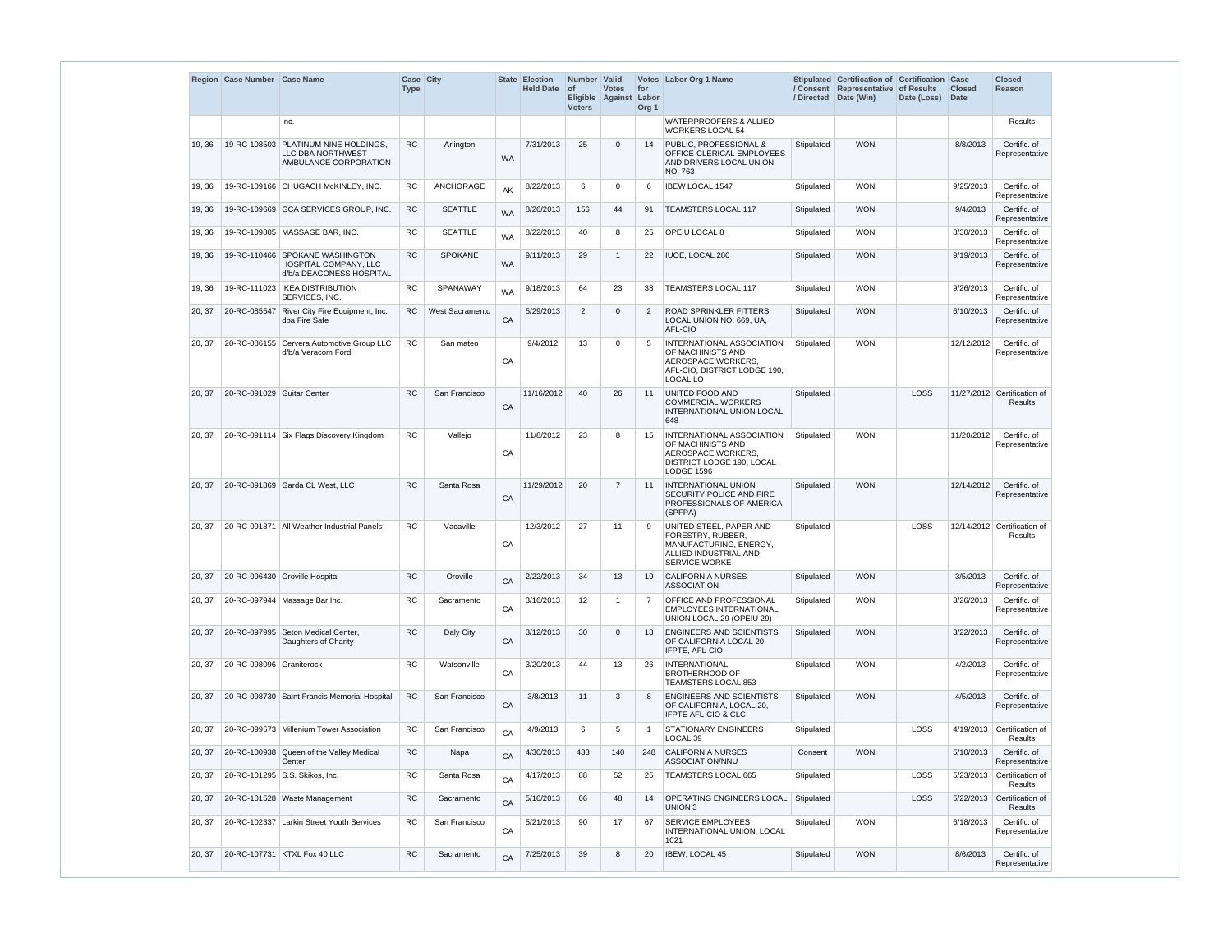|        | Region Case Number Case Name |                                                                                           | Case City<br><b>Type</b> |                 | <b>State</b> | <b>Election</b><br><b>Held Date</b> | Number   Valid<br>$ $ of<br><b>Voters</b> | <b>Votes</b><br>Eligible Against | for<br>Labor<br>Org <sub>1</sub> | Votes Labor Org 1 Name                                                                                                  | / Directed | Stipulated Certification of Certification Case<br>/ Consent Representative<br>Date (Win) | of Results<br>Date (Loss) | <b>Closed</b><br><b>Date</b> | <b>Closed</b><br>Reason                |
|--------|------------------------------|-------------------------------------------------------------------------------------------|--------------------------|-----------------|--------------|-------------------------------------|-------------------------------------------|----------------------------------|----------------------------------|-------------------------------------------------------------------------------------------------------------------------|------------|------------------------------------------------------------------------------------------|---------------------------|------------------------------|----------------------------------------|
|        |                              | Inc.                                                                                      |                          |                 |              |                                     |                                           |                                  |                                  | <b>WATERPROOFERS &amp; ALLIED</b><br><b>WORKERS LOCAL 54</b>                                                            |            |                                                                                          |                           |                              | Results                                |
| 19, 36 |                              | 19-RC-108503 PLATINUM NINE HOLDINGS,<br><b>LLC DBA NORTHWEST</b><br>AMBULANCE CORPORATION | RC                       | Arlington       | <b>WA</b>    | 7/31/2013                           | 25                                        | $\Omega$                         | 14                               | PUBLIC, PROFESSIONAL &<br>OFFICE-CLERICAL EMPLOYEES<br>AND DRIVERS LOCAL UNION<br>NO. 763                               | Stipulated | <b>WON</b>                                                                               |                           | 8/8/2013                     | Certific. of<br>Representative         |
| 19, 36 |                              | 19-RC-109166 CHUGACH McKINLEY, INC.                                                       | <b>RC</b>                | ANCHORAGE       | AK           | 8/22/2013                           | 6                                         | $\Omega$                         | 6                                | <b>IBEW LOCAL 1547</b>                                                                                                  | Stipulated | <b>WON</b>                                                                               |                           | 9/25/2013                    | Certific. of<br>Representative         |
| 19, 36 |                              | 19-RC-109669 GCA SERVICES GROUP, INC.                                                     | <b>RC</b>                | <b>SEATTLE</b>  | <b>WA</b>    | 8/26/2013                           | 156                                       | 44                               | 91                               | <b>TEAMSTERS LOCAL 117</b>                                                                                              | Stipulated | <b>WON</b>                                                                               |                           | 9/4/2013                     | Certific. of<br>Representative         |
| 19, 36 |                              | 19-RC-109805   MASSAGE BAR, INC.                                                          | RC                       | <b>SEATTLE</b>  | <b>WA</b>    | 8/22/2013                           | 40                                        | 8                                | 25                               | OPEIU LOCAL 8                                                                                                           | Stipulated | <b>WON</b>                                                                               |                           | 8/30/2013                    | Certific. of<br>Representative         |
| 19, 36 |                              | 19-RC-110466 SPOKANE WASHINGTON<br>HOSPITAL COMPANY, LLC<br>d/b/a DEACONESS HOSPITAL      | <b>RC</b>                | <b>SPOKANE</b>  | <b>WA</b>    | 9/11/2013                           | 29                                        | $\overline{1}$                   | 22                               | IUOE, LOCAL 280                                                                                                         | Stipulated | <b>WON</b>                                                                               |                           | 9/19/2013                    | Certific. of<br>Representative         |
| 19, 36 |                              | 19-RC-111023   IKEA DISTRIBUTION<br>SERVICES, INC.                                        | <b>RC</b>                | <b>SPANAWAY</b> | <b>WA</b>    | 9/18/2013                           | 64                                        | 23                               | 38                               | <b>TEAMSTERS LOCAL 117</b>                                                                                              | Stipulated | <b>WON</b>                                                                               |                           | 9/26/2013                    | Certific. of<br>Representative         |
| 20, 37 |                              | 20-RC-085547 River City Fire Equipment, Inc.<br>dba Fire Safe                             | <b>RC</b>                | West Sacramento | CA           | 5/29/2013                           | 2                                         | $\Omega$                         | $\overline{2}$                   | ROAD SPRINKLER FITTERS<br>LOCAL UNION NO. 669, UA,<br>AFL-CIO                                                           | Stipulated | <b>WON</b>                                                                               |                           | 6/10/2013                    | Certific. of<br>Representative         |
| 20, 37 |                              | 20-RC-086155 Cervera Automotive Group LLC<br>d/b/a Veracom Ford                           | ${\sf RC}$               | San mateo       | CA           | 9/4/2012                            | 13                                        | $\mathbf 0$                      | 5                                | INTERNATIONAL ASSOCIATION<br>OF MACHINISTS AND<br>AEROSPACE WORKERS.<br>AFL-CIO, DISTRICT LODGE 190,<br>LOCAL LO        | Stipulated | <b>WON</b>                                                                               |                           | 12/12/2012                   | Certific. of<br>Representative         |
| 20, 37 | 20-RC-091029 Guitar Center   |                                                                                           | <b>RC</b>                | San Francisco   | CA           | 11/16/2012                          | 40                                        | 26                               | 11                               | UNITED FOOD AND<br><b>COMMERCIAL WORKERS</b><br>INTERNATIONAL UNION LOCAL<br>648                                        | Stipulated |                                                                                          | LOSS                      |                              | 11/27/2012 Certification of<br>Results |
| 20, 37 |                              | 20-RC-091114 Six Flags Discovery Kingdom                                                  | <b>RC</b>                | Vallejo         | CA           | 11/8/2012                           | 23                                        | 8                                | 15                               | INTERNATIONAL ASSOCIATION<br>OF MACHINISTS AND<br>AEROSPACE WORKERS.<br>DISTRICT LODGE 190, LOCAL<br><b>LODGE 1596</b>  | Stipulated | <b>WON</b>                                                                               |                           | 11/20/2012                   | Certific. of<br>Representative         |
| 20, 37 |                              | 20-RC-091869 Garda CL West, LLC                                                           | <b>RC</b>                | Santa Rosa      | CA           | 11/29/2012                          | 20                                        | $\overline{7}$                   | 11                               | <b>INTERNATIONAL UNION</b><br>SECURITY POLICE AND FIRE<br>PROFESSIONALS OF AMERICA<br>(SPFPA)                           | Stipulated | <b>WON</b>                                                                               |                           | 12/14/2012                   | Certific. of<br>Representative         |
| 20, 37 |                              | 20-RC-091871   All Weather Industrial Panels                                              | RC                       | Vacaville       | CA           | 12/3/2012                           | 27                                        | 11                               | 9                                | UNITED STEEL, PAPER AND<br>FORESTRY, RUBBER,<br>MANUFACTURING, ENERGY,<br>ALLIED INDUSTRIAL AND<br><b>SERVICE WORKE</b> | Stipulated |                                                                                          | LOSS                      |                              | 12/14/2012 Certification of<br>Results |
| 20, 37 |                              | 20-RC-096430 Oroville Hospital                                                            | <b>RC</b>                | Oroville        | CA           | 2/22/2013                           | 34                                        | 13                               | 19                               | <b>CALIFORNIA NURSES</b><br><b>ASSOCIATION</b>                                                                          | Stipulated | <b>WON</b>                                                                               |                           | 3/5/2013                     | Certific. of<br>Representative         |
| 20, 37 |                              | 20-RC-097944   Massage Bar Inc.                                                           | <b>RC</b>                | Sacramento      | CA           | 3/16/2013                           | $12 \overline{ }$                         | -1                               | 7                                | OFFICE AND PROFESSIONAL<br>EMPLOYEES INTERNATIONAL<br>UNION LOCAL 29 (OPEIU 29)                                         | Stipulated | <b>WON</b>                                                                               |                           | 3/26/2013                    | Certific. of<br>Representative         |
| 20, 37 | 20-RC-097995                 | Seton Medical Center.<br>Daughters of Charity                                             | <b>RC</b>                | Daly City       | CA           | 3/12/2013                           | 30                                        | $\Omega$                         | 18                               | <b>ENGINEERS AND SCIENTISTS</b><br>OF CALIFORNIA LOCAL 20<br>IFPTE, AFL-CIO                                             | Stipulated | <b>WON</b>                                                                               |                           | 3/22/2013                    | Certific. of<br>Representative         |
| 20, 37 | 20-RC-098096 Graniterock     |                                                                                           | <b>RC</b>                | Watsonville     | CA           | 3/20/2013                           | 44                                        | 13                               | 26                               | <b>INTERNATIONAL</b><br><b>BROTHERHOOD OF</b><br>TEAMSTERS LOCAL 853                                                    | Stipulated | <b>WON</b>                                                                               |                           | 4/2/2013                     | Certific. of<br>Representative         |
| 20, 37 | 20-RC-098730                 | Saint Francis Memorial Hospital                                                           | <b>RC</b>                | San Francisco   | CA           | 3/8/2013                            | 11                                        | 3                                | 8                                | <b>ENGINEERS AND SCIENTISTS</b><br>OF CALIFORNIA, LOCAL 20,<br>IFPTE AFL-CIO & CLC                                      | Stipulated | <b>WON</b>                                                                               |                           | 4/5/2013                     | Certific. of<br>Representative         |
| 20, 37 |                              | 20-RC-099573 Millenium Tower Association                                                  | <b>RC</b>                | San Francisco   | CA           | 4/9/2013                            | 6                                         | 5                                | $\overline{1}$                   | <b>STATIONARY ENGINEERS</b><br>LOCAL 39                                                                                 | Stipulated |                                                                                          | LOSS                      | 4/19/2013                    | Certification of<br>Results            |
| 20, 37 |                              | 20-RC-100938 Queen of the Valley Medical<br>Center                                        | RC                       | Napa            | CA           | 4/30/2013                           | 433                                       | 140                              | 248                              | <b>CALIFORNIA NURSES</b><br>ASSOCIATION/NNU                                                                             | Consent    | <b>WON</b>                                                                               |                           | 5/10/2013                    | Certific. of<br>Representative         |
| 20, 37 |                              | 20-RC-101295 S.S. Skikos, Inc.                                                            | RC                       | Santa Rosa      | CA           | 4/17/2013                           | 88                                        | 52                               | 25                               | TEAMSTERS LOCAL 665                                                                                                     | Stipulated |                                                                                          | LOSS                      | 5/23/2013                    | Certification of<br>Results            |
| 20, 37 |                              | 20-RC-101528 Waste Management                                                             | <b>RC</b>                | Sacramento      | CA           | 5/10/2013                           | 66                                        | 48                               | 14                               | OPERATING ENGINEERS LOCAL<br>UNION 3                                                                                    | Stipulated |                                                                                          | LOSS                      |                              | 5/22/2013 Certification of<br>Results  |
| 20, 37 |                              | 20-RC-102337 Larkin Street Youth Services                                                 | <b>RC</b>                | San Francisco   | CA           | 5/21/2013                           | 90                                        | 17                               | 67                               | <b>SERVICE EMPLOYEES</b><br>INTERNATIONAL UNION, LOCAL<br>1021                                                          | Stipulated | <b>WON</b>                                                                               |                           | 6/18/2013                    | Certific. of<br>Representative         |
| 20, 37 |                              | 20-RC-107731 KTXL Fox 40 LLC                                                              | <b>RC</b>                | Sacramento      | CA           | 7/25/2013                           | 39                                        | 8                                | 20                               | IBEW, LOCAL 45                                                                                                          | Stipulated | <b>WON</b>                                                                               |                           | 8/6/2013                     | Certific. of<br>Representative         |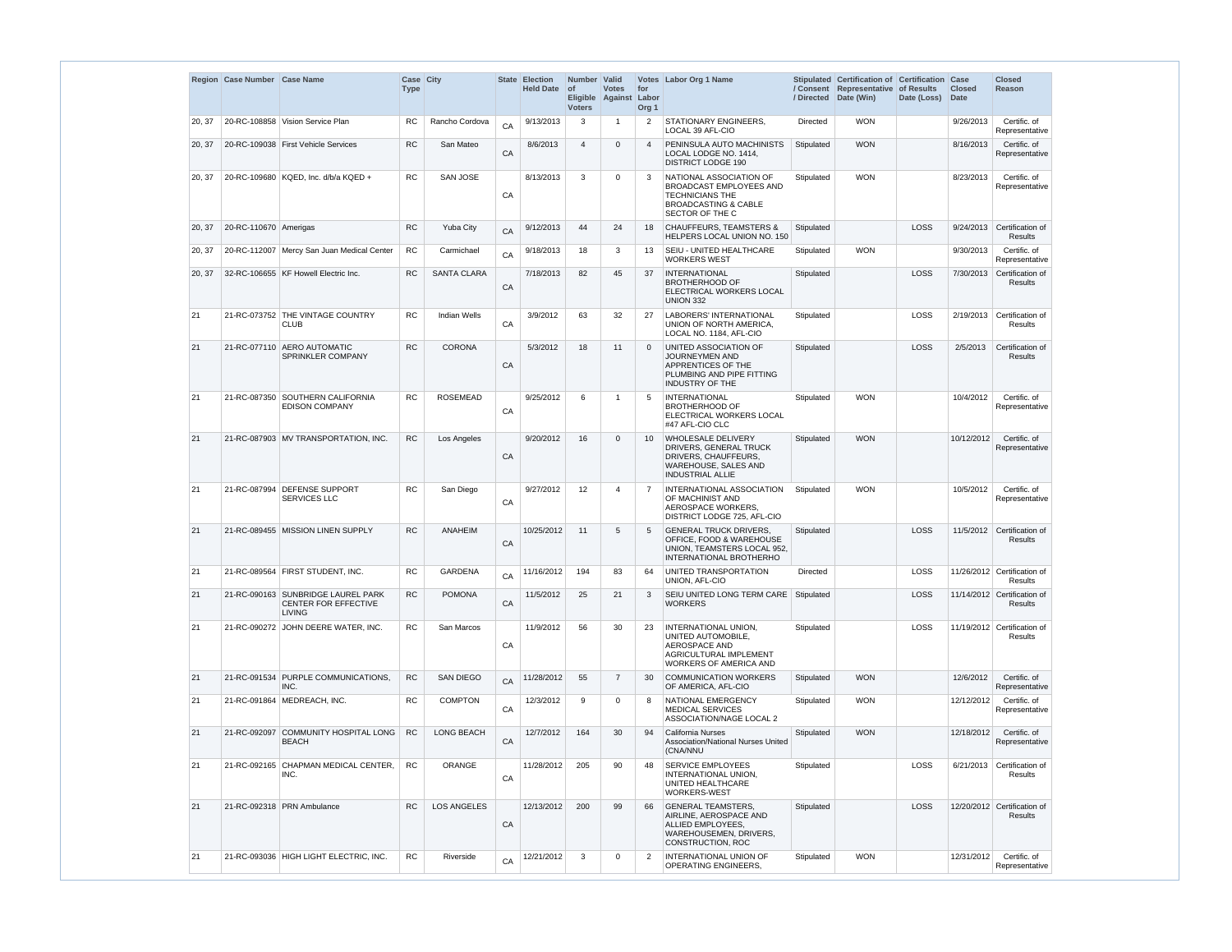|        | Region Case Number Case Name |                                                                                    | Case City<br><b>Type</b> |                     |    | <b>State Election</b><br><b>Held Date</b> | Number Valid<br>$ $ of<br><b>Voters</b> | <b>Votes</b><br>Eligible Against | for<br>Labor<br>Org <sub>1</sub> | Votes Labor Org 1 Name                                                                                                             |                 | Stipulated Certification of Certification Case<br>/ Consent Representative of Results<br>/ Directed Date (Win) | Date (Loss) | <b>Closed</b><br>Date | <b>Closed</b><br>Reason                       |
|--------|------------------------------|------------------------------------------------------------------------------------|--------------------------|---------------------|----|-------------------------------------------|-----------------------------------------|----------------------------------|----------------------------------|------------------------------------------------------------------------------------------------------------------------------------|-----------------|----------------------------------------------------------------------------------------------------------------|-------------|-----------------------|-----------------------------------------------|
| 20, 37 |                              | 20-RC-108858   Vision Service Plan                                                 | RC                       | Rancho Cordova      | CA | 9/13/2013                                 | 3                                       | 1                                | $\overline{2}$                   | STATIONARY ENGINEERS,<br>LOCAL 39 AFL-CIO                                                                                          | Directed        | <b>WON</b>                                                                                                     |             | 9/26/2013             | Certific. of<br>Representative                |
| 20, 37 |                              | 20-RC-109038   First Vehicle Services                                              | <b>RC</b>                | San Mateo           | CA | 8/6/2013                                  | 4                                       | $\Omega$                         | $\overline{4}$                   | PENINSULA AUTO MACHINISTS<br>LOCAL LODGE NO. 1414,<br><b>DISTRICT LODGE 190</b>                                                    | Stipulated      | <b>WON</b>                                                                                                     |             | 8/16/2013             | Certific. of<br>Representative                |
| 20, 37 |                              | 20-RC-109680   KQED, Inc. d/b/a KQED +                                             | <b>RC</b>                | <b>SAN JOSE</b>     | CA | 8/13/2013                                 | 3                                       | 0                                | 3                                | NATIONAL ASSOCIATION OF<br>BROADCAST EMPLOYEES AND<br><b>TECHNICIANS THE</b><br><b>BROADCASTING &amp; CABLE</b><br>SECTOR OF THE C | Stipulated      | <b>WON</b>                                                                                                     |             | 8/23/2013             | Certific. of<br>Representative                |
| 20, 37 | 20-RC-110670 Amerigas        |                                                                                    | <b>RC</b>                | <b>Yuba City</b>    | CA | 9/12/2013                                 | 44                                      | 24                               | 18                               | <b>CHAUFFEURS, TEAMSTERS &amp;</b><br>HELPERS LOCAL UNION NO. 150                                                                  | Stipulated      |                                                                                                                | <b>LOSS</b> |                       | 9/24/2013 Certification of<br>Results         |
| 20, 37 |                              | 20-RC-112007   Mercy San Juan Medical Center                                       | RC                       | Carmichael          | CA | 9/18/2013                                 | 18                                      | 3                                | 13                               | SEIU - UNITED HEALTHCARE<br><b>WORKERS WEST</b>                                                                                    | Stipulated      | <b>WON</b>                                                                                                     |             | 9/30/2013             | Certific. of<br>Representative                |
| 20, 37 |                              | 32-RC-106655 KF Howell Electric Inc.                                               | <b>RC</b>                | <b>SANTA CLARA</b>  | CA | 7/18/2013                                 | 82                                      | 45                               | 37                               | <b>INTERNATIONAL</b><br><b>BROTHERHOOD OF</b><br>ELECTRICAL WORKERS LOCAL<br>UNION 332                                             | Stipulated      |                                                                                                                | <b>LOSS</b> | 7/30/2013             | Certification of<br>Results                   |
| 21     |                              | 21-RC-073752 THE VINTAGE COUNTRY<br><b>CLUB</b>                                    | <b>RC</b>                | <b>Indian Wells</b> | CA | 3/9/2012                                  | 63                                      | 32                               | -27                              | <b>LABORERS' INTERNATIONAL</b><br>UNION OF NORTH AMERICA.<br>LOCAL NO. 1184, AFL-CIO                                               | Stipulated      |                                                                                                                | LOSS        | 2/19/2013             | Certification of<br>Results                   |
| 21     |                              | 21-RC-077110 AERO AUTOMATIC<br>SPRINKLER COMPANY                                   | <b>RC</b>                | <b>CORONA</b>       | CA | 5/3/2012                                  | 18                                      | 11                               | $\Omega$                         | UNITED ASSOCIATION OF<br>JOURNEYMEN AND<br>APPRENTICES OF THE<br>PLUMBING AND PIPE FITTING<br><b>INDUSTRY OF THE</b>               | Stipulated      |                                                                                                                | <b>LOSS</b> | 2/5/2013              | Certification of<br><b>Results</b>            |
| 21     |                              | 21-RC-087350 SOUTHERN CALIFORNIA<br><b>EDISON COMPANY</b>                          | <b>RC</b>                | <b>ROSEMEAD</b>     | CA | 9/25/2012                                 | 6                                       | 1                                | .5                               | <b>INTERNATIONAL</b><br><b>BROTHERHOOD OF</b><br>ELECTRICAL WORKERS LOCAL<br>#47 AFL-CIO CLC                                       | Stipulated      | <b>WON</b>                                                                                                     |             | 10/4/2012             | Certific. of<br>Representative                |
| 21     |                              | 21-RC-087903 MV TRANSPORTATION, INC.                                               | <b>RC</b>                | Los Angeles         | CA | 9/20/2012                                 | 16                                      | $\Omega$                         | 10                               | <b>WHOLESALE DELIVERY</b><br>DRIVERS, GENERAL TRUCK<br>DRIVERS, CHAUFFEURS,<br>WAREHOUSE, SALES AND<br><b>INDUSTRIAL ALLIE</b>     | Stipulated      | <b>WON</b>                                                                                                     |             | 10/12/2012            | Certific. of<br>Representative                |
| 21     | 21-RC-087994                 | <b>DEFENSE SUPPORT</b><br><b>SERVICES LLC</b>                                      | <b>RC</b>                | San Diego           | CA | 9/27/2012                                 | 12                                      | 4                                | -7                               | INTERNATIONAL ASSOCIATION<br>OF MACHINIST AND<br>AEROSPACE WORKERS,<br>DISTRICT LODGE 725, AFL-CIO                                 | Stipulated      | <b>WON</b>                                                                                                     |             | 10/5/2012             | Certific. of<br>Representative                |
| 21     |                              | 21-RC-089455 MISSION LINEN SUPPLY                                                  | <b>RC</b>                | ANAHEIM             | CA | 10/25/2012                                | 11                                      | 5                                | $\overline{5}$                   | <b>GENERAL TRUCK DRIVERS.</b><br>OFFICE, FOOD & WAREHOUSE<br>UNION, TEAMSTERS LOCAL 952,<br><b>INTERNATIONAL BROTHERHO</b>         | Stipulated      |                                                                                                                | <b>LOSS</b> |                       | 11/5/2012 Certification of<br><b>Results</b>  |
| 21     |                              | 21-RC-089564 FIRST STUDENT, INC.                                                   | <b>RC</b>                | <b>GARDENA</b>      | CA | 11/16/2012                                | 194                                     | 83                               | 64                               | UNITED TRANSPORTATION<br>UNION, AFL-CIO                                                                                            | <b>Directed</b> |                                                                                                                | <b>LOSS</b> |                       | 11/26/2012 Certification of<br><b>Results</b> |
| 21     |                              | 21-RC-090163 SUNBRIDGE LAUREL PARK<br><b>CENTER FOR EFFECTIVE</b><br><b>LIVING</b> | ${\sf RC}$               | <b>POMONA</b>       | CA | 11/5/2012                                 | 25                                      | 21                               | 3                                | SEIU UNITED LONG TERM CARE   Stipulated<br><b>WORKERS</b>                                                                          |                 |                                                                                                                | <b>LOSS</b> |                       | 11/14/2012 Certification of<br><b>Results</b> |
| 21     |                              | 21-RC-090272 JOHN DEERE WATER, INC.                                                | <b>RC</b>                | San Marcos          | CA | 11/9/2012                                 | 56                                      | 30                               | -23                              | INTERNATIONAL UNION,<br>UNITED AUTOMOBILE,<br>AEROSPACE AND<br>AGRICULTURAL IMPLEMENT<br><b>WORKERS OF AMERICA AND</b>             | Stipulated      |                                                                                                                | <b>LOSS</b> |                       | 11/19/2012 Certification of<br>Results        |
| 21     |                              | 21-RC-091534 PURPLE COMMUNICATIONS,<br>INC.                                        | <b>RC</b>                | <b>SAN DIEGO</b>    | CA | 11/28/2012                                | 55                                      | $\overline{7}$                   | 30                               | <b>COMMUNICATION WORKERS</b><br>OF AMERICA, AFL-CIO                                                                                | Stipulated      | <b>WON</b>                                                                                                     |             | 12/6/2012             | Certific. of<br>Representative                |
| 21     |                              | 21-RC-091864 MEDREACH, INC.                                                        | <b>RC</b>                | <b>COMPTON</b>      | CA | 12/3/2012                                 | 9                                       | 0                                | -8                               | NATIONAL EMERGENCY<br><b>MEDICAL SERVICES</b><br>ASSOCIATION/NAGE LOCAL 2                                                          | Stipulated      | <b>WON</b>                                                                                                     |             | 12/12/2012            | Certific. of<br>Representative                |
| 21     | 21-RC-092097                 | COMMUNITY HOSPITAL LONG<br><b>BEACH</b>                                            | <b>RC</b>                | LONG BEACH          | CA | 12/7/2012                                 | 164                                     | 30                               | 94                               | <b>California Nurses</b><br>Association/National Nurses United<br>(CNA/NNU                                                         | Stipulated      | <b>WON</b>                                                                                                     |             | 12/18/2012            | Certific. of<br>Representative                |
| 21     |                              | 21-RC-092165 CHAPMAN MEDICAL CENTER,<br>INC.                                       | <b>RC</b>                | <b>ORANGE</b>       | CA | 11/28/2012                                | 205                                     | 90                               | 48                               | <b>SERVICE EMPLOYEES</b><br>INTERNATIONAL UNION,<br>UNITED HEALTHCARE<br>WORKERS-WEST                                              | Stipulated      |                                                                                                                | <b>LOSS</b> | 6/21/2013             | Certification of<br>Results                   |
| 21     |                              | 21-RC-092318 PRN Ambulance                                                         | <b>RC</b>                | <b>LOS ANGELES</b>  | CA | 12/13/2012                                | 200                                     | 99                               | 66                               | <b>GENERAL TEAMSTERS,</b><br>AIRLINE, AEROSPACE AND<br>ALLIED EMPLOYEES,<br>WAREHOUSEMEN, DRIVERS,<br>CONSTRUCTION, ROC            | Stipulated      |                                                                                                                | <b>LOSS</b> |                       | 12/20/2012 Certification of<br>Results        |
| 21     |                              | 21-RC-093036 HIGH LIGHT ELECTRIC, INC.                                             | ${\sf RC}$               | Riverside           | CA | 12/21/2012                                | 3                                       | 0                                | $\overline{2}$                   | INTERNATIONAL UNION OF<br><b>OPERATING ENGINEERS,</b>                                                                              | Stipulated      | <b>WON</b>                                                                                                     |             | 12/31/2012            | Certific. of<br>Representative                |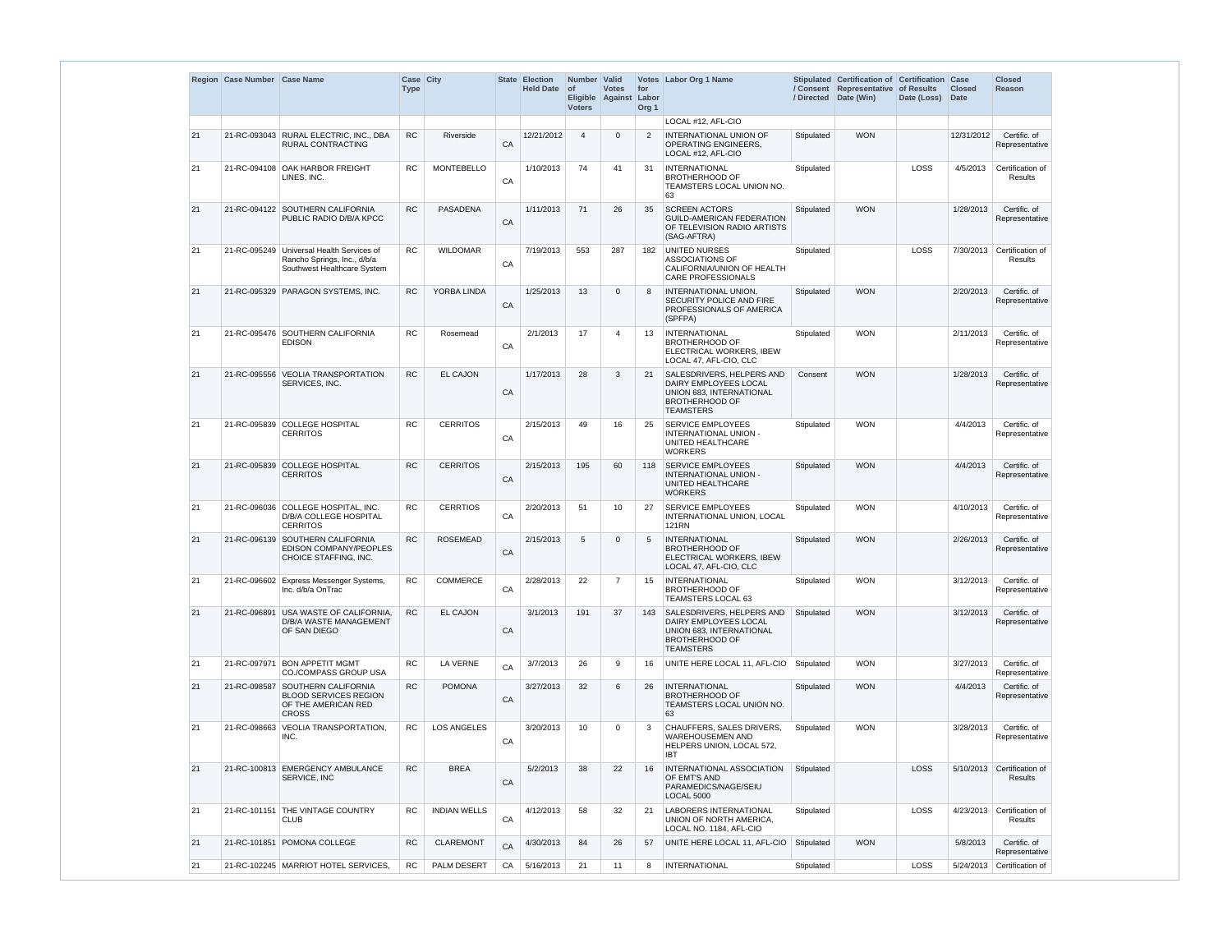|    | Region Case Number Case Name |                                                                                                         | Case City<br><b>Type</b> |                     |    | State Election<br><b>Held Date</b> | Number Valid<br>$ $ of<br><b>Voters</b> | <b>Votes</b><br>Eligible Against | for<br>Labor<br>Org <sub>1</sub> | Votes Labor Org 1 Name                                                                                                      | / Directed | Stipulated Certification of Certification Case<br>/ Consent Representative of Results<br>Date (Win) | Date (Loss) Date | <b>Closed</b> | <b>Closed</b><br>Reason                  |
|----|------------------------------|---------------------------------------------------------------------------------------------------------|--------------------------|---------------------|----|------------------------------------|-----------------------------------------|----------------------------------|----------------------------------|-----------------------------------------------------------------------------------------------------------------------------|------------|-----------------------------------------------------------------------------------------------------|------------------|---------------|------------------------------------------|
|    |                              |                                                                                                         |                          |                     |    |                                    |                                         |                                  |                                  | LOCAL #12, AFL-CIO                                                                                                          |            |                                                                                                     |                  |               |                                          |
| 21 |                              | 21-RC-093043 RURAL ELECTRIC, INC., DBA<br>RURAL CONTRACTING                                             | <b>RC</b>                | Riverside           | CA | 12/21/2012                         | $\overline{4}$                          | $\Omega$                         | 2                                | <b>INTERNATIONAL UNION OF</b><br><b>OPERATING ENGINEERS,</b><br>LOCAL #12, AFL-CIO                                          | Stipulated | <b>WON</b>                                                                                          |                  | 12/31/2012    | Certific. of<br>Representative           |
| 21 |                              | 21-RC-094108 OAK HARBOR FREIGHT<br>LINES, INC.                                                          | <b>RC</b>                | <b>MONTEBELLO</b>   | CA | 1/10/2013                          | 74                                      | 41                               | 31                               | <b>INTERNATIONAL</b><br><b>BROTHERHOOD OF</b><br>TEAMSTERS LOCAL UNION NO.<br>63                                            | Stipulated |                                                                                                     | LOSS             | 4/5/2013      | Certification of<br><b>Results</b>       |
| 21 |                              | 21-RC-094122 SOUTHERN CALIFORNIA<br>PUBLIC RADIO D/B/A KPCC                                             | <b>RC</b>                | <b>PASADENA</b>     | CA | 1/11/2013                          | 71                                      | 26                               | 35                               | <b>SCREEN ACTORS</b><br><b>GUILD-AMERICAN FEDERATION</b><br>OF TELEVISION RADIO ARTISTS<br>(SAG-AFTRA)                      | Stipulated | <b>WON</b>                                                                                          |                  | 1/28/2013     | Certific. of<br>Representative           |
| 21 |                              | 21-RC-095249 Universal Health Services of<br>Rancho Springs, Inc., d/b/a<br>Southwest Healthcare System | <b>RC</b>                | <b>WILDOMAR</b>     | CA | 7/19/2013                          | 553                                     | 287                              | 182                              | <b>UNITED NURSES</b><br>ASSOCIATIONS OF<br>CALIFORNIA/UNION OF HEALTH<br><b>CARE PROFESSIONALS</b>                          | Stipulated |                                                                                                     | LOSS             | 7/30/2013     | Certification of<br>Results              |
| 21 | 21-RC-095329                 | PARAGON SYSTEMS, INC.                                                                                   | <b>RC</b>                | YORBA LINDA         | CA | 1/25/2013                          | 13                                      | $\Omega$                         | 8                                | INTERNATIONAL UNION.<br>SECURITY POLICE AND FIRE<br>PROFESSIONALS OF AMERICA<br>(SPFPA)                                     | Stipulated | <b>WON</b>                                                                                          |                  | 2/20/2013     | Certific. of<br>Representative           |
| 21 |                              | 21-RC-095476 SOUTHERN CALIFORNIA<br><b>EDISON</b>                                                       | <b>RC</b>                | Rosemead            | CA | 2/1/2013                           | 17                                      | $\overline{4}$                   | 13                               | <b>INTERNATIONAL</b><br><b>BROTHERHOOD OF</b><br>ELECTRICAL WORKERS, IBEW<br>LOCAL 47, AFL-CIO, CLC                         | Stipulated | <b>WON</b>                                                                                          |                  | 2/11/2013     | Certific. of<br>Representative           |
| 21 |                              | 21-RC-095556 VEOLIA TRANSPORTATION<br>SERVICES, INC.                                                    | <b>RC</b>                | <b>EL CAJON</b>     | CA | 1/17/2013                          | 28                                      | 3                                | 21                               | SALESDRIVERS, HELPERS AND<br>DAIRY EMPLOYEES LOCAL<br>UNION 683, INTERNATIONAL<br><b>BROTHERHOOD OF</b><br><b>TEAMSTERS</b> | Consent    | <b>WON</b>                                                                                          |                  | 1/28/2013     | Certific. of<br>Representative           |
| 21 |                              | 21-RC-095839 COLLEGE HOSPITAL<br><b>CERRITOS</b>                                                        | <b>RC</b>                | <b>CERRITOS</b>     | CA | 2/15/2013                          | 49                                      | 16                               | 25                               | <b>SERVICE EMPLOYEES</b><br>INTERNATIONAL UNION -<br>UNITED HEALTHCARE<br><b>WORKERS</b>                                    | Stipulated | <b>WON</b>                                                                                          |                  | 4/4/2013      | Certific. of<br>Representative           |
| 21 |                              | 21-RC-095839 COLLEGE HOSPITAL<br><b>CERRITOS</b>                                                        | <b>RC</b>                | <b>CERRITOS</b>     | CA | 2/15/2013                          | 195                                     | 60                               | 118                              | <b>SERVICE EMPLOYEES</b><br>INTERNATIONAL UNION -<br>UNITED HEALTHCARE<br><b>WORKERS</b>                                    | Stipulated | <b>WON</b>                                                                                          |                  | 4/4/2013      | Certific. of<br>Representative           |
|    |                              | 21-RC-096036 COLLEGE HOSPITAL, INC.<br>D/B/A COLLEGE HOSPITAL<br><b>CERRITOS</b>                        | ${\sf RC}$               | <b>CERRTIOS</b>     | CA | 2/20/2013                          | 51                                      | 10                               | 27                               | <b>SERVICE EMPLOYEES</b><br>INTERNATIONAL UNION, LOCAL<br>121RN                                                             | Stipulated | <b>WON</b>                                                                                          |                  |               | 4/10/2013 Certific. of<br>Representative |
| 21 |                              | 21-RC-096139 SOUTHERN CALIFORNIA<br>EDISON COMPANY/PEOPLES<br>CHOICE STAFFING, INC.                     | <b>RC</b>                | <b>ROSEMEAD</b>     | CA | 2/15/2013                          | 5                                       | $\Omega$                         | 5                                | <b>INTERNATIONAL</b><br><b>BROTHERHOOD OF</b><br>ELECTRICAL WORKERS, IBEW<br>LOCAL 47, AFL-CIO, CLC                         | Stipulated | <b>WON</b>                                                                                          |                  | 2/26/2013     | Certific. of<br>Representative           |
| 21 |                              | 21-RC-096602 Express Messenger Systems,<br>Inc. d/b/a OnTrac                                            | <b>RC</b>                | <b>COMMERCE</b>     | CA | 2/28/2013                          | 22                                      | $\overline{7}$                   | 15                               | <b>INTERNATIONAL</b><br><b>BROTHERHOOD OF</b><br><b>TEAMSTERS LOCAL 63</b>                                                  | Stipulated | <b>WON</b>                                                                                          |                  | 3/12/2013     | Certific. of<br>Representative           |
| 21 |                              | 21-RC-096891 USA WASTE OF CALIFORNIA,<br>D/B/A WASTE MANAGEMENT<br>OF SAN DIEGO                         | <b>RC</b>                | <b>EL CAJON</b>     | CA | 3/1/2013                           | 191                                     | 37                               | 143                              | SALESDRIVERS, HELPERS AND<br>DAIRY EMPLOYEES LOCAL<br>UNION 683, INTERNATIONAL<br><b>BROTHERHOOD OF</b><br><b>TEAMSTERS</b> | Stipulated | <b>WON</b>                                                                                          |                  | 3/12/2013     | Certific. of<br>Representative           |
| 21 | 21-RC-097971                 | <b>BON APPETIT MGMT</b><br><b>CO./COMPASS GROUP USA</b>                                                 | <b>RC</b>                | LA VERNE            | CA | 3/7/2013                           | 26                                      | 9                                | 16                               | UNITE HERE LOCAL 11, AFL-CIO                                                                                                | Stipulated | <b>WON</b>                                                                                          |                  | 3/27/2013     | Certific. of<br>Representative           |
| 21 |                              | 21-RC-098587 SOUTHERN CALIFORNIA<br><b>BLOOD SERVICES REGION</b><br>OF THE AMERICAN RED<br><b>CROSS</b> | <b>RC</b>                | <b>POMONA</b>       | CA | 3/27/2013                          | 32                                      | 6                                | 26                               | <b>INTERNATIONAL</b><br><b>BROTHERHOOD OF</b><br>TEAMSTERS LOCAL UNION NO.<br>63                                            | Stipulated | <b>WON</b>                                                                                          |                  | 4/4/2013      | Certific. of<br>Representative           |
| 21 | 21-RC-098663                 | <b>VEOLIA TRANSPORTATION,</b><br>INC.                                                                   | <b>RC</b>                | <b>LOS ANGELES</b>  | CA | 3/20/2013                          | 10                                      | $\Omega$                         | 3                                | <b>CHAUFFERS, SALES DRIVERS,</b><br><b>WAREHOUSEMEN AND</b><br>HELPERS UNION, LOCAL 572,<br><b>IBT</b>                      | Stipulated | <b>WON</b>                                                                                          |                  | 3/28/2013     | Certific. of<br>Representative           |
| 21 |                              | 21-RC-100813 EMERGENCY AMBULANCE<br>SERVICE, INC                                                        | <b>RC</b>                | <b>BREA</b>         | CA | 5/2/2013                           | 38                                      | 22                               | 16                               | INTERNATIONAL ASSOCIATION<br>OF EMT'S AND<br>PARAMEDICS/NAGE/SEIU<br><b>LOCAL 5000</b>                                      | Stipulated |                                                                                                     | LOSS             | 5/10/2013     | Certification of<br>Results              |
| 21 |                              | 21-RC-101151 THE VINTAGE COUNTRY<br><b>CLUB</b>                                                         | <b>RC</b>                | <b>INDIAN WELLS</b> | CA | 4/12/2013                          | 58                                      | 32                               | 21                               | <b>LABORERS INTERNATIONAL</b><br>UNION OF NORTH AMERICA,<br>LOCAL NO. 1184, AFL-CIO                                         | Stipulated |                                                                                                     | <b>LOSS</b>      | 4/23/2013     | Certification of<br>Results              |
| 21 |                              | 21-RC-101851 POMONA COLLEGE                                                                             | <b>RC</b>                | <b>CLAREMONT</b>    | CA | 4/30/2013                          | 84                                      | 26                               | 57                               | UNITE HERE LOCAL 11, AFL-CIO                                                                                                | Stipulated | <b>WON</b>                                                                                          |                  | 5/8/2013      | Certific. of<br>Representative           |
| 21 |                              | 21-RC-102245   MARRIOT HOTEL SERVICES,                                                                  | RC.                      | PALM DESERT         | CA | 5/16/2013                          | 21                                      | 11                               | 8                                | <b>INTERNATIONAL</b>                                                                                                        | Stipulated |                                                                                                     | <b>LOSS</b>      |               | 5/24/2013 Certification of               |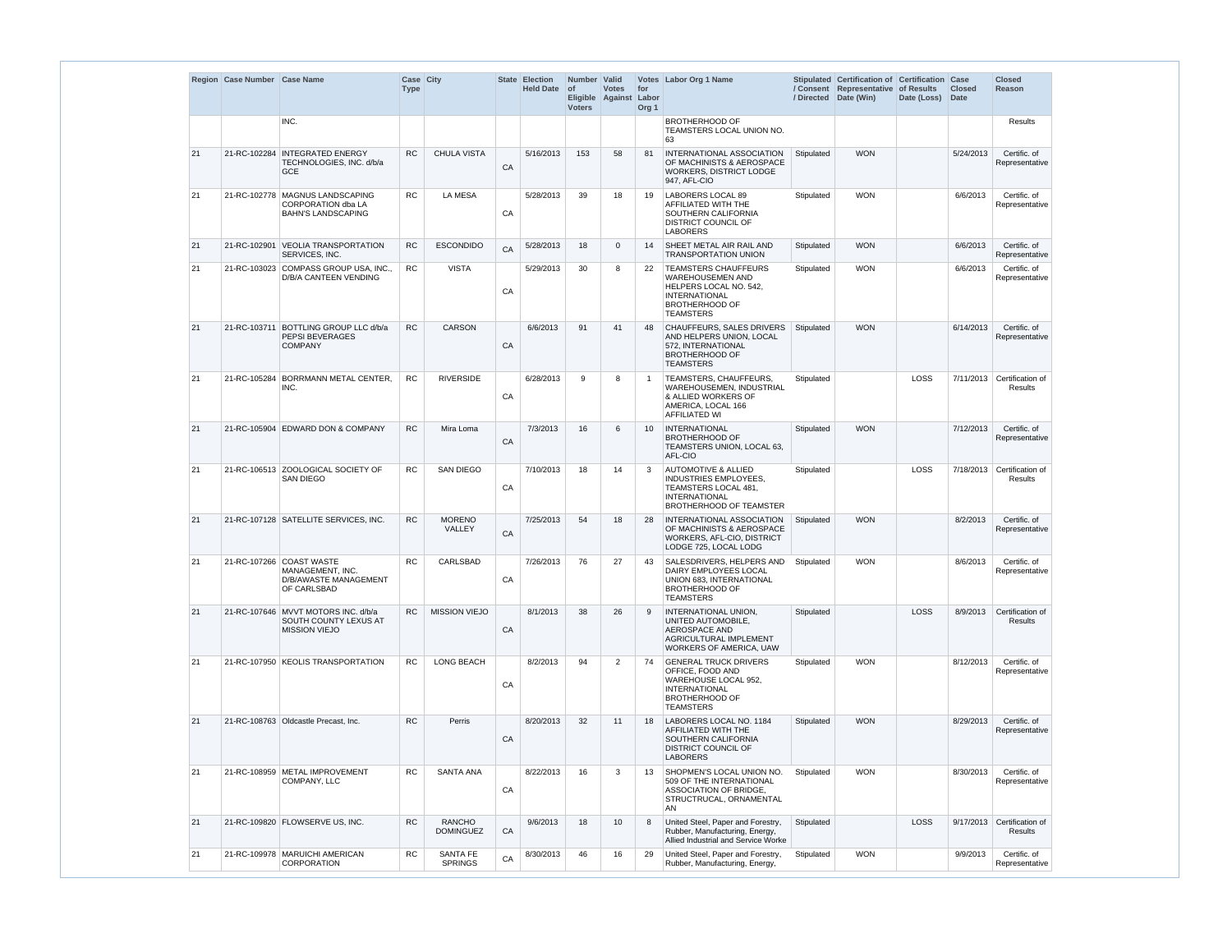|    | Region Case Number Case Name |                                                                                             | Case City<br><b>Type</b> |                                   |            | State Election<br>Held Date of | Number   Valid<br><b>Voters</b> | <b>Votes</b><br>Eligible Against Labor | for<br>Org <sub>1</sub> | Votes Labor Org 1 Name                                                                                                                                |            | Stipulated Certification of Certification Case<br>/ Consent Representative of Results<br>/ Directed Date (Win) | Date (Loss) | <b>Closed</b><br>Date | <b>Closed</b><br><b>Reason</b>        |
|----|------------------------------|---------------------------------------------------------------------------------------------|--------------------------|-----------------------------------|------------|--------------------------------|---------------------------------|----------------------------------------|-------------------------|-------------------------------------------------------------------------------------------------------------------------------------------------------|------------|----------------------------------------------------------------------------------------------------------------|-------------|-----------------------|---------------------------------------|
|    |                              | INC.                                                                                        |                          |                                   |            |                                |                                 |                                        |                         | <b>BROTHERHOOD OF</b><br>TEAMSTERS LOCAL UNION NO.<br>63                                                                                              |            |                                                                                                                |             |                       | Results                               |
| 21 |                              | 21-RC-102284   INTEGRATED ENERGY<br>TECHNOLOGIES, INC. d/b/a<br><b>GCE</b>                  | <b>RC</b>                | <b>CHULA VISTA</b>                | CA         | 5/16/2013                      | 153                             | 58                                     | 81                      | INTERNATIONAL ASSOCIATION<br>OF MACHINISTS & AEROSPACE<br><b>WORKERS, DISTRICT LODGE</b><br>947, AFL-CIO                                              | Stipulated | <b>WON</b>                                                                                                     |             | 5/24/2013             | Certific. of<br>Representative        |
| 21 |                              | 21-RC-102778 MAGNUS LANDSCAPING<br><b>CORPORATION dba LA</b><br><b>BAHN'S LANDSCAPING</b>   | RC.                      | <b>LA MESA</b>                    | CA         | 5/28/2013                      | 39                              | 18                                     | 19                      | LABORERS LOCAL 89<br>AFFILIATED WITH THE<br>SOUTHERN CALIFORNIA<br>DISTRICT COUNCIL OF<br><b>LABORERS</b>                                             | Stipulated | <b>WON</b>                                                                                                     |             | 6/6/2013              | Certific. of<br>Representative        |
| 21 |                              | 21-RC-102901 VEOLIA TRANSPORTATION<br><b>SERVICES, INC.</b>                                 | <b>RC</b>                | <b>ESCONDIDO</b>                  | CA         | 5/28/2013                      | 18                              | $\overline{0}$                         | 14                      | SHEET METAL AIR RAIL AND<br><b>TRANSPORTATION UNION</b>                                                                                               | Stipulated | <b>WON</b>                                                                                                     |             | 6/6/2013              | Certific. of<br>Representative        |
| 21 |                              | 21-RC-103023 COMPASS GROUP USA, INC.,<br><b>D/B/A CANTEEN VENDING</b>                       | <b>RC</b>                | <b>VISTA</b>                      | CA         | 5/29/2013                      | 30                              | 8                                      | 22                      | <b>TEAMSTERS CHAUFFEURS</b><br><b>WAREHOUSEMEN AND</b><br>HELPERS LOCAL NO. 542,<br><b>INTERNATIONAL</b><br><b>BROTHERHOOD OF</b><br><b>TEAMSTERS</b> | Stipulated | <b>WON</b>                                                                                                     |             | 6/6/2013              | Certific, of<br>Representative        |
| 21 | 21-RC-103711                 | <b>BOTTLING GROUP LLC d/b/a</b><br>PEPSI BEVERAGES<br><b>COMPANY</b>                        | RC                       | CARSON                            | CA         | 6/6/2013                       | 91                              | 41                                     | 48                      | CHAUFFEURS, SALES DRIVERS<br>AND HELPERS UNION, LOCAL<br>572. INTERNATIONAL<br><b>BROTHERHOOD OF</b><br><b>TEAMSTERS</b>                              | Stipulated | <b>WON</b>                                                                                                     |             | 6/14/2013             | Certific. of<br>Representative        |
| 21 | 21-RC-105284                 | <b>BORRMANN METAL CENTER,</b><br>INC.                                                       | ${\sf RC}$               | <b>RIVERSIDE</b>                  | CA         | 6/28/2013                      | 9                               | 8                                      | $\overline{1}$          | TEAMSTERS, CHAUFFEURS,<br>WAREHOUSEMEN, INDUSTRIAL<br>& ALLIED WORKERS OF<br>AMERICA, LOCAL 166<br>AFFILIATED WI                                      | Stipulated |                                                                                                                | LOSS        |                       | 7/11/2013 Certification of<br>Results |
| 21 |                              | 21-RC-105904 EDWARD DON & COMPANY                                                           | <b>RC</b>                | Mira Loma                         | CA         | 7/3/2013                       | 16                              | 6                                      | 10                      | <b>INTERNATIONAL</b><br><b>BROTHERHOOD OF</b><br>TEAMSTERS UNION, LOCAL 63,<br>AFL-CIO                                                                | Stipulated | <b>WON</b>                                                                                                     |             | 7/12/2013             | Certific. of<br>Representative        |
| 21 |                              | 21-RC-106513 ZOOLOGICAL SOCIETY OF<br><b>SAN DIEGO</b>                                      | <b>RC</b>                | SAN DIEGO                         | CA         | 7/10/2013                      | 18                              | 14                                     | 3                       | <b>AUTOMOTIVE &amp; ALLIED</b><br>INDUSTRIES EMPLOYEES,<br>TEAMSTERS LOCAL 481,<br><b>INTERNATIONAL</b><br>BROTHERHOOD OF TEAMSTER                    | Stipulated |                                                                                                                | LOSS        |                       | 7/18/2013 Certification of<br>Results |
| 21 |                              | 21-RC-107128 SATELLITE SERVICES, INC.                                                       | <b>RC</b>                | <b>MORENO</b><br>VALLEY           | CA         | 7/25/2013                      | 54                              | 18                                     | 28                      | <b>INTERNATIONAL ASSOCIATION</b><br>OF MACHINISTS & AEROSPACE<br>WORKERS, AFL-CIO, DISTRICT<br>LODGE 725, LOCAL LODG                                  | Stipulated | <b>WON</b>                                                                                                     |             | 8/2/2013              | Certific. of<br>Representative        |
| 21 |                              | 21-RC-107266 COAST WASTE<br>MANAGEMENT, INC.<br><b>D/B/AWASTE MANAGEMENT</b><br>OF CARLSBAD | <b>RC</b>                | CARLSBAD                          | CA         | 7/26/2013                      | 76                              | 27                                     | 43                      | SALESDRIVERS, HELPERS AND<br>DAIRY EMPLOYEES LOCAL<br><b>UNION 683, INTERNATIONAL</b><br><b>BROTHERHOOD OF</b><br><b>TEAMSTERS</b>                    | Stipulated | <b>WON</b>                                                                                                     |             | 8/6/2013              | Certific, of<br>Representative        |
| 21 |                              | 21-RC-107646 MVVT MOTORS INC. d/b/a<br><b>SOUTH COUNTY LEXUS AT</b><br><b>MISSION VIEJO</b> | <b>RC</b>                | <b>MISSION VIEJO</b>              | CA         | 8/1/2013                       | 38                              | 26                                     | 9                       | <b>INTERNATIONAL UNION,</b><br>UNITED AUTOMOBILE,<br><b>AEROSPACE AND</b><br>AGRICULTURAL IMPLEMENT<br><b>WORKERS OF AMERICA, UAW</b>                 | Stipulated |                                                                                                                | <b>LOSS</b> | 8/9/2013              | Certification of<br><b>Results</b>    |
| 21 |                              | 21-RC-107950 KEOLIS TRANSPORTATION                                                          | <b>RC</b>                | <b>LONG BEACH</b>                 | CA         | 8/2/2013                       | 94                              | $\overline{2}$                         | 74                      | <b>GENERAL TRUCK DRIVERS</b><br>OFFICE, FOOD AND<br>WAREHOUSE LOCAL 952,<br><b>INTERNATIONAL</b><br><b>BROTHERHOOD OF</b><br><b>TEAMSTERS</b>         | Stipulated | <b>WON</b>                                                                                                     |             | 8/12/2013             | Certific. of<br>Representative        |
| 21 |                              | 21-RC-108763 Oldcastle Precast, Inc.                                                        | RC.                      | Perris                            | CA         | 8/20/2013                      | 32                              | 11                                     | 18                      | LABORERS LOCAL NO. 1184<br>AFFILIATED WITH THE<br>SOUTHERN CALIFORNIA<br>DISTRICT COUNCIL OF<br><b>LABORERS</b>                                       | Stipulated | <b>WON</b>                                                                                                     |             | 8/29/2013             | Certific. of<br>Representative        |
| 21 |                              | 21-RC-108959 METAL IMPROVEMENT<br>COMPANY, LLC                                              | <b>RC</b>                | <b>SANTA ANA</b>                  | CA         | 8/22/2013                      | 16                              | 3                                      | 13                      | SHOPMEN'S LOCAL UNION NO.<br>509 OF THE INTERNATIONAL<br>ASSOCIATION OF BRIDGE,<br>STRUCTRUCAL, ORNAMENTAL<br>AN                                      | Stipulated | <b>WON</b>                                                                                                     |             | 8/30/2013             | Certific. of<br>Representative        |
| 21 |                              | 21-RC-109820 FLOWSERVE US, INC.                                                             | <b>RC</b>                | <b>RANCHO</b><br><b>DOMINGUEZ</b> | CA         | 9/6/2013                       | 18                              | 10                                     | 8                       | United Steel, Paper and Forestry,<br>Rubber, Manufacturing, Energy,<br>Allied Industrial and Service Worke                                            | Stipulated |                                                                                                                | LOSS        | 9/17/2013             | Certification of<br><b>Results</b>    |
| 21 |                              | 21-RC-109978   MARUICHI AMERICAN<br><b>CORPORATION</b>                                      | <b>RC</b>                | <b>SANTA FE</b><br><b>SPRINGS</b> | ${\sf CA}$ | 8/30/2013                      | 46                              | 16                                     | 29                      | United Steel, Paper and Forestry,<br>Rubber, Manufacturing, Energy,                                                                                   | Stipulated | <b>WON</b>                                                                                                     |             | 9/9/2013              | Certific. of<br>Representative        |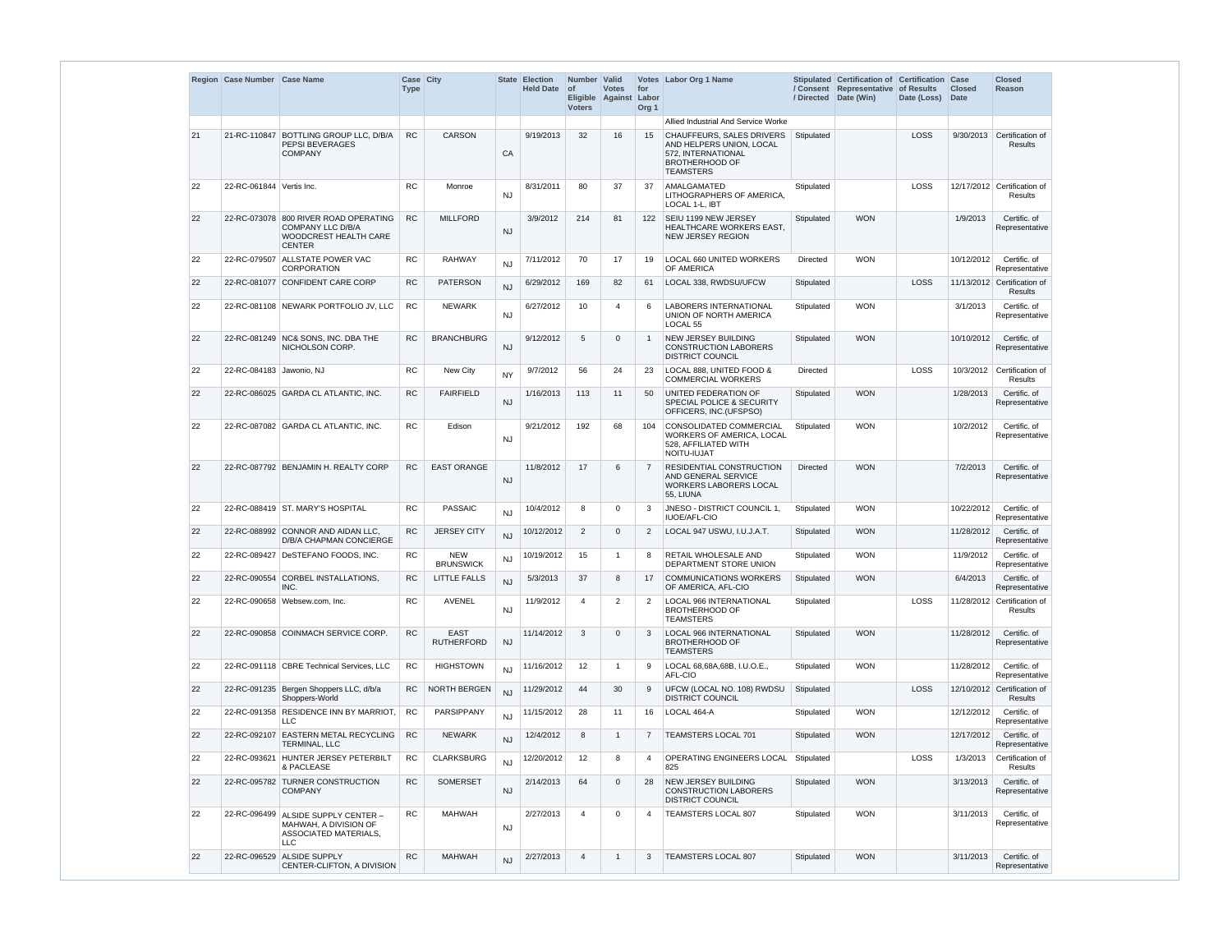|    | Region Case Number Case Name |                                                                                                             | Case City<br><b>Type</b> |                                  |           | State Election<br>Held Date of | Number Valid<br><b>Voters</b> | <b>Votes</b><br>Eligible Against Labor | for<br>Org <sub>1</sub> | Votes Labor Org 1 Name                                                                                                   |                 | Stipulated Certification of Certification Case<br>/ Consent Representative of Results<br>/ Directed Date (Win) | Date (Loss) Date | <b>Closed</b> | <b>Closed</b><br>Reason                       |
|----|------------------------------|-------------------------------------------------------------------------------------------------------------|--------------------------|----------------------------------|-----------|--------------------------------|-------------------------------|----------------------------------------|-------------------------|--------------------------------------------------------------------------------------------------------------------------|-----------------|----------------------------------------------------------------------------------------------------------------|------------------|---------------|-----------------------------------------------|
|    |                              |                                                                                                             |                          |                                  |           |                                |                               |                                        |                         | Allied Industrial And Service Worke                                                                                      |                 |                                                                                                                |                  |               |                                               |
| 21 |                              | 21-RC-110847   BOTTLING GROUP LLC, D/B/A<br>PEPSI BEVERAGES<br><b>COMPANY</b>                               | RC                       | <b>CARSON</b>                    | CA        | 9/19/2013                      | 32                            | 16                                     | 15                      | CHAUFFEURS, SALES DRIVERS<br>AND HELPERS UNION, LOCAL<br>572. INTERNATIONAL<br><b>BROTHERHOOD OF</b><br><b>TEAMSTERS</b> | Stipulated      |                                                                                                                | LOSS             |               | 9/30/2013 Certification of<br><b>Results</b>  |
| 22 | 22-RC-061844 Vertis Inc.     |                                                                                                             | <b>RC</b>                | Monroe                           | <b>NJ</b> | 8/31/2011                      | 80                            | 37                                     | 37                      | AMALGAMATED<br>LITHOGRAPHERS OF AMERICA,<br>LOCAL 1-L, IBT                                                               | Stipulated      |                                                                                                                | LOSS             |               | 12/17/2012 Certification of<br><b>Results</b> |
| 22 |                              | 22-RC-073078 800 RIVER ROAD OPERATING<br>COMPANY LLC D/B/A<br><b>WOODCREST HEALTH CARE</b><br><b>CENTER</b> | <b>RC</b>                | <b>MILLFORD</b>                  | <b>NJ</b> | 3/9/2012                       | 214                           | 81                                     | 122                     | <b>SEIU 1199 NEW JERSEY</b><br>HEALTHCARE WORKERS EAST,<br>NEW JERSEY REGION                                             | Stipulated      | <b>WON</b>                                                                                                     |                  | 1/9/2013      | Certific. of<br>Representative                |
| 22 |                              | 22-RC-079507 ALLSTATE POWER VAC<br>CORPORATION                                                              | <b>RC</b>                | <b>RAHWAY</b>                    | NJ        | 7/11/2012                      | 70                            | 17                                     | 19                      | LOCAL 660 UNITED WORKERS<br>OF AMERICA                                                                                   | Directed        | <b>WON</b>                                                                                                     |                  | 10/12/2012    | Certific. of<br>Representative                |
| 22 |                              | 22-RC-081077 CONFIDENT CARE CORP                                                                            | <b>RC</b>                | <b>PATERSON</b>                  | NJ        | 6/29/2012                      | 169                           | 82                                     | 61                      | LOCAL 338, RWDSU/UFCW                                                                                                    | Stipulated      |                                                                                                                | LOSS             |               | 11/13/2012 Certification of<br><b>Results</b> |
| 22 |                              | 22-RC-081108 NEWARK PORTFOLIO JV, LLC                                                                       | <b>RC</b>                | <b>NEWARK</b>                    | <b>NJ</b> | 6/27/2012                      | 10                            | $\overline{\mathcal{A}}$               | 6                       | <b>LABORERS INTERNATIONAL</b><br>UNION OF NORTH AMERICA<br>LOCAL <sub>55</sub>                                           | Stipulated      | <b>WON</b>                                                                                                     |                  | 3/1/2013      | Certific. of<br>Representative                |
| 22 |                              | 22-RC-081249 NC& SONS. INC. DBA THE<br>NICHOLSON CORP.                                                      | <b>RC</b>                | <b>BRANCHBURG</b>                | <b>NJ</b> | 9/12/2012                      | 5                             | $\Omega$                               | $\mathbf{1}$            | NEW JERSEY BUILDING<br><b>CONSTRUCTION LABORERS</b><br><b>DISTRICT COUNCIL</b>                                           | Stipulated      | <b>WON</b>                                                                                                     |                  | 10/10/2012    | Certific. of<br>Representative                |
| 22 | 22-RC-084183 Jawonio, NJ     |                                                                                                             | <b>RC</b>                | New City                         | <b>NY</b> | 9/7/2012                       | 56                            | 24                                     | 23                      | LOCAL 888, UNITED FOOD &<br><b>COMMERCIAL WORKERS</b>                                                                    | <b>Directed</b> |                                                                                                                | LOSS             | 10/3/2012     | Certification of<br>Results                   |
| 22 |                              | 22-RC-086025 GARDA CL ATLANTIC, INC.                                                                        | <b>RC</b>                | <b>FAIRFIELD</b>                 | <b>NJ</b> | 1/16/2013                      | 113                           | 11                                     | 50                      | UNITED FEDERATION OF<br><b>SPECIAL POLICE &amp; SECURITY</b><br>OFFICERS, INC.(UFSPSO)                                   | Stipulated      | <b>WON</b>                                                                                                     |                  | 1/28/2013     | Certific. of<br>Representative                |
| 22 |                              | 22-RC-087082 GARDA CL ATLANTIC, INC.                                                                        | <b>RC</b>                | Edison                           | <b>NJ</b> | 9/21/2012                      | 192                           | 68                                     | 104                     | <b>CONSOLIDATED COMMERCIAL</b><br>WORKERS OF AMERICA, LOCAL<br>528, AFFILIATED WITH<br>NOITU-IUJAT                       | Stipulated      | <b>WON</b>                                                                                                     |                  | 10/2/2012     | Certific. of<br>Representative                |
| 22 |                              | 22-RC-087792 BENJAMIN H. REALTY CORP                                                                        | <b>RC</b>                | <b>EAST ORANGE</b>               | <b>NJ</b> | 11/8/2012                      | 17                            | 6                                      | 7                       | <b>RESIDENTIAL CONSTRUCTION</b><br>AND GENERAL SERVICE<br><b>WORKERS LABORERS LOCAL</b><br>55, LIUNA                     | <b>Directed</b> | <b>WON</b>                                                                                                     |                  | 7/2/2013      | Certific. of<br>Representative                |
| 22 |                              | 22-RC-088419 ST. MARY'S HOSPITAL                                                                            | RC                       | PASSAIC                          | <b>NJ</b> | 10/4/2012                      | 8                             | $\overline{0}$                         |                         | JNESO - DISTRICT COUNCIL 1, Stipulated<br><b>IUOE/AFL-CIO</b>                                                            |                 | <b>WON</b>                                                                                                     |                  |               | 10/22/2012 Certific. of<br>Representative     |
| 22 |                              | 22-RC-088992 CONNOR AND AIDAN LLC.<br><b>D/B/A CHAPMAN CONCIERGE</b>                                        | <b>RC</b>                | <b>JERSEY CITY</b>               | <b>NJ</b> | 10/12/2012                     | 2                             | $\Omega$                               | 2                       | LOCAL 947 USWU, I.U.J.A.T.                                                                                               | Stipulated      | <b>WON</b>                                                                                                     |                  | 11/28/2012    | Certific, of<br>Representative                |
| 22 |                              | 22-RC-089427   DeSTEFANO FOODS, INC.                                                                        | <b>RC</b>                | <b>NEW</b><br><b>BRUNSWICK</b>   | <b>NJ</b> | 10/19/2012                     | 15                            | -1                                     | 8                       | <b>RETAIL WHOLESALE AND</b><br>DEPARTMENT STORE UNION                                                                    | Stipulated      | <b>WON</b>                                                                                                     |                  | 11/9/2012     | Certific. of<br>Representative                |
| 22 |                              | 22-RC-090554 CORBEL INSTALLATIONS,<br>INC.                                                                  | <b>RC</b>                | <b>LITTLE FALLS</b>              | <b>NJ</b> | 5/3/2013                       | 37                            | 8                                      | 17                      | <b>COMMUNICATIONS WORKERS</b><br>OF AMERICA, AFL-CIO                                                                     | Stipulated      | <b>WON</b>                                                                                                     |                  | 6/4/2013      | Certific. of<br>Representative                |
| 22 |                              | 22-RC-090658 Websew.com, Inc.                                                                               | RC                       | <b>AVENEL</b>                    | <b>NJ</b> | 11/9/2012                      | $\overline{4}$                | $\overline{2}$                         | 2                       | <b>LOCAL 966 INTERNATIONAL</b><br><b>BROTHERHOOD OF</b><br><b>TEAMSTERS</b>                                              | Stipulated      |                                                                                                                | LOSS             | 11/28/2012    | Certification of<br><b>Results</b>            |
| 22 |                              | 22-RC-090858 COINMACH SERVICE CORP.                                                                         | ${\sf RC}$               | <b>EAST</b><br><b>RUTHERFORD</b> | <b>NJ</b> | 11/14/2012                     | 3                             | $\Omega$                               | 3                       | LOCAL 966 INTERNATIONAL<br><b>BROTHERHOOD OF</b><br><b>TEAMSTERS</b>                                                     | Stipulated      | <b>WON</b>                                                                                                     |                  | 11/28/2012    | Certific. of<br>Representative                |
| 22 |                              | 22-RC-091118 CBRE Technical Services, LLC                                                                   | <b>RC</b>                | <b>HIGHSTOWN</b>                 | <b>NJ</b> | 11/16/2012                     | 12                            | -1                                     | 9                       | LOCAL 68,68A,68B, I.U.O.E.,<br>AFL-CIO                                                                                   | Stipulated      | <b>WON</b>                                                                                                     |                  | 11/28/2012    | Certific. of<br>Representative                |
| 22 |                              | 22-RC-091235 Bergen Shoppers LLC, d/b/a<br>Shoppers-World                                                   | <b>RC</b>                | NORTH BERGEN                     | <b>NJ</b> | 11/29/2012                     | 44                            | 30                                     | 9                       | UFCW (LOCAL NO. 108) RWDSU<br><b>DISTRICT COUNCIL</b>                                                                    | Stipulated      |                                                                                                                | LOSS             |               | 12/10/2012 Certification of<br>Results        |
| 22 |                              | 22-RC-091358 RESIDENCE INN BY MARRIOT,<br><b>LLC</b>                                                        | RC                       | PARSIPPANY                       | <b>NJ</b> | 11/15/2012                     | 28                            | 11                                     | 16                      | LOCAL 464-A                                                                                                              | Stipulated      | <b>WON</b>                                                                                                     |                  | 12/12/2012    | Certific. of<br>Representative                |
| 22 | 22-RC-092107                 | <b>EASTERN METAL RECYCLING</b><br>TERMINAL, LLC                                                             | <b>RC</b>                | <b>NEWARK</b>                    | <b>NJ</b> | 12/4/2012                      | 8                             | -1                                     | $\overline{7}$          | <b>TEAMSTERS LOCAL 701</b>                                                                                               | Stipulated      | <b>WON</b>                                                                                                     |                  | 12/17/2012    | Certific, of<br>Representative                |
| 22 |                              | 22-RC-093621 HUNTER JERSEY PETERBILT<br>& PACLEASE                                                          | <b>RC</b>                | <b>CLARKSBURG</b>                | <b>NJ</b> | 12/20/2012                     | 12                            | 8                                      | 4                       | OPERATING ENGINEERS LOCAL   Stipulated<br>825                                                                            |                 |                                                                                                                | LOSS             | 1/3/2013      | Certification of<br>Results                   |
| 22 |                              | 22-RC-095782 TURNER CONSTRUCTION<br><b>COMPANY</b>                                                          | RC                       | <b>SOMERSET</b>                  | <b>NJ</b> | 2/14/2013                      | 64                            | $\overline{0}$                         | 28                      | NEW JERSEY BUILDING<br><b>CONSTRUCTION LABORERS</b><br><b>DISTRICT COUNCIL</b>                                           | Stipulated      | <b>WON</b>                                                                                                     |                  | 3/13/2013     | Certific. of<br>Representative                |
| 22 | 22-RC-096499                 | ALSIDE SUPPLY CENTER -<br>MAHWAH, A DIVISION OF<br>ASSOCIATED MATERIALS,<br><b>LLC</b>                      | <b>RC</b>                | <b>MAHWAH</b>                    | <b>NJ</b> | 2/27/2013                      | $\overline{4}$                | $\Omega$                               | 4                       | <b>TEAMSTERS LOCAL 807</b>                                                                                               | Stipulated      | <b>WON</b>                                                                                                     |                  | 3/11/2013     | Certific. of<br>Representative                |
| 22 | 22-RC-096529                 | <b>ALSIDE SUPPLY</b><br>CENTER-CLIFTON, A DIVISION                                                          | <b>RC</b>                | <b>MAHWAH</b>                    | <b>NJ</b> | 2/27/2013                      | $\overline{4}$                | $\mathbf 1$                            | 3                       | TEAMSTERS LOCAL 807                                                                                                      | Stipulated      | <b>WON</b>                                                                                                     |                  | 3/11/2013     | Certific. of<br>Representative                |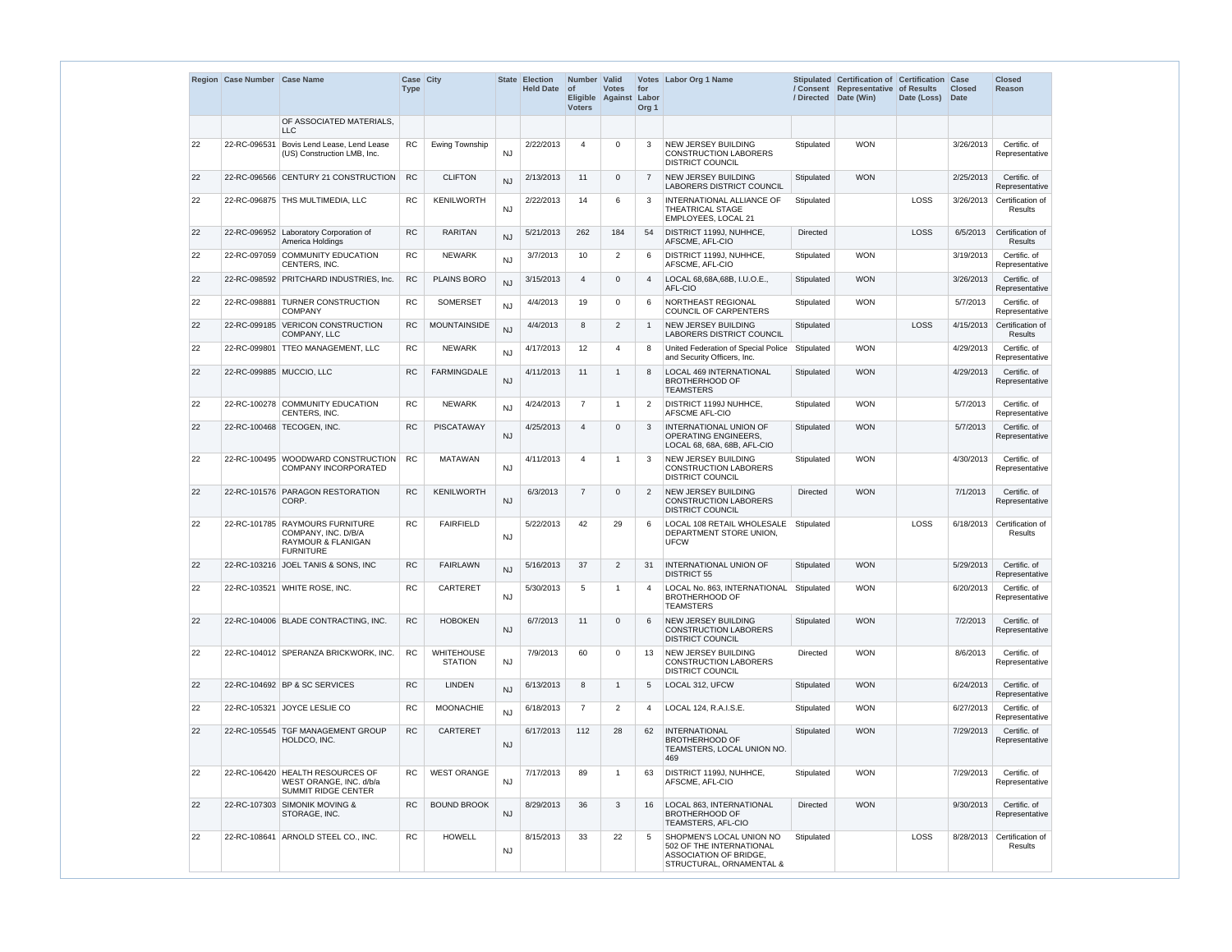|    | Region Case Number Case Name |                                                                                                             | Case City<br><b>Type</b> |                                     |           | <b>State Election</b><br><b>Held Date</b> | Number<br>$\circ$ f<br><b>Voters</b> | <b>Valid</b><br><b>Votes</b><br>Eligible Against | for<br>Labor<br>Org <sub>1</sub> | Votes Labor Org 1 Name                                                                                     | / Directed      | Stipulated Certification of Certification Case<br>/ Consent Representative<br>Date (Win) | of Results<br>Date (Loss) | <b>Closed</b><br><b>Date</b> | <b>Closed</b><br>Reason                      |
|----|------------------------------|-------------------------------------------------------------------------------------------------------------|--------------------------|-------------------------------------|-----------|-------------------------------------------|--------------------------------------|--------------------------------------------------|----------------------------------|------------------------------------------------------------------------------------------------------------|-----------------|------------------------------------------------------------------------------------------|---------------------------|------------------------------|----------------------------------------------|
|    |                              | OF ASSOCIATED MATERIALS.<br>LLC                                                                             |                          |                                     |           |                                           |                                      |                                                  |                                  |                                                                                                            |                 |                                                                                          |                           |                              |                                              |
| 22 | 22-RC-096531                 | Bovis Lend Lease, Lend Lease<br>(US) Construction LMB, Inc.                                                 | <b>RC</b>                | Ewing Township                      | <b>NJ</b> | 2/22/2013                                 | $\overline{4}$                       | $\Omega$                                         | 3                                | <b>NEW JERSEY BUILDING</b><br><b>CONSTRUCTION LABORERS</b><br><b>DISTRICT COUNCIL</b>                      | Stipulated      | <b>WON</b>                                                                               |                           | 3/26/2013                    | Certific. of<br>Representative               |
| 22 |                              | 22-RC-096566 CENTURY 21 CONSTRUCTION                                                                        | <b>RC</b>                | <b>CLIFTON</b>                      | NJ        | 2/13/2013                                 | 11                                   | $\Omega$                                         | $\overline{7}$                   | NEW JERSEY BUILDING<br><b>LABORERS DISTRICT COUNCIL</b>                                                    | Stipulated      | <b>WON</b>                                                                               |                           | 2/25/2013                    | Certific. of<br>Representative               |
| 22 |                              | 22-RC-096875 THS MULTIMEDIA, LLC                                                                            | <b>RC</b>                | <b>KENILWORTH</b>                   | <b>NJ</b> | 2/22/2013                                 | 14                                   | 6                                                | 3                                | INTERNATIONAL ALLIANCE OF<br><b>THEATRICAL STAGE</b><br>EMPLOYEES, LOCAL 21                                | Stipulated      |                                                                                          | LOSS                      | 3/26/2013                    | Certification of<br><b>Results</b>           |
| 22 |                              | 22-RC-096952 Laboratory Corporation of<br>America Holdings                                                  | <b>RC</b>                | <b>RARITAN</b>                      | <b>NJ</b> | 5/21/2013                                 | 262                                  | 184                                              | 54                               | DISTRICT 1199J, NUHHCE,<br>AFSCME, AFL-CIO                                                                 | <b>Directed</b> |                                                                                          | LOSS                      | 6/5/2013                     | Certification of<br><b>Results</b>           |
| 22 |                              | 22-RC-097059 COMMUNITY EDUCATION<br>CENTERS, INC.                                                           | <b>RC</b>                | <b>NEWARK</b>                       | <b>NJ</b> | 3/7/2013                                  | 10                                   | $\overline{2}$                                   | 6                                | DISTRICT 1199J, NUHHCE,<br>AFSCME, AFL-CIO                                                                 | Stipulated      | <b>WON</b>                                                                               |                           | 3/19/2013                    | Certific. of<br>Representative               |
| 22 |                              | 22-RC-098592 PRITCHARD INDUSTRIES, Inc.                                                                     | ${\sf RC}$               | <b>PLAINS BORO</b>                  | <b>NJ</b> | 3/15/2013                                 | $\overline{4}$                       | $\overline{0}$                                   | 4                                | LOCAL 68,68A,68B, I.U.O.E.,<br>AFL-CIO                                                                     | Stipulated      | <b>WON</b>                                                                               |                           | 3/26/2013                    | Certific. of<br>Representative               |
| 22 | 22-RC-098881                 | <b>TURNER CONSTRUCTION</b><br><b>COMPANY</b>                                                                | <b>RC</b>                | <b>SOMERSET</b>                     | <b>NJ</b> | 4/4/2013                                  | 19                                   | $\Omega$                                         | 6                                | NORTHEAST REGIONAL<br><b>COUNCIL OF CARPENTERS</b>                                                         | Stipulated      | <b>WON</b>                                                                               |                           | 5/7/2013                     | Certific. of<br>Representative               |
| 22 |                              | 22-RC-099185 VERICON CONSTRUCTION<br>COMPANY, LLC                                                           | <b>RC</b>                | <b>MOUNTAINSIDE</b>                 | <b>NJ</b> | 4/4/2013                                  | 8                                    | $\overline{2}$                                   | $\mathbf{1}$                     | <b>NEW JERSEY BUILDING</b><br><b>LABORERS DISTRICT COUNCIL</b>                                             | Stipulated      |                                                                                          | LOSS                      | 4/15/2013                    | Certification of<br>Results                  |
| 22 |                              | 22-RC-099801   TTEO MANAGEMENT, LLC                                                                         | <b>RC</b>                | <b>NEWARK</b>                       | <b>NJ</b> | 4/17/2013                                 | 12                                   | $\overline{4}$                                   | 8                                | United Federation of Special Police<br>and Security Officers, Inc.                                         | Stipulated      | <b>WON</b>                                                                               |                           | 4/29/2013                    | Certific. of<br>Representative               |
| 22 | 22-RC-099885 MUCCIO, LLC     |                                                                                                             | <b>RC</b>                | <b>FARMINGDALE</b>                  | <b>NJ</b> | 4/11/2013                                 | 11                                   | $\overline{\mathbf{1}}$                          | 8                                | <b>LOCAL 469 INTERNATIONAL</b><br><b>BROTHERHOOD OF</b><br><b>TEAMSTERS</b>                                | Stipulated      | <b>WON</b>                                                                               |                           | 4/29/2013                    | Certific. of<br>Representative               |
| 22 |                              | 22-RC-100278 COMMUNITY EDUCATION<br>CENTERS, INC.                                                           | <b>RC</b>                | <b>NEWARK</b>                       | <b>NJ</b> | 4/24/2013                                 | $\overline{7}$                       | $\overline{\mathbf{1}}$                          | 2                                | DISTRICT 1199J NUHHCE,<br>AFSCME AFL-CIO                                                                   | Stipulated      | <b>WON</b>                                                                               |                           | 5/7/2013                     | Certific. of<br>Representative               |
| 22 |                              | 22-RC-100468   TECOGEN, INC.                                                                                | <b>RC</b>                | <b>PISCATAWAY</b>                   | <b>NJ</b> | 4/25/2013                                 | $\overline{4}$                       | $\Omega$                                         | 3                                | <b>INTERNATIONAL UNION OF</b><br><b>OPERATING ENGINEERS,</b><br>LOCAL 68, 68A, 68B, AFL-CIO                | Stipulated      | <b>WON</b>                                                                               |                           | 5/7/2013                     | Certific. of<br>Representative               |
| 22 |                              | 22-RC-100495 WOODWARD CONSTRUCTION<br><b>COMPANY INCORPORATED</b>                                           | <b>RC</b>                | <b>MATAWAN</b>                      | <b>NJ</b> | 4/11/2013                                 | $\overline{4}$                       | -1                                               | 3                                | NEW JERSEY BUILDING<br><b>CONSTRUCTION LABORERS</b><br><b>DISTRICT COUNCIL</b>                             | Stipulated      | <b>WON</b>                                                                               |                           | 4/30/2013                    | Certific. of<br>Representative               |
| 22 |                              | 22-RC-101576 PARAGON RESTORATION<br>CORP.                                                                   | <b>RC</b>                | KENILWORTH                          | <b>NJ</b> | 6/3/2013                                  | $\overline{7}$                       | $\Omega$                                         | $\overline{2}$                   | <b>NEW JERSEY BUILDING</b><br><b>CONSTRUCTION LABORERS</b><br><b>DISTRICT COUNCIL</b>                      | <b>Directed</b> | <b>WON</b>                                                                               |                           | 7/1/2013                     | Certific. of<br>Representative               |
| 22 |                              | 22-RC-101785 RAYMOURS FURNITURE<br>COMPANY, INC. D/B/A<br><b>RAYMOUR &amp; FLANIGAN</b><br><b>FURNITURE</b> | <b>RC</b>                | <b>FAIRFIELD</b>                    | <b>NJ</b> | 5/22/2013                                 | 42                                   | 29                                               | 6                                | LOCAL 108 RETAIL WHOLESALE<br>DEPARTMENT STORE UNION,<br><b>UFCW</b>                                       | Stipulated      |                                                                                          | <b>LOSS</b>               |                              | 6/18/2013 Certification of<br><b>Results</b> |
| 22 |                              | 22-RC-103216 JOEL TANIS & SONS, INC                                                                         | <b>RC</b>                | <b>FAIRLAWN</b>                     | <b>NJ</b> | 5/16/2013                                 | 37                                   | $\overline{2}$                                   | 31                               | INTERNATIONAL UNION OF<br><b>DISTRICT 55</b>                                                               | Stipulated      | <b>WON</b>                                                                               |                           | 5/29/2013                    | Certific. of<br>Representative               |
| 22 |                              | 22-RC-103521 WHITE ROSE, INC.                                                                               | <b>RC</b>                | CARTERET                            | <b>NJ</b> | 5/30/2013                                 | 5                                    | $\overline{\mathbf{1}}$                          | 4                                | LOCAL No. 863, INTERNATIONAL<br><b>BROTHERHOOD OF</b><br><b>TEAMSTERS</b>                                  | Stipulated      | <b>WON</b>                                                                               |                           | 6/20/2013                    | Certific. of<br>Representative               |
| 22 |                              | 22-RC-104006 BLADE CONTRACTING, INC.                                                                        | <b>RC</b>                | <b>HOBOKEN</b>                      | <b>NJ</b> | 6/7/2013                                  | 11                                   | $\Omega$                                         | 6                                | <b>NEW JERSEY BUILDING</b><br><b>CONSTRUCTION LABORERS</b><br><b>DISTRICT COUNCIL</b>                      | Stipulated      | <b>WON</b>                                                                               |                           | 7/2/2013                     | Certific. of<br>Representative               |
| 22 |                              | 22-RC-104012 SPERANZA BRICKWORK, INC.                                                                       | <b>RC</b>                | <b>WHITEHOUSE</b><br><b>STATION</b> | <b>NJ</b> | 7/9/2013                                  | 60                                   | $\mathbf 0$                                      | 13                               | NEW JERSEY BUILDING<br><b>CONSTRUCTION LABORERS</b><br><b>DISTRICT COUNCIL</b>                             | Directed        | <b>WON</b>                                                                               |                           | 8/6/2013                     | Certific. of<br>Representative               |
| 22 |                              | 22-RC-104692 BP & SC SERVICES                                                                               | <b>RC</b>                | <b>LINDEN</b>                       | <b>NJ</b> | 6/13/2013                                 | 8                                    | -1                                               | 5                                | LOCAL 312, UFCW                                                                                            | Stipulated      | <b>WON</b>                                                                               |                           | 6/24/2013                    | Certific. of<br>Representative               |
| 22 | 22-RC-105321                 | JOYCE LESLIE CO                                                                                             | <b>RC</b>                | <b>MOONACHIE</b>                    | <b>NJ</b> | 6/18/2013                                 | $\overline{7}$                       | 2                                                | 4                                | LOCAL 124, R.A.I.S.E.                                                                                      | Stipulated      | <b>WON</b>                                                                               |                           | 6/27/2013                    | Certific. of<br>Representative               |
| 22 |                              | 22-RC-105545 TGF MANAGEMENT GROUP<br>HOLDCO, INC.                                                           | RC                       | CARTERET                            | <b>NJ</b> | 6/17/2013                                 | 112                                  | 28                                               | 62                               | <b>INTERNATIONAL</b><br><b>BROTHERHOOD OF</b><br>TEAMSTERS, LOCAL UNION NO.<br>469                         | Stipulated      | <b>WON</b>                                                                               |                           | 7/29/2013                    | Certific. of<br>Representative               |
| 22 |                              | 22-RC-106420 HEALTH RESOURCES OF<br>WEST ORANGE, INC. d/b/a<br><b>SUMMIT RIDGE CENTER</b>                   | <b>RC</b>                | <b>WEST ORANGE</b>                  | <b>NJ</b> | 7/17/2013                                 | 89                                   | -1                                               | 63                               | DISTRICT 1199J, NUHHCE,<br>AFSCME, AFL-CIO                                                                 | Stipulated      | <b>WON</b>                                                                               |                           | 7/29/2013                    | Certific. of<br>Representative               |
| 22 |                              | 22-RC-107303 SIMONIK MOVING &<br>STORAGE, INC.                                                              | <b>RC</b>                | <b>BOUND BROOK</b>                  | <b>NJ</b> | 8/29/2013                                 | 36                                   | 3                                                | 16                               | LOCAL 863, INTERNATIONAL<br><b>BROTHERHOOD OF</b><br><b>TEAMSTERS, AFL-CIO</b>                             | <b>Directed</b> | <b>WON</b>                                                                               |                           | 9/30/2013                    | Certific. of<br>Representative               |
| 22 |                              | 22-RC-108641 ARNOLD STEEL CO., INC.                                                                         | <b>RC</b>                | <b>HOWELL</b>                       | <b>NJ</b> | 8/15/2013                                 | 33                                   | 22                                               | 5                                | SHOPMEN'S LOCAL UNION NO<br>502 OF THE INTERNATIONAL<br>ASSOCIATION OF BRIDGE,<br>STRUCTURAL, ORNAMENTAL & | Stipulated      |                                                                                          | <b>LOSS</b>               | 8/28/2013                    | Certification of<br>Results                  |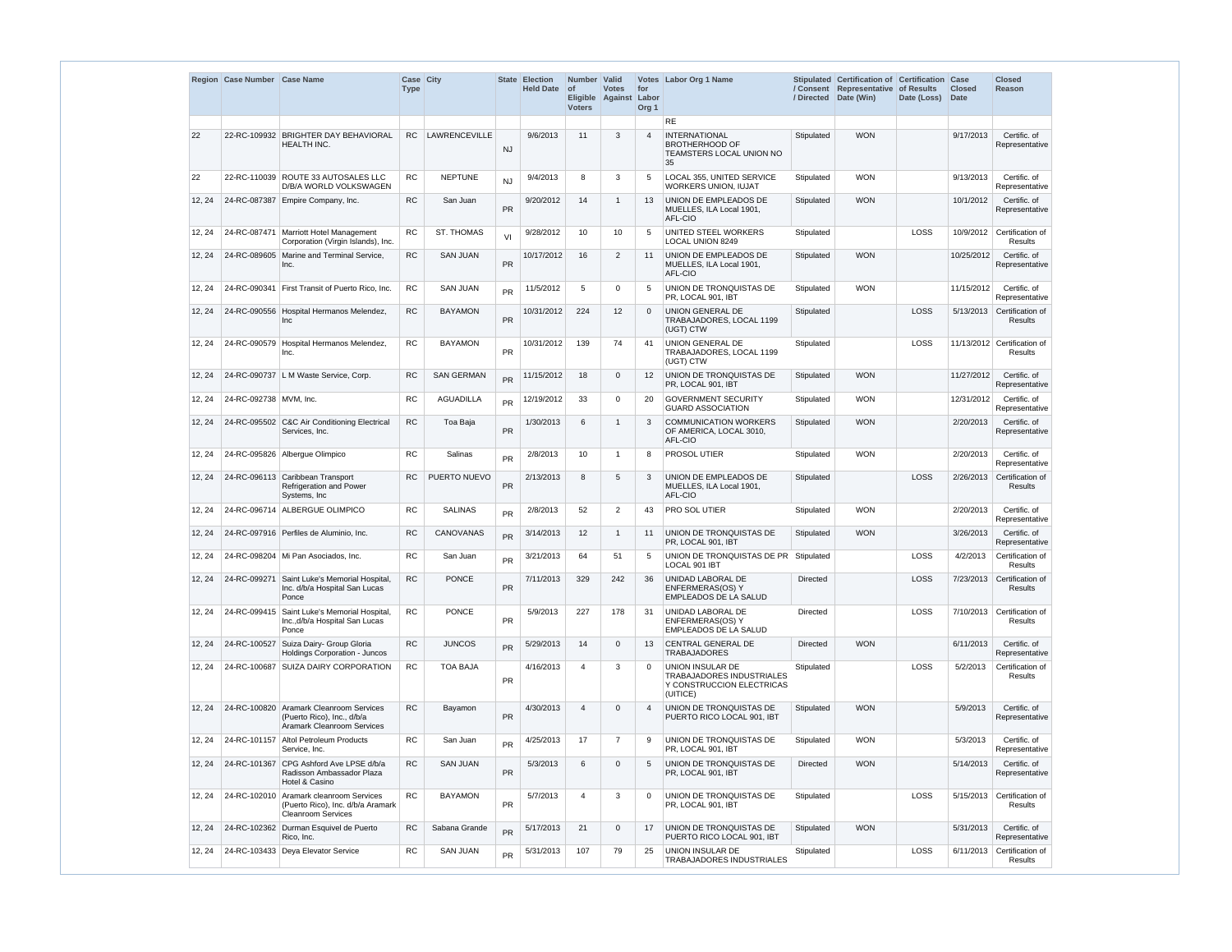|        | Region Case Number Case Name |                                                                                               | <b>Case City</b><br><b>Type</b> |                      | <b>State</b> | <b>Election</b><br><b>Held Date</b> | Number Valid<br>$ $ of<br><b>Voters</b> | <b>Votes</b><br>Eligible Against | for<br>Labor<br>Org <sub>1</sub> | Votes Labor Org 1 Name                                                                 | / Directed      | Stipulated Certification of Certification<br>/ Consent Representative<br>Date (Win) | of Results<br>Date (Loss) | Case<br><b>Closed</b><br><b>Date</b> | <b>Closed</b><br>Reason                |
|--------|------------------------------|-----------------------------------------------------------------------------------------------|---------------------------------|----------------------|--------------|-------------------------------------|-----------------------------------------|----------------------------------|----------------------------------|----------------------------------------------------------------------------------------|-----------------|-------------------------------------------------------------------------------------|---------------------------|--------------------------------------|----------------------------------------|
|        |                              |                                                                                               |                                 |                      |              |                                     |                                         |                                  |                                  | <b>RE</b>                                                                              |                 |                                                                                     |                           |                                      |                                        |
| 22     |                              | 22-RC-109932 BRIGHTER DAY BEHAVIORAL<br>HEALTH INC.                                           | RC.                             | <b>LAWRENCEVILLE</b> | <b>NJ</b>    | 9/6/2013                            | 11                                      | 3                                | $\overline{4}$                   | <b>INTERNATIONAL</b><br><b>BROTHERHOOD OF</b><br>TEAMSTERS LOCAL UNION NO<br>35        | Stipulated      | <b>WON</b>                                                                          |                           | 9/17/2013                            | Certific. of<br>Representative         |
| 22     | 22-RC-110039                 | <b>ROUTE 33 AUTOSALES LLC</b><br>D/B/A WORLD VOLKSWAGEN                                       | <b>RC</b>                       | <b>NEPTUNE</b>       | <b>NJ</b>    | 9/4/2013                            | 8                                       | 3                                | 5                                | LOCAL 355, UNITED SERVICE<br><b>WORKERS UNION, IUJAT</b>                               | Stipulated      | <b>WON</b>                                                                          |                           | 9/13/2013                            | Certific. of<br>Representative         |
| 12, 24 | 24-RC-087387                 | Empire Company, Inc.                                                                          | <b>RC</b>                       | San Juan             | PR           | 9/20/2012                           | 14                                      |                                  | 13                               | UNION DE EMPLEADOS DE<br>MUELLES, ILA Local 1901,<br>AFL-CIO                           | Stipulated      | <b>WON</b>                                                                          |                           | 10/1/2012                            | Certific. of<br>Representative         |
| 12, 24 |                              | 24-RC-087471   Marriott Hotel Management<br>Corporation (Virgin Islands), Inc.                | <b>RC</b>                       | <b>ST. THOMAS</b>    | VI           | 9/28/2012                           | 10                                      | 10                               | 5                                | UNITED STEEL WORKERS<br><b>LOCAL UNION 8249</b>                                        | Stipulated      |                                                                                     | LOSS                      | 10/9/2012                            | Certification of<br><b>Results</b>     |
| 12, 24 |                              | 24-RC-089605 Marine and Terminal Service,<br>Inc.                                             | RC                              | <b>SAN JUAN</b>      | <b>PR</b>    | 10/17/2012                          | 16                                      | 2                                | 11                               | UNION DE EMPLEADOS DE<br>MUELLES, ILA Local 1901,<br>AFL-CIO                           | Stipulated      | <b>WON</b>                                                                          |                           | 10/25/2012                           | Certific. of<br>Representative         |
| 12, 24 |                              | 24-RC-090341   First Transit of Puerto Rico, Inc.                                             | <b>RC</b>                       | <b>SAN JUAN</b>      | <b>PR</b>    | 11/5/2012                           | 5                                       | $\Omega$                         | 5                                | UNION DE TRONQUISTAS DE<br>PR, LOCAL 901, IBT                                          | Stipulated      | <b>WON</b>                                                                          |                           | 11/15/2012                           | Certific. of<br>Representative         |
| 12, 24 |                              | 24-RC-090556 Hospital Hermanos Melendez,<br>Inc                                               | RC                              | <b>BAYAMON</b>       | PR           | 10/31/2012                          | 224                                     | 12                               | $\Omega$                         | UNION GENERAL DE<br>TRABAJADORES, LOCAL 1199<br>(UGT) CTW                              | Stipulated      |                                                                                     | LOSS                      | 5/13/2013                            | Certification of<br>Results            |
| 12, 24 | 24-RC-090579                 | Hospital Hermanos Melendez,<br>Inc.                                                           | <b>RC</b>                       | <b>BAYAMON</b>       | PR           | 10/31/2012                          | 139                                     | 74                               | 41                               | UNION GENERAL DE<br>TRABAJADORES, LOCAL 1199<br>(UGT) CTW                              | Stipulated      |                                                                                     | LOSS                      |                                      | 11/13/2012 Certification of<br>Results |
| 12, 24 |                              | 24-RC-090737 L M Waste Service, Corp.                                                         | <b>RC</b>                       | <b>SAN GERMAN</b>    | <b>PR</b>    | 11/15/2012                          | 18                                      | $\Omega$                         | 12                               | UNION DE TRONQUISTAS DE<br>PR, LOCAL 901, IBT                                          | Stipulated      | <b>WON</b>                                                                          |                           | 11/27/2012                           | Certific. of<br>Representative         |
| 12, 24 | 24-RC-092738 MVM, Inc.       |                                                                                               | <b>RC</b>                       | <b>AGUADILLA</b>     | <b>PR</b>    | 12/19/2012                          | 33                                      | $\Omega$                         | 20                               | <b>GOVERNMENT SECURITY</b><br><b>GUARD ASSOCIATION</b>                                 | Stipulated      | <b>WON</b>                                                                          |                           | 12/31/2012                           | Certific. of<br>Representative         |
| 12, 24 |                              | 24-RC-095502 C&C Air Conditioning Electrical<br>Services, Inc.                                | <b>RC</b>                       | Toa Baja             | PR           | 1/30/2013                           | 6                                       |                                  | 3                                | <b>COMMUNICATION WORKERS</b><br>OF AMERICA, LOCAL 3010,<br>AFL-CIO                     | Stipulated      | <b>WON</b>                                                                          |                           | 2/20/2013                            | Certific. of<br>Representative         |
| 12, 24 |                              | 24-RC-095826 Albergue Olimpico                                                                | <b>RC</b>                       | Salinas              | <b>PR</b>    | 2/8/2013                            | 10 <sup>°</sup>                         | 1                                | 8                                | PROSOL UTIER                                                                           | Stipulated      | <b>WON</b>                                                                          |                           | 2/20/2013                            | Certific. of<br>Representative         |
| 12, 24 |                              | 24-RC-096113 Caribbean Transport<br><b>Refrigeration and Power</b><br>Systems, Inc.           | <b>RC</b>                       | PUERTO NUEVO         | <b>PR</b>    | 2/13/2013                           | 8                                       | 5                                | 3                                | UNION DE EMPLEADOS DE<br>MUELLES, ILA Local 1901,<br>AFL-CIO                           | Stipulated      |                                                                                     | LOSS                      | 2/26/2013                            | Certification of<br>Results            |
| 12, 24 |                              | 24-RC-096714   ALBERGUE OLIMPICO                                                              | RC                              | <b>SALINAS</b>       | <b>PR</b>    | 2/8/2013                            | 52                                      | 2                                | 43                               | <b>PRO SOL UTIER</b>                                                                   | Stipulated      | WON                                                                                 |                           | 2/20/2013                            | Certific. of<br>Representative         |
| 12, 24 |                              | 24-RC-097916 Perfiles de Aluminio. Inc.                                                       | <b>RC</b>                       | CANOVANAS            | <b>PR</b>    | 3/14/2013                           | 12                                      | $\mathbf 1$                      | 11                               | UNION DE TRONQUISTAS DE<br>PR, LOCAL 901, IBT                                          | Stipulated      | <b>WON</b>                                                                          |                           | 3/26/2013                            | Certific. of<br>Representative         |
| 12, 24 |                              | 24-RC-098204   Mi Pan Asociados. Inc.                                                         | RC                              | San Juan             | <b>PR</b>    | 3/21/2013                           | 64                                      | 51                               | 5                                | UNION DE TRONQUISTAS DE PR   Stipulated<br>LOCAL 901 IBT                               |                 |                                                                                     | LOSS                      | 4/2/2013                             | Certification of<br>Results            |
| 12, 24 | 24-RC-099271                 | Saint Luke's Memorial Hospital,<br>Inc. d/b/a Hospital San Lucas<br>Ponce                     | <b>RC</b>                       | <b>PONCE</b>         | PR           | 7/11/2013                           | 329                                     | 242                              | 36                               | UNIDAD LABORAL DE<br>ENFERMERAS(OS) Y<br>EMPLEADOS DE LA SALUD                         | <b>Directed</b> |                                                                                     | LOSS                      | 7/23/2013                            | Certification of<br>Results            |
| 12, 24 | 24-RC-099415                 | Saint Luke's Memorial Hospital,<br>Inc., d/b/a Hospital San Lucas<br>Ponce                    | <b>RC</b>                       | <b>PONCE</b>         | PR           | 5/9/2013                            | 227                                     | 178                              | 31                               | UNIDAD LABORAL DE<br>ENFERMERAS(OS) Y<br>EMPLEADOS DE LA SALUD                         | <b>Directed</b> |                                                                                     | LOSS                      |                                      | 7/10/2013 Certification of<br>Results  |
| 12, 24 | 24-RC-100527                 | Suiza Dairy- Group Gloria<br>Holdings Corporation - Juncos                                    | <b>RC</b>                       | <b>JUNCOS</b>        | <b>PR</b>    | 5/29/2013                           | 14                                      | $\mathbf{0}$                     | 13                               | <b>CENTRAL GENERAL DE</b><br><b>TRABAJADORES</b>                                       | <b>Directed</b> | <b>WON</b>                                                                          |                           | 6/11/2013                            | Certific. of<br>Representative         |
| 12, 24 |                              | 24-RC-100687 SUIZA DAIRY CORPORATION                                                          | RC                              | <b>TOA BAJA</b>      | <b>PR</b>    | 4/16/2013                           | 4                                       | 3                                | $\overline{0}$                   | UNION INSULAR DE<br>TRABAJADORES INDUSTRIALES<br>Y CONSTRUCCION ELECTRICAS<br>(UITICE) | Stipulated      |                                                                                     | LOSS                      | 5/2/2013                             | Certification of<br>Results            |
| 12, 24 | 24-RC-100820                 | Aramark Cleanroom Services<br>(Puerto Rico), Inc., d/b/a<br><b>Aramark Cleanroom Services</b> | <b>RC</b>                       | Bayamon              | PR           | 4/30/2013                           | $\overline{4}$                          | $\Omega$                         | $\overline{4}$                   | UNION DE TRONQUISTAS DE<br>PUERTO RICO LOCAL 901, IBT                                  | Stipulated      | <b>WON</b>                                                                          |                           | 5/9/2013                             | Certific. of<br>Representative         |
| 12, 24 |                              | 24-RC-101157 Altol Petroleum Products<br>Service, Inc.                                        | RC                              | San Juan             | <b>PR</b>    | 4/25/2013                           | 17                                      | 7                                | 9                                | UNION DE TRONQUISTAS DE<br>PR, LOCAL 901, IBT                                          | Stipulated      | <b>WON</b>                                                                          |                           | 5/3/2013                             | Certific. of<br>Representative         |
| 12, 24 | 24-RC-101367                 | CPG Ashford Ave LPSE d/b/a<br>Radisson Ambassador Plaza<br>Hotel & Casino                     | <b>RC</b>                       | <b>SAN JUAN</b>      | PR           | 5/3/2013                            | 6                                       | $\Omega$                         | 5                                | UNION DE TRONQUISTAS DE<br>PR, LOCAL 901, IBT                                          | <b>Directed</b> | <b>WON</b>                                                                          |                           | 5/14/2013                            | Certific. of<br>Representative         |
| 12, 24 | 24-RC-102010                 | Aramark cleanroom Services<br>(Puerto Rico), Inc. d/b/a Aramark<br><b>Cleanroom Services</b>  | <b>RC</b>                       | <b>BAYAMON</b>       | PR           | 5/7/2013                            | $\overline{4}$                          | 3                                | $\overline{0}$                   | UNION DE TRONQUISTAS DE<br>PR, LOCAL 901, IBT                                          | Stipulated      |                                                                                     | LOSS                      | 5/15/2013                            | Certification of<br>Results            |
| 12, 24 |                              | 24-RC-102362 Durman Esquivel de Puerto<br>Rico, Inc.                                          | ${\sf RC}$                      | Sabana Grande        | <b>PR</b>    | 5/17/2013                           | 21                                      | $\mathbf{0}$                     | 17                               | UNION DE TRONQUISTAS DE<br>PUERTO RICO LOCAL 901, IBT                                  | Stipulated      | <b>WON</b>                                                                          |                           | 5/31/2013                            | Certific. of<br>Representative         |
| 12, 24 |                              | 24-RC-103433 Deya Elevator Service                                                            | RC                              | <b>SAN JUAN</b>      | <b>PR</b>    | 5/31/2013                           | 107                                     | 79                               | 25                               | UNION INSULAR DE<br>TRABAJADORES INDUSTRIALES                                          | Stipulated      |                                                                                     | LOSS                      | 6/11/2013                            | Certification of<br>Results            |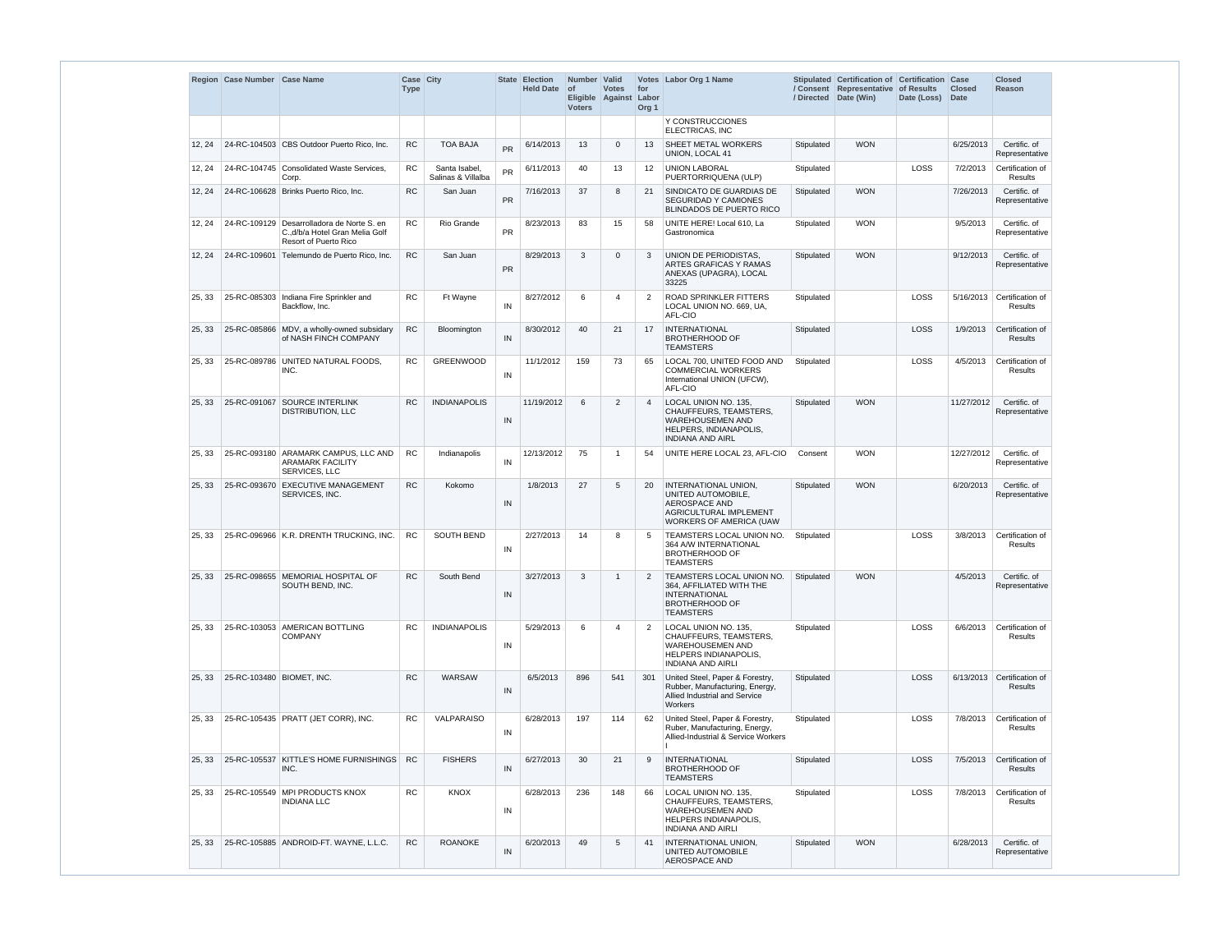|        | Region Case Number Case Name |                                                                                                 | Case City<br><b>Type</b> |                                    |           | State Election<br><b>Held Date</b> | Number Valid<br><b>of</b><br><b>Voters</b> | <b>Votes</b><br>Eligible Against | for<br>Labor<br>Org <sub>1</sub> | Votes Labor Org 1 Name                                                                                                                       | / Directed | Stipulated Certification of Certification Case<br>/ Consent Representative of Results<br>Date (Win) | Date (Loss) | <b>Closed</b><br>Date | <b>Closed</b><br><b>Reason</b>               |
|--------|------------------------------|-------------------------------------------------------------------------------------------------|--------------------------|------------------------------------|-----------|------------------------------------|--------------------------------------------|----------------------------------|----------------------------------|----------------------------------------------------------------------------------------------------------------------------------------------|------------|-----------------------------------------------------------------------------------------------------|-------------|-----------------------|----------------------------------------------|
|        |                              |                                                                                                 |                          |                                    |           |                                    |                                            |                                  |                                  | Y CONSTRUCCIONES<br><b>ELECTRICAS, INC</b>                                                                                                   |            |                                                                                                     |             |                       |                                              |
| 12, 24 |                              | 24-RC-104503 CBS Outdoor Puerto Rico, Inc.                                                      | <b>RC</b>                | <b>TOA BAJA</b>                    | <b>PR</b> | 6/14/2013                          | 13                                         | 0                                | 13                               | <b>SHEET METAL WORKERS</b><br><b>UNION, LOCAL 41</b>                                                                                         | Stipulated | <b>WON</b>                                                                                          |             | 6/25/2013             | Certific. of<br>Representative               |
| 12, 24 |                              | 24-RC-104745 Consolidated Waste Services,<br>Corp.                                              | <b>RC</b>                | Santa Isabel<br>Salinas & Villalba | <b>PR</b> | 6/11/2013                          | 40                                         | 13                               | 12                               | <b>UNION LABORAL</b><br>PUERTORRIQUENA (ULP)                                                                                                 | Stipulated |                                                                                                     | LOSS        | 7/2/2013              | Certification of<br><b>Results</b>           |
| 12, 24 |                              | 24-RC-106628 Brinks Puerto Rico, Inc.                                                           | <b>RC</b>                | San Juan                           | PR        | 7/16/2013                          | 37                                         | 8                                | 21                               | SINDICATO DE GUARDIAS DE<br><b>SEGURIDAD Y CAMIONES</b><br><b>BLINDADOS DE PUERTO RICO</b>                                                   | Stipulated | <b>WON</b>                                                                                          |             | 7/26/2013             | Certific. of<br>Representative               |
| 12, 24 | 24-RC-109129                 | Desarrolladora de Norte S. en<br>C.,d/b/a Hotel Gran Melia Golf<br><b>Resort of Puerto Rico</b> | <b>RC</b>                | Rio Grande                         | PR        | 8/23/2013                          | 83                                         | 15                               | 58                               | UNITE HERE! Local 610, La<br>Gastronomica                                                                                                    | Stipulated | <b>WON</b>                                                                                          |             | 9/5/2013              | Certific. of<br>Representative               |
| 12, 24 |                              | 24-RC-109601 Telemundo de Puerto Rico, Inc.                                                     | <b>RC</b>                | San Juan                           | PR        | 8/29/2013                          | 3                                          | $\Omega$                         | 3                                | UNION DE PERIODISTAS,<br>ARTES GRAFICAS Y RAMAS<br>ANEXAS (UPAGRA), LOCAL<br>33225                                                           | Stipulated | <b>WON</b>                                                                                          |             | 9/12/2013             | Certific. of<br>Representative               |
| 25, 33 |                              | 25-RC-085303 Indiana Fire Sprinkler and<br>Backflow, Inc.                                       | <b>RC</b>                | Ft Wayne                           | IN        | 8/27/2012                          | 6                                          | 4                                | 2                                | <b>ROAD SPRINKLER FITTERS</b><br>LOCAL UNION NO. 669, UA,<br>AFL-CIO                                                                         | Stipulated |                                                                                                     | LOSS        |                       | 5/16/2013 Certification of<br>Results        |
| 25, 33 |                              | 25-RC-085866 MDV, a wholly-owned subsidary<br>of NASH FINCH COMPANY                             | <b>RC</b>                | Bloomington                        | IN        | 8/30/2012                          | 40                                         | 21                               | 17                               | <b>INTERNATIONAL</b><br><b>BROTHERHOOD OF</b><br><b>TEAMSTERS</b>                                                                            | Stipulated |                                                                                                     | LOSS        | 1/9/2013              | Certification of<br>Results                  |
| 25, 33 |                              | 25-RC-089786 UNITED NATURAL FOODS,<br>INC.                                                      | <b>RC</b>                | GREENWOOD                          | IN        | 11/1/2012                          | 159                                        | 73                               | 65                               | LOCAL 700, UNITED FOOD AND<br><b>COMMERCIAL WORKERS</b><br>International UNION (UFCW),<br>AFL-CIO                                            | Stipulated |                                                                                                     | LOSS        | 4/5/2013              | Certification of<br>Results                  |
| 25, 33 |                              | 25-RC-091067 SOURCE INTERLINK<br><b>DISTRIBUTION, LLC</b>                                       | <b>RC</b>                | <b>INDIANAPOLIS</b>                | IN        | 11/19/2012                         | 6                                          | $\overline{2}$                   | $\overline{4}$                   | LOCAL UNION NO. 135,<br>CHAUFFEURS, TEAMSTERS,<br><b>WAREHOUSEMEN AND</b><br>HELPERS, INDIANAPOLIS,<br><b>INDIANA AND AIRL</b>               | Stipulated | <b>WON</b>                                                                                          |             | 11/27/2012            | Certific. of<br>Representative               |
| 25, 33 |                              | 25-RC-093180 ARAMARK CAMPUS, LLC AND<br><b>ARAMARK FACILITY</b><br>SERVICES, LLC                | <b>RC</b>                | Indianapolis                       | IN        | 12/13/2012                         | 75                                         | -1                               | 54                               | UNITE HERE LOCAL 23, AFL-CIO                                                                                                                 | Consent    | <b>WON</b>                                                                                          |             | 12/27/2012            | Certific. of<br>Representative               |
| 25, 33 |                              | 25-RC-093670 EXECUTIVE MANAGEMENT<br>SERVICES, INC.                                             | <b>RC</b>                | Kokomo                             | IN        | 1/8/2013                           | 27                                         | 5                                | 20                               | <b>INTERNATIONAL UNION,</b><br>UNITED AUTOMOBILE,<br><b>AEROSPACE AND</b><br><b>AGRICULTURAL IMPLEMENT</b><br><b>WORKERS OF AMERICA (UAW</b> | Stipulated | <b>WON</b>                                                                                          |             | 6/20/2013             | Certific. of<br>Representative               |
| 25, 33 |                              | 25-RC-096966 K.R. DRENTH TRUCKING, INC.                                                         | <b>RC</b>                | <b>SOUTH BEND</b>                  | IN        | 2/27/2013                          | 14                                         | 8                                | 5                                | <b>TEAMSTERS LOCAL UNION NO.</b><br>364 A/W INTERNATIONAL<br><b>BROTHERHOOD OF</b><br><b>TEAMSTERS</b>                                       | Stipulated |                                                                                                     | LOSS        | 3/8/2013              | Certification of<br><b>Results</b>           |
| 25, 33 |                              | 25-RC-098655 MEMORIAL HOSPITAL OF<br>SOUTH BEND, INC.                                           | <b>RC</b>                | South Bend                         | IN        | 3/27/2013                          | 3                                          | $\mathbf{1}$                     | 2                                | <b>TEAMSTERS LOCAL UNION NO.</b><br>364, AFFILIATED WITH THE<br><b>INTERNATIONAL</b><br><b>BROTHERHOOD OF</b><br><b>TEAMSTERS</b>            | Stipulated | <b>WON</b>                                                                                          |             | 4/5/2013              | Certific. of<br>Representative               |
| 25, 33 |                              | 25-RC-103053 AMERICAN BOTTLING<br><b>COMPANY</b>                                                | <b>RC</b>                | <b>INDIANAPOLIS</b>                | IN        | 5/29/2013                          | 6                                          | 4                                | $\overline{2}$                   | LOCAL UNION NO. 135.<br>CHAUFFEURS, TEAMSTERS,<br><b>WAREHOUSEMEN AND</b><br>HELPERS INDIANAPOLIS,<br><b>INDIANA AND AIRLI</b>               | Stipulated |                                                                                                     | LOSS        | 6/6/2013              | Certification of<br>Results                  |
| 25, 33 | 25-RC-103480 BIOMET, INC.    |                                                                                                 | <b>RC</b>                | WARSAW                             | IN        | 6/5/2013                           | 896                                        | 541                              | 301                              | United Steel, Paper & Forestry,<br>Rubber, Manufacturing, Energy,<br>Allied Industrial and Service<br>Workers                                | Stipulated |                                                                                                     | LOSS        |                       | 6/13/2013 Certification of<br><b>Results</b> |
| 25, 33 |                              | 25-RC-105435 PRATT (JET CORR), INC.                                                             | <b>RC</b>                | VALPARAISO                         | IN        | 6/28/2013                          | 197                                        | 114                              | 62                               | United Steel, Paper & Forestry,<br>Ruber, Manufacturing, Energy,<br>Allied-Industrial & Service Workers                                      | Stipulated |                                                                                                     | LOSS        | 7/8/2013              | Certification of<br>Results                  |
| 25, 33 |                              | 25-RC-105537 KITTLE'S HOME FURNISHINGS<br>INC.                                                  | <b>RC</b>                | <b>FISHERS</b>                     | IN        | 6/27/2013                          | 30                                         | 21                               | 9                                | <b>INTERNATIONAL</b><br><b>BROTHERHOOD OF</b><br><b>TEAMSTERS</b>                                                                            | Stipulated |                                                                                                     | LOSS        | 7/5/2013              | Certification of<br><b>Results</b>           |
| 25, 33 |                              | 25-RC-105549 MPI PRODUCTS KNOX<br><b>INDIANA LLC</b>                                            | <b>RC</b>                | <b>KNOX</b>                        | IN        | 6/28/2013                          | 236                                        | 148                              | 66                               | LOCAL UNION NO. 135,<br>CHAUFFEURS, TEAMSTERS,<br><b>WAREHOUSEMEN AND</b><br>HELPERS INDIANAPOLIS,<br><b>INDIANA AND AIRLI</b>               | Stipulated |                                                                                                     | LOSS        | 7/8/2013              | Certification of<br>Results                  |
| 25, 33 |                              | 25-RC-105885 ANDROID-FT. WAYNE, L.L.C.                                                          | <b>RC</b>                | <b>ROANOKE</b>                     | IN        | 6/20/2013                          | 49                                         | 5                                | 41                               | <b>INTERNATIONAL UNION,</b><br><b>UNITED AUTOMOBILE</b><br><b>AEROSPACE AND</b>                                                              | Stipulated | <b>WON</b>                                                                                          |             | 6/28/2013             | Certific. of<br>Representative               |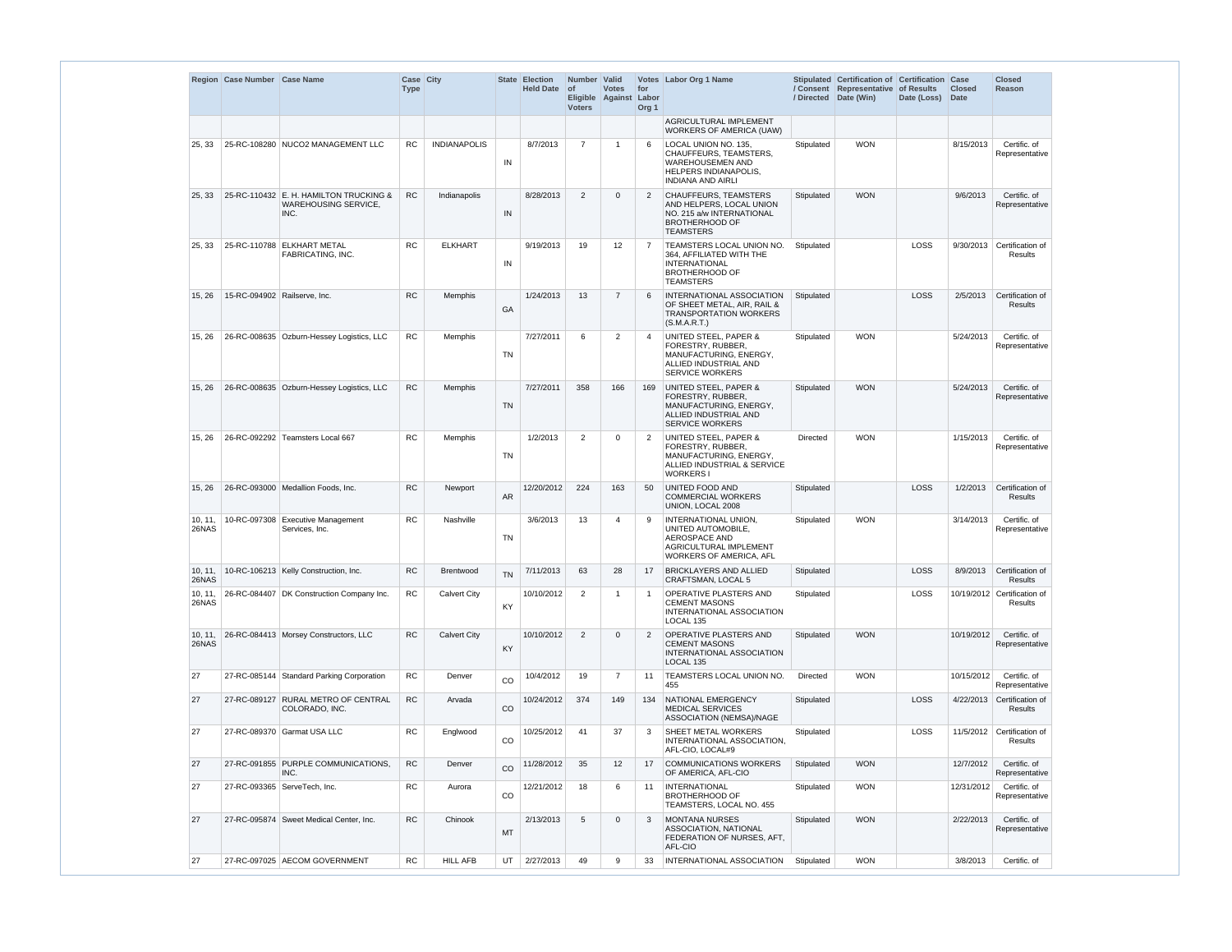|                  | Region Case Number Case Name |                                                                               | Case City<br><b>Type</b> |                     |             | State Election<br><b>Held Date</b> | Number Valid<br>$ $ of<br><b>Voters</b> | <b>Votes</b><br>Eligible Against | for<br>Labor<br>Org <sub>1</sub> | Votes   Labor Org 1 Name                                                                                                              | / Directed      | Stipulated Certification of Certification Case<br>/ Consent Representative of Results<br>Date (Win) | Date (Loss) | <b>Closed</b><br>Date | <b>Closed</b><br><b>Reason</b>         |
|------------------|------------------------------|-------------------------------------------------------------------------------|--------------------------|---------------------|-------------|------------------------------------|-----------------------------------------|----------------------------------|----------------------------------|---------------------------------------------------------------------------------------------------------------------------------------|-----------------|-----------------------------------------------------------------------------------------------------|-------------|-----------------------|----------------------------------------|
|                  |                              |                                                                               |                          |                     |             |                                    |                                         |                                  |                                  | AGRICULTURAL IMPLEMENT<br><b>WORKERS OF AMERICA (UAW)</b>                                                                             |                 |                                                                                                     |             |                       |                                        |
| 25, 33           |                              | 25-RC-108280 NUCO2 MANAGEMENT LLC                                             | <b>RC</b>                | <b>INDIANAPOLIS</b> | IN          | 8/7/2013                           | $\overline{7}$                          | -1                               | 6                                | LOCAL UNION NO. 135.<br>CHAUFFEURS, TEAMSTERS,<br><b>WAREHOUSEMEN AND</b><br><b>HELPERS INDIANAPOLIS.</b><br><b>INDIANA AND AIRLI</b> | Stipulated      | <b>WON</b>                                                                                          |             | 8/15/2013             | Certific. of<br>Representative         |
| 25, 33           |                              | 25-RC-110432 E. H. HAMILTON TRUCKING &<br><b>WAREHOUSING SERVICE,</b><br>INC. | <b>RC</b>                | Indianapolis        | IN          | 8/28/2013                          | $\overline{2}$                          | 0                                | -2                               | <b>CHAUFFEURS, TEAMSTERS</b><br>AND HELPERS, LOCAL UNION<br>NO. 215 a/w INTERNATIONAL<br><b>BROTHERHOOD OF</b><br><b>TEAMSTERS</b>    | Stipulated      | <b>WON</b>                                                                                          |             | 9/6/2013              | Certific. of<br>Representative         |
| 25, 33           |                              | 25-RC-110788 ELKHART METAL<br>FABRICATING, INC.                               | RC.                      | <b>ELKHART</b>      | IN          | 9/19/2013                          | 19                                      | 12                               | $\overline{7}$                   | TEAMSTERS LOCAL UNION NO.<br>364, AFFILIATED WITH THE<br><b>INTERNATIONAL</b><br><b>BROTHERHOOD OF</b><br><b>TEAMSTERS</b>            | Stipulated      |                                                                                                     | <b>LOSS</b> | 9/30/2013             | Certification of<br><b>Results</b>     |
| 15, 26           | 15-RC-094902 Railserve, Inc. |                                                                               | <b>RC</b>                | Memphis             | GA          | 1/24/2013                          | 13                                      | $\overline{7}$                   | 6                                | <b>INTERNATIONAL ASSOCIATION</b><br>OF SHEET METAL, AIR, RAIL &<br><b>TRANSPORTATION WORKERS</b><br>(S.M.A.R.T.)                      | Stipulated      |                                                                                                     | <b>LOSS</b> | 2/5/2013              | Certification of<br><b>Results</b>     |
| 15, 26           |                              | 26-RC-008635 Ozburn-Hessey Logistics, LLC                                     | RC                       | Memphis             | <b>TN</b>   | 7/27/2011                          | 6                                       | $\overline{2}$                   | -4                               | <b>UNITED STEEL, PAPER &amp;</b><br>FORESTRY, RUBBER,<br>MANUFACTURING, ENERGY,<br>ALLIED INDUSTRIAL AND<br><b>SERVICE WORKERS</b>    | Stipulated      | <b>WON</b>                                                                                          |             | 5/24/2013             | Certific, of<br>Representative         |
| 15, 26           |                              | 26-RC-008635 Ozburn-Hessey Logistics, LLC                                     | <b>RC</b>                | Memphis             | <b>TN</b>   | 7/27/2011                          | 358                                     | 166                              | 169                              | UNITED STEEL, PAPER &<br>FORESTRY, RUBBER,<br>MANUFACTURING, ENERGY,<br>ALLIED INDUSTRIAL AND<br><b>SERVICE WORKERS</b>               | Stipulated      | <b>WON</b>                                                                                          |             | 5/24/2013             | Certific. of<br>Representative         |
| 15, 26           |                              | 26-RC-092292 Teamsters Local 667                                              | <b>RC</b>                | Memphis             | <b>TN</b>   | 1/2/2013                           | $\overline{2}$                          | 0                                | 2                                | <b>UNITED STEEL, PAPER &amp;</b><br>FORESTRY, RUBBER,<br>MANUFACTURING, ENERGY,<br>ALLIED INDUSTRIAL & SERVICE<br><b>WORKERS I</b>    | <b>Directed</b> | <b>WON</b>                                                                                          |             | 1/15/2013             | Certific, of<br>Representative         |
| 15, 26           |                              | 26-RC-093000 Medallion Foods, Inc.                                            | RC                       | Newport             | AR          | 12/20/2012                         | 224                                     | 163                              | 50                               | UNITED FOOD AND<br>COMMERCIAL WORKERS<br>UNION, LOCAL 2008                                                                            | Stipulated      |                                                                                                     | LOSS        | 1/2/2013              | Certification of<br><b>Results</b>     |
| 10, 11,<br>26NAS |                              | 10-RC-097308 Executive Management<br>Services, Inc.                           | RC                       | Nashville           | <b>TN</b>   | 3/6/2013                           | 13                                      | 4                                | -9                               | INTERNATIONAL UNION,<br>UNITED AUTOMOBILE.<br>AEROSPACE AND<br>AGRICULTURAL IMPLEMENT<br><b>WORKERS OF AMERICA, AFL</b>               | Stipulated      | <b>WON</b>                                                                                          |             | 3/14/2013             | Certific. of<br>Representative         |
| 10, 11,<br>26NAS |                              | 10-RC-106213 Kelly Construction, Inc.                                         | ${\sf RC}$               | Brentwood           | <b>TN</b>   | 7/11/2013                          | 63                                      | 28                               | 17                               | <b>BRICKLAYERS AND ALLIED</b><br>CRAFTSMAN, LOCAL 5                                                                                   | Stipulated      |                                                                                                     | LOSS        | 8/9/2013              | Certification of<br><b>Results</b>     |
| 10, 11,<br>26NAS |                              | 26-RC-084407 DK Construction Company Inc.                                     | RC                       | <b>Calvert City</b> | KY          | 10/10/2012                         | $\overline{2}$                          | $\mathbf 1$                      | $\overline{1}$                   | OPERATIVE PLASTERS AND<br><b>CEMENT MASONS</b><br>INTERNATIONAL ASSOCIATION<br>LOCAL 135                                              | Stipulated      |                                                                                                     | LOSS        |                       | 10/19/2012 Certification of<br>Results |
| 10, 11,<br>26NAS |                              | 26-RC-084413 Morsey Constructors, LLC                                         | <b>RC</b>                | <b>Calvert City</b> | KY          | 10/10/2012                         | $\overline{2}$                          | $\mathbf 0$                      | $\overline{2}$                   | OPERATIVE PLASTERS AND<br><b>CEMENT MASONS</b><br>INTERNATIONAL ASSOCIATION<br>LOCAL 135                                              | Stipulated      | <b>WON</b>                                                                                          |             | 10/19/2012            | Certific. of<br>Representative         |
| 27               |                              | 27-RC-085144 Standard Parking Corporation                                     | RC                       | Denver              | CO          | 10/4/2012                          | 19                                      | $\overline{7}$                   | 11                               | <b>TEAMSTERS LOCAL UNION NO.</b><br>455                                                                                               | <b>Directed</b> | <b>WON</b>                                                                                          |             | 10/15/2012            | Certific. of<br>Representative         |
| 27               |                              | 27-RC-089127 RURAL METRO OF CENTRAL<br>COLORADO, INC.                         | <b>RC</b>                | Arvada              | CO          | 10/24/2012                         | 374                                     | 149                              | 134                              | NATIONAL EMERGENCY<br><b>MEDICAL SERVICES</b><br>ASSOCIATION (NEMSA)/NAGE                                                             | Stipulated      |                                                                                                     | LOSS        | 4/22/2013             | Certification of<br><b>Results</b>     |
| 27               |                              | 27-RC-089370 Garmat USA LLC                                                   | RC                       | Englwood            | $_{\rm CO}$ | 10/25/2012                         | 41                                      | 37                               | 3                                | SHEET METAL WORKERS<br>INTERNATIONAL ASSOCIATION,<br>AFL-CIO, LOCAL#9                                                                 | Stipulated      |                                                                                                     | LOSS        | 11/5/2012             | Certification of<br>Results            |
| 27               |                              | 27-RC-091855 PURPLE COMMUNICATIONS.<br>INC.                                   | <b>RC</b>                | Denver              | CO          | 11/28/2012                         | 35                                      | 12                               | 17                               | <b>COMMUNICATIONS WORKERS</b><br>OF AMERICA, AFL-CIO                                                                                  | Stipulated      | <b>WON</b>                                                                                          |             | 12/7/2012             | Certific. of<br>Representative         |
| 27               |                              | 27-RC-093365   ServeTech, Inc.                                                | RC                       | Aurora              | CO          | 12/21/2012                         | 18                                      | 6                                | 11                               | <b>INTERNATIONAL</b><br><b>BROTHERHOOD OF</b><br>TEAMSTERS, LOCAL NO. 455                                                             | Stipulated      | <b>WON</b>                                                                                          |             | 12/31/2012            | Certific. of<br>Representative         |
| 27               |                              | 27-RC-095874 Sweet Medical Center, Inc.                                       | <b>RC</b>                | Chinook             | MT          | 2/13/2013                          | $5\overline{)}$                         | 0                                | 3                                | <b>MONTANA NURSES</b><br>ASSOCIATION, NATIONAL<br>FEDERATION OF NURSES, AFT,<br>AFL-CIO                                               | Stipulated      | <b>WON</b>                                                                                          |             | 2/22/2013             | Certific. of<br>Representative         |
| 27               |                              | 27-RC-097025 AECOM GOVERNMENT                                                 | RC                       | <b>HILL AFB</b>     | UT          | 2/27/2013                          | 49                                      | 9                                | 33                               | <b>INTERNATIONAL ASSOCIATION</b>                                                                                                      | Stipulated      | <b>WON</b>                                                                                          |             | 3/8/2013              | Certific. of                           |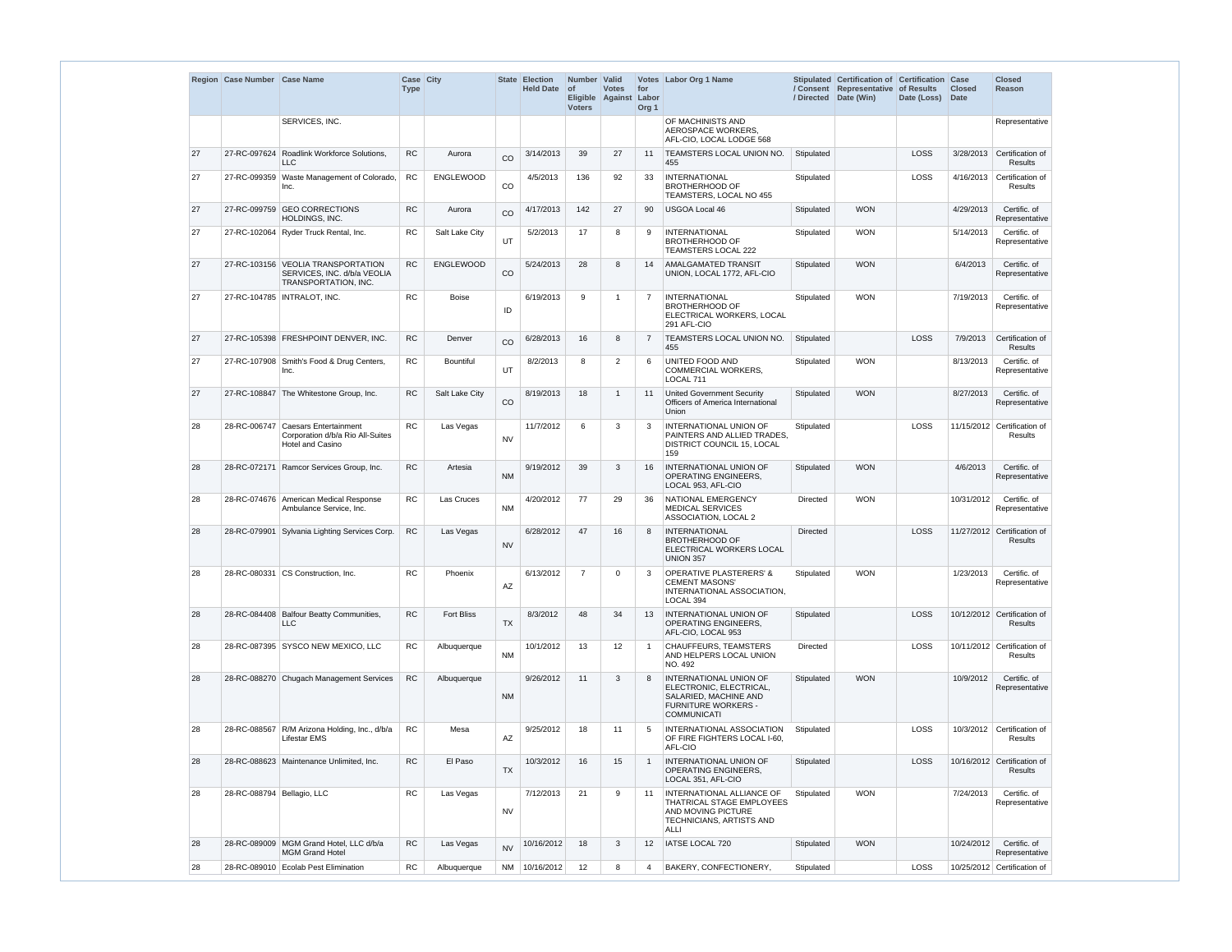|    | Region Case Number Case Name |                                                                                            | Case City<br><b>Type</b> |                   | <b>State</b> | <b>Election</b><br>Held Date of | Number Valid<br><b>Voters</b> | <b>Votes</b><br>Eligible Against | for<br>Labor<br>Org <sub>1</sub> | Votes Labor Org 1 Name                                                                                                                |                 | Stipulated Certification of Certification Case<br>/ Consent Representative of Results<br>/ Directed   Date (Win) | Date (Loss) Date | <b>Closed</b> | Closed<br>Reason                              |
|----|------------------------------|--------------------------------------------------------------------------------------------|--------------------------|-------------------|--------------|---------------------------------|-------------------------------|----------------------------------|----------------------------------|---------------------------------------------------------------------------------------------------------------------------------------|-----------------|------------------------------------------------------------------------------------------------------------------|------------------|---------------|-----------------------------------------------|
|    |                              | SERVICES, INC.                                                                             |                          |                   |              |                                 |                               |                                  |                                  | OF MACHINISTS AND<br>AEROSPACE WORKERS.<br>AFL-CIO, LOCAL LODGE 568                                                                   |                 |                                                                                                                  |                  |               | Representative                                |
| 27 | 27-RC-097624                 | Roadlink Workforce Solutions,<br><b>LLC</b>                                                | <b>RC</b>                | Aurora            | CO           | 3/14/2013                       | 39                            | 27                               | 11                               | TEAMSTERS LOCAL UNION NO.<br>455                                                                                                      | Stipulated      |                                                                                                                  | LOSS             | 3/28/2013     | Certification of<br>Results                   |
| 27 | 27-RC-099359                 | Waste Management of Colorado,<br>Inc.                                                      | <b>RC</b>                | <b>ENGLEWOOD</b>  | CO           | 4/5/2013                        | 136                           | 92                               | 33                               | <b>INTERNATIONAL</b><br><b>BROTHERHOOD OF</b><br>TEAMSTERS, LOCAL NO 455                                                              | Stipulated      |                                                                                                                  | LOSS             | 4/16/2013     | Certification of<br><b>Results</b>            |
| 27 |                              | 27-RC-099759 GEO CORRECTIONS<br>HOLDINGS, INC.                                             | <b>RC</b>                | Aurora            | CO           | 4/17/2013                       | 142                           | 27                               | 90                               | <b>USGOA Local 46</b>                                                                                                                 | Stipulated      | <b>WON</b>                                                                                                       |                  | 4/29/2013     | Certific. of<br>Representative                |
| 27 |                              | 27-RC-102064 Ryder Truck Rental, Inc.                                                      | <b>RC</b>                | Salt Lake City    | UT           | 5/2/2013                        | 17                            | 8                                | 9                                | <b>INTERNATIONAL</b><br><b>BROTHERHOOD OF</b><br>TEAMSTERS LOCAL 222                                                                  | Stipulated      | <b>WON</b>                                                                                                       |                  | 5/14/2013     | Certific. of<br>Representative                |
| 27 |                              | 27-RC-103156 VEOLIA TRANSPORTATION<br>SERVICES, INC. d/b/a VEOLIA<br>TRANSPORTATION, INC.  | <b>RC</b>                | ENGLEWOOD         | CO           | 5/24/2013                       | 28                            | 8                                | 14                               | AMALGAMATED TRANSIT<br>UNION, LOCAL 1772, AFL-CIO                                                                                     | Stipulated      | <b>WON</b>                                                                                                       |                  | 6/4/2013      | Certific. of<br>Representative                |
| 27 |                              | 27-RC-104785   INTRALOT, INC.                                                              | <b>RC</b>                | <b>Boise</b>      | ID           | 6/19/2013                       | 9                             | -1                               | $\overline{7}$                   | <b>INTERNATIONAL</b><br><b>BROTHERHOOD OF</b><br>ELECTRICAL WORKERS, LOCAL<br>291 AFL-CIO                                             | Stipulated      | <b>WON</b>                                                                                                       |                  | 7/19/2013     | Certific. of<br>Representative                |
| 27 |                              | 27-RC-105398 FRESHPOINT DENVER, INC.                                                       | <b>RC</b>                | Denver            | CO           | 6/28/2013                       | 16                            | 8                                | $\overline{7}$                   | TEAMSTERS LOCAL UNION NO.<br>455                                                                                                      | Stipulated      |                                                                                                                  | LOSS             | 7/9/2013      | Certification of<br><b>Results</b>            |
| 27 |                              | 27-RC-107908 Smith's Food & Drug Centers,<br>Inc.                                          | <b>RC</b>                | <b>Bountiful</b>  | UT           | 8/2/2013                        | 8                             | 2                                | 6                                | <b>UNITED FOOD AND</b><br><b>COMMERCIAL WORKERS,</b><br>LOCAL 711                                                                     | Stipulated      | <b>WON</b>                                                                                                       |                  | 8/13/2013     | Certific. of<br>Representative                |
| 27 |                              | 27-RC-108847 The Whitestone Group, Inc.                                                    | <b>RC</b>                | Salt Lake City    | CO           | 8/19/2013                       | 18                            | -1                               | 11                               | <b>United Government Security</b><br>Officers of America International<br>Union                                                       | Stipulated      | <b>WON</b>                                                                                                       |                  | 8/27/2013     | Certific. of<br>Representative                |
| 28 |                              | 28-RC-006747 Caesars Entertainment<br>Corporation d/b/a Rio All-Suites<br>Hotel and Casino | <b>RC</b>                | Las Vegas         | <b>NV</b>    | 11/7/2012                       | 6                             | 3                                | 3                                | INTERNATIONAL UNION OF<br>PAINTERS AND ALLIED TRADES.<br>DISTRICT COUNCIL 15, LOCAL<br>159                                            | Stipulated      |                                                                                                                  | LOSS             |               | 11/15/2012 Certification of<br><b>Results</b> |
| 28 | 28-RC-072171                 | Ramcor Services Group, Inc.                                                                | <b>RC</b>                | Artesia           | <b>NM</b>    | 9/19/2012                       | 39                            | 3                                | 16                               | <b>INTERNATIONAL UNION OF</b><br><b>OPERATING ENGINEERS.</b><br>LOCAL 953, AFL-CIO                                                    | Stipulated      | <b>WON</b>                                                                                                       |                  | 4/6/2013      | Certific. of<br>Representative                |
| 28 |                              | 28-RC-074676 American Medical Response<br>Ambulance Service, Inc.                          | <b>RC</b>                | Las Cruces        | <b>NM</b>    | 4/20/2012                       | 77                            | 29                               | 36                               | NATIONAL EMERGENCY<br><b>MEDICAL SERVICES</b><br>ASSOCIATION, LOCAL 2                                                                 | Directed        | <b>WON</b>                                                                                                       |                  | 10/31/2012    | Certific. of<br>Representative                |
| 28 | 28-RC-079901                 | Sylvania Lighting Services Corp.                                                           | <b>RC</b>                | Las Vegas         | <b>NV</b>    | 6/28/2012                       | 47                            | 16                               | 8                                | <b>INTERNATIONAL</b><br><b>BROTHERHOOD OF</b><br>ELECTRICAL WORKERS LOCAL<br><b>UNION 357</b>                                         | <b>Directed</b> |                                                                                                                  | LOSS             |               | 11/27/2012 Certification of<br><b>Results</b> |
| 28 |                              | 28-RC-080331 CS Construction. Inc.                                                         | <b>RC</b>                | Phoenix           | AZ           | 6/13/2012                       | $\overline{7}$                | $\Omega$                         | 3                                | <b>OPERATIVE PLASTERERS' &amp;</b><br><b>CEMENT MASONS'</b><br>INTERNATIONAL ASSOCIATION.<br>LOCAL 394                                | Stipulated      | <b>WON</b>                                                                                                       |                  | 1/23/2013     | Certific. of<br>Representative                |
| 28 |                              | 28-RC-084408 Balfour Beatty Communities,<br><b>LLC</b>                                     | <b>RC</b>                | <b>Fort Bliss</b> | <b>TX</b>    | 8/3/2012                        | 48                            | 34                               | 13                               | INTERNATIONAL UNION OF<br><b>OPERATING ENGINEERS.</b><br>AFL-CIO, LOCAL 953                                                           | Stipulated      |                                                                                                                  | LOSS             |               | 10/12/2012 Certification of<br><b>Results</b> |
| 28 |                              | 28-RC-087395 SYSCO NEW MEXICO, LLC                                                         | RC                       | Albuquerque       | <b>NM</b>    | 10/1/2012                       | 13                            | 12                               | $\overline{1}$                   | CHAUFFEURS, TEAMSTERS<br>AND HELPERS LOCAL UNION<br>NO. 492                                                                           | Directed        |                                                                                                                  | LOSS             |               | 10/11/2012 Certification of<br>Results        |
| 28 |                              | 28-RC-088270 Chugach Management Services                                                   | <b>RC</b>                | Albuquerque       | <b>NM</b>    | 9/26/2012                       | 11                            | 3                                | 8                                | <b>INTERNATIONAL UNION OF</b><br>ELECTRONIC, ELECTRICAL,<br>SALARIED, MACHINE AND<br><b>FURNITURE WORKERS -</b><br><b>COMMUNICATI</b> | Stipulated      | <b>WON</b>                                                                                                       |                  | 10/9/2012     | Certific. of<br>Representative                |
| 28 |                              | 28-RC-088567 R/M Arizona Holding, Inc., d/b/a<br><b>Lifestar EMS</b>                       | <b>RC</b>                | Mesa              | AZ           | 9/25/2012                       | 18                            | 11                               | 5                                | INTERNATIONAL ASSOCIATION<br>OF FIRE FIGHTERS LOCAL I-60,<br>AFL-CIO                                                                  | Stipulated      |                                                                                                                  | LOSS             |               | 10/3/2012 Certification of<br>Results         |
| 28 |                              | 28-RC-088623 Maintenance Unlimited, Inc.                                                   | <b>RC</b>                | El Paso           | <b>TX</b>    | 10/3/2012                       | 16                            | 15                               | $\overline{1}$                   | INTERNATIONAL UNION OF<br><b>OPERATING ENGINEERS.</b><br>LOCAL 351, AFL-CIO                                                           | Stipulated      |                                                                                                                  | LOSS             |               | 10/16/2012 Certification of<br><b>Results</b> |
| 28 | 28-RC-088794 Bellagio, LLC   |                                                                                            | <b>RC</b>                | Las Vegas         | <b>NV</b>    | 7/12/2013                       | 21                            | 9                                | 11                               | INTERNATIONAL ALLIANCE OF<br>THATRICAL STAGE EMPLOYEES<br>AND MOVING PICTURE<br>TECHNICIANS, ARTISTS AND<br>ALLI                      | Stipulated      | <b>WON</b>                                                                                                       |                  | 7/24/2013     | Certific. of<br>Representative                |
| 28 |                              | 28-RC-089009 MGM Grand Hotel, LLC d/b/a<br><b>MGM Grand Hotel</b>                          | ${\sf RC}$               | Las Vegas         | <b>NV</b>    | 10/16/2012                      | 18                            | 3                                | 12                               | IATSE LOCAL 720                                                                                                                       | Stipulated      | <b>WON</b>                                                                                                       |                  | 10/24/2012    | Certific. of<br>Representative                |
| 28 |                              | 28-RC-089010 Ecolab Pest Elimination                                                       | <b>RC</b>                | Albuquerque       |              | NM 10/16/2012                   | $12 \overline{ }$             | 8                                | 4                                | BAKERY, CONFECTIONERY,                                                                                                                | Stipulated      |                                                                                                                  | LOSS             |               | 10/25/2012 Certification of                   |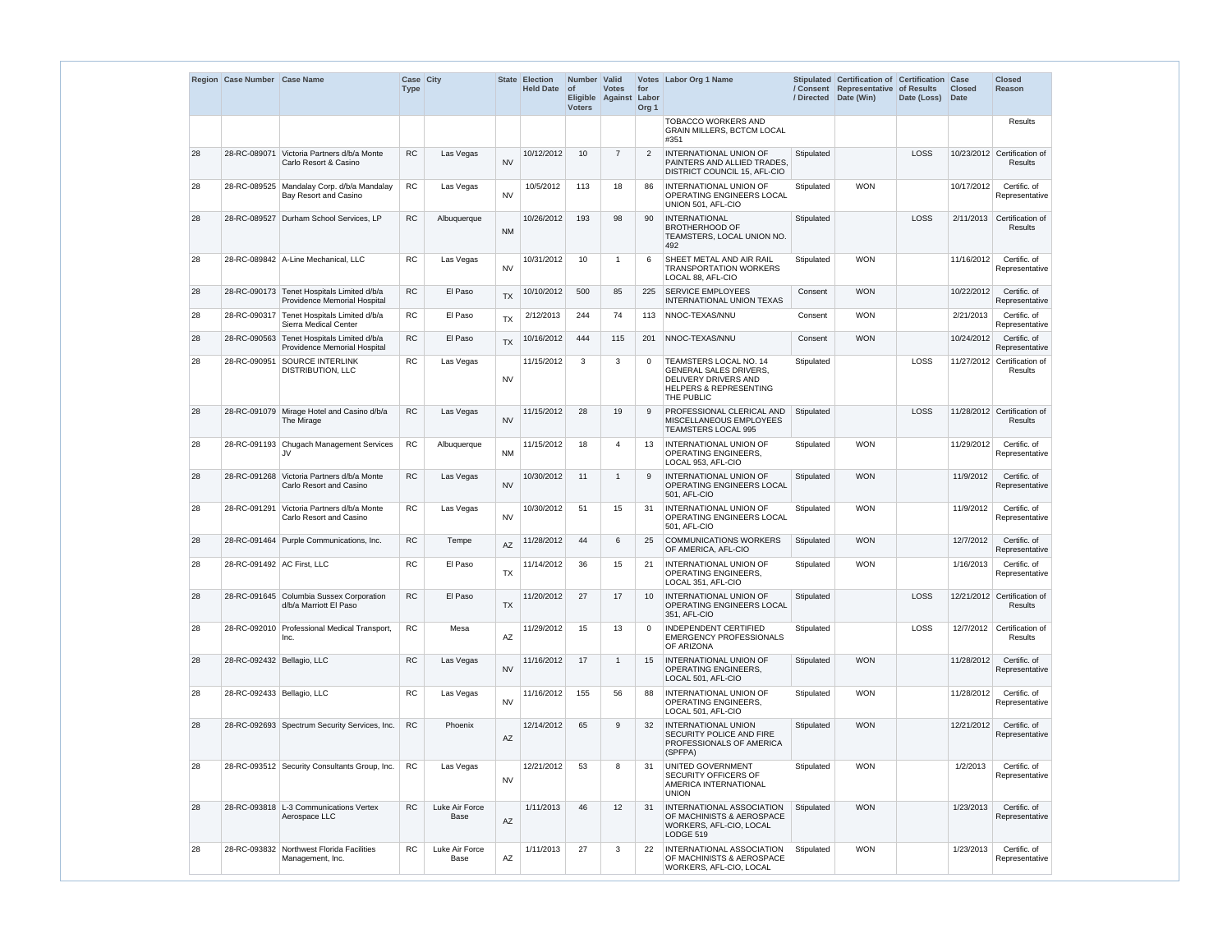|    | Region Case Number Case Name |                                                                            | Case City<br><b>Type</b> |                        |                        | State Election<br><b>Held Date</b> | Number Valid<br><b>of</b><br><b>Voters</b> | <b>Votes</b><br>Eligible Against | for<br>Labor<br>Org <sub>1</sub> | Votes Labor Org 1 Name                                                                                                             | / Directed | Stipulated Certification of Certification Case<br>/ Consent Representative of Results<br>Date (Win) | Date (Loss) | <b>Closed</b><br><b>Date</b> | <b>Closed</b><br>Reason                       |
|----|------------------------------|----------------------------------------------------------------------------|--------------------------|------------------------|------------------------|------------------------------------|--------------------------------------------|----------------------------------|----------------------------------|------------------------------------------------------------------------------------------------------------------------------------|------------|-----------------------------------------------------------------------------------------------------|-------------|------------------------------|-----------------------------------------------|
|    |                              |                                                                            |                          |                        |                        |                                    |                                            |                                  |                                  | <b>TOBACCO WORKERS AND</b><br><b>GRAIN MILLERS, BCTCM LOCAL</b><br>#351                                                            |            |                                                                                                     |             |                              | Results                                       |
| 28 |                              | 28-RC-089071 Victoria Partners d/b/a Monte<br>Carlo Resort & Casino        | <b>RC</b>                | Las Vegas              | <b>NV</b>              | 10/12/2012                         | 10 <sup>1</sup>                            | $\overline{7}$                   | 2                                | <b>INTERNATIONAL UNION OF</b><br>PAINTERS AND ALLIED TRADES.<br>DISTRICT COUNCIL 15, AFL-CIO                                       | Stipulated |                                                                                                     | LOSS        |                              | 10/23/2012 Certification of<br><b>Results</b> |
| 28 |                              | 28-RC-089525 Mandalay Corp. d/b/a Mandalay<br>Bay Resort and Casino        | RC                       | Las Vegas              | <b>NV</b>              | 10/5/2012                          | 113                                        | 18                               | 86                               | <b>INTERNATIONAL UNION OF</b><br>OPERATING ENGINEERS LOCAL<br>UNION 501, AFL-CIO                                                   | Stipulated | <b>WON</b>                                                                                          |             | 10/17/2012                   | Certific. of<br>Representative                |
| 28 |                              | 28-RC-089527 Durham School Services, LP                                    | <b>RC</b>                | Albuquerque            | <b>NM</b>              | 10/26/2012                         | 193                                        | 98                               | 90                               | INTERNATIONAL<br><b>BROTHERHOOD OF</b><br>TEAMSTERS, LOCAL UNION NO.<br>492                                                        | Stipulated |                                                                                                     | LOSS        |                              | 2/11/2013 Certification of<br><b>Results</b>  |
| 28 |                              | 28-RC-089842   A-Line Mechanical, LLC                                      | <b>RC</b>                | Las Vegas              | <b>NV</b>              | 10/31/2012                         | 10                                         |                                  | 6                                | SHEET METAL AND AIR RAIL<br><b>TRANSPORTATION WORKERS</b><br>LOCAL 88, AFL-CIO                                                     | Stipulated | <b>WON</b>                                                                                          |             | 11/16/2012                   | Certific. of<br>Representative                |
| 28 |                              | 28-RC-090173 Tenet Hospitals Limited d/b/a<br>Providence Memorial Hospital | ${\sf RC}$               | El Paso                | <b>TX</b>              | 10/10/2012                         | 500                                        | 85                               | 225                              | <b>SERVICE EMPLOYEES</b><br><b>INTERNATIONAL UNION TEXAS</b>                                                                       | Consent    | <b>WON</b>                                                                                          |             | 10/22/2012                   | Certific. of<br>Representative                |
| 28 |                              | 28-RC-090317 Tenet Hospitals Limited d/b/a<br>Sierra Medical Center        | RC                       | El Paso                | <b>TX</b>              | 2/12/2013                          | 244                                        | 74                               | 113                              | NNOC-TEXAS/NNU                                                                                                                     | Consent    | <b>WON</b>                                                                                          |             | 2/21/2013                    | Certific, of<br>Representative                |
| 28 |                              | 28-RC-090563 Tenet Hospitals Limited d/b/a<br>Providence Memorial Hospital | RC                       | El Paso                | <b>TX</b>              | 10/16/2012                         | 444                                        | 115                              | 201                              | NNOC-TEXAS/NNU                                                                                                                     | Consent    | <b>WON</b>                                                                                          |             | 10/24/2012                   | Certific, of<br>Representative                |
| 28 | 28-RC-090951                 | SOURCE INTERLINK<br>DISTRIBUTION, LLC                                      | <b>RC</b>                | Las Vegas              | <b>NV</b>              | 11/15/2012                         | 3                                          | 3                                | $\mathbf 0$                      | TEAMSTERS LOCAL NO. 14<br><b>GENERAL SALES DRIVERS,</b><br>DELIVERY DRIVERS AND<br><b>HELPERS &amp; REPRESENTING</b><br>THE PUBLIC | Stipulated |                                                                                                     | LOSS        |                              | 11/27/2012 Certification of<br>Results        |
| 28 |                              | 28-RC-091079 Mirage Hotel and Casino d/b/a<br>The Mirage                   | RC                       | Las Vegas              | <b>NV</b>              | 11/15/2012                         | 28                                         | 19                               | 9                                | PROFESSIONAL CLERICAL AND<br>MISCELLANEOUS EMPLOYEES<br><b>TEAMSTERS LOCAL 995</b>                                                 | Stipulated |                                                                                                     | LOSS        |                              | 11/28/2012 Certification of<br><b>Results</b> |
| 28 |                              | 28-RC-091193 Chugach Management Services<br>JV                             | <b>RC</b>                | Albuquerque            | <b>NM</b>              | 11/15/2012                         | 18                                         | 4                                | 13                               | <b>INTERNATIONAL UNION OF</b><br><b>OPERATING ENGINEERS,</b><br>LOCAL 953, AFL-CIO                                                 | Stipulated | <b>WON</b>                                                                                          |             | 11/29/2012                   | Certific, of<br>Representative                |
| 28 |                              | 28-RC-091268 Victoria Partners d/b/a Monte<br>Carlo Resort and Casino      | <b>RC</b>                | Las Vegas              | <b>NV</b>              | 10/30/2012                         | 11                                         |                                  | 9                                | <b>INTERNATIONAL UNION OF</b><br>OPERATING ENGINEERS LOCAL<br>501, AFL-CIO                                                         | Stipulated | <b>WON</b>                                                                                          |             | 11/9/2012                    | Certific. of<br>Representative                |
| 28 |                              | 28-RC-091291 Victoria Partners d/b/a Monte<br>Carlo Resort and Casino      | ${\sf RC}$               | Las Vegas              | <b>NV</b>              | 10/30/2012                         | 51                                         | 15                               | 31                               | INTERNATIONAL UNION OF<br>OPERATING ENGINEERS LOCAL<br>501, AFL-CIO                                                                | Stipulated | <b>WON</b>                                                                                          |             | 11/9/2012                    | Certific. of<br>Representative                |
| 28 |                              | 28-RC-091464 Purple Communications, Inc.                                   | ${\sf RC}$               | Tempe                  | AZ                     | 11/28/2012                         | 44                                         | 6                                | 25                               | <b>COMMUNICATIONS WORKERS</b><br>OF AMERICA, AFL-CIO                                                                               | Stipulated | <b>WON</b>                                                                                          |             | 12/7/2012                    | Certific. of<br>Representative                |
| 28 | 28-RC-091492 AC First, LLC   |                                                                            | ${\sf RC}$               | El Paso                | <b>TX</b>              | 11/14/2012                         | 36                                         | 15                               | 21                               | <b>INTERNATIONAL UNION OF</b><br><b>OPERATING ENGINEERS,</b><br>LOCAL 351, AFL-CIO                                                 | Stipulated | <b>WON</b>                                                                                          |             | 1/16/2013                    | Certific. of<br>Representative                |
| 28 |                              | 28-RC-091645 Columbia Sussex Corporation<br>d/b/a Marriott El Paso         | RC                       | El Paso                | <b>TX</b>              | 11/20/2012                         | 27                                         | 17                               | 10                               | <b>INTERNATIONAL UNION OF</b><br>OPERATING ENGINEERS LOCAL<br>351, AFL-CIO                                                         | Stipulated |                                                                                                     | LOSS        |                              | 12/21/2012 Certification of<br><b>Results</b> |
| 28 |                              | 28-RC-092010 Professional Medical Transport,<br>Inc.                       | RC                       | Mesa                   | AZ                     | 11/29/2012                         | 15                                         | 13                               | $\Omega$                         | <b>INDEPENDENT CERTIFIED</b><br><b>EMERGENCY PROFESSIONALS</b><br>OF ARIZONA                                                       | Stipulated |                                                                                                     | LOSS        | 12/7/2012                    | Certification of<br>Results                   |
| 28 | 28-RC-092432 Bellagio, LLC   |                                                                            | <b>RC</b>                | Las Vegas              | <b>NV</b>              | 11/16/2012                         | 17                                         |                                  | 15                               | <b>INTERNATIONAL UNION OF</b><br><b>OPERATING ENGINEERS.</b><br>LOCAL 501, AFL-CIO                                                 | Stipulated | <b>WON</b>                                                                                          |             | 11/28/2012                   | Certific. of<br>Representative                |
| 28 | 28-RC-092433   Bellagio, LLC |                                                                            | <b>RC</b>                | Las Vegas              | <b>NV</b>              | 11/16/2012                         | 155                                        | 56                               | 88                               | <b>INTERNATIONAL UNION OF</b><br><b>OPERATING ENGINEERS,</b><br>LOCAL 501, AFL-CIO                                                 | Stipulated | <b>WON</b>                                                                                          |             | 11/28/2012                   | Certific. of<br>Representative                |
| 28 |                              | 28-RC-092693 Spectrum Security Services, Inc.                              | ${\sf RC}$               | Phoenix                | $\mathsf{A}\mathsf{Z}$ | 12/14/2012                         | 65                                         | 9                                | 32                               | <b>INTERNATIONAL UNION</b><br>SECURITY POLICE AND FIRE<br>PROFESSIONALS OF AMERICA<br>(SPFPA)                                      | Stipulated | <b>WON</b>                                                                                          |             | 12/21/2012                   | Certific. of<br>Representative                |
| 28 |                              | 28-RC-093512 Security Consultants Group, Inc.                              | RC                       | Las Vegas              | <b>NV</b>              | 12/21/2012                         | 53                                         | 8                                | 31                               | UNITED GOVERNMENT<br>SECURITY OFFICERS OF<br>AMERICA INTERNATIONAL<br><b>UNION</b>                                                 | Stipulated | <b>WON</b>                                                                                          |             | 1/2/2013                     | Certific. of<br>Representative                |
| 28 |                              | 28-RC-093818 L-3 Communications Vertex<br>Aerospace LLC                    | <b>RC</b>                | Luke Air Force<br>Base | AZ                     | 1/11/2013                          | 46                                         | 12                               | 31                               | INTERNATIONAL ASSOCIATION<br>OF MACHINISTS & AEROSPACE<br>WORKERS, AFL-CIO, LOCAL<br>LODGE 519                                     | Stipulated | <b>WON</b>                                                                                          |             | 1/23/2013                    | Certific. of<br>Representative                |
| 28 |                              | 28-RC-093832 Northwest Florida Facilities<br>Management, Inc.              | <b>RC</b>                | Luke Air Force<br>Base | $\mathsf{A}\mathsf{Z}$ | 1/11/2013                          | 27                                         | 3                                | 22                               | <b>INTERNATIONAL ASSOCIATION</b><br>OF MACHINISTS & AEROSPACE<br>WORKERS, AFL-CIO, LOCAL                                           | Stipulated | <b>WON</b>                                                                                          |             | 1/23/2013                    | Certific. of<br>Representative                |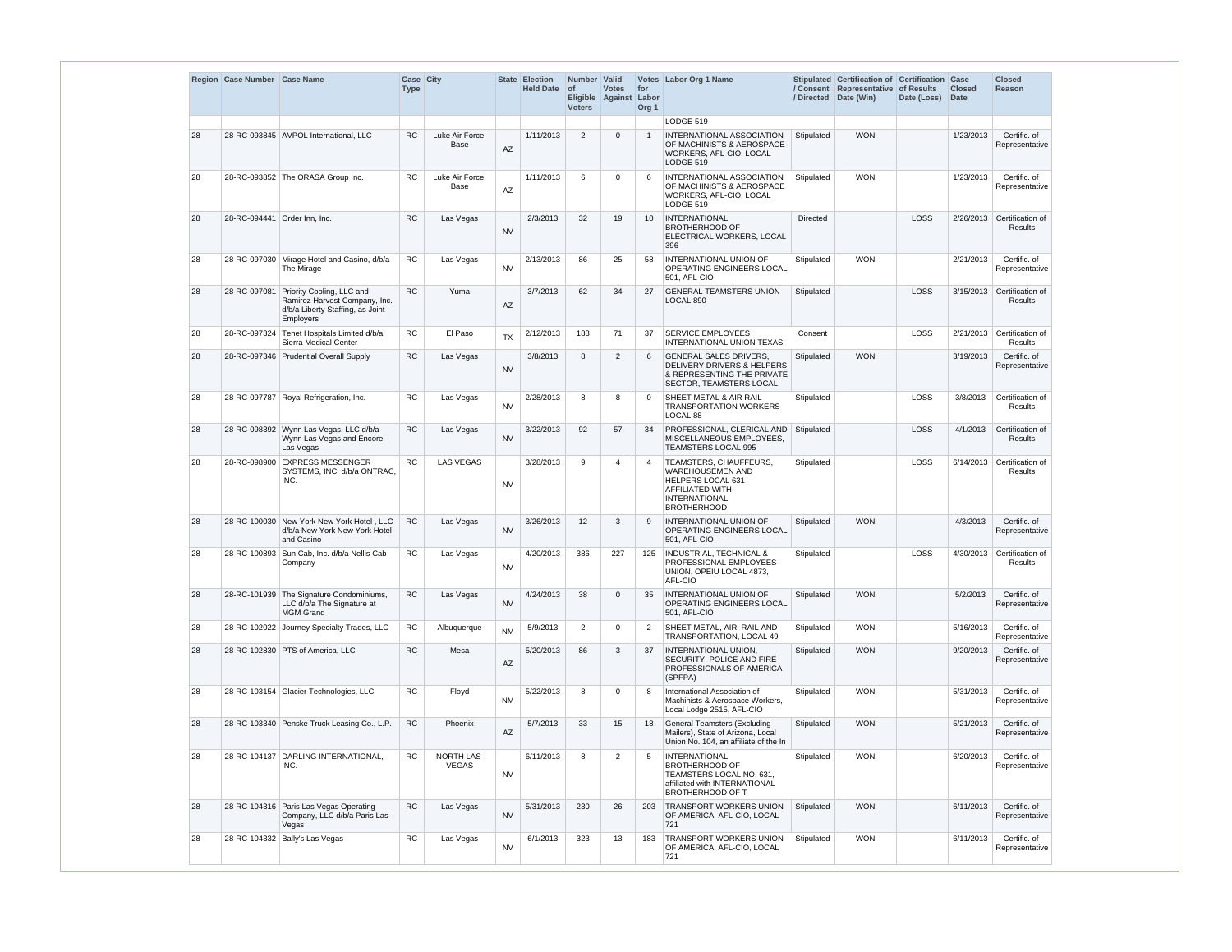|    | Region Case Number Case Name |                                                                                                                    | Case City<br><b>Type</b> |                               |           | State Election<br><b>Held Date</b> | Number Valid<br>$ $ of<br><b>Voters</b> | <b>Votes</b><br>Eligible Against | for<br>Labor<br>Org <sub>1</sub> | Votes Labor Org 1 Name                                                                                                                         | / Directed | Stipulated Certification of Certification Case<br>/ Consent Representative of Results<br>Date (Win) | Date (Loss) Date | <b>Closed</b> | <b>Closed</b><br>Reason            |
|----|------------------------------|--------------------------------------------------------------------------------------------------------------------|--------------------------|-------------------------------|-----------|------------------------------------|-----------------------------------------|----------------------------------|----------------------------------|------------------------------------------------------------------------------------------------------------------------------------------------|------------|-----------------------------------------------------------------------------------------------------|------------------|---------------|------------------------------------|
|    |                              |                                                                                                                    |                          |                               |           |                                    |                                         |                                  |                                  | LODGE 519                                                                                                                                      |            |                                                                                                     |                  |               |                                    |
| 28 |                              | 28-RC-093845 AVPOL International, LLC                                                                              | <b>RC</b>                | Luke Air Force<br><b>Base</b> | AZ        | 1/11/2013                          | 2                                       | $\Omega$                         |                                  | INTERNATIONAL ASSOCIATION<br>OF MACHINISTS & AEROSPACE<br>WORKERS, AFL-CIO, LOCAL<br>LODGE 519                                                 | Stipulated | <b>WON</b>                                                                                          |                  | 1/23/2013     | Certific. of<br>Representative     |
| 28 |                              | 28-RC-093852 The ORASA Group Inc.                                                                                  | <b>RC</b>                | Luke Air Force<br>Base        | AZ        | 1/11/2013                          | 6                                       | $\Omega$                         | 6                                | INTERNATIONAL ASSOCIATION<br>OF MACHINISTS & AEROSPACE<br>WORKERS, AFL-CIO, LOCAL<br>LODGE 519                                                 | Stipulated | <b>WON</b>                                                                                          |                  | 1/23/2013     | Certific. of<br>Representative     |
| 28 | 28-RC-094441 Order Inn, Inc. |                                                                                                                    | <b>RC</b>                | Las Vegas                     | <b>NV</b> | 2/3/2013                           | 32                                      | 19                               | 10                               | INTERNATIONAL<br><b>BROTHERHOOD OF</b><br>ELECTRICAL WORKERS, LOCAL<br>396                                                                     | Directed   |                                                                                                     | LOSS             | 2/26/2013     | Certification of<br><b>Results</b> |
| 28 |                              | 28-RC-097030 Mirage Hotel and Casino, d/b/a<br>The Mirage                                                          | <b>RC</b>                | Las Vegas                     | <b>NV</b> | 2/13/2013                          | 86                                      | 25                               | 58                               | INTERNATIONAL UNION OF<br>OPERATING ENGINEERS LOCAL<br>501. AFL-CIO                                                                            | Stipulated | <b>WON</b>                                                                                          |                  | 2/21/2013     | Certific. of<br>Representative     |
| 28 | 28-RC-097081                 | Priority Cooling, LLC and<br>Ramirez Harvest Company, Inc.<br>d/b/a Liberty Staffing, as Joint<br><b>Employers</b> | <b>RC</b>                | Yuma                          | AZ        | 3/7/2013                           | 62                                      | 34                               | 27                               | <b>GENERAL TEAMSTERS UNION</b><br>LOCAL 890                                                                                                    | Stipulated |                                                                                                     | LOSS             | 3/15/2013     | Certification of<br><b>Results</b> |
| 28 | 28-RC-097324                 | Tenet Hospitals Limited d/b/a<br>Sierra Medical Center                                                             | ${\sf RC}$               | El Paso                       | <b>TX</b> | 2/12/2013                          | 188                                     | 71                               | 37                               | SERVICE EMPLOYEES<br>INTERNATIONAL UNION TEXAS                                                                                                 | Consent    |                                                                                                     | LOSS             | 2/21/2013     | Certification of<br>Results        |
| 28 |                              | 28-RC-097346 Prudential Overall Supply                                                                             | <b>RC</b>                | Las Vegas                     | <b>NV</b> | 3/8/2013                           | 8                                       | $\overline{2}$                   | 6                                | <b>GENERAL SALES DRIVERS.</b><br>DELIVERY DRIVERS & HELPERS<br>& REPRESENTING THE PRIVATE<br>SECTOR, TEAMSTERS LOCAL                           | Stipulated | <b>WON</b>                                                                                          |                  | 3/19/2013     | Certific. of<br>Representative     |
| 28 |                              | 28-RC-097787 Royal Refrigeration, Inc.                                                                             | <b>RC</b>                | Las Vegas                     | <b>NV</b> | 2/28/2013                          | 8                                       | 8                                | $\Omega$                         | SHEET METAL & AIR RAIL<br><b>TRANSPORTATION WORKERS</b><br>LOCAL 88                                                                            | Stipulated |                                                                                                     | LOSS             | 3/8/2013      | Certification of<br>Results        |
| 28 |                              | 28-RC-098392 Wynn Las Vegas, LLC d/b/a<br>Wynn Las Vegas and Encore<br>Las Vegas                                   | <b>RC</b>                | Las Vegas                     | <b>NV</b> | 3/22/2013                          | 92                                      | 57                               | 34                               | PROFESSIONAL, CLERICAL AND<br>MISCELLANEOUS EMPLOYEES,<br>TEAMSTERS LOCAL 995                                                                  | Stipulated |                                                                                                     | LOSS             | 4/1/2013      | Certification of<br><b>Results</b> |
| 28 |                              | 28-RC-098900 EXPRESS MESSENGER<br>SYSTEMS, INC. d/b/a ONTRAC,<br>INC.                                              | <b>RC</b>                | <b>LAS VEGAS</b>              | <b>NV</b> | 3/28/2013                          | 9                                       | $\overline{4}$                   |                                  | TEAMSTERS, CHAUFFEURS,<br><b>WAREHOUSEMEN AND</b><br>HELPERS LOCAL 631<br><b>AFFILIATED WITH</b><br><b>INTERNATIONAL</b><br><b>BROTHERHOOD</b> | Stipulated |                                                                                                     | LOSS             | 6/14/2013     | Certification of<br>Results        |
| 28 |                              | 28-RC-100030 New York New York Hotel, LLC<br>d/b/a New York New York Hotel<br>and Casino                           | <b>RC</b>                | Las Vegas                     | <b>NV</b> | 3/26/2013                          | 12                                      | 3                                | 9                                | INTERNATIONAL UNION OF<br>OPERATING ENGINEERS LOCAL<br>501, AFL-CIO                                                                            | Stipulated | <b>WON</b>                                                                                          |                  | 4/3/2013      | Certific. of<br>Representative     |
| 28 |                              | 28-RC-100893 Sun Cab. Inc. d/b/a Nellis Cab<br>Company                                                             | <b>RC</b>                | Las Vegas                     | <b>NV</b> | 4/20/2013                          | 386                                     | 227                              | 125                              | <b>INDUSTRIAL, TECHNICAL &amp;</b><br>PROFESSIONAL EMPLOYEES<br>UNION, OPEIU LOCAL 4873,<br>AFL-CIO                                            | Stipulated |                                                                                                     | LOSS             | 4/30/2013     | Certification of<br>Results        |
| 28 |                              | 28-RC-101939 The Signature Condominiums,<br>LLC d/b/a The Signature at<br><b>MGM Grand</b>                         | RC                       | Las Vegas                     | <b>NV</b> | 4/24/2013                          | 38                                      | $\mathbf{0}$                     | 35                               | INTERNATIONAL UNION OF<br>OPERATING ENGINEERS LOCAL<br>501, AFL-CIO                                                                            | Stipulated | <b>WON</b>                                                                                          |                  | 5/2/2013      | Certific. of<br>Representative     |
| 28 | 28-RC-102022                 | Journey Specialty Trades, LLC                                                                                      | <b>RC</b>                | Albuquerque                   | <b>NM</b> | 5/9/2013                           | 2                                       | 0                                | $\overline{2}$                   | SHEET METAL, AIR, RAIL AND<br>TRANSPORTATION, LOCAL 49                                                                                         | Stipulated | <b>WON</b>                                                                                          |                  | 5/16/2013     | Certific. of<br>Representative     |
| 28 |                              | 28-RC-102830 PTS of America, LLC                                                                                   | <b>RC</b>                | Mesa                          | AZ        | 5/20/2013                          | 86                                      | 3                                | 37                               | INTERNATIONAL UNION,<br>SECURITY, POLICE AND FIRE<br>PROFESSIONALS OF AMERICA<br>(SPFPA)                                                       | Stipulated | <b>WON</b>                                                                                          |                  | 9/20/2013     | Certific. of<br>Representative     |
| 28 |                              | 28-RC-103154 Glacier Technologies, LLC                                                                             | <b>RC</b>                | Floyd                         | <b>NM</b> | 5/22/2013                          | 8                                       | $\Omega$                         | -8                               | International Association of<br>Machinists & Aerospace Workers,<br>Local Lodge 2515, AFL-CIO                                                   | Stipulated | <b>WON</b>                                                                                          |                  | 5/31/2013     | Certific. of<br>Representative     |
| 28 |                              | 28-RC-103340 Penske Truck Leasing Co., L.P.                                                                        | ${\sf RC}$               | Phoenix                       | AZ        | 5/7/2013                           | 33                                      | 15                               | 18                               | <b>General Teamsters (Excluding</b><br>Mailers), State of Arizona, Local<br>Union No. 104, an affiliate of the In                              | Stipulated | <b>WON</b>                                                                                          |                  | 5/21/2013     | Certific. of<br>Representative     |
| 28 | 28-RC-104137                 | DARLING INTERNATIONAL,<br>INC.                                                                                     | <b>RC</b>                | NORTH LAS<br><b>VEGAS</b>     | <b>NV</b> | 6/11/2013                          | 8                                       | $\overline{2}$                   | -5                               | <b>INTERNATIONAL</b><br><b>BROTHERHOOD OF</b><br>TEAMSTERS LOCAL NO. 631,<br>affiliated with INTERNATIONAL<br><b>BROTHERHOOD OF T</b>          | Stipulated | <b>WON</b>                                                                                          |                  | 6/20/2013     | Certific. of<br>Representative     |
| 28 |                              | 28-RC-104316 Paris Las Vegas Operating<br>Company, LLC d/b/a Paris Las<br>Vegas                                    | <b>RC</b>                | Las Vegas                     | <b>NV</b> | 5/31/2013                          | 230                                     | 26                               | 203                              | <b>TRANSPORT WORKERS UNION</b><br>OF AMERICA, AFL-CIO, LOCAL<br>721                                                                            | Stipulated | <b>WON</b>                                                                                          |                  | 6/11/2013     | Certific. of<br>Representative     |
| 28 |                              | 28-RC-104332   Bally's Las Vegas                                                                                   | <b>RC</b>                | Las Vegas                     | <b>NV</b> | 6/1/2013                           | 323                                     | 13                               | 183                              | <b>TRANSPORT WORKERS UNION</b><br>OF AMERICA, AFL-CIO, LOCAL<br>721                                                                            | Stipulated | <b>WON</b>                                                                                          |                  | 6/11/2013     | Certific. of<br>Representative     |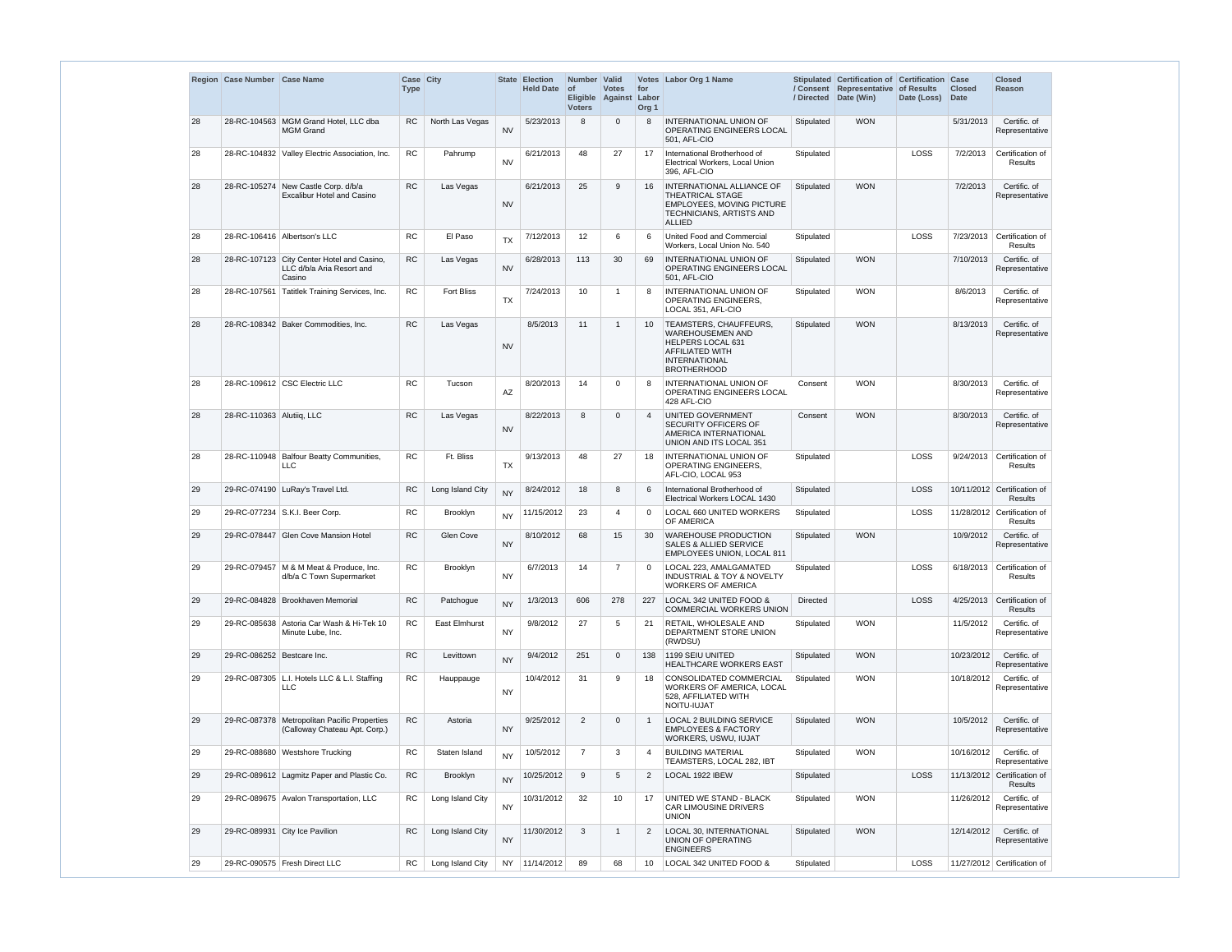|    | Region Case Number Case Name |                                                                                   | Case City<br><b>Type</b> |                      |           | State Election<br><b>Held Date</b> | Number Valid<br>$ $ of<br><b>Voters</b> | <b>Votes</b><br>Eligible Against | for<br>Labor<br>Org <sub>1</sub> | Votes   Labor Org 1 Name                                                                                                                       | / Directed      | Stipulated Certification of Certification<br>/ Consent Representative of Results<br>Date (Win) | Date (Loss) | Case<br><b>Closed</b><br><b>Date</b> | <b>Closed</b><br><b>Reason</b>         |
|----|------------------------------|-----------------------------------------------------------------------------------|--------------------------|----------------------|-----------|------------------------------------|-----------------------------------------|----------------------------------|----------------------------------|------------------------------------------------------------------------------------------------------------------------------------------------|-----------------|------------------------------------------------------------------------------------------------|-------------|--------------------------------------|----------------------------------------|
| 28 |                              | 28-RC-104563 MGM Grand Hotel, LLC dba<br><b>MGM Grand</b>                         | <b>RC</b>                | North Las Vegas      | <b>NV</b> | 5/23/2013                          | 8                                       | 0                                | 8                                | <b>INTERNATIONAL UNION OF</b><br>OPERATING ENGINEERS LOCAL<br>501, AFL-CIO                                                                     | Stipulated      | <b>WON</b>                                                                                     |             | 5/31/2013                            | Certific. of<br>Representative         |
| 28 |                              | 28-RC-104832 Valley Electric Association, Inc.                                    | ${\sf RC}$               | Pahrump              | <b>NV</b> | 6/21/2013                          | 48                                      | 27                               | 17                               | International Brotherhood of<br>Electrical Workers, Local Union<br>396. AFL-CIO                                                                | Stipulated      |                                                                                                | LOSS        | 7/2/2013                             | Certification of<br>Results            |
| 28 | 28-RC-105274                 | New Castle Corp. d/b/a<br><b>Excalibur Hotel and Casino</b>                       | RC                       | Las Vegas            | <b>NV</b> | 6/21/2013                          | 25                                      | 9                                | 16                               | <b>INTERNATIONAL ALLIANCE OF</b><br><b>THEATRICAL STAGE</b><br>EMPLOYEES, MOVING PICTURE<br><b>TECHNICIANS, ARTISTS AND</b><br><b>ALLIED</b>   | Stipulated      | <b>WON</b>                                                                                     |             | 7/2/2013                             | Certific. of<br>Representative         |
| 28 |                              | 28-RC-106416 Albertson's LLC                                                      | <b>RC</b>                | El Paso              | <b>TX</b> | 7/12/2013                          | 12 <sup>2</sup>                         | 6                                | 6                                | United Food and Commercial<br>Workers, Local Union No. 540                                                                                     | Stipulated      |                                                                                                | LOSS        | 7/23/2013                            | Certification of<br>Results            |
| 28 |                              | 28-RC-107123 City Center Hotel and Casino,<br>LLC d/b/a Aria Resort and<br>Casino | <b>RC</b>                | Las Vegas            | <b>NV</b> | 6/28/2013                          | 113                                     | 30                               | 69                               | INTERNATIONAL UNION OF<br><b>OPERATING ENGINEERS LOCAL</b><br>501, AFL-CIO                                                                     | Stipulated      | <b>WON</b>                                                                                     |             | 7/10/2013                            | Certific. of<br>Representative         |
| 28 | 28-RC-107561                 | Tatitlek Training Services, Inc.                                                  | <b>RC</b>                | <b>Fort Bliss</b>    | <b>TX</b> | 7/24/2013                          | 10 <sup>°</sup>                         | 1                                | 8                                | <b>INTERNATIONAL UNION OF</b><br><b>OPERATING ENGINEERS,</b><br>LOCAL 351, AFL-CIO                                                             | Stipulated      | <b>WON</b>                                                                                     |             | 8/6/2013                             | Certific. of<br>Representative         |
| 28 |                              | 28-RC-108342 Baker Commodities, Inc.                                              | <b>RC</b>                | Las Vegas            | <b>NV</b> | 8/5/2013                           | 11                                      | $\mathbf{1}$                     | 10                               | <b>TEAMSTERS, CHAUFFEURS,</b><br>WAREHOUSEMEN AND<br>HELPERS LOCAL 631<br><b>AFFILIATED WITH</b><br><b>INTERNATIONAL</b><br><b>BROTHERHOOD</b> | Stipulated      | <b>WON</b>                                                                                     |             | 8/13/2013                            | Certific. of<br>Representative         |
| 28 |                              | 28-RC-109612 CSC Electric LLC                                                     | <b>RC</b>                | Tucson               | AZ        | 8/20/2013                          | 14                                      | 0                                | 8                                | <b>INTERNATIONAL UNION OF</b><br>OPERATING ENGINEERS LOCAL<br>428 AFL-CIO                                                                      | Consent         | <b>WON</b>                                                                                     |             | 8/30/2013                            | Certific. of<br>Representative         |
| 28 | 28-RC-110363 Alutiiq, LLC    |                                                                                   | <b>RC</b>                | Las Vegas            | <b>NV</b> | 8/22/2013                          | 8                                       | 0                                | $\overline{4}$                   | UNITED GOVERNMENT<br>SECURITY OFFICERS OF<br>AMERICA INTERNATIONAL<br><b>UNION AND ITS LOCAL 351</b>                                           | Consent         | <b>WON</b>                                                                                     |             | 8/30/2013                            | Certific. of<br>Representative         |
| 28 |                              | 28-RC-110948 Balfour Beatty Communities,<br><b>LLC</b>                            | <b>RC</b>                | Ft. Bliss            | <b>TX</b> | 9/13/2013                          | 48                                      | 27                               | 18                               | <b>INTERNATIONAL UNION OF</b><br><b>OPERATING ENGINEERS.</b><br>AFL-CIO, LOCAL 953                                                             | Stipulated      |                                                                                                | LOSS        | 9/24/2013                            | Certification of<br>Results            |
| 29 |                              | 29-RC-074190 LuRay's Travel Ltd.                                                  | <b>RC</b>                | Long Island City     | <b>NY</b> | 8/24/2012                          | 18                                      | 8                                | 6                                | International Brotherhood of<br>Electrical Workers LOCAL 1430                                                                                  | Stipulated      |                                                                                                | LOSS        |                                      | 10/11/2012 Certification of<br>Results |
| 29 |                              | 29-RC-077234 S.K.I. Beer Corp.                                                    | RC                       | Brooklyn             | <b>NY</b> | 11/15/2012                         | 23                                      | 4                                | $\Omega$                         | LOCAL 660 UNITED WORKERS<br>OF AMERICA                                                                                                         | Stipulated      |                                                                                                | LOSS        |                                      | 11/28/2012 Certification of<br>Results |
| 29 |                              | 29-RC-078447 Glen Cove Mansion Hotel                                              | RC                       | Glen Cove            | <b>NY</b> | 8/10/2012                          | 68                                      | 15                               | 30                               | <b>WAREHOUSE PRODUCTION</b><br>SALES & ALLIED SERVICE<br>EMPLOYEES UNION, LOCAL 811                                                            | Stipulated      | <b>WON</b>                                                                                     |             | 10/9/2012                            | Certific. of<br>Representative         |
| 29 |                              | 29-RC-079457   M & M Meat & Produce, Inc.<br>d/b/a C Town Supermarket             | RC                       | Brooklyn             | <b>NY</b> | 6/7/2013                           | 14                                      | 7                                | $\Omega$                         | LOCAL 223. AMALGAMATED<br><b>INDUSTRIAL &amp; TOY &amp; NOVELTY</b><br><b>WORKERS OF AMERICA</b>                                               | Stipulated      |                                                                                                | LOSS        | 6/18/2013                            | Certification of<br>Results            |
| 29 |                              | 29-RC-084828 Brookhaven Memorial                                                  | RC                       | Patchogue            | <b>NY</b> | 1/3/2013                           | 606                                     | 278                              | 227                              | LOCAL 342 UNITED FOOD &<br><b>COMMERCIAL WORKERS UNION</b>                                                                                     | <b>Directed</b> |                                                                                                | LOSS        | 4/25/2013                            | Certification of<br><b>Results</b>     |
| 29 |                              | 29-RC-085638 Astoria Car Wash & Hi-Tek 10<br>Minute Lube, Inc.                    | <b>RC</b>                | <b>East Elmhurst</b> | <b>NY</b> | 9/8/2012                           | 27                                      | 5                                | 21                               | RETAIL, WHOLESALE AND<br>DEPARTMENT STORE UNION<br>(RWDSU)                                                                                     | Stipulated      | <b>WON</b>                                                                                     |             | 11/5/2012                            | Certific. of<br>Representative         |
| 29 | 29-RC-086252 Bestcare Inc.   |                                                                                   | ${\sf RC}$               | Levittown            | <b>NY</b> | 9/4/2012                           | 251                                     | 0                                | 138                              | 1199 SEIU UNITED<br>HEALTHCARE WORKERS EAST                                                                                                    | Stipulated      | <b>WON</b>                                                                                     |             | 10/23/2012                           | Certific. of<br>Representative         |
| 29 |                              | 29-RC-087305   L.I. Hotels LLC & L.I. Staffing<br>LLC                             | ${\sf RC}$               | Hauppauge            | <b>NY</b> | 10/4/2012                          | 31                                      | 9                                | 18                               | CONSOLIDATED COMMERCIAL<br><b>WORKERS OF AMERICA, LOCAL</b><br>528. AFFILIATED WITH<br>NOITU-IUJAT                                             | Stipulated      | <b>WON</b>                                                                                     |             | 10/18/2012                           | Certific. of<br>Representative         |
| 29 |                              | 29-RC-087378 Metropolitan Pacific Properties<br>(Calloway Chateau Apt. Corp.)     | <b>RC</b>                | Astoria              | <b>NY</b> | 9/25/2012                          | $\overline{2}$                          | 0                                | $\overline{1}$                   | <b>LOCAL 2 BUILDING SERVICE</b><br><b>EMPLOYEES &amp; FACTORY</b><br>WORKERS, USWU, IUJAT                                                      | Stipulated      | <b>WON</b>                                                                                     |             | 10/5/2012                            | Certific. of<br>Representative         |
| 29 |                              | 29-RC-088680 Westshore Trucking                                                   | <b>RC</b>                | Staten Island        | <b>NY</b> | 10/5/2012                          | $\overline{7}$                          | 3                                | $\overline{4}$                   | <b>BUILDING MATERIAL</b><br>TEAMSTERS, LOCAL 282, IBT                                                                                          | Stipulated      | <b>WON</b>                                                                                     |             | 10/16/2012                           | Certific. of<br>Representative         |
| 29 |                              | 29-RC-089612 Lagmitz Paper and Plastic Co.                                        | ${\sf RC}$               | Brooklyn             | <b>NY</b> | 10/25/2012                         | 9                                       | 5                                | $\overline{2}$                   | LOCAL 1922 IBEW                                                                                                                                | Stipulated      |                                                                                                | LOSS        |                                      | 11/13/2012 Certification of<br>Results |
| 29 |                              | 29-RC-089675 Avalon Transportation, LLC                                           | <b>RC</b>                | Long Island City     | <b>NY</b> | 10/31/2012                         | 32                                      | 10                               | 17                               | UNITED WE STAND - BLACK<br>CAR LIMOUSINE DRIVERS<br><b>UNION</b>                                                                               | Stipulated      | <b>WON</b>                                                                                     |             | 11/26/2012                           | Certific. of<br>Representative         |
| 29 |                              | 29-RC-089931 City Ice Pavilion                                                    | <b>RC</b>                | Long Island City     | <b>NY</b> | 11/30/2012                         | 3                                       | $\mathbf{1}$                     | $\overline{2}$                   | LOCAL 30, INTERNATIONAL<br>UNION OF OPERATING<br><b>ENGINEERS</b>                                                                              | Stipulated      | <b>WON</b>                                                                                     |             | 12/14/2012                           | Certific. of<br>Representative         |
| 29 |                              | 29-RC-090575 Fresh Direct LLC                                                     | <b>RC</b>                | Long Island City     | NY.       | 11/14/2012                         | 89                                      | 68                               | 10                               | LOCAL 342 UNITED FOOD &                                                                                                                        | Stipulated      |                                                                                                | LOSS        |                                      | 11/27/2012 Certification of            |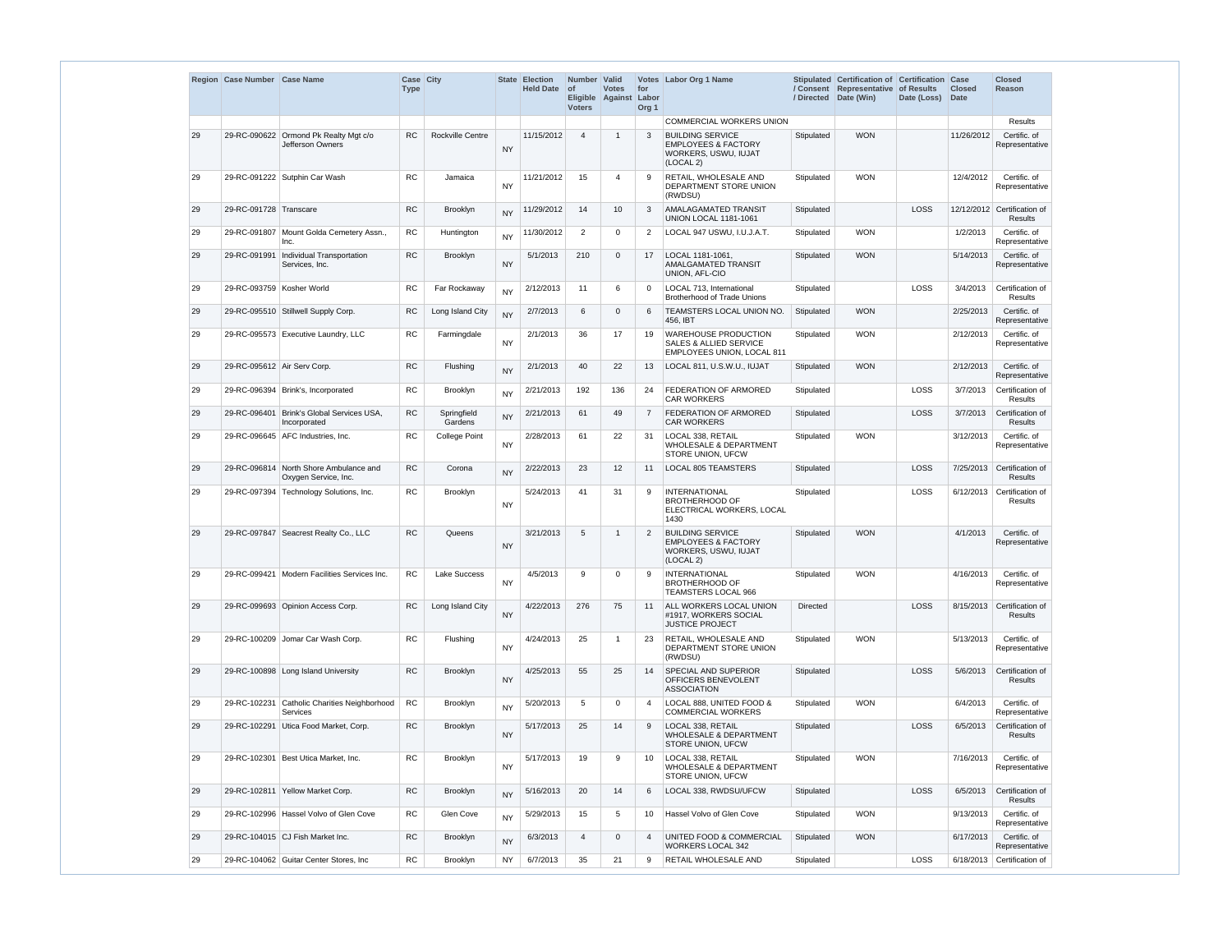|    | Region Case Number Case Name |                                                            | Case City<br><b>Type</b> |                        | <b>State</b> | <b>Election</b><br>Held Date of | Number Valid<br><b>Voters</b> | <b>Votes</b><br>Eligible Against | for<br>Labor<br>Org <sub>1</sub> | Votes Labor Org 1 Name                                                                                | / Directed      | Stipulated Certification of Certification Case<br>/ Consent Representative of Results<br>Date (Win) | Date (Loss) Date | <b>Closed</b> | <b>Closed</b><br>Reason                       |
|----|------------------------------|------------------------------------------------------------|--------------------------|------------------------|--------------|---------------------------------|-------------------------------|----------------------------------|----------------------------------|-------------------------------------------------------------------------------------------------------|-----------------|-----------------------------------------------------------------------------------------------------|------------------|---------------|-----------------------------------------------|
|    |                              |                                                            |                          |                        |              |                                 |                               |                                  |                                  | <b>COMMERCIAL WORKERS UNION</b>                                                                       |                 |                                                                                                     |                  |               | Results                                       |
| 29 | 29-RC-090622                 | Ormond Pk Realty Mgt c/o<br>Jefferson Owners               | <b>RC</b>                | Rockville Centre       | <b>NY</b>    | 11/15/2012                      | $\overline{4}$                | -1                               | $\mathbf{3}$                     | <b>BUILDING SERVICE</b><br><b>EMPLOYEES &amp; FACTORY</b><br>WORKERS, USWU, IUJAT<br>(LOCAL 2)        | Stipulated      | <b>WON</b>                                                                                          |                  | 11/26/2012    | Certific. of<br>Representative                |
| 29 |                              | 29-RC-091222 Sutphin Car Wash                              | <b>RC</b>                | Jamaica                | <b>NY</b>    | 11/21/2012                      | 15                            | 4                                | 9                                | RETAIL, WHOLESALE AND<br>DEPARTMENT STORE UNION<br>(RWDSU)                                            | Stipulated      | <b>WON</b>                                                                                          |                  | 12/4/2012     | Certific. of<br>Representative                |
| 29 | 29-RC-091728 Transcare       |                                                            | RC                       | <b>Brooklyn</b>        | <b>NY</b>    | 11/29/2012                      | 14                            | 10                               | 3                                | AMALAGAMATED TRANSIT<br><b>UNION LOCAL 1181-1061</b>                                                  | Stipulated      |                                                                                                     | LOSS             |               | 12/12/2012 Certification of<br><b>Results</b> |
| 29 |                              | 29-RC-091807 Mount Golda Cemetery Assn.,<br>Inc.           | <b>RC</b>                | Huntington             | <b>NY</b>    | 11/30/2012                      | 2                             | $\Omega$                         | 2                                | LOCAL 947 USWU, I.U.J.A.T.                                                                            | Stipulated      | <b>WON</b>                                                                                          |                  | 1/2/2013      | Certific. of<br>Representative                |
| 29 |                              | 29-RC-091991   Individual Transportation<br>Services, Inc. | RC                       | Brooklyn               | <b>NY</b>    | 5/1/2013                        | 210                           | $\Omega$                         | 17                               | LOCAL 1181-1061,<br>AMALGAMATED TRANSIT<br>UNION, AFL-CIO                                             | Stipulated      | <b>WON</b>                                                                                          |                  | 5/14/2013     | Certific. of<br>Representative                |
| 29 | 29-RC-093759   Kosher World  |                                                            | RC                       | Far Rockaway           | <b>NY</b>    | 2/12/2013                       | 11                            | 6                                | $\Omega$                         | LOCAL 713, International<br><b>Brotherhood of Trade Unions</b>                                        | Stipulated      |                                                                                                     | LOSS             | 3/4/2013      | Certification of<br>Results                   |
| 29 |                              | 29-RC-095510 Stillwell Supply Corp.                        | RC                       | Long Island City       | <b>NY</b>    | 2/7/2013                        | 6                             | $\Omega$                         | 6                                | TEAMSTERS LOCAL UNION NO.<br>456, IBT                                                                 | Stipulated      | <b>WON</b>                                                                                          |                  | 2/25/2013     | Certific. of<br>Representative                |
| 29 |                              | 29-RC-095573 Executive Laundry, LLC                        | RC.                      | Farmingdale            | <b>NY</b>    | 2/1/2013                        | 36                            | 17                               | 19                               | <b>WAREHOUSE PRODUCTION</b><br><b>SALES &amp; ALLIED SERVICE</b><br><b>EMPLOYEES UNION, LOCAL 811</b> | Stipulated      | <b>WON</b>                                                                                          |                  | 2/12/2013     | Certific. of<br>Representative                |
| 29 | 29-RC-095612 Air Serv Corp.  |                                                            | <b>RC</b>                | Flushing               | <b>NY</b>    | 2/1/2013                        | 40                            | 22                               | 13                               | LOCAL 811, U.S.W.U., IUJAT                                                                            | Stipulated      | <b>WON</b>                                                                                          |                  | 2/12/2013     | Certific. of<br>Representative                |
| 29 |                              | 29-RC-096394 Brink's, Incorporated                         | <b>RC</b>                | Brooklyn               | <b>NY</b>    | 2/21/2013                       | 192                           | 136                              | 24                               | FEDERATION OF ARMORED<br><b>CAR WORKERS</b>                                                           | Stipulated      |                                                                                                     | LOSS             | 3/7/2013      | Certification of<br>Results                   |
| 29 | 29-RC-096401                 | Brink's Global Services USA,<br>Incorporated               | <b>RC</b>                | Springfield<br>Gardens | <b>NY</b>    | 2/21/2013                       | 61                            | 49                               | $\overline{7}$                   | FEDERATION OF ARMORED<br><b>CAR WORKERS</b>                                                           | Stipulated      |                                                                                                     | LOSS             | 3/7/2013      | Certification of<br><b>Results</b>            |
| 29 |                              | 29-RC-096645 AFC Industries, Inc.                          | <b>RC</b>                | <b>College Point</b>   | <b>NY</b>    | 2/28/2013                       | 61                            | 22                               | 31                               | LOCAL 338, RETAIL<br><b>WHOLESALE &amp; DEPARTMENT</b><br>STORE UNION, UFCW                           | Stipulated      | <b>WON</b>                                                                                          |                  | 3/12/2013     | Certific. of<br>Representative                |
| 29 | 29-RC-096814                 | North Shore Ambulance and<br>Oxygen Service, Inc.          | <b>RC</b>                | Corona                 | <b>NY</b>    | 2/22/2013                       | 23                            | 12                               | 11                               | <b>LOCAL 805 TEAMSTERS</b>                                                                            | Stipulated      |                                                                                                     | LOSS             | 7/25/2013     | Certification of<br>Results                   |
| 29 |                              | 29-RC-097394 Technology Solutions, Inc.                    | <b>RC</b>                | Brooklyn               | <b>NY</b>    | 5/24/2013                       | 41                            | 31                               | 9                                | <b>INTERNATIONAL</b><br><b>BROTHERHOOD OF</b><br>ELECTRICAL WORKERS, LOCAL<br>1430                    | Stipulated      |                                                                                                     | LOSS             | 6/12/2013     | Certification of<br>Results                   |
| 29 |                              | 29-RC-097847 Seacrest Realty Co., LLC                      | <b>RC</b>                | Queens                 | <b>NY</b>    | 3/21/2013                       | 5                             | 1                                | 2                                | <b>BUILDING SERVICE</b><br><b>EMPLOYEES &amp; FACTORY</b><br>WORKERS, USWU, IUJAT<br>(LOCAL 2)        | Stipulated      | <b>WON</b>                                                                                          |                  | 4/1/2013      | Certific. of<br>Representative                |
| 29 |                              | 29-RC-099421   Modern Facilities Services Inc.             | ${\sf RC}$               | Lake Success           | <b>NY</b>    | 4/5/2013                        | 9                             | $\Omega$                         | 9                                | <b>INTERNATIONAL</b><br><b>BROTHERHOOD OF</b><br><b>TEAMSTERS LOCAL 966</b>                           | Stipulated      | <b>WON</b>                                                                                          |                  | 4/16/2013     | Certific. of<br>Representative                |
| 29 |                              | 29-RC-099693   Opinion Access Corp.                        | <b>RC</b>                | Long Island City       | <b>NY</b>    | 4/22/2013                       | 276                           | 75                               | 11                               | ALL WORKERS LOCAL UNION<br>#1917. WORKERS SOCIAL<br><b>JUSTICE PROJECT</b>                            | <b>Directed</b> |                                                                                                     | LOSS             | 8/15/2013     | Certification of<br>Results                   |
| 29 |                              | 29-RC-100209   Jomar Car Wash Corp.                        | <b>RC</b>                | Flushing               | <b>NY</b>    | 4/24/2013                       | 25                            | -1                               | 23                               | RETAIL, WHOLESALE AND<br>DEPARTMENT STORE UNION<br>(RWDSU)                                            | Stipulated      | <b>WON</b>                                                                                          |                  | 5/13/2013     | Certific. of<br>Representative                |
| 29 |                              | 29-RC-100898 Long Island University                        | <b>RC</b>                | Brooklyn               | <b>NY</b>    | 4/25/2013                       | 55                            | 25                               | 14                               | SPECIAL AND SUPERIOR<br>OFFICERS BENEVOLENT<br><b>ASSOCIATION</b>                                     | Stipulated      |                                                                                                     | LOSS             | 5/6/2013      | Certification of<br>Results                   |
| 29 | 29-RC-102231                 | Catholic Charities Neighborhood<br><b>Services</b>         | <b>RC</b>                | Brooklyn               | <b>NY</b>    | 5/20/2013                       | 5                             | $\Omega$                         | $\overline{4}$                   | LOCAL 888, UNITED FOOD &<br><b>COMMERCIAL WORKERS</b>                                                 | Stipulated      | <b>WON</b>                                                                                          |                  | 6/4/2013      | Certific. of<br>Representative                |
| 29 |                              | 29-RC-102291 Utica Food Market, Corp.                      | ${\sf RC}$               | Brooklyn               | <b>NY</b>    | 5/17/2013                       | 25                            | 14                               | 9                                | LOCAL 338, RETAIL<br><b>WHOLESALE &amp; DEPARTMENT</b><br>STORE UNION, UFCW                           | Stipulated      |                                                                                                     | LOSS             | 6/5/2013      | Certification of<br>Results                   |
| 29 | 29-RC-102301                 | Best Utica Market, Inc.                                    | <b>RC</b>                | Brooklyn               | <b>NY</b>    | 5/17/2013                       | 19                            | 9                                | 10                               | LOCAL 338, RETAIL<br><b>WHOLESALE &amp; DEPARTMENT</b><br>STORE UNION, UFCW                           | Stipulated      | <b>WON</b>                                                                                          |                  | 7/16/2013     | Certific. of<br>Representative                |
| 29 |                              | 29-RC-102811 Yellow Market Corp.                           | <b>RC</b>                | Brooklyn               | <b>NY</b>    | 5/16/2013                       | 20                            | 14                               | 6                                | LOCAL 338, RWDSU/UFCW                                                                                 | Stipulated      |                                                                                                     | LOSS             | 6/5/2013      | Certification of<br>Results                   |
| 29 |                              | 29-RC-102996   Hassel Volvo of Glen Cove                   | RC                       | Glen Cove              | <b>NY</b>    | 5/29/2013                       | 15                            | 5                                | 10                               | Hassel Volvo of Glen Cove                                                                             | Stipulated      | <b>WON</b>                                                                                          |                  | 9/13/2013     | Certific. of<br>Representative                |
| 29 |                              | 29-RC-104015 CJ Fish Market Inc.                           | <b>RC</b>                | Brooklyn               | <b>NY</b>    | 6/3/2013                        | $\overline{4}$                | $\Omega$                         | $\overline{4}$                   | UNITED FOOD & COMMERCIAL<br><b>WORKERS LOCAL 342</b>                                                  | Stipulated      | <b>WON</b>                                                                                          |                  | 6/17/2013     | Certific. of<br>Representative                |
| 29 |                              | 29-RC-104062 Guitar Center Stores, Inc.                    | RC                       | <b>Brooklyn</b>        | ΝY           | 6/7/2013                        | 35                            | 21                               | 9                                | RETAIL WHOLESALE AND                                                                                  | Stipulated      |                                                                                                     | LOSS             | 6/18/2013     | Certification of                              |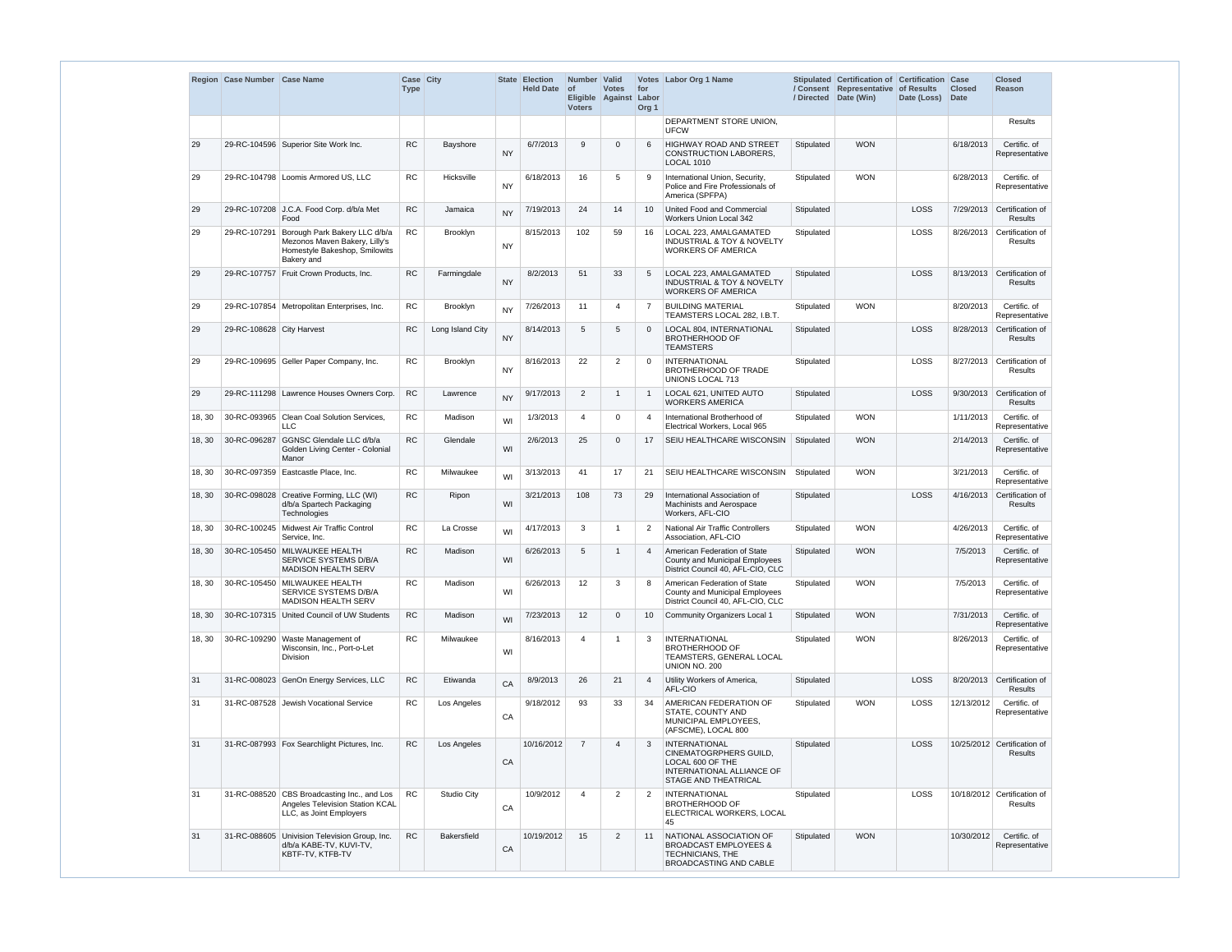|        | Region Case Number Case Name |                                                                                                               | Case City<br><b>Type</b> |                    |           | State Election<br><b>Held Date</b> | Number Valid<br><b>of</b><br><b>Voters</b> | <b>Votes</b><br>Eligible Against | for<br>Labor<br>Org <sub>1</sub> | Votes Labor Org 1 Name                                                                                                  | / Directed | Stipulated Certification of Certification Case<br>/ Consent Representative of Results<br>Date (Win) | Date (Loss) | <b>Closed</b><br><b>Date</b> | <b>Closed</b><br><b>Reason</b>         |
|--------|------------------------------|---------------------------------------------------------------------------------------------------------------|--------------------------|--------------------|-----------|------------------------------------|--------------------------------------------|----------------------------------|----------------------------------|-------------------------------------------------------------------------------------------------------------------------|------------|-----------------------------------------------------------------------------------------------------|-------------|------------------------------|----------------------------------------|
|        |                              |                                                                                                               |                          |                    |           |                                    |                                            |                                  |                                  | DEPARTMENT STORE UNION,<br><b>UFCW</b>                                                                                  |            |                                                                                                     |             |                              | Results                                |
| 29     |                              | 29-RC-104596 Superior Site Work Inc.                                                                          | <b>RC</b>                | Bayshore           | <b>NY</b> | 6/7/2013                           | 9                                          | $\Omega$                         | 6                                | <b>HIGHWAY ROAD AND STREET</b><br><b>CONSTRUCTION LABORERS,</b><br><b>LOCAL 1010</b>                                    | Stipulated | <b>WON</b>                                                                                          |             | 6/18/2013                    | Certific. of<br>Representative         |
| 29     |                              | 29-RC-104798   Loomis Armored US, LLC                                                                         | RC                       | Hicksville         | <b>NY</b> | 6/18/2013                          | 16                                         | 5                                | 9                                | International Union, Security,<br>Police and Fire Professionals of<br>America (SPFPA)                                   | Stipulated | <b>WON</b>                                                                                          |             | 6/28/2013                    | Certific. of<br>Representative         |
| 29     |                              | 29-RC-107208 J.C.A. Food Corp. d/b/a Met<br>Food                                                              | <b>RC</b>                | Jamaica            | <b>NY</b> | 7/19/2013                          | 24                                         | 14                               | 10                               | United Food and Commercial<br><b>Workers Union Local 342</b>                                                            | Stipulated |                                                                                                     | LOSS        | 7/29/2013                    | Certification of<br><b>Results</b>     |
| 29     | 29-RC-107291                 | Borough Park Bakery LLC d/b/a<br>Mezonos Maven Bakery, Lilly's<br>Homestyle Bakeshop, Smilowits<br>Bakery and | <b>RC</b>                | Brooklyn           | <b>NY</b> | 8/15/2013                          | 102                                        | 59                               | 16                               | LOCAL 223, AMALGAMATED<br>INDUSTRIAL & TOY & NOVELTY<br><b>WORKERS OF AMERICA</b>                                       | Stipulated |                                                                                                     | LOSS        | 8/26/2013                    | Certification of<br><b>Results</b>     |
| 29     |                              | 29-RC-107757 Fruit Crown Products, Inc.                                                                       | <b>RC</b>                | Farmingdale        | <b>NY</b> | 8/2/2013                           | 51                                         | 33                               | 5                                | LOCAL 223, AMALGAMATED<br><b>INDUSTRIAL &amp; TOY &amp; NOVELTY</b><br><b>WORKERS OF AMERICA</b>                        | Stipulated |                                                                                                     | LOSS        | 8/13/2013                    | Certification of<br><b>Results</b>     |
| 29     |                              | 29-RC-107854 Metropolitan Enterprises, Inc.                                                                   | RC                       | Brooklyn           | <b>NY</b> | 7/26/2013                          | 11                                         | 4                                | -7                               | <b>BUILDING MATERIAL</b><br>TEAMSTERS LOCAL 282, I.B.T.                                                                 | Stipulated | <b>WON</b>                                                                                          |             | 8/20/2013                    | Certific. of<br>Representative         |
| 29     | 29-RC-108628 City Harvest    |                                                                                                               | <b>RC</b>                | Long Island City   | <b>NY</b> | 8/14/2013                          | 5                                          | 5                                | $\mathbf{0}$                     | LOCAL 804, INTERNATIONAL<br><b>BROTHERHOOD OF</b><br><b>TEAMSTERS</b>                                                   | Stipulated |                                                                                                     | LOSS        | 8/28/2013                    | Certification of<br>Results            |
| 29     |                              | 29-RC-109695 Geller Paper Company, Inc.                                                                       | <b>RC</b>                | Brooklyn           | <b>NY</b> | 8/16/2013                          | 22                                         | 2                                | $\Omega$                         | <b>INTERNATIONAL</b><br>BROTHERHOOD OF TRADE<br>UNIONS LOCAL 713                                                        | Stipulated |                                                                                                     | LOSS        | 8/27/2013                    | Certification of<br>Results            |
| 29     |                              | 29-RC-111298 Lawrence Houses Owners Corp.                                                                     | RC                       | Lawrence           | <b>NY</b> | 9/17/2013                          | 2                                          |                                  | $\overline{1}$                   | LOCAL 621, UNITED AUTO<br><b>WORKERS AMERICA</b>                                                                        | Stipulated |                                                                                                     | LOSS        | 9/30/2013                    | Certification of<br><b>Results</b>     |
| 18, 30 |                              | 30-RC-093965 Clean Coal Solution Services,<br><b>LLC</b>                                                      | RC                       | Madison            | WI        | 1/3/2013                           | $\boldsymbol{\varDelta}$                   | $\Omega$                         | $\overline{4}$                   | International Brotherhood of<br>Electrical Workers, Local 965                                                           | Stipulated | <b>WON</b>                                                                                          |             | 1/11/2013                    | Certific. of<br>Representative         |
| 18, 30 | 30-RC-096287                 | GGNSC Glendale LLC d/b/a<br>Golden Living Center - Colonial<br>Manor                                          | RC                       | Glendale           | WI        | 2/6/2013                           | 25                                         | $\Omega$                         | 17                               | <b>SEIU HEALTHCARE WISCONSIN</b>                                                                                        | Stipulated | <b>WON</b>                                                                                          |             | 2/14/2013                    | Certific. of<br>Representative         |
| 18, 30 |                              | 30-RC-097359 Eastcastle Place, Inc.                                                                           | RC                       | Milwaukee          | WI        | 3/13/2013                          | 41                                         | 17                               | 21                               | SEIU HEALTHCARE WISCONSIN                                                                                               | Stipulated | <b>WON</b>                                                                                          |             | 3/21/2013                    | Certific. of<br>Representative         |
| 18, 30 |                              | 30-RC-098028 Creative Forming, LLC (WI)<br>d/b/a Spartech Packaging<br>Technologies                           | RC                       | Ripon              | WI        | 3/21/2013                          | 108                                        | 73                               | 29                               | International Association of<br>Machinists and Aerospace<br>Workers, AFL-CIO                                            | Stipulated |                                                                                                     | LOSS        |                              | 4/16/2013 Certification of<br>Results  |
| 18, 30 |                              | 30-RC-100245 Midwest Air Traffic Control<br>Service, Inc.                                                     | RC                       | La Crosse          | WI        | 4/17/2013                          | 3                                          |                                  | 2                                | <b>National Air Traffic Controllers</b><br>Association, AFL-CIO                                                         | Stipulated | <b>WON</b>                                                                                          |             | 4/26/2013                    | Certific. of<br>Representative         |
| 18, 30 |                              | 30-RC-105450 MILWAUKEE HEALTH<br>SERVICE SYSTEMS D/B/A<br><b>MADISON HEALTH SERV</b>                          | RC                       | Madison            | WI        | 6/26/2013                          | $5\overline{)}$                            |                                  | $\overline{4}$                   | American Federation of State<br>County and Municipal Employees<br>District Council 40, AFL-CIO, CLC                     | Stipulated | <b>WON</b>                                                                                          |             | 7/5/2013                     | Certific. of<br>Representative         |
| 18, 30 |                              | 30-RC-105450 MILWAUKEE HEALTH<br>SERVICE SYSTEMS D/B/A<br>MADISON HEALTH SERV                                 | <b>RC</b>                | Madison            | WI        | 6/26/2013                          | 12                                         | 3                                | 8                                | American Federation of State<br>County and Municipal Employees<br>District Council 40, AFL-CIO, CLC                     | Stipulated | <b>WON</b>                                                                                          |             | 7/5/2013                     | Certific. of<br>Representative         |
| 18, 30 |                              | 30-RC-107315 United Council of UW Students                                                                    | ${\sf RC}$               | Madison            | WI        | 7/23/2013                          | 12                                         | $\Omega$                         | 10                               | Community Organizers Local 1                                                                                            | Stipulated | <b>WON</b>                                                                                          |             | 7/31/2013                    | Certific. of<br>Representative         |
| 18, 30 |                              | 30-RC-109290 Waste Management of<br>Wisconsin, Inc., Port-o-Let<br>Division                                   | RC                       | Milwaukee          | WI        | 8/16/2013                          | 4                                          |                                  | 3                                | <b>INTERNATIONAL</b><br><b>BROTHERHOOD OF</b><br>TEAMSTERS, GENERAL LOCAL<br><b>UNION NO. 200</b>                       | Stipulated | <b>WON</b>                                                                                          |             | 8/26/2013                    | Certific. of<br>Representative         |
| 31     |                              | 31-RC-008023 GenOn Energy Services, LLC                                                                       | ${\sf RC}$               | Etiwanda           | CA        | 8/9/2013                           | 26                                         | 21                               | $\overline{4}$                   | Utility Workers of America,<br>AFL-CIO                                                                                  | Stipulated |                                                                                                     | LOSS        | 8/20/2013                    | Certification of<br>Results            |
| 31     |                              | 31-RC-087528 Jewish Vocational Service                                                                        | <b>RC</b>                | Los Angeles        | CA        | 9/18/2012                          | 93                                         | 33                               | 34                               | AMERICAN FEDERATION OF<br><b>STATE, COUNTY AND</b><br>MUNICIPAL EMPLOYEES,<br>(AFSCME), LOCAL 800                       | Stipulated | <b>WON</b>                                                                                          | LOSS        | 12/13/2012                   | Certific. of<br>Representative         |
| 31     |                              | 31-RC-087993   Fox Searchlight Pictures, Inc.                                                                 | <b>RC</b>                | Los Angeles        | CA        | 10/16/2012                         | $\overline{7}$                             | 4                                | 3                                | <b>INTERNATIONAL</b><br>CINEMATOGRPHERS GUILD,<br>LOCAL 600 OF THE<br>INTERNATIONAL ALLIANCE OF<br>STAGE AND THEATRICAL | Stipulated |                                                                                                     | LOSS        |                              | 10/25/2012 Certification of<br>Results |
| 31     |                              | 31-RC-088520 CBS Broadcasting Inc., and Los<br>Angeles Television Station KCAL<br>LLC, as Joint Employers     | <b>RC</b>                | <b>Studio City</b> | CA        | 10/9/2012                          | $\overline{4}$                             | $\overline{2}$                   | $\overline{2}$                   | <b>INTERNATIONAL</b><br><b>BROTHERHOOD OF</b><br>ELECTRICAL WORKERS, LOCAL<br>45                                        | Stipulated |                                                                                                     | LOSS        |                              | 10/18/2012 Certification of<br>Results |
| 31     |                              | 31-RC-088605 Univision Television Group, Inc.<br>d/b/a KABE-TV, KUVI-TV,<br>KBTF-TV, KTFB-TV                  | <b>RC</b>                | <b>Bakersfield</b> | CA        | 10/19/2012                         | 15                                         | $\overline{2}$                   | 11                               | NATIONAL ASSOCIATION OF<br><b>BROADCAST EMPLOYEES &amp;</b><br>TECHNICIANS, THE<br>BROADCASTING AND CABLE               | Stipulated | <b>WON</b>                                                                                          |             | 10/30/2012                   | Certific. of<br>Representative         |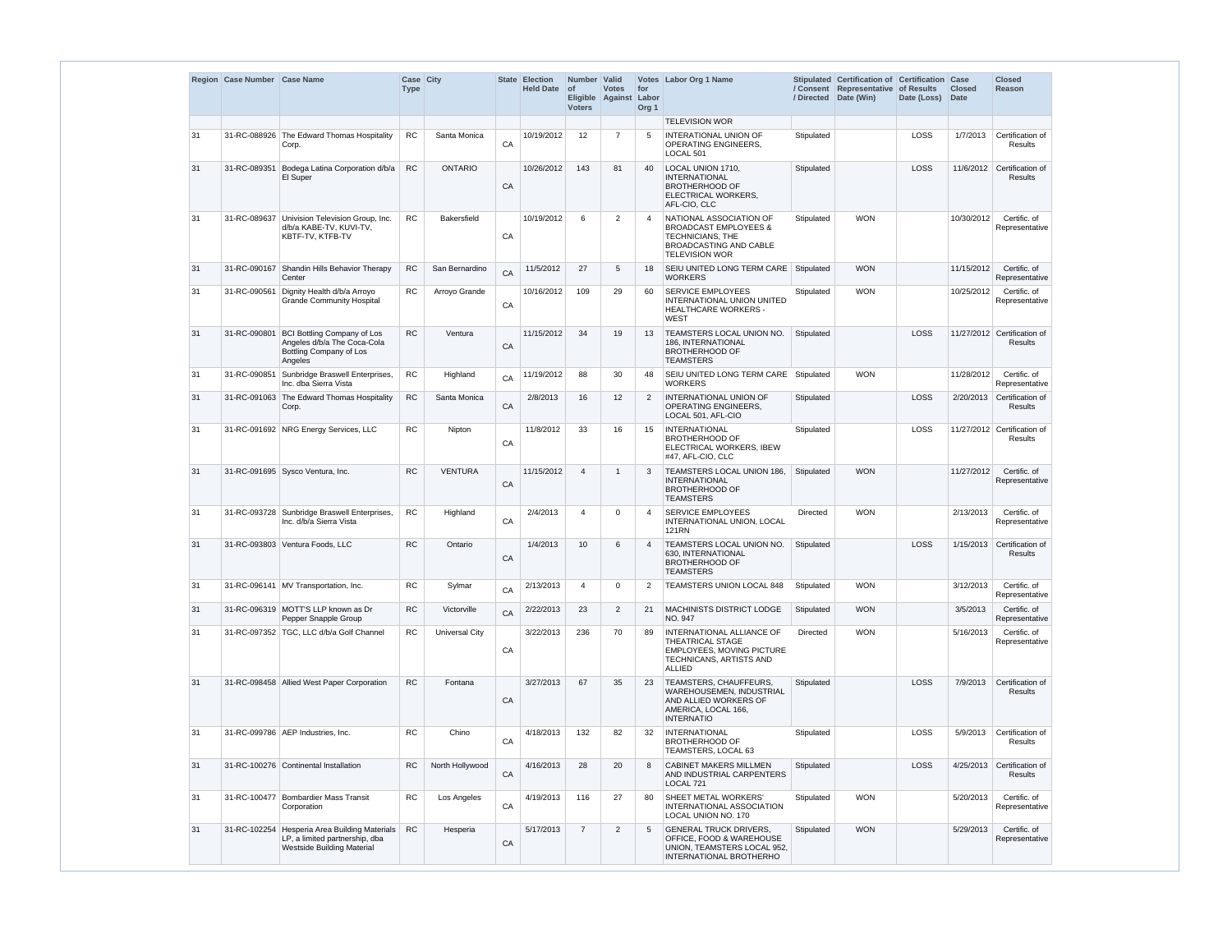|    | Region Case Number Case Name |                                                                                                                      | Case City<br><b>Type</b> |                       |    | <b>State Election</b><br><b>Held Date</b> | Number Valid<br><b>of</b><br><b>Voters</b> | <b>Votes</b><br>Eligible Against | for<br>Labor<br>Org <sub>1</sub> | Votes Labor Org 1 Name                                                                                                                    | / Directed | Stipulated Certification of Certification Case<br>/ Consent Representative of Results<br>Date (Win) | Date (Loss) | <b>Closed</b><br><b>Date</b> | <b>Closed</b><br><b>Reason</b>                |
|----|------------------------------|----------------------------------------------------------------------------------------------------------------------|--------------------------|-----------------------|----|-------------------------------------------|--------------------------------------------|----------------------------------|----------------------------------|-------------------------------------------------------------------------------------------------------------------------------------------|------------|-----------------------------------------------------------------------------------------------------|-------------|------------------------------|-----------------------------------------------|
|    |                              |                                                                                                                      |                          |                       |    |                                           |                                            |                                  |                                  | <b>TELEVISION WOR</b>                                                                                                                     |            |                                                                                                     |             |                              |                                               |
| 31 |                              | 31-RC-088926 The Edward Thomas Hospitality<br>Corp.                                                                  | <b>RC</b>                | Santa Monica          | CA | 10/19/2012                                | 12                                         | $\overline{7}$                   | 5                                | <b>INTERATIONAL UNION OF</b><br>OPERATING ENGINEERS,<br>LOCAL 501                                                                         | Stipulated |                                                                                                     | LOSS        | 1/7/2013                     | Certification of<br><b>Results</b>            |
| 31 | 31-RC-089351                 | Bodega Latina Corporation d/b/a<br>El Super                                                                          | RC                       | <b>ONTARIO</b>        | CA | 10/26/2012                                | 143                                        | 81                               | 40                               | LOCAL UNION 1710,<br><b>INTERNATIONAL</b><br><b>BROTHERHOOD OF</b><br>ELECTRICAL WORKERS,<br>AFL-CIO, CLC                                 | Stipulated |                                                                                                     | LOSS        | 11/6/2012                    | Certification of<br><b>Results</b>            |
| 31 |                              | 31-RC-089637 Univision Television Group, Inc.<br>d/b/a KABE-TV, KUVI-TV,<br>KBTF-TV, KTFB-TV                         | <b>RC</b>                | <b>Bakersfield</b>    | CA | 10/19/2012                                | 6                                          | 2                                | 4                                | NATIONAL ASSOCIATION OF<br><b>BROADCAST EMPLOYEES &amp;</b><br>TECHNICIANS, THE<br><b>BROADCASTING AND CABLE</b><br><b>TELEVISION WOR</b> | Stipulated | <b>WON</b>                                                                                          |             | 10/30/2012                   | Certific. of<br>Representative                |
| 31 |                              | 31-RC-090167 Shandin Hills Behavior Therapy<br>Center                                                                | <b>RC</b>                | San Bernardino        | CA | 11/5/2012                                 | 27                                         | 5                                | 18                               | SEIU UNITED LONG TERM CARE<br><b>WORKERS</b>                                                                                              | Stipulated | <b>WON</b>                                                                                          |             | 11/15/2012                   | Certific. of<br>Representative                |
| 31 | 31-RC-090561                 | Dignity Health d/b/a Arroyo<br><b>Grande Community Hospital</b>                                                      | <b>RC</b>                | Arroyo Grande         | CA | 10/16/2012                                | 109                                        | 29                               | 60                               | <b>SERVICE EMPLOYEES</b><br>INTERNATIONAL UNION UNITED<br><b>HEALTHCARE WORKERS -</b><br><b>WEST</b>                                      | Stipulated | <b>WON</b>                                                                                          |             | 10/25/2012                   | Certific. of<br>Representative                |
| 31 | 31-RC-090801                 | <b>BCI Bottling Company of Los</b><br>Angeles d/b/a The Coca-Cola<br>Bottling Company of Los<br>Angeles              | <b>RC</b>                | Ventura               | CA | 11/15/2012                                | 34                                         | 19                               | 13                               | <b>TEAMSTERS LOCAL UNION NO.</b><br><b>186. INTERNATIONAL</b><br><b>BROTHERHOOD OF</b><br><b>TEAMSTERS</b>                                | Stipulated |                                                                                                     | LOSS        |                              | 11/27/2012 Certification of<br><b>Results</b> |
| 31 | 31-RC-090851                 | Sunbridge Braswell Enterprises,<br>Inc. dba Sierra Vista                                                             | <b>RC</b>                | Highland              | CA | 11/19/2012                                | 88                                         | 30                               | 48                               | SEIU UNITED LONG TERM CARE<br><b>WORKERS</b>                                                                                              | Stipulated | <b>WON</b>                                                                                          |             | 11/28/2012                   | Certific. of<br>Representative                |
| 31 |                              | 31-RC-091063 The Edward Thomas Hospitality<br>Corp.                                                                  | RC                       | Santa Monica          | CA | 2/8/2013                                  | 16                                         | 12                               | 2                                | <b>INTERNATIONAL UNION OF</b><br><b>OPERATING ENGINEERS.</b><br>LOCAL 501, AFL-CIO                                                        | Stipulated |                                                                                                     | LOSS        | 2/20/2013                    | Certification of<br>Results                   |
| 31 |                              | 31-RC-091692 NRG Energy Services, LLC                                                                                | <b>RC</b>                | Nipton                | CA | 11/8/2012                                 | 33                                         | 16                               | 15                               | <b>INTERNATIONAL</b><br><b>BROTHERHOOD OF</b><br>ELECTRICAL WORKERS, IBEW<br>#47, AFL-CIO, CLC                                            | Stipulated |                                                                                                     | LOSS        |                              | 11/27/2012 Certification of<br><b>Results</b> |
| 31 |                              | 31-RC-091695 Sysco Ventura, Inc.                                                                                     | <b>RC</b>                | <b>VENTURA</b>        | CA | 11/15/2012                                | $\overline{4}$                             | -1                               | 3                                | <b>TEAMSTERS LOCAL UNION 186.</b><br><b>INTERNATIONAL</b><br><b>BROTHERHOOD OF</b><br><b>TEAMSTERS</b>                                    | Stipulated | <b>WON</b>                                                                                          |             | 11/27/2012                   | Certific. of<br>Representative                |
| 31 |                              | 31-RC-093728 Sunbridge Braswell Enterprises,<br>Inc. d/b/a Sierra Vista                                              | RC                       | Highland              | CA | 2/4/2013                                  | $\Delta$                                   | $\Omega$                         |                                  | SERVICE EMPLOYEES<br>INTERNATIONAL UNION, LOCAL<br><b>121RN</b>                                                                           | Directed   | <b>WON</b>                                                                                          |             | 2/13/2013                    | Certific. of<br>Representative                |
| 31 |                              | 31-RC-093803 Ventura Foods, LLC                                                                                      | <b>RC</b>                | Ontario               | CA | 1/4/2013                                  | 10                                         | 6                                | $\overline{4}$                   | TEAMSTERS LOCAL UNION NO.<br>630, INTERNATIONAL<br><b>BROTHERHOOD OF</b><br><b>TEAMSTERS</b>                                              | Stipulated |                                                                                                     | LOSS        | 1/15/2013                    | Certification of<br>Results                   |
| 31 |                              | 31-RC-096141 MV Transportation, Inc.                                                                                 | ${\sf RC}$               | Sylmar                | CA | 2/13/2013                                 | $\overline{4}$                             | $\mathbf 0$                      | 2                                | TEAMSTERS UNION LOCAL 848                                                                                                                 | Stipulated | <b>WON</b>                                                                                          |             | 3/12/2013                    | Certific. of<br>Representative                |
| 31 |                              | 31-RC-096319 MOTT'S LLP known as Dr<br>Pepper Snapple Group                                                          | ${\sf RC}$               | Victorville           | CA | 2/22/2013                                 | 23                                         | $\overline{2}$                   | 21                               | <b>MACHINISTS DISTRICT LODGE</b><br>NO. 947                                                                                               | Stipulated | <b>WON</b>                                                                                          |             | 3/5/2013                     | Certific. of<br>Representative                |
| 31 |                              | 31-RC-097352   TGC, LLC d/b/a Golf Channel                                                                           | <b>RC</b>                | <b>Universal City</b> | CA | 3/22/2013                                 | 236                                        | 70                               | 89                               | INTERNATIONAL ALLIANCE OF<br><b>THEATRICAL STAGE</b><br>EMPLOYEES, MOVING PICTURE<br>TECHNICANS, ARTISTS AND<br><b>ALLIED</b>             | Directed   | <b>WON</b>                                                                                          |             | 5/16/2013                    | Certific. of<br>Representative                |
| 31 |                              | 31-RC-098458 Allied West Paper Corporation                                                                           | <b>RC</b>                | Fontana               | CA | 3/27/2013                                 | 67                                         | 35                               | 23                               | <b>TEAMSTERS, CHAUFFEURS,</b><br>WAREHOUSEMEN, INDUSTRIAL<br>AND ALLIED WORKERS OF<br>AMERICA, LOCAL 166,<br><b>INTERNATIO</b>            | Stipulated |                                                                                                     | LOSS        | 7/9/2013                     | Certification of<br>Results                   |
| 31 |                              | 31-RC-099786 AEP Industries, Inc.                                                                                    | <b>RC</b>                | Chino                 | CA | 4/18/2013                                 | 132                                        | 82                               | 32                               | <b>INTERNATIONAL</b><br><b>BROTHERHOOD OF</b><br>TEAMSTERS, LOCAL 63                                                                      | Stipulated |                                                                                                     | LOSS        | 5/9/2013                     | Certification of<br>Results                   |
| 31 |                              | 31-RC-100276 Continental Installation                                                                                | <b>RC</b>                | North Hollywood       | CA | 4/16/2013                                 | 28                                         | 20                               | 8                                | <b>CABINET MAKERS MILLMEN</b><br>AND INDUSTRIAL CARPENTERS<br>LOCAL 721                                                                   | Stipulated |                                                                                                     | LOSS        | 4/25/2013                    | Certification of<br><b>Results</b>            |
| 31 | 31-RC-100477                 | <b>Bombardier Mass Transit</b><br>Corporation                                                                        | <b>RC</b>                | Los Angeles           | CA | 4/19/2013                                 | 116                                        | 27                               | 80                               | SHEET METAL WORKERS'<br>INTERNATIONAL ASSOCIATION<br>LOCAL UNION NO. 170                                                                  | Stipulated | <b>WON</b>                                                                                          |             | 5/20/2013                    | Certific. of<br>Representative                |
| 31 |                              | 31-RC-102254 Hesperia Area Building Materials<br>LP, a limited partnership, dba<br><b>Westside Building Material</b> | <b>RC</b>                | Hesperia              | CA | 5/17/2013                                 | $\overline{7}$                             | 2                                | 5                                | <b>GENERAL TRUCK DRIVERS,</b><br>OFFICE, FOOD & WAREHOUSE<br>UNION, TEAMSTERS LOCAL 952,<br>INTERNATIONAL BROTHERHO                       | Stipulated | <b>WON</b>                                                                                          |             | 5/29/2013                    | Certific. of<br>Representative                |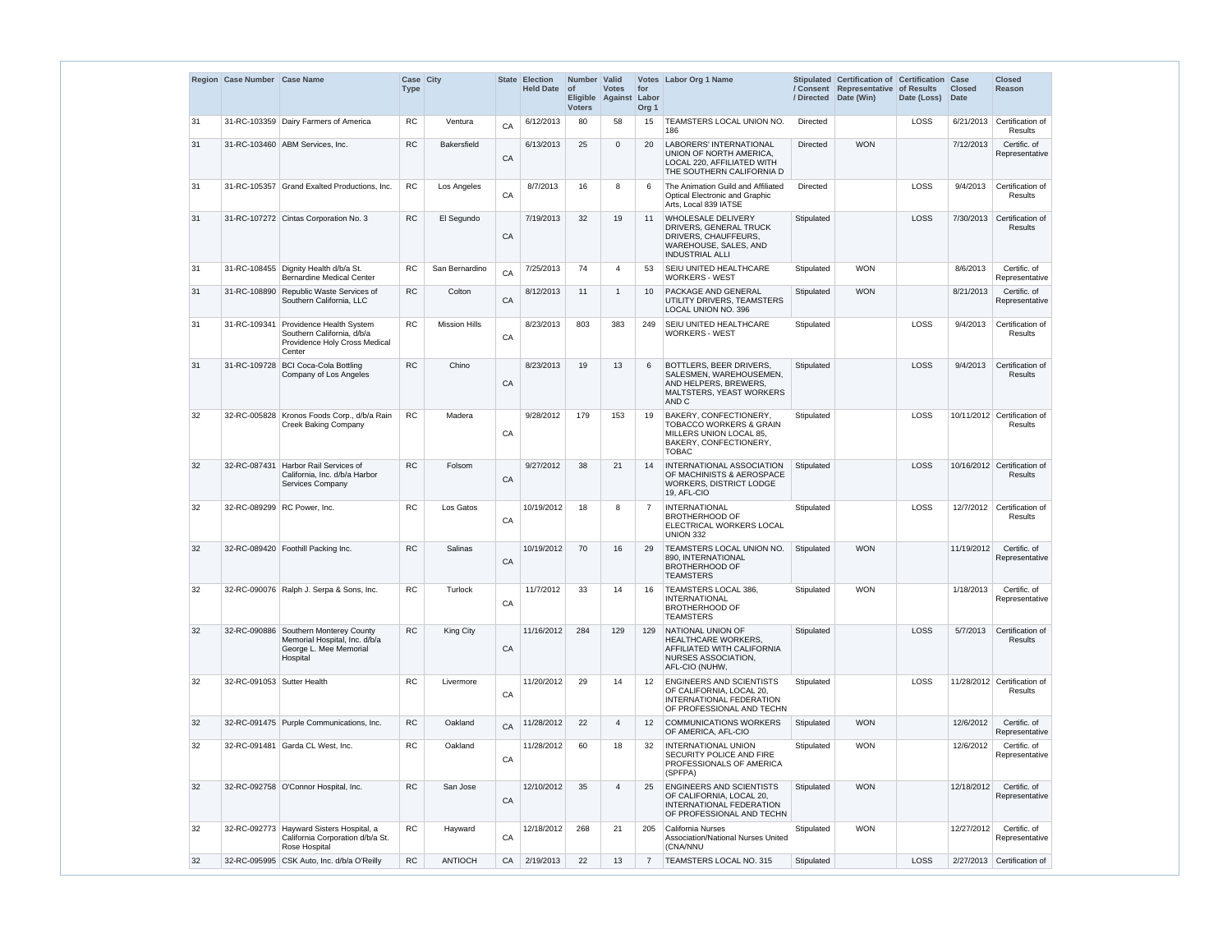|    | Region Case Number Case Name |                                                                                                                | Case City<br><b>Type</b> |                      |            | State Election<br><b>Held Date</b> | Number Valid<br>$\circ$ f<br><b>Voters</b> | <b>Votes</b><br>Eligible Against | for<br>Labor<br>Org <sub>1</sub> | Votes Labor Org 1 Name                                                                                                                       |                 | Stipulated Certification of Certification Case<br>/ Consent Representative of Results<br>/ Directed Date (Win) | Date (Loss) | <b>Closed</b><br><b>Date</b> | <b>Closed</b><br>Reason                       |
|----|------------------------------|----------------------------------------------------------------------------------------------------------------|--------------------------|----------------------|------------|------------------------------------|--------------------------------------------|----------------------------------|----------------------------------|----------------------------------------------------------------------------------------------------------------------------------------------|-----------------|----------------------------------------------------------------------------------------------------------------|-------------|------------------------------|-----------------------------------------------|
| 31 |                              | 31-RC-103359 Dairy Farmers of America                                                                          | RC                       | Ventura              | CA         | 6/12/2013                          | 80                                         | 58                               | 15                               | TEAMSTERS LOCAL UNION NO.<br>186                                                                                                             | Directed        |                                                                                                                | LOSS        | 6/21/2013                    | Certification of<br>Results                   |
| 31 |                              | 31-RC-103460 ABM Services, Inc.                                                                                | <b>RC</b>                | <b>Bakersfield</b>   | CA         | 6/13/2013                          | 25                                         | $\overline{0}$                   | 20                               | <b>LABORERS' INTERNATIONAL</b><br>UNION OF NORTH AMERICA.<br>LOCAL 220, AFFILIATED WITH<br>THE SOUTHERN CALIFORNIA D                         | <b>Directed</b> | <b>WON</b>                                                                                                     |             | 7/12/2013                    | Certific. of<br>Representative                |
| 31 |                              | 31-RC-105357 Grand Exalted Productions, Inc.                                                                   | <b>RC</b>                | Los Angeles          | ${\sf CA}$ | 8/7/2013                           | 16                                         | 8                                | 6                                | The Animation Guild and Affiliated<br><b>Optical Electronic and Graphic</b><br>Arts, Local 839 IATSE                                         | Directed        |                                                                                                                | LOSS        | 9/4/2013                     | Certification of<br>Results                   |
| 31 |                              | 31-RC-107272 Cintas Corporation No. 3                                                                          | <b>RC</b>                | El Segundo           | CA         | 7/19/2013                          | 32                                         | 19                               | 11                               | <b>WHOLESALE DELIVERY</b><br><b>DRIVERS, GENERAL TRUCK</b><br>DRIVERS, CHAUFFEURS,<br><b>WAREHOUSE, SALES, AND</b><br><b>INDUSTRIAL ALLI</b> | Stipulated      |                                                                                                                | LOSS        |                              | 7/30/2013 Certification of<br><b>Results</b>  |
| 31 |                              | 31-RC-108455 Dignity Health d/b/a St.<br><b>Bernardine Medical Center</b>                                      | <b>RC</b>                | San Bernardino       | CA         | 7/25/2013                          | 74                                         | 4                                | 53                               | SEIU UNITED HEALTHCARE<br><b>WORKERS - WEST</b>                                                                                              | Stipulated      | <b>WON</b>                                                                                                     |             | 8/6/2013                     | Certific. of<br>Representative                |
| 31 | 31-RC-108890                 | Republic Waste Services of<br>Southern California, LLC                                                         | <b>RC</b>                | Colton               | CA         | 8/12/2013                          | 11                                         |                                  | 10                               | <b>PACKAGE AND GENERAL</b><br>UTILITY DRIVERS, TEAMSTERS<br>LOCAL UNION NO. 396                                                              | Stipulated      | <b>WON</b>                                                                                                     |             | 8/21/2013                    | Certific. of<br>Representative                |
| 31 |                              | 31-RC-109341 Providence Health System<br>Southern California, d/b/a<br>Providence Holy Cross Medical<br>Center | <b>RC</b>                | <b>Mission Hills</b> | CA         | 8/23/2013                          | 803                                        | 383                              | 249                              | <b>SEIU UNITED HEALTHCARE</b><br><b>WORKERS - WEST</b>                                                                                       | Stipulated      |                                                                                                                | LOSS        | 9/4/2013                     | Certification of<br>Results                   |
| 31 | 31-RC-109728                 | <b>BCI Coca-Cola Bottling</b><br>Company of Los Angeles                                                        | RC                       | Chino                | CA         | 8/23/2013                          | 19                                         | 13                               | 6                                | BOTTLERS, BEER DRIVERS,<br>SALESMEN, WAREHOUSEMEN,<br>AND HELPERS, BREWERS,<br>MALTSTERS, YEAST WORKERS<br>AND C                             | Stipulated      |                                                                                                                | LOSS        | 9/4/2013                     | Certification of<br><b>Results</b>            |
| 32 |                              | 32-RC-005828 Kronos Foods Corp., d/b/a Rain<br><b>Creek Baking Company</b>                                     | <b>RC</b>                | Madera               | CA         | 9/28/2012                          | 179                                        | 153                              | 19                               | BAKERY, CONFECTIONERY,<br><b>TOBACCO WORKERS &amp; GRAIN</b><br>MILLERS UNION LOCAL 85,<br>BAKERY, CONFECTIONERY,<br><b>TOBAC</b>            | Stipulated      |                                                                                                                | LOSS        |                              | 10/11/2012 Certification of<br>Results        |
| 32 |                              | 32-RC-087431 Harbor Rail Services of<br>California, Inc. d/b/a Harbor<br>Services Company                      | <b>RC</b>                | Folsom               | CA         | 9/27/2012                          | 38                                         | 21                               | 14                               | <b>INTERNATIONAL ASSOCIATION</b><br>OF MACHINISTS & AEROSPACE<br>WORKERS, DISTRICT LODGE<br>19. AFL-CIO                                      | Stipulated      |                                                                                                                | LOSS        |                              | 10/16/2012 Certification of<br>Results        |
| 32 |                              | 32-RC-089299 RC Power, Inc.                                                                                    | <b>RC</b>                | Los Gatos            | CA         | 10/19/2012                         | 18                                         | 8                                |                                  | <b>INTERNATIONAL</b><br><b>BROTHERHOOD OF</b><br>ELECTRICAL WORKERS LOCAL<br><b>UNION 332</b>                                                | Stipulated      |                                                                                                                | LOSS        |                              | 12/7/2012 Certification of<br><b>Results</b>  |
| 32 |                              | 32-RC-089420 Foothill Packing Inc.                                                                             | <b>RC</b>                | Salinas              | CA         | 10/19/2012                         | 70                                         | 16                               | 29                               | TEAMSTERS LOCAL UNION NO.<br>890. INTERNATIONAL<br><b>BROTHERHOOD OF</b><br><b>TEAMSTERS</b>                                                 | Stipulated      | <b>WON</b>                                                                                                     |             | 11/19/2012                   | Certific. of<br>Representative                |
| 32 |                              | 32-RC-090076   Ralph J. Serpa & Sons, Inc.                                                                     | <b>RC</b>                | Turlock              | CA         | 11/7/2012                          | 33                                         | 14                               | 16                               | TEAMSTERS LOCAL 386,<br><b>INTERNATIONAL</b><br><b>BROTHERHOOD OF</b><br><b>TEAMSTERS</b>                                                    | Stipulated      | <b>WON</b>                                                                                                     |             | 1/18/2013                    | Certific. of<br>Representative                |
| 32 |                              | 32-RC-090886 Southern Monterey County<br>Memorial Hospital, Inc. d/b/a<br>George L. Mee Memorial<br>Hospital   | <b>RC</b>                | King City            | CA         | 11/16/2012                         | 284                                        | 129                              | 129                              | NATIONAL UNION OF<br><b>HEALTHCARE WORKERS,</b><br><b>AFFILIATED WITH CALIFORNIA</b><br><b>NURSES ASSOCIATION,</b><br>AFL-CIO (NUHW,         | Stipulated      |                                                                                                                | LOSS        | 5/7/2013                     | Certification of<br><b>Results</b>            |
| 32 | 32-RC-091053 Sutter Health   |                                                                                                                | <b>RC</b>                | Livermore            | CA         | 11/20/2012                         | 29                                         | 14                               | 12                               | <b>ENGINEERS AND SCIENTISTS</b><br>OF CALIFORNIA, LOCAL 20,<br>INTERNATIONAL FEDERATION<br>OF PROFESSIONAL AND TECHN                         | Stipulated      |                                                                                                                | LOSS        |                              | 11/28/2012 Certification of<br><b>Results</b> |
| 32 |                              | 32-RC-091475 Purple Communications, Inc.                                                                       | ${\sf RC}$               | Oakland              | CA         | 11/28/2012                         | 22                                         | 4                                | 12                               | <b>COMMUNICATIONS WORKERS</b><br>OF AMERICA, AFL-CIO                                                                                         | Stipulated      | <b>WON</b>                                                                                                     |             | 12/6/2012                    | Certific. of<br>Representative                |
| 32 |                              | 32-RC-091481 Garda CL West, Inc.                                                                               | ${\sf RC}$               | Oakland              | CA         | 11/28/2012                         | 60                                         | 18                               | 32                               | <b>INTERNATIONAL UNION</b><br>SECURITY POLICE AND FIRE<br>PROFESSIONALS OF AMERICA<br>(SPFPA)                                                | Stipulated      | <b>WON</b>                                                                                                     |             | 12/6/2012                    | Certific. of<br>Representative                |
| 32 |                              | 32-RC-092758 O'Connor Hospital, Inc.                                                                           | <b>RC</b>                | San Jose             | CA         | 12/10/2012                         | 35                                         | 4                                | 25                               | <b>ENGINEERS AND SCIENTISTS</b><br>OF CALIFORNIA, LOCAL 20,<br>INTERNATIONAL FEDERATION<br>OF PROFESSIONAL AND TECHN                         | Stipulated      | <b>WON</b>                                                                                                     |             | 12/18/2012                   | Certific. of<br>Representative                |
| 32 |                              | 32-RC-092773 Hayward Sisters Hospital, a<br>California Corporation d/b/a St.<br>Rose Hospital                  | ${\sf RC}$               | Hayward              | CA         | 12/18/2012                         | 268                                        | 21                               | 205                              | California Nurses<br>Association/National Nurses United<br>(CNA/NNU                                                                          | Stipulated      | <b>WON</b>                                                                                                     |             | 12/27/2012                   | Certific. of<br>Representative                |
| 32 |                              | 32-RC-095995 CSK Auto, Inc. d/b/a O'Reilly                                                                     | <b>RC</b>                | <b>ANTIOCH</b>       | CA         | 2/19/2013                          | 22                                         | 13                               | $\overline{7}$                   | TEAMSTERS LOCAL NO. 315                                                                                                                      | Stipulated      |                                                                                                                | LOSS        |                              | 2/27/2013 Certification of                    |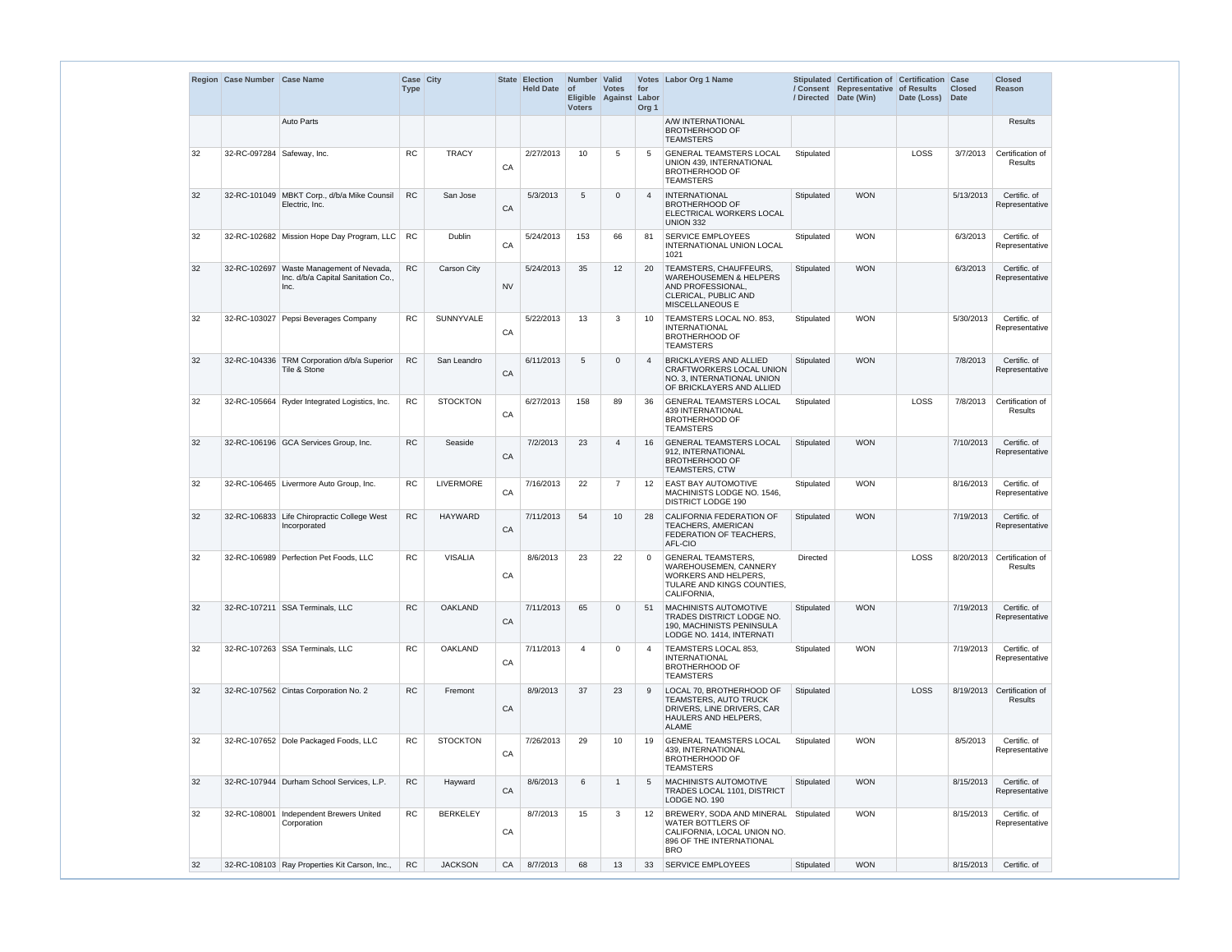|    | Region Case Number Case Name |                                                                           | Case City<br><b>Type</b> |                  |           | State Election<br><b>Held Date</b> | Number Valid<br>$ $ of<br><b>Voters</b> | <b>Votes</b><br>Eligible Against | for<br>Labor<br>Org <sub>1</sub> | Votes Labor Org 1 Name                                                                                                             |            | Stipulated Certification of Certification Case<br>/ Consent Representative of Results<br>/ Directed Date (Win) | Date (Loss) | <b>Closed</b><br>Date | <b>Closed</b><br>Reason               |
|----|------------------------------|---------------------------------------------------------------------------|--------------------------|------------------|-----------|------------------------------------|-----------------------------------------|----------------------------------|----------------------------------|------------------------------------------------------------------------------------------------------------------------------------|------------|----------------------------------------------------------------------------------------------------------------|-------------|-----------------------|---------------------------------------|
|    |                              | <b>Auto Parts</b>                                                         |                          |                  |           |                                    |                                         |                                  |                                  | A/W INTERNATIONAL<br><b>BROTHERHOOD OF</b><br><b>TEAMSTERS</b>                                                                     |            |                                                                                                                |             |                       | <b>Results</b>                        |
| 32 | 32-RC-097284   Safeway, Inc. |                                                                           | <b>RC</b>                | <b>TRACY</b>     | CA        | 2/27/2013                          | 10                                      | 5                                | 5                                | <b>GENERAL TEAMSTERS LOCAL</b><br>UNION 439, INTERNATIONAL<br><b>BROTHERHOOD OF</b><br><b>TEAMSTERS</b>                            | Stipulated |                                                                                                                | LOSS        | 3/7/2013              | Certification of<br>Results           |
| 32 |                              | 32-RC-101049 MBKT Corp., d/b/a Mike Counsil<br>Electric, Inc.             | <b>RC</b>                | San Jose         | CA        | 5/3/2013                           | 5                                       | $\Omega$                         | $\overline{4}$                   | <b>INTERNATIONAL</b><br><b>BROTHERHOOD OF</b><br>ELECTRICAL WORKERS LOCAL<br><b>UNION 332</b>                                      | Stipulated | <b>WON</b>                                                                                                     |             | 5/13/2013             | Certific. of<br>Representative        |
| 32 |                              | 32-RC-102682 Mission Hope Day Program, LLC                                | <b>RC</b>                | Dublin           | CA        | 5/24/2013                          | 153                                     | 66                               | 81                               | <b>SERVICE EMPLOYEES</b><br>INTERNATIONAL UNION LOCAL<br>1021                                                                      | Stipulated | <b>WON</b>                                                                                                     |             | 6/3/2013              | Certific. of<br>Representative        |
| 32 | 32-RC-102697                 | Waste Management of Nevada,<br>Inc. d/b/a Capital Sanitation Co.,<br>Inc. | <b>RC</b>                | Carson City      | <b>NV</b> | 5/24/2013                          | 35                                      | 12                               | 20                               | TEAMSTERS, CHAUFFEURS,<br><b>WAREHOUSEMEN &amp; HELPERS</b><br>AND PROFESSIONAL,<br>CLERICAL, PUBLIC AND<br><b>MISCELLANEOUS E</b> | Stipulated | <b>WON</b>                                                                                                     |             | 6/3/2013              | Certific. of<br>Representative        |
| 32 |                              | 32-RC-103027 Pepsi Beverages Company                                      | <b>RC</b>                | SUNNYVALE        | CA        | 5/22/2013                          | 13                                      | 3                                | 10                               | TEAMSTERS LOCAL NO. 853,<br><b>INTERNATIONAL</b><br><b>BROTHERHOOD OF</b><br><b>TEAMSTERS</b>                                      | Stipulated | <b>WON</b>                                                                                                     |             | 5/30/2013             | Certific. of<br>Representative        |
| 32 |                              | 32-RC-104336 TRM Corporation d/b/a Superior<br>Tile & Stone               | <b>RC</b>                | San Leandro      | CA        | 6/11/2013                          | 5                                       | $\Omega$                         | $\overline{4}$                   | <b>BRICKLAYERS AND ALLIED</b><br>CRAFTWORKERS LOCAL UNION<br>NO. 3, INTERNATIONAL UNION<br>OF BRICKLAYERS AND ALLIED               | Stipulated | <b>WON</b>                                                                                                     |             | 7/8/2013              | Certific. of<br>Representative        |
| 32 |                              | 32-RC-105664 Ryder Integrated Logistics, Inc.                             | <b>RC</b>                | <b>STOCKTON</b>  | CA        | 6/27/2013                          | 158                                     | 89                               | 36                               | <b>GENERAL TEAMSTERS LOCAL</b><br><b>439 INTERNATIONAL</b><br>BROTHERHOOD OF<br><b>TEAMSTERS</b>                                   | Stipulated |                                                                                                                | LOSS        | 7/8/2013              | Certification of<br>Results           |
| 32 |                              | 32-RC-106196 GCA Services Group, Inc.                                     | <b>RC</b>                | Seaside          | CA        | 7/2/2013                           | 23                                      | $\boldsymbol{\Delta}$            | 16                               | <b>GENERAL TEAMSTERS LOCAL</b><br>912. INTERNATIONAL<br><b>BROTHERHOOD OF</b><br>TEAMSTERS, CTW                                    | Stipulated | <b>WON</b>                                                                                                     |             | 7/10/2013             | Certific. of<br>Representative        |
| 32 |                              | 32-RC-106465 Livermore Auto Group, Inc.                                   | <b>RC</b>                | <b>LIVERMORE</b> | CA        | 7/16/2013                          | 22                                      | 7                                | 12                               | <b>EAST BAY AUTOMOTIVE</b><br>MACHINISTS LODGE NO. 1546.<br><b>DISTRICT LODGE 190</b>                                              | Stipulated | <b>WON</b>                                                                                                     |             | 8/16/2013             | Certific. of<br>Representative        |
| 32 |                              | 32-RC-106833 Life Chiropractic College West<br>Incorporated               | <b>RC</b>                | <b>HAYWARD</b>   | CA        | 7/11/2013                          | 54                                      | 10                               | 28                               | CALIFORNIA FEDERATION OF<br>TEACHERS, AMERICAN<br>FEDERATION OF TEACHERS,<br>AFL-CIO                                               | Stipulated | <b>WON</b>                                                                                                     |             | 7/19/2013             | Certific. of<br>Representative        |
| 32 |                              | 32-RC-106989 Perfection Pet Foods, LLC                                    | ${\sf RC}$               | <b>VISALIA</b>   | CA        | 8/6/2013                           | 23                                      | 22                               | $\overline{0}$                   | <b>GENERAL TEAMSTERS,</b><br>WAREHOUSEMEN, CANNERY<br>WORKERS AND HELPERS,<br>TULARE AND KINGS COUNTIES.<br>CALIFORNIA,            | Directed   |                                                                                                                | LOSS        | 8/20/2013             | Certification of<br>Results           |
| 32 |                              | 32-RC-107211 SSA Terminals, LLC                                           | <b>RC</b>                | <b>OAKLAND</b>   | CA        | 7/11/2013                          | 65                                      | $\Omega$                         | 51                               | <b>MACHINISTS AUTOMOTIVE</b><br>TRADES DISTRICT LODGE NO.<br>190, MACHINISTS PENINSULA<br>LODGE NO. 1414, INTERNATI                | Stipulated | <b>WON</b>                                                                                                     |             | 7/19/2013             | Certific. of<br>Representative        |
| 32 |                              | 32-RC-107263 SSA Terminals, LLC                                           | <b>RC</b>                | <b>OAKLAND</b>   | CA        | 7/11/2013                          | 4                                       | $\Omega$                         | $\overline{4}$                   | TEAMSTERS LOCAL 853,<br><b>INTERNATIONAL</b><br><b>BROTHERHOOD OF</b><br><b>TEAMSTERS</b>                                          | Stipulated | <b>WON</b>                                                                                                     |             | 7/19/2013             | Certific. of<br>Representative        |
| 32 |                              | 32-RC-107562 Cintas Corporation No. 2                                     | <b>RC</b>                | Fremont          | CA        | 8/9/2013                           | 37                                      | 23                               | 9                                | LOCAL 70, BROTHERHOOD OF<br>TEAMSTERS, AUTO TRUCK<br>DRIVERS, LINE DRIVERS, CAR<br>HAULERS AND HELPERS,<br><b>ALAME</b>            | Stipulated |                                                                                                                | LOSS        |                       | 8/19/2013 Certification of<br>Results |
| 32 |                              | 32-RC-107652 Dole Packaged Foods, LLC                                     | <b>RC</b>                | <b>STOCKTON</b>  | CA        | 7/26/2013                          | 29                                      | 10                               | 19                               | <b>GENERAL TEAMSTERS LOCAL</b><br>439, INTERNATIONAL<br><b>BROTHERHOOD OF</b><br><b>TEAMSTERS</b>                                  | Stipulated | <b>WON</b>                                                                                                     |             | 8/5/2013              | Certific. of<br>Representative        |
| 32 |                              | 32-RC-107944 Durham School Services, L.P.                                 | RC                       | Hayward          | CA        | 8/6/2013                           | 6                                       | $\overline{\mathbf{1}}$          | 5                                | <b>MACHINISTS AUTOMOTIVE</b><br>TRADES LOCAL 1101, DISTRICT<br>LODGE NO. 190                                                       | Stipulated | <b>WON</b>                                                                                                     |             | 8/15/2013             | Certific. of<br>Representative        |
| 32 | 32-RC-108001                 | Independent Brewers United<br>Corporation                                 | ${\sf RC}$               | <b>BERKELEY</b>  | CA        | 8/7/2013                           | 15                                      | 3                                | 12                               | BREWERY, SODA AND MINERAL<br><b>WATER BOTTLERS OF</b><br>CALIFORNIA, LOCAL UNION NO.<br>896 OF THE INTERNATIONAL<br><b>BRO</b>     | Stipulated | <b>WON</b>                                                                                                     |             | 8/15/2013             | Certific. of<br>Representative        |
| 32 |                              | 32-RC-108103 Ray Properties Kit Carson, Inc.,                             | <b>RC</b>                | <b>JACKSON</b>   | CA        | 8/7/2013                           | 68                                      | 13                               | 33                               | <b>SERVICE EMPLOYEES</b>                                                                                                           | Stipulated | <b>WON</b>                                                                                                     |             | 8/15/2013             | Certific. of                          |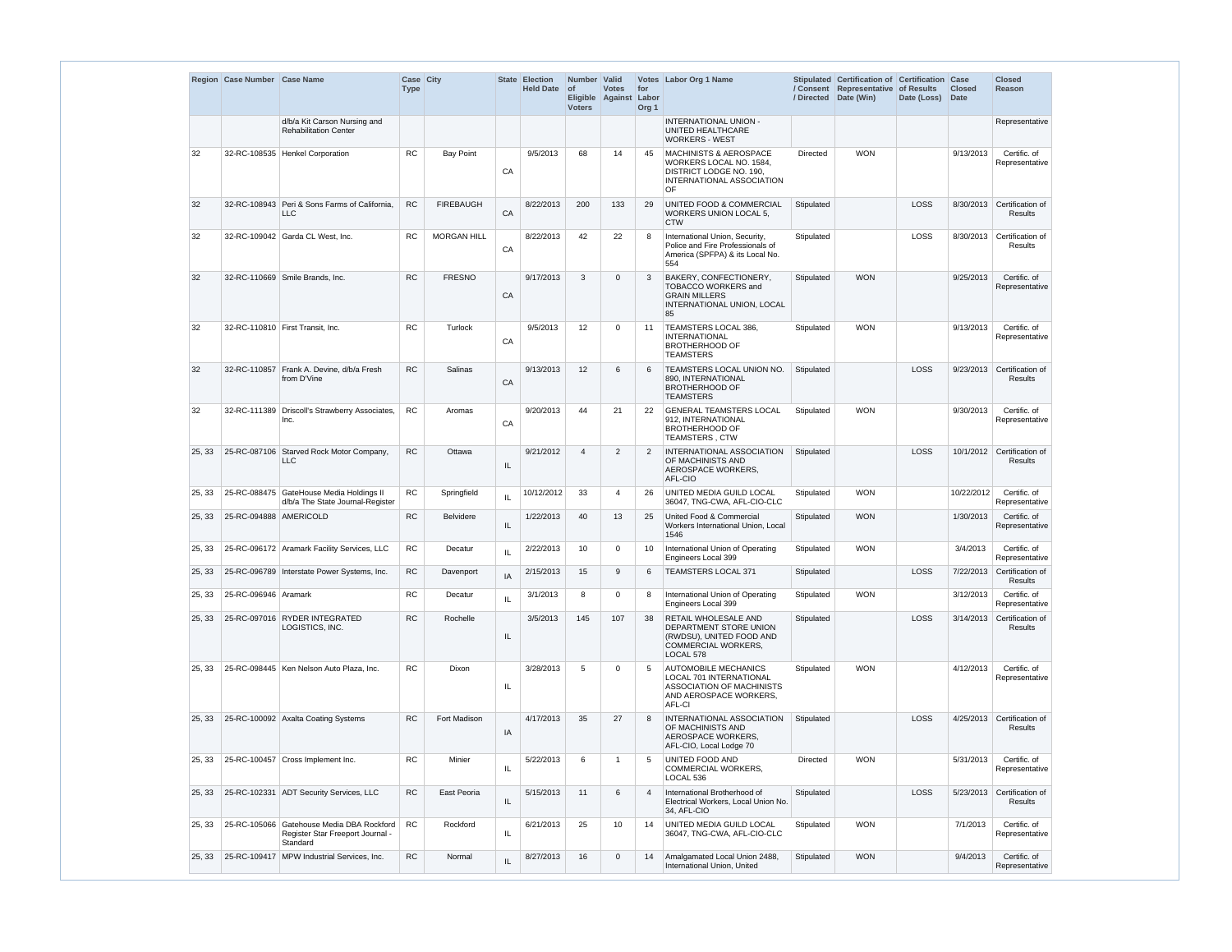|        | Region Case Number Case Name |                                                                                           | Case City<br><b>Type</b> |                    |            | State Election<br><b>Held Date</b> | Number Valid<br><b>of</b><br><b>Voters</b> | <b>Votes</b><br>Eligible Against Labor | for<br>Org <sub>1</sub> | Votes Labor Org 1 Name                                                                                                      | /Directed  | Stipulated Certification of Certification Case<br>/ Consent Representative of Results<br>Date (Win) | Date (Loss) | <b>Closed</b><br>Date | <b>Closed</b><br><b>Reason</b>               |
|--------|------------------------------|-------------------------------------------------------------------------------------------|--------------------------|--------------------|------------|------------------------------------|--------------------------------------------|----------------------------------------|-------------------------|-----------------------------------------------------------------------------------------------------------------------------|------------|-----------------------------------------------------------------------------------------------------|-------------|-----------------------|----------------------------------------------|
|        |                              | d/b/a Kit Carson Nursing and<br><b>Rehabilitation Center</b>                              |                          |                    |            |                                    |                                            |                                        |                         | INTERNATIONAL UNION -<br>UNITED HEALTHCARE<br><b>WORKERS - WEST</b>                                                         |            |                                                                                                     |             |                       | Representative                               |
| 32     |                              | 32-RC-108535   Henkel Corporation                                                         | <b>RC</b>                | <b>Bay Point</b>   | CA         | 9/5/2013                           | 68                                         | 14                                     | 45                      | <b>MACHINISTS &amp; AEROSPACE</b><br>WORKERS LOCAL NO. 1584,<br>DISTRICT LODGE NO. 190.<br>INTERNATIONAL ASSOCIATION<br>OF. | Directed   | <b>WON</b>                                                                                          |             | 9/13/2013             | Certific. of<br>Representative               |
| 32     |                              | 32-RC-108943 Peri & Sons Farms of California.<br><b>LLC</b>                               | <b>RC</b>                | <b>FIREBAUGH</b>   | ${\sf CA}$ | 8/22/2013                          | 200                                        | 133                                    | 29                      | <b>UNITED FOOD &amp; COMMERCIAL</b><br><b>WORKERS UNION LOCAL 5,</b><br><b>CTW</b>                                          | Stipulated |                                                                                                     | LOSS        |                       | 8/30/2013 Certification of<br><b>Results</b> |
| 32     |                              | 32-RC-109042   Garda CL West, Inc.                                                        | <b>RC</b>                | <b>MORGAN HILL</b> | CA         | 8/22/2013                          | 42                                         | 22                                     | 8                       | International Union, Security,<br>Police and Fire Professionals of<br>America (SPFPA) & its Local No.<br>554                | Stipulated |                                                                                                     | LOSS        | 8/30/2013             | Certification of<br><b>Results</b>           |
| 32     |                              | 32-RC-110669 Smile Brands, Inc.                                                           | <b>RC</b>                | <b>FRESNO</b>      | CA         | 9/17/2013                          | 3                                          | $\Omega$                               | 3                       | <b>BAKERY, CONFECTIONERY,</b><br><b>TOBACCO WORKERS and</b><br><b>GRAIN MILLERS</b><br>INTERNATIONAL UNION, LOCAL<br>85     | Stipulated | <b>WON</b>                                                                                          |             | 9/25/2013             | Certific. of<br>Representative               |
| 32     |                              | 32-RC-110810 First Transit, Inc.                                                          | <b>RC</b>                | Turlock            | CA         | 9/5/2013                           | 12                                         | $\Omega$                               | 11                      | TEAMSTERS LOCAL 386,<br><b>INTERNATIONAL</b><br><b>BROTHERHOOD OF</b><br><b>TEAMSTERS</b>                                   | Stipulated | <b>WON</b>                                                                                          |             | 9/13/2013             | Certific. of<br>Representative               |
| 32     | 32-RC-110857                 | Frank A. Devine, d/b/a Fresh<br>from D'Vine                                               | <b>RC</b>                | Salinas            | CA         | 9/13/2013                          | 12                                         | 6                                      | 6                       | <b>TEAMSTERS LOCAL UNION NO.</b><br>890, INTERNATIONAL<br><b>BROTHERHOOD OF</b><br><b>TEAMSTERS</b>                         | Stipulated |                                                                                                     | LOSS        |                       | 9/23/2013 Certification of<br><b>Results</b> |
| 32     |                              | 32-RC-111389 Driscoll's Strawberry Associates,<br>Inc.                                    | <b>RC</b>                | Aromas             | CA         | 9/20/2013                          | 44                                         | 21                                     | 22                      | <b>GENERAL TEAMSTERS LOCAL</b><br>912, INTERNATIONAL<br><b>BROTHERHOOD OF</b><br><b>TEAMSTERS, CTW</b>                      | Stipulated | <b>WON</b>                                                                                          |             | 9/30/2013             | Certific. of<br>Representative               |
| 25, 33 |                              | 25-RC-087106 Starved Rock Motor Company,<br><b>LLC</b>                                    | <b>RC</b>                | Ottawa             | IL         | 9/21/2012                          | $\overline{4}$                             | $\overline{2}$                         | 2                       | <b>INTERNATIONAL ASSOCIATION</b><br>OF MACHINISTS AND<br>AEROSPACE WORKERS,<br>AFL-CIO                                      | Stipulated |                                                                                                     | LOSS        |                       | 10/1/2012 Certification of<br><b>Results</b> |
| 25, 33 |                              | 25-RC-088475 GateHouse Media Holdings II<br>d/b/a The State Journal-Register              | <b>RC</b>                | Springfield        | IL         | 10/12/2012                         | 33                                         | 4                                      | 26                      | UNITED MEDIA GUILD LOCAL<br>36047, TNG-CWA, AFL-CIO-CLC                                                                     | Stipulated | <b>WON</b>                                                                                          |             | 10/22/2012            | Certific. of<br>Representative               |
| 25, 33 | 25-RC-094888 AMERICOLD       |                                                                                           | <b>RC</b>                | <b>Belvidere</b>   | IL.        | 1/22/2013                          | 40                                         | 13                                     | 25                      | United Food & Commercial<br>Workers International Union, Local<br>1546                                                      | Stipulated | <b>WON</b>                                                                                          |             | 1/30/2013             | Certific. of<br>Representative               |
| 25, 33 |                              | 25-RC-096172 Aramark Facility Services, LLC                                               | RC                       | Decatur            | IL         | 2/22/2013                          | 10 <sup>°</sup>                            | $\Omega$                               | 10                      | International Union of Operating<br>Engineers Local 399                                                                     | Stipulated | <b>WON</b>                                                                                          |             | 3/4/2013              | Certific. of<br>Representative               |
| 25, 33 |                              | 25-RC-096789 Interstate Power Systems, Inc.                                               | <b>RC</b>                | Davenport          | IA         | 2/15/2013                          | 15                                         | 9                                      | 6                       | <b>TEAMSTERS LOCAL 371</b>                                                                                                  | Stipulated |                                                                                                     | LOSS        | 7/22/2013             | Certification of<br><b>Results</b>           |
| 25, 33 | 25-RC-096946 Aramark         |                                                                                           | RC                       | Decatur            | IL         | 3/1/2013                           | 8                                          | $\Omega$                               | 8                       | International Union of Operating<br>Engineers Local 399                                                                     | Stipulated | <b>WON</b>                                                                                          |             | 3/12/2013             | Certific. of<br>Representative               |
| 25, 33 |                              | 25-RC-097016 RYDER INTEGRATED<br>LOGISTICS, INC.                                          | RC                       | Rochelle           | IL         | 3/5/2013                           | 145                                        | 107                                    | 38                      | RETAIL WHOLESALE AND<br>DEPARTMENT STORE UNION<br>(RWDSU), UNITED FOOD AND<br>COMMERCIAL WORKERS,<br>LOCAL 578              | Stipulated |                                                                                                     | LOSS        |                       | 3/14/2013 Certification of<br><b>Results</b> |
| 25, 33 |                              | 25-RC-098445   Ken Nelson Auto Plaza, Inc.                                                | <b>RC</b>                | Dixon              | IL.        | 3/28/2013                          | 5                                          | $\Omega$                               | -5                      | <b>AUTOMOBILE MECHANICS</b><br>LOCAL 701 INTERNATIONAL<br>ASSOCIATION OF MACHINISTS<br>AND AEROSPACE WORKERS,<br>AFL-CI     | Stipulated | <b>WON</b>                                                                                          |             | 4/12/2013             | Certific. of<br>Representative               |
| 25, 33 |                              | 25-RC-100092 Axalta Coating Systems                                                       | <b>RC</b>                | Fort Madison       | IA         | 4/17/2013                          | 35                                         | 27                                     | 8                       | <b>INTERNATIONAL ASSOCIATION</b><br>OF MACHINISTS AND<br>AEROSPACE WORKERS,<br>AFL-CIO, Local Lodge 70                      | Stipulated |                                                                                                     | LOSS        | 4/25/2013             | Certification of<br><b>Results</b>           |
| 25, 33 |                              | 25-RC-100457 Cross Implement Inc.                                                         | RC                       | Minier             | IL.        | 5/22/2013                          | 6                                          |                                        | -5                      | UNITED FOOD AND<br>COMMERCIAL WORKERS,<br>LOCAL 536                                                                         | Directed   | <b>WON</b>                                                                                          |             | 5/31/2013             | Certific. of<br>Representative               |
| 25, 33 |                              | 25-RC-102331 ADT Security Services, LLC                                                   | RC                       | East Peoria        | IL         | 5/15/2013                          | 11                                         | 6                                      | $\overline{4}$          | International Brotherhood of<br>Electrical Workers, Local Union No.<br>34, AFL-CIO                                          | Stipulated |                                                                                                     | LOSS        | 5/23/2013             | Certification of<br><b>Results</b>           |
| 25, 33 |                              | 25-RC-105066 Gatehouse Media DBA Rockford<br>Register Star Freeport Journal -<br>Standard | <b>RC</b>                | Rockford           | IL.        | 6/21/2013                          | 25                                         | 10                                     | 14                      | UNITED MEDIA GUILD LOCAL<br>36047, TNG-CWA, AFL-CIO-CLC                                                                     | Stipulated | <b>WON</b>                                                                                          |             | 7/1/2013              | Certific. of<br>Representative               |
| 25, 33 |                              | 25-RC-109417 MPW Industrial Services, Inc.                                                | <b>RC</b>                | Normal             | IL         | 8/27/2013                          | 16                                         | $\Omega$                               | 14                      | Amalgamated Local Union 2488,<br>International Union, United                                                                | Stipulated | <b>WON</b>                                                                                          |             | 9/4/2013              | Certific. of<br>Representative               |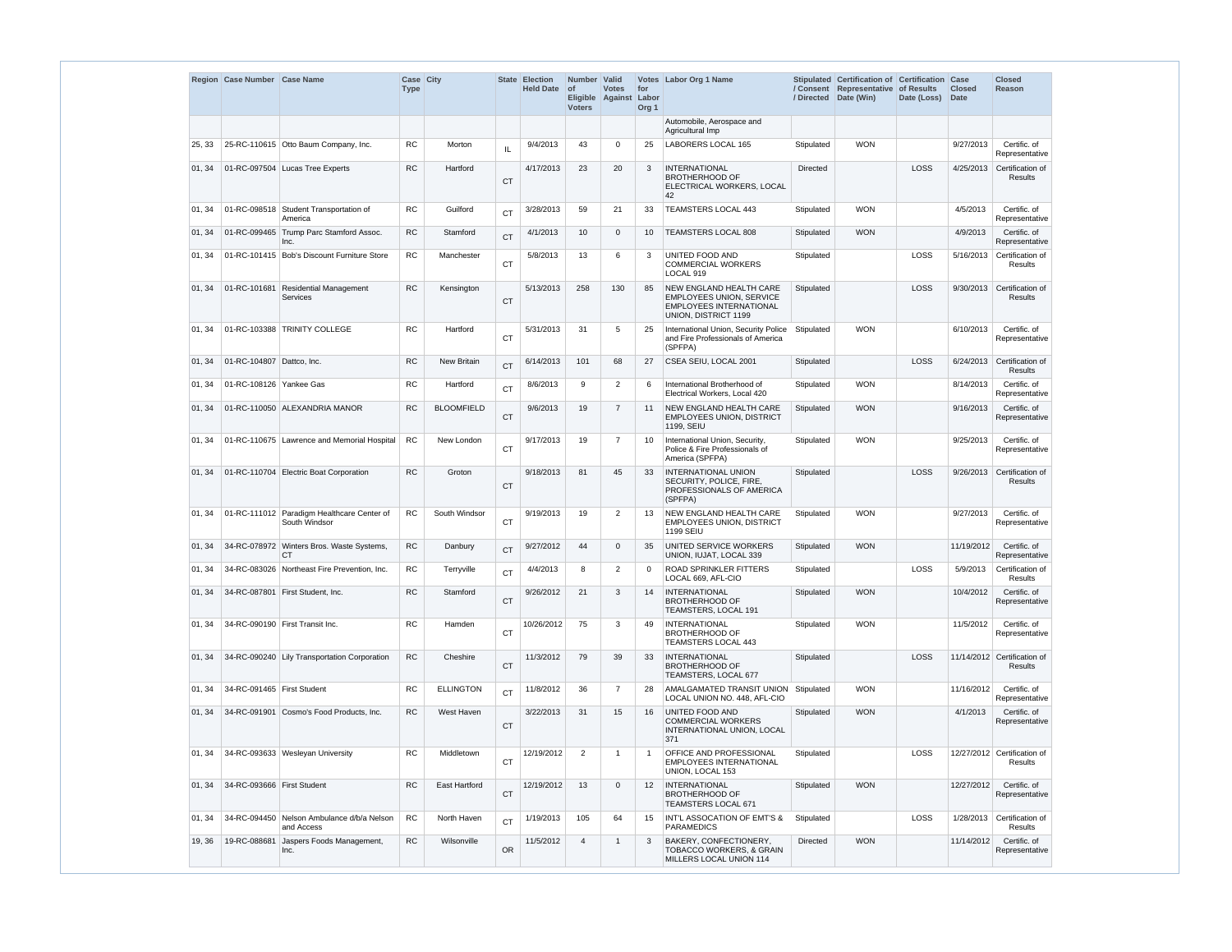|        | Region Case Number Case Name |                                                             | Case City<br><b>Type</b> |                      |           | <b>State Election</b><br><b>Held Date</b> | Number Valid<br><b>of</b><br><b>Voters</b> | <b>Votes</b><br>Eligible Against | for<br>Labor<br>Org <sub>1</sub> | Votes Labor Org 1 Name                                                                                               | / Directed      | Stipulated Certification of Certification Case<br>/ Consent Representative of Results<br>Date (Win) | Date (Loss) | <b>Closed</b><br><b>Date</b> | <b>Closed</b><br>Reason                |
|--------|------------------------------|-------------------------------------------------------------|--------------------------|----------------------|-----------|-------------------------------------------|--------------------------------------------|----------------------------------|----------------------------------|----------------------------------------------------------------------------------------------------------------------|-----------------|-----------------------------------------------------------------------------------------------------|-------------|------------------------------|----------------------------------------|
|        |                              |                                                             |                          |                      |           |                                           |                                            |                                  |                                  | Automobile, Aerospace and<br>Agricultural Imp                                                                        |                 |                                                                                                     |             |                              |                                        |
| 25, 33 |                              | 25-RC-110615 Otto Baum Company, Inc.                        | <b>RC</b>                | Morton               | IL        | 9/4/2013                                  | 43                                         | $\Omega$                         | 25                               | LABORERS LOCAL 165                                                                                                   | Stipulated      | <b>WON</b>                                                                                          |             | 9/27/2013                    | Certific. of<br>Representative         |
| 01, 34 |                              | 01-RC-097504 Lucas Tree Experts                             | <b>RC</b>                | Hartford             | <b>CT</b> | 4/17/2013                                 | 23                                         | 20                               | 3                                | <b>INTERNATIONAL</b><br><b>BROTHERHOOD OF</b><br>ELECTRICAL WORKERS, LOCAL<br>42                                     | <b>Directed</b> |                                                                                                     | LOSS        | 4/25/2013                    | Certification of<br><b>Results</b>     |
| 01.34  |                              | 01-RC-098518 Student Transportation of<br>America           | RC.                      | Guilford             | <b>CT</b> | 3/28/2013                                 | 59                                         | 21                               | 33                               | <b>TEAMSTERS LOCAL 443</b>                                                                                           | Stipulated      | <b>WON</b>                                                                                          |             | 4/5/2013                     | Certific. of<br>Representative         |
| 01, 34 |                              | 01-RC-099465 Trump Parc Stamford Assoc.<br>Inc.             | <b>RC</b>                | Stamford             | <b>CT</b> | 4/1/2013                                  | 10 <sup>°</sup>                            | $\mathbf 0$                      | 10                               | <b>TEAMSTERS LOCAL 808</b>                                                                                           | Stipulated      | <b>WON</b>                                                                                          |             | 4/9/2013                     | Certific. of<br>Representative         |
| 01, 34 |                              | 01-RC-101415 Bob's Discount Furniture Store                 | <b>RC</b>                | Manchester           | <b>CT</b> | 5/8/2013                                  | 13                                         | 6                                | 3                                | UNITED FOOD AND<br><b>COMMERCIAL WORKERS</b><br>LOCAL 919                                                            | Stipulated      |                                                                                                     | LOSS        | 5/16/2013                    | Certification of<br><b>Results</b>     |
| 01, 34 | 01-RC-101681                 | <b>Residential Management</b><br><b>Services</b>            | RC                       | Kensington           | <b>CT</b> | 5/13/2013                                 | 258                                        | 130                              | 85                               | NEW ENGLAND HEALTH CARE<br><b>EMPLOYEES UNION, SERVICE</b><br><b>EMPLOYEES INTERNATIONAL</b><br>UNION, DISTRICT 1199 | Stipulated      |                                                                                                     | LOSS        | 9/30/2013                    | Certification of<br><b>Results</b>     |
| 01, 34 |                              | 01-RC-103388 TRINITY COLLEGE                                | <b>RC</b>                | Hartford             | <b>CT</b> | 5/31/2013                                 | 31                                         | 5                                | 25                               | International Union, Security Police<br>and Fire Professionals of America<br>(SPFPA)                                 | Stipulated      | <b>WON</b>                                                                                          |             | 6/10/2013                    | Certific. of<br>Representative         |
| 01.34  | 01-RC-104807 Dattco, Inc.    |                                                             | <b>RC</b>                | <b>New Britain</b>   | <b>CT</b> | 6/14/2013                                 | 101                                        | 68                               | 27                               | CSEA SEIU, LOCAL 2001                                                                                                | Stipulated      |                                                                                                     | LOSS        | 6/24/2013                    | Certification of<br><b>Results</b>     |
| 01, 34 | 01-RC-108126 Yankee Gas      |                                                             | <b>RC</b>                | Hartford             | <b>CT</b> | 8/6/2013                                  | 9                                          | $\overline{2}$                   | 6                                | International Brotherhood of<br>Electrical Workers, Local 420                                                        | Stipulated      | <b>WON</b>                                                                                          |             | 8/14/2013                    | Certific. of<br>Representative         |
| 01, 34 |                              | 01-RC-110050 ALEXANDRIA MANOR                               | <b>RC</b>                | <b>BLOOMFIELD</b>    | <b>CT</b> | 9/6/2013                                  | 19                                         | $\overline{7}$                   | 11                               | NEW ENGLAND HEALTH CARE<br><b>EMPLOYEES UNION, DISTRICT</b><br>1199, SEIU                                            | Stipulated      | <b>WON</b>                                                                                          |             | 9/16/2013                    | Certific. of<br>Representative         |
| 01, 34 |                              | 01-RC-110675 Lawrence and Memorial Hospital                 | <b>RC</b>                | New London           | <b>CT</b> | 9/17/2013                                 | 19                                         | $\overline{7}$                   | 10                               | International Union, Security,<br>Police & Fire Professionals of<br>America (SPFPA)                                  | Stipulated      | <b>WON</b>                                                                                          |             | 9/25/2013                    | Certific. of<br>Representative         |
| 01, 34 |                              | 01-RC-110704 Electric Boat Corporation                      | RC                       | Groton               | <b>CT</b> | 9/18/2013                                 | 81                                         | 45                               | 33                               | <b>INTERNATIONAL UNION</b><br>SECURITY, POLICE, FIRE,<br>PROFESSIONALS OF AMERICA<br>(SPFPA)                         | Stipulated      |                                                                                                     | LOSS        | 9/26/2013                    | Certification of<br><b>Results</b>     |
| 01, 34 |                              | 01-RC-111012 Paradigm Healthcare Center of<br>South Windsor | <b>RC</b>                | South Windsor        | <b>CT</b> | 9/19/2013                                 | 19                                         | $\overline{2}$                   | 13                               | NEW ENGLAND HEALTH CARE<br><b>EMPLOYEES UNION, DISTRICT</b><br>1199 SEIU                                             | Stipulated      | <b>WON</b>                                                                                          |             | 9/27/2013                    | Certific. of<br>Representative         |
| 01, 34 |                              | 34-RC-078972 Winters Bros. Waste Systems,<br><b>CT</b>      | ${\sf RC}$               | Danbury              | <b>CT</b> | 9/27/2012                                 | 44                                         | $\Omega$                         | 35                               | UNITED SERVICE WORKERS<br>UNION, IUJAT, LOCAL 339                                                                    | Stipulated      | <b>WON</b>                                                                                          |             | 11/19/2012                   | Certific. of<br>Representative         |
| 01, 34 |                              | 34-RC-083026 Northeast Fire Prevention, Inc.                | ${\sf RC}$               | Terryville           | <b>CT</b> | 4/4/2013                                  | 8                                          | $\overline{2}$                   | $\mathbf 0$                      | ROAD SPRINKLER FITTERS<br>LOCAL 669, AFL-CIO                                                                         | Stipulated      |                                                                                                     | LOSS        | 5/9/2013                     | Certification of<br>Results            |
| 01, 34 |                              | 34-RC-087801 First Student, Inc.                            | ${\sf RC}$               | Stamford             | <b>CT</b> | 9/26/2012                                 | 21                                         | 3                                | 14                               | <b>INTERNATIONAL</b><br><b>BROTHERHOOD OF</b><br>TEAMSTERS, LOCAL 191                                                | Stipulated      | <b>WON</b>                                                                                          |             | 10/4/2012                    | Certific. of<br>Representative         |
| 01, 34 |                              | 34-RC-090190 First Transit Inc.                             | <b>RC</b>                | Hamden               | <b>CT</b> | 10/26/2012                                | 75                                         | 3                                | 49                               | <b>INTERNATIONAL</b><br><b>BROTHERHOOD OF</b><br>TEAMSTERS LOCAL 443                                                 | Stipulated      | <b>WON</b>                                                                                          |             | 11/5/2012                    | Certific. of<br>Representative         |
| 01, 34 |                              | 34-RC-090240 Lily Transportation Corporation                | ${\sf RC}$               | Cheshire             | <b>CT</b> | 11/3/2012                                 | 79                                         | 39                               | 33                               | <b>INTERNATIONAL</b><br><b>BROTHERHOOD OF</b><br>TEAMSTERS, LOCAL 677                                                | Stipulated      |                                                                                                     | LOSS        |                              | 11/14/2012 Certification of<br>Results |
| 01, 34 | 34-RC-091465 First Student   |                                                             | <b>RC</b>                | <b>ELLINGTON</b>     | <b>CT</b> | 11/8/2012                                 | 36                                         | $\overline{7}$                   | 28                               | AMALGAMATED TRANSIT UNION Stipulated<br>LOCAL UNION NO. 448, AFL-CIO                                                 |                 | <b>WON</b>                                                                                          |             | 11/16/2012                   | Certific. of<br>Representative         |
| 01, 34 |                              | 34-RC-091901 Cosmo's Food Products, Inc.                    | ${\sf RC}$               | West Haven           | <b>CT</b> | 3/22/2013                                 | 31                                         | 15                               | 16                               | UNITED FOOD AND<br><b>COMMERCIAL WORKERS</b><br>INTERNATIONAL UNION, LOCAL<br>371                                    | Stipulated      | <b>WON</b>                                                                                          |             | 4/1/2013                     | Certific. of<br>Representative         |
| 01, 34 |                              | 34-RC-093633 Wesleyan University                            | <b>RC</b>                | Middletown           | <b>CT</b> | 12/19/2012                                | 2                                          |                                  | - 1                              | OFFICE AND PROFESSIONAL<br><b>EMPLOYEES INTERNATIONAL</b><br>UNION, LOCAL 153                                        | Stipulated      |                                                                                                     | LOSS        |                              | 12/27/2012 Certification of<br>Results |
| 01, 34 | 34-RC-093666 First Student   |                                                             | <b>RC</b>                | <b>East Hartford</b> | <b>CT</b> | 12/19/2012                                | 13                                         | $\Omega$                         | 12                               | <b>INTERNATIONAL</b><br><b>BROTHERHOOD OF</b><br>TEAMSTERS LOCAL 671                                                 | Stipulated      | <b>WON</b>                                                                                          |             | 12/27/2012                   | Certific. of<br>Representative         |
| 01, 34 |                              | 34-RC-094450 Nelson Ambulance d/b/a Nelson<br>and Access    | RC                       | North Haven          | <b>CT</b> | 1/19/2013                                 | 105                                        | 64                               | 15                               | INT'L ASSOCATION OF EMT'S &<br><b>PARAMEDICS</b>                                                                     | Stipulated      |                                                                                                     | LOSS        | 1/28/2013                    | Certification of<br><b>Results</b>     |
| 19, 36 | 19-RC-088681                 | Jaspers Foods Management,<br>Inc.                           | ${\sf RC}$               | Wilsonville          | OR        | 11/5/2012                                 | $\overline{\mathbf{4}}$                    |                                  | 3                                | BAKERY, CONFECTIONERY,<br><b>TOBACCO WORKERS, &amp; GRAIN</b><br>MILLERS LOCAL UNION 114                             | Directed        | <b>WON</b>                                                                                          |             | 11/14/2012                   | Certific. of<br>Representative         |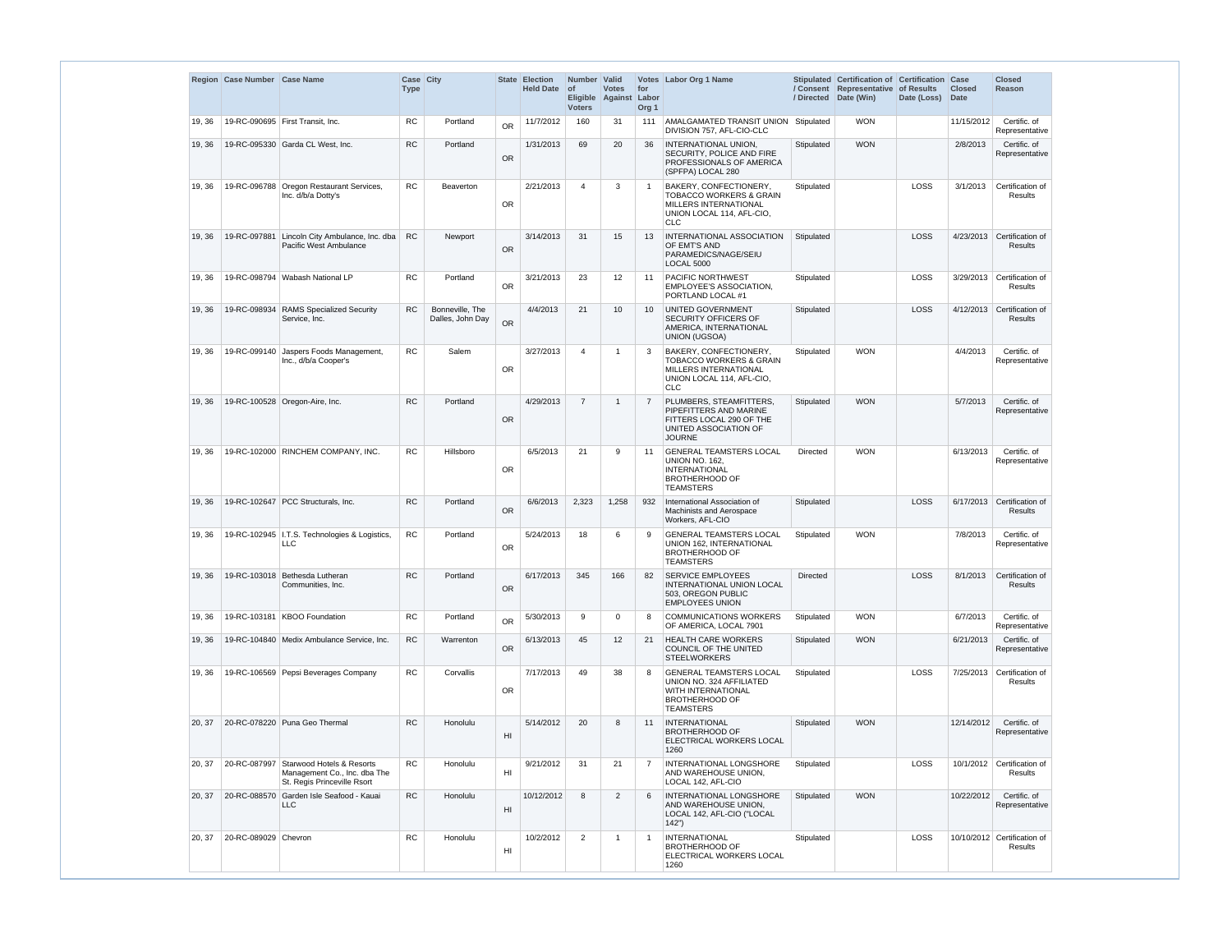|        | Region Case Number Case Name |                                                                                          | Case City<br><b>Type</b> |                                     |           | <b>State Election</b><br><b>Held Date</b> | Number Valid<br>$ $ of<br><b>Voters</b> | <b>Votes</b><br>Eligible Against | for<br>Labor<br>Org <sub>1</sub> | Votes Labor Org 1 Name                                                                                                                  |                 | Stipulated Certification of Certification Case<br>/ Consent Representative of Results<br>/ Directed Date (Win) | Date (Loss) | <b>Closed</b><br>Date | <b>Closed</b><br>Reason                       |
|--------|------------------------------|------------------------------------------------------------------------------------------|--------------------------|-------------------------------------|-----------|-------------------------------------------|-----------------------------------------|----------------------------------|----------------------------------|-----------------------------------------------------------------------------------------------------------------------------------------|-----------------|----------------------------------------------------------------------------------------------------------------|-------------|-----------------------|-----------------------------------------------|
| 19, 36 |                              | 19-RC-090695 First Transit, Inc.                                                         | RC                       | Portland                            | <b>OR</b> | 11/7/2012                                 | 160                                     | 31                               | 111                              | AMALGAMATED TRANSIT UNION   Stipulated<br>DIVISION 757, AFL-CIO-CLC                                                                     |                 | <b>WON</b>                                                                                                     |             | 11/15/2012            | Certific. of<br>Representative                |
| 19, 36 |                              | 19-RC-095330 Garda CL West, Inc.                                                         | ${\sf RC}$               | Portland                            | <b>OR</b> | 1/31/2013                                 | 69                                      | 20                               | 36                               | INTERNATIONAL UNION,<br>SECURITY, POLICE AND FIRE<br>PROFESSIONALS OF AMERICA<br>(SPFPA) LOCAL 280                                      | Stipulated      | <b>WON</b>                                                                                                     |             | 2/8/2013              | Certific. of<br>Representative                |
| 19, 36 | 19-RC-096788                 | Oregon Restaurant Services,<br>Inc. d/b/a Dotty's                                        | RC                       | <b>Beaverton</b>                    | <b>OR</b> | 2/21/2013                                 | 4                                       | 3                                | - 1                              | BAKERY, CONFECTIONERY,<br><b>TOBACCO WORKERS &amp; GRAIN</b><br>MILLERS INTERNATIONAL<br>UNION LOCAL 114, AFL-CIO,<br><b>CLC</b>        | Stipulated      |                                                                                                                | <b>LOSS</b> | 3/1/2013              | Certification of<br><b>Results</b>            |
| 19, 36 |                              | 19-RC-097881 Lincoln City Ambulance, Inc. dba<br>Pacific West Ambulance                  | <b>RC</b>                | Newport                             | OR        | 3/14/2013                                 | 31                                      | 15                               | 13                               | INTERNATIONAL ASSOCIATION<br>OF EMT'S AND<br>PARAMEDICS/NAGE/SEIU<br><b>LOCAL 5000</b>                                                  | Stipulated      |                                                                                                                | LOSS        | 4/23/2013             | Certification of<br><b>Results</b>            |
| 19, 36 |                              | 19-RC-098794 Wabash National LP                                                          | <b>RC</b>                | Portland                            | <b>OR</b> | 3/21/2013                                 | 23                                      | 12                               | -11                              | <b>PACIFIC NORTHWEST</b><br><b>EMPLOYEE'S ASSOCIATION.</b><br>PORTLAND LOCAL #1                                                         | Stipulated      |                                                                                                                | LOSS        | 3/29/2013             | Certification of<br><b>Results</b>            |
| 19, 36 | 19-RC-098934                 | <b>RAMS Specialized Security</b><br>Service, Inc.                                        | <b>RC</b>                | Bonneville, The<br>Dalles, John Day | <b>OR</b> | 4/4/2013                                  | 21                                      | 10                               | 10                               | UNITED GOVERNMENT<br>SECURITY OFFICERS OF<br>AMERICA, INTERNATIONAL<br>UNION (UGSOA)                                                    | Stipulated      |                                                                                                                | LOSS        | 4/12/2013             | Certification of<br><b>Results</b>            |
| 19, 36 | 19-RC-099140                 | Jaspers Foods Management,<br>Inc., d/b/a Cooper's                                        | <b>RC</b>                | Salem                               | OR        | 3/27/2013                                 | 4                                       | -1                               | -3                               | BAKERY, CONFECTIONERY,<br><b>TOBACCO WORKERS &amp; GRAIN</b><br><b>MILLERS INTERNATIONAL</b><br>UNION LOCAL 114, AFL-CIO,<br><b>CLC</b> | Stipulated      | <b>WON</b>                                                                                                     |             | 4/4/2013              | Certific. of<br>Representative                |
| 19, 36 |                              | 19-RC-100528 Oregon-Aire, Inc.                                                           | <b>RC</b>                | Portland                            | <b>OR</b> | 4/29/2013                                 | $\overline{7}$                          | $\mathbf{1}$                     | -7                               | PLUMBERS, STEAMFITTERS,<br>PIPEFITTERS AND MARINE<br>FITTERS LOCAL 290 OF THE<br>UNITED ASSOCIATION OF<br><b>JOURNE</b>                 | Stipulated      | <b>WON</b>                                                                                                     |             | 5/7/2013              | Certific. of<br>Representative                |
| 19, 36 |                              | 19-RC-102000 RINCHEM COMPANY, INC.                                                       | <b>RC</b>                | Hillsboro                           | OR        | 6/5/2013                                  | 21                                      | 9                                | -11                              | <b>GENERAL TEAMSTERS LOCAL</b><br><b>UNION NO. 162,</b><br><b>INTERNATIONAL</b><br><b>BROTHERHOOD OF</b><br><b>TEAMSTERS</b>            | <b>Directed</b> | <b>WON</b>                                                                                                     |             | 6/13/2013             | Certific. of<br>Representative                |
| 19, 36 |                              | 19-RC-102647 PCC Structurals, Inc.                                                       | <b>RC</b>                | Portland                            | <b>OR</b> | 6/6/2013                                  | 2,323                                   | 1,258                            | 932                              | International Association of<br>Machinists and Aerospace<br>Workers, AFL-CIO                                                            | Stipulated      |                                                                                                                | LOSS        |                       | 6/17/2013 Certification of<br><b>Results</b>  |
| 19, 36 |                              | 19-RC-102945   I.T.S. Technologies & Logistics,<br>LLC.                                  | ${\sf RC}$               | Portland                            | OR        | 5/24/2013                                 | 18                                      | 6                                | -9                               | <b>GENERAL TEAMSTERS LOCAL</b><br>UNION 162, INTERNATIONAL<br><b>BROTHERHOOD OF</b><br><b>TEAMSTERS</b>                                 | Stipulated      | <b>WON</b>                                                                                                     |             | 7/8/2013              | Certific. of<br>Representative                |
| 19, 36 |                              | 19-RC-103018 Bethesda Lutheran<br>Communities, Inc.                                      | <b>RC</b>                | Portland                            | OR        | 6/17/2013                                 | 345                                     | 166                              | 82                               | <b>SERVICE EMPLOYEES</b><br>INTERNATIONAL UNION LOCAL<br>503, OREGON PUBLIC<br><b>EMPLOYEES UNION</b>                                   | <b>Directed</b> |                                                                                                                | LOSS        | 8/1/2013              | Certification of<br>Results                   |
| 19, 36 |                              | 19-RC-103181   KBOO Foundation                                                           | RC                       | Portland                            | <b>OR</b> | 5/30/2013                                 | 9                                       | 0                                | -8                               | <b>COMMUNICATIONS WORKERS</b><br>OF AMERICA, LOCAL 7901                                                                                 | Stipulated      | <b>WON</b>                                                                                                     |             | 6/7/2013              | Certific. of<br>Representative                |
| 19, 36 |                              | 19-RC-104840 Medix Ambulance Service, Inc.                                               | ${\sf RC}$               | Warrenton                           | <b>OR</b> | 6/13/2013                                 | 45                                      | 12                               | 21                               | <b>HEALTH CARE WORKERS</b><br>COUNCIL OF THE UNITED<br><b>STEELWORKERS</b>                                                              | Stipulated      | <b>WON</b>                                                                                                     |             | 6/21/2013             | Certific. of<br>Representative                |
| 19, 36 |                              | 19-RC-106569 Pepsi Beverages Company                                                     | <b>RC</b>                | Corvallis                           | OR        | 7/17/2013                                 | 49                                      | 38                               | 8                                | <b>GENERAL TEAMSTERS LOCAL</b><br>UNION NO. 324 AFFILIATED<br>WITH INTERNATIONAL<br><b>BROTHERHOOD OF</b><br><b>TEAMSTERS</b>           | Stipulated      |                                                                                                                | LOSS        | 7/25/2013             | Certification of<br><b>Results</b>            |
| 20, 37 |                              | 20-RC-078220 Puna Geo Thermal                                                            | RC                       | Honolulu                            | HI        | 5/14/2012                                 | 20                                      | 8                                | 11                               | <b>INTERNATIONAL</b><br><b>BROTHERHOOD OF</b><br>ELECTRICAL WORKERS LOCAL<br>1260                                                       | Stipulated      | <b>WON</b>                                                                                                     |             | 12/14/2012            | Certific. of<br>Representative                |
| 20, 37 | 20-RC-087997                 | Starwood Hotels & Resorts<br>Management Co., Inc. dba The<br>St. Regis Princeville Rsort | <b>RC</b>                | Honolulu                            | HI        | 9/21/2012                                 | 31                                      | 21                               | -7                               | INTERNATIONAL LONGSHORE<br>AND WAREHOUSE UNION,<br>LOCAL 142, AFL-CIO                                                                   | Stipulated      |                                                                                                                | LOSS        | 10/1/2012             | Certification of<br><b>Results</b>            |
| 20, 37 | 20-RC-088570                 | Garden Isle Seafood - Kauai<br><b>LLC</b>                                                | <b>RC</b>                | Honolulu                            | HI        | 10/12/2012                                | 8                                       | $\overline{2}$                   | -6                               | INTERNATIONAL LONGSHORE<br>AND WAREHOUSE UNION,<br>LOCAL 142, AFL-CIO ("LOCAL<br>142")                                                  | Stipulated      | <b>WON</b>                                                                                                     |             | 10/22/2012            | Certific. of<br>Representative                |
| 20, 37 | 20-RC-089029 Chevron         |                                                                                          | ${\sf RC}$               | Honolulu                            | HI        | 10/2/2012                                 | $\overline{2}$                          | 1                                |                                  | <b>INTERNATIONAL</b><br><b>BROTHERHOOD OF</b><br>ELECTRICAL WORKERS LOCAL<br>1260                                                       | Stipulated      |                                                                                                                | LOSS        |                       | 10/10/2012 Certification of<br><b>Results</b> |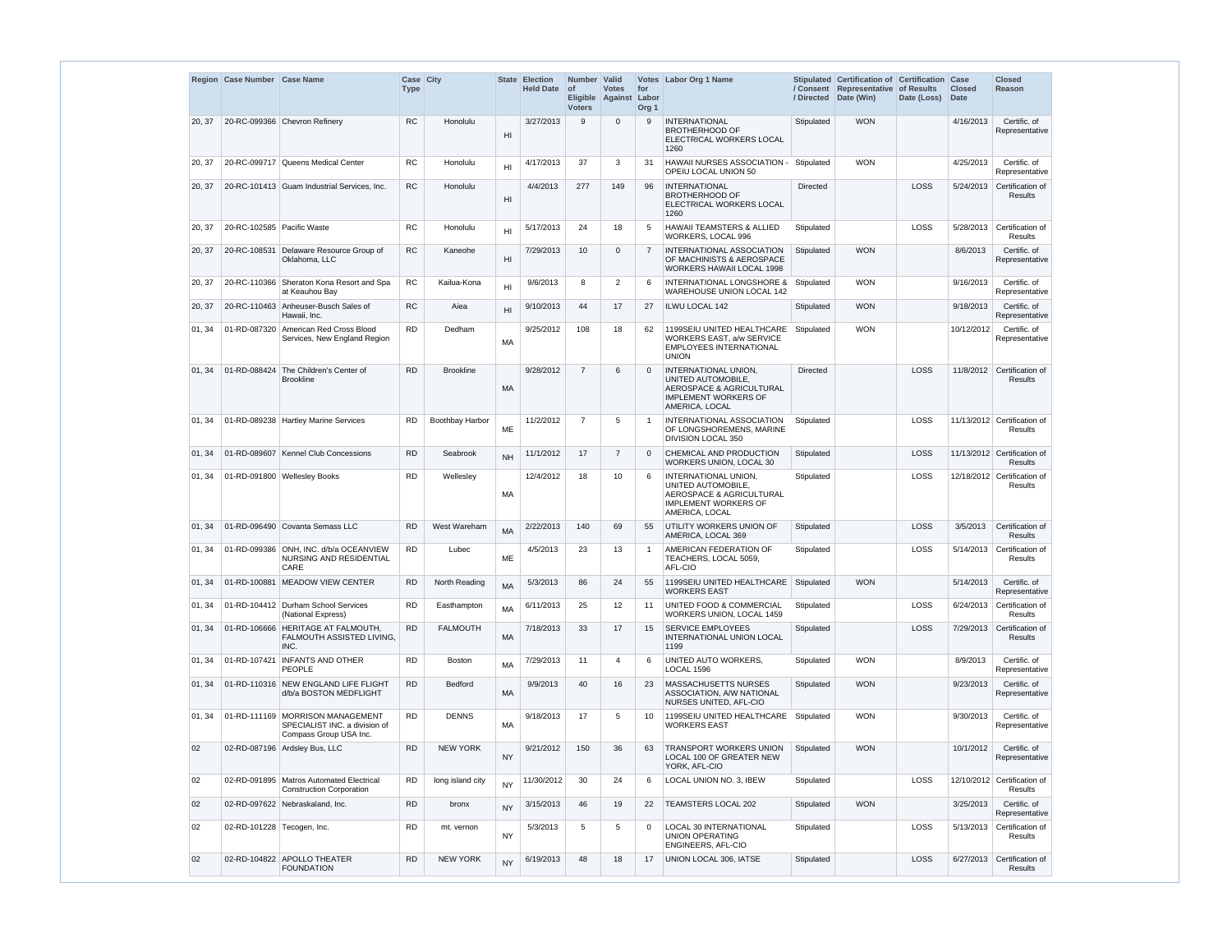|        | Region Case Number Case Name |                                                                                               | <b>Case City</b><br><b>Type</b> |                  | State           | <b>Election</b><br><b>Held Date</b> | Number Valid<br>∣ of<br><b>Voters</b> | <b>Votes</b><br>Eligible Against Labor | for<br>Org <sub>1</sub> | Votes Labor Org 1 Name                                                                                                             | / Directed      | Stipulated Certification of Certification Case<br>/ Consent Representative of Results<br>Date (Win) | Date (Loss) | <b>Closed</b><br><b>Date</b> | <b>Closed</b><br><b>Reason</b>         |
|--------|------------------------------|-----------------------------------------------------------------------------------------------|---------------------------------|------------------|-----------------|-------------------------------------|---------------------------------------|----------------------------------------|-------------------------|------------------------------------------------------------------------------------------------------------------------------------|-----------------|-----------------------------------------------------------------------------------------------------|-------------|------------------------------|----------------------------------------|
| 20, 37 |                              | 20-RC-099366 Chevron Refinery                                                                 | <b>RC</b>                       | Honolulu         | H <sub>l</sub>  | 3/27/2013                           | 9                                     | $\Omega$                               | 9                       | <b>INTERNATIONAL</b><br><b>BROTHERHOOD OF</b><br>ELECTRICAL WORKERS LOCAL<br>1260                                                  | Stipulated      | <b>WON</b>                                                                                          |             | 4/16/2013                    | Certific. of<br>Representative         |
| 20, 37 | 20-RC-099717                 | Queens Medical Center                                                                         | <b>RC</b>                       | Honolulu         | H <sub>II</sub> | 4/17/2013                           | 37                                    | 3                                      | 31                      | <b>HAWAII NURSES ASSOCIATION -</b><br>OPEIU LOCAL UNION 50                                                                         | Stipulated      | <b>WON</b>                                                                                          |             | 4/25/2013                    | Certific. of<br>Representative         |
| 20, 37 |                              | 20-RC-101413 Guam Industrial Services, Inc.                                                   | <b>RC</b>                       | Honolulu         | H <sub>l</sub>  | 4/4/2013                            | 277                                   | 149                                    | 96                      | <b>INTERNATIONAL</b><br><b>BROTHERHOOD OF</b><br>ELECTRICAL WORKERS LOCAL<br>1260                                                  | <b>Directed</b> |                                                                                                     | LOSS        | 5/24/2013                    | Certification of<br>Results            |
| 20, 37 | 20-RC-102585   Pacific Waste |                                                                                               | <b>RC</b>                       | Honolulu         | H <sub>II</sub> | 5/17/2013                           | 24                                    | 18                                     | 5                       | <b>HAWAII TEAMSTERS &amp; ALLIED</b><br>WORKERS, LOCAL 996                                                                         | Stipulated      |                                                                                                     | LOSS        | 5/28/2013                    | Certification of<br>Results            |
| 20, 37 | 20-RC-108531                 | Delaware Resource Group of<br>Oklahoma, LLC                                                   | <b>RC</b>                       | Kaneohe          | H <sub>l</sub>  | 7/29/2013                           | 10                                    | $\Omega$                               | $\overline{7}$          | <b>INTERNATIONAL ASSOCIATION</b><br>OF MACHINISTS & AEROSPACE<br><b>WORKERS HAWAII LOCAL 1998</b>                                  | Stipulated      | <b>WON</b>                                                                                          |             | 8/6/2013                     | Certific. of<br>Representative         |
| 20, 37 |                              | 20-RC-110366 Sheraton Kona Resort and Spa<br>at Keauhou Bay                                   | <b>RC</b>                       | Kailua-Kona      | H1              | 9/6/2013                            | 8                                     | $\overline{2}$                         | 6                       | <b>INTERNATIONAL LONGSHORE &amp;</b><br>WAREHOUSE UNION LOCAL 142                                                                  | Stipulated      | <b>WON</b>                                                                                          |             | 9/16/2013                    | Certific. of<br>Representative         |
| 20, 37 |                              | 20-RC-110463 Anheuser-Busch Sales of<br>Hawaii, Inc.                                          | <b>RC</b>                       | Aiea             | H <sub>II</sub> | 9/10/2013                           | 44                                    | 17                                     | 27                      | <b>ILWU LOCAL 142</b>                                                                                                              | Stipulated      | <b>WON</b>                                                                                          |             | 9/18/2013                    | Certific. of<br>Representative         |
| 01, 34 |                              | 01-RD-087320 American Red Cross Blood<br>Services, New England Region                         | <b>RD</b>                       | Dedham           | МA              | 9/25/2012                           | 108                                   | 18                                     | 62                      | 1199SEIU UNITED HEALTHCARE<br>WORKERS EAST, a/w SERVICE<br><b>EMPLOYEES INTERNATIONAL</b><br><b>UNION</b>                          | Stipulated      | <b>WON</b>                                                                                          |             | 10/12/2012                   | Certific. of<br>Representative         |
| 01, 34 | 01-RD-088424                 | The Children's Center of<br><b>Brookline</b>                                                  | <b>RD</b>                       | <b>Brookline</b> | MA              | 9/28/2012                           | $\overline{7}$                        | 6                                      | $\Omega$                | INTERNATIONAL UNION,<br>UNITED AUTOMOBILE,<br>AEROSPACE & AGRICULTURAL<br><b>IMPLEMENT WORKERS OF</b><br>AMERICA, LOCAL            | <b>Directed</b> |                                                                                                     | LOSS        |                              | 11/8/2012 Certification of<br>Results  |
| 01, 34 |                              | 01-RD-089238   Hartley Marine Services                                                        | <b>RD</b>                       | Boothbay Harbor  | ME              | 11/2/2012                           | $\overline{7}$                        | 5                                      | -1                      | INTERNATIONAL ASSOCIATION<br>OF LONGSHOREMENS, MARINE<br><b>DIVISION LOCAL 350</b>                                                 | Stipulated      |                                                                                                     | LOSS        |                              | 11/13/2012 Certification of<br>Results |
| 01, 34 |                              | 01-RD-089607   Kennel Club Concessions                                                        | <b>RD</b>                       | Seabrook         | <b>NH</b>       | 11/1/2012                           | 17                                    | $\overline{7}$                         | $\Omega$                | CHEMICAL AND PRODUCTION<br>WORKERS UNION, LOCAL 30                                                                                 | Stipulated      |                                                                                                     | LOSS        |                              | 11/13/2012 Certification of<br>Results |
| 01, 34 |                              | 01-RD-091800 Wellesley Books                                                                  | <b>RD</b>                       | Wellesley        | MA              | 12/4/2012                           | 18                                    | 10                                     | 6                       | INTERNATIONAL UNION,<br>UNITED AUTOMOBILE,<br><b>AEROSPACE &amp; AGRICULTURAL</b><br><b>IMPLEMENT WORKERS OF</b><br>AMERICA, LOCAL | Stipulated      |                                                                                                     | LOSS        |                              | 12/18/2012 Certification of<br>Results |
| 01, 34 |                              | 01-RD-096490 Covanta Semass LLC                                                               | <b>RD</b>                       | West Wareham     | <b>MA</b>       | 2/22/2013                           | 140                                   | 69                                     | 55                      | UTILITY WORKERS UNION OF<br>AMERICA. LOCAL 369                                                                                     | Stipulated      |                                                                                                     | LOSS        | 3/5/2013                     | Certification of<br>Results            |
| 01, 34 |                              | 01-RD-099386 ONH. INC. d/b/a OCEANVIEW<br>NURSING AND RESIDENTIAL<br>CARE                     | <b>RD</b>                       | Lubec            | ME              | 4/5/2013                            | 23                                    | 13                                     | $\overline{1}$          | AMERICAN FEDERATION OF<br>TEACHERS, LOCAL 5059,<br>AFL-CIO                                                                         | Stipulated      |                                                                                                     | LOSS        | 5/14/2013                    | Certification of<br>Results            |
| 01, 34 | 01-RD-100881                 | MEADOW VIEW CENTER                                                                            | <b>RD</b>                       | North Reading    | <b>MA</b>       | 5/3/2013                            | 86                                    | 24                                     | 55                      | 1199SEIU UNITED HEALTHCARE<br><b>WORKERS EAST</b>                                                                                  | Stipulated      | <b>WON</b>                                                                                          |             | 5/14/2013                    | Certific. of<br>Representative         |
| 01, 34 |                              | 01-RD-104412 Durham School Services<br>(National Express)                                     | <b>RD</b>                       | Easthampton      | MA              | 6/11/2013                           | 25                                    | 12                                     | 11                      | UNITED FOOD & COMMERCIAL<br>WORKERS UNION, LOCAL 1459                                                                              | Stipulated      |                                                                                                     | LOSS        | 6/24/2013                    | Certification of<br>Results            |
| 01, 34 | 01-RD-106666                 | <b>HERITAGE AT FALMOUTH,</b><br>FALMOUTH ASSISTED LIVING,<br>INC.                             | <b>RD</b>                       | <b>FALMOUTH</b>  | MA              | 7/18/2013                           | 33                                    | 17                                     | 15                      | <b>SERVICE EMPLOYEES</b><br>INTERNATIONAL UNION LOCAL<br>1199                                                                      | Stipulated      |                                                                                                     | LOSS        | 7/29/2013                    | Certification of<br>Results            |
| 01, 34 |                              | 01-RD-107421   INFANTS AND OTHER<br><b>PEOPLE</b>                                             | <b>RD</b>                       | Boston           | <b>MA</b>       | 7/29/2013                           | 11                                    | $\overline{4}$                         | 6                       | UNITED AUTO WORKERS,<br><b>LOCAL 1596</b>                                                                                          | Stipulated      | <b>WON</b>                                                                                          |             | 8/9/2013                     | Certific. of<br>Representative         |
| 01, 34 |                              | 01-RD-110316 NEW ENGLAND LIFE FLIGHT<br>d/b/a BOSTON MEDFLIGHT                                | <b>RD</b>                       | <b>Bedford</b>   | MA              | 9/9/2013                            | 40                                    | 16                                     | 23                      | <b>MASSACHUSETTS NURSES</b><br>ASSOCIATION, A/W NATIONAL<br>NURSES UNITED, AFL-CIO                                                 | Stipulated      | <b>WON</b>                                                                                          |             | 9/23/2013                    | Certific. of<br>Representative         |
| 01, 34 |                              | 01-RD-111169   MORRISON MANAGEMENT<br>SPECIALIST INC. a division of<br>Compass Group USA Inc. | <b>RD</b>                       | <b>DENNS</b>     | MA              | 9/18/2013                           | 17                                    | 5                                      | 10                      | 1199SEIU UNITED HEALTHCARE<br>WORKERS EAST                                                                                         | Stipulated      | <b>WON</b>                                                                                          |             | 9/30/2013                    | Certific. of<br>Representative         |
| 02     |                              | 02-RD-087196 Ardsley Bus, LLC                                                                 | <b>RD</b>                       | <b>NEW YORK</b>  | <b>NY</b>       | 9/21/2012                           | 150                                   | 36                                     | 63                      | <b>TRANSPORT WORKERS UNION</b><br>LOCAL 100 OF GREATER NEW<br>YORK, AFL-CIO                                                        | Stipulated      | <b>WON</b>                                                                                          |             | 10/1/2012                    | Certific. of<br>Representative         |
| 02     |                              | 02-RD-091895   Matros Automated Electrical<br><b>Construction Corporation</b>                 | <b>RD</b>                       | long island city | <b>NY</b>       | 11/30/2012                          | 30                                    | 24                                     | 6                       | LOCAL UNION NO. 3, IBEW                                                                                                            | Stipulated      |                                                                                                     | LOSS        |                              | 12/10/2012 Certification of<br>Results |
| 02     |                              | 02-RD-097622 Nebraskaland, Inc.                                                               | <b>RD</b>                       | bronx            | <b>NY</b>       | 3/15/2013                           | 46                                    | 19                                     | 22                      | <b>TEAMSTERS LOCAL 202</b>                                                                                                         | Stipulated      | <b>WON</b>                                                                                          |             | 3/25/2013                    | Certific. of<br>Representative         |
| 02     | 02-RD-101228 Tecogen, Inc.   |                                                                                               | <b>RD</b>                       | mt. vernon       | <b>NY</b>       | 5/3/2013                            | 5                                     | 5                                      | $\Omega$                | <b>LOCAL 30 INTERNATIONAL</b><br><b>UNION OPERATING</b><br>ENGINEERS, AFL-CIO                                                      | Stipulated      |                                                                                                     | LOSS        | 5/13/2013                    | Certification of<br>Results            |
| 02     |                              | 02-RD-104822 APOLLO THEATER<br><b>FOUNDATION</b>                                              | <b>RD</b>                       | <b>NEW YORK</b>  | <b>NY</b>       | 6/19/2013                           | 48                                    | 18                                     | 17                      | UNION LOCAL 306, IATSE                                                                                                             | Stipulated      |                                                                                                     | LOSS        | 6/27/2013                    | Certification of<br>Results            |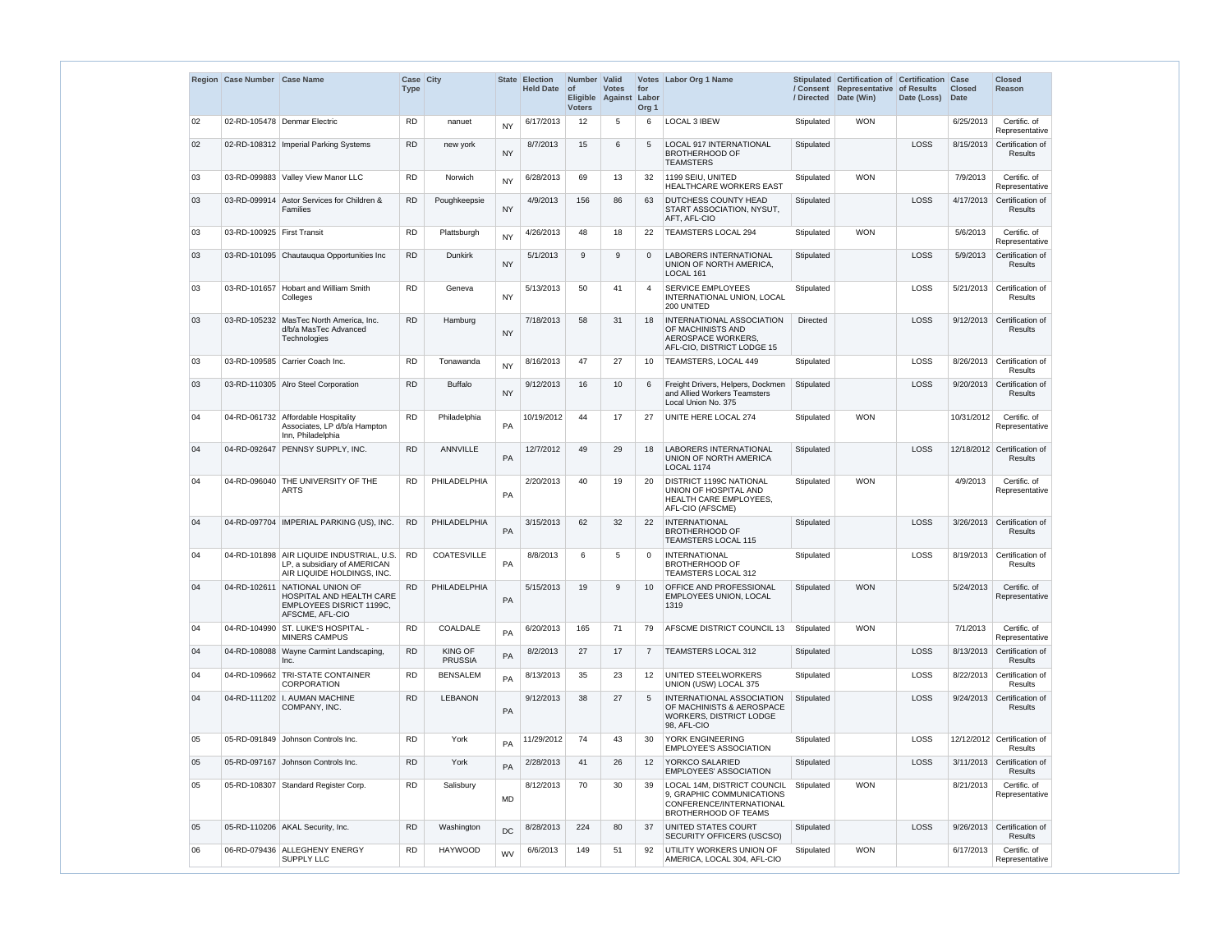|    | Region Case Number Case Name |                                                                                                         | Case City<br><b>Type</b> |                                  | <b>State</b> | <b>Election</b><br><b>Held Date</b> | Number Valid<br>$ $ of<br>Eligible<br><b>Voters</b> | <b>Votes</b><br>Against | for<br>Labor<br>Org <sub>1</sub> | Votes Labor Org 1 Name                                                                                       | / Directed      | Stipulated Certification of Certification Case<br>/ Consent Representative of Results<br>Date (Win) | Date (Loss) | <b>Closed</b><br><b>Date</b> | <b>Closed</b><br>Reason                       |
|----|------------------------------|---------------------------------------------------------------------------------------------------------|--------------------------|----------------------------------|--------------|-------------------------------------|-----------------------------------------------------|-------------------------|----------------------------------|--------------------------------------------------------------------------------------------------------------|-----------------|-----------------------------------------------------------------------------------------------------|-------------|------------------------------|-----------------------------------------------|
| 02 |                              | 02-RD-105478 Denmar Electric                                                                            | <b>RD</b>                | nanuet                           | <b>NY</b>    | 6/17/2013                           | 12                                                  | 5                       | 6                                | LOCAL 3 IBEW                                                                                                 | Stipulated      | <b>WON</b>                                                                                          |             | 6/25/2013                    | Certific. of<br>Representative                |
| 02 |                              | 02-RD-108312   Imperial Parking Systems                                                                 | <b>RD</b>                | new york                         | <b>NY</b>    | 8/7/2013                            | 15                                                  | 6                       | 5                                | <b>LOCAL 917 INTERNATIONAL</b><br><b>BROTHERHOOD OF</b><br><b>TEAMSTERS</b>                                  | Stipulated      |                                                                                                     | LOSS        | 8/15/2013                    | Certification of<br><b>Results</b>            |
| 03 |                              | 03-RD-099883 Valley View Manor LLC                                                                      | <b>RD</b>                | <b>Norwich</b>                   | <b>NY</b>    | 6/28/2013                           | 69                                                  | 13                      | 32                               | 1199 SEIU, UNITED<br><b>HEALTHCARE WORKERS EAST</b>                                                          | Stipulated      | <b>WON</b>                                                                                          |             | 7/9/2013                     | Certific. of<br>Representative                |
| 03 | 03-RD-099914                 | Astor Services for Children &<br><b>Families</b>                                                        | <b>RD</b>                | Poughkeepsie                     | <b>NY</b>    | 4/9/2013                            | 156                                                 | 86                      | 63                               | DUTCHESS COUNTY HEAD<br>START ASSOCIATION, NYSUT,<br>AFT, AFL-CIO                                            | Stipulated      |                                                                                                     | LOSS        | 4/17/2013                    | Certification of<br><b>Results</b>            |
| 03 | 03-RD-100925 First Transit   |                                                                                                         | <b>RD</b>                | Plattsburgh                      | <b>NY</b>    | 4/26/2013                           | 48                                                  | 18                      | 22                               | <b>TEAMSTERS LOCAL 294</b>                                                                                   | Stipulated      | <b>WON</b>                                                                                          |             | 5/6/2013                     | Certific. of<br>Representative                |
| 03 |                              | 03-RD-101095 Chautauqua Opportunities Inc                                                               | <b>RD</b>                | <b>Dunkirk</b>                   | <b>NY</b>    | 5/1/2013                            | 9                                                   | 9                       | $\mathbf 0$                      | <b>LABORERS INTERNATIONAL</b><br>UNION OF NORTH AMERICA,<br>LOCAL 161                                        | Stipulated      |                                                                                                     | LOSS        | 5/9/2013                     | Certification of<br><b>Results</b>            |
| 03 | 03-RD-101657                 | <b>Hobart and William Smith</b><br>Colleges                                                             | <b>RD</b>                | Geneva                           | <b>NY</b>    | 5/13/2013                           | 50                                                  | 41                      | $\boldsymbol{\varDelta}$         | <b>SERVICE EMPLOYEES</b><br>INTERNATIONAL UNION, LOCAL<br>200 UNITED                                         | Stipulated      |                                                                                                     | LOSS        | 5/21/2013                    | Certification of<br><b>Results</b>            |
| 03 |                              | 03-RD-105232 MasTec North America, Inc.<br>d/b/a MasTec Advanced<br>Technologies                        | <b>RD</b>                | Hamburg                          | <b>NY</b>    | 7/18/2013                           | 58                                                  | 31                      | 18                               | INTERNATIONAL ASSOCIATION<br>OF MACHINISTS AND<br>AEROSPACE WORKERS,<br>AFL-CIO, DISTRICT LODGE 15           | <b>Directed</b> |                                                                                                     | LOSS        | 9/12/2013                    | Certification of<br><b>Results</b>            |
| 03 |                              | 03-RD-109585 Carrier Coach Inc.                                                                         | <b>RD</b>                | Tonawanda                        | <b>NY</b>    | 8/16/2013                           | 47                                                  | 27                      | 10                               | TEAMSTERS, LOCAL 449                                                                                         | Stipulated      |                                                                                                     | LOSS        | 8/26/2013                    | Certification of<br><b>Results</b>            |
| 03 |                              | 03-RD-110305 Alro Steel Corporation                                                                     | <b>RD</b>                | <b>Buffalo</b>                   | <b>NY</b>    | 9/12/2013                           | 16                                                  | 10                      | 6                                | Freight Drivers, Helpers, Dockmen<br>and Allied Workers Teamsters<br>Local Union No. 375                     | Stipulated      |                                                                                                     | LOSS        | 9/20/2013                    | Certification of<br><b>Results</b>            |
| 04 |                              | 04-RD-061732 Affordable Hospitality<br>Associates, LP d/b/a Hampton<br>Inn, Philadelphia                | <b>RD</b>                | Philadelphia                     | PA           | 10/19/2012                          | 44                                                  | 17                      | 27                               | UNITE HERE LOCAL 274                                                                                         | Stipulated      | <b>WON</b>                                                                                          |             | 10/31/2012                   | Certific. of<br>Representative                |
| 04 |                              | 04-RD-092647 PENNSY SUPPLY, INC.                                                                        | <b>RD</b>                | <b>ANNVILLE</b>                  | PA           | 12/7/2012                           | 49                                                  | 29                      | 18                               | <b>LABORERS INTERNATIONAL</b><br>UNION OF NORTH AMERICA<br>LOCAL 1174                                        | Stipulated      |                                                                                                     | LOSS        |                              | 12/18/2012 Certification of<br><b>Results</b> |
| 04 | 04-RD-096040                 | THE UNIVERSITY OF THE<br><b>ARTS</b>                                                                    | <b>RD</b>                | PHILADELPHIA                     | PA           | 2/20/2013                           | 40                                                  | 19                      | 20                               | DISTRICT 1199C NATIONAL<br>UNION OF HOSPITAL AND<br><b>HEALTH CARE EMPLOYEES,</b><br>AFL-CIO (AFSCME)        | Stipulated      | <b>WON</b>                                                                                          |             | 4/9/2013                     | Certific. of<br>Representative                |
| 04 |                              | 04-RD-097704   IMPERIAL PARKING (US), INC.                                                              | <b>RD</b>                | PHILADELPHIA                     | PA           | 3/15/2013                           | 62                                                  | 32                      | 22                               | <b>INTERNATIONAL</b><br><b>BROTHERHOOD OF</b><br><b>TEAMSTERS LOCAL 115</b>                                  | Stipulated      |                                                                                                     | LOSS        | 3/26/2013                    | Certification of<br>Results                   |
| 04 |                              | 04-RD-101898 AIR LIQUIDE INDUSTRIAL, U.S.<br>LP. a subsidiary of AMERICAN<br>AIR LIQUIDE HOLDINGS, INC. | <b>RD</b>                | <b>COATESVILLE</b>               | PA           | 8/8/2013                            | 6                                                   | 5                       | $\Omega$                         | <b>INTERNATIONAL</b><br><b>BROTHERHOOD OF</b><br>TEAMSTERS LOCAL 312                                         | Stipulated      |                                                                                                     | LOSS        |                              | 8/19/2013 Certification of<br><b>Results</b>  |
| 04 | 04-RD-102611                 | NATIONAL UNION OF<br>HOSPITAL AND HEALTH CARE<br><b>EMPLOYEES DISRICT 1199C.</b><br>AFSCME, AFL-CIO     | <b>RD</b>                | PHILADELPHIA                     | PA           | 5/15/2013                           | 19                                                  | 9                       | 10                               | OFFICE AND PROFESSIONAL<br>EMPLOYEES UNION, LOCAL<br>1319                                                    | Stipulated      | <b>WON</b>                                                                                          |             | 5/24/2013                    | Certific. of<br>Representative                |
| 04 | 04-RD-104990                 | ST. LUKE'S HOSPITAL -<br>MINERS CAMPUS                                                                  | <b>RD</b>                | COALDALE                         | PA           | 6/20/2013                           | 165                                                 | 71                      | 79                               | AFSCME DISTRICT COUNCIL 13                                                                                   | Stipulated      | <b>WON</b>                                                                                          |             | 7/1/2013                     | Certific. of<br>Representative                |
| 04 |                              | 04-RD-108088 Wayne Carmint Landscaping,<br>Inc.                                                         | <b>RD</b>                | <b>KING OF</b><br><b>PRUSSIA</b> | PA           | 8/2/2013                            | 27                                                  | 17                      | $\overline{7}$                   | <b>TEAMSTERS LOCAL 312</b>                                                                                   | Stipulated      |                                                                                                     | LOSS        | 8/13/2013                    | Certification of<br>Results                   |
| 04 |                              | 04-RD-109662 TRI-STATE CONTAINER<br>CORPORATION                                                         | <b>RD</b>                | <b>BENSALEM</b>                  | PA           | 8/13/2013                           | 35                                                  | 23                      | 12 <sup>°</sup>                  | UNITED STEELWORKERS<br>UNION (USW) LOCAL 375                                                                 | Stipulated      |                                                                                                     | LOSS        | 8/22/2013                    | Certification of<br>Results                   |
| 04 |                              | 04-RD-111202   I. AUMAN MACHINE<br>COMPANY, INC.                                                        | <b>RD</b>                | <b>LEBANON</b>                   | PA           | 9/12/2013                           | 38                                                  | 27                      | 5                                | INTERNATIONAL ASSOCIATION<br>OF MACHINISTS & AEROSPACE<br>WORKERS, DISTRICT LODGE<br>98, AFL-CIO             | Stipulated      |                                                                                                     | LOSS        | 9/24/2013                    | Certification of<br>Results                   |
| 05 |                              | 05-RD-091849 Johnson Controls Inc.                                                                      | <b>RD</b>                | York                             | PA           | 11/29/2012                          | 74                                                  | 43                      | 30                               | YORK ENGINEERING<br><b>EMPLOYEE'S ASSOCIATION</b>                                                            | Stipulated      |                                                                                                     | LOSS        |                              | 12/12/2012 Certification of<br><b>Results</b> |
| 05 |                              | 05-RD-097167 Johnson Controls Inc.                                                                      | <b>RD</b>                | York                             | PA           | 2/28/2013                           | 41                                                  | 26                      | $12 \overline{ }$                | YORKCO SALARIED<br><b>EMPLOYEES' ASSOCIATION</b>                                                             | Stipulated      |                                                                                                     | LOSS        |                              | 3/11/2013 Certification of<br>Results         |
| 05 |                              | 05-RD-108307 Standard Register Corp.                                                                    | <b>RD</b>                | Salisbury                        | <b>MD</b>    | 8/12/2013                           | 70                                                  | 30                      | 39                               | LOCAL 14M, DISTRICT COUNCIL<br>9, GRAPHIC COMMUNICATIONS<br>CONFERENCE/INTERNATIONAL<br>BROTHERHOOD OF TEAMS | Stipulated      | <b>WON</b>                                                                                          |             | 8/21/2013                    | Certific. of<br>Representative                |
| 05 |                              | 05-RD-110206 AKAL Security, Inc.                                                                        | <b>RD</b>                | Washington                       | DC           | 8/28/2013                           | 224                                                 | 80                      | 37                               | UNITED STATES COURT<br>SECURITY OFFICERS (USCSO)                                                             | Stipulated      |                                                                                                     | LOSS        | 9/26/2013                    | Certification of<br>Results                   |
| 06 |                              | 06-RD-079436 ALLEGHENY ENERGY<br>SUPPLY LLC                                                             | <b>RD</b>                | <b>HAYWOOD</b>                   | WV           | 6/6/2013                            | 149                                                 | 51                      | 92                               | UTILITY WORKERS UNION OF<br>AMERICA, LOCAL 304, AFL-CIO                                                      | Stipulated      | <b>WON</b>                                                                                          |             | 6/17/2013                    | Certific. of<br>Representative                |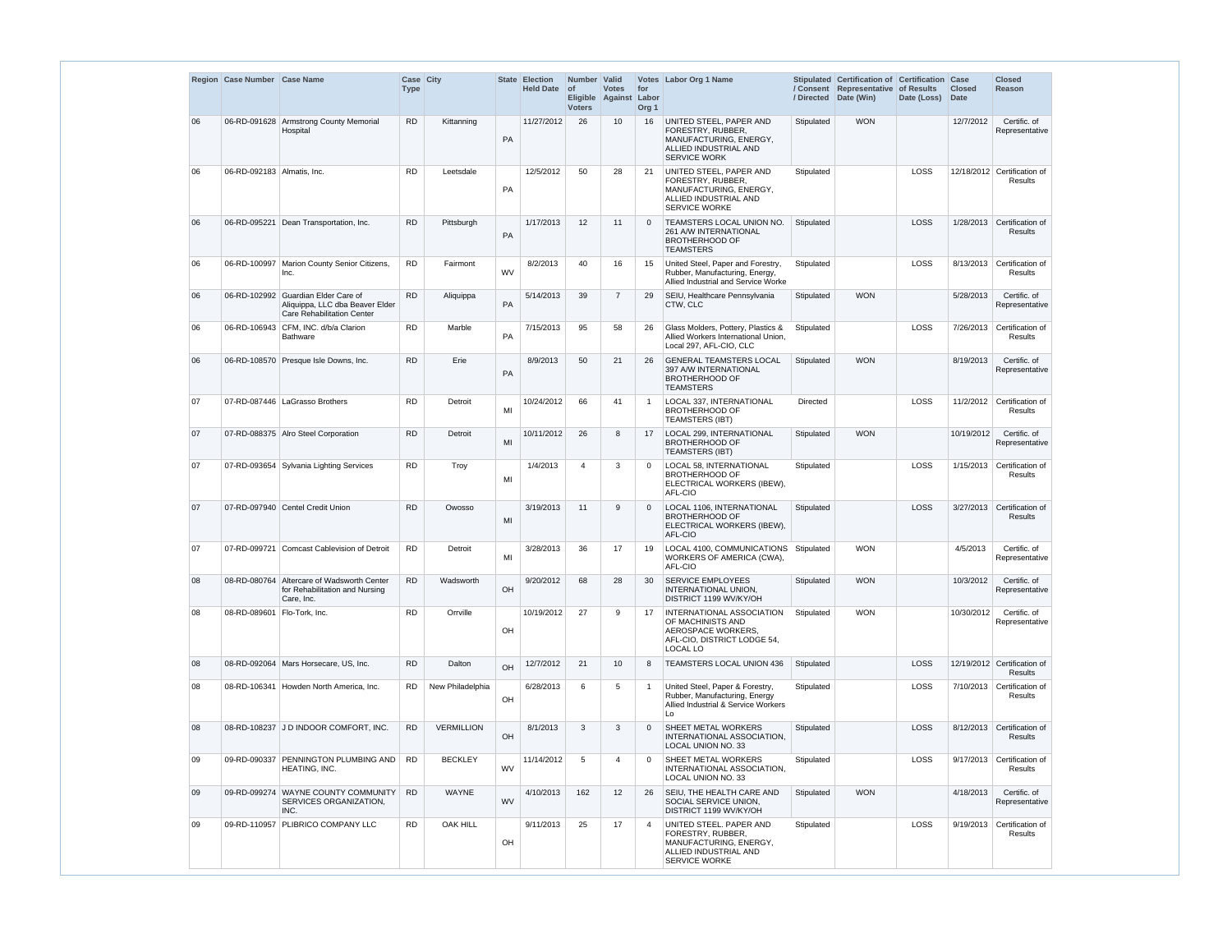|    | Region Case Number Case Name |                                                                                                             | Case City<br><b>Type</b> |                   |           | State Election<br><b>Held Date</b> | Number Valid<br>$ $ of<br><b>Voters</b> | <b>Votes</b><br>Eligible Against | for<br>Labor<br>Org <sub>1</sub> | Votes Labor Org 1 Name                                                                                                  |            | Stipulated Certification of Certification Case<br>/ Consent Representative of Results<br>/ Directed Date (Win) | Date (Loss) | <b>Closed</b><br><b>Date</b> | <b>Closed</b><br>Reason                       |
|----|------------------------------|-------------------------------------------------------------------------------------------------------------|--------------------------|-------------------|-----------|------------------------------------|-----------------------------------------|----------------------------------|----------------------------------|-------------------------------------------------------------------------------------------------------------------------|------------|----------------------------------------------------------------------------------------------------------------|-------------|------------------------------|-----------------------------------------------|
| 06 |                              | 06-RD-091628 Armstrong County Memorial<br>Hospital                                                          | <b>RD</b>                | Kittanning        | PA        | 11/27/2012                         | 26                                      | 10                               | 16                               | UNITED STEEL, PAPER AND<br>FORESTRY, RUBBER,<br>MANUFACTURING, ENERGY,<br>ALLIED INDUSTRIAL AND<br><b>SERVICE WORK</b>  | Stipulated | <b>WON</b>                                                                                                     |             | 12/7/2012                    | Certific. of<br>Representative                |
| 06 | 06-RD-092183 Almatis, Inc.   |                                                                                                             | <b>RD</b>                | Leetsdale         | PA        | 12/5/2012                          | 50                                      | 28                               | 21                               | UNITED STEEL, PAPER AND<br>FORESTRY, RUBBER,<br>MANUFACTURING, ENERGY,<br>ALLIED INDUSTRIAL AND<br><b>SERVICE WORKE</b> | Stipulated |                                                                                                                | LOSS        |                              | 12/18/2012 Certification of<br><b>Results</b> |
| 06 |                              | 06-RD-095221 Dean Transportation, Inc.                                                                      | <b>RD</b>                | Pittsburgh        | PA        | 1/17/2013                          | 12                                      | 11                               | $\Omega$                         | <b>TEAMSTERS LOCAL UNION NO.</b><br>261 A/W INTERNATIONAL<br><b>BROTHERHOOD OF</b><br><b>TEAMSTERS</b>                  | Stipulated |                                                                                                                | LOSS        | 1/28/2013                    | Certification of<br><b>Results</b>            |
| 06 |                              | 06-RD-100997   Marion County Senior Citizens,<br>Inc.                                                       | <b>RD</b>                | Fairmont          | <b>WV</b> | 8/2/2013                           | 40                                      | 16                               | 15                               | United Steel, Paper and Forestry,<br>Rubber, Manufacturing, Energy,<br>Allied Industrial and Service Worke              | Stipulated |                                                                                                                | LOSS        | 8/13/2013                    | Certification of<br>Results                   |
| 06 |                              | 06-RD-102992 Guardian Elder Care of<br>Aliquippa, LLC dba Beaver Elder<br><b>Care Rehabilitation Center</b> | <b>RD</b>                | Aliquippa         | <b>PA</b> | 5/14/2013                          | 39                                      | $\overline{7}$                   | 29                               | SEIU, Healthcare Pennsylvania<br>CTW, CLC                                                                               | Stipulated | <b>WON</b>                                                                                                     |             | 5/28/2013                    | Certific. of<br>Representative                |
| 06 |                              | 06-RD-106943 CFM, INC. d/b/a Clarion<br><b>Bathware</b>                                                     | <b>RD</b>                | Marble            | PA        | 7/15/2013                          | 95                                      | 58                               | 26                               | Glass Molders, Pottery, Plastics &<br>Allied Workers International Union,<br>Local 297, AFL-CIO, CLC                    | Stipulated |                                                                                                                | LOSS        | 7/26/2013                    | Certification of<br>Results                   |
| 06 |                              | 06-RD-108570 Presque Isle Downs, Inc.                                                                       | <b>RD</b>                | Erie              | PA        | 8/9/2013                           | 50                                      | 21                               | 26                               | <b>GENERAL TEAMSTERS LOCAL</b><br>397 A/W INTERNATIONAL<br><b>BROTHERHOOD OF</b><br><b>TEAMSTERS</b>                    | Stipulated | <b>WON</b>                                                                                                     |             | 8/19/2013                    | Certific. of<br>Representative                |
| 07 |                              | 07-RD-087446 LaGrasso Brothers                                                                              | <b>RD</b>                | Detroit           | MI        | 10/24/2012                         | 66                                      | 41                               | $\overline{1}$                   | LOCAL 337, INTERNATIONAL<br><b>BROTHERHOOD OF</b><br><b>TEAMSTERS (IBT)</b>                                             | Directed   |                                                                                                                | LOSS        |                              | 11/2/2012 Certification of<br><b>Results</b>  |
| 07 |                              | 07-RD-088375 Alro Steel Corporation                                                                         | <b>RD</b>                | Detroit           | MI        | 10/11/2012                         | 26                                      | 8                                | 17                               | LOCAL 299, INTERNATIONAL<br><b>BROTHERHOOD OF</b><br><b>TEAMSTERS (IBT)</b>                                             | Stipulated | <b>WON</b>                                                                                                     |             | 10/19/2012                   | Certific. of<br>Representative                |
| 07 |                              | 07-RD-093654 Sylvania Lighting Services                                                                     | <b>RD</b>                | Troy              | MI        | 1/4/2013                           | 4                                       | 3                                | $\Omega$                         | <b>LOCAL 58. INTERNATIONAL</b><br><b>BROTHERHOOD OF</b><br>ELECTRICAL WORKERS (IBEW),<br>AFL-CIO                        | Stipulated |                                                                                                                | LOSS        | 1/15/2013                    | Certification of<br>Results                   |
| 07 |                              | 07-RD-097940 Centel Credit Union                                                                            | <b>RD</b>                | Owosso            | MI        | 3/19/2013                          | 11                                      | 9                                |                                  | LOCAL 1106, INTERNATIONAL<br><b>BROTHERHOOD OF</b><br>ELECTRICAL WORKERS (IBEW),<br>AFL-CIO                             | Stipulated |                                                                                                                | LOSS        |                              | 3/27/2013 Certification of<br><b>Results</b>  |
| 07 |                              | 07-RD-099721 Comcast Cablevision of Detroit                                                                 | <b>RD</b>                | Detroit           | MI        | 3/28/2013                          | 36                                      | 17                               | 19                               | LOCAL 4100, COMMUNICATIONS   Stipulated<br>WORKERS OF AMERICA (CWA),<br>AFL-CIO                                         |            | <b>WON</b>                                                                                                     |             | 4/5/2013                     | Certific. of<br>Representative                |
| 08 |                              | 08-RD-080764 Altercare of Wadsworth Center<br>for Rehabilitation and Nursing<br>Care, Inc.                  | <b>RD</b>                | Wadsworth         | OH        | 9/20/2012                          | 68                                      | 28                               | 30                               | <b>SERVICE EMPLOYEES</b><br>INTERNATIONAL UNION,<br>DISTRICT 1199 WV/KY/OH                                              | Stipulated | <b>WON</b>                                                                                                     |             | 10/3/2012                    | Certific. of<br>Representative                |
| 08 | 08-RD-089601 Flo-Tork, Inc.  |                                                                                                             | <b>RD</b>                | Orrville          | OH        | 10/19/2012                         | 27                                      | 9                                | 17                               | <b>INTERNATIONAL ASSOCIATION</b><br>OF MACHINISTS AND<br>AEROSPACE WORKERS,<br>AFL-CIO, DISTRICT LODGE 54,<br>LOCAL LO  | Stipulated | <b>WON</b>                                                                                                     |             | 10/30/2012                   | Certific. of<br>Representative                |
| 08 |                              | 08-RD-092064   Mars Horsecare, US, Inc.                                                                     | <b>RD</b>                | Dalton            | OH        | 12/7/2012                          | 21                                      | 10                               | 8                                | TEAMSTERS LOCAL UNION 436                                                                                               | Stipulated |                                                                                                                | LOSS        |                              | 12/19/2012 Certification of<br>Results        |
| 08 |                              | 08-RD-106341   Howden North America, Inc.                                                                   | <b>RD</b>                | New Philadelphia  | OH        | 6/28/2013                          | 6                                       | 5                                | -1                               | United Steel, Paper & Forestry,<br>Rubber, Manufacturing, Energy<br>Allied Industrial & Service Workers<br>Lo           | Stipulated |                                                                                                                | LOSS        | 7/10/2013                    | Certification of<br>Results                   |
| 08 |                              | 08-RD-108237 J D INDOOR COMFORT, INC.                                                                       | <b>RD</b>                | <b>VERMILLION</b> | OH        | 8/1/2013                           | 3                                       | 3                                | $\Omega$                         | <b>SHEET METAL WORKERS</b><br>INTERNATIONAL ASSOCIATION,<br>LOCAL UNION NO. 33                                          | Stipulated |                                                                                                                | LOSS        |                              | 8/12/2013 Certification of<br>Results         |
| 09 |                              | 09-RD-090337 PENNINGTON PLUMBING AND<br>HEATING, INC.                                                       | <b>RD</b>                | <b>BECKLEY</b>    | <b>WV</b> | 11/14/2012                         | 5                                       | 4                                | $\Omega$                         | SHEET METAL WORKERS<br>INTERNATIONAL ASSOCIATION,<br>LOCAL UNION NO. 33                                                 | Stipulated |                                                                                                                | LOSS        | 9/17/2013                    | Certification of<br><b>Results</b>            |
| 09 |                              | 09-RD-099274 WAYNE COUNTY COMMUNITY<br>SERVICES ORGANIZATION,<br>INC.                                       | <b>RD</b>                | <b>WAYNE</b>      | <b>WV</b> | 4/10/2013                          | 162                                     | 12 <sub>2</sub>                  | 26                               | SEIU, THE HEALTH CARE AND<br>SOCIAL SERVICE UNION,<br>DISTRICT 1199 WV/KY/OH                                            | Stipulated | <b>WON</b>                                                                                                     |             | 4/18/2013                    | Certific. of<br>Representative                |
| 09 |                              | 09-RD-110957 PLIBRICO COMPANY LLC                                                                           | <b>RD</b>                | <b>OAK HILL</b>   | OH        | 9/11/2013                          | 25                                      | 17                               | $\overline{4}$                   | UNITED STEEL, PAPER AND<br>FORESTRY, RUBBER,<br>MANUFACTURING, ENERGY,<br>ALLIED INDUSTRIAL AND<br>SERVICE WORKE        | Stipulated |                                                                                                                | LOSS        | 9/19/2013                    | Certification of<br>Results                   |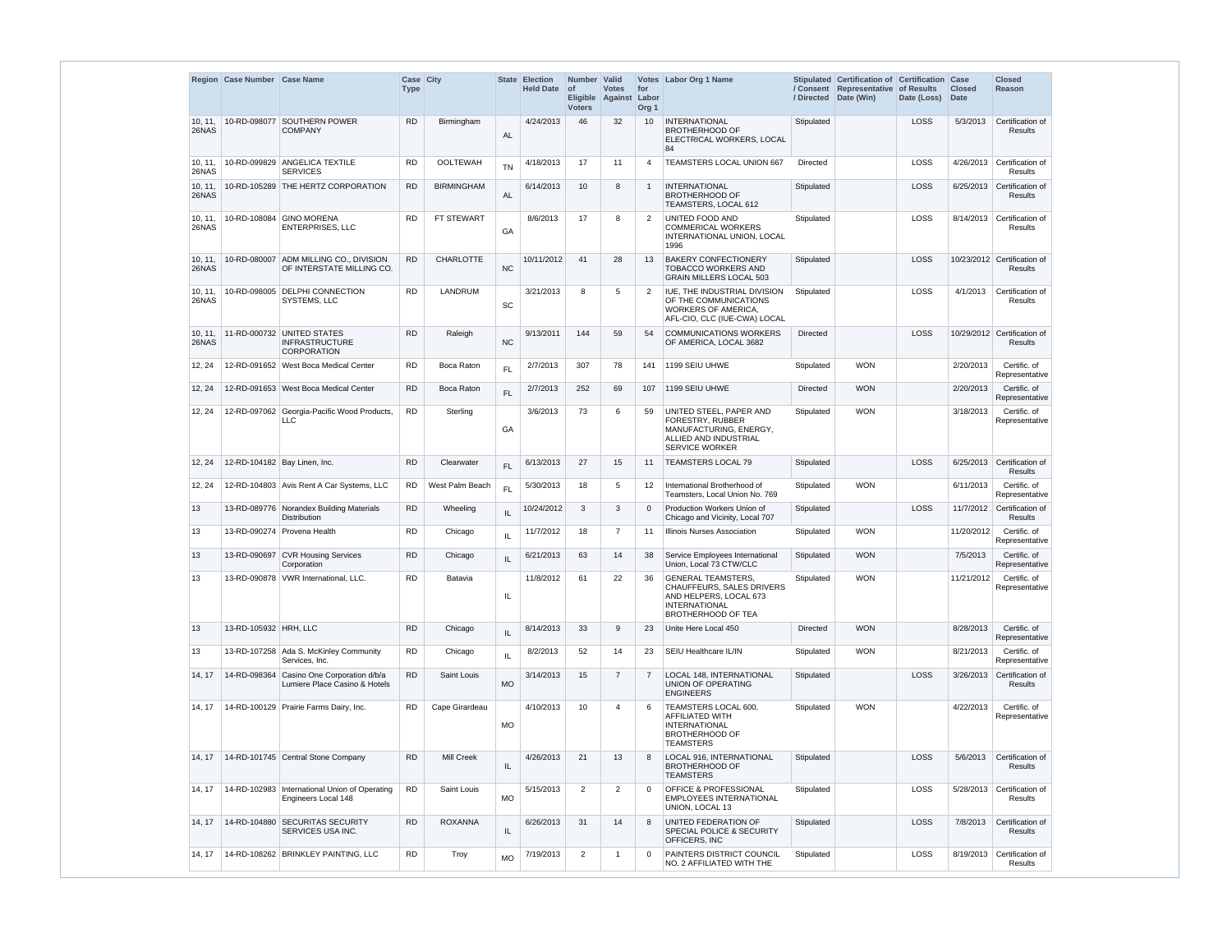|                  | Region Case Number Case Name |                                                                           | Case City<br><b>Type</b> |                   | <b>State</b>  | <b>Election</b><br>Held Date of | Number Valid<br><b>Voters</b> | <b>Votes</b><br>Eligible Against Labor | for<br>Org <sub>1</sub> | Votes Labor Org 1 Name                                                                                                                       | / Directed      | Stipulated Certification of Certification<br>/ Consent Representative of Results<br>Date (Win) | Date (Loss) | Case<br><b>Closed</b><br><b>Date</b> | <b>Closed</b><br>Reason                           |
|------------------|------------------------------|---------------------------------------------------------------------------|--------------------------|-------------------|---------------|---------------------------------|-------------------------------|----------------------------------------|-------------------------|----------------------------------------------------------------------------------------------------------------------------------------------|-----------------|------------------------------------------------------------------------------------------------|-------------|--------------------------------------|---------------------------------------------------|
| 10, 11,<br>26NAS |                              | 10-RD-098077 SOUTHERN POWER<br><b>COMPANY</b>                             | <b>RD</b>                | Birmingham        | <b>AL</b>     | 4/24/2013                       | 46                            | 32                                     | 10                      | <b>INTERNATIONAL</b><br><b>BROTHERHOOD OF</b><br>ELECTRICAL WORKERS, LOCAL<br>84                                                             | Stipulated      |                                                                                                | <b>LOSS</b> | 5/3/2013                             | Certification of<br>Results                       |
| 10, 11,<br>26NAS |                              | 10-RD-099829 ANGELICA TEXTILE<br><b>SERVICES</b>                          | <b>RD</b>                | <b>OOLTEWAH</b>   | <b>TN</b>     | 4/18/2013                       | 17                            | 11                                     | $\overline{4}$          | TEAMSTERS LOCAL UNION 667                                                                                                                    | Directed        |                                                                                                | LOSS        | 4/26/2013                            | Certification of<br><b>Results</b>                |
| 10, 11,<br>26NAS |                              | 10-RD-105289 THE HERTZ CORPORATION                                        | <b>RD</b>                | <b>BIRMINGHAM</b> | <b>AL</b>     | 6/14/2013                       | 10 <sup>°</sup>               | 8                                      | $\overline{1}$          | <b>INTERNATIONAL</b><br><b>BROTHERHOOD OF</b><br>TEAMSTERS, LOCAL 612                                                                        | Stipulated      |                                                                                                | LOSS        | 6/25/2013                            | Certification of<br><b>Results</b>                |
| 10, 11,<br>26NAS |                              | 10-RD-108084 GINO MORENA<br><b>ENTERPRISES, LLC</b>                       | <b>RD</b>                | FT STEWART        | GA            | 8/6/2013                        | 17                            | 8                                      | $\overline{2}$          | UNITED FOOD AND<br><b>COMMERICAL WORKERS</b><br>INTERNATIONAL UNION, LOCAL<br>1996                                                           | Stipulated      |                                                                                                | LOSS        | 8/14/2013                            | Certification of<br><b>Results</b>                |
| 10, 11,<br>26NAS |                              | 10-RD-080007 ADM MILLING CO., DIVISION<br>OF INTERSTATE MILLING CO.       | <b>RD</b>                | <b>CHARLOTTE</b>  | <b>NC</b>     | 10/11/2012                      | 41                            | 28                                     | 13                      | <b>BAKERY CONFECTIONERY</b><br><b>TOBACCO WORKERS AND</b><br><b>GRAIN MILLERS LOCAL 503</b>                                                  | Stipulated      |                                                                                                | LOSS        |                                      | 10/23/2012 Certification of<br>Results            |
| 10, 11,<br>26NAS |                              | 10-RD-098005 DELPHI CONNECTION<br>SYSTEMS, LLC                            | <b>RD</b>                | <b>LANDRUM</b>    | SC            | 3/21/2013                       | 8                             | 5                                      | 2                       | IUE. THE INDUSTRIAL DIVISION<br>OF THE COMMUNICATIONS<br>WORKERS OF AMERICA,<br>AFL-CIO, CLC (IUE-CWA) LOCAL                                 | Stipulated      |                                                                                                | LOSS        | 4/1/2013                             | Certification of<br>Results                       |
| 10, 11,<br>26NAS |                              | 11-RD-000732 UNITED STATES<br><b>INFRASTRUCTURE</b><br><b>CORPORATION</b> | <b>RD</b>                | Raleigh           | <b>NC</b>     | 9/13/2011                       | 144                           | 59                                     | 54                      | <b>COMMUNICATIONS WORKERS</b><br>OF AMERICA, LOCAL 3682                                                                                      | <b>Directed</b> |                                                                                                | LOSS        |                                      | 10/29/2012 Certification of<br>Results            |
| 12, 24           |                              | 12-RD-091652   West Boca Medical Center                                   | <b>RD</b>                | Boca Raton        | FL.           | 2/7/2013                        | 307                           | 78                                     | 141                     | 1199 SEIU UHWE                                                                                                                               | Stipulated      | <b>WON</b>                                                                                     |             | 2/20/2013                            | Certific. of<br>Representative                    |
| 12, 24           |                              | 12-RD-091653 West Boca Medical Center                                     | <b>RD</b>                | Boca Raton        | FL            | 2/7/2013                        | 252                           | 69                                     | 107                     | 1199 SEIU UHWE                                                                                                                               | <b>Directed</b> | <b>WON</b>                                                                                     |             | 2/20/2013                            | Certific. of<br>Representative                    |
| 12, 24           |                              | 12-RD-097062 Georgia-Pacific Wood Products,<br><b>LLC</b>                 | <b>RD</b>                | Sterling          | GA            | 3/6/2013                        | 73                            | 6                                      | 59                      | UNITED STEEL, PAPER AND<br>FORESTRY, RUBBER<br>MANUFACTURING, ENERGY,<br>ALLIED AND INDUSTRIAL<br><b>SERVICE WORKER</b>                      | Stipulated      | <b>WON</b>                                                                                     |             | 3/18/2013                            | Certific. of<br>Representative                    |
| 12, 24           | 12-RD-104182 Bay Linen, Inc. |                                                                           | <b>RD</b>                | Clearwater        | FL.           | 6/13/2013                       | 27                            | 15                                     | 11                      | <b>TEAMSTERS LOCAL 79</b>                                                                                                                    | Stipulated      |                                                                                                | LOSS        | 6/25/2013                            | Certification of<br><b>Results</b>                |
| 12, 24           |                              | 12-RD-104803 Avis Rent A Car Systems, LLC                                 | RD.                      | West Palm Beach   | FL            | 5/30/2013                       | 18                            | 5                                      | 12                      | International Brotherhood of<br>Teamsters, Local Union No. 769                                                                               | Stipulated      | <b>WON</b>                                                                                     |             | 6/11/2013                            | Certific. of<br>Representative                    |
|                  |                              | 13 13-RD-089776 Norandex Building Materials<br><b>Distribution</b>        | <b>RD</b>                | Wheeling          | IL            | $10/24/2012$ 3                  |                               | $\mathbf{3}$                           |                         | 0 Production Workers Union of<br>Chicago and Vicinity, Local 707                                                                             | Stipulated      |                                                                                                |             |                                      | LOSS 11/7/2012 Certification of<br><b>Results</b> |
| 13               |                              | 13-RD-090274 Provena Health                                               | <b>RD</b>                | Chicago           | $\sf IL$      | 11/7/2012                       | 18                            | $\overline{7}$                         | 11                      | <b>Illinois Nurses Association</b>                                                                                                           | Stipulated      | <b>WON</b>                                                                                     |             | 11/20/2012                           | Certific. of<br>Representative                    |
| 13               |                              | 13-RD-090697 CVR Housing Services<br>Corporation                          | <b>RD</b>                | Chicago           | $\sf IL$      | 6/21/2013                       | 63                            | 14                                     | 38                      | Service Employees International<br>Union, Local 73 CTW/CLC                                                                                   | Stipulated      | <b>WON</b>                                                                                     |             | 7/5/2013                             | Certific. of<br>Representative                    |
| 13               |                              | 13-RD-090878 VWR International, LLC.                                      | <b>RD</b>                | Batavia           | IL            | 11/8/2012                       | 61                            | 22                                     | 36                      | <b>GENERAL TEAMSTERS,</b><br><b>CHAUFFEURS, SALES DRIVERS</b><br>AND HELPERS, LOCAL 673<br><b>INTERNATIONAL</b><br><b>BROTHERHOOD OF TEA</b> | Stipulated      | <b>WON</b>                                                                                     |             | 11/21/2012                           | Certific. of<br>Representative                    |
| 13               | 13-RD-105932 HRH, LLC        |                                                                           | <b>RD</b>                | Chicago           | $\sf IL$      | 8/14/2013                       | 33                            | 9                                      | 23                      | Unite Here Local 450                                                                                                                         | <b>Directed</b> | <b>WON</b>                                                                                     |             | 8/28/2013                            | Certific. of<br>Representative                    |
| 13               |                              | 13-RD-107258 Ada S. McKinley Community<br>Services, Inc.                  | <b>RD</b>                | Chicago           | $\mathsf{IL}$ | 8/2/2013                        | 52                            | 14                                     | 23                      | SEIU Healthcare IL/IN                                                                                                                        | Stipulated      | <b>WON</b>                                                                                     |             | 8/21/2013                            | Certific. of<br>Representative                    |
| 14, 17           | 14-RD-098364                 | Casino One Corporation d/b/a<br>Lumiere Place Casino & Hotels             | <b>RD</b>                | Saint Louis       | <b>MO</b>     | 3/14/2013                       | 15                            | $\overline{7}$                         | $\overline{7}$          | LOCAL 148, INTERNATIONAL<br>UNION OF OPERATING<br><b>ENGINEERS</b>                                                                           | Stipulated      |                                                                                                | LOSS        | 3/26/2013                            | Certification of<br><b>Results</b>                |
| 14, 17           |                              | 14-RD-100129 Prairie Farms Dairy, Inc.                                    | <b>RD</b>                | Cape Girardeau    | <b>MO</b>     | 4/10/2013                       | 10 <sup>°</sup>               | $\overline{4}$                         | 6                       | TEAMSTERS LOCAL 600,<br><b>AFFILIATED WITH</b><br><b>INTERNATIONAL</b><br><b>BROTHERHOOD OF</b><br><b>TEAMSTERS</b>                          | Stipulated      | <b>WON</b>                                                                                     |             | 4/22/2013                            | Certific. of<br>Representative                    |
| 14, 17           |                              | 14-RD-101745 Central Stone Company                                        | <b>RD</b>                | <b>Mill Creek</b> | IL            | 4/26/2013                       | 21                            | 13                                     | 8                       | LOCAL 916, INTERNATIONAL<br><b>BROTHERHOOD OF</b><br><b>TEAMSTERS</b>                                                                        | Stipulated      |                                                                                                | LOSS        | 5/6/2013                             | Certification of<br><b>Results</b>                |
| 14, 17           |                              | 14-RD-102983   International Union of Operating<br>Engineers Local 148    | <b>RD</b>                | Saint Louis       | <b>MO</b>     | 5/15/2013                       | $\overline{2}$                | 2                                      | $\Omega$                | <b>OFFICE &amp; PROFESSIONAL</b><br>EMPLOYEES INTERNATIONAL<br>UNION, LOCAL 13                                                               | Stipulated      |                                                                                                | LOSS        | 5/28/2013                            | Certification of<br><b>Results</b>                |
| 14, 17           |                              | 14-RD-104880 SECURITAS SECURITY<br>SERVICES USA INC.                      | <b>RD</b>                | <b>ROXANNA</b>    | IL.           | 6/26/2013                       | 31                            | 14                                     | 8                       | UNITED FEDERATION OF<br>SPECIAL POLICE & SECURITY<br>OFFICERS, INC                                                                           | Stipulated      |                                                                                                | LOSS        | 7/8/2013                             | Certification of<br><b>Results</b>                |
| 14, 17           |                              | 14-RD-108262 BRINKLEY PAINTING, LLC                                       | <b>RD</b>                | Troy              | <b>MO</b>     | 7/19/2013                       | $\overline{2}$                | -1                                     | $\mathbf 0$             | PAINTERS DISTRICT COUNCIL<br>NO. 2 AFFILIATED WITH THE                                                                                       | Stipulated      |                                                                                                | LOSS        | 8/19/2013                            | Certification of<br>Results                       |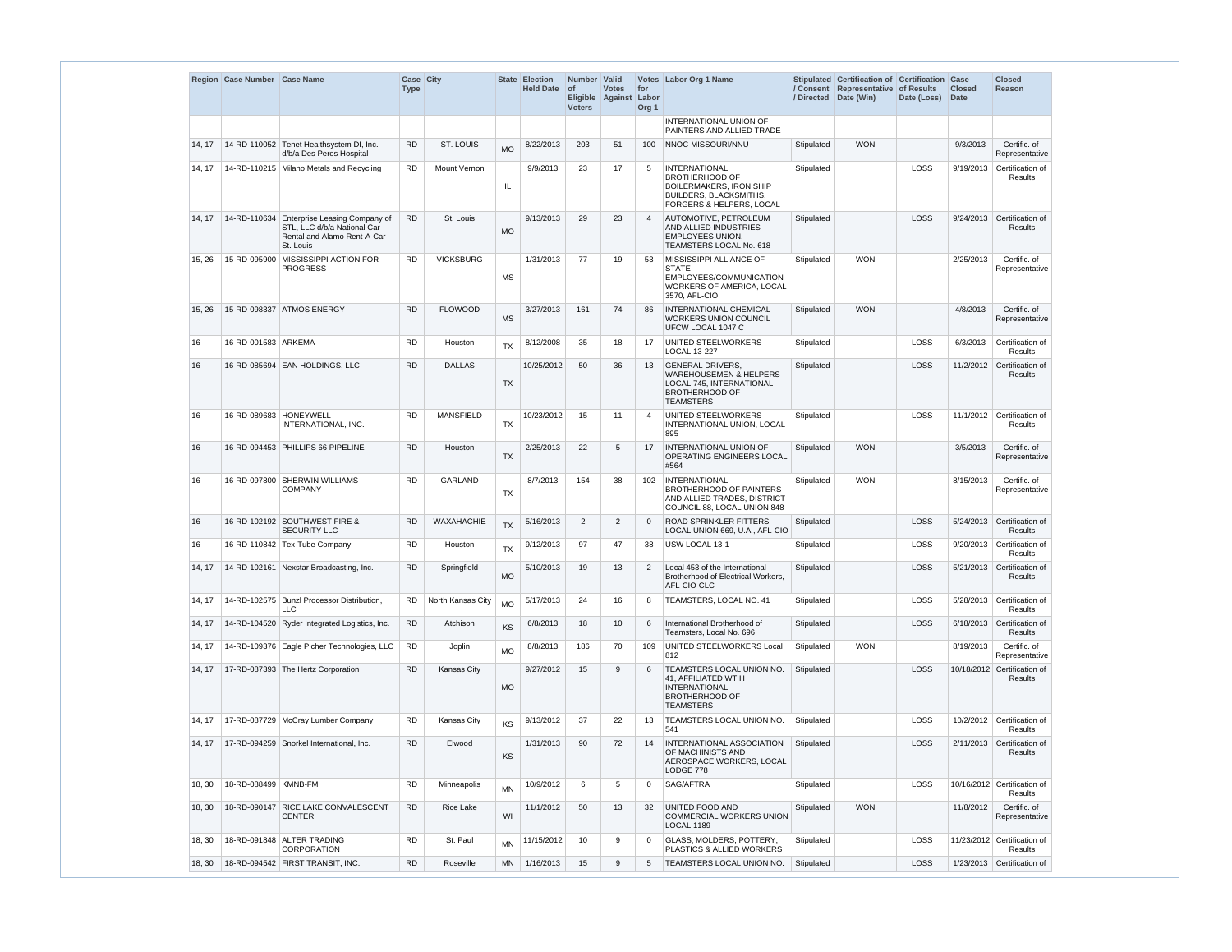|        | Region Case Number Case Name |                                                                                                                       | <b>Type</b> | Case City         |           | State Election<br><b>Held Date</b> | Number Valid<br>$ $ of<br><b>Voters</b> | <b>Votes</b><br>Eligible Against | for<br>Labor<br>Org <sub>1</sub> | Votes Labor Org 1 Name                                                                                                                       |            | Stipulated Certification of Certification Case<br>/ Consent Representative of Results<br>/ Directed Date (Win) | Date (Loss) | <b>Closed</b><br>Date | <b>Closed</b><br><b>Reason</b>                |
|--------|------------------------------|-----------------------------------------------------------------------------------------------------------------------|-------------|-------------------|-----------|------------------------------------|-----------------------------------------|----------------------------------|----------------------------------|----------------------------------------------------------------------------------------------------------------------------------------------|------------|----------------------------------------------------------------------------------------------------------------|-------------|-----------------------|-----------------------------------------------|
|        |                              |                                                                                                                       |             |                   |           |                                    |                                         |                                  |                                  | INTERNATIONAL UNION OF<br>PAINTERS AND ALLIED TRADE                                                                                          |            |                                                                                                                |             |                       |                                               |
| 14, 17 |                              | 14-RD-110052 Tenet Healthsystem DI, Inc.<br>d/b/a Des Peres Hospital                                                  | <b>RD</b>   | <b>ST. LOUIS</b>  | <b>MO</b> | 8/22/2013                          | 203                                     | 51                               | 100                              | NNOC-MISSOURI/NNU                                                                                                                            | Stipulated | <b>WON</b>                                                                                                     |             | 9/3/2013              | Certific. of<br>Representative                |
| 14, 17 |                              | 14-RD-110215 Milano Metals and Recycling                                                                              | <b>RD</b>   | Mount Vernon      | IL.       | 9/9/2013                           | 23                                      | 17                               | 5                                | <b>INTERNATIONAL</b><br><b>BROTHERHOOD OF</b><br><b>BOILERMAKERS, IRON SHIP</b><br><b>BUILDERS, BLACKSMITHS,</b><br>FORGERS & HELPERS, LOCAL | Stipulated |                                                                                                                | LOSS        | 9/19/2013             | Certification of<br><b>Results</b>            |
| 14, 17 |                              | 14-RD-110634 Enterprise Leasing Company of<br>STL, LLC d/b/a National Car<br>Rental and Alamo Rent-A-Car<br>St. Louis | <b>RD</b>   | St. Louis         | <b>MO</b> | 9/13/2013                          | 29                                      | 23                               | $\overline{4}$                   | AUTOMOTIVE, PETROLEUM<br>AND ALLIED INDUSTRIES<br><b>EMPLOYEES UNION,</b><br>TEAMSTERS LOCAL No. 618                                         | Stipulated |                                                                                                                | LOSS        | 9/24/2013             | Certification of<br><b>Results</b>            |
| 15, 26 |                              | 15-RD-095900 MISSISSIPPI ACTION FOR<br><b>PROGRESS</b>                                                                | <b>RD</b>   | <b>VICKSBURG</b>  | <b>MS</b> | 1/31/2013                          | 77                                      | 19                               | 53                               | MISSISSIPPI ALLIANCE OF<br><b>STATE</b><br>EMPLOYEES/COMMUNICATION<br>WORKERS OF AMERICA, LOCAL<br>3570, AFL-CIO                             | Stipulated | <b>WON</b>                                                                                                     |             | 2/25/2013             | Certific. of<br>Representative                |
| 15, 26 |                              | 15-RD-098337 ATMOS ENERGY                                                                                             | <b>RD</b>   | <b>FLOWOOD</b>    | <b>MS</b> | 3/27/2013                          | 161                                     | 74                               | 86                               | <b>INTERNATIONAL CHEMICAL</b><br><b>WORKERS UNION COUNCIL</b><br>UFCW LOCAL 1047 C                                                           | Stipulated | <b>WON</b>                                                                                                     |             | 4/8/2013              | Certific. of<br>Representative                |
| 16     | 16-RD-001583 ARKEMA          |                                                                                                                       | <b>RD</b>   | Houston           | <b>TX</b> | 8/12/2008                          | 35                                      | 18                               | 17                               | <b>UNITED STEELWORKERS</b><br><b>LOCAL 13-227</b>                                                                                            | Stipulated |                                                                                                                | LOSS        | 6/3/2013              | Certification of<br>Results                   |
| 16     |                              | 16-RD-085694 EAN HOLDINGS, LLC                                                                                        | <b>RD</b>   | <b>DALLAS</b>     | <b>TX</b> | 10/25/2012                         | 50                                      | 36                               | 13                               | <b>GENERAL DRIVERS,</b><br><b>WAREHOUSEMEN &amp; HELPERS</b><br>LOCAL 745, INTERNATIONAL<br><b>BROTHERHOOD OF</b><br><b>TEAMSTERS</b>        | Stipulated |                                                                                                                | LOSS        | 11/2/2012             | Certification of<br><b>Results</b>            |
| 16     |                              | 16-RD-089683 HONEYWELL<br>INTERNATIONAL, INC.                                                                         | <b>RD</b>   | <b>MANSFIELD</b>  | TX        | 10/23/2012                         | 15                                      | 11                               | $\overline{4}$                   | UNITED STEELWORKERS<br>INTERNATIONAL UNION, LOCAL<br>895                                                                                     | Stipulated |                                                                                                                | LOSS        |                       | 11/1/2012 Certification of<br><b>Results</b>  |
| 16     |                              | 16-RD-094453 PHILLIPS 66 PIPELINE                                                                                     | <b>RD</b>   | Houston           | <b>TX</b> | 2/25/2013                          | 22                                      | 5                                | 17                               | INTERNATIONAL UNION OF<br><b>OPERATING ENGINEERS LOCAL</b><br>#564                                                                           | Stipulated | <b>WON</b>                                                                                                     |             | 3/5/2013              | Certific. of<br>Representative                |
| 16     |                              | 16-RD-097800 SHERWIN WILLIAMS<br><b>COMPANY</b>                                                                       | <b>RD</b>   | <b>GARLAND</b>    | TX        | 8/7/2013                           | 154                                     | 38                               | 102                              | INTERNATIONAL<br><b>BROTHERHOOD OF PAINTERS</b><br>AND ALLIED TRADES, DISTRICT<br>COUNCIL 88, LOCAL UNION 848                                | Stipulated | <b>WON</b>                                                                                                     |             | 8/15/2013             | Certific. of<br>Representative                |
| 16     |                              | 16-RD-102192 SOUTHWEST FIRE &<br><b>SECURITY LLC</b>                                                                  | <b>RD</b>   | WAXAHACHIE        | <b>TX</b> | 5/16/2013                          | $\overline{2}$                          | $\overline{2}$                   | $\Omega$                         | <b>ROAD SPRINKLER FITTERS</b><br>LOCAL UNION 669, U.A., AFL-CIO                                                                              | Stipulated |                                                                                                                | LOSS        | 5/24/2013             | Certification of<br>Results                   |
| 16     |                              | 16-RD-110842 Tex-Tube Company                                                                                         | <b>RD</b>   | Houston           | <b>TX</b> | 9/12/2013                          | 97                                      | 47                               | 38                               | USW LOCAL 13-1                                                                                                                               | Stipulated |                                                                                                                | LOSS        | 9/20/2013             | Certification of<br><b>Results</b>            |
| 14, 17 |                              | 14-RD-102161 Nexstar Broadcasting, Inc.                                                                               | <b>RD</b>   | Springfield       | <b>MO</b> | 5/10/2013                          | 19                                      | 13                               | 2                                | Local 453 of the International<br>Brotherhood of Electrical Workers,<br>AFL-CIO-CLC                                                          | Stipulated |                                                                                                                | LOSS        | 5/21/2013             | Certification of<br>Results                   |
| 14, 17 |                              | 14-RD-102575 Bunzl Processor Distribution,<br><b>LLC</b>                                                              | <b>RD</b>   | North Kansas City | <b>MO</b> | 5/17/2013                          | 24                                      | 16                               | 8                                | TEAMSTERS, LOCAL NO. 41                                                                                                                      | Stipulated |                                                                                                                | LOSS        | 5/28/2013             | Certification of<br>Results                   |
| 14, 17 |                              | 14-RD-104520 Ryder Integrated Logistics, Inc.                                                                         | <b>RD</b>   | Atchison          | KS        | 6/8/2013                           | 18                                      | 10                               | 6                                | International Brotherhood of<br>Teamsters, Local No. 696                                                                                     | Stipulated |                                                                                                                | LOSS        | 6/18/2013             | Certification of<br><b>Results</b>            |
| 14, 17 |                              | 14-RD-109376 Eagle Picher Technologies, LLC                                                                           | <b>RD</b>   | Joplin            | <b>MO</b> | 8/8/2013                           | 186                                     | 70                               | 109                              | UNITED STEELWORKERS Local<br>812                                                                                                             | Stipulated | <b>WON</b>                                                                                                     |             | 8/19/2013             | Certific. of<br>Representative                |
| 14, 17 |                              | 17-RD-087393 The Hertz Corporation                                                                                    | <b>RD</b>   | Kansas City       | <b>MO</b> | 9/27/2012                          | 15                                      | 9                                | 6                                | TEAMSTERS LOCAL UNION NO.<br>41, AFFILIATED WTIH<br><b>INTERNATIONAL</b><br><b>BROTHERHOOD OF</b><br><b>TEAMSTERS</b>                        | Stipulated |                                                                                                                | LOSS        |                       | 10/18/2012 Certification of<br><b>Results</b> |
| 14, 17 |                              | 17-RD-087729   McCray Lumber Company                                                                                  | <b>RD</b>   | Kansas City       | KS        | 9/13/2012                          | 37                                      | 22                               | 13                               | <b>TEAMSTERS LOCAL UNION NO.</b><br>541                                                                                                      | Stipulated |                                                                                                                | LOSS        | 10/2/2012             | Certification of<br>Results                   |
| 14, 17 |                              | 17-RD-094259 Snorkel International, Inc.                                                                              | RD          | Elwood            | KS        | 1/31/2013                          | 90                                      | 72                               | 14                               | <b>INTERNATIONAL ASSOCIATION</b><br>OF MACHINISTS AND<br>AEROSPACE WORKERS, LOCAL<br>LODGE 778                                               | Stipulated |                                                                                                                | LOSS        | 2/11/2013             | Certification of<br><b>Results</b>            |
| 18, 30 | 18-RD-088499 KMNB-FM         |                                                                                                                       | <b>RD</b>   | Minneapolis       | <b>MN</b> | 10/9/2012                          | 6                                       | 5                                | $\mathbf 0$                      | SAG/AFTRA                                                                                                                                    | Stipulated |                                                                                                                | LOSS        |                       | 10/16/2012 Certification of<br>Results        |
| 18, 30 |                              | 18-RD-090147 RICE LAKE CONVALESCENT<br><b>CENTER</b>                                                                  | <b>RD</b>   | <b>Rice Lake</b>  | WI        | 11/1/2012                          | 50                                      | 13                               | 32                               | <b>UNITED FOOD AND</b><br><b>COMMERCIAL WORKERS UNION</b><br><b>LOCAL 1189</b>                                                               | Stipulated | <b>WON</b>                                                                                                     |             | 11/8/2012             | Certific. of<br>Representative                |
| 18, 30 |                              | 18-RD-091848 ALTER TRADING<br><b>CORPORATION</b>                                                                      | <b>RD</b>   | St. Paul          | <b>MN</b> | 11/15/2012                         | 10                                      | 9                                | $\mathbf 0$                      | <b>GLASS, MOLDERS, POTTERY.</b><br>PLASTICS & ALLIED WORKERS                                                                                 | Stipulated |                                                                                                                | LOSS        |                       | 11/23/2012 Certification of<br>Results        |
| 18, 30 |                              | 18-RD-094542 FIRST TRANSIT, INC.                                                                                      | <b>RD</b>   | Roseville         | <b>MN</b> | 1/16/2013                          | 15                                      | 9                                | 5                                | TEAMSTERS LOCAL UNION NO.                                                                                                                    | Stipulated |                                                                                                                | LOSS        |                       | 1/23/2013 Certification of                    |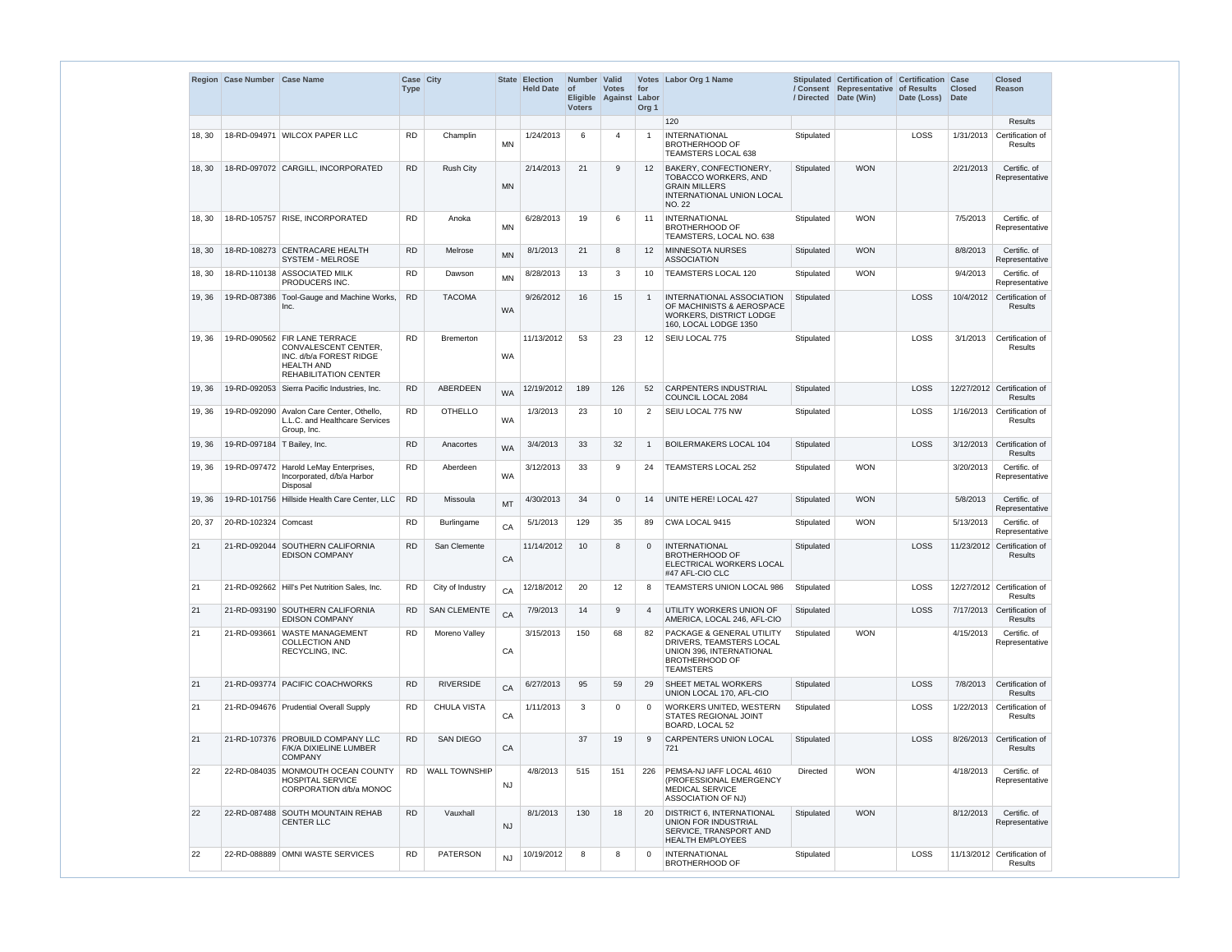|        | Region Case Number Case Name  |                                                                                                                                       | Case City<br><b>Type</b> |                      | <b>State</b> | <b>Election</b><br><b>Held Date</b> | Number Valid<br><b>of</b><br><b>Voters</b> | <b>Votes</b><br>Eligible Against | for<br>Labor<br>Org <sub>1</sub> | Votes Labor Org 1 Name                                                                                                         | / Directed      | Stipulated Certification of Certification<br>/ Consent Representative of Results<br>Date (Win) | Date (Loss) Date | Case<br><b>Closed</b> | Closed<br>Reason                              |
|--------|-------------------------------|---------------------------------------------------------------------------------------------------------------------------------------|--------------------------|----------------------|--------------|-------------------------------------|--------------------------------------------|----------------------------------|----------------------------------|--------------------------------------------------------------------------------------------------------------------------------|-----------------|------------------------------------------------------------------------------------------------|------------------|-----------------------|-----------------------------------------------|
|        |                               |                                                                                                                                       |                          |                      |              |                                     |                                            |                                  |                                  | 120                                                                                                                            |                 |                                                                                                |                  |                       | <b>Results</b>                                |
| 18, 30 |                               | 18-RD-094971 WILCOX PAPER LLC                                                                                                         | <b>RD</b>                | Champlin             | <b>MN</b>    | 1/24/2013                           | 6                                          | $\overline{4}$                   | $\overline{1}$                   | <b>INTERNATIONAL</b><br><b>BROTHERHOOD OF</b><br>TEAMSTERS LOCAL 638                                                           | Stipulated      |                                                                                                | LOSS             |                       | 1/31/2013 Certification of<br><b>Results</b>  |
| 18, 30 |                               | 18-RD-097072 CARGILL, INCORPORATED                                                                                                    | <b>RD</b>                | <b>Rush City</b>     | <b>MN</b>    | 2/14/2013                           | 21                                         | 9                                | $12 \overline{ }$                | BAKERY, CONFECTIONERY,<br><b>TOBACCO WORKERS, AND</b><br><b>GRAIN MILLERS</b><br>INTERNATIONAL UNION LOCAL<br><b>NO. 22</b>    | Stipulated      | <b>WON</b>                                                                                     |                  | 2/21/2013             | Certific. of<br>Representative                |
| 18, 30 |                               | 18-RD-105757 RISE, INCORPORATED                                                                                                       | <b>RD</b>                | Anoka                | <b>MN</b>    | 6/28/2013                           | 19                                         | 6                                | 11                               | <b>INTERNATIONAL</b><br><b>BROTHERHOOD OF</b><br>TEAMSTERS, LOCAL NO. 638                                                      | Stipulated      | <b>WON</b>                                                                                     |                  | 7/5/2013              | Certific. of<br>Representative                |
| 18, 30 |                               | 18-RD-108273 CENTRACARE HEALTH<br><b>SYSTEM - MELROSE</b>                                                                             | <b>RD</b>                | Melrose              | <b>MN</b>    | 8/1/2013                            | 21                                         | 8                                | $12 \overline{ }$                | MINNESOTA NURSES<br><b>ASSOCIATION</b>                                                                                         | Stipulated      | <b>WON</b>                                                                                     |                  | 8/8/2013              | Certific. of<br>Representative                |
| 18, 30 |                               | 18-RD-110138 ASSOCIATED MILK<br>PRODUCERS INC.                                                                                        | <b>RD</b>                | Dawson               | <b>MN</b>    | 8/28/2013                           | 13                                         | 3                                | 10                               | TEAMSTERS LOCAL 120                                                                                                            | Stipulated      | <b>WON</b>                                                                                     |                  | 9/4/2013              | Certific. of<br>Representative                |
| 19, 36 |                               | 19-RD-087386 Tool-Gauge and Machine Works,<br>Inc.                                                                                    | <b>RD</b>                | <b>TACOMA</b>        | <b>WA</b>    | 9/26/2012                           | 16                                         | 15                               | $\overline{1}$                   | <b>INTERNATIONAL ASSOCIATION</b><br>OF MACHINISTS & AEROSPACE<br><b>WORKERS. DISTRICT LODGE</b><br>160, LOCAL LODGE 1350       | Stipulated      |                                                                                                | LOSS             |                       | 10/4/2012 Certification of<br><b>Results</b>  |
| 19, 36 |                               | 19-RD-090562 FIR LANE TERRACE<br>CONVALESCENT CENTER.<br>INC. d/b/a FOREST RIDGE<br><b>HEALTH AND</b><br><b>REHABILITATION CENTER</b> | <b>RD</b>                | <b>Bremerton</b>     | WA           | 11/13/2012                          | 53                                         | 23                               | $12 \overline{ }$                | SEIU LOCAL 775                                                                                                                 | Stipulated      |                                                                                                | LOSS             | 3/1/2013              | Certification of<br><b>Results</b>            |
| 19, 36 |                               | 19-RD-092053 Sierra Pacific Industries, Inc.                                                                                          | <b>RD</b>                | <b>ABERDEEN</b>      | <b>WA</b>    | 12/19/2012                          | 189                                        | 126                              | 52                               | <b>CARPENTERS INDUSTRIAL</b><br>COUNCIL LOCAL 2084                                                                             | Stipulated      |                                                                                                | LOSS             |                       | 12/27/2012 Certification of<br><b>Results</b> |
| 19, 36 |                               | 19-RD-092090 Avalon Care Center, Othello,<br>L.L.C. and Healthcare Services<br>Group, Inc.                                            | <b>RD</b>                | <b>OTHELLO</b>       | <b>WA</b>    | 1/3/2013                            | 23                                         | 10                               | 2                                | SEIU LOCAL 775 NW                                                                                                              | Stipulated      |                                                                                                | LOSS             |                       | 1/16/2013 Certification of<br>Results         |
| 19, 36 | 19-RD-097184   T Bailey, Inc. |                                                                                                                                       | <b>RD</b>                | Anacortes            | <b>WA</b>    | 3/4/2013                            | 33                                         | 32                               | $\overline{1}$                   | <b>BOILERMAKERS LOCAL 104</b>                                                                                                  | Stipulated      |                                                                                                | LOSS             | 3/12/2013             | Certification of<br>Results                   |
| 19, 36 |                               | 19-RD-097472 Harold LeMay Enterprises,<br>Incorporated, d/b/a Harbor<br>Disposal                                                      | <b>RD</b>                | Aberdeen             | <b>WA</b>    | 3/12/2013                           | 33                                         | 9                                | 24                               | <b>TEAMSTERS LOCAL 252</b>                                                                                                     | Stipulated      | <b>WON</b>                                                                                     |                  | 3/20/2013             | Certific. of<br>Representative                |
| 19, 36 |                               | 19-RD-101756 Hillside Health Care Center, LLC                                                                                         | <b>RD</b>                | Missoula             | <b>MT</b>    | 4/30/2013                           | 34                                         | $\Omega$                         | 14                               | UNITE HERE! LOCAL 427                                                                                                          | Stipulated      | <b>WON</b>                                                                                     |                  | 5/8/2013              | Certific. of<br>Representative                |
| 20, 37 | 20-RD-102324 Comcast          |                                                                                                                                       | <b>RD</b>                | <b>Burlingame</b>    | CA           | 5/1/2013                            | 129                                        | 35                               | 89                               | CWA LOCAL 9415                                                                                                                 | Stipulated      | <b>WON</b>                                                                                     |                  | 5/13/2013             | Certific. of<br>Representative                |
| 21     |                               | 21-RD-092044 SOUTHERN CALIFORNIA<br><b>EDISON COMPANY</b>                                                                             | <b>RD</b>                | San Clemente         | CA           | 11/14/2012                          | 10                                         | 8                                | $\mathbf{0}$                     | <b>INTERNATIONAL</b><br><b>BROTHERHOOD OF</b><br>ELECTRICAL WORKERS LOCAL<br>#47 AFL-CIO CLC                                   | Stipulated      |                                                                                                | LOSS             |                       | 11/23/2012 Certification of<br><b>Results</b> |
| 21     |                               | 21-RD-092662 Hill's Pet Nutrition Sales, Inc.                                                                                         | <b>RD</b>                | City of Industry     | CA           | 12/18/2012                          | 20                                         | 12                               | 8                                | TEAMSTERS UNION LOCAL 986                                                                                                      | Stipulated      |                                                                                                | LOSS             |                       | 12/27/2012 Certification of<br><b>Results</b> |
| 21     |                               | 21-RD-093190 SOUTHERN CALIFORNIA<br><b>EDISON COMPANY</b>                                                                             | <b>RD</b>                | <b>SAN CLEMENTE</b>  | CA           | 7/9/2013                            | 14                                         | 9                                | $\overline{4}$                   | <b>UTILITY WORKERS UNION OF</b><br>AMERICA, LOCAL 246, AFL-CIO                                                                 | Stipulated      |                                                                                                | LOSS             |                       | 7/17/2013 Certification of<br><b>Results</b>  |
| 21     |                               | 21-RD-093661 WASTE MANAGEMENT<br><b>COLLECTION AND</b><br>RECYCLING, INC.                                                             | <b>RD</b>                | Moreno Valley        | CA           | 3/15/2013                           | 150                                        | 68                               | 82                               | PACKAGE & GENERAL UTILITY<br>DRIVERS, TEAMSTERS LOCAL<br>UNION 396, INTERNATIONAL<br><b>BROTHERHOOD OF</b><br><b>TEAMSTERS</b> | Stipulated      | <b>WON</b>                                                                                     |                  | 4/15/2013             | Certific. of<br>Representative                |
| 21     |                               | 21-RD-093774 PACIFIC COACHWORKS                                                                                                       | <b>RD</b>                | <b>RIVERSIDE</b>     | CA           | 6/27/2013                           | 95                                         | 59                               | 29                               | SHEET METAL WORKERS<br>UNION LOCAL 170, AFL-CIO                                                                                | Stipulated      |                                                                                                | LOSS             | 7/8/2013              | Certification of<br><b>Results</b>            |
| 21     |                               | 21-RD-094676 Prudential Overall Supply                                                                                                | <b>RD</b>                | <b>CHULA VISTA</b>   | CA           | 1/11/2013                           | 3                                          | $\Omega$                         | $\mathbf 0$                      | WORKERS UNITED, WESTERN<br><b>STATES REGIONAL JOINT</b><br>BOARD, LOCAL 52                                                     | Stipulated      |                                                                                                | LOSS             | 1/22/2013             | Certification of<br><b>Results</b>            |
| 21     |                               | 21-RD-107376 PROBUILD COMPANY LLC<br>F/K/A DIXIELINE LUMBER<br><b>COMPANY</b>                                                         | <b>RD</b>                | <b>SAN DIEGO</b>     | CA           |                                     | 37                                         | 19                               | 9                                | <b>CARPENTERS UNION LOCAL</b><br>721                                                                                           | Stipulated      |                                                                                                | LOSS             | 8/26/2013             | Certification of<br><b>Results</b>            |
| 22     |                               | 22-RD-084035 MONMOUTH OCEAN COUNTY<br><b>HOSPITAL SERVICE</b><br>CORPORATION d/b/a MONOC                                              | <b>RD</b>                | <b>WALL TOWNSHIP</b> | NJ           | 4/8/2013                            | 515                                        | 151                              | 226                              | PEMSA-NJ IAFF LOCAL 4610<br>(PROFESSIONAL EMERGENCY<br><b>MEDICAL SERVICE</b><br>ASSOCIATION OF NJ)                            | <b>Directed</b> | <b>WON</b>                                                                                     |                  | 4/18/2013             | Certific. of<br>Representative                |
| 22     |                               | 22-RD-087488 SOUTH MOUNTAIN REHAB<br><b>CENTER LLC</b>                                                                                | <b>RD</b>                | Vauxhall             | <b>NJ</b>    | 8/1/2013                            | 130                                        | 18                               | 20                               | <b>DISTRICT 6, INTERNATIONAL</b><br>UNION FOR INDUSTRIAL<br>SERVICE, TRANSPORT AND<br><b>HEALTH EMPLOYEES</b>                  | Stipulated      | <b>WON</b>                                                                                     |                  | 8/12/2013             | Certific. of<br>Representative                |
| 22     |                               | 22-RD-088889 OMNI WASTE SERVICES                                                                                                      | <b>RD</b>                | <b>PATERSON</b>      | <b>NJ</b>    | 10/19/2012                          | 8                                          | 8                                | $\mathbf{0}$                     | <b>INTERNATIONAL</b><br><b>BROTHERHOOD OF</b>                                                                                  | Stipulated      |                                                                                                | LOSS             |                       | 11/13/2012 Certification of<br><b>Results</b> |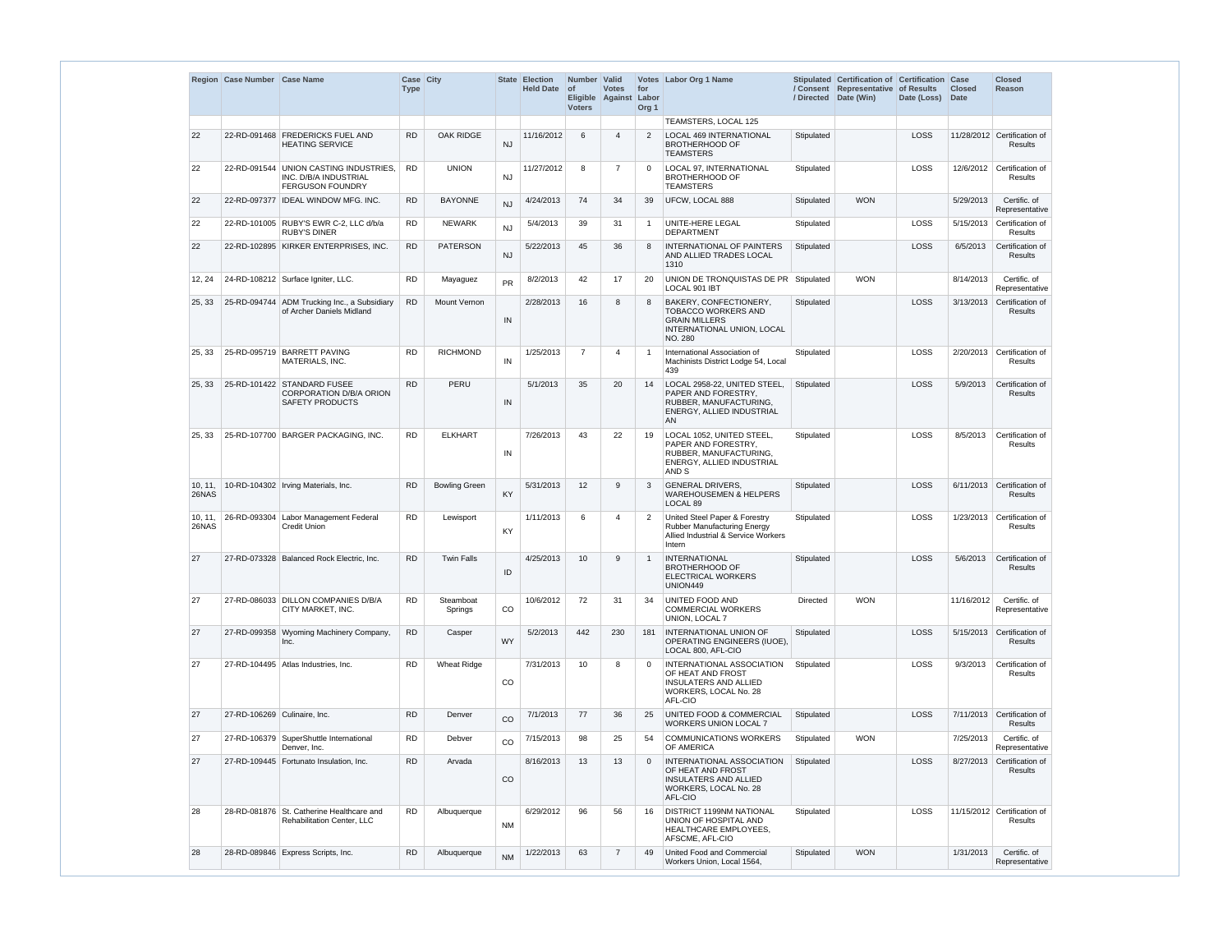|                  | Region Case Number Case Name |                                                                                     | Case City<br><b>Type</b> |                      |           | State Election<br>Held Date of | Number Valid<br><b>Voters</b> | <b>Votes</b><br>Eligible Against Labor | for<br>Org <sub>1</sub> | Votes Labor Org 1 Name                                                                                                    | / Directed | Stipulated Certification of Certification Case<br>/ Consent Representative of Results<br>Date (Win) | Date (Loss) | <b>Closed</b><br>Date | <b>Closed</b><br><b>Reason</b>               |
|------------------|------------------------------|-------------------------------------------------------------------------------------|--------------------------|----------------------|-----------|--------------------------------|-------------------------------|----------------------------------------|-------------------------|---------------------------------------------------------------------------------------------------------------------------|------------|-----------------------------------------------------------------------------------------------------|-------------|-----------------------|----------------------------------------------|
|                  |                              |                                                                                     |                          |                      |           |                                |                               |                                        |                         | TEAMSTERS. LOCAL 125                                                                                                      |            |                                                                                                     |             |                       |                                              |
| 22               |                              | 22-RD-091468 FREDERICKS FUEL AND<br><b>HEATING SERVICE</b>                          | <b>RD</b>                | <b>OAK RIDGE</b>     | <b>NJ</b> | 11/16/2012                     | 6                             | $\boldsymbol{\Delta}$                  | 2                       | <b>LOCAL 469 INTERNATIONAL</b><br><b>BROTHERHOOD OF</b><br><b>TEAMSTERS</b>                                               | Stipulated |                                                                                                     | <b>LOSS</b> |                       | 11/28/2012 Certification of<br>Results       |
| 22               |                              | 22-RD-091544 UNION CASTING INDUSTRIES,<br>INC. D/B/A INDUSTRIAL<br>FERGUSON FOUNDRY | <b>RD</b>                | <b>UNION</b>         | <b>NJ</b> | 11/27/2012                     | 8                             | $\overline{7}$                         | $\Omega$                | LOCAL 97, INTERNATIONAL<br><b>BROTHERHOOD OF</b><br><b>TEAMSTERS</b>                                                      | Stipulated |                                                                                                     | LOSS        | 12/6/2012             | Certification of<br><b>Results</b>           |
| 22               |                              | 22-RD-097377 IDEAL WINDOW MFG. INC.                                                 | <b>RD</b>                | <b>BAYONNE</b>       | <b>NJ</b> | 4/24/2013                      | 74                            | 34                                     | 39                      | UFCW, LOCAL 888                                                                                                           | Stipulated | <b>WON</b>                                                                                          |             | 5/29/2013             | Certific. of<br>Representative               |
| 22               |                              | 22-RD-101005 RUBY'S EWR C-2, LLC d/b/a<br><b>RUBY'S DINER</b>                       | <b>RD</b>                | <b>NEWARK</b>        | <b>NJ</b> | 5/4/2013                       | 39                            | 31                                     | $\mathbf{1}$            | UNITE-HERE LEGAL<br><b>DEPARTMENT</b>                                                                                     | Stipulated |                                                                                                     | LOSS        | 5/15/2013             | Certification of<br>Results                  |
| 22               |                              | 22-RD-102895 KIRKER ENTERPRISES, INC.                                               | <b>RD</b>                | <b>PATERSON</b>      | <b>NJ</b> | 5/22/2013                      | 45                            | 36                                     | 8                       | INTERNATIONAL OF PAINTERS<br>AND ALLIED TRADES LOCAL<br>1310                                                              | Stipulated |                                                                                                     | LOSS        | 6/5/2013              | Certification of<br><b>Results</b>           |
| 12, 24           |                              | 24-RD-108212 Surface Igniter, LLC.                                                  | <b>RD</b>                | Mayaguez             | <b>PR</b> | 8/2/2013                       | 42                            | 17                                     | 20                      | UNION DE TRONQUISTAS DE PR Stipulated<br>LOCAL 901 IBT                                                                    |            | <b>WON</b>                                                                                          |             | 8/14/2013             | Certific. of<br>Representative               |
| 25, 33           |                              | 25-RD-094744 ADM Trucking Inc., a Subsidiary<br>of Archer Daniels Midland           | <b>RD</b>                | Mount Vernon         | IN        | 2/28/2013                      | 16                            | 8                                      | 8                       | BAKERY, CONFECTIONERY,<br><b>TOBACCO WORKERS AND</b><br><b>GRAIN MILLERS</b><br>INTERNATIONAL UNION, LOCAL<br>NO. 280     | Stipulated |                                                                                                     | LOSS        | 3/13/2013             | Certification of<br><b>Results</b>           |
| 25, 33           |                              | 25-RD-095719 BARRETT PAVING<br>MATERIALS, INC.                                      | <b>RD</b>                | <b>RICHMOND</b>      | IN        | 1/25/2013                      | $\overline{7}$                | Δ                                      | -1                      | International Association of<br>Machinists District Lodge 54, Local<br>439                                                | Stipulated |                                                                                                     | LOSS        | 2/20/2013             | Certification of<br>Results                  |
| 25, 33           |                              | 25-RD-101422 STANDARD FUSEE<br>CORPORATION D/B/A ORION<br><b>SAFETY PRODUCTS</b>    | <b>RD</b>                | PERU                 | IN        | 5/1/2013                       | 35                            | 20                                     | 14                      | LOCAL 2958-22, UNITED STEEL,<br>PAPER AND FORESTRY,<br>RUBBER, MANUFACTURING,<br>ENERGY, ALLIED INDUSTRIAL<br>AN          | Stipulated |                                                                                                     | <b>LOSS</b> | 5/9/2013              | Certification of<br><b>Results</b>           |
| 25, 33           |                              | 25-RD-107700 BARGER PACKAGING, INC.                                                 | <b>RD</b>                | <b>ELKHART</b>       | IN        | 7/26/2013                      | 43                            | 22                                     | 19                      | LOCAL 1052, UNITED STEEL,<br>PAPER AND FORESTRY,<br>RUBBER, MANUFACTURING,<br>ENERGY, ALLIED INDUSTRIAL<br>AND S          | Stipulated |                                                                                                     | LOSS        | 8/5/2013              | Certification of<br>Results                  |
| 10, 11,<br>26NAS |                              | 10-RD-104302   Irving Materials, Inc.                                               | <b>RD</b>                | <b>Bowling Green</b> | KY        | 5/31/2013                      | 12                            | 9                                      | 3                       | <b>GENERAL DRIVERS,</b><br><b>WAREHOUSEMEN &amp; HELPERS</b><br>LOCAL 89                                                  | Stipulated |                                                                                                     | LOSS        |                       | 6/11/2013 Certification of<br>Results        |
| 10, 11,<br>26NAS |                              | 26-RD-093304   Labor Management Federal<br><b>Credit Union</b>                      | <b>RD</b>                | Lewisport            | KY        | 1/11/2013                      | 6                             | $\boldsymbol{\Delta}$                  | $\overline{2}$          | United Steel Paper & Forestry<br><b>Rubber Manufacturing Energy</b><br>Allied Industrial & Service Workers<br>Intern      | Stipulated |                                                                                                     | LOSS        | 1/23/2013             | Certification of<br>Results                  |
| 27               |                              | 27-RD-073328 Balanced Rock Electric, Inc.                                           | <b>RD</b>                | <b>Twin Falls</b>    | ID        | 4/25/2013                      | 10 <sup>1</sup>               | 9                                      | $\overline{1}$          | <b>INTERNATIONAL</b><br><b>BROTHERHOOD OF</b><br><b>ELECTRICAL WORKERS</b><br>UNION449                                    | Stipulated |                                                                                                     | LOSS        | 5/6/2013              | Certification of<br>Results                  |
| 27               |                              | 27-RD-086033 DILLON COMPANIES D/B/A<br>CITY MARKET. INC.                            | <b>RD</b>                | Steamboat<br>Springs | CO        | 10/6/2012                      | 72                            | 31                                     | 34                      | <b>UNITED FOOD AND</b><br><b>COMMERCIAL WORKERS</b><br>UNION, LOCAL 7                                                     | Directed   | <b>WON</b>                                                                                          |             | 11/16/2012            | Certific. of<br>Representative               |
| 27               |                              | 27-RD-099358 Wyoming Machinery Company,<br>Inc.                                     | <b>RD</b>                | Casper               | <b>WY</b> | 5/2/2013                       | 442                           | 230                                    | 181                     | <b>INTERNATIONAL UNION OF</b><br>OPERATING ENGINEERS (IUOE),<br>LOCAL 800, AFL-CIO                                        | Stipulated |                                                                                                     | LOSS        | 5/15/2013             | Certification of<br>Results                  |
| 27               |                              | 27-RD-104495   Atlas Industries, Inc.                                               | <b>RD</b>                | <b>Wheat Ridge</b>   | CO        | 7/31/2013                      | 10                            | 8                                      | $\mathbf 0$             | INTERNATIONAL ASSOCIATION<br>OF HEAT AND FROST<br><b>INSULATERS AND ALLIED</b><br>WORKERS, LOCAL No. 28<br>AFL-CIO        | Stipulated |                                                                                                     | LOSS        | 9/3/2013              | Certification of<br>Results                  |
| 27               | 27-RD-106269 Culinaire, Inc. |                                                                                     | <b>RD</b>                | Denver               | CO        | 7/1/2013                       | 77                            | 36                                     | 25                      | <b>UNITED FOOD &amp; COMMERCIAL</b><br><b>WORKERS UNION LOCAL 7</b>                                                       | Stipulated |                                                                                                     | LOSS        |                       | 7/11/2013 Certification of<br><b>Results</b> |
| 27               |                              | 27-RD-106379 SuperShuttle International<br>Denver, Inc.                             | <b>RD</b>                | Debver               | CO        | 7/15/2013                      | 98                            | 25                                     | 54                      | COMMUNICATIONS WORKERS<br>OF AMERICA                                                                                      | Stipulated | <b>WON</b>                                                                                          |             | 7/25/2013             | Certific. of<br>Representative               |
| 27               |                              | 27-RD-109445 Fortunato Insulation, Inc.                                             | <b>RD</b>                | Arvada               | CO.       | 8/16/2013                      | 13                            | 13                                     | $\mathbf 0$             | <b>INTERNATIONAL ASSOCIATION</b><br>OF HEAT AND FROST<br><b>INSULATERS AND ALLIED</b><br>WORKERS, LOCAL No. 28<br>AFL-CIO | Stipulated |                                                                                                     | LOSS        | 8/27/2013             | Certification of<br>Results                  |
| 28               |                              | 28-RD-081876 St. Catherine Healthcare and<br>Rehabilitation Center, LLC             | <b>RD</b>                | Albuquerque          | <b>NM</b> | 6/29/2012                      | 96                            | 56                                     | 16                      | <b>DISTRICT 1199NM NATIONAL</b><br>UNION OF HOSPITAL AND<br>HEALTHCARE EMPLOYEES,<br>AFSCME, AFL-CIO                      | Stipulated |                                                                                                     | <b>LOSS</b> |                       | 11/15/2012 Certification of<br>Results       |
| 28               |                              | 28-RD-089846 Express Scripts, Inc.                                                  | <b>RD</b>                | Albuquerque          | <b>NM</b> | 1/22/2013                      | 63                            | -7                                     | 49                      | United Food and Commercial<br>Workers Union, Local 1564,                                                                  | Stipulated | <b>WON</b>                                                                                          |             | 1/31/2013             | Certific. of<br>Representative               |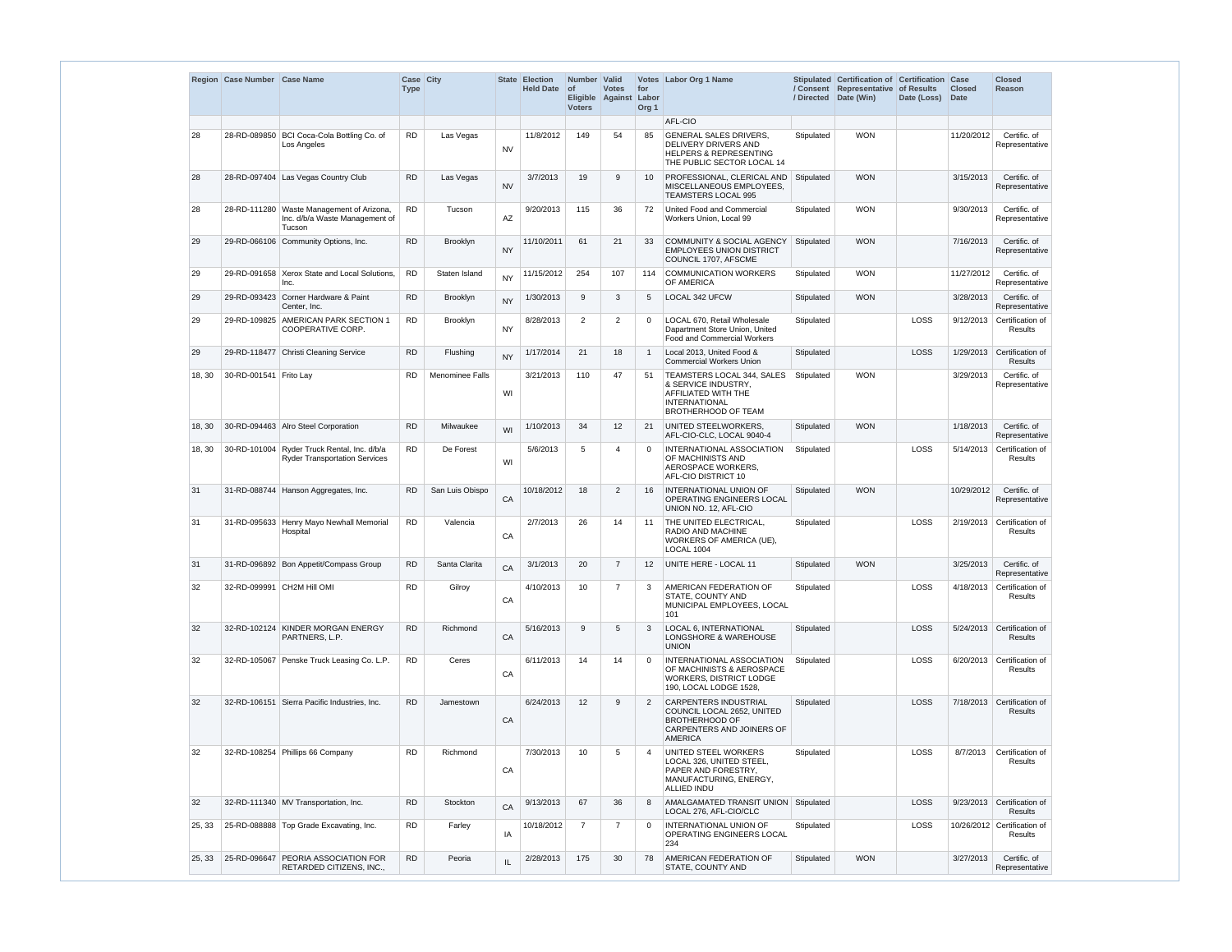|        | Region Case Number Case Name |                                                                                       | Case City<br><b>Type</b> |                 | State     | <b>Election</b><br><b>Held Date</b> | Number Valid<br><b>of</b><br><b>Voters</b> | <b>Votes</b><br>Eligible Against Labor | for<br>Org <sub>1</sub> | Votes Labor Org 1 Name                                                                                                             | / Directed | Stipulated Certification of Certification Case<br>/ Consent Representative<br>Date (Win) | of Results<br>Date (Loss) | <b>Closed</b><br><b>Date</b> | <b>Closed</b><br>Reason                      |
|--------|------------------------------|---------------------------------------------------------------------------------------|--------------------------|-----------------|-----------|-------------------------------------|--------------------------------------------|----------------------------------------|-------------------------|------------------------------------------------------------------------------------------------------------------------------------|------------|------------------------------------------------------------------------------------------|---------------------------|------------------------------|----------------------------------------------|
|        |                              |                                                                                       |                          |                 |           |                                     |                                            |                                        |                         | AFL-CIO                                                                                                                            |            |                                                                                          |                           |                              |                                              |
| 28     |                              | 28-RD-089850 BCI Coca-Cola Bottling Co. of<br>Los Angeles                             | <b>RD</b>                | Las Vegas       | <b>NV</b> | 11/8/2012                           | 149                                        | 54                                     | 85                      | <b>GENERAL SALES DRIVERS,</b><br><b>DELIVERY DRIVERS AND</b><br><b>HELPERS &amp; REPRESENTING</b><br>THE PUBLIC SECTOR LOCAL 14    | Stipulated | <b>WON</b>                                                                               |                           | 11/20/2012                   | Certific. of<br>Representative               |
| 28     |                              | 28-RD-097404 Las Vegas Country Club                                                   | <b>RD</b>                | Las Vegas       | <b>NV</b> | 3/7/2013                            | 19                                         | 9                                      | 10                      | PROFESSIONAL, CLERICAL AND<br>MISCELLANEOUS EMPLOYEES,<br><b>TEAMSTERS LOCAL 995</b>                                               | Stipulated | <b>WON</b>                                                                               |                           | 3/15/2013                    | Certific. of<br>Representative               |
| 28     |                              | 28-RD-111280 Waste Management of Arizona,<br>Inc. d/b/a Waste Management of<br>Tucson | <b>RD</b>                | Tucson          | AZ        | 9/20/2013                           | 115                                        | 36                                     | 72                      | United Food and Commercial<br>Workers Union, Local 99                                                                              | Stipulated | <b>WON</b>                                                                               |                           | 9/30/2013                    | Certific. of<br>Representative               |
| 29     |                              | 29-RD-066106 Community Options, Inc.                                                  | <b>RD</b>                | Brooklyn        | <b>NY</b> | 11/10/2011                          | 61                                         | 21                                     | 33                      | <b>COMMUNITY &amp; SOCIAL AGENCY</b><br><b>EMPLOYEES UNION DISTRICT</b><br>COUNCIL 1707. AFSCME                                    | Stipulated | <b>WON</b>                                                                               |                           | 7/16/2013                    | Certific. of<br>Representative               |
| 29     |                              | 29-RD-091658 Xerox State and Local Solutions,<br>Inc.                                 | <b>RD</b>                | Staten Island   | <b>NY</b> | 11/15/2012                          | 254                                        | 107                                    | 114                     | <b>COMMUNICATION WORKERS</b><br>OF AMERICA                                                                                         | Stipulated | <b>WON</b>                                                                               |                           | 11/27/2012                   | Certific. of<br>Representative               |
| 29     | 29-RD-093423                 | Corner Hardware & Paint<br>Center. Inc.                                               | <b>RD</b>                | Brooklyn        | <b>NY</b> | 1/30/2013                           | 9                                          | -3                                     | 5                       | LOCAL 342 UFCW                                                                                                                     | Stipulated | <b>WON</b>                                                                               |                           | 3/28/2013                    | Certific. of<br>Representative               |
| 29     |                              | 29-RD-109825 AMERICAN PARK SECTION 1<br>COOPERATIVE CORP.                             | <b>RD</b>                | Brooklyn        | <b>NY</b> | 8/28/2013                           | 2                                          | $\overline{2}$                         | $\Omega$                | LOCAL 670, Retail Wholesale<br>Dapartment Store Union, United<br>Food and Commercial Workers                                       | Stipulated |                                                                                          | LOSS                      | 9/12/2013                    | Certification of<br><b>Results</b>           |
| 29     |                              | 29-RD-118477 Christi Cleaning Service                                                 | <b>RD</b>                | Flushing        | <b>NY</b> | 1/17/2014                           | 21                                         | 18                                     | $\mathbf{1}$            | Local 2013. United Food &<br><b>Commercial Workers Union</b>                                                                       | Stipulated |                                                                                          | LOSS                      | 1/29/2013                    | Certification of<br><b>Results</b>           |
| 18, 30 | 30-RD-001541   Frito Lay     |                                                                                       | <b>RD</b>                | Menominee Falls | WI        | 3/21/2013                           | 110                                        | 47                                     | 51                      | TEAMSTERS LOCAL 344, SALES<br>& SERVICE INDUSTRY,<br>AFFILIATED WITH THE<br><b>INTERNATIONAL</b><br>BROTHERHOOD OF TEAM            | Stipulated | <b>WON</b>                                                                               |                           | 3/29/2013                    | Certific. of<br>Representative               |
| 18, 30 |                              | 30-RD-094463 Alro Steel Corporation                                                   | <b>RD</b>                | Milwaukee       | WI        | 1/10/2013                           | 34                                         | 12                                     | 21                      | UNITED STEELWORKERS,<br>AFL-CIO-CLC, LOCAL 9040-4                                                                                  | Stipulated | <b>WON</b>                                                                               |                           | 1/18/2013                    | Certific. of<br>Representative               |
| 18, 30 |                              | 30-RD-101004 Ryder Truck Rental, Inc. d/b/a<br><b>Ryder Transportation Services</b>   | <b>RD</b>                | De Forest       | WI        | 5/6/2013                            | 5                                          | $\boldsymbol{\Delta}$                  | $\Omega$                | INTERNATIONAL ASSOCIATION<br>OF MACHINISTS AND<br>AEROSPACE WORKERS,<br>AFL-CIO DISTRICT 10                                        | Stipulated |                                                                                          | LOSS                      | 5/14/2013                    | Certification of<br><b>Results</b>           |
| 31     | 31-RD-088744                 | Hanson Aggregates, Inc.                                                               | <b>RD</b>                | San Luis Obispo | CA        | 10/18/2012                          | 18                                         | $\overline{2}$                         | 16                      | INTERNATIONAL UNION OF<br>OPERATING ENGINEERS LOCAL<br>UNION NO. 12, AFL-CIO                                                       | Stipulated | <b>WON</b>                                                                               |                           | 10/29/2012                   | Certific. of<br>Representative               |
| 31     |                              | 31-RD-095633 Henry Mayo Newhall Memorial<br>Hospital                                  | <b>RD</b>                | Valencia        | CA        | 2/7/2013                            | 26                                         | 14                                     | 11                      | THE UNITED ELECTRICAL,<br>RADIO AND MACHINE<br>WORKERS OF AMERICA (UE),<br>LOCAL 1004                                              | Stipulated |                                                                                          | LOSS                      | 2/19/2013                    | Certification of<br><b>Results</b>           |
| 31     |                              | 31-RD-096892 Bon Appetit/Compass Group                                                | <b>RD</b>                | Santa Clarita   | CA        | 3/1/2013                            | 20                                         | $\overline{7}$                         | $12 \overline{ }$       | UNITE HERE - LOCAL 11                                                                                                              | Stipulated | <b>WON</b>                                                                               |                           | 3/25/2013                    | Certific. of<br>Representative               |
| 32     |                              | 32-RD-099991 CH2M Hill OMI                                                            | <b>RD</b>                | Gilroy          | CA        | 4/10/2013                           | 10                                         | $\overline{7}$                         | 3                       | AMERICAN FEDERATION OF<br>STATE, COUNTY AND<br>MUNICIPAL EMPLOYEES, LOCAL<br>101                                                   | Stipulated |                                                                                          | LOSS                      | 4/18/2013                    | Certification of<br><b>Results</b>           |
| 32     |                              | 32-RD-102124 KINDER MORGAN ENERGY<br>PARTNERS, L.P.                                   | <b>RD</b>                | Richmond        | CA        | 5/16/2013                           | 9                                          | -5                                     | 3                       | LOCAL 6, INTERNATIONAL<br>LONGSHORE & WAREHOUSE<br><b>UNION</b>                                                                    | Stipulated |                                                                                          | LOSS                      | 5/24/2013                    | Certification of<br><b>Results</b>           |
| 32     |                              | 32-RD-105067 Penske Truck Leasing Co. L.P.                                            | <b>RD</b>                | Ceres           | CA        | 6/11/2013                           | 14                                         | 14                                     | $\Omega$                | INTERNATIONAL ASSOCIATION<br>OF MACHINISTS & AEROSPACE<br>WORKERS, DISTRICT LODGE<br>190, LOCAL LODGE 1528,                        | Stipulated |                                                                                          | LOSS                      | 6/20/2013                    | Certification of<br><b>Results</b>           |
| 32     |                              | 32-RD-106151 Sierra Pacific Industries, Inc.                                          | <b>RD</b>                | Jamestown       | CA        | 6/24/2013                           | 12                                         | 9                                      | $\overline{2}$          | <b>CARPENTERS INDUSTRIAL</b><br>COUNCIL LOCAL 2652, UNITED<br><b>BROTHERHOOD OF</b><br>CARPENTERS AND JOINERS OF<br><b>AMERICA</b> | Stipulated |                                                                                          | LOSS                      |                              | 7/18/2013 Certification of<br><b>Results</b> |
| 32     |                              | 32-RD-108254 Phillips 66 Company                                                      | <b>RD</b>                | Richmond        | CA        | 7/30/2013                           | 10                                         | 5                                      | $\overline{4}$          | UNITED STEEL WORKERS<br>LOCAL 326, UNITED STEEL,<br>PAPER AND FORESTRY,<br>MANUFACTURING, ENERGY,<br>ALLIED INDU                   | Stipulated |                                                                                          | LOSS                      | 8/7/2013                     | Certification of<br><b>Results</b>           |
| 32     |                              | 32-RD-111340 MV Transportation, Inc.                                                  | <b>RD</b>                | Stockton        | CA        | 9/13/2013                           | 67                                         | 36                                     | 8                       | AMALGAMATED TRANSIT UNION   Stipulated<br>LOCAL 276, AFL-CIO/CLC                                                                   |            |                                                                                          | LOSS                      |                              | 9/23/2013 Certification of<br><b>Results</b> |
| 25, 33 |                              | 25-RD-088888 Top Grade Excavating, Inc.                                               | <b>RD</b>                | Farley          | IA        | 10/18/2012                          | $\overline{7}$                             | $\overline{7}$                         | $\Omega$                | INTERNATIONAL UNION OF<br>OPERATING ENGINEERS LOCAL<br>234                                                                         | Stipulated |                                                                                          | LOSS                      |                              | 10/26/2012 Certification of<br>Results       |
| 25, 33 |                              | 25-RD-096647 PEORIA ASSOCIATION FOR<br>RETARDED CITIZENS, INC.,                       | <b>RD</b>                | Peoria          | IL        | 2/28/2013                           | 175                                        | 30                                     | 78                      | AMERICAN FEDERATION OF<br>STATE, COUNTY AND                                                                                        | Stipulated | <b>WON</b>                                                                               |                           | 3/27/2013                    | Certific. of<br>Representative               |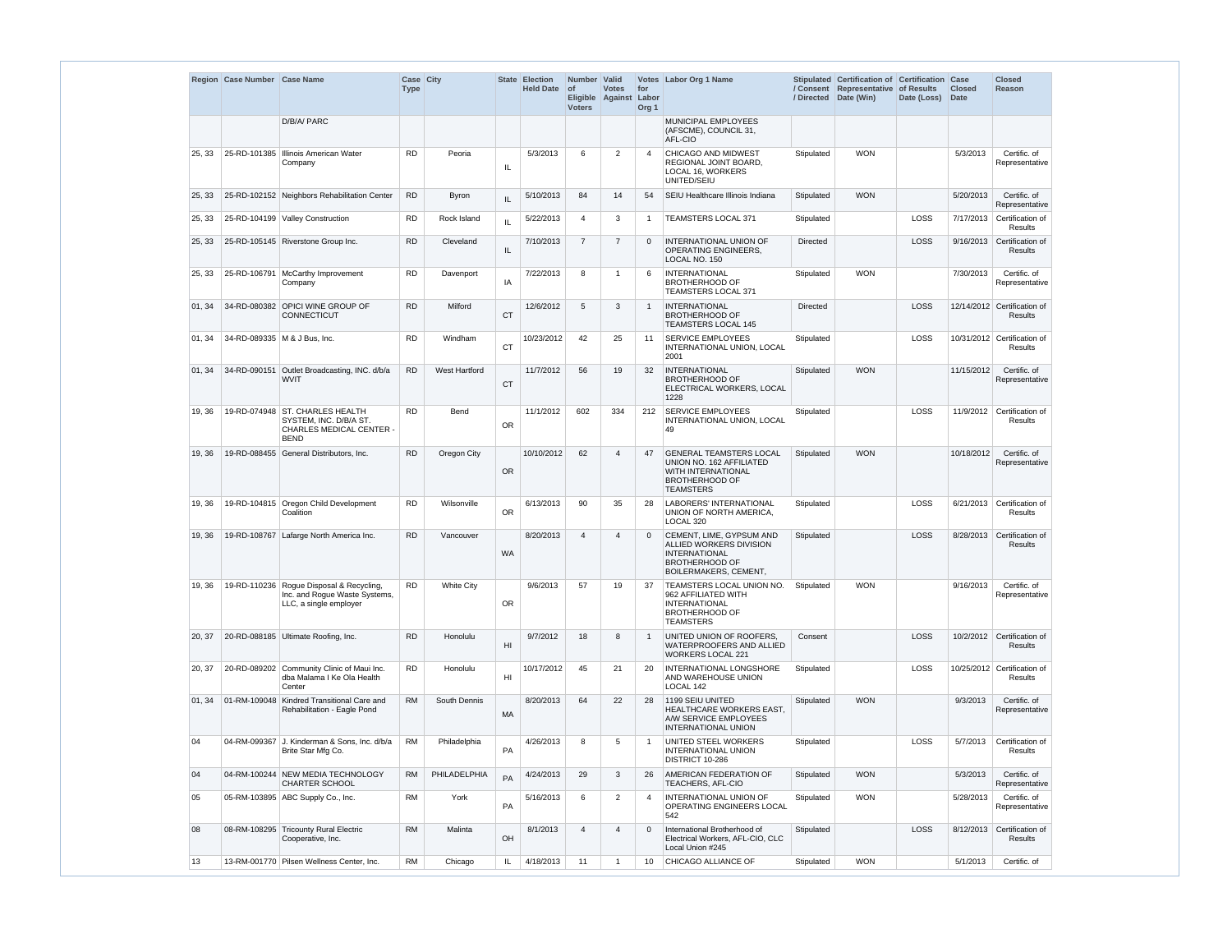|        | Region Case Number Case Name |                                                                                                             | Case City   |                      | State          | <b>Election</b>  | Number Valid          |                                  |                                  | Votes Labor Org 1 Name                                                                                                        |                 | Stipulated Certification of Certification Case    |             |                              | <b>Closed</b>                           |
|--------|------------------------------|-------------------------------------------------------------------------------------------------------------|-------------|----------------------|----------------|------------------|-----------------------|----------------------------------|----------------------------------|-------------------------------------------------------------------------------------------------------------------------------|-----------------|---------------------------------------------------|-------------|------------------------------|-----------------------------------------|
|        |                              |                                                                                                             | <b>Type</b> |                      |                | <b>Held Date</b> | ∣ of<br><b>Voters</b> | <b>Votes</b><br>Eligible Against | for<br>Labor<br>Org <sub>1</sub> |                                                                                                                               | / Directed      | / Consent Representative of Results<br>Date (Win) | Date (Loss) | <b>Closed</b><br><b>Date</b> | <b>Reason</b>                           |
|        |                              | D/B/A/ PARC                                                                                                 |             |                      |                |                  |                       |                                  |                                  | MUNICIPAL EMPLOYEES<br>(AFSCME), COUNCIL 31,<br>AFL-CIO                                                                       |                 |                                                   |             |                              |                                         |
| 25, 33 | 25-RD-101385                 | Illinois American Water<br>Company                                                                          | <b>RD</b>   | Peoria               | IL             | 5/3/2013         | 6                     | 2                                | $\overline{4}$                   | CHICAGO AND MIDWEST<br>REGIONAL JOINT BOARD,<br>LOCAL 16, WORKERS<br>UNITED/SEIU                                              | Stipulated      | <b>WON</b>                                        |             | 5/3/2013                     | Certific. of<br>Representative          |
| 25, 33 |                              | 25-RD-102152 Neighbors Rehabilitation Center                                                                | <b>RD</b>   | <b>Byron</b>         | IL             | 5/10/2013        | 84                    | 14                               | 54                               | SEIU Healthcare Illinois Indiana                                                                                              | Stipulated      | <b>WON</b>                                        |             | 5/20/2013                    | Certific. of<br>Representative          |
| 25, 33 |                              | 25-RD-104199 Valley Construction                                                                            | <b>RD</b>   | Rock Island          | IL             | 5/22/2013        | $\overline{4}$        | -3                               | $\mathbf{1}$                     | TEAMSTERS LOCAL 371                                                                                                           | Stipulated      |                                                   | LOSS        | 7/17/2013                    | Certification of<br>Results             |
| 25, 33 |                              | 25-RD-105145 Riverstone Group Inc.                                                                          | <b>RD</b>   | Cleveland            | IL             | 7/10/2013        | $\overline{7}$        | $\overline{7}$                   | $\Omega$                         | <b>INTERNATIONAL UNION OF</b><br>OPERATING ENGINEERS,<br>LOCAL NO. 150                                                        | <b>Directed</b> |                                                   | LOSS        |                              | 9/16/2013 Certification of<br>Results   |
| 25, 33 |                              | 25-RD-106791   McCarthy Improvement<br>Company                                                              | <b>RD</b>   | Davenport            | IA             | 7/22/2013        | 8                     | -1                               | 6                                | <b>INTERNATIONAL</b><br><b>BROTHERHOOD OF</b><br>TEAMSTERS LOCAL 371                                                          | Stipulated      | <b>WON</b>                                        |             | 7/30/2013                    | Certific. of<br>Representative          |
| 01, 34 |                              | 34-RD-080382 OPICI WINE GROUP OF<br><b>CONNECTICUT</b>                                                      | <b>RD</b>   | Milford              | <b>CT</b>      | 12/6/2012        | 5                     | -3                               | $\overline{1}$                   | <b>INTERNATIONAL</b><br><b>BROTHERHOOD OF</b><br><b>TEAMSTERS LOCAL 145</b>                                                   | <b>Directed</b> |                                                   | LOSS        |                              | 12/14/2012 Certification of<br>Results  |
| 01, 34 |                              | 34-RD-089335   M & J Bus, Inc.                                                                              | <b>RD</b>   | Windham              | <b>CT</b>      | 10/23/2012       | 42                    | 25                               | 11                               | SERVICE EMPLOYEES<br>INTERNATIONAL UNION, LOCAL<br>2001                                                                       | Stipulated      |                                                   | LOSS        |                              | 10/31/2012 Certification of<br>Results  |
| 01, 34 | 34-RD-090151                 | Outlet Broadcasting, INC. d/b/a<br><b>WVIT</b>                                                              | <b>RD</b>   | <b>West Hartford</b> | <b>CT</b>      | 11/7/2012        | 56                    | 19                               | 32                               | <b>INTERNATIONAL</b><br><b>BROTHERHOOD OF</b><br>ELECTRICAL WORKERS, LOCAL<br>1228                                            | Stipulated      | <b>WON</b>                                        |             | 11/15/2012                   | Certific. of<br>Representative          |
| 19, 36 |                              | 19-RD-074948 ST. CHARLES HEALTH<br>SYSTEM, INC. D/B/A ST.<br><b>CHARLES MEDICAL CENTER -</b><br><b>BEND</b> | <b>RD</b>   | Bend                 | <b>OR</b>      | 11/1/2012        | 602                   | 334                              | 212                              | SERVICE EMPLOYEES<br>INTERNATIONAL UNION, LOCAL<br>49                                                                         | Stipulated      |                                                   | LOSS        | 11/9/2012                    | Certification of<br>Results             |
| 19, 36 |                              | 19-RD-088455 General Distributors, Inc.                                                                     | <b>RD</b>   | Oregon City          | <b>OR</b>      | 10/10/2012       | 62                    | $\overline{4}$                   | 47                               | <b>GENERAL TEAMSTERS LOCAL</b><br>UNION NO. 162 AFFILIATED<br><b>WITH INTERNATIONAL</b><br><b>BROTHERHOOD OF</b><br>TEAMSTERS | Stipulated      | <b>WON</b>                                        |             | 10/18/2012                   | Certific. of<br>Representative          |
| 19, 36 |                              | 19-RD-104815   Oregon Child Development<br>Coalition                                                        | <b>RD</b>   | Wilsonville          | <b>OR</b>      | 6/13/2013        | 90                    | 35                               | 28                               | LABORERS' INTERNATIONAL<br>UNION OF NORTH AMERICA,<br>LOCAL 320                                                               | Stipulated      |                                                   | LOSS        |                              | $6/21/2013$ Certification of<br>Results |
| 19, 36 |                              | 19-RD-108767 Lafarge North America Inc.                                                                     | <b>RD</b>   | Vancouver            | <b>WA</b>      | 8/20/2013        | $\overline{4}$        | $\overline{4}$                   | $\Omega$                         | CEMENT, LIME, GYPSUM AND<br>ALLIED WORKERS DIVISION<br><b>INTERNATIONAL</b><br><b>BROTHERHOOD OF</b><br>BOILERMAKERS, CEMENT, | Stipulated      |                                                   | LOSS        | 8/28/2013                    | Certification of<br><b>Results</b>      |
| 19, 36 | 19-RD-110236                 | Rogue Disposal & Recycling,<br>Inc. and Rogue Waste Systems,<br>LLC, a single employer                      | <b>RD</b>   | <b>White City</b>    | <b>OR</b>      | 9/6/2013         | 57                    | 19                               | 37                               | TEAMSTERS LOCAL UNION NO.<br>962 AFFILIATED WITH<br><b>INTERNATIONAL</b><br><b>BROTHERHOOD OF</b><br><b>TEAMSTERS</b>         | Stipulated      | <b>WON</b>                                        |             | 9/16/2013                    | Certific. of<br>Representative          |
| 20, 37 |                              | 20-RD-088185 Ultimate Roofing, Inc.                                                                         | <b>RD</b>   | Honolulu             | H <sub>l</sub> | 9/7/2012         | 18                    | 8                                | $\overline{1}$                   | UNITED UNION OF ROOFERS.<br>WATERPROOFERS AND ALLIED<br><b>WORKERS LOCAL 221</b>                                              | Consent         |                                                   | LOSS        | 10/2/2012                    | Certification of<br><b>Results</b>      |
| 20, 37 |                              | 20-RD-089202 Community Clinic of Maui Inc.<br>dba Malama I Ke Ola Health<br>Center                          | <b>RD</b>   | Honolulu             | HI             | 10/17/2012       | 45                    | 21                               | 20                               | INTERNATIONAL LONGSHORE<br>AND WAREHOUSE UNION<br>LOCAL 142                                                                   | Stipulated      |                                                   | LOSS        |                              | 10/25/2012 Certification of<br>Results  |
| 01, 34 |                              | 01-RM-109048 Kindred Transitional Care and<br>Rehabilitation - Eagle Pond                                   | <b>RM</b>   | South Dennis         | MA             | 8/20/2013        | 64                    | 22                               | 28                               | 1199 SEIU UNITED<br>HEALTHCARE WORKERS EAST,<br>A/W SERVICE EMPLOYEES<br><b>INTERNATIONAL UNION</b>                           | Stipulated      | <b>WON</b>                                        |             | 9/3/2013                     | Certific. of<br>Representative          |
| 04     |                              | 04-RM-099367 J. Kinderman & Sons, Inc. d/b/a<br>Brite Star Mfg Co.                                          | <b>RM</b>   | Philadelphia         | PA             | 4/26/2013        | 8                     | 5                                | $\overline{1}$                   | UNITED STEEL WORKERS<br><b>INTERNATIONAL UNION</b><br>DISTRICT 10-286                                                         | Stipulated      |                                                   | LOSS        | 5/7/2013                     | Certification of<br><b>Results</b>      |
| 04     |                              | 04-RM-100244 NEW MEDIA TECHNOLOGY<br><b>CHARTER SCHOOL</b>                                                  | <b>RM</b>   | PHILADELPHIA         | PA             | 4/24/2013        | 29                    | 3                                | 26                               | <b>AMERICAN FEDERATION OF</b><br>TEACHERS, AFL-CIO                                                                            | Stipulated      | <b>WON</b>                                        |             | 5/3/2013                     | Certific. of<br>Representative          |
| 05     |                              | 05-RM-103895   ABC Supply Co., Inc.                                                                         | <b>RM</b>   | York                 | PA             | 5/16/2013        | 6                     | $\overline{2}$                   | $\overline{4}$                   | INTERNATIONAL UNION OF<br>OPERATING ENGINEERS LOCAL<br>542                                                                    | Stipulated      | <b>WON</b>                                        |             | 5/28/2013                    | Certific. of<br>Representative          |
| 08     |                              | 08-RM-108295 Tricounty Rural Electric<br>Cooperative, Inc.                                                  | <b>RM</b>   | Malinta              | OH             | 8/1/2013         | $\overline{4}$        | $\overline{4}$                   | $\mathbf 0$                      | International Brotherhood of<br>Electrical Workers, AFL-CIO, CLC<br>Local Union #245                                          | Stipulated      |                                                   | LOSS        | 8/12/2013                    | Certification of<br><b>Results</b>      |
| 13     |                              | 13-RM-001770 Pilsen Wellness Center, Inc.                                                                   | <b>RM</b>   | Chicago              | IL.            | 4/18/2013        | 11                    |                                  | 10                               | CHICAGO ALLIANCE OF                                                                                                           | Stipulated      | <b>WON</b>                                        |             | 5/1/2013                     | Certific. of                            |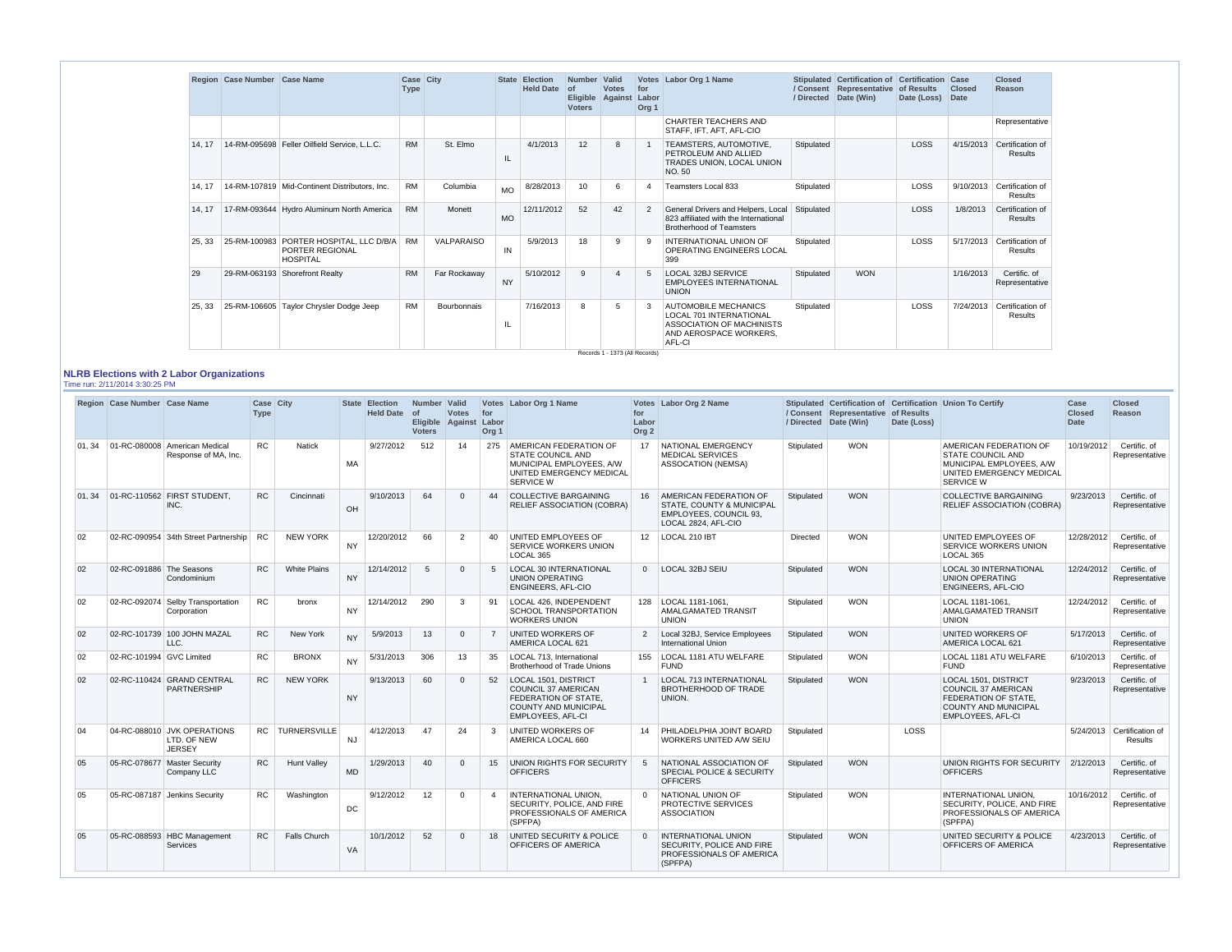|        | Region Case Number Case Name |                                                                               | Case City<br><b>Type</b> |              | <b>State</b> | <b>Election</b><br><b>Held Date</b> | <b>Number</b><br>of<br><b>Eligible</b><br><b>Voters</b> | <b>Valid</b><br><b>Votes</b><br>Against | for<br>Labor<br>Org <sub>1</sub> | Votes Labor Org 1 Name                                                                                                                | / Directed | Stipulated Certification of Certification<br>/ Consent Representative of Results<br>Date (Win) | Date (Loss) | Case<br><b>Closed</b><br><b>Date</b> | <b>Closed</b><br>Reason            |
|--------|------------------------------|-------------------------------------------------------------------------------|--------------------------|--------------|--------------|-------------------------------------|---------------------------------------------------------|-----------------------------------------|----------------------------------|---------------------------------------------------------------------------------------------------------------------------------------|------------|------------------------------------------------------------------------------------------------|-------------|--------------------------------------|------------------------------------|
|        |                              |                                                                               |                          |              |              |                                     |                                                         |                                         |                                  | <b>CHARTER TEACHERS AND</b><br>STAFF, IFT, AFT, AFL-CIO                                                                               |            |                                                                                                |             |                                      | Representative                     |
| 14.17  |                              | 14-RM-095698 Feller Oilfield Service, L.L.C.                                  | <b>RM</b>                | St. Elmo     | IL           | 4/1/2013                            | 12                                                      | 8                                       |                                  | TEAMSTERS, AUTOMOTIVE,<br>PETROLEUM AND ALLIED<br>TRADES UNION, LOCAL UNION<br>NO. 50                                                 | Stipulated |                                                                                                | LOSS        | 4/15/2013                            | Certification of<br><b>Results</b> |
| 14.17  |                              | 14-RM-107819   Mid-Continent Distributors, Inc.                               | <b>RM</b>                | Columbia     | <b>MO</b>    | 8/28/2013                           |                                                         | 6                                       | 4                                | Teamsters Local 833                                                                                                                   | Stipulated |                                                                                                | LOSS        | 9/10/2013                            | Certification of<br>Results        |
| 14, 17 |                              | 17-RM-093644 Hydro Aluminum North America                                     | <b>RM</b>                | Monett       | <b>MO</b>    | 12/11/2012                          | 52                                                      | 42                                      | 2                                | General Drivers and Helpers, Local<br>823 affiliated with the International<br><b>Brotherhood of Teamsters</b>                        | Stipulated |                                                                                                | <b>LOSS</b> | 1/8/2013                             | Certification of<br><b>Results</b> |
| 25, 33 |                              | 25-RM-100983 PORTER HOSPITAL, LLC D/B/A<br>PORTER REGIONAL<br><b>HOSPITAL</b> | <b>RM</b>                | VALPARAISO   | IN           | 5/9/2013                            | 18                                                      | 9                                       | -9                               | INTERNATIONAL UNION OF<br><b>OPERATING ENGINEERS LOCAL</b><br>399                                                                     | Stipulated |                                                                                                | LOSS        | 5/17/2013                            | Certification of<br><b>Results</b> |
| 29     |                              | 29-RM-063193 Shorefront Realty                                                | <b>RM</b>                | Far Rockaway | <b>NY</b>    | 5/10/2012                           | 9                                                       | $\Delta$                                | -5                               | LOCAL 32BJ SERVICE<br><b>EMPLOYEES INTERNATIONAL</b><br><b>UNION</b>                                                                  | Stipulated | <b>WON</b>                                                                                     |             | 1/16/2013                            | Certific. of<br>Representative     |
| 25, 33 |                              | 25-RM-106605 Taylor Chrysler Dodge Jeep                                       | <b>RM</b>                | Bourbonnais  | IL           | 7/16/2013                           | 8                                                       | 5                                       | -3                               | <b>AUTOMOBILE MECHANICS</b><br><b>LOCAL 701 INTERNATIONAL</b><br><b>ASSOCIATION OF MACHINISTS</b><br>AND AEROSPACE WORKERS.<br>AFL-CI | Stipulated |                                                                                                | LOSS        | 7/24/2013                            | Certification of<br><b>Results</b> |

#### **NLRB Elections with 2 Labor Organizations** Time run: 2/11/2014 3:30:25 PM

|    | Region Case Number Case Name |                                                             | Case City<br>Type |                     |           | <b>State Election</b><br><b>Held Date</b> | Number Valid<br>of<br><b>Voters</b> | <b>Votes</b><br>Eligible Against Labor | for<br>Org <sub>1</sub> | Votes Labor Org 1 Name                                                                                                                | for<br>Labor<br>Org <sub>2</sub> | Votes Labor Org 2 Name                                                                                    |            | / Consent Representative of Results<br>/ Directed Date (Win) | Date (Loss) | Stipulated Certification of Certification Union To Certify                                                                            | Case<br><b>Closed</b><br><b>Date</b> | <b>Closed</b><br>Reason               |
|----|------------------------------|-------------------------------------------------------------|-------------------|---------------------|-----------|-------------------------------------------|-------------------------------------|----------------------------------------|-------------------------|---------------------------------------------------------------------------------------------------------------------------------------|----------------------------------|-----------------------------------------------------------------------------------------------------------|------------|--------------------------------------------------------------|-------------|---------------------------------------------------------------------------------------------------------------------------------------|--------------------------------------|---------------------------------------|
|    |                              | 01.34 01-RC-080008 American Medical<br>Response of MA, Inc. | <b>RC</b>         | <b>Natick</b>       | MA        | 9/27/2012                                 | 512                                 | 14                                     |                         | 275   AMERICAN FEDERATION OF<br><b>STATE COUNCIL AND</b><br>MUNICIPAL EMPLOYEES, A/W<br>UNITED EMERGENCY MEDICAL<br><b>SERVICE W</b>  |                                  | 17 NATIONAL EMERGENCY<br><b>MEDICAL SERVICES</b><br><b>ASSOCATION (NEMSA)</b>                             | Stipulated | <b>WON</b>                                                   |             | AMERICAN FEDERATION OF<br><b>STATE COUNCIL AND</b><br>MUNICIPAL EMPLOYEES, A/W<br>UNITED EMERGENCY MEDICAL<br><b>SERVICE W</b>        | 10/19/2012                           | Certific, of<br>Representative        |
|    |                              | 01.34 01-RC-110562 FIRST STUDENT.<br>INC.                   | RC                | Cincinnati          | OH        | 9/10/2013                                 | 64                                  | $\Omega$                               | 44                      | COLLECTIVE BARGAINING<br><b>RELIEF ASSOCIATION (COBRA)</b>                                                                            |                                  | 16   AMERICAN FEDERATION OF<br>STATE, COUNTY & MUNICIPAL<br>EMPLOYEES, COUNCIL 93,<br>LOCAL 2824, AFL-CIO | Stipulated | <b>WON</b>                                                   |             | <b>COLLECTIVE BARGAINING</b><br><b>RELIEF ASSOCIATION (COBRA)</b>                                                                     | 9/23/2013                            | Certific. of<br>Representative        |
| 02 |                              | 02-RC-090954 34th Street Partnership                        | <b>RC</b>         | <b>NEW YORK</b>     | <b>NY</b> | 12/20/2012                                | 66                                  | $\overline{2}$                         | 40                      | UNITED EMPLOYEES OF<br><b>SERVICE WORKERS UNION</b><br>LOCAL 365                                                                      |                                  | 12   LOCAL 210 IBT                                                                                        | Directed   | <b>WON</b>                                                   |             | UNITED EMPLOYEES OF<br><b>SERVICE WORKERS UNION</b><br>LOCAL 365                                                                      | 12/28/2012                           | Certific, of<br>Representative        |
| 02 | 02-RC-091886 The Seasons     | Condominium                                                 | RC                | <b>White Plains</b> | <b>NY</b> | 12/14/2012                                | 5                                   | $\Omega$                               | $5\overline{)}$         | <b>LOCAL 30 INTERNATIONAL</b><br>UNION OPERATING<br>ENGINEERS, AFL-CIO                                                                |                                  | 0   LOCAL 32BJ SEIU                                                                                       | Stipulated | <b>WON</b>                                                   |             | <b>LOCAL 30 INTERNATIONAL</b><br>UNION OPERATING<br>ENGINEERS, AFL-CIO                                                                | 12/24/2012                           | Certific. of<br>Representative        |
| 02 |                              | 02-RC-092074 Selby Transportation<br>Corporation            | <b>RC</b>         | bronx               | <b>NY</b> | 12/14/2012                                | 290                                 | -3                                     | 91                      | LOCAL 426, INDEPENDENT<br><b>SCHOOL TRANSPORTATION</b><br><b>WORKERS UNION</b>                                                        |                                  | 128   LOCAL 1181-1061,<br><b>AMALGAMATED TRANSIT</b><br><b>UNION</b>                                      | Stipulated | <b>WON</b>                                                   |             | LOCAL 1181-1061.<br>AMALGAMATED TRANSIT<br><b>UNION</b>                                                                               | 12/24/2012                           | Certific. of<br>Representative        |
| 02 |                              | 02-RC-101739 100 JOHN MAZAL<br>LLC.                         | RC                | New York            | <b>NY</b> | 5/9/2013                                  | 13                                  | $\Omega$                               | $\overline{7}$          | <b>UNITED WORKERS OF</b><br>AMERICA LOCAL 621                                                                                         |                                  | 2   Local 32BJ, Service Employees<br><b>International Union</b>                                           | Stipulated | <b>WON</b>                                                   |             | UNITED WORKERS OF<br>AMERICA LOCAL 621                                                                                                | 5/17/2013                            | Certific. of<br>Representative        |
| 02 | 02-RC-101994 GVC Limited     |                                                             | <b>RC</b>         | <b>BRONX</b>        | <b>NY</b> | 5/31/2013                                 | 306                                 | 13                                     | 35                      | LOCAL 713. International<br><b>Brotherhood of Trade Unions</b>                                                                        |                                  | 155   LOCAL 1181 ATU WELFARE<br><b>FUND</b>                                                               | Stipulated | <b>WON</b>                                                   |             | <b>LOCAL 1181 ATU WELFARE</b><br><b>FUND</b>                                                                                          | 6/10/2013                            | Certific, of<br>Representative        |
| 02 |                              | 02-RC-110424 GRAND CENTRAL<br><b>PARTNERSHIP</b>            | <b>RC</b>         | <b>NEW YORK</b>     | <b>NY</b> | 9/13/2013                                 | 60                                  | $\Omega$                               | 52                      | LOCAL 1501, DISTRICT<br><b>COUNCIL 37 AMERICAN</b><br>FEDERATION OF STATE.<br><b>COUNTY AND MUNICIPAL</b><br><b>EMPLOYEES, AFL-CI</b> | $\overline{1}$                   | <b>LOCAL 713 INTERNATIONAL</b><br><b>BROTHERHOOD OF TRADE</b><br>UNION.                                   | Stipulated | <b>WON</b>                                                   |             | LOCAL 1501, DISTRICT<br><b>COUNCIL 37 AMERICAN</b><br>FEDERATION OF STATE.<br><b>COUNTY AND MUNICIPAL</b><br><b>EMPLOYEES, AFL-CI</b> | 9/23/2013                            | Certific. of<br>Representative        |
| 04 |                              | 04-RC-088010 JVK OPERATIONS<br>LTD. OF NEW<br><b>JERSEY</b> |                   | RC TURNERSVILLE     | <b>NJ</b> | 4/12/2013                                 | 47                                  | 24                                     | $\mathbf{3}$            | <b>UNITED WORKERS OF</b><br>AMERICA LOCAL 660                                                                                         | 14                               | <b>PHILADELPHIA JOINT BOARD</b><br>WORKERS UNITED A/W SEIU                                                | Stipulated |                                                              | LOSS        |                                                                                                                                       |                                      | 5/24/2013 Certification of<br>Results |
| 05 |                              | 05-RC-078677 Master Security<br>Company LLC                 | RC                | <b>Hunt Vallev</b>  | MD        | 1/29/2013                                 | 40                                  | $\Omega$                               | 15                      | <b>UNION RIGHTS FOR SECURITY</b><br><b>OFFICERS</b>                                                                                   | $5^{\circ}$                      | NATIONAL ASSOCIATION OF<br><b>SPECIAL POLICE &amp; SECURITY</b><br><b>OFFICERS</b>                        | Stipulated | <b>WON</b>                                                   |             | UNION RIGHTS FOR SECURITY   2/12/2013<br><b>OFFICERS</b>                                                                              |                                      | Certific. of<br>Representative        |
| 05 |                              | 05-RC-087187 Jenkins Security                               | <b>RC</b>         | Washington          | DC        | 9/12/2012                                 | 12 <sup>°</sup>                     | $\Omega$                               | $\overline{4}$          | <b>INTERNATIONAL UNION.</b><br>SECURITY, POLICE, AND FIRE<br>PROFESSIONALS OF AMERICA<br>(SPFPA)                                      | $\Omega$                         | NATIONAL UNION OF<br>PROTECTIVE SERVICES<br><b>ASSOCIATION</b>                                            | Stipulated | <b>WON</b>                                                   |             | <b>INTERNATIONAL UNION.</b><br>SECURITY, POLICE, AND FIRE<br>PROFESSIONALS OF AMERICA<br>(SPFPA)                                      | 10/16/2012                           | Certific, of<br>Representative        |
| 05 |                              | 05-RC-088593 HBC Management<br><b>Services</b>              | <b>RC</b>         | <b>Falls Church</b> | VA        | 10/1/2012                                 | 52                                  | $\Omega$                               | 18                      | UNITED SECURITY & POLICE<br>OFFICERS OF AMERICA                                                                                       | $\Omega$                         | <b>INTERNATIONAL UNION</b><br>SECURITY, POLICE AND FIRE<br>PROFESSIONALS OF AMERICA<br>(SPFPA)            | Stipulated | <b>WON</b>                                                   |             | UNITED SECURITY & POLICE<br>OFFICERS OF AMERICA                                                                                       | 4/23/2013                            | Certific, of<br>Representative        |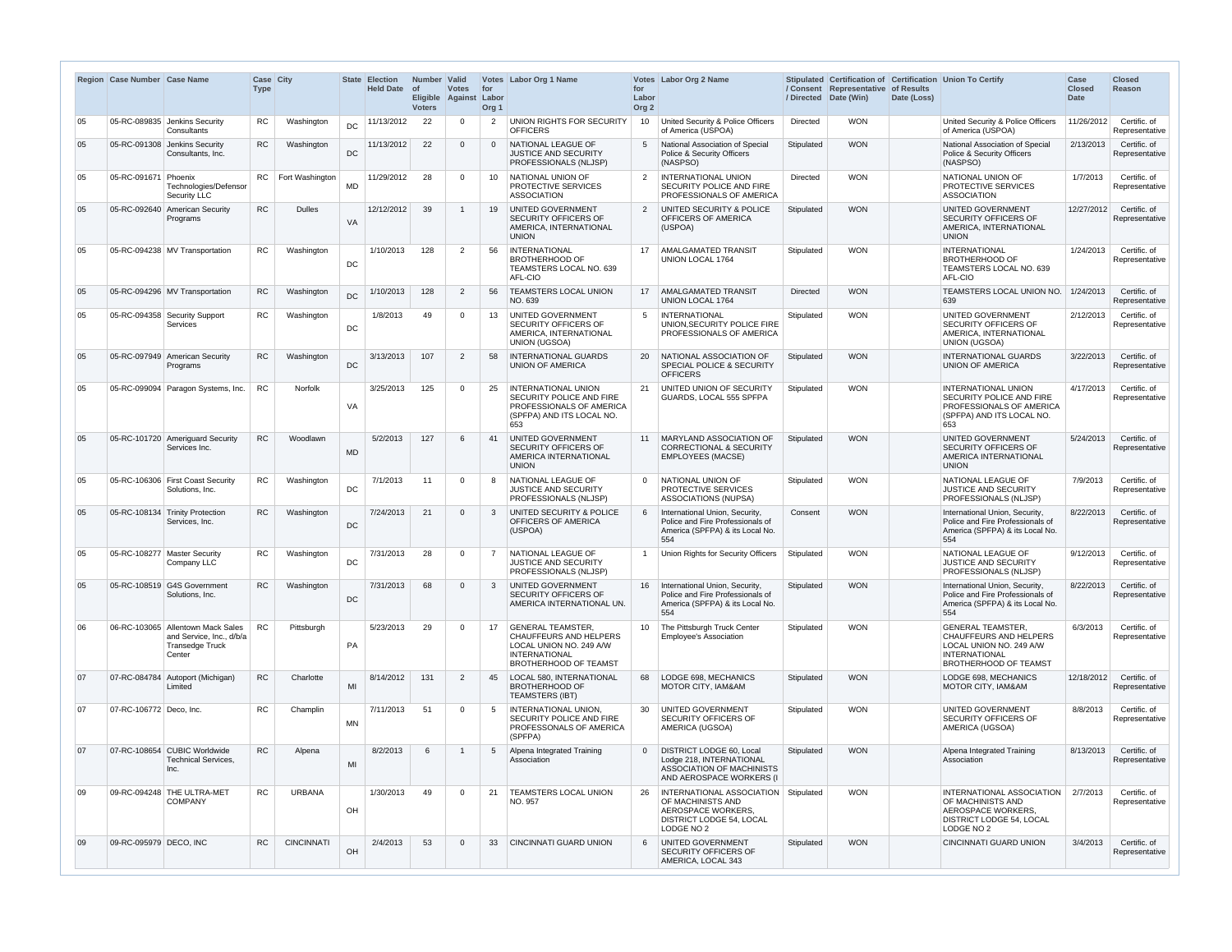|              | Region Case Number Case Name |                                                                                                   | Case City<br><b>Type</b> |                      |           | <b>State Election</b><br><b>Held Date</b> | Number Valid<br>∣ of<br><b>Eligible</b><br><b>Voters</b> | <b>Votes</b><br>Against Labor | for<br>Org <sub>1</sub> | Votes Labor Org 1 Name                                                                                                                       | for<br>Labor<br>Org <sub>2</sub> | Votes Labor Org 2 Name                                                                                                      |            | / Consent Representative of Results<br>/ Directed Date (Win) | Date (Loss) | Stipulated Certification of Certification Union To Certify                                                                                  | Case<br><b>Closed</b><br><b>Date</b> | <b>Closed</b><br><b>Reason</b> |
|--------------|------------------------------|---------------------------------------------------------------------------------------------------|--------------------------|----------------------|-----------|-------------------------------------------|----------------------------------------------------------|-------------------------------|-------------------------|----------------------------------------------------------------------------------------------------------------------------------------------|----------------------------------|-----------------------------------------------------------------------------------------------------------------------------|------------|--------------------------------------------------------------|-------------|---------------------------------------------------------------------------------------------------------------------------------------------|--------------------------------------|--------------------------------|
| 05           |                              | 05-RC-089835 Jenkins Security<br>Consultants                                                      | RC                       | Washington           | DC        | 11/13/2012                                | 22                                                       | $\cap$                        | $\mathcal{P}$           | UNION RIGHTS FOR SECURITY<br><b>OFFICERS</b>                                                                                                 | 10                               | United Security & Police Officers<br>of America (USPOA)                                                                     | Directed   | <b>WON</b>                                                   |             | United Security & Police Officers<br>of America (USPOA)                                                                                     | 11/26/2012                           | Certific. of<br>Representative |
| 05           |                              | 05-RC-091308 Jenkins Security<br>Consultants, Inc.                                                | <b>RC</b>                | Washington           | DC        | 11/13/2012                                | 22                                                       |                               | $\Omega$                | NATIONAL LEAGUE OF<br><b>JUSTICE AND SECURITY</b><br>PROFESSIONALS (NLJSP)                                                                   | 5                                | National Association of Special<br><b>Police &amp; Security Officers</b><br>(NASPSO)                                        | Stipulated | <b>WON</b>                                                   |             | National Association of Special<br>Police & Security Officers<br>(NASPSO)                                                                   | 2/13/2013                            | Certific. of<br>Representative |
| 05           | 05-RC-091671                 | Phoenix<br>Technologies/Defensor<br>Security LLC                                                  |                          | RC   Fort Washington | <b>MD</b> | 11/29/2012                                | 28                                                       |                               | 10 <sup>1</sup>         | NATIONAL UNION OF<br>PROTECTIVE SERVICES<br><b>ASSOCIATION</b>                                                                               | 2                                | <b>INTERNATIONAL UNION</b><br><b>SECURITY POLICE AND FIRE</b><br>PROFESSIONALS OF AMERICA                                   | Directed   | <b>WON</b>                                                   |             | NATIONAL UNION OF<br>PROTECTIVE SERVICES<br><b>ASSOCIATION</b>                                                                              | 1/7/2013                             | Certific. of<br>Representative |
| 05           | 05-RC-092640                 | American Security<br>Programs                                                                     | RC                       | <b>Dulles</b>        | VA        | 12/12/2012                                | 39                                                       |                               | 19                      | <b>UNITED GOVERNMENT</b><br><b>SECURITY OFFICERS OF</b><br>AMERICA, INTERNATIONAL<br><b>UNION</b>                                            | 2                                | UNITED SECURITY & POLICE<br>OFFICERS OF AMERICA<br>(USPOA)                                                                  | Stipulated | <b>WON</b>                                                   |             | UNITED GOVERNMENT<br><b>SECURITY OFFICERS OF</b><br>AMERICA, INTERNATIONAL<br><b>UNION</b>                                                  | 12/27/2012                           | Certific. of<br>Representative |
| 05           |                              | 05-RC-094238 MV Transportation                                                                    | <b>RC</b>                | Washington           | DC        | 1/10/2013                                 | 128                                                      | 2                             | 56                      | <b>INTERNATIONAL</b><br><b>BROTHERHOOD OF</b><br>TEAMSTERS LOCAL NO. 639<br>AFL-CIO                                                          | 17                               | AMALGAMATED TRANSIT<br><b>UNION LOCAL 1764</b>                                                                              | Stipulated | <b>WON</b>                                                   |             | <b>INTERNATIONAL</b><br><b>BROTHERHOOD OF</b><br>TEAMSTERS LOCAL NO. 639<br>AFL-CIO                                                         | 1/24/2013                            | Certific. of<br>Representative |
| 05           |                              | 05-RC-094296 MV Transportation                                                                    | <b>RC</b>                | Washington           | <b>DC</b> | 1/10/2013                                 | 128                                                      | $\overline{2}$                | 56                      | <b>TEAMSTERS LOCAL UNION</b><br>NO. 639                                                                                                      | 17 <sup>2</sup>                  | <b>AMALGAMATED TRANSIT</b><br><b>UNION LOCAL 1764</b>                                                                       | Directed   | <b>WON</b>                                                   |             | TEAMSTERS LOCAL UNION NO.<br>639                                                                                                            | 1/24/2013                            | Certific. of<br>Representative |
| 05           |                              | 05-RC-094358 Security Support<br><b>Services</b>                                                  | RC.                      | Washington           | DC        | 1/8/2013                                  | 49                                                       |                               | 13                      | UNITED GOVERNMENT<br><b>SECURITY OFFICERS OF</b><br>AMERICA, INTERNATIONAL<br>UNION (UGSOA)                                                  | 5                                | <b>INTERNATIONAL</b><br>UNION, SECURITY POLICE FIRE<br>PROFESSIONALS OF AMERICA                                             | Stipulated | <b>WON</b>                                                   |             | UNITED GOVERNMENT<br>SECURITY OFFICERS OF<br>AMERICA, INTERNATIONAL<br><b>UNION (UGSOA)</b>                                                 | 2/12/2013                            | Certific. of<br>Representative |
| 05           |                              | 05-RC-097949 American Security<br>Programs                                                        | RC                       | Washington           | DC        | 3/13/2013                                 | 107                                                      | $\overline{2}$                | 58                      | <b>INTERNATIONAL GUARDS</b><br>UNION OF AMERICA                                                                                              | 20                               | NATIONAL ASSOCIATION OF<br><b>SPECIAL POLICE &amp; SECURITY</b><br><b>OFFICERS</b>                                          | Stipulated | <b>WON</b>                                                   |             | <b>INTERNATIONAL GUARDS</b><br>UNION OF AMERICA                                                                                             | 3/22/2013                            | Certific. of<br>Representative |
| 05           |                              | 05-RC-099094 Paragon Systems, Inc.                                                                | <b>RC</b>                | <b>Norfolk</b>       | VA        | 3/25/2013                                 | 125                                                      | $\Omega$                      | 25                      | <b>INTERNATIONAL UNION</b><br>SECURITY POLICE AND FIRE<br>PROFESSIONALS OF AMERICA<br>(SPFPA) AND ITS LOCAL NO.<br>653                       | 21                               | UNITED UNION OF SECURITY<br>GUARDS, LOCAL 555 SPFPA                                                                         | Stipulated | <b>WON</b>                                                   |             | <b>INTERNATIONAL UNION</b><br>SECURITY POLICE AND FIRE<br>PROFESSIONALS OF AMERICA<br>(SPFPA) AND ITS LOCAL NO.<br>653                      | 4/17/2013                            | Certific. of<br>Representative |
| 05           |                              | 05-RC-101720 Ameriguard Security<br>Services Inc.                                                 | RC                       | Woodlawn             | <b>MD</b> | 5/2/2013                                  | 127                                                      |                               | 41                      | UNITED GOVERNMENT<br><b>SECURITY OFFICERS OF</b><br>AMERICA INTERNATIONAL<br><b>UNION</b>                                                    |                                  | 11   MARYLAND ASSOCIATION OF<br><b>CORRECTIONAL &amp; SECURITY</b><br><b>EMPLOYEES (MACSE)</b>                              | Stipulated | <b>WON</b>                                                   |             | UNITED GOVERNMENT<br>SECURITY OFFICERS OF<br>AMERICA INTERNATIONAL<br><b>UNION</b>                                                          | 5/24/2013                            | Certific. of<br>Representative |
| 05           |                              | 05-RC-106306 First Coast Security<br>Solutions, Inc.                                              | RC                       | Washington           | DC        | 7/1/2013                                  | 11                                                       |                               |                         | NATIONAL LEAGUE OF<br><b>JUSTICE AND SECURITY</b><br>PROFESSIONALS (NLJSP)                                                                   | $\Omega$                         | NATIONAL UNION OF<br><b>PROTECTIVE SERVICES</b><br><b>ASSOCIATIONS (NUPSA)</b>                                              | Stipulated | <b>WON</b>                                                   |             | NATIONAL LEAGUE OF<br><b>JUSTICE AND SECURITY</b><br>PROFESSIONALS (NLJSP)                                                                  | 7/9/2013                             | Certific. of<br>Representative |
| 05           |                              | 05-RC-108134 Trinity Protection<br>Services, Inc.                                                 | RC                       | Washington           | DC        | 7/24/2013                                 | 21                                                       | $\Omega$                      |                         | UNITED SECURITY & POLICE<br>OFFICERS OF AMERICA<br>(USPOA)                                                                                   |                                  | International Union, Security,<br>Police and Fire Professionals of<br>America (SPFPA) & its Local No.<br>554                | Consent    | <b>WON</b>                                                   |             | International Union, Security.<br>Police and Fire Professionals of<br>America (SPFPA) & its Local No.<br>554                                | 8/22/2013                            | Certific. of<br>Representative |
| 05           | 05-RC-108277 Master Security | Company LLC                                                                                       | <b>RC</b>                | Washington           | DC        | 7/31/2013                                 | 28                                                       | $\Omega$                      | $\overline{7}$          | NATIONAL LEAGUE OF<br><b>JUSTICE AND SECURITY</b><br>PROFESSIONALS (NLJSP)                                                                   |                                  | Union Rights for Security Officers                                                                                          | Stipulated | <b>WON</b>                                                   |             | NATIONAL LEAGUE OF<br>JUSTICE AND SECURITY<br>PROFESSIONALS (NLJSP)                                                                         | 9/12/2013                            | Certific. of<br>Representative |
| 05           |                              | 05-RC-108519 G4S Government<br>Solutions, Inc.                                                    | <b>RC</b>                | Washington           | DC        | 7/31/2013                                 | 68                                                       | $\Omega$                      | 3                       | UNITED GOVERNMENT<br><b>SECURITY OFFICERS OF</b><br>AMERICA INTERNATIONAL UN.                                                                |                                  | 16   International Union, Security,<br>Police and Fire Professionals of<br>America (SPFPA) & its Local No.<br>554           | Stipulated | <b>WON</b>                                                   |             | International Union, Security,<br>Police and Fire Professionals of<br>America (SPFPA) & its Local No.<br>554                                | 8/22/2013                            | Certific. of<br>Representative |
| 06           |                              | 06-RC-103065 Allentown Mack Sales<br>and Service, Inc., d/b/a<br><b>Transedge Truck</b><br>Center | RC                       | Pittsburgh           | PA        | 5/23/2013                                 | 29                                                       | $\Omega$                      | 17                      | <b>GENERAL TEAMSTER,</b><br><b>CHAUFFEURS AND HELPERS</b><br>LOCAL UNION NO. 249 A/W<br><b>INTERNATIONAL</b><br><b>BROTHERHOOD OF TEAMST</b> | 10 <sup>1</sup>                  | The Pittsburgh Truck Center<br><b>Employee's Association</b>                                                                | Stipulated | <b>WON</b>                                                   |             | <b>GENERAL TEAMSTER</b><br><b>CHAUFFEURS AND HELPERS</b><br>LOCAL UNION NO. 249 A/W<br><b>INTERNATIONAL</b><br><b>BROTHERHOOD OF TEAMST</b> | 6/3/2013                             | Certific. of<br>Representative |
| 07           |                              | 07-RC-084784 Autoport (Michigan)<br>Limited                                                       | <b>RC</b>                | Charlotte            | MI        | 8/14/2012                                 | 131                                                      | $\overline{2}$                | 45                      | <b>LOCAL 580, INTERNATIONAL</b><br><b>BROTHERHOOD OF</b><br><b>TEAMSTERS (IBT)</b>                                                           | 68                               | LODGE 698, MECHANICS<br><b>MOTOR CITY, IAM&amp;AM</b>                                                                       | Stipulated | <b>WON</b>                                                   |             | LODGE 698, MECHANICS<br>MOTOR CITY, IAM&AM                                                                                                  | 12/18/2012                           | Certific, of<br>Representative |
| 07           | 07-RC-106772 Deco, Inc.      |                                                                                                   | <b>RC</b>                | Champlin             | <b>MN</b> | 7/11/2013                                 | 51                                                       | $\Omega$                      | .5                      | <b>INTERNATIONAL UNION.</b><br>SECURITY POLICE AND FIRE<br>PROFESSONALS OF AMERICA<br>(SPFPA)                                                | 30                               | UNITED GOVERNMENT<br><b>SECURITY OFFICERS OF</b><br>AMERICA (UGSOA)                                                         | Stipulated | <b>WON</b>                                                   |             | UNITED GOVERNMENT<br>SECURITY OFFICERS OF<br>AMERICA (UGSOA)                                                                                | 8/8/2013                             | Certific. of<br>Representative |
| 07           |                              | 07-RC-108654 CUBIC Worldwide<br><b>Technical Services,</b><br>Inc.                                | RC                       | Alpena               | MI        | 8/2/2013                                  | -6                                                       |                               | -5                      | Alpena Integrated Training<br>Association                                                                                                    |                                  | <b>DISTRICT LODGE 60, Local</b><br>Lodge 218, INTERNATIONAL<br><b>ASSOCIATION OF MACHINISTS</b><br>AND AEROSPACE WORKERS (I | Stipulated | <b>WON</b>                                                   |             | Alpena Integrated Training<br>Association                                                                                                   | 8/13/2013                            | Certific. of<br>Representative |
| 09           |                              | 09-RC-094248 THE ULTRA-MET<br><b>COMPANY</b>                                                      | <b>RC</b>                | <b>URBANA</b>        | OH        | 1/30/2013                                 | 49                                                       | - 0                           | 21                      | <b>TEAMSTERS LOCAL UNION</b><br>NO. 957                                                                                                      | 26                               | INTERNATIONAL ASSOCIATION<br>OF MACHINISTS AND<br>AEROSPACE WORKERS.<br>DISTRICT LODGE 54, LOCAL<br>LODGE NO 2              | Stipulated | <b>WON</b>                                                   |             | INTERNATIONAL ASSOCIATION<br>OF MACHINISTS AND<br>AEROSPACE WORKERS,<br>DISTRICT LODGE 54, LOCAL<br>LODGE NO 2                              | 2/7/2013                             | Certific. of<br>Representative |
| $ 09\rangle$ | 09-RC-095979 DECO, INC       |                                                                                                   | RC                       | <b>CINCINNATI</b>    | OH        | 2/4/2013                                  | 53                                                       | $\Omega$                      | 33                      | <b>CINCINNATI GUARD UNION</b>                                                                                                                | 6                                | UNITED GOVERNMENT<br>SECURITY OFFICERS OF<br>AMERICA, LOCAL 343                                                             | Stipulated | <b>WON</b>                                                   |             | CINCINNATI GUARD UNION                                                                                                                      | 3/4/2013                             | Certific. of<br>Representative |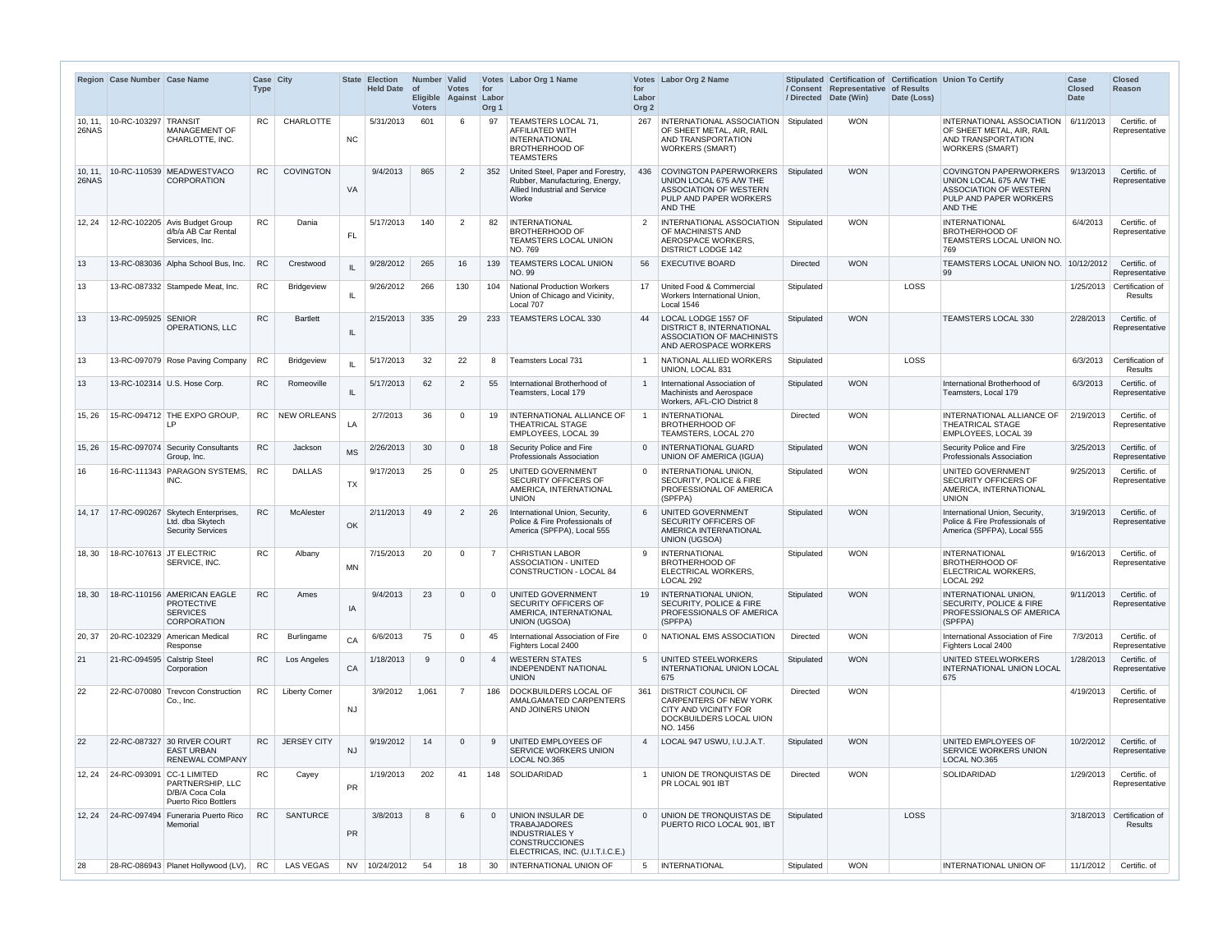|                  | Region Case Number Case Name      |                                                                                           | Case City<br><b>Type</b> |                       |            | <b>State Election</b><br><b>Held Date</b> | Number Valid<br>$ $ of<br><b>Voters</b> | <b>Votes</b><br>Eligible Against Labor | for<br>Org <sub>1</sub> | Votes   Labor Org 1 Name                                                                                                     | for<br>Labor<br>Org <sub>2</sub> | Votes Labor Org 2 Name                                                                                                      |                 | / Consent Representative of Results<br>/ Directed Date (Win) | Date (Loss) | Stipulated Certification of Certification Union To Certify                                                                     | Case<br><b>Closed</b><br><b>Date</b> | <b>Closed</b><br><b>Reason</b>        |
|------------------|-----------------------------------|-------------------------------------------------------------------------------------------|--------------------------|-----------------------|------------|-------------------------------------------|-----------------------------------------|----------------------------------------|-------------------------|------------------------------------------------------------------------------------------------------------------------------|----------------------------------|-----------------------------------------------------------------------------------------------------------------------------|-----------------|--------------------------------------------------------------|-------------|--------------------------------------------------------------------------------------------------------------------------------|--------------------------------------|---------------------------------------|
| 26NAS            | 10.11. 10-RC-103297 TRANSIT       | <b>MANAGEMENT OF</b><br>CHARLOTTE, INC.                                                   | RC.                      | CHARLOTTE             | NC         | 5/31/2013                                 | 601                                     |                                        | 97                      | TEAMSTERS LOCAL 71,<br><b>AFFILIATED WITH</b><br><b>INTERNATIONAL</b><br><b>BROTHERHOOD OF</b><br><b>TEAMSTERS</b>           | 267                              | <b>INTERNATIONAL ASSOCIATION Stipulated</b><br>OF SHEET METAL, AIR, RAIL<br>AND TRANSPORTATION<br><b>WORKERS (SMART)</b>    |                 | <b>WON</b>                                                   |             | INTERNATIONAL ASSOCIATION   6/11/2013<br>OF SHEET METAL, AIR, RAIL<br>AND TRANSPORTATION<br><b>WORKERS (SMART)</b>             |                                      | Certific. of<br>Representative        |
| 10, 11,<br>26NAS |                                   | 10-RC-110539 MEADWESTVACO<br><b>CORPORATION</b>                                           | <b>RC</b>                | <b>COVINGTON</b>      | VA         | 9/4/2013                                  | 865                                     | $\overline{2}$                         | 352                     | United Steel, Paper and Forestry,<br>Rubber, Manufacturing, Energy,<br>Allied Industrial and Service<br>Worke                | 436                              | COVINGTON PAPERWORKERS<br>UNION LOCAL 675 A/W THE<br><b>ASSOCIATION OF WESTERN</b><br>PULP AND PAPER WORKERS<br>AND THE     | Stipulated      | <b>WON</b>                                                   |             | <b>COVINGTON PAPERWORKERS</b><br>UNION LOCAL 675 A/W THE<br><b>ASSOCIATION OF WESTERN</b><br>PULP AND PAPER WORKERS<br>AND THE | 9/13/2013                            | Certific. of<br>Representative        |
| 12, 24           |                                   | 12-RC-102205 Avis Budget Group<br>d/b/a AB Car Rental<br>Services, Inc.                   | <b>RC</b>                | Dania                 | <b>FL</b>  | 5/17/2013                                 | 140                                     | $\overline{2}$                         | 82                      | INTERNATIONAL<br><b>BROTHERHOOD OF</b><br><b>TEAMSTERS LOCAL UNION</b><br>NO. 769                                            | 2                                | INTERNATIONAL ASSOCIATION<br>OF MACHINISTS AND<br>AEROSPACE WORKERS,<br><b>DISTRICT LODGE 142</b>                           | Stipulated      | <b>WON</b>                                                   |             | <b>INTERNATIONAL</b><br><b>BROTHERHOOD OF</b><br>TEAMSTERS LOCAL UNION NO.<br>769                                              | 6/4/2013                             | Certific. of<br>Representative        |
| 13               |                                   | 13-RC-083036 Alpha School Bus, Inc.                                                       | RC                       | Crestwood             | IL         | 9/28/2012                                 | 265                                     | 16                                     |                         | 139   TEAMSTERS LOCAL UNION<br><b>NO. 99</b>                                                                                 | 56                               | <b>EXECUTIVE BOARD</b>                                                                                                      | Directed        | <b>WON</b>                                                   |             | TEAMSTERS LOCAL UNION NO. 10/12/2012<br>99                                                                                     |                                      | Certific. of<br>Representative        |
| 13               |                                   | 13-RC-087332 Stampede Meat, Inc.                                                          | RC                       | <b>Bridgeview</b>     | ΙL         | 9/26/2012                                 | 266                                     | 130                                    | 104                     | National Production Workers<br>Union of Chicago and Vicinity,<br>Local 707                                                   | 17                               | United Food & Commercial<br>Workers International Union,<br>Local 1546                                                      | Stipulated      |                                                              | LOSS        |                                                                                                                                |                                      | 1/25/2013 Certification of<br>Results |
| 13               | 13-RC-095925 SENIOR               | <b>OPERATIONS, LLC</b>                                                                    | <b>RC</b>                | <b>Bartlett</b>       | -IL        | 2/15/2013                                 | 335                                     | 29                                     | 233                     | <b>TEAMSTERS LOCAL 330</b>                                                                                                   | 44                               | LOCAL LODGE 1557 OF<br>DISTRICT 8. INTERNATIONAL<br><b>ASSOCIATION OF MACHINISTS</b><br>AND AEROSPACE WORKERS               | Stipulated      | <b>WON</b>                                                   |             | <b>TEAMSTERS LOCAL 330</b>                                                                                                     | 2/28/2013                            | Certific. of<br>Representative        |
| 13               |                                   | 13-RC-097079 Rose Paving Company                                                          | <b>RC</b>                | <b>Bridgeview</b>     |            | 5/17/2013                                 | 32                                      | 22                                     | 8                       | Teamsters Local 731                                                                                                          |                                  | NATIONAL ALLIED WORKERS<br>UNION, LOCAL 831                                                                                 | Stipulated      |                                                              | LOSS        |                                                                                                                                | 6/3/2013                             | Certification of<br><b>Results</b>    |
| 13               |                                   | 13-RC-102314 U.S. Hose Corp.                                                              | <b>RC</b>                | Romeoville            | ΙL         | 5/17/2013                                 | 62                                      | $\overline{2}$                         | 55                      | International Brotherhood of<br>Teamsters, Local 179                                                                         |                                  | International Association of<br><b>Machinists and Aerospace</b><br>Workers, AFL-CIO District 8                              | Stipulated      | <b>WON</b>                                                   |             | International Brotherhood of<br>Teamsters, Local 179                                                                           | 6/3/2013                             | Certific. of<br>Representative        |
| 15, 26           |                                   | 15-RC-094712 THE EXPO GROUP,<br>IP                                                        |                          | RC   NEW ORLEANS      | LA         | 2/7/2013                                  | 36                                      |                                        | 19                      | INTERNATIONAL ALLIANCE OF<br><b>THEATRICAL STAGE</b><br>EMPLOYEES, LOCAL 39                                                  |                                  | <b>INTERNATIONAL</b><br><b>BROTHERHOOD OF</b><br>TEAMSTERS, LOCAL 270                                                       | Directed        | <b>WON</b>                                                   |             | INTERNATIONAL ALLIANCE OF<br><b>THEATRICAL STAGE</b><br>EMPLOYEES, LOCAL 39                                                    | 2/19/2013                            | Certific. of<br>Representative        |
| 15, 26           |                                   | 15-RC-097074 Security Consultants<br>Group, Inc.                                          | <b>RC</b>                | Jackson               | <b>MS</b>  | 2/26/2013                                 | 30                                      |                                        | 18                      | Security Police and Fire<br><b>Professionals Association</b>                                                                 | $\Omega$                         | <b>INTERNATIONAL GUARD</b><br><b>UNION OF AMERICA (IGUA)</b>                                                                | Stipulated      | <b>WON</b>                                                   |             | Security Police and Fire<br>Professionals Association                                                                          | 3/25/2013                            | Certific. of<br>Representative        |
| 16               |                                   | 16-RC-111343 PARAGON SYSTEMS, RC<br>INC.                                                  |                          | <b>DALLAS</b>         | <b>TX</b>  | 9/17/2013                                 | 25                                      | $\Omega$                               | 25                      | UNITED GOVERNMENT<br><b>SECURITY OFFICERS OF</b><br>AMERICA, INTERNATIONAL<br><b>UNION</b>                                   | $\overline{0}$                   | <b>INTERNATIONAL UNION,</b><br><b>SECURITY, POLICE &amp; FIRE</b><br>PROFESSIONAL OF AMERICA<br>(SPFPA)                     | Stipulated      | <b>WON</b>                                                   |             | UNITED GOVERNMENT<br>SECURITY OFFICERS OF<br>AMERICA, INTERNATIONAL<br><b>UNION</b>                                            | 9/25/2013                            | Certific, of<br>Representative        |
| 14.17            | 17-RC-090267                      | Skytech Enterprises,<br>Ltd. dba Skytech<br><b>Security Services</b>                      | <b>RC</b>                | McAlester             | OK         | 2/11/2013                                 | 49                                      | $\overline{2}$                         |                         | International Union, Security,<br>Police & Fire Professionals of<br>America (SPFPA), Local 555                               |                                  | UNITED GOVERNMENT<br><b>SECURITY OFFICERS OF</b><br>AMERICA INTERNATIONAL<br><b>UNION (UGSOA)</b>                           | Stipulated      | <b>WON</b>                                                   |             | International Union, Security,<br>Police & Fire Professionals of<br>America (SPFPA), Local 555                                 | 3/19/2013                            | Certific. of<br>Representative        |
|                  | 18, 30   18-RC-107613 JT ELECTRIC | SERVICE, INC.                                                                             | RC                       | Albany                | <b>MN</b>  | 7/15/2013                                 | 20                                      | $\Omega$                               | $\overline{7}$          | <b>CHRISTIAN LABOR</b><br><b>ASSOCIATION - UNITED</b><br>CONSTRUCTION - LOCAL 84                                             | 9                                | <b>INTERNATIONAL</b><br><b>BROTHERHOOD OF</b><br>ELECTRICAL WORKERS,<br>LOCAL 292                                           | Stipulated      | <b>WON</b>                                                   |             | <b>INTERNATIONAL</b><br><b>BROTHERHOOD OF</b><br>ELECTRICAL WORKERS,<br>LOCAL 292                                              | 9/16/2013                            | Certific. of<br>Representative        |
| 18, 30           |                                   | 18-RC-110156 AMERICAN EAGLE<br><b>PROTECTIVE</b><br><b>SERVICES</b><br><b>CORPORATION</b> | RC                       | Ames                  | IA         | 9/4/2013                                  | 23                                      | - 0                                    | $\Omega$                | UNITED GOVERNMENT<br><b>SECURITY OFFICERS OF</b><br>AMERICA, INTERNATIONAL<br><b>UNION (UGSOA)</b>                           | 19                               | <b>INTERNATIONAL UNION,</b><br><b>SECURITY, POLICE &amp; FIRE</b><br>PROFESSIONALS OF AMERICA<br>(SPFPA)                    | Stipulated      | <b>WON</b>                                                   |             | INTERNATIONAL UNION,<br><b>SECURITY, POLICE &amp; FIRE</b><br>PROFESSIONALS OF AMERICA<br>(SPFPA)                              | 9/11/2013                            | Certific. of<br>Representative        |
| 20, 37           |                                   | 20-RC-102329   American Medical<br>Response                                               | <b>RC</b>                | Burlingame            | CA         | 6/6/2013                                  | 75                                      | - 0                                    | 45                      | International Association of Fire<br>Fighters Local 2400                                                                     | $\Omega$                         | NATIONAL EMS ASSOCIATION                                                                                                    | Directed        | <b>WON</b>                                                   |             | International Association of Fire<br>Fighters Local 2400                                                                       | 7/3/2013                             | Certific. of<br>Representative        |
| 21               | 21-RC-094595 Calstrip Steel       | Corporation                                                                               | <b>RC</b>                | Los Angeles           | ${\sf CA}$ | 1/18/2013                                 | $\mathbf{q}$                            | - 0                                    |                         | <b>WESTERN STATES</b><br><b>INDEPENDENT NATIONAL</b><br><b>UNION</b>                                                         | 5                                | UNITED STEELWORKERS<br>INTERNATIONAL UNION LOCAL<br>675                                                                     | Stipulated      | <b>WON</b>                                                   |             | <b>UNITED STEELWORKERS</b><br>INTERNATIONAL UNION LOCAL<br>675                                                                 | 1/28/2013                            | Certific. of<br>Representative        |
| 22               | 22-RC-070080                      | Trevcon Construction<br>Co., Inc.                                                         | RC                       | <b>Liberty Corner</b> | <b>NJ</b>  | 3/9/2012                                  | 1,061                                   | - 7                                    |                         | 186   DOCKBUILDERS LOCAL OF<br>AMALGAMATED CARPENTERS<br>AND JOINERS UNION                                                   | 361                              | <b>DISTRICT COUNCIL OF</b><br><b>CARPENTERS OF NEW YORK</b><br>CITY AND VICINITY FOR<br>DOCKBUILDERS LOCAL UION<br>NO. 1456 | <b>Directed</b> | <b>WON</b>                                                   |             |                                                                                                                                | 4/19/2013                            | Certific. of<br>Representative        |
| 22               |                                   | 22-RC-087327 30 RIVER COURT<br><b>EAST URBAN</b><br><b>RENEWAL COMPANY</b>                | RC.                      | <b>JERSEY CITY</b>    | <b>NJ</b>  | 9/19/2012                                 | 14                                      |                                        | q                       | UNITED EMPLOYEES OF<br><b>SERVICE WORKERS UNION</b><br>LOCAL NO.365                                                          | 4                                | LOCAL 947 USWU, I.U.J.A.T.                                                                                                  | Stipulated      | <b>WON</b>                                                   |             | UNITED EMPLOYEES OF<br><b>SERVICE WORKERS UNION</b><br>LOCAL NO.365                                                            | 10/2/2012                            | Certific. of<br>Representative        |
|                  | 12, 24 24-RC-093091               | <b>CC-1 LIMITED</b><br>PARTNERSHIP, LLC<br>D/B/A Coca Cola<br><b>Puerto Rico Bottlers</b> | <b>RC</b>                | Cayey                 | <b>PR</b>  | 1/19/2013                                 | 202                                     | 41                                     |                         | 148   SOLIDARIDAD                                                                                                            |                                  | UNION DE TRONQUISTAS DE<br>PR LOCAL 901 IBT                                                                                 | Directed        | <b>WON</b>                                                   |             | SOLIDARIDAD                                                                                                                    | 1/29/2013                            | Certific. of<br>Representative        |
| 12, 24           | 24-RC-097494                      | Funeraria Puerto Rico<br>Memorial                                                         | RC                       | <b>SANTURCE</b>       | <b>PR</b>  | 3/8/2013                                  | $\mathsf{R}$                            |                                        | $\Omega$                | UNION INSULAR DE<br><b>TRABAJADORES</b><br><b>INDUSTRIALES Y</b><br><b>CONSTRUCCIONES</b><br>ELECTRICAS, INC. (U.I.T.I.C.E.) | $\overline{0}$                   | UNION DE TRONQUISTAS DE<br>PUERTO RICO LOCAL 901, IBT                                                                       | Stipulated      |                                                              | <b>LOSS</b> |                                                                                                                                |                                      | 3/18/2013 Certification of<br>Results |
| 28               |                                   | 28-RC-086943 Planet Hollywood (LV),                                                       | <b>RC</b>                | LAS VEGAS             |            | NV 10/24/2012                             | 54                                      | 18                                     | 30                      | INTERNATIONAL UNION OF                                                                                                       | 5                                | <b>INTERNATIONAL</b>                                                                                                        | Stipulated      | <b>WON</b>                                                   |             | INTERNATIONAL UNION OF                                                                                                         | 11/1/2012                            | Certific. of                          |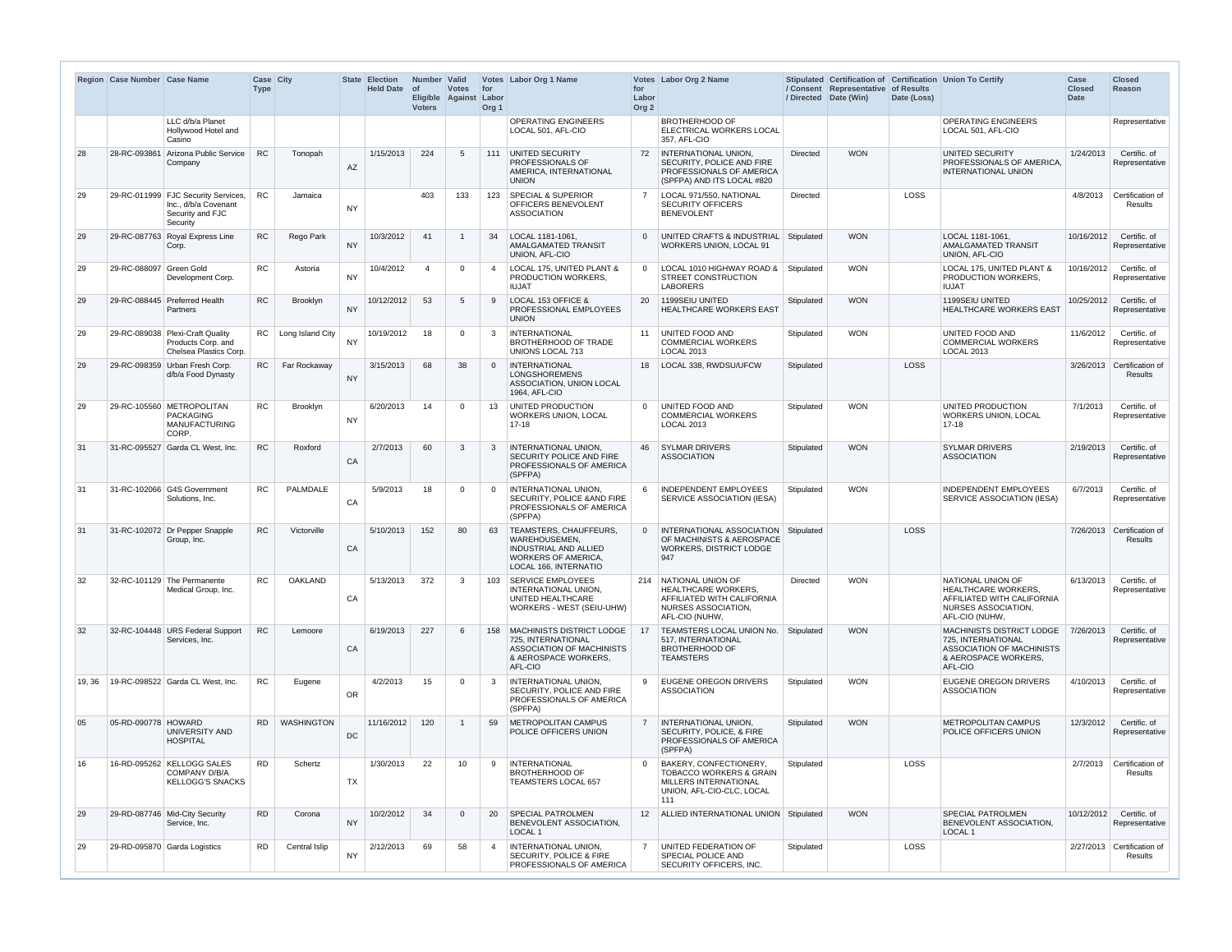|       | Region   Case Number   Case Name |                                                                                             | <b>Case City</b><br><b>Type</b> |                       |           | <b>State Election</b><br><b>Held Date</b> | Number Valid<br>$ $ of<br>Eligible<br><b>Voters</b> | <b>Votes</b><br>Against Labor | for<br>Org <sub>1</sub> | Votes   Labor Org 1 Name                                                                                                       | for<br>Labor<br>Org <sub>2</sub> | Votes Labor Org 2 Name                                                                                                                  |                 | / Consent Representative of Results<br>/ Directed Date (Win) | Date (Loss) | Stipulated Certification of Certification Union To Certify                                                                    | Case<br><b>Closed</b><br><b>Date</b> | <b>Closed</b><br><b>Reason</b>               |
|-------|----------------------------------|---------------------------------------------------------------------------------------------|---------------------------------|-----------------------|-----------|-------------------------------------------|-----------------------------------------------------|-------------------------------|-------------------------|--------------------------------------------------------------------------------------------------------------------------------|----------------------------------|-----------------------------------------------------------------------------------------------------------------------------------------|-----------------|--------------------------------------------------------------|-------------|-------------------------------------------------------------------------------------------------------------------------------|--------------------------------------|----------------------------------------------|
|       |                                  | LLC d/b/a Planet<br>Hollywood Hotel and<br>Casino                                           |                                 |                       |           |                                           |                                                     |                               |                         | <b>OPERATING ENGINEERS</b><br>LOCAL 501, AFL-CIO                                                                               |                                  | <b>BROTHERHOOD OF</b><br><b>ELECTRICAL WORKERS LOCAL</b><br>357, AFL-CIO                                                                |                 |                                                              |             | <b>OPERATING ENGINEERS</b><br>LOCAL 501, AFL-CIO                                                                              |                                      | Representative                               |
| 28    | 28-RC-093861                     | Arizona Public Service<br>Company                                                           | <b>RC</b>                       | Tonopah               | AZ        | 1/15/2013                                 | 224                                                 | -5                            | 111                     | UNITED SECURITY<br>PROFESSIONALS OF<br>AMERICA, INTERNATIONAL<br><b>UNION</b>                                                  |                                  | 72   INTERNATIONAL UNION,<br>SECURITY, POLICE AND FIRE<br><b>PROFESSIONALS OF AMERICA</b><br>(SPFPA) AND ITS LOCAL #820                 | <b>Directed</b> | <b>WON</b>                                                   |             | <b>UNITED SECURITY</b><br>PROFESSIONALS OF AMERICA.<br><b>INTERNATIONAL UNION</b>                                             | 1/24/2013                            | Certific. of<br>Representative               |
| 29    |                                  | 29-RC-011999 FJC Security Services.<br>Inc., d/b/a Covenant<br>Security and FJC<br>Security | <b>RC</b>                       | Jamaica               | <b>NY</b> |                                           | 403                                                 | 133                           | 123                     | <b>SPECIAL &amp; SUPERIOR</b><br><b>OFFICERS BENEVOLENT</b><br><b>ASSOCIATION</b>                                              | $\overline{7}$                   | LOCAL 971/550, NATIONAL<br><b>SECURITY OFFICERS</b><br><b>BENEVOLENT</b>                                                                | <b>Directed</b> |                                                              | <b>LOSS</b> |                                                                                                                               | 4/8/2013                             | Certification of<br>Results                  |
| 29    | 29-RC-087763                     | Royal Express Line<br>Corp.                                                                 | <b>RC</b>                       | Rego Park             | <b>NY</b> | 10/3/2012                                 | 41                                                  |                               | 34                      | LOCAL 1181-1061.<br>AMALGAMATED TRANSIT<br>UNION, AFL-CIO                                                                      | $\overline{0}$                   | UNITED CRAFTS & INDUSTRIAL<br><b>WORKERS UNION, LOCAL 91</b>                                                                            | Stipulated      | <b>WON</b>                                                   |             | LOCAL 1181-1061,<br>AMALGAMATED TRANSIT<br>UNION, AFL-CIO                                                                     | 10/16/2012                           | Certific. of<br>Representative               |
| 29    | 29-RC-088097                     | Green Gold<br>Development Corp.                                                             | <b>RC</b>                       | Astoria               | <b>NY</b> | 10/4/2012                                 |                                                     | $\Omega$                      |                         | LOCAL 175, UNITED PLANT &<br><b>PRODUCTION WORKERS,</b><br><b>IUJAT</b>                                                        | $\overline{0}$                   | LOCAL 1010 HIGHWAY ROAD &<br>STREET CONSTRUCTION<br><b>LABORERS</b>                                                                     | Stipulated      | <b>WON</b>                                                   |             | LOCAL 175, UNITED PLANT &<br>PRODUCTION WORKERS,<br><b>IUJAT</b>                                                              | 10/16/2012                           | Certific, of<br>Representative               |
| 29    |                                  | 29-RC-088445 Preferred Health<br>Partners                                                   | <b>RC</b>                       | Brooklyn              | <b>NY</b> | 10/12/2012                                | 53                                                  | -5                            | 9                       | LOCAL 153 OFFICE &<br><b>PROFESSIONAL EMPLOYEES</b><br><b>UNION</b>                                                            | 20                               | 1199SEIU UNITED<br><b>HEALTHCARE WORKERS EAST</b>                                                                                       | Stipulated      | <b>WON</b>                                                   |             | 1199SEIU UNITED<br>HEALTHCARE WORKERS EAST                                                                                    | 10/25/2012                           | Certific, of<br>Representative               |
| 29    | 29-RC-089038                     | Plexi-Craft Quality<br>Products Corp. and<br>Chelsea Plastics Corp.                         |                                 | RC   Long Island City | <b>NY</b> | 10/19/2012                                | 18                                                  | $\Omega$                      | 3                       | <b>INTERNATIONAL</b><br>BROTHERHOOD OF TRADE<br><b>UNIONS LOCAL 713</b>                                                        |                                  | 11 UNITED FOOD AND<br><b>COMMERCIAL WORKERS</b><br>LOCAL 2013                                                                           | Stipulated      | <b>WON</b>                                                   |             | UNITED FOOD AND<br><b>COMMERCIAL WORKERS</b><br><b>LOCAL 2013</b>                                                             | 11/6/2012                            | Certific. of<br>Representative               |
| 29    | 29-RC-098359                     | Urban Fresh Corp.<br>d/b/a Food Dynasty                                                     | <b>RC</b>                       | Far Rockaway          | <b>NY</b> | 3/15/2013                                 | 68                                                  | 38                            | $\Omega$                | INTERNATIONAL<br><b>LONGSHOREMENS</b><br>ASSOCIATION, UNION LOCAL<br>1964, AFL-CIO                                             | 18                               | LOCAL 338, RWDSU/UFCW                                                                                                                   | Stipulated      |                                                              | <b>LOSS</b> |                                                                                                                               |                                      | 3/26/2013 Certification of<br>Results        |
| 29    |                                  | 29-RC-105560 METROPOLITAN<br><b>PACKAGING</b><br><b>MANUFACTURING</b><br>CORP.              | <b>RC</b>                       | Brooklyn              | <b>NY</b> | 6/20/2013                                 | 14                                                  | $\Omega$                      | 13                      | UNITED PRODUCTION<br><b>WORKERS UNION, LOCAL</b><br>$17 - 18$                                                                  | $\overline{0}$                   | UNITED FOOD AND<br><b>COMMERCIAL WORKERS</b><br><b>LOCAL 2013</b>                                                                       | Stipulated      | <b>WON</b>                                                   |             | UNITED PRODUCTION<br>WORKERS UNION, LOCAL<br>$17 - 18$                                                                        | 7/1/2013                             | Certific. of<br>Representative               |
| 31    | 31-RC-095527                     | Garda CL West, Inc.                                                                         | <b>RC</b>                       | Roxford               | CA        | 2/7/2013                                  | 60                                                  | -3                            | $\mathbf{3}$            | <b>INTERNATIONAL UNION,</b><br>SECURITY POLICE AND FIRE<br><b>PROFESSIONALS OF AMERICA</b><br>(SPFPA)                          | 46                               | <b>SYLMAR DRIVERS</b><br><b>ASSOCIATION</b>                                                                                             | Stipulated      | <b>WON</b>                                                   |             | <b>SYLMAR DRIVERS</b><br><b>ASSOCIATION</b>                                                                                   | 2/19/2013                            | Certific, of<br>Representative               |
| 31    |                                  | 31-RC-102066 G4S Government<br>Solutions, Inc.                                              | RC                              | <b>PALMDALE</b>       | CA        | 5/9/2013                                  | 18                                                  | $\Omega$                      | $\Omega$                | <b>INTERNATIONAL UNION,</b><br><b>SECURITY, POLICE &amp; AND FIRE</b><br>PROFESSIONALS OF AMERICA<br>(SPFPA)                   | 6                                | <b>INDEPENDENT EMPLOYEES</b><br>SERVICE ASSOCIATION (IESA)                                                                              | Stipulated      | <b>WON</b>                                                   |             | <b>INDEPENDENT EMPLOYEES</b><br>SERVICE ASSOCIATION (IESA)                                                                    | 6/7/2013                             | Certific, of<br>Representative               |
| 31    |                                  | 31-RC-102072 Dr Pepper Snapple<br>Group, Inc.                                               | <b>RC</b>                       | Victorville           | CA        | 5/10/2013                                 | 152                                                 | 80                            | 63                      | TEAMSTERS, CHAUFFEURS,<br>WAREHOUSEMEN.<br><b>INDUSTRIAL AND ALLIED</b><br><b>WORKERS OF AMERICA.</b><br>LOCAL 166, INTERNATIO |                                  | 0   INTERNATIONAL ASSOCIATION<br>OF MACHINISTS & AEROSPACE<br>WORKERS, DISTRICT LODGE<br>947                                            | Stipulated      |                                                              | LOSS        |                                                                                                                               |                                      | 7/26/2013 Certification of<br><b>Results</b> |
| 32    |                                  | 32-RC-101129 The Permanente<br>Medical Group, Inc.                                          | <b>RC</b>                       | <b>OAKLAND</b>        | CA        | 5/13/2013                                 | 372                                                 | -3                            | 103                     | SERVICE EMPLOYEES<br><b>INTERNATIONAL UNION,</b><br>UNITED HEALTHCARE<br>WORKERS - WEST (SEIU-UHW)                             |                                  | 214 NATIONAL UNION OF<br><b>HEALTHCARE WORKERS.</b><br>AFFILIATED WITH CALIFORNIA<br><b>NURSES ASSOCIATION,</b><br>AFL-CIO (NUHW,       | <b>Directed</b> | <b>WON</b>                                                   |             | NATIONAL UNION OF<br><b>HEALTHCARE WORKERS,</b><br>AFFILIATED WITH CALIFORNIA<br><b>NURSES ASSOCIATION,</b><br>AFL-CIO (NUHW, | 6/13/2013                            | Certific. of<br>Representative               |
| 32    |                                  | 32-RC-104448 URS Federal Support<br>Services, Inc.                                          | <b>RC</b>                       | Lemoore               | CA        | 6/19/2013                                 | 227                                                 | - 6                           |                         | 158   MACHINISTS DISTRICT LODGE<br>725. INTERNATIONAL<br>ASSOCIATION OF MACHINISTS<br>& AEROSPACE WORKERS,<br>AFL-CIO          | 17                               | TEAMSTERS LOCAL UNION No.<br>517. INTERNATIONAL<br><b>BROTHERHOOD OF</b><br><b>TEAMSTERS</b>                                            | Stipulated      | <b>WON</b>                                                   |             | MACHINISTS DISTRICT LODGE<br>725. INTERNATIONAL<br>ASSOCIATION OF MACHINISTS<br>& AEROSPACE WORKERS,<br>AFL-CIO               | 7/26/2013                            | Certific. of<br>Representative               |
| 19.36 |                                  | 19-RC-098522 Garda CL West, Inc.                                                            | <b>RC</b>                       | Eugene                | <b>OR</b> | 4/2/2013                                  | 15                                                  | $\Omega$                      | $\mathbf{3}$            | <b>INTERNATIONAL UNION,</b><br>SECURITY, POLICE AND FIRE<br>PROFESSIONALS OF AMERICA<br>(SPFPA)                                |                                  | 9 EUGENE OREGON DRIVERS<br><b>ASSOCIATION</b>                                                                                           | Stipulated      | <b>WON</b>                                                   |             | EUGENE OREGON DRIVERS<br><b>ASSOCIATION</b>                                                                                   | 4/10/2013                            | Certific, of<br>Representative               |
| 05    | 05-RD-090778 HOWARD              | UNIVERSITY AND<br><b>HOSPITAL</b>                                                           | RD.                             | <b>WASHINGTON</b>     | DC        | 11/16/2012                                | 120                                                 |                               | 59                      | <b>METROPOLITAN CAMPUS</b><br>POLICE OFFICERS UNION                                                                            |                                  | <b>INTERNATIONAL UNION,</b><br>SECURITY, POLICE, & FIRE<br><b>PROFESSIONALS OF AMERICA</b><br>(SPFPA)                                   | Stipulated      | <b>WON</b>                                                   |             | <b>METROPOLITAN CAMPUS</b><br>POLICE OFFICERS UNION                                                                           | 12/3/2012                            | Certific. of<br>Representative               |
| 16    |                                  | 16-RD-095262 KELLOGG SALES<br><b>COMPANY D/B/A</b><br><b>KELLOGG'S SNACKS</b>               | <b>RD</b>                       | Schertz               | TX        | 1/30/2013                                 | 22                                                  | 10                            | 9                       | INTERNATIONAL<br><b>BROTHERHOOD OF</b><br><b>TEAMSTERS LOCAL 657</b>                                                           | $\overline{0}$                   | <b>BAKERY, CONFECTIONERY,</b><br><b>TOBACCO WORKERS &amp; GRAIN</b><br><b>MILLERS INTERNATIONAL</b><br>UNION, AFL-CIO-CLC, LOCAL<br>111 | Stipulated      |                                                              | <b>LOSS</b> |                                                                                                                               | 2/7/2013                             | Certification of<br><b>Results</b>           |
| 29    |                                  | 29-RD-087746 Mid-City Security<br>Service, Inc.                                             | <b>RD</b>                       | Corona                | <b>NY</b> | 10/2/2012                                 | 34                                                  | $\Omega$                      | 20                      | <b>SPECIAL PATROLMEN</b><br><b>BENEVOLENT ASSOCIATION.</b><br>LOCAL <sub>1</sub>                                               |                                  | 12   ALLIED INTERNATIONAL UNION   Stipulated                                                                                            |                 | <b>WON</b>                                                   |             | <b>SPECIAL PATROLMEN</b><br>BENEVOLENT ASSOCIATION,<br>LOCAL <sub>1</sub>                                                     | 10/12/2012                           | Certific. of<br>Representative               |
| 29    |                                  | 29-RD-095870 Garda Logistics                                                                | <b>RD</b>                       | Central Islip         | <b>NY</b> | 2/12/2013                                 | 69                                                  | 58                            | 4                       | <b>INTERNATIONAL UNION,</b><br>SECURITY, POLICE & FIRE<br><b>PROFESSIONALS OF AMERICA</b>                                      |                                  | UNITED FEDERATION OF<br><b>SPECIAL POLICE AND</b><br><b>SECURITY OFFICERS, INC.</b>                                                     | Stipulated      |                                                              | <b>LOSS</b> |                                                                                                                               |                                      | 2/27/2013 Certification of<br>Results        |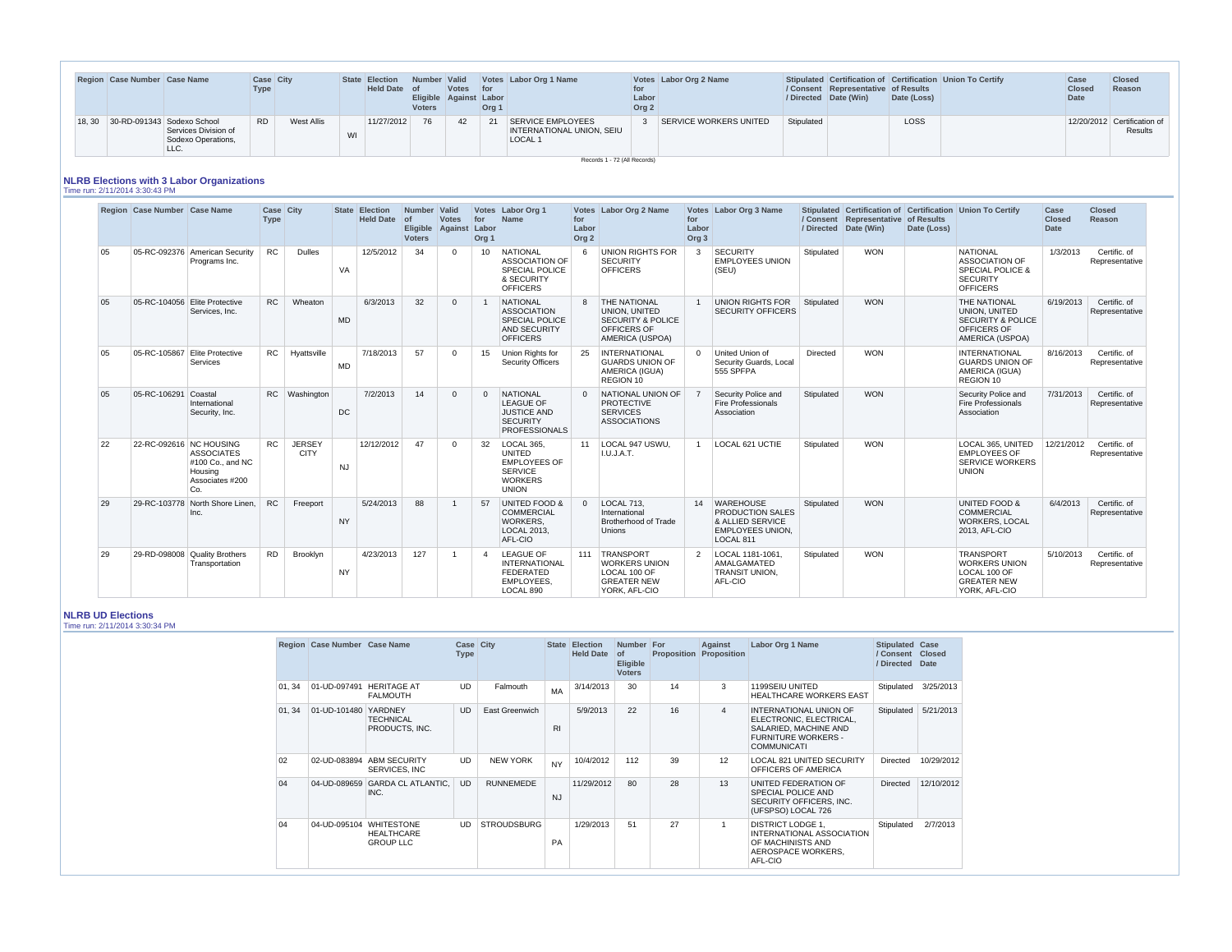|       | Region Case Number Case Name |                                                    | Case City<br>Type |                   |    | State Election<br>Held Date of | Number Valid<br>Eligible Against Labor<br><b>Voters</b> | Votes for | Org 1 | Votes Labor Org 1 Name                                                                    | Labor<br>Org <sub>2</sub> | Votes Labor Org 2 Name |            | / Consent Representative of Results<br>/ Directed Date (Win) | Date (Loss) | Stipulated Certification of Certification Union To Certify | Case<br><b>Closed</b><br><b>Date</b> | <b>Closed</b><br>Reason                |
|-------|------------------------------|----------------------------------------------------|-------------------|-------------------|----|--------------------------------|---------------------------------------------------------|-----------|-------|-------------------------------------------------------------------------------------------|---------------------------|------------------------|------------|--------------------------------------------------------------|-------------|------------------------------------------------------------|--------------------------------------|----------------------------------------|
| 18.30 | 30-RD-091343 Sodexo School   | Services Division of<br>Sodexo Operations,<br>LLC. | <b>RD</b>         | <b>West Allis</b> | WI | 11/27/2012                     | - 76                                                    | 42        | 21    | SERVICE EMPLOYEES<br>INTERNATIONAL UNION, SEIU<br>LOCAL 1<br>Records 1 - 72 (All Records) |                           | SERVICE WORKERS UNITED | Stipulated |                                                              | <b>LOSS</b> |                                                            |                                      | 12/20/2012 Certification of<br>Results |

# **NLRB Elections with 3 Labor Organizations**

Time run: 2/11/2014 3:30:43 PM

|    | Region Case Number Case Name  |                                                                            | Case City<br><b>Type</b> |                              |           | State Election<br><b>Held Date</b> | Number Valid<br>$\overline{of}$<br><b>Voters</b> | <b>Votes</b><br>Eligible Against Labor | for<br>Org <sub>1</sub> | Votes Labor Org 1<br><b>Name</b>                                                                         | for<br>Labor<br>Org <sub>2</sub> | Votes Labor Org 2 Name                                                                                          | for<br>Labor<br>Org <sub>3</sub> | Votes Labor Org 3 Name                                                                       |                 | / Consent Representative of Results<br>/ Directed Date (Win) | Date (Loss) | Stipulated Certification of Certification Union To Certify                                                    | Case<br><b>Closed</b><br><b>Date</b> | <b>Closed</b><br>Reason        |
|----|-------------------------------|----------------------------------------------------------------------------|--------------------------|------------------------------|-----------|------------------------------------|--------------------------------------------------|----------------------------------------|-------------------------|----------------------------------------------------------------------------------------------------------|----------------------------------|-----------------------------------------------------------------------------------------------------------------|----------------------------------|----------------------------------------------------------------------------------------------|-----------------|--------------------------------------------------------------|-------------|---------------------------------------------------------------------------------------------------------------|--------------------------------------|--------------------------------|
| 05 |                               | 05-RC-092376 American Security<br>Programs Inc.                            | <b>RC</b>                | <b>Dulles</b>                | VA        | 12/5/2012                          | 34                                               |                                        | 10 <sup>°</sup>         | <b>NATIONAL</b><br><b>ASSOCIATION OF</b><br><b>SPECIAL POLICE</b><br>& SECURITY<br><b>OFFICERS</b>       | 6                                | <b>UNION RIGHTS FOR</b><br><b>SECURITY</b><br><b>OFFICERS</b>                                                   | -3                               | <b>SECURITY</b><br><b>EMPLOYEES UNION</b><br>(SEU)                                           | Stipulated      | <b>WON</b>                                                   |             | <b>NATIONAL</b><br><b>ASSOCIATION OF</b><br><b>SPECIAL POLICE &amp;</b><br><b>SECURITY</b><br><b>OFFICERS</b> | 1/3/2013                             | Certific, of<br>Representative |
| 05 | 05-RC-104056 Elite Protective | Services, Inc.                                                             | <b>RC</b>                | Wheaton                      | <b>MD</b> | 6/3/2013                           | 32                                               |                                        |                         | <b>NATIONAL</b><br><b>ASSOCIATION</b><br><b>SPECIAL POLICE</b><br><b>AND SECURITY</b><br><b>OFFICERS</b> |                                  | 8 THE NATIONAL<br><b>UNION, UNITED</b><br><b>SECURITY &amp; POLICE</b><br><b>OFFICERS OF</b><br>AMERICA (USPOA) |                                  | UNION RIGHTS FOR<br><b>SECURITY OFFICERS</b>                                                 | Stipulated      | <b>WON</b>                                                   |             | THE NATIONAL<br>UNION, UNITED<br><b>SECURITY &amp; POLICE</b><br><b>OFFICERS OF</b><br>AMERICA (USPOA)        | 6/19/2013                            | Certific, of<br>Representative |
| 05 |                               | 05-RC-105867 Elite Protective<br>Services                                  | <b>RC</b>                | Hyattsville                  | <b>MD</b> | 7/18/2013                          | 57                                               | $\Omega$                               | 15                      | Union Rights for<br><b>Security Officers</b>                                                             | 25                               | INTERNATIONAL<br><b>GUARDS UNION OF</b><br>AMERICA (IGUA)<br>REGION 10                                          | $\Omega$                         | United Union of<br>Security Guards, Local<br>555 SPFPA                                       | <b>Directed</b> | <b>WON</b>                                                   |             | <b>INTERNATIONAL</b><br><b>GUARDS UNION OF</b><br>AMERICA (IGUA)<br>REGION 10                                 | 8/16/2013                            | Certific, of<br>Representative |
| 05 | 05-RC-106291                  | Coastal<br>International<br>Security, Inc.                                 | <b>RC</b>                | <b>Washington</b>            | <b>DC</b> | 7/2/2013                           | 14                                               |                                        | $\Omega$                | NATIONAL<br><b>LEAGUE OF</b><br><b>JUSTICE AND</b><br><b>SECURITY</b><br><b>PROFESSIONALS</b>            | $\Omega$                         | NATIONAL UNION OF<br><b>PROTECTIVE</b><br><b>SERVICES</b><br><b>ASSOCIATIONS</b>                                |                                  | Security Police and<br><b>Fire Professionals</b><br>Association                              | Stipulated      | <b>WON</b>                                                   |             | Security Police and<br>Fire Professionals<br>Association                                                      | 7/31/2013                            | Certific, of<br>Representative |
| 22 | 22-RC-092616 NC HOUSING       | <b>ASSOCIATES</b><br>#100 Co., and NC<br>Housing<br>Associates #200<br>Co. | RC                       | <b>JERSEY</b><br><b>CITY</b> | <b>NJ</b> | 12/12/2012                         | 47                                               |                                        | 32                      | LOCAL 365,<br><b>UNITED</b><br><b>EMPLOYEES OF</b><br><b>SERVICE</b><br><b>WORKERS</b><br><b>UNION</b>   | 11                               | LOCAL 947 USWU,<br>I.U.J.A.T.                                                                                   |                                  | LOCAL 621 UCTIE                                                                              | Stipulated      | <b>WON</b>                                                   |             | LOCAL 365, UNITED<br><b>EMPLOYEES OF</b><br><b>SERVICE WORKERS</b><br><b>UNION</b>                            | 12/21/2012                           | Certific. of<br>Representative |
| 29 | 29-RC-103778                  | North Shore Linen.<br>Inc.                                                 | <b>RC</b>                | Freeport                     | <b>NY</b> | 5/24/2013                          | 88                                               |                                        | 57                      | <b>UNITED FOOD &amp;</b><br><b>COMMERCIAL</b><br><b>WORKERS.</b><br>LOCAL 2013.<br>AFL-CIO               | $\Omega$                         | LOCAL 713,<br>International<br><b>Brotherhood of Trade</b><br><b>Unions</b>                                     |                                  | 14 WAREHOUSE<br>PRODUCTION SALES<br>& ALLIED SERVICE<br><b>EMPLOYEES UNION.</b><br>LOCAL 811 | Stipulated      | <b>WON</b>                                                   |             | <b>UNITED FOOD &amp;</b><br><b>COMMERCIAL</b><br><b>WORKERS, LOCAL</b><br>2013, AFL-CIO                       | 6/4/2013                             | Certific, of<br>Representative |
| 29 |                               | 29-RD-098008 Quality Brothers<br>Transportation                            | <b>RD</b>                | Brooklyn                     | <b>NY</b> | 4/23/2013                          | 127                                              |                                        | 4                       | <b>LEAGUE OF</b><br><b>INTERNATIONAL</b><br>FEDERATED<br>EMPLOYEES.<br>LOCAL 890                         |                                  | 111 TRANSPORT<br><b>WORKERS UNION</b><br>LOCAL 100 OF<br><b>GREATER NEW</b><br>YORK, AFL-CIO                    | 2                                | LOCAL 1181-1061<br>AMALGAMATED<br><b>TRANSIT UNION,</b><br>AFL-CIO                           | Stipulated      | <b>WON</b>                                                   |             | <b>TRANSPORT</b><br><b>WORKERS UNION</b><br>LOCAL 100 OF<br><b>GREATER NEW</b><br>YORK, AFL-CIO               | 5/10/2013                            | Certific. of<br>Representative |

# **NLRB UD Elections**

Time run: 2/11/2014 3:30:34 PM

|        | Region Case Number Case Name |                                                                  | <b>Case City</b><br><b>Type</b> |                    |                | State Election<br><b>Held Date</b> | Number For<br>  of<br><b>Eligible</b><br><b>Voters</b> |    | Against<br><b>Proposition Proposition</b> | Labor Org 1 Name                                                                                                               | <b>Stipulated Case</b><br>/ Consent Closed<br>/ Directed Date |                         |  |
|--------|------------------------------|------------------------------------------------------------------|---------------------------------|--------------------|----------------|------------------------------------|--------------------------------------------------------|----|-------------------------------------------|--------------------------------------------------------------------------------------------------------------------------------|---------------------------------------------------------------|-------------------------|--|
|        |                              | 01, 34   01-UD-097491   HERITAGE AT<br>FALMOUTH                  | UD                              | Falmouth           | <b>MA</b>      | 3/14/2013                          | 30                                                     | 14 | 3                                         | 1199SEIU UNITED<br><b>HEALTHCARE WORKERS EAST</b>                                                                              |                                                               | Stipulated $ 3/25/2013$ |  |
| 01, 34 | 01-UD-101480 YARDNEY         | <b>TECHNICAL</b><br>PRODUCTS, INC.                               | <b>UD</b>                       | East Greenwich     | R <sub>l</sub> | 5/9/2013                           | 22                                                     | 16 | $\overline{4}$                            | INTERNATIONAL UNION OF<br>ELECTRONIC, ELECTRICAL,<br>SALARIED, MACHINE AND<br><b>FURNITURE WORKERS -</b><br><b>COMMUNICATI</b> |                                                               | Stipulated   5/21/2013  |  |
| 02     |                              | 02-UD-083894 ABM SECURITY<br>SERVICES, INC                       | <b>UD</b>                       | NEW YORK           | <b>NY</b>      | 10/4/2012                          | 112                                                    | 39 | 12                                        | <b>LOCAL 821 UNITED SECURITY</b><br>OFFICERS OF AMERICA                                                                        | Directed                                                      | 10/29/2012              |  |
| 04     |                              | 04-UD-089659 GARDA CL ATLANTIC,<br>INC.                          | <b>UD</b>                       | <b>RUNNEMEDE</b>   | <b>NJ</b>      | 11/29/2012                         | 80                                                     | 28 | 13                                        | UNITED FEDERATION OF<br>SPECIAL POLICE AND<br>SECURITY OFFICERS, INC.<br>(UFSPSO) LOCAL 726                                    | Directed                                                      | 12/10/2012              |  |
| 04     |                              | 04-UD-095104 WHITESTONE<br><b>HEALTHCARE</b><br><b>GROUP LLC</b> | <b>UD</b>                       | <b>STROUDSBURG</b> | <b>PA</b>      | 1/29/2013                          | 51                                                     | 27 |                                           | <b>DISTRICT LODGE 1,</b><br>INTERNATIONAL ASSOCIATION<br>OF MACHINISTS AND<br>AEROSPACE WORKERS,<br>AFL-CIO                    | Stipulated                                                    | 2/7/2013                |  |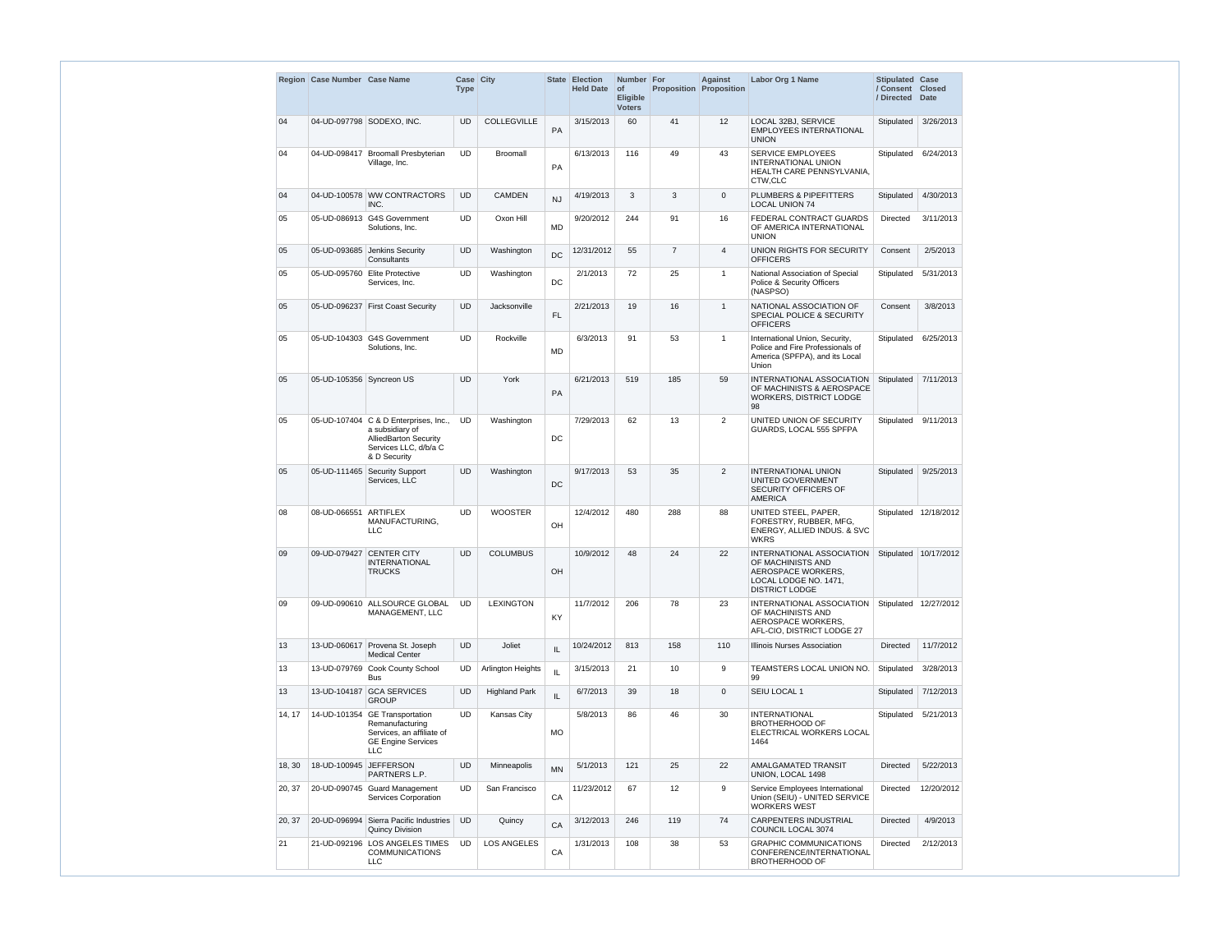|        | Region Case Number Case Name |                                                                                                                                     | Case City<br><b>Type</b> |                      |           | <b>State Election</b><br><b>Held Date</b> | Number   For<br><b>of</b><br><b>Eligible</b><br><b>Voters</b> |                | <b>Against</b><br><b>Proposition Proposition</b> | <b>Labor Org 1 Name</b>                                                                                                | Stipulated Case<br>/ Consent Closed<br>/ Directed Date |                         |
|--------|------------------------------|-------------------------------------------------------------------------------------------------------------------------------------|--------------------------|----------------------|-----------|-------------------------------------------|---------------------------------------------------------------|----------------|--------------------------------------------------|------------------------------------------------------------------------------------------------------------------------|--------------------------------------------------------|-------------------------|
| 04     |                              | 04-UD-097798 SODEXO, INC.                                                                                                           | <b>UD</b>                | COLLEGVILLE          | PA        | 3/15/2013                                 | 60                                                            | 41             | 12 <sup>2</sup>                                  | LOCAL 32BJ, SERVICE<br><b>EMPLOYEES INTERNATIONAL</b><br><b>UNION</b>                                                  | Stipulated                                             | 3/26/2013               |
| 04     |                              | 04-UD-098417 Broomall Presbyterian<br>Village, Inc.                                                                                 | <b>UD</b>                | <b>Broomall</b>      | PA        | 6/13/2013                                 | 116                                                           | 49             | 43                                               | <b>SERVICE EMPLOYEES</b><br>INTERNATIONAL UNION<br>HEALTH CARE PENNSYLVANIA,<br>CTW,CLC                                | Stipulated                                             | 6/24/2013               |
| 04     |                              | 04-UD-100578 WW CONTRACTORS<br>INC.                                                                                                 | <b>UD</b>                | <b>CAMDEN</b>        | <b>NJ</b> | 4/19/2013                                 | 3                                                             | 3              | $\mathbf 0$                                      | PLUMBERS & PIPEFITTERS<br><b>LOCAL UNION 74</b>                                                                        | Stipulated                                             | 4/30/2013               |
| 05     |                              | 05-UD-086913 G4S Government<br>Solutions, Inc.                                                                                      | <b>UD</b>                | Oxon Hill            | <b>MD</b> | 9/20/2012                                 | 244                                                           | 91             | 16                                               | FEDERAL CONTRACT GUARDS<br>OF AMERICA INTERNATIONAL<br><b>UNION</b>                                                    | Directed                                               | 3/11/2013               |
| 05     |                              | 05-UD-093685 Jenkins Security<br>Consultants                                                                                        | <b>UD</b>                | Washington           | DC        | 12/31/2012                                | 55                                                            | $\overline{7}$ | 4                                                | UNION RIGHTS FOR SECURITY<br><b>OFFICERS</b>                                                                           | Consent                                                | 2/5/2013                |
| 05     |                              | 05-UD-095760 Elite Protective<br>Services, Inc.                                                                                     | <b>UD</b>                | Washington           | DC        | 2/1/2013                                  | 72                                                            | 25             | $\overline{1}$                                   | National Association of Special<br>Police & Security Officers<br>(NASPSO)                                              | Stipulated                                             | 5/31/2013               |
| 05     |                              | 05-UD-096237 First Coast Security                                                                                                   | <b>UD</b>                | Jacksonville         | FL.       | 2/21/2013                                 | 19                                                            | 16             | $\mathbf{1}$                                     | NATIONAL ASSOCIATION OF<br><b>SPECIAL POLICE &amp; SECURITY</b><br><b>OFFICERS</b>                                     | Consent                                                | 3/8/2013                |
| 05     |                              | 05-UD-104303 G4S Government<br>Solutions, Inc.                                                                                      | <b>UD</b>                | Rockville            | MD        | 6/3/2013                                  | 91                                                            | 53             | $\overline{1}$                                   | International Union, Security,<br>Police and Fire Professionals of<br>America (SPFPA), and its Local<br>Union          | Stipulated                                             | 6/25/2013               |
| 05     | 05-UD-105356 Syncreon US     |                                                                                                                                     | <b>UD</b>                | York                 | PA        | 6/21/2013                                 | 519                                                           | 185            | 59                                               | INTERNATIONAL ASSOCIATION<br>OF MACHINISTS & AEROSPACE<br>WORKERS, DISTRICT LODGE<br>98                                | Stipulated                                             | 7/11/2013               |
| 05     |                              | 05-UD-107404   C & D Enterprises, Inc.,<br>a subsidiary of<br><b>AlliedBarton Security</b><br>Services LLC, d/b/a C<br>& D Security | <b>UD</b>                | Washington           | DC        | 7/29/2013                                 | 62                                                            | 13             | $\overline{2}$                                   | UNITED UNION OF SECURITY<br>GUARDS, LOCAL 555 SPFPA                                                                    | Stipulated                                             | 9/11/2013               |
| 05     |                              | 05-UD-111465 Security Support<br>Services, LLC                                                                                      | <b>UD</b>                | Washington           | DC        | 9/17/2013                                 | 53                                                            | 35             | 2                                                | <b>INTERNATIONAL UNION</b><br>UNITED GOVERNMENT<br>SECURITY OFFICERS OF<br><b>AMERICA</b>                              | Stipulated                                             | 9/25/2013               |
| 08     | 08-UD-066551 ARTIFLEX        | MANUFACTURING,<br><b>LLC</b>                                                                                                        | <b>UD</b>                | <b>WOOSTER</b>       | OH        | 12/4/2012                                 | 480                                                           | 288            | 88                                               | UNITED STEEL, PAPER,<br>FORESTRY, RUBBER, MFG,<br>ENERGY, ALLIED INDUS. & SVC<br><b>WKRS</b>                           |                                                        | Stipulated   12/18/2012 |
| 09     |                              | 09-UD-079427 CENTER CITY<br><b>INTERNATIONAL</b><br><b>TRUCKS</b>                                                                   | <b>UD</b>                | <b>COLUMBUS</b>      | OH        | 10/9/2012                                 | 48                                                            | 24             | 22                                               | INTERNATIONAL ASSOCIATION<br>OF MACHINISTS AND<br>AEROSPACE WORKERS,<br>LOCAL LODGE NO. 1471.<br><b>DISTRICT LODGE</b> |                                                        | Stipulated 10/17/2012   |
| 09     |                              | 09-UD-090610 ALLSOURCE GLOBAL<br>MANAGEMENT, LLC                                                                                    | <b>UD</b>                | <b>LEXINGTON</b>     | KY        | 11/7/2012                                 | 206                                                           | 78             | 23                                               | INTERNATIONAL ASSOCIATION<br>OF MACHINISTS AND<br>AEROSPACE WORKERS,<br>AFL-CIO, DISTRICT LODGE 27                     |                                                        | Stipulated   12/27/2012 |
| 13     |                              | 13-UD-060617 Provena St. Joseph<br><b>Medical Center</b>                                                                            | <b>UD</b>                | Joliet               | IL.       | 10/24/2012                                | 813                                                           | 158            | 110                                              | Illinois Nurses Association                                                                                            | <b>Directed</b>                                        | 11/7/2012               |
| 13     |                              | 13-UD-079769 Cook County School<br><b>Bus</b>                                                                                       | <b>UD</b>                | Arlington Heights    | IL.       | 3/15/2013                                 | 21                                                            | 10             | 9                                                | TEAMSTERS LOCAL UNION NO.<br>99                                                                                        | Stipulated                                             | 3/28/2013               |
| 13     |                              | 13-UD-104187 GCA SERVICES<br><b>GROUP</b>                                                                                           | <b>UD</b>                | <b>Highland Park</b> | IL        | 6/7/2013                                  | 39                                                            | 18             | $\mathbf{0}$                                     | SEIU LOCAL 1                                                                                                           | Stipulated                                             | 7/12/2013               |
| 14, 17 |                              | 14-UD-101354 GE Transportation<br>Remanufacturing<br>Services, an affiliate of<br><b>GE Engine Services</b><br><b>LLC</b>           | <b>UD</b>                | Kansas City          | <b>MO</b> | 5/8/2013                                  | 86                                                            | 46             | 30                                               | <b>INTERNATIONAL</b><br><b>BROTHERHOOD OF</b><br>ELECTRICAL WORKERS LOCAL<br>1464                                      | Stipulated                                             | 5/21/2013               |
| 18, 30 | 18-UD-100945 JEFFERSON       | PARTNERS L.P.                                                                                                                       | <b>UD</b>                | Minneapolis          | <b>MN</b> | 5/1/2013                                  | 121                                                           | 25             | 22                                               | AMALGAMATED TRANSIT<br>UNION, LOCAL 1498                                                                               | <b>Directed</b>                                        | 5/22/2013               |
| 20, 37 |                              | 20-UD-090745 Guard Management<br>Services Corporation                                                                               | <b>UD</b>                | San Francisco        | CA        | 11/23/2012                                | 67                                                            | 12             | 9                                                | Service Employees International<br>Union (SEIU) - UNITED SERVICE<br><b>WORKERS WEST</b>                                | Directed                                               | 12/20/2012              |
| 20, 37 |                              | 20-UD-096994 Sierra Pacific Industries<br><b>Quincy Division</b>                                                                    | <b>UD</b>                | Quincy               | CA        | 3/12/2013                                 | 246                                                           | 119            | 74                                               | CARPENTERS INDUSTRIAL<br>COUNCIL LOCAL 3074                                                                            | <b>Directed</b>                                        | 4/9/2013                |
| 21     |                              | 21-UD-092196 LOS ANGELES TIMES<br><b>COMMUNICATIONS</b><br><b>LLC</b>                                                               | <b>UD</b>                | <b>LOS ANGELES</b>   | CA        | 1/31/2013                                 | 108                                                           | 38             | 53                                               | <b>GRAPHIC COMMUNICATIONS</b><br>CONFERENCE/INTERNATIONAL<br><b>BROTHERHOOD OF</b>                                     | <b>Directed</b>                                        | 2/12/2013               |